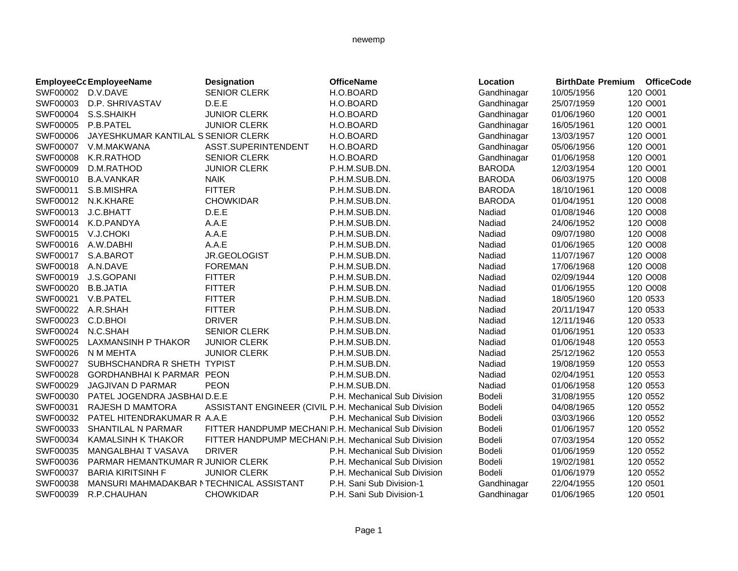|                   | <b>EmployeeCc EmployeeName</b>           | <b>Designation</b>                                     | <b>OfficeName</b>            | Location      | <b>BirthDate Premium OfficeCode</b> |          |
|-------------------|------------------------------------------|--------------------------------------------------------|------------------------------|---------------|-------------------------------------|----------|
| SWF00002 D.V.DAVE |                                          | <b>SENIOR CLERK</b>                                    | H.O.BOARD                    | Gandhinagar   | 10/05/1956                          | 120 O001 |
| SWF00003          | D.P. SHRIVASTAV                          | D.E.E                                                  | H.O.BOARD                    | Gandhinagar   | 25/07/1959                          | 120 O001 |
| SWF00004          | S.S.SHAIKH                               | <b>JUNIOR CLERK</b>                                    | H.O.BOARD                    | Gandhinagar   | 01/06/1960                          | 120 O001 |
| SWF00005          | P.B.PATEL                                | <b>JUNIOR CLERK</b>                                    | H.O.BOARD                    | Gandhinagar   | 16/05/1961                          | 120 O001 |
| SWF00006          | JAYESHKUMAR KANTILAL S SENIOR CLERK      |                                                        | H.O.BOARD                    | Gandhinagar   | 13/03/1957                          | 120 O001 |
| SWF00007          | V.M.MAKWANA                              | ASST.SUPERINTENDENT                                    | H.O.BOARD                    | Gandhinagar   | 05/06/1956                          | 120 O001 |
| <b>SWF00008</b>   | K.R.RATHOD                               | <b>SENIOR CLERK</b>                                    | H.O.BOARD                    | Gandhinagar   | 01/06/1958                          | 120 O001 |
| SWF00009          | D.M.RATHOD                               | <b>JUNIOR CLERK</b>                                    | P.H.M.SUB.DN.                | <b>BARODA</b> | 12/03/1954                          | 120 O001 |
| SWF00010          | <b>B.A.VANKAR</b>                        | <b>NAIK</b>                                            | P.H.M.SUB.DN.                | <b>BARODA</b> | 06/03/1975                          | 120 O008 |
| SWF00011          | S.B.MISHRA                               | <b>FITTER</b>                                          | P.H.M.SUB.DN.                | <b>BARODA</b> | 18/10/1961                          | 120 O008 |
| SWF00012          | N.K.KHARE                                | <b>CHOWKIDAR</b>                                       | P.H.M.SUB.DN.                | <b>BARODA</b> | 01/04/1951                          | 120 O008 |
| SWF00013          | J.C.BHATT                                | D.E.E                                                  | P.H.M.SUB.DN.                | Nadiad        | 01/08/1946                          | 120 O008 |
| SWF00014          | K.D.PANDYA                               | A.A.E                                                  | P.H.M.SUB.DN.                | Nadiad        | 24/06/1952                          | 120 O008 |
| SWF00015          | V.J.CHOKI                                | A.A.E                                                  | P.H.M.SUB.DN.                | Nadiad        | 09/07/1980                          | 120 O008 |
| SWF00016          | A.W.DABHI                                | A.A.E                                                  | P.H.M.SUB.DN.                | Nadiad        | 01/06/1965                          | 120 O008 |
| SWF00017          | S.A.BAROT                                | JR.GEOLOGIST                                           | P.H.M.SUB.DN.                | Nadiad        | 11/07/1967                          | 120 O008 |
| SWF00018          | A.N.DAVE                                 | <b>FOREMAN</b>                                         | P.H.M.SUB.DN.                | Nadiad        | 17/06/1968                          | 120 O008 |
| SWF00019          | J.S.GOPANI                               | <b>FITTER</b>                                          | P.H.M.SUB.DN.                | Nadiad        | 02/09/1944                          | 120 O008 |
| SWF00020          | <b>B.B.JATIA</b>                         | <b>FITTER</b>                                          | P.H.M.SUB.DN.                | Nadiad        | 01/06/1955                          | 120 O008 |
| SWF00021          | V.B.PATEL                                | <b>FITTER</b>                                          | P.H.M.SUB.DN.                | Nadiad        | 18/05/1960                          | 120 0533 |
| SWF00022 A.R.SHAH |                                          | <b>FITTER</b>                                          | P.H.M.SUB.DN.                | Nadiad        | 20/11/1947                          | 120 0533 |
| SWF00023          | C.D.BHOI                                 | <b>DRIVER</b>                                          | P.H.M.SUB.DN.                | Nadiad        | 12/11/1946                          | 120 0533 |
| SWF00024          | N.C.SHAH                                 | <b>SENIOR CLERK</b>                                    | P.H.M.SUB.DN.                | Nadiad        | 01/06/1951                          | 120 0533 |
| SWF00025          | LAXMANSINH P THAKOR                      | <b>JUNIOR CLERK</b>                                    | P.H.M.SUB.DN.                | Nadiad        | 01/06/1948                          | 120 0553 |
| SWF00026          | N M MEHTA                                | <b>JUNIOR CLERK</b>                                    | P.H.M.SUB.DN.                | Nadiad        | 25/12/1962                          | 120 0553 |
| SWF00027          | SUBHSCHANDRA R SHETH TYPIST              |                                                        | P.H.M.SUB.DN.                | Nadiad        | 19/08/1959                          | 120 0553 |
| SWF00028          | GORDHANBHAIK PARMAR PEON                 |                                                        | P.H.M.SUB.DN.                | Nadiad        | 02/04/1951                          | 120 0553 |
| SWF00029          | JAGJIVAN D PARMAR                        | <b>PEON</b>                                            | P.H.M.SUB.DN.                | Nadiad        | 01/06/1958                          | 120 0553 |
| SWF00030          | PATEL JOGENDRA JASBHAI D.E.E             |                                                        | P.H. Mechanical Sub Division | Bodeli        | 31/08/1955                          | 120 0552 |
| SWF00031          | <b>RAJESH D MAMTORA</b>                  | ASSISTANT ENGINEER (CIVIL P.H. Mechanical Sub Division |                              | Bodeli        | 04/08/1965                          | 120 0552 |
| SWF00032          | PATEL HITENDRAKUMAR R A.A.E              |                                                        | P.H. Mechanical Sub Division | Bodeli        | 03/03/1966                          | 120 0552 |
| SWF00033          | <b>SHANTILAL N PARMAR</b>                | FITTER HANDPUMP MECHANIP.H. Mechanical Sub Division    |                              | Bodeli        | 01/06/1957                          | 120 0552 |
| SWF00034          | <b>KAMALSINH K THAKOR</b>                | FITTER HANDPUMP MECHANIP.H. Mechanical Sub Division    |                              | Bodeli        | 07/03/1954                          | 120 0552 |
| SWF00035          | MANGALBHAI T VASAVA                      | <b>DRIVER</b>                                          | P.H. Mechanical Sub Division | Bodeli        | 01/06/1959                          | 120 0552 |
| SWF00036          | PARMAR HEMANTKUMAR R JUNIOR CLERK        |                                                        | P.H. Mechanical Sub Division | Bodeli        | 19/02/1981                          | 120 0552 |
| SWF00037          | <b>BARIA KIRITSINH F</b>                 | <b>JUNIOR CLERK</b>                                    | P.H. Mechanical Sub Division | Bodeli        | 01/06/1979                          | 120 0552 |
| SWF00038          | MANSURI MAHMADAKBAR NTECHNICAL ASSISTANT |                                                        | P.H. Sani Sub Division-1     | Gandhinagar   | 22/04/1955                          | 120 0501 |
| SWF00039          | R.P.CHAUHAN                              | <b>CHOWKIDAR</b>                                       | P.H. Sani Sub Division-1     | Gandhinagar   | 01/06/1965                          | 120 0501 |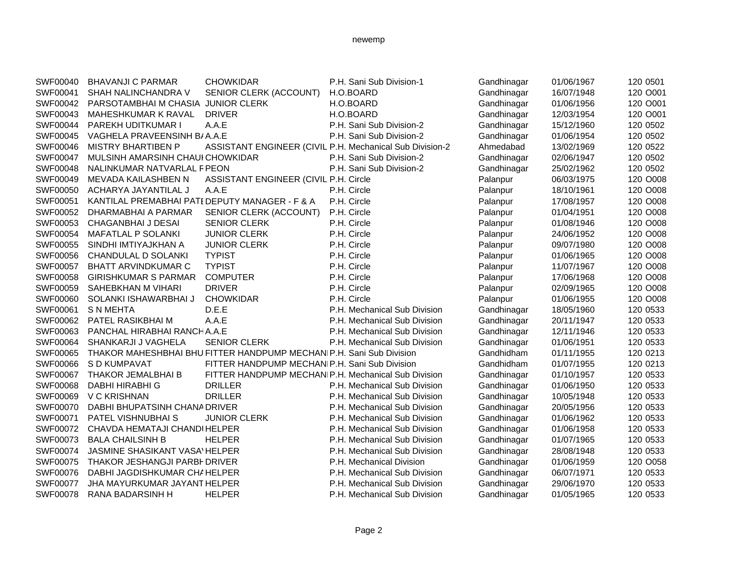| SWF00040 | <b>BHAVANJI C PARMAR</b>                       | <b>CHOWKIDAR</b>                                                    | P.H. Sani Sub Division-1     | Gandhinagar | 01/06/1967 | 120 0501 |
|----------|------------------------------------------------|---------------------------------------------------------------------|------------------------------|-------------|------------|----------|
| SWF00041 | SHAH NALINCHANDRA V                            | SENIOR CLERK (ACCOUNT)                                              | H.O.BOARD                    | Gandhinagar | 16/07/1948 | 120 O001 |
| SWF00042 | PARSOTAMBHAI M CHASIA JUNIOR CLERK             |                                                                     | H.O.BOARD                    | Gandhinagar | 01/06/1956 | 120 O001 |
| SWF00043 | MAHESHKUMAR K RAVAL                            | <b>DRIVER</b>                                                       | H.O.BOARD                    | Gandhinagar | 12/03/1954 | 120 O001 |
| SWF00044 | PAREKH UDITKUMAR I                             | A.A.E                                                               | P.H. Sani Sub Division-2     | Gandhinagar | 15/12/1960 | 120 0502 |
| SWF00045 | VAGHELA PRAVEENSINH B/A.A.E                    |                                                                     | P.H. Sani Sub Division-2     | Gandhinagar | 01/06/1954 | 120 0502 |
| SWF00046 | <b>MISTRY BHARTIBEN P</b>                      | ASSISTANT ENGINEER (CIVIL P.H. Mechanical Sub Division-2            |                              | Ahmedabad   | 13/02/1969 | 120 0522 |
| SWF00047 | MULSINH AMARSINH CHAUI CHOWKIDAR               |                                                                     | P.H. Sani Sub Division-2     | Gandhinagar | 02/06/1947 | 120 0502 |
| SWF00048 | NALINKUMAR NATVARLAL FPEON                     |                                                                     | P.H. Sani Sub Division-2     | Gandhinagar | 25/02/1962 | 120 0502 |
| SWF00049 | MEVADA KAILASHBEN N                            | ASSISTANT ENGINEER (CIVIL P.H. Circle                               |                              | Palanpur    | 06/03/1975 | 120 O008 |
| SWF00050 | ACHARYA JAYANTILAL J                           | A.A.E                                                               | P.H. Circle                  | Palanpur    | 18/10/1961 | 120 O008 |
| SWF00051 | KANTILAL PREMABHAI PATI DEPUTY MANAGER - F & A |                                                                     | P.H. Circle                  | Palanpur    | 17/08/1957 | 120 O008 |
| SWF00052 | DHARMABHAI A PARMAR                            | SENIOR CLERK (ACCOUNT)                                              | P.H. Circle                  | Palanpur    | 01/04/1951 | 120 O008 |
| SWF00053 | <b>CHAGANBHAI J DESAI</b>                      | <b>SENIOR CLERK</b>                                                 | P.H. Circle                  | Palanpur    | 01/08/1946 | 120 O008 |
| SWF00054 | <b>MAFATLAL P SOLANKI</b>                      | <b>JUNIOR CLERK</b>                                                 | P.H. Circle                  | Palanpur    | 24/06/1952 | 120 O008 |
| SWF00055 | SINDHI IMTIYAJKHAN A                           | <b>JUNIOR CLERK</b>                                                 | P.H. Circle                  | Palanpur    | 09/07/1980 | 120 O008 |
| SWF00056 | CHANDULAL D SOLANKI                            | <b>TYPIST</b>                                                       | P.H. Circle                  | Palanpur    | 01/06/1965 | 120 O008 |
| SWF00057 | <b>BHATT ARVINDKUMAR C</b>                     | <b>TYPIST</b>                                                       | P.H. Circle                  | Palanpur    | 11/07/1967 | 120 O008 |
| SWF00058 | <b>GIRISHKUMAR S PARMAR</b>                    | <b>COMPUTER</b>                                                     | P.H. Circle                  | Palanpur    | 17/06/1968 | 120 O008 |
| SWF00059 | SAHEBKHAN M VIHARI                             | <b>DRIVER</b>                                                       | P.H. Circle                  | Palanpur    | 02/09/1965 | 120 O008 |
| SWF00060 | SOLANKI ISHAWARBHAI J                          | <b>CHOWKIDAR</b>                                                    | P.H. Circle                  | Palanpur    | 01/06/1955 | 120 O008 |
| SWF00061 | <b>S N MEHTA</b>                               | D.E.E                                                               | P.H. Mechanical Sub Division | Gandhinagar | 18/05/1960 | 120 0533 |
| SWF00062 | PATEL RASIKBHAI M                              | A.A.E                                                               | P.H. Mechanical Sub Division | Gandhinagar | 20/11/1947 | 120 0533 |
| SWF00063 | PANCHAL HIRABHAI RANCHA.A.E                    |                                                                     | P.H. Mechanical Sub Division | Gandhinagar | 12/11/1946 | 120 0533 |
| SWF00064 | SHANKARJI J VAGHELA                            | <b>SENIOR CLERK</b>                                                 | P.H. Mechanical Sub Division | Gandhinagar | 01/06/1951 | 120 0533 |
| SWF00065 |                                                | THAKOR MAHESHBHAI BHU FITTER HANDPUMP MECHANIP.H. Sani Sub Division |                              | Gandhidham  | 01/11/1955 | 120 0213 |
| SWF00066 | S D KUMPAVAT                                   | FITTER HANDPUMP MECHANIP.H. Sani Sub Division                       |                              | Gandhidham  | 01/07/1955 | 120 0213 |
| SWF00067 | THAKOR JEMALBHAI B                             | FITTER HANDPUMP MECHANIP.H. Mechanical Sub Division                 |                              | Gandhinagar | 01/10/1957 | 120 0533 |
| SWF00068 | DABHI HIRABHI G                                | <b>DRILLER</b>                                                      | P.H. Mechanical Sub Division | Gandhinagar | 01/06/1950 | 120 0533 |
| SWF00069 | V C KRISHNAN                                   | <b>DRILLER</b>                                                      | P.H. Mechanical Sub Division | Gandhinagar | 10/05/1948 | 120 0533 |
| SWF00070 | DABHI BHUPATSINH CHANA DRIVER                  |                                                                     | P.H. Mechanical Sub Division | Gandhinagar | 20/05/1956 | 120 0533 |
| SWF00071 | PATEL VISHNUBHAI S                             | <b>JUNIOR CLERK</b>                                                 | P.H. Mechanical Sub Division | Gandhinagar | 01/06/1962 | 120 0533 |
| SWF00072 | CHAVDA HEMATAJI CHANDI HELPER                  |                                                                     | P.H. Mechanical Sub Division | Gandhinagar | 01/06/1958 | 120 0533 |
| SWF00073 | <b>BALA CHAILSINH B</b>                        | <b>HELPER</b>                                                       | P.H. Mechanical Sub Division | Gandhinagar | 01/07/1965 | 120 0533 |
| SWF00074 | <b>JASMINE SHASIKANT VASA' HELPER</b>          |                                                                     | P.H. Mechanical Sub Division | Gandhinagar | 28/08/1948 | 120 0533 |
| SWF00075 | THAKOR JESHANGJI PARBI DRIVER                  |                                                                     | P.H. Mechanical Division     | Gandhinagar | 01/06/1959 | 120 O058 |
| SWF00076 | DABHI JAGDISHKUMAR CHAHELPER                   |                                                                     | P.H. Mechanical Sub Division | Gandhinagar | 06/07/1971 | 120 0533 |
| SWF00077 | JHA MAYURKUMAR JAYANT HELPER                   |                                                                     | P.H. Mechanical Sub Division | Gandhinagar | 29/06/1970 | 120 0533 |
| SWF00078 | <b>RANA BADARSINH H</b>                        | <b>HELPER</b>                                                       | P.H. Mechanical Sub Division | Gandhinagar | 01/05/1965 | 120 0533 |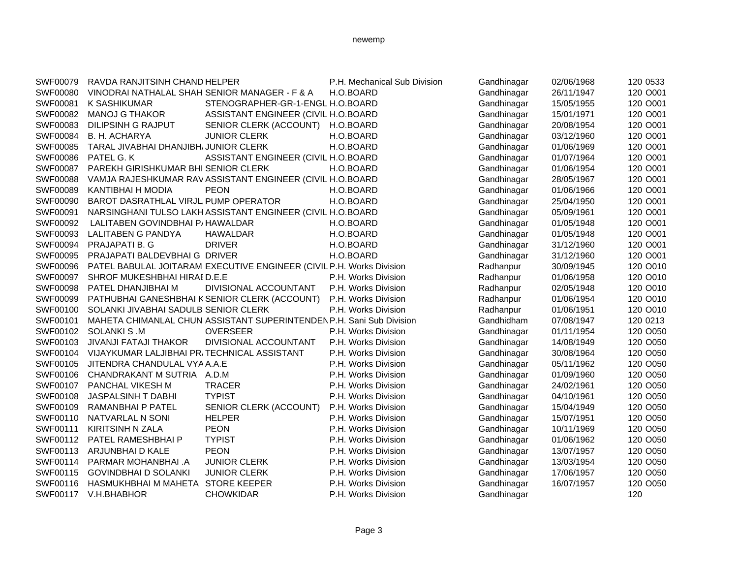## SWF00079 RAVDA RANJITSINH CHAND HELPER P.H. Mechanical Sub Division Gandhinagar 02/06/1968 120 0533 SWF00080 VINODRAI NATHALAL SHAH SENIOR MANAGER - F & A H.O.BOARD Gandhinagar 26/11/1947 120 0001 SWF00081 K SASHIKUMAR STENOGRAPHER-GR-1-ENGL H.O.BOARD Gandhinagar 15/05/1955 120 0001 SWF00082 MANOJ G THAKORASSISTANT ENGINEER (CIVIL H.O.BOARD Gandhinagar 15/01/1971 120 0001 SWF00083 DILIPSINH G RAJPUT SENIOR CLERK (ACCOUNT) H.O.BOARD Gandhinagar 20/08/1954 120 0001 SWF00084 B. H. ACHARYA JUNIOR CLERK H.O.BOARD Gandhinagar 03/12/1960 120 O001 SWF00085 TARAL JIVABHAI DHANJIBH/JUNIOR CLERK H.O.BOARD Gandhinagar 01/06/1969 120 0001 SWF00086 PATEL G. KASSISTANT ENGINEER (CIVIL H.O.BOARD Gandhinagar 01/07/1964 120 0001 SWF00087 PAREKH GIRISHKUMAR BHI SENIOR CLERK H.O.BOARD Gandhinagar 01/06/1954 120 O001 SWF00088 VAMJA RAJESHKUMAR RAVASSISTANT ENGINEER (CIVIL H.O.BOARD Gandhinagar 28/05/1967 120 0001 SWF00089 KANTIBHAI H MODIA PEON BEON H.O.BOARD Gandhinagar 01/06/1966 120 0001 SWF00090 BAROT DASRATHLAL VIRJL PUMP OPERATOR H.O.BOARD Gandhinagar 25/04/1950 120 0001 SWF00091 NARSINGHANI TULSO LAKH ASSISTANT ENGINEER (CIVIL H.O.BOARD Gandhinagar 05/09/1961 120 O001 SWF00092 LALITABEN GOVINDBHAI P/HAWALDAR H.O.BOARD H.O.BOARD Gandhinagar 01/05/1948 120 0001 SWF00093 LALITABEN G PANDYA HAWALDAR H.O.BOARD Gandhinagar 01/05/1948 120 O001 SWF00094 PRAJAPATI B. G DRIVER H.O.BOARD Gandhinagar 31/12/1960 120 O001 SWF00095 PRAJAPATI BALDEVBHAI GDRIVER H.O.BOARD H.O.BOARD Gandhinagar 31/12/1960 120 0001 SWF00096 PATEL BABULAL JOITARAM EXECUTIVE ENGINEER (CIVIL P.H. Works Division Radhanpur 30/09/1945 120 O010 SWF00097 SHROF MUKESHBHAI HIRAED.E.E P.H. Works Division Radhanpur 01/06/1958 120 O010 SWF00098 PATEL DHANJIBHAI M DIVISIONAL ACCOUNTANT P.H. Works Division Radhanpur 02/05/1948 120 0010 SWF00099 PATHUBHAI GANESHBHAI KSENIOR CLERK (ACCOUNT) P.H. Works Division Radhanpur 01/06/1954 120 0010 SWF00100 SOLANKI JIVABHAI SADULB SENIOR CLERK P.H. Works Division Radhanpur 01/06/1951 120 0010 SWF00101 MAHETA CHIMANLAL CHUN ASSISTANT SUPERINTENDEN P.H. Sani Sub Division Gandhidham 07/08/1947 120 0213 SWF00102 SOLANKI S .M OVERSEER P.H. Works Division Gandhinagar 01/11/1954 120 O050 SWF00103 JIVANJI FATAJI THAKOR DIVISIONAL ACCOUNTANT P.H. Works Division Gandhinagar 14/08/1949 120 0050 SWF00104 VIJAYKUMAR LALJIBHAI PR/TECHNICAL ASSISTANT P.H. Works Division Gandhinagar 30/08/1964 120 0050 SWF00105 JITENDRA CHANDULAL VYA A.A.E **P.H. Works Division Gandhinagar** 05/11/1962 120 O050 SWF00106 CHANDRAKANT M SUTRIA A.D.M **P.H. Works Division** Gandhinagar 01/09/1960 120 O050 SWF00107 PANCHAL VIKESH M TRACER THE P.H. Works Division Gandhinagar 24/02/1961 120 0050 SWF00108 JASPALSINH T DABHI TYPIST TELL P.H. Works Division Gandhinagar 04/10/1961 120 0050 SWF00109 RAMANBHAI P PATEL SENIOR CLERK (ACCOUNT) P.H. Works Division Gandhinagar 15/04/1949 120 0050 SWF00110 NATVARLAL N SONI HELPER P.H. Works Division Gandhinagar 15/07/1951 120 0050 SWF00111 KIRITSINH N ZALA PEON P.H. Works Division Gandhinagar 10/11/1969 120 O050 SWF00112 PATEL RAMESHBHAI P TYPIST **P.H. Works Division** Gandhinagar 01/06/1962 120 O050 SWF00113 ARJUNBHAI D KALE PEON P.H. Works Division Gandhinagar 13/07/1957 120 0050 SWF00114 PARMAR MOHANBHAI .A JUNIOR CLERK P.H. Works Division Gandhinagar 13/03/1954 120 0050 SWF00115 GOVINDBHAI D SOLANKI JUNIOR CLERK P.H. Works Division Gandhinagar 17/06/1957 120 0050 SWF00116 HASMUKHBHAI M MAHETA STORE KEEPER P.H. Works Division Gandhinagar 16/07/1957 120 0050

#### newemp

SWF00117 V.H.BHABHOR CHOWKIDAR P.H. Works Division Gandhinagar CHORES 120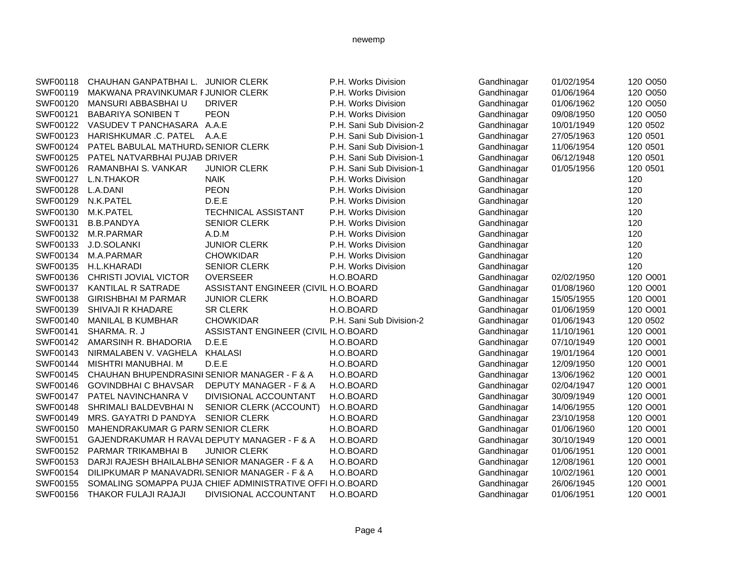| SWF00118 | CHAUHAN GANPATBHAI L. JUNIOR CLERK             |                                                           | P.H. Works Division      | Gandhinagar | 01/02/1954 | 120 O050 |
|----------|------------------------------------------------|-----------------------------------------------------------|--------------------------|-------------|------------|----------|
| SWF00119 | MAKWANA PRAVINKUMAR FJUNIOR CLERK              |                                                           | P.H. Works Division      | Gandhinagar | 01/06/1964 | 120 O050 |
| SWF00120 | MANSURI ABBASBHAI U                            | <b>DRIVER</b>                                             | P.H. Works Division      | Gandhinagar | 01/06/1962 | 120 O050 |
| SWF00121 | <b>BABARIYA SONIBEN T</b>                      | <b>PEON</b>                                               | P.H. Works Division      | Gandhinagar | 09/08/1950 | 120 O050 |
| SWF00122 | VASUDEV T PANCHASARA A.A.E                     |                                                           | P.H. Sani Sub Division-2 | Gandhinagar | 10/01/1949 | 120 0502 |
| SWF00123 | HARISHKUMAR .C. PATEL                          | A.A.E                                                     | P.H. Sani Sub Division-1 | Gandhinagar | 27/05/1963 | 120 0501 |
| SWF00124 | PATEL BABULAL MATHURD/SENIOR CLERK             |                                                           | P.H. Sani Sub Division-1 | Gandhinagar | 11/06/1954 | 120 0501 |
| SWF00125 | PATEL NATVARBHAI PUJAB DRIVER                  |                                                           | P.H. Sani Sub Division-1 | Gandhinagar | 06/12/1948 | 120 0501 |
| SWF00126 | RAMANBHAI S. VANKAR                            | <b>JUNIOR CLERK</b>                                       | P.H. Sani Sub Division-1 | Gandhinagar | 01/05/1956 | 120 0501 |
| SWF00127 | L.N.THAKOR                                     | <b>NAIK</b>                                               | P.H. Works Division      | Gandhinagar |            | 120      |
| SWF00128 | L.A.DANI                                       | <b>PEON</b>                                               | P.H. Works Division      | Gandhinagar |            | 120      |
| SWF00129 | N.K.PATEL                                      | D.E.E                                                     | P.H. Works Division      | Gandhinagar |            | 120      |
| SWF00130 | M.K.PATEL                                      | TECHNICAL ASSISTANT                                       | P.H. Works Division      | Gandhinagar |            | 120      |
| SWF00131 | <b>B.B.PANDYA</b>                              | <b>SENIOR CLERK</b>                                       | P.H. Works Division      | Gandhinagar |            | 120      |
| SWF00132 | M.R.PARMAR                                     | A.D.M                                                     | P.H. Works Division      | Gandhinagar |            | 120      |
| SWF00133 | J.D.SOLANKI                                    | <b>JUNIOR CLERK</b>                                       | P.H. Works Division      | Gandhinagar |            | 120      |
| SWF00134 | M.A.PARMAR                                     | <b>CHOWKIDAR</b>                                          | P.H. Works Division      | Gandhinagar |            | 120      |
| SWF00135 | H.L.KHARADI                                    | <b>SENIOR CLERK</b>                                       | P.H. Works Division      | Gandhinagar |            | 120      |
| SWF00136 | CHRISTI JOVIAL VICTOR                          | <b>OVERSEER</b>                                           | H.O.BOARD                | Gandhinagar | 02/02/1950 | 120 O001 |
| SWF00137 | KANTILAL R SATRADE                             | ASSISTANT ENGINEER (CIVIL H.O.BOARD                       |                          | Gandhinagar | 01/08/1960 | 120 O001 |
| SWF00138 | <b>GIRISHBHAI M PARMAR</b>                     | <b>JUNIOR CLERK</b>                                       | H.O.BOARD                | Gandhinagar | 15/05/1955 | 120 O001 |
| SWF00139 | <b>SHIVAJI R KHADARE</b>                       | <b>SR CLERK</b>                                           | H.O.BOARD                | Gandhinagar | 01/06/1959 | 120 O001 |
| SWF00140 | MANILAL B KUMBHAR                              | <b>CHOWKIDAR</b>                                          | P.H. Sani Sub Division-2 | Gandhinagar | 01/06/1943 | 120 0502 |
| SWF00141 | SHARMA. R. J                                   | ASSISTANT ENGINEER (CIVIL H.O.BOARD                       |                          | Gandhinagar | 11/10/1961 | 120 O001 |
| SWF00142 | AMARSINH R. BHADORIA                           | D.E.E                                                     | H.O.BOARD                | Gandhinagar | 07/10/1949 | 120 O001 |
| SWF00143 | NIRMALABEN V. VAGHELA                          | KHALASI                                                   | H.O.BOARD                | Gandhinagar | 19/01/1964 | 120 O001 |
| SWF00144 | MISHTRI MANUBHAI. M                            | D.E.E                                                     | H.O.BOARD                | Gandhinagar | 12/09/1950 | 120 O001 |
| SWF00145 | CHAUHAN BHUPENDRASINI SENIOR MANAGER - F & A   |                                                           | H.O.BOARD                | Gandhinagar | 13/06/1962 | 120 O001 |
| SWF00146 | <b>GOVINDBHAI C BHAVSAR</b>                    | <b>DEPUTY MANAGER - F &amp; A</b>                         | H.O.BOARD                | Gandhinagar | 02/04/1947 | 120 O001 |
| SWF00147 | PATEL NAVINCHANRA V                            | DIVISIONAL ACCOUNTANT                                     | H.O.BOARD                | Gandhinagar | 30/09/1949 | 120 O001 |
| SWF00148 | SHRIMALI BALDEVBHAI N                          | SENIOR CLERK (ACCOUNT)                                    | H.O.BOARD                | Gandhinagar | 14/06/1955 | 120 O001 |
| SWF00149 | MRS. GAYATRI D PANDYA                          | <b>SENIOR CLERK</b>                                       | H.O.BOARD                | Gandhinagar | 23/10/1958 | 120 O001 |
| SWF00150 | MAHENDRAKUMAR G PARMSENIOR CLERK               |                                                           | H.O.BOARD                | Gandhinagar | 01/06/1960 | 120 O001 |
| SWF00151 | GAJENDRAKUMAR H RAVAL DEPUTY MANAGER - F & A   |                                                           | H.O.BOARD                | Gandhinagar | 30/10/1949 | 120 O001 |
| SWF00152 | PARMAR TRIKAMBHAI B                            | <b>JUNIOR CLERK</b>                                       | H.O.BOARD                | Gandhinagar | 01/06/1951 | 120 O001 |
| SWF00153 | DARJI RAJESH BHAILALBHA SENIOR MANAGER - F & A |                                                           | H.O.BOARD                | Gandhinagar | 12/08/1961 | 120 O001 |
| SWF00154 | DILIPKUMAR P MANAVADRI SENIOR MANAGER - F & A  |                                                           | H.O.BOARD                | Gandhinagar | 10/02/1961 | 120 O001 |
| SWF00155 |                                                | SOMALING SOMAPPA PUJA CHIEF ADMINISTRATIVE OFFI H.O.BOARD |                          | Gandhinagar | 26/06/1945 | 120 O001 |
| SWF00156 | THAKOR FULAJI RAJAJI                           | DIVISIONAL ACCOUNTANT                                     | H.O.BOARD                | Gandhinagar | 01/06/1951 | 120 O001 |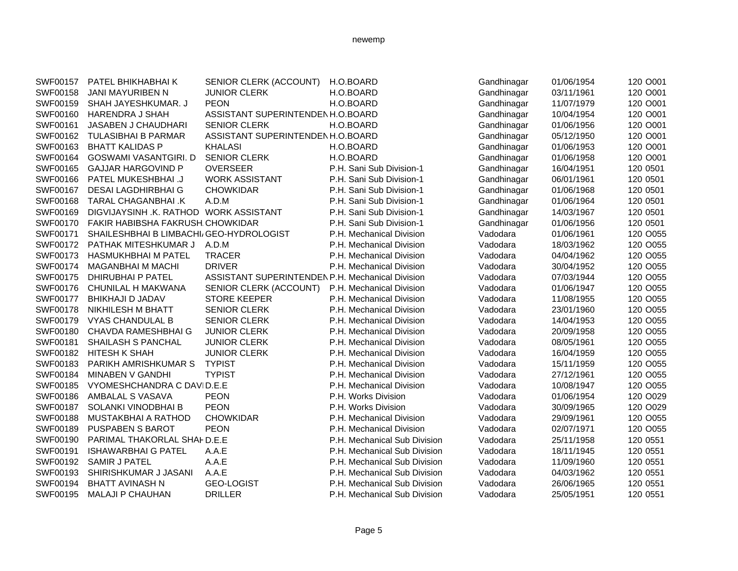| SWF00157 | PATEL BHIKHABHAI K                      | SENIOR CLERK (ACCOUNT)                           | H.O.BOARD                    | Gandhinagar | 01/06/1954 | 120 O001 |
|----------|-----------------------------------------|--------------------------------------------------|------------------------------|-------------|------------|----------|
| SWF00158 | <b>JANI MAYURIBEN N</b>                 | <b>JUNIOR CLERK</b>                              | H.O.BOARD                    | Gandhinagar | 03/11/1961 | 120 O001 |
| SWF00159 | SHAH JAYESHKUMAR, J                     | <b>PEON</b>                                      | H.O.BOARD                    | Gandhinagar | 11/07/1979 | 120 O001 |
| SWF00160 | <b>HARENDRA J SHAH</b>                  | ASSISTANT SUPERINTENDEN H.O.BOARD                |                              | Gandhinagar | 10/04/1954 | 120 O001 |
| SWF00161 | JASABEN J CHAUDHARI                     | <b>SENIOR CLERK</b>                              | H.O.BOARD                    | Gandhinagar | 01/06/1956 | 120 O001 |
| SWF00162 | <b>TULASIBHAI B PARMAR</b>              | ASSISTANT SUPERINTENDENH.O.BOARD                 |                              | Gandhinagar | 05/12/1950 | 120 O001 |
| SWF00163 | <b>BHATT KALIDAS P</b>                  | <b>KHALASI</b>                                   | H.O.BOARD                    | Gandhinagar | 01/06/1953 | 120 O001 |
| SWF00164 | <b>GOSWAMI VASANTGIRI. D</b>            | <b>SENIOR CLERK</b>                              | H.O.BOARD                    | Gandhinagar | 01/06/1958 | 120 O001 |
| SWF00165 | <b>GAJJAR HARGOVIND P</b>               | <b>OVERSEER</b>                                  | P.H. Sani Sub Division-1     | Gandhinagar | 16/04/1951 | 120 0501 |
| SWF00166 | PATEL MUKESHBHAI .J                     | <b>WORK ASSISTANT</b>                            | P.H. Sani Sub Division-1     | Gandhinagar | 06/01/1961 | 120 0501 |
| SWF00167 | <b>DESAI LAGDHIRBHAI G</b>              | <b>CHOWKIDAR</b>                                 | P.H. Sani Sub Division-1     | Gandhinagar | 01/06/1968 | 120 0501 |
| SWF00168 | TARAL CHAGANBHAI .K                     | A.D.M                                            | P.H. Sani Sub Division-1     | Gandhinagar | 01/06/1964 | 120 0501 |
| SWF00169 | DIGVIJAYSINH .K. RATHOD WORK ASSISTANT  |                                                  | P.H. Sani Sub Division-1     | Gandhinagar | 14/03/1967 | 120 0501 |
| SWF00170 | FAKIR HABIBSHA FAKRUSH CHOWKIDAR        |                                                  | P.H. Sani Sub Division-1     | Gandhinagar | 01/06/1956 | 120 0501 |
| SWF00171 | SHAILESHBHAI B LIMBACHI GEO-HYDROLOGIST |                                                  | P.H. Mechanical Division     | Vadodara    | 01/06/1961 | 120 O055 |
| SWF00172 | PATHAK MITESHKUMAR J                    | A.D.M                                            | P.H. Mechanical Division     | Vadodara    | 18/03/1962 | 120 O055 |
| SWF00173 | <b>HASMUKHBHAI M PATEL</b>              | <b>TRACER</b>                                    | P.H. Mechanical Division     | Vadodara    | 04/04/1962 | 120 O055 |
| SWF00174 | <b>MAGANBHAI M MACHI</b>                | <b>DRIVER</b>                                    | P.H. Mechanical Division     | Vadodara    | 30/04/1952 | 120 O055 |
| SWF00175 | <b>DHIRUBHAI P PATEL</b>                | ASSISTANT SUPERINTENDEN P.H. Mechanical Division |                              | Vadodara    | 07/03/1944 | 120 O055 |
| SWF00176 | CHUNILAL H MAKWANA                      | SENIOR CLERK (ACCOUNT)                           | P.H. Mechanical Division     | Vadodara    | 01/06/1947 | 120 O055 |
| SWF00177 | <b>BHIKHAJI D JADAV</b>                 | <b>STORE KEEPER</b>                              | P.H. Mechanical Division     | Vadodara    | 11/08/1955 | 120 O055 |
| SWF00178 | <b>NIKHILESH M BHATT</b>                | <b>SENIOR CLERK</b>                              | P.H. Mechanical Division     | Vadodara    | 23/01/1960 | 120 O055 |
| SWF00179 | <b>VYAS CHANDULAL B</b>                 | <b>SENIOR CLERK</b>                              | P.H. Mechanical Division     | Vadodara    | 14/04/1953 | 120 O055 |
| SWF00180 | <b>CHAVDA RAMESHBHAI G</b>              | <b>JUNIOR CLERK</b>                              | P.H. Mechanical Division     | Vadodara    | 20/09/1958 | 120 O055 |
| SWF00181 | SHAILASH S PANCHAL                      | <b>JUNIOR CLERK</b>                              | P.H. Mechanical Division     | Vadodara    | 08/05/1961 | 120 O055 |
| SWF00182 | HITESH K SHAH                           | <b>JUNIOR CLERK</b>                              | P.H. Mechanical Division     | Vadodara    | 16/04/1959 | 120 O055 |
| SWF00183 | PARIKH AMRISHKUMAR S                    | <b>TYPIST</b>                                    | P.H. Mechanical Division     | Vadodara    | 15/11/1959 | 120 O055 |
| SWF00184 | <b>MINABEN V GANDHI</b>                 | <b>TYPIST</b>                                    | P.H. Mechanical Division     | Vadodara    | 27/12/1961 | 120 O055 |
| SWF00185 | VYOMESHCHANDRA C DAVID.E.E              |                                                  | P.H. Mechanical Division     | Vadodara    | 10/08/1947 | 120 O055 |
| SWF00186 | AMBALAL S VASAVA                        | <b>PEON</b>                                      | P.H. Works Division          | Vadodara    | 01/06/1954 | 120 O029 |
| SWF00187 | SOLANKI VINODBHAI B                     | <b>PEON</b>                                      | P.H. Works Division          | Vadodara    | 30/09/1965 | 120 O029 |
| SWF00188 | <b>MUSTAKBHAI A RATHOD</b>              | <b>CHOWKIDAR</b>                                 | P.H. Mechanical Division     | Vadodara    | 29/09/1961 | 120 O055 |
| SWF00189 | <b>PUSPABEN S BAROT</b>                 | <b>PEON</b>                                      | P.H. Mechanical Division     | Vadodara    | 02/07/1971 | 120 O055 |
| SWF00190 | PARIMAL THAKORLAL SHAF D.E.E            |                                                  | P.H. Mechanical Sub Division | Vadodara    | 25/11/1958 | 120 0551 |
| SWF00191 | <b>ISHAWARBHAI G PATEL</b>              | A.A.E                                            | P.H. Mechanical Sub Division | Vadodara    | 18/11/1945 | 120 0551 |
| SWF00192 | <b>SAMIR J PATEL</b>                    | A.A.E                                            | P.H. Mechanical Sub Division | Vadodara    | 11/09/1960 | 120 0551 |
| SWF00193 | SHIRISHKUMAR J JASANI                   | A.A.E                                            | P.H. Mechanical Sub Division | Vadodara    | 04/03/1962 | 120 0551 |
| SWF00194 | <b>BHATT AVINASH N</b>                  | <b>GEO-LOGIST</b>                                | P.H. Mechanical Sub Division | Vadodara    | 26/06/1965 | 120 0551 |
| SWF00195 | <b>MALAJI P CHAUHAN</b>                 | <b>DRILLER</b>                                   | P.H. Mechanical Sub Division | Vadodara    | 25/05/1951 | 120 0551 |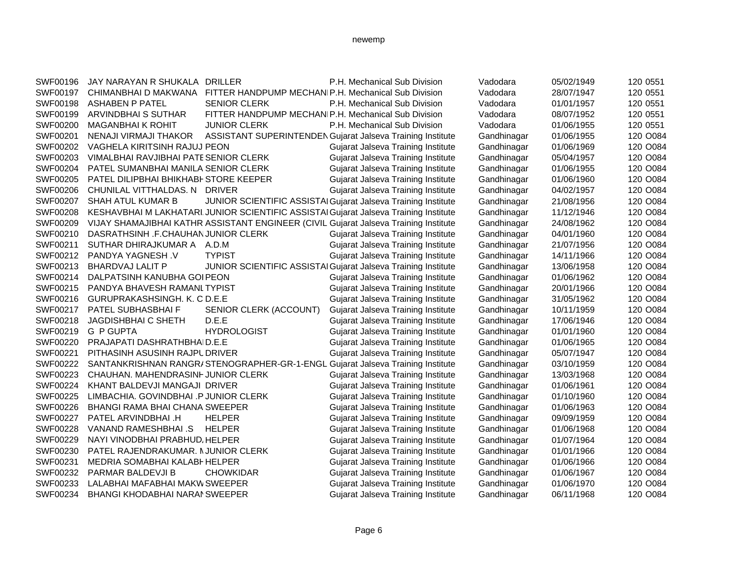| SWF00196 | JAY NARAYAN R SHUKALA DRILLER         |                                                                                      | P.H. Mechanical Sub Division              | Vadodara    | 05/02/1949 | 120 0551 |
|----------|---------------------------------------|--------------------------------------------------------------------------------------|-------------------------------------------|-------------|------------|----------|
| SWF00197 |                                       | CHIMANBHAI D MAKWANA FITTER HANDPUMP MECHANIP.H. Mechanical Sub Division             |                                           | Vadodara    | 28/07/1947 | 120 0551 |
| SWF00198 | <b>ASHABEN P PATEL</b>                | <b>SENIOR CLERK</b>                                                                  | P.H. Mechanical Sub Division              | Vadodara    | 01/01/1957 | 120 0551 |
| SWF00199 | <b>ARVINDBHAI S SUTHAR</b>            | FITTER HANDPUMP MECHANIP.H. Mechanical Sub Division                                  |                                           | Vadodara    | 08/07/1952 | 120 0551 |
| SWF00200 | <b>MAGANBHAI K ROHIT</b>              | <b>JUNIOR CLERK</b>                                                                  | P.H. Mechanical Sub Division              | Vadodara    | 01/06/1955 | 120 0551 |
| SWF00201 | NENAJI VIRMAJI THAKOR                 | ASSISTANT SUPERINTENDEN Gujarat Jalseva Training Institute                           |                                           | Gandhinagar | 01/06/1955 | 120 O084 |
| SWF00202 | VAGHELA KIRITSINH RAJUJ PEON          |                                                                                      | Gujarat Jalseva Training Institute        | Gandhinagar | 01/06/1969 | 120 O084 |
| SWF00203 | VIMALBHAI RAVJIBHAI PATE SENIOR CLERK |                                                                                      | Gujarat Jalseva Training Institute        | Gandhinagar | 05/04/1957 | 120 O084 |
| SWF00204 | PATEL SUMANBHAI MANILA SENIOR CLERK   |                                                                                      | Gujarat Jalseva Training Institute        | Gandhinagar | 01/06/1955 | 120 O084 |
| SWF00205 | PATEL DILIPBHAI BHIKHABI STORE KEEPER |                                                                                      | Gujarat Jalseva Training Institute        | Gandhinagar | 01/06/1960 | 120 O084 |
| SWF00206 | CHUNILAL VITTHALDAS. N DRIVER         |                                                                                      | Gujarat Jalseva Training Institute        | Gandhinagar | 04/02/1957 | 120 O084 |
| SWF00207 | SHAH ATUL KUMAR B                     | JUNIOR SCIENTIFIC ASSISTAI Gujarat Jalseva Training Institute                        |                                           | Gandhinagar | 21/08/1956 | 120 O084 |
| SWF00208 |                                       | KESHAVBHAI M LAKHATARI JUNIOR SCIENTIFIC ASSISTAI Gujarat Jalseva Training Institute |                                           | Gandhinagar | 11/12/1946 | 120 O084 |
| SWF00209 |                                       | VIJAY SHAMAJIBHAI KATHR ASSISTANT ENGINEER (CIVIL Gujarat Jalseva Training Institute |                                           | Gandhinagar | 24/08/1962 | 120 O084 |
| SWF00210 | DASRATHSINH .F.CHAUHAN JUNIOR CLERK   |                                                                                      | Gujarat Jalseva Training Institute        | Gandhinagar | 04/01/1960 | 120 O084 |
| SWF00211 | SUTHAR DHIRAJKUMAR A A.D.M            |                                                                                      | Gujarat Jalseva Training Institute        | Gandhinagar | 21/07/1956 | 120 O084 |
| SWF00212 | PANDYA YAGNESH.V                      | <b>TYPIST</b>                                                                        | Gujarat Jalseva Training Institute        | Gandhinagar | 14/11/1966 | 120 O084 |
| SWF00213 | <b>BHARDVAJ LALIT P</b>               | JUNIOR SCIENTIFIC ASSISTAI Gujarat Jalseva Training Institute                        |                                           | Gandhinagar | 13/06/1958 | 120 O084 |
| SWF00214 | DALPATSINH KANUBHA GOI PEON           |                                                                                      | Gujarat Jalseva Training Institute        | Gandhinagar | 01/06/1962 | 120 O084 |
| SWF00215 | PANDYA BHAVESH RAMANLTYPIST           |                                                                                      | Gujarat Jalseva Training Institute        | Gandhinagar | 20/01/1966 | 120 O084 |
| SWF00216 | GURUPRAKASHSINGH. K. C D.E.E          |                                                                                      | Gujarat Jalseva Training Institute        | Gandhinagar | 31/05/1962 | 120 O084 |
| SWF00217 | PATEL SUBHASBHAI F                    | SENIOR CLERK (ACCOUNT)                                                               | Gujarat Jalseva Training Institute        | Gandhinagar | 10/11/1959 | 120 O084 |
| SWF00218 | <b>JAGDISHBHAI C SHETH</b>            | D.E.E                                                                                | Gujarat Jalseva Training Institute        | Gandhinagar | 17/06/1946 | 120 O084 |
| SWF00219 | <b>G P GUPTA</b>                      | <b>HYDROLOGIST</b>                                                                   | Gujarat Jalseva Training Institute        | Gandhinagar | 01/01/1960 | 120 O084 |
| SWF00220 | PRAJAPATI DASHRATHBHAID.E.E           |                                                                                      | Gujarat Jalseva Training Institute        | Gandhinagar | 01/06/1965 | 120 O084 |
| SWF00221 | PITHASINH ASUSINH RAJPUDRIVER         |                                                                                      | Gujarat Jalseva Training Institute        | Gandhinagar | 05/07/1947 | 120 O084 |
| SWF00222 |                                       | SANTANKRISHNAN RANGR/STENOGRAPHER-GR-1-ENGL Gujarat Jalseva Training Institute       |                                           | Gandhinagar | 03/10/1959 | 120 O084 |
| SWF00223 | CHAUHAN. MAHENDRASINF JUNIOR CLERK    |                                                                                      | Gujarat Jalseva Training Institute        | Gandhinagar | 13/03/1968 | 120 O084 |
| SWF00224 | KHANT BALDEVJI MANGAJI DRIVER         |                                                                                      | Gujarat Jalseva Training Institute        | Gandhinagar | 01/06/1961 | 120 O084 |
| SWF00225 | LIMBACHIA. GOVINDBHAI .P JUNIOR CLERK |                                                                                      | Gujarat Jalseva Training Institute        | Gandhinagar | 01/10/1960 | 120 O084 |
| SWF00226 | <b>BHANGI RAMA BHAI CHANA SWEEPER</b> |                                                                                      | Gujarat Jalseva Training Institute        | Gandhinagar | 01/06/1963 | 120 O084 |
| SWF00227 | PATEL ARVINDBHAI .H                   | <b>HELPER</b>                                                                        | Gujarat Jalseva Training Institute        | Gandhinagar | 09/09/1959 | 120 O084 |
| SWF00228 | VANAND RAMESHBHAI .S                  | <b>HELPER</b>                                                                        | Gujarat Jalseva Training Institute        | Gandhinagar | 01/06/1968 | 120 O084 |
| SWF00229 | NAYI VINODBHAI PRABHUD, HELPER        |                                                                                      | Gujarat Jalseva Training Institute        | Gandhinagar | 01/07/1964 | 120 O084 |
| SWF00230 | PATEL RAJENDRAKUMAR. NJUNIOR CLERK    |                                                                                      | <b>Gujarat Jalseva Training Institute</b> | Gandhinagar | 01/01/1966 | 120 O084 |
| SWF00231 | MEDRIA SOMABHAI KALABI HELPER         |                                                                                      | Gujarat Jalseva Training Institute        | Gandhinagar | 01/06/1966 | 120 O084 |
| SWF00232 | <b>PARMAR BALDEVJI B</b>              | <b>CHOWKIDAR</b>                                                                     | <b>Gujarat Jalseva Training Institute</b> | Gandhinagar | 01/06/1967 | 120 O084 |
| SWF00233 | LALABHAI MAFABHAI MAKW SWEEPER        |                                                                                      | Gujarat Jalseva Training Institute        | Gandhinagar | 01/06/1970 | 120 O084 |
| SWF00234 | <b>BHANGI KHODABHAI NARAI SWEEPER</b> |                                                                                      | Gujarat Jalseva Training Institute        | Gandhinagar | 06/11/1968 | 120 O084 |
|          |                                       |                                                                                      |                                           |             |            |          |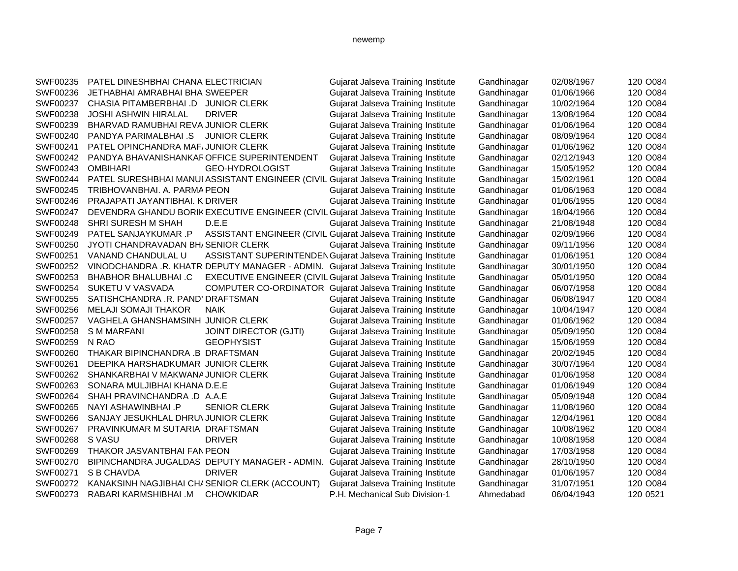| SWF00235 | PATEL DINESHBHAI CHANA ELECTRICIAN          |                                                | Gujarat Jalseva Training Institute                                                  | Gandhinagar | 02/08/1967 | 120 O084 |
|----------|---------------------------------------------|------------------------------------------------|-------------------------------------------------------------------------------------|-------------|------------|----------|
| SWF00236 | <b>JETHABHAI AMRABHAI BHA SWEEPER</b>       |                                                | Gujarat Jalseva Training Institute                                                  | Gandhinagar | 01/06/1966 | 120 O084 |
| SWF00237 | CHASIA PITAMBERBHAI .D JUNIOR CLERK         |                                                | Gujarat Jalseva Training Institute                                                  | Gandhinagar | 10/02/1964 | 120 O084 |
| SWF00238 | <b>JOSHI ASHWIN HIRALAL</b>                 | <b>DRIVER</b>                                  | Gujarat Jalseva Training Institute                                                  | Gandhinagar | 13/08/1964 | 120 O084 |
| SWF00239 | BHARVAD RAMUBHAI REVA JUNIOR CLERK          |                                                | Gujarat Jalseva Training Institute                                                  | Gandhinagar | 01/06/1964 | 120 O084 |
| SWF00240 | PANDYA PARIMALBHAI .S                       | <b>JUNIOR CLERK</b>                            | Gujarat Jalseva Training Institute                                                  | Gandhinagar | 08/09/1964 | 120 O084 |
| SWF00241 | PATEL OPINCHANDRA MAF/JUNIOR CLERK          |                                                | Gujarat Jalseva Training Institute                                                  | Gandhinagar | 01/06/1962 | 120 O084 |
| SWF00242 | PANDYA BHAVANISHANKAR OFFICE SUPERINTENDENT |                                                | Gujarat Jalseva Training Institute                                                  | Gandhinagar | 02/12/1943 | 120 O084 |
| SWF00243 | <b>OMBIHARI</b>                             | GEO-HYDROLOGIST                                | Gujarat Jalseva Training Institute                                                  | Gandhinagar | 15/05/1952 | 120 O084 |
| SWF00244 |                                             |                                                | PATEL SURESHBHAI MANUI ASSISTANT ENGINEER (CIVIL Gujarat Jalseva Training Institute | Gandhinagar | 15/02/1961 | 120 O084 |
| SWF00245 | TRIBHOVANBHAI. A. PARMA PEON                |                                                | Gujarat Jalseva Training Institute                                                  | Gandhinagar | 01/06/1963 | 120 O084 |
| SWF00246 | PRAJAPATI JAYANTIBHAI. K DRIVER             |                                                | Gujarat Jalseva Training Institute                                                  | Gandhinagar | 01/06/1955 | 120 O084 |
| SWF00247 |                                             |                                                | DEVENDRA GHANDU BORIK EXECUTIVE ENGINEER (CIVIL Gujarat Jalseva Training Institute  | Gandhinagar | 18/04/1966 | 120 O084 |
| SWF00248 | <b>SHRI SURESH M SHAH</b>                   | D.E.E                                          | Gujarat Jalseva Training Institute                                                  | Gandhinagar | 21/08/1948 | 120 O084 |
| SWF00249 | PATEL SANJAYKUMAR .P                        |                                                | ASSISTANT ENGINEER (CIVIL Gujarat Jalseva Training Institute                        | Gandhinagar | 02/09/1966 | 120 O084 |
| SWF00250 | JYOTI CHANDRAVADAN BH/SENIOR CLERK          |                                                | Gujarat Jalseva Training Institute                                                  | Gandhinagar | 09/11/1956 | 120 O084 |
| SWF00251 | VANAND CHANDULAL U                          |                                                | ASSISTANT SUPERINTENDEN Gujarat Jalseva Training Institute                          | Gandhinagar | 01/06/1951 | 120 O084 |
| SWF00252 |                                             |                                                | VINODCHANDRA .R. KHATR DEPUTY MANAGER - ADMIN. Gujarat Jalseva Training Institute   | Gandhinagar | 30/01/1950 | 120 O084 |
| SWF00253 | <b>BHABHOR BHALUBHAI.C</b>                  |                                                | <b>EXECUTIVE ENGINEER (CIVIL Gujarat Jalseva Training Institute</b>                 | Gandhinagar | 05/01/1950 | 120 O084 |
| SWF00254 | SUKETU V VASVADA                            |                                                | <b>COMPUTER CO-ORDINATOR Gujarat Jalseva Training Institute</b>                     | Gandhinagar | 06/07/1958 | 120 O084 |
| SWF00255 | SATISHCHANDRA .R. PAND' DRAFTSMAN           |                                                | Gujarat Jalseva Training Institute                                                  | Gandhinagar | 06/08/1947 | 120 O084 |
| SWF00256 | <b>MELAJI SOMAJI THAKOR</b>                 | NAIK                                           | Gujarat Jalseva Training Institute                                                  | Gandhinagar | 10/04/1947 | 120 O084 |
| SWF00257 | VAGHELA GHANSHAMSINH JUNIOR CLERK           |                                                | Gujarat Jalseva Training Institute                                                  | Gandhinagar | 01/06/1962 | 120 O084 |
| SWF00258 | <b>SMMARFANI</b>                            | <b>JOINT DIRECTOR (GJTI)</b>                   | Gujarat Jalseva Training Institute                                                  | Gandhinagar | 05/09/1950 | 120 O084 |
| SWF00259 | N RAO                                       | <b>GEOPHYSIST</b>                              | Gujarat Jalseva Training Institute                                                  | Gandhinagar | 15/06/1959 | 120 O084 |
| SWF00260 | THAKAR BIPINCHANDRA .B DRAFTSMAN            |                                                | Gujarat Jalseva Training Institute                                                  | Gandhinagar | 20/02/1945 | 120 O084 |
| SWF00261 | DEEPIKA HARSHADKUMAR JUNIOR CLERK           |                                                | Gujarat Jalseva Training Institute                                                  | Gandhinagar | 30/07/1964 | 120 O084 |
| SWF00262 | SHANKARBHAI V MAKWANA JUNIOR CLERK          |                                                | Gujarat Jalseva Training Institute                                                  | Gandhinagar | 01/06/1958 | 120 O084 |
| SWF00263 | SONARA MULJIBHAI KHANA D.E.E                |                                                | Gujarat Jalseva Training Institute                                                  | Gandhinagar | 01/06/1949 | 120 O084 |
| SWF00264 | SHAH PRAVINCHANDRA .D A.A.E                 |                                                | Gujarat Jalseva Training Institute                                                  | Gandhinagar | 05/09/1948 | 120 O084 |
| SWF00265 | NAYI ASHAWINBHAI .P                         | <b>SENIOR CLERK</b>                            | Gujarat Jalseva Training Institute                                                  | Gandhinagar | 11/08/1960 | 120 O084 |
| SWF00266 | SANJAY JESUKHLAL DHRU\ JUNIOR CLERK         |                                                | Gujarat Jalseva Training Institute                                                  | Gandhinagar | 12/04/1961 | 120 O084 |
| SWF00267 | PRAVINKUMAR M SUTARIA DRAFTSMAN             |                                                | Gujarat Jalseva Training Institute                                                  | Gandhinagar | 10/08/1962 | 120 O084 |
| SWF00268 | S VASU                                      | <b>DRIVER</b>                                  | Gujarat Jalseva Training Institute                                                  | Gandhinagar | 10/08/1958 | 120 O084 |
| SWF00269 | THAKOR JASVANTBHAI FAN PEON                 |                                                | Gujarat Jalseva Training Institute                                                  | Gandhinagar | 17/03/1958 | 120 O084 |
| SWF00270 |                                             | BIPINCHANDRA JUGALDAS DEPUTY MANAGER - ADMIN.  | Gujarat Jalseva Training Institute                                                  | Gandhinagar | 28/10/1950 | 120 O084 |
| SWF00271 | S B CHAVDA                                  | <b>DRIVER</b>                                  | Gujarat Jalseva Training Institute                                                  | Gandhinagar | 01/06/1957 | 120 O084 |
| SWF00272 |                                             | KANAKSINH NAGJIBHAI CHI SENIOR CLERK (ACCOUNT) | Gujarat Jalseva Training Institute                                                  | Gandhinagar | 31/07/1951 | 120 O084 |
| SWF00273 | RABARI KARMSHIBHAI .M                       | <b>CHOWKIDAR</b>                               | P.H. Mechanical Sub Division-1                                                      | Ahmedabad   | 06/04/1943 | 120 0521 |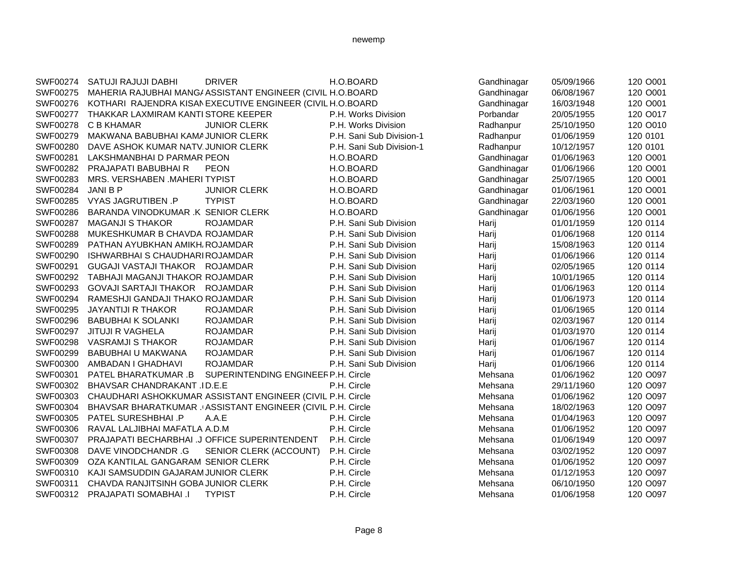# SWF00274 SATUJI RAJUJI DABHI DRIVER H.O.BOARD Gandhinagar 05/09/1966 120 O001 SWF00275 MAHERIA RAJUBHAI MANG/ASSISTANT ENGINEER (CIVIL H.O.BOARD Gandhinagar 06/08/1967 120 0001 SWF00276 KOTHARI RAJENDRA KISANEXECUTIVE ENGINEER (CIVIL H.O.BOARD Gandhinagar 16/03/1948 120 0001 SWF00277 THAKKAR LAXMIRAM KANTI STORE KEEPER P.H. Works Division Porbandar 20/05/1955 120 0017 SWF00278 C B KHAMAR JUNIOR CLERK P.H. Works Division Radhanpur 25/10/1950 120 0010 SWF00279 MAKWANA BABUBHAI KAMAJUNIOR CLERK P.H. Sani Sub Division-1 Radhanpur 01/06/1959 120 0101 SWF00280 DAVE ASHOK KUMAR NATV. JUNIOR CLERK P.H. Sani Sub Division-1 Radhanpur 10/12/1957 120 0101 SWF00281 LAKSHMANBHAI D PARMAR PEON H.O.BOARD Gandhinagar 01/06/1963 120 O001 SWF00282 PRAJAPATI BABUBHAI R PEON H.O.BOARD Gandhinagar 01/06/1966 120 O001 SWF00283 MRS. VERSHABEN .MAHERI TYPIST **H.O.BOARD Gandhinagar** 25/07/1965 120 0001 SWF00284 JANI B P JUNIOR CLERK H.O.BOARD Gandhinagar 01/06/1961 120 O001 SWF00285 VYAS JAGRUTIBEN .P TYPIST H.O.BOARD Gandhinagar 22/03/1960 120 O001 SWF00286 BARANDA VINODKUMAR K SENIOR CLERK H.O.BOARD Gandhinagar 01/06/1956 120 0001 SWF00287 MAGANJI S THAKOR ROJAMDAR P.H. Sani Sub Division Harij 01/01/1959 120 0114 SWF00288 MUKESHKUMAR B CHAVDA ROJAMDAR P.H. Sani Sub Division Harij 01/06/1968 120 0114 SWF00289 PATHAN AYUBKHAN AMIKH<sub>I</sub> ROJAMDAR P.H. Sani Sub Division Harij 15/08/1963 120 0114 SWF00290 ISHWARBHAI S CHAUDHARI ROJAMDAR P.H. Sani Sub Division Harij 01/06/1966 120 0114 SWF00291 GUGAJI VASTAJI THAKOR ROJAMDAR P.H. Sani Sub Division Harij 1992/05/1965 120 0114 SWF00292 TABHAJI MAGANJI THAKOR ROJAMDAR P.H. Sani Sub Division Harij Harij 10/01/1965 120 0114 SWF00293 GOVAJI SARTAJI THAKOR ROJAMDAR P.H. Sani Sub Division Harij 101/06/1963 120 0114 SWF00294 RAMESHJI GANDAJI THAKO ROJAMDAR P.H. Sani Sub Division Harij 01/06/1973 120 0114 SWF00295 JAYANTIJI R THAKOR ROJAMDAR P.H. Sani Sub Division Harij 01/06/1965 120 0114 SWF00296 BABUBHAI K SOLANKI ROJAMDAR P.H. Sani Sub Division Harij 02/03/1967 120 0114 SWF00297 JITUJI R VAGHELA ROJAMDAR P.H. Sani Sub Division Harij 01/03/1970 120 0114 SWF00298 VASRAMJI S THAKOR ROJAMDAR P.H. Sani Sub Division Harij 01/06/1967 120 0114 SWF00299 BABUBHAI U MAKWANA ROJAMDAR P.H. Sani Sub Division Harij 101/06/1967 120 0114 SWF00300 AMBADAN I GHADHAVI ROJAMDAR P.H. Sani Sub Division Harij 01/06/1966 120 0114 SWF00301 PATEL BHARATKUMAR .B SUPERINTENDING ENGINEERP.H. Circle Mehsana 01/06/1962 120 0097 SWF00302 BHAVSAR CHANDRAKANT .ID.E.E P.H. Circle P.H. Circle Mehsana 29/11/1960 120 O097 SWF00303 CHAUDHARI ASHOKKUMAR ASSISTANT ENGINEER (CIVIL P.H. Circle Mehsana 01/06/1962 120 0097 SWF00304 BHAVSAR BHARATKUMAR . ASSISTANT ENGINEER (CIVIL P.H. Circle Mehsana 18/02/1963 120 O097 SWF00305 PATEL SURESHBHAI .P A.A.E **P.H. Circle CIT CITES AND Mehsana** 01/04/1963 120 O097 SWF00306 RAVAL LALJIBHAI MAFATLA A.D.M **P.H. Circle Communication Communication** Mehsana 01/06/1952 120 O097 SWF00307 PRAJAPATI BECHARBHAI .J OFFICE SUPERINTENDENT P.H. Circle Mehsana 01/06/1949 120 0097 SWF00308 DAVE VINODCHANDR .G SENIOR CLERK (ACCOUNT) P.H. Circle Mehsana 03/02/1952 120 0097 SWF00309 OZA KANTILAL GANGARAM SENIOR CLERK P.H. Circle Mehsana 01/06/1952 120 O097 SWF00310 KAJI SAMSUDDIN GAJARAMJUNIOR CLERK P.H. Circle Mehsana 01/12/1953 120 0097 SWF00311 CHAVDA RANJITSINH GOBA JUNIOR CLERK P.H. Circle Mehsana Mehsana 06/10/1950 120 O097 SWF00312 PRAJAPATI SOMABHAI .I TYPIST CHE P.H. Circle CHE Mehsana 01/06/1958 120 O097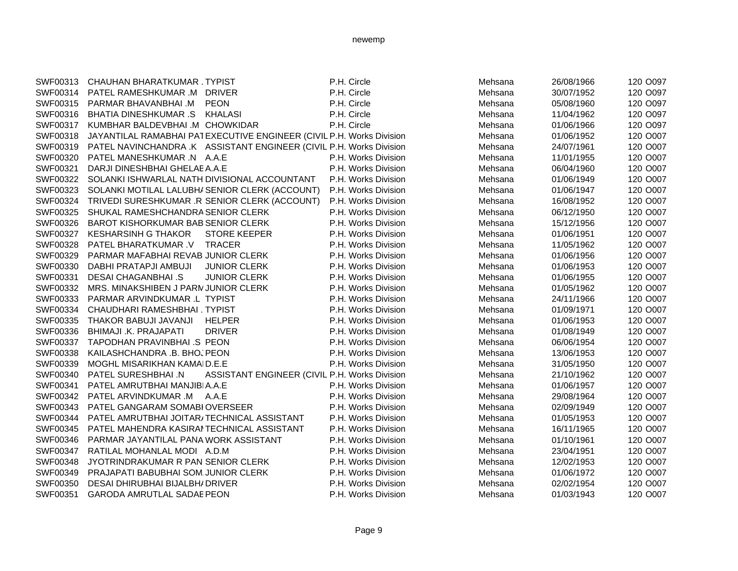| SWF00313<br>CHAUHAN BHARATKUMAR . TYPIST<br>PATEL RAMESHKUMAR .M DRIVER |                      | P.H. Circle                                                                                                                                                                                                                                                                                                                                                                                                                                                                                                                                                                                                                                                                                                                                                                                                                                                                                                                                                                                                                                                                                                                                                          | Mehsana                                                                                                                                                                                      | 26/08/1966 | 120 O097 |
|-------------------------------------------------------------------------|----------------------|----------------------------------------------------------------------------------------------------------------------------------------------------------------------------------------------------------------------------------------------------------------------------------------------------------------------------------------------------------------------------------------------------------------------------------------------------------------------------------------------------------------------------------------------------------------------------------------------------------------------------------------------------------------------------------------------------------------------------------------------------------------------------------------------------------------------------------------------------------------------------------------------------------------------------------------------------------------------------------------------------------------------------------------------------------------------------------------------------------------------------------------------------------------------|----------------------------------------------------------------------------------------------------------------------------------------------------------------------------------------------|------------|----------|
|                                                                         |                      |                                                                                                                                                                                                                                                                                                                                                                                                                                                                                                                                                                                                                                                                                                                                                                                                                                                                                                                                                                                                                                                                                                                                                                      |                                                                                                                                                                                              |            |          |
|                                                                         |                      | P.H. Circle                                                                                                                                                                                                                                                                                                                                                                                                                                                                                                                                                                                                                                                                                                                                                                                                                                                                                                                                                                                                                                                                                                                                                          | Mehsana                                                                                                                                                                                      | 30/07/1952 | 120 O097 |
|                                                                         |                      | P.H. Circle                                                                                                                                                                                                                                                                                                                                                                                                                                                                                                                                                                                                                                                                                                                                                                                                                                                                                                                                                                                                                                                                                                                                                          | Mehsana                                                                                                                                                                                      | 05/08/1960 | 120 O097 |
| SWF00316<br><b>BHATIA DINESHKUMAR .S</b>                                |                      | P.H. Circle                                                                                                                                                                                                                                                                                                                                                                                                                                                                                                                                                                                                                                                                                                                                                                                                                                                                                                                                                                                                                                                                                                                                                          | Mehsana                                                                                                                                                                                      | 11/04/1962 | 120 O097 |
|                                                                         |                      | P.H. Circle                                                                                                                                                                                                                                                                                                                                                                                                                                                                                                                                                                                                                                                                                                                                                                                                                                                                                                                                                                                                                                                                                                                                                          | Mehsana                                                                                                                                                                                      | 01/06/1966 | 120 O097 |
|                                                                         |                      |                                                                                                                                                                                                                                                                                                                                                                                                                                                                                                                                                                                                                                                                                                                                                                                                                                                                                                                                                                                                                                                                                                                                                                      | Mehsana                                                                                                                                                                                      | 01/06/1952 | 120 O007 |
| SWF00319                                                                |                      |                                                                                                                                                                                                                                                                                                                                                                                                                                                                                                                                                                                                                                                                                                                                                                                                                                                                                                                                                                                                                                                                                                                                                                      | Mehsana                                                                                                                                                                                      | 24/07/1961 | 120 O007 |
| SWF00320                                                                |                      | P.H. Works Division                                                                                                                                                                                                                                                                                                                                                                                                                                                                                                                                                                                                                                                                                                                                                                                                                                                                                                                                                                                                                                                                                                                                                  | Mehsana                                                                                                                                                                                      | 11/01/1955 | 120 O007 |
|                                                                         |                      | P.H. Works Division                                                                                                                                                                                                                                                                                                                                                                                                                                                                                                                                                                                                                                                                                                                                                                                                                                                                                                                                                                                                                                                                                                                                                  | Mehsana                                                                                                                                                                                      | 06/04/1960 | 120 O007 |
|                                                                         |                      | P.H. Works Division                                                                                                                                                                                                                                                                                                                                                                                                                                                                                                                                                                                                                                                                                                                                                                                                                                                                                                                                                                                                                                                                                                                                                  | Mehsana                                                                                                                                                                                      | 01/06/1949 | 120 O007 |
| SWF00323                                                                |                      | P.H. Works Division                                                                                                                                                                                                                                                                                                                                                                                                                                                                                                                                                                                                                                                                                                                                                                                                                                                                                                                                                                                                                                                                                                                                                  | Mehsana                                                                                                                                                                                      | 01/06/1947 | 120 O007 |
|                                                                         |                      | P.H. Works Division                                                                                                                                                                                                                                                                                                                                                                                                                                                                                                                                                                                                                                                                                                                                                                                                                                                                                                                                                                                                                                                                                                                                                  | Mehsana                                                                                                                                                                                      | 16/08/1952 | 120 O007 |
|                                                                         |                      | P.H. Works Division                                                                                                                                                                                                                                                                                                                                                                                                                                                                                                                                                                                                                                                                                                                                                                                                                                                                                                                                                                                                                                                                                                                                                  | Mehsana                                                                                                                                                                                      | 06/12/1950 | 120 O007 |
|                                                                         |                      | P.H. Works Division                                                                                                                                                                                                                                                                                                                                                                                                                                                                                                                                                                                                                                                                                                                                                                                                                                                                                                                                                                                                                                                                                                                                                  | Mehsana                                                                                                                                                                                      | 15/12/1956 | 120 O007 |
| <b>KESHARSINH G THAKOR</b>                                              |                      | P.H. Works Division                                                                                                                                                                                                                                                                                                                                                                                                                                                                                                                                                                                                                                                                                                                                                                                                                                                                                                                                                                                                                                                                                                                                                  | Mehsana                                                                                                                                                                                      | 01/06/1951 | 120 O007 |
| PATEL BHARATKUMAR .V                                                    |                      | P.H. Works Division                                                                                                                                                                                                                                                                                                                                                                                                                                                                                                                                                                                                                                                                                                                                                                                                                                                                                                                                                                                                                                                                                                                                                  | Mehsana                                                                                                                                                                                      | 11/05/1962 | 120 O007 |
|                                                                         |                      | P.H. Works Division                                                                                                                                                                                                                                                                                                                                                                                                                                                                                                                                                                                                                                                                                                                                                                                                                                                                                                                                                                                                                                                                                                                                                  | Mehsana                                                                                                                                                                                      | 01/06/1956 | 120 O007 |
| DABHI PRATAPJI AMBUJI                                                   |                      | P.H. Works Division                                                                                                                                                                                                                                                                                                                                                                                                                                                                                                                                                                                                                                                                                                                                                                                                                                                                                                                                                                                                                                                                                                                                                  | Mehsana                                                                                                                                                                                      | 01/06/1953 | 120 O007 |
| DESAI CHAGANBHAI .S                                                     |                      | P.H. Works Division                                                                                                                                                                                                                                                                                                                                                                                                                                                                                                                                                                                                                                                                                                                                                                                                                                                                                                                                                                                                                                                                                                                                                  | Mehsana                                                                                                                                                                                      | 01/06/1955 | 120 O007 |
|                                                                         |                      | P.H. Works Division                                                                                                                                                                                                                                                                                                                                                                                                                                                                                                                                                                                                                                                                                                                                                                                                                                                                                                                                                                                                                                                                                                                                                  | Mehsana                                                                                                                                                                                      | 01/05/1962 | 120 O007 |
|                                                                         |                      | P.H. Works Division                                                                                                                                                                                                                                                                                                                                                                                                                                                                                                                                                                                                                                                                                                                                                                                                                                                                                                                                                                                                                                                                                                                                                  | Mehsana                                                                                                                                                                                      | 24/11/1966 | 120 O007 |
| SWF00334                                                                |                      | P.H. Works Division                                                                                                                                                                                                                                                                                                                                                                                                                                                                                                                                                                                                                                                                                                                                                                                                                                                                                                                                                                                                                                                                                                                                                  | Mehsana                                                                                                                                                                                      | 01/09/1971 | 120 O007 |
| THAKOR BABUJI JAVANJI                                                   |                      | P.H. Works Division                                                                                                                                                                                                                                                                                                                                                                                                                                                                                                                                                                                                                                                                                                                                                                                                                                                                                                                                                                                                                                                                                                                                                  | Mehsana                                                                                                                                                                                      | 01/06/1953 | 120 O007 |
| BHIMAJI .K. PRAJAPATI                                                   |                      | P.H. Works Division                                                                                                                                                                                                                                                                                                                                                                                                                                                                                                                                                                                                                                                                                                                                                                                                                                                                                                                                                                                                                                                                                                                                                  | Mehsana                                                                                                                                                                                      | 01/08/1949 | 120 O007 |
|                                                                         |                      | P.H. Works Division                                                                                                                                                                                                                                                                                                                                                                                                                                                                                                                                                                                                                                                                                                                                                                                                                                                                                                                                                                                                                                                                                                                                                  | Mehsana                                                                                                                                                                                      | 06/06/1954 | 120 O007 |
|                                                                         |                      | P.H. Works Division                                                                                                                                                                                                                                                                                                                                                                                                                                                                                                                                                                                                                                                                                                                                                                                                                                                                                                                                                                                                                                                                                                                                                  | Mehsana                                                                                                                                                                                      | 13/06/1953 | 120 O007 |
|                                                                         |                      | P.H. Works Division                                                                                                                                                                                                                                                                                                                                                                                                                                                                                                                                                                                                                                                                                                                                                                                                                                                                                                                                                                                                                                                                                                                                                  | Mehsana                                                                                                                                                                                      | 31/05/1950 | 120 O007 |
| PATEL SURESHBHAI .N                                                     |                      |                                                                                                                                                                                                                                                                                                                                                                                                                                                                                                                                                                                                                                                                                                                                                                                                                                                                                                                                                                                                                                                                                                                                                                      | Mehsana                                                                                                                                                                                      | 21/10/1962 | 120 O007 |
|                                                                         |                      | P.H. Works Division                                                                                                                                                                                                                                                                                                                                                                                                                                                                                                                                                                                                                                                                                                                                                                                                                                                                                                                                                                                                                                                                                                                                                  | Mehsana                                                                                                                                                                                      | 01/06/1957 | 120 O007 |
| SWF00342                                                                |                      | P.H. Works Division                                                                                                                                                                                                                                                                                                                                                                                                                                                                                                                                                                                                                                                                                                                                                                                                                                                                                                                                                                                                                                                                                                                                                  | Mehsana                                                                                                                                                                                      | 29/08/1964 | 120 O007 |
| SWF00343                                                                |                      | P.H. Works Division                                                                                                                                                                                                                                                                                                                                                                                                                                                                                                                                                                                                                                                                                                                                                                                                                                                                                                                                                                                                                                                                                                                                                  | Mehsana                                                                                                                                                                                      | 02/09/1949 | 120 O007 |
|                                                                         |                      | P.H. Works Division                                                                                                                                                                                                                                                                                                                                                                                                                                                                                                                                                                                                                                                                                                                                                                                                                                                                                                                                                                                                                                                                                                                                                  | Mehsana                                                                                                                                                                                      | 01/05/1953 | 120 O007 |
|                                                                         |                      | P.H. Works Division                                                                                                                                                                                                                                                                                                                                                                                                                                                                                                                                                                                                                                                                                                                                                                                                                                                                                                                                                                                                                                                                                                                                                  | Mehsana                                                                                                                                                                                      | 16/11/1965 | 120 O007 |
|                                                                         |                      | P.H. Works Division                                                                                                                                                                                                                                                                                                                                                                                                                                                                                                                                                                                                                                                                                                                                                                                                                                                                                                                                                                                                                                                                                                                                                  | Mehsana                                                                                                                                                                                      | 01/10/1961 | 120 O007 |
|                                                                         |                      | P.H. Works Division                                                                                                                                                                                                                                                                                                                                                                                                                                                                                                                                                                                                                                                                                                                                                                                                                                                                                                                                                                                                                                                                                                                                                  | Mehsana                                                                                                                                                                                      | 23/04/1951 | 120 O007 |
|                                                                         |                      | P.H. Works Division                                                                                                                                                                                                                                                                                                                                                                                                                                                                                                                                                                                                                                                                                                                                                                                                                                                                                                                                                                                                                                                                                                                                                  | Mehsana                                                                                                                                                                                      | 12/02/1953 | 120 O007 |
|                                                                         |                      | P.H. Works Division                                                                                                                                                                                                                                                                                                                                                                                                                                                                                                                                                                                                                                                                                                                                                                                                                                                                                                                                                                                                                                                                                                                                                  | Mehsana                                                                                                                                                                                      | 01/06/1972 | 120 O007 |
|                                                                         |                      | P.H. Works Division                                                                                                                                                                                                                                                                                                                                                                                                                                                                                                                                                                                                                                                                                                                                                                                                                                                                                                                                                                                                                                                                                                                                                  | Mehsana                                                                                                                                                                                      | 02/02/1954 | 120 O007 |
|                                                                         |                      | P.H. Works Division                                                                                                                                                                                                                                                                                                                                                                                                                                                                                                                                                                                                                                                                                                                                                                                                                                                                                                                                                                                                                                                                                                                                                  | Mehsana                                                                                                                                                                                      | 01/03/1943 | 120 O007 |
|                                                                         | PARMAR BHAVANBHAI .M | <b>PEON</b><br>KHALASI<br>SWF00317 KUMBHAR BALDEVBHAI .M CHOWKIDAR<br>PATEL MANESHKUMAR .N A.A.E<br>DARJI DINESHBHAI GHELAEA.A.E<br>SWF00322 SOLANKI ISHWARLAL NATH DIVISIONAL ACCOUNTANT<br>SOLANKI MOTILAL LALUBH/ SENIOR CLERK (ACCOUNT)<br>TRIVEDI SURESHKUMAR .R SENIOR CLERK (ACCOUNT)<br>SHUKAL RAMESHCHANDRA SENIOR CLERK<br>BAROT KISHORKUMAR BAB SENIOR CLERK<br><b>STORE KEEPER</b><br><b>TRACER</b><br>PARMAR MAFABHAI REVAB JUNIOR CLERK<br><b>JUNIOR CLERK</b><br><b>JUNIOR CLERK</b><br>MRS. MINAKSHIBEN J PARN JUNIOR CLERK<br>PARMAR ARVINDKUMAR .L TYPIST<br>CHAUDHARI RAMESHBHAI. TYPIST<br><b>HELPER</b><br><b>DRIVER</b><br>TAPODHAN PRAVINBHAI .S PEON<br>KAILASHCHANDRA .B. BHO, PEON<br>MOGHL MISARIKHAN KAMAID.E.E<br>PATEL AMRUTBHAI MANJIBIA.A.E<br>PATEL ARVINDKUMAR .M A.A.E<br>PATEL GANGARAM SOMABI OVERSEER<br>PATEL AMRUTBHAI JOITAR/TECHNICAL ASSISTANT<br>PATEL MAHENDRA KASIRAI TECHNICAL ASSISTANT<br>PARMAR JAYANTILAL PANA WORK ASSISTANT<br>RATILAL MOHANLAL MODI A.D.M<br>JYOTRINDRAKUMAR R PAN SENIOR CLERK<br>PRAJAPATI BABUBHAI SOM JUNIOR CLERK<br>DESAI DHIRUBHAI BIJALBH/ DRIVER<br><b>GARODA AMRUTLAL SADAE PEON</b> | JAYANTILAL RAMABHAI PATEXECUTIVE ENGINEER (CIVIL P.H. Works Division<br>PATEL NAVINCHANDRA .K ASSISTANT ENGINEER (CIVIL P.H. Works Division<br>ASSISTANT ENGINEER (CIVIL P.H. Works Division |            |          |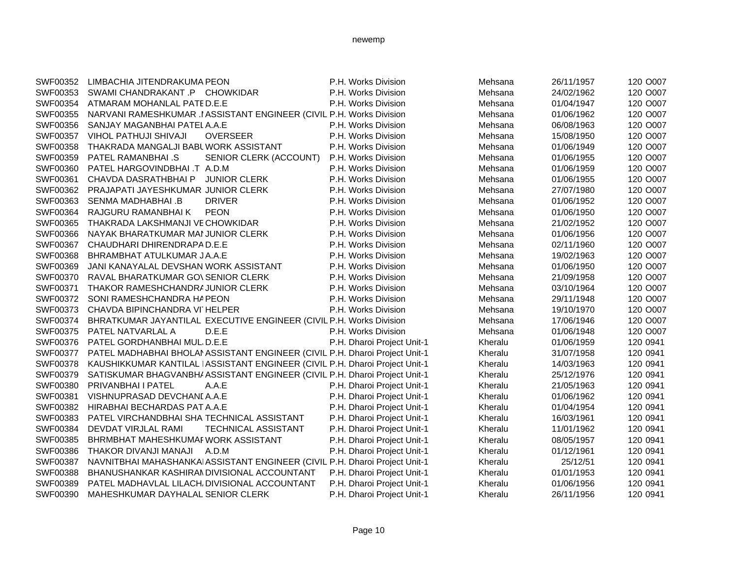| SWF00352 | LIMBACHIA JITENDRAKUMA PEON                                                         | P.H. Works Division        | Mehsana | 26/11/1957 | 120 O007 |
|----------|-------------------------------------------------------------------------------------|----------------------------|---------|------------|----------|
| SWF00353 | SWAMI CHANDRAKANT .P CHOWKIDAR                                                      | P.H. Works Division        | Mehsana | 24/02/1962 | 120 O007 |
| SWF00354 | ATMARAM MOHANLAL PATED.E.E                                                          | P.H. Works Division        | Mehsana | 01/04/1947 | 120 O007 |
| SWF00355 | NARVANI RAMESHKUMAR .I ASSISTANT ENGINEER (CIVIL P.H. Works Division                |                            | Mehsana | 01/06/1962 | 120 O007 |
| SWF00356 | SANJAY MAGANBHAI PATELA.A.E                                                         | P.H. Works Division        | Mehsana | 06/08/1963 | 120 O007 |
| SWF00357 | <b>OVERSEER</b><br><b>VIHOL PATHUJI SHIVAJI</b>                                     | P.H. Works Division        | Mehsana | 15/08/1950 | 120 O007 |
| SWF00358 | THAKRADA MANGALJI BABL WORK ASSISTANT                                               | P.H. Works Division        | Mehsana | 01/06/1949 | 120 O007 |
| SWF00359 | <b>PATEL RAMANBHAI.S</b><br>SENIOR CLERK (ACCOUNT)                                  | P.H. Works Division        | Mehsana | 01/06/1955 | 120 O007 |
| SWF00360 | PATEL HARGOVINDBHAI .T A.D.M                                                        | P.H. Works Division        | Mehsana | 01/06/1959 | 120 O007 |
| SWF00361 | <b>JUNIOR CLERK</b><br>CHAVDA DASRATHBHAI P                                         | P.H. Works Division        | Mehsana | 01/06/1955 | 120 O007 |
| SWF00362 | PRAJAPATI JAYESHKUMAR JUNIOR CLERK                                                  | P.H. Works Division        | Mehsana | 27/07/1980 | 120 O007 |
| SWF00363 | SENMA MADHABHAI .B<br><b>DRIVER</b>                                                 | P.H. Works Division        | Mehsana | 01/06/1952 | 120 O007 |
| SWF00364 | <b>PEON</b><br>RAJGURU RAMANBHAI K                                                  | P.H. Works Division        | Mehsana | 01/06/1950 | 120 O007 |
| SWF00365 | THAKRADA LAKSHMANJI VE CHOWKIDAR                                                    | P.H. Works Division        | Mehsana | 21/02/1952 | 120 O007 |
| SWF00366 | NAYAK BHARATKUMAR MAI JUNIOR CLERK                                                  | P.H. Works Division        | Mehsana | 01/06/1956 | 120 O007 |
|          | SWF00367 CHAUDHARI DHIRENDRAPA D.E.E                                                | P.H. Works Division        | Mehsana | 02/11/1960 | 120 O007 |
| SWF00368 | BHRAMBHAT ATULKUMAR JA.A.E                                                          | P.H. Works Division        | Mehsana | 19/02/1963 | 120 O007 |
| SWF00369 | JANI KANAYALAL DEVSHAN WORK ASSISTANT                                               | P.H. Works Division        | Mehsana | 01/06/1950 | 120 O007 |
| SWF00370 | RAVAL BHARATKUMAR GO\ SENIOR CLERK                                                  | P.H. Works Division        | Mehsana | 21/09/1958 | 120 O007 |
| SWF00371 | THAKOR RAMESHCHANDRA JUNIOR CLERK                                                   | P.H. Works Division        | Mehsana | 03/10/1964 | 120 O007 |
|          | SWF00372 SONI RAMESHCHANDRA HAPEON                                                  | P.H. Works Division        | Mehsana | 29/11/1948 | 120 O007 |
| SWF00373 | CHAVDA BIPINCHANDRA VI HELPER                                                       | P.H. Works Division        | Mehsana | 19/10/1970 | 120 O007 |
| SWF00374 | BHRATKUMAR JAYANTILAL EXECUTIVE ENGINEER (CIVIL P.H. Works Division                 |                            | Mehsana | 17/06/1946 | 120 O007 |
| SWF00375 | PATEL NATVARLAL A<br>D.E.E                                                          | P.H. Works Division        | Mehsana | 01/06/1948 | 120 O007 |
| SWF00376 | PATEL GORDHANBHAI MUL, D.E.E                                                        | P.H. Dharoi Project Unit-1 | Kheralu | 01/06/1959 | 120 0941 |
| SWF00377 | PATEL MADHABHAI BHOLAI ASSISTANT ENGINEER (CIVIL P.H. Dharoi Project Unit-1         |                            | Kheralu | 31/07/1958 | 120 0941 |
| SWF00378 | KAUSHIKKUMAR KANTILAL IASSISTANT ENGINEER (CIVIL P.H. Dharoi Project Unit-1         |                            | Kheralu | 14/03/1963 | 120 0941 |
|          | SWF00379 SATISKUMAR BHAGVANBH/ ASSISTANT ENGINEER (CIVIL P.H. Dharoi Project Unit-1 |                            | Kheralu | 25/12/1976 | 120 0941 |
| SWF00380 | A.A.E<br>PRIVANBHAI I PATEL                                                         | P.H. Dharoi Project Unit-1 | Kheralu | 21/05/1963 | 120 0941 |
| SWF00381 | VISHNUPRASAD DEVCHANI A.A.E                                                         | P.H. Dharoi Project Unit-1 | Kheralu | 01/06/1962 | 120 0941 |
| SWF00382 | HIRABHAI BECHARDAS PAT A.A.E                                                        | P.H. Dharoi Project Unit-1 | Kheralu | 01/04/1954 | 120 0941 |
| SWF00383 | PATEL VIRCHANDBHAI SHA TECHNICAL ASSISTANT                                          | P.H. Dharoi Project Unit-1 | Kheralu | 16/03/1961 | 120 0941 |
| SWF00384 | DEVDAT VIRJLAL RAMI<br>TECHNICAL ASSISTANT                                          | P.H. Dharoi Project Unit-1 | Kheralu | 11/01/1962 | 120 0941 |
| SWF00385 | BHRMBHAT MAHESHKUMAF WORK ASSISTANT                                                 | P.H. Dharoi Project Unit-1 | Kheralu | 08/05/1957 | 120 0941 |
| SWF00386 | THAKOR DIVANJI MANAJI<br>A.D.M                                                      | P.H. Dharoi Project Unit-1 | Kheralu | 01/12/1961 | 120 0941 |
| SWF00387 | NAVNITBHAI MAHASHANKAI ASSISTANT ENGINEER (CIVIL P.H. Dharoi Project Unit-1         |                            | Kheralu | 25/12/51   | 120 0941 |
| SWF00388 | BHANUSHANKAR KASHIRAN DIVISIONAL ACCOUNTANT                                         | P.H. Dharoi Project Unit-1 | Kheralu | 01/01/1953 | 120 0941 |
| SWF00389 | PATEL MADHAVLAL LILACH, DIVISIONAL ACCOUNTANT                                       | P.H. Dharoi Project Unit-1 | Kheralu | 01/06/1956 | 120 0941 |
| SWF00390 | MAHESHKUMAR DAYHALAL SENIOR CLERK                                                   | P.H. Dharoi Project Unit-1 | Kheralu | 26/11/1956 | 120 0941 |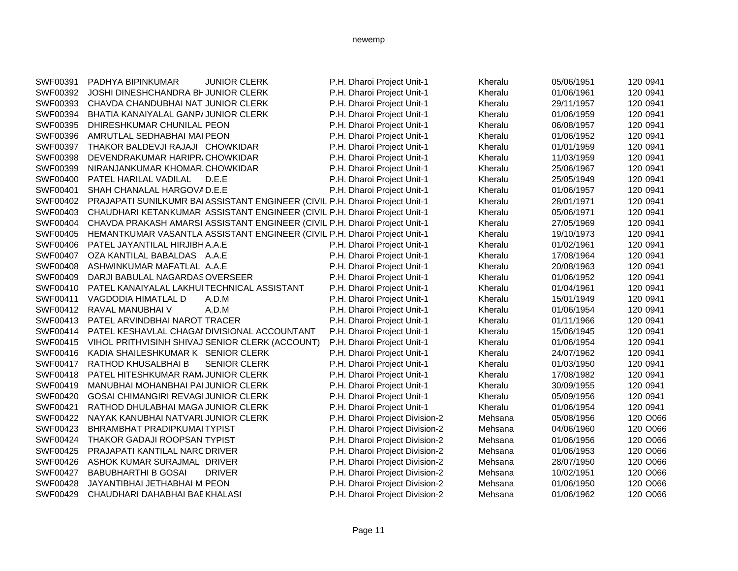| SWF00391        | <b>JUNIOR CLERK</b><br>PADHYA BIPINKUMAR                                     | P.H. Dharoi Project Unit-1     | Kheralu | 05/06/1951 | 120 0941 |
|-----------------|------------------------------------------------------------------------------|--------------------------------|---------|------------|----------|
| SWF00392        | JOSHI DINESHCHANDRA BI-JUNIOR CLERK                                          | P.H. Dharoi Project Unit-1     | Kheralu | 01/06/1961 | 120 0941 |
| SWF00393        | CHAVDA CHANDUBHAI NAT JUNIOR CLERK                                           | P.H. Dharoi Project Unit-1     | Kheralu | 29/11/1957 | 120 0941 |
| SWF00394        | BHATIA KANAIYALAL GANP/JUNIOR CLERK                                          | P.H. Dharoi Project Unit-1     | Kheralu | 01/06/1959 | 120 0941 |
| SWF00395        | DHIRESHKUMAR CHUNILAL PEON                                                   | P.H. Dharoi Project Unit-1     | Kheralu | 06/08/1957 | 120 0941 |
| SWF00396        | AMRUTLAL SEDHABHAI MAI PEON                                                  | P.H. Dharoi Project Unit-1     | Kheralu | 01/06/1952 | 120 0941 |
| SWF00397        | THAKOR BALDEVJI RAJAJI CHOWKIDAR                                             | P.H. Dharoi Project Unit-1     | Kheralu | 01/01/1959 | 120 0941 |
| SWF00398        | DEVENDRAKUMAR HARIPR/CHOWKIDAR                                               | P.H. Dharoi Project Unit-1     | Kheralu | 11/03/1959 | 120 0941 |
| SWF00399        | NIRANJANKUMAR KHOMAR CHOWKIDAR                                               | P.H. Dharoi Project Unit-1     | Kheralu | 25/06/1967 | 120 0941 |
| SWF00400        | PATEL HARILAL VADILAL<br>D.E.E                                               | P.H. Dharoi Project Unit-1     | Kheralu | 25/05/1949 | 120 0941 |
| SWF00401        | SHAH CHANALAL HARGOVAD.E.E                                                   | P.H. Dharoi Project Unit-1     | Kheralu | 01/06/1957 | 120 0941 |
| SWF00402        | PRAJAPATI SUNILKUMR BAI ASSISTANT ENGINEER (CIVIL P.H. Dharoi Project Unit-1 |                                | Kheralu | 28/01/1971 | 120 0941 |
| SWF00403        | CHAUDHARI KETANKUMAR ASSISTANT ENGINEER (CIVIL P.H. Dharoi Project Unit-1    |                                | Kheralu | 05/06/1971 | 120 0941 |
| SWF00404        | CHAVDA PRAKASH AMARSI ASSISTANT ENGINEER (CIVIL P.H. Dharoi Project Unit-1   |                                | Kheralu | 27/05/1969 | 120 0941 |
| SWF00405        | HEMANTKUMAR VASANTLA ASSISTANT ENGINEER (CIVIL P.H. Dharoi Project Unit-1    |                                | Kheralu | 19/10/1973 | 120 0941 |
| SWF00406        | PATEL JAYANTILAL HIRJIBH A.A.E                                               | P.H. Dharoi Project Unit-1     | Kheralu | 01/02/1961 | 120 0941 |
| SWF00407        | OZA KANTILAL BABALDAS A.A.E                                                  | P.H. Dharoi Project Unit-1     | Kheralu | 17/08/1964 | 120 0941 |
| SWF00408        | ASHWINKUMAR MAFATLAL A.A.E                                                   | P.H. Dharoi Project Unit-1     | Kheralu | 20/08/1963 | 120 0941 |
| SWF00409        | DARJI BABULAL NAGARDAS OVERSEER                                              | P.H. Dharoi Project Unit-1     | Kheralu | 01/06/1952 | 120 0941 |
| SWF00410        | PATEL KANAIYALAL LAKHUI TECHNICAL ASSISTANT                                  | P.H. Dharoi Project Unit-1     | Kheralu | 01/04/1961 | 120 0941 |
| SWF00411        | VAGDODIA HIMATLAL D<br>A.D.M                                                 | P.H. Dharoi Project Unit-1     | Kheralu | 15/01/1949 | 120 0941 |
| SWF00412        | A.D.M<br>RAVAL MANUBHAI V                                                    | P.H. Dharoi Project Unit-1     | Kheralu | 01/06/1954 | 120 0941 |
| SWF00413        | PATEL ARVINDBHAI NAROT. TRACER                                               | P.H. Dharoi Project Unit-1     | Kheralu | 01/11/1966 | 120 0941 |
| SWF00414        | PATEL KESHAVLAL CHAGAI DIVISIONAL ACCOUNTANT                                 | P.H. Dharoi Project Unit-1     | Kheralu | 15/06/1945 | 120 0941 |
| SWF00415        | VIHOL PRITHVISINH SHIVAJ SENIOR CLERK (ACCOUNT)                              | P.H. Dharoi Project Unit-1     | Kheralu | 01/06/1954 | 120 0941 |
| SWF00416        | KADIA SHAILESHKUMAR K SENIOR CLERK                                           | P.H. Dharoi Project Unit-1     | Kheralu | 24/07/1962 | 120 0941 |
| SWF00417        | RATHOD KHUSALBHAI B<br><b>SENIOR CLERK</b>                                   | P.H. Dharoi Project Unit-1     | Kheralu | 01/03/1950 | 120 0941 |
| SWF00418        | PATEL HITESHKUMAR RAM/JUNIOR CLERK                                           | P.H. Dharoi Project Unit-1     | Kheralu | 17/08/1982 | 120 0941 |
| SWF00419        | MANUBHAI MOHANBHAI PAI JUNIOR CLERK                                          | P.H. Dharoi Project Unit-1     | Kheralu | 30/09/1955 | 120 0941 |
| SWF00420        | GOSAI CHIMANGIRI REVAGIJUNIOR CLERK                                          | P.H. Dharoi Project Unit-1     | Kheralu | 05/09/1956 | 120 0941 |
| SWF00421        | RATHOD DHULABHAI MAGA JUNIOR CLERK                                           | P.H. Dharoi Project Unit-1     | Kheralu | 01/06/1954 | 120 0941 |
| SWF00422        | NAYAK KANUBHAI NATVARI JUNIOR CLERK                                          | P.H. Dharoi Project Division-2 | Mehsana | 05/08/1956 | 120 O066 |
| SWF00423        | <b>BHRAMBHAT PRADIPKUMAI TYPIST</b>                                          | P.H. Dharoi Project Division-2 | Mehsana | 04/06/1960 | 120 O066 |
| SWF00424        | THAKOR GADAJI ROOPSAN TYPIST                                                 | P.H. Dharoi Project Division-2 | Mehsana | 01/06/1956 | 120 O066 |
| SWF00425        | PRAJAPATI KANTILAL NARC DRIVER                                               | P.H. Dharoi Project Division-2 | Mehsana | 01/06/1953 | 120 O066 |
| SWF00426        | ASHOK KUMAR SURAJMAL IDRIVER                                                 | P.H. Dharoi Project Division-2 | Mehsana | 28/07/1950 | 120 O066 |
| <b>SWF00427</b> | <b>BABUBHARTHI B GOSAI</b><br><b>DRIVER</b>                                  | P.H. Dharoi Project Division-2 | Mehsana | 10/02/1951 | 120 O066 |
| SWF00428        | JAYANTIBHAI JETHABHAI M. PEON                                                | P.H. Dharoi Project Division-2 | Mehsana | 01/06/1950 | 120 O066 |
| SWF00429        | CHAUDHARI DAHABHAI BAEKHALASI                                                | P.H. Dharoi Project Division-2 | Mehsana | 01/06/1962 | 120 O066 |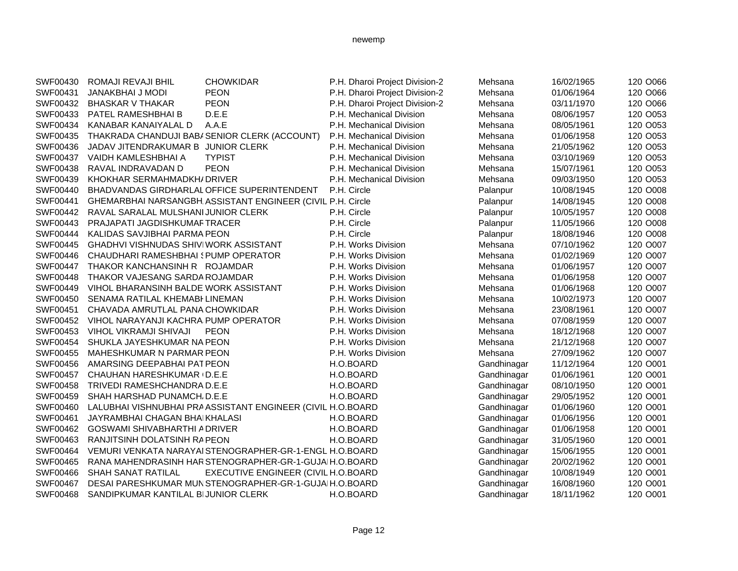| SWF00430 | ROMAJI REVAJI BHIL                    | <b>CHOWKIDAR</b>                                            | P.H. Dharoi Project Division-2 | Mehsana     | 16/02/1965 | 120 O066 |
|----------|---------------------------------------|-------------------------------------------------------------|--------------------------------|-------------|------------|----------|
| SWF00431 | JANAKBHAI J MODI                      | <b>PEON</b>                                                 | P.H. Dharoi Project Division-2 | Mehsana     | 01/06/1964 | 120 O066 |
| SWF00432 | BHASKAR V THAKAR                      | <b>PEON</b>                                                 | P.H. Dharoi Project Division-2 | Mehsana     | 03/11/1970 | 120 O066 |
| SWF00433 | PATEL RAMESHBHAI B                    | D.E.E                                                       | P.H. Mechanical Division       | Mehsana     | 08/06/1957 | 120 O053 |
| SWF00434 | KANABAR KANAIYALAL D                  | A.A.E                                                       | P.H. Mechanical Division       | Mehsana     | 08/05/1961 | 120 O053 |
| SWF00435 |                                       | THAKRADA CHANDUJI BABI SENIOR CLERK (ACCOUNT)               | P.H. Mechanical Division       | Mehsana     | 01/06/1958 | 120 O053 |
| SWF00436 | JADAV JITENDRAKUMAR B JUNIOR CLERK    |                                                             | P.H. Mechanical Division       | Mehsana     | 21/05/1962 | 120 O053 |
| SWF00437 | VAIDH KAMLESHBHAI A                   | <b>TYPIST</b>                                               | P.H. Mechanical Division       | Mehsana     | 03/10/1969 | 120 O053 |
| SWF00438 | RAVAL INDRAVADAN D                    | <b>PEON</b>                                                 | P.H. Mechanical Division       | Mehsana     | 15/07/1961 | 120 O053 |
| SWF00439 | KHOKHAR SERMAHMADKH/ DRIVER           |                                                             | P.H. Mechanical Division       | Mehsana     | 09/03/1950 | 120 O053 |
| SWF00440 |                                       | BHADVANDAS GIRDHARLAL OFFICE SUPERINTENDENT                 | P.H. Circle                    | Palanpur    | 10/08/1945 | 120 O008 |
| SWF00441 |                                       | GHEMARBHAI NARSANGBH ASSISTANT ENGINEER (CIVIL P.H. Circle  |                                | Palanpur    | 14/08/1945 | 120 O008 |
| SWF00442 | RAVAL SARALAL MULSHANI JUNIOR CLERK   |                                                             | P.H. Circle                    | Palanpur    | 10/05/1957 | 120 O008 |
| SWF00443 | PRAJAPATI JAGDISHKUMAFTRACER          |                                                             | P.H. Circle                    | Palanpur    | 11/05/1966 | 120 O008 |
| SWF00444 | KALIDAS SAVJIBHAI PARMA PEON          |                                                             | P.H. Circle                    | Palanpur    | 18/08/1946 | 120 O008 |
| SWF00445 | GHADHVI VISHNUDAS SHIVIWORK ASSISTANT |                                                             | P.H. Works Division            | Mehsana     | 07/10/1962 | 120 O007 |
| SWF00446 | CHAUDHARI RAMESHBHAI (PUMP OPERATOR   |                                                             | P.H. Works Division            | Mehsana     | 01/02/1969 | 120 O007 |
| SWF00447 | THAKOR KANCHANSINH R ROJAMDAR         |                                                             | P.H. Works Division            | Mehsana     | 01/06/1957 | 120 O007 |
| SWF00448 | THAKOR VAJESANG SARDA ROJAMDAR        |                                                             | P.H. Works Division            | Mehsana     | 01/06/1958 | 120 O007 |
| SWF00449 | VIHOL BHARANSINH BALDE WORK ASSISTANT |                                                             | P.H. Works Division            | Mehsana     | 01/06/1968 | 120 O007 |
| SWF00450 | SENAMA RATILAL KHEMABI LINEMAN        |                                                             | P.H. Works Division            | Mehsana     | 10/02/1973 | 120 O007 |
| SWF00451 | CHAVADA AMRUTLAL PANA CHOWKIDAR       |                                                             | P.H. Works Division            | Mehsana     | 23/08/1961 | 120 O007 |
| SWF00452 | VIHOL NARAYANJI KACHRA PUMP OPERATOR  |                                                             | P.H. Works Division            | Mehsana     | 07/08/1959 | 120 O007 |
| SWF00453 | VIHOL VIKRAMJI SHIVAJI                | <b>PEON</b>                                                 | P.H. Works Division            | Mehsana     | 18/12/1968 | 120 O007 |
| SWF00454 | SHUKLA JAYESHKUMAR NA PEON            |                                                             | P.H. Works Division            | Mehsana     | 21/12/1968 | 120 O007 |
| SWF00455 | MAHESHKUMAR N PARMAR PEON             |                                                             | P.H. Works Division            | Mehsana     | 27/09/1962 | 120 O007 |
| SWF00456 | AMARSING DEEPABHAI PAT PEON           |                                                             | H.O.BOARD                      | Gandhinagar | 11/12/1964 | 120 O001 |
| SWF00457 | CHAUHAN HARESHKUMAR (D.E.E            |                                                             | H.O.BOARD                      | Gandhinagar | 01/06/1961 | 120 O001 |
| SWF00458 | TRIVEDI RAMESHCHANDRA D.E.E           |                                                             | H.O.BOARD                      | Gandhinagar | 08/10/1950 | 120 O001 |
| SWF00459 | SHAH HARSHAD PUNAMCH, D.E.E           |                                                             | H.O.BOARD                      | Gandhinagar | 29/05/1952 | 120 O001 |
| SWF00460 |                                       | LALUBHAI VISHNUBHAI PRA ASSISTANT ENGINEER (CIVIL H.O.BOARD |                                | Gandhinagar | 01/06/1960 | 120 O001 |
| SWF00461 | JAYRAMBHAI CHAGAN BHAIKHALASI         |                                                             | H.O.BOARD                      | Gandhinagar | 01/06/1956 | 120 O001 |
| SWF00462 | <b>GOSWAMI SHIVABHARTHI ADRIVER</b>   |                                                             | H.O.BOARD                      | Gandhinagar | 01/06/1958 | 120 O001 |
| SWF00463 | RANJITSINH DOLATSINH RAPEON           |                                                             | H.O.BOARD                      | Gandhinagar | 31/05/1960 | 120 O001 |
| SWF00464 |                                       | VEMURI VENKATA NARAYAI STENOGRAPHER-GR-1-ENGL H.O.BOARD     |                                | Gandhinagar | 15/06/1955 | 120 O001 |
| SWF00465 |                                       | RANA MAHENDRASINH HAR STENOGRAPHER-GR-1-GUJAIH.O.BOARD      |                                | Gandhinagar | 20/02/1962 | 120 O001 |
| SWF00466 | <b>SHAH SANAT RATILAL</b>             | EXECUTIVE ENGINEER (CIVIL H.O.BOARD                         |                                | Gandhinagar | 10/08/1949 | 120 O001 |
| SWF00467 |                                       | DESAI PARESHKUMAR MUNSTENOGRAPHER-GR-1-GUJAIH.O.BOARD       |                                | Gandhinagar | 16/08/1960 | 120 O001 |
| SWF00468 | SANDIPKUMAR KANTILAL BIJUNIOR CLERK   |                                                             | H.O.BOARD                      | Gandhinagar | 18/11/1962 | 120 O001 |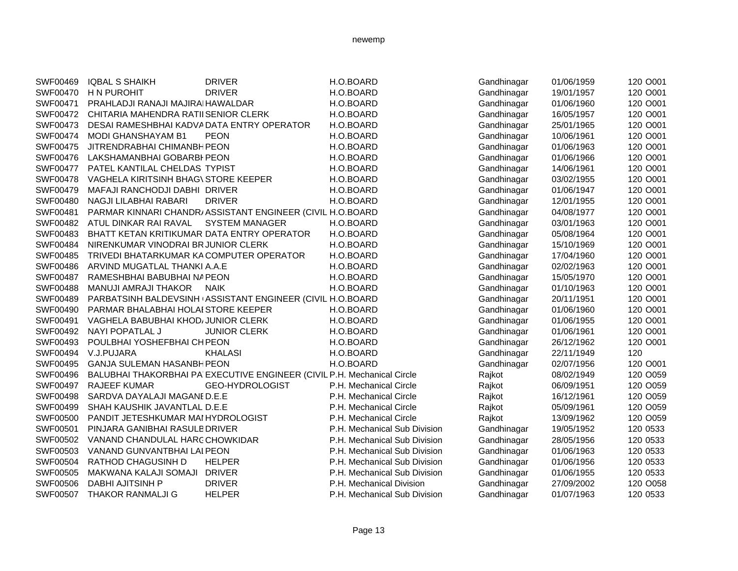| SWF00469        | <b>IQBAL S SHAIKH</b>                      | <b>DRIVER</b>                                                           | H.O.BOARD                    | Gandhinagar | 01/06/1959 | 120 O001 |
|-----------------|--------------------------------------------|-------------------------------------------------------------------------|------------------------------|-------------|------------|----------|
| SWF00470        | <b>H N PUROHIT</b>                         | <b>DRIVER</b>                                                           | H.O.BOARD                    | Gandhinagar | 19/01/1957 | 120 O001 |
| SWF00471        | PRAHLADJI RANAJI MAJIRAI HAWALDAR          |                                                                         | H.O.BOARD                    | Gandhinagar | 01/06/1960 | 120 O001 |
| SWF00472        | CHITARIA MAHENDRA RATII SENIOR CLERK       |                                                                         | H.O.BOARD                    | Gandhinagar | 16/05/1957 | 120 O001 |
| SWF00473        | DESAI RAMESHBHAI KADVADATA ENTRY OPERATOR  |                                                                         | H.O.BOARD                    | Gandhinagar | 25/01/1965 | 120 O001 |
| SWF00474        | MODI GHANSHAYAM B1                         | <b>PEON</b>                                                             | H.O.BOARD                    | Gandhinagar | 10/06/1961 | 120 O001 |
| SWF00475        | JITRENDRABHAI CHIMANBH PEON                |                                                                         | H.O.BOARD                    | Gandhinagar | 01/06/1963 | 120 O001 |
|                 | SWF00476 LAKSHAMANBHAI GOBARBI PEON        |                                                                         | H.O.BOARD                    | Gandhinagar | 01/06/1966 | 120 O001 |
|                 | SWF00477 PATEL KANTILAL CHELDAS TYPIST     |                                                                         | H.O.BOARD                    | Gandhinagar | 14/06/1961 | 120 O001 |
| SWF00478        | VAGHELA KIRITSINH BHAG\ STORE KEEPER       |                                                                         | H.O.BOARD                    | Gandhinagar | 03/02/1955 | 120 O001 |
| SWF00479        | MAFAJI RANCHODJI DABHI DRIVER              |                                                                         | H.O.BOARD                    | Gandhinagar | 01/06/1947 | 120 O001 |
| SWF00480        | NAGJI LILABHAI RABARI                      | <b>DRIVER</b>                                                           | H.O.BOARD                    | Gandhinagar | 12/01/1955 | 120 O001 |
| SWF00481        |                                            | PARMAR KINNARI CHANDR/ASSISTANT ENGINEER (CIVIL H.O.BOARD               |                              | Gandhinagar | 04/08/1977 | 120 O001 |
| SWF00482        | ATUL DINKAR RAI RAVAL                      | <b>SYSTEM MANAGER</b>                                                   | H.O.BOARD                    | Gandhinagar | 03/01/1963 | 120 O001 |
| SWF00483        | BHATT KETAN KRITIKUMAR DATA ENTRY OPERATOR |                                                                         | H.O.BOARD                    | Gandhinagar | 05/08/1964 | 120 O001 |
| SWF00484        | NIRENKUMAR VINODRAI BRJUNIOR CLERK         |                                                                         | H.O.BOARD                    | Gandhinagar | 15/10/1969 | 120 O001 |
| SWF00485        | TRIVEDI BHATARKUMAR KA COMPUTER OPERATOR   |                                                                         | H.O.BOARD                    | Gandhinagar | 17/04/1960 | 120 O001 |
| SWF00486        | ARVIND MUGATLAL THANKI A.A.E               |                                                                         | H.O.BOARD                    | Gandhinagar | 02/02/1963 | 120 O001 |
| SWF00487        | RAMESHBHAI BABUBHAI NA PEON                |                                                                         | H.O.BOARD                    | Gandhinagar | 15/05/1970 | 120 O001 |
| <b>SWF00488</b> | MANUJI AMRAJI THAKOR                       | <b>NAIK</b>                                                             | H.O.BOARD                    | Gandhinagar | 01/10/1963 | 120 O001 |
| SWF00489        |                                            | PARBATSINH BALDEVSINH (ASSISTANT ENGINEER (CIVIL H.O.BOARD              |                              | Gandhinagar | 20/11/1951 | 120 O001 |
| SWF00490        | PARMAR BHALABHAI HOLAI STORE KEEPER        |                                                                         | H.O.BOARD                    | Gandhinagar | 01/06/1960 | 120 O001 |
| SWF00491        | VAGHELA BABUBHAI KHOD/JUNIOR CLERK         |                                                                         | H.O.BOARD                    | Gandhinagar | 01/06/1955 | 120 O001 |
| SWF00492        | NAYI POPATLAL J                            | <b>JUNIOR CLERK</b>                                                     | H.O.BOARD                    | Gandhinagar | 01/06/1961 | 120 O001 |
| SWF00493        | POULBHAI YOSHEFBHAI CHPEON                 |                                                                         | H.O.BOARD                    | Gandhinagar | 26/12/1962 | 120 O001 |
| SWF00494        | V.J.PUJARA                                 | <b>KHALASI</b>                                                          | H.O.BOARD                    | Gandhinagar | 22/11/1949 | 120      |
| SWF00495        | <b>GANJA SULEMAN HASANBH PEON</b>          |                                                                         | H.O.BOARD                    | Gandhinagar | 02/07/1956 | 120 O001 |
| SWF00496        |                                            | BALUBHAI THAKORBHAI PA EXECUTIVE ENGINEER (CIVIL P.H. Mechanical Circle |                              | Rajkot      | 08/02/1949 | 120 O059 |
|                 | SWF00497 RAJEEF KUMAR                      | GEO-HYDROLOGIST                                                         | P.H. Mechanical Circle       | Rajkot      | 06/09/1951 | 120 O059 |
| SWF00498        | SARDVA DAYALAJI MAGANE D.E.E               |                                                                         | P.H. Mechanical Circle       | Rajkot      | 16/12/1961 | 120 O059 |
| SWF00499        | SHAH KAUSHIK JAVANTLAL D.E.E               |                                                                         | P.H. Mechanical Circle       | Rajkot      | 05/09/1961 | 120 O059 |
| SWF00500        | PANDIT JETESHKUMAR MAI HYDROLOGIST         |                                                                         | P.H. Mechanical Circle       | Rajkot      | 13/09/1962 | 120 O059 |
| SWF00501        | PINJARA GANIBHAI RASULB DRIVER             |                                                                         | P.H. Mechanical Sub Division | Gandhinagar | 19/05/1952 | 120 0533 |
| SWF00502        | VANAND CHANDULAL HARCCHOWKIDAR             |                                                                         | P.H. Mechanical Sub Division | Gandhinagar | 28/05/1956 | 120 0533 |
| SWF00503        | VANAND GUNVANTBHAI LAI PEON                |                                                                         | P.H. Mechanical Sub Division | Gandhinagar | 01/06/1963 | 120 0533 |
| SWF00504        | RATHOD CHAGUSINH D                         | <b>HELPER</b>                                                           | P.H. Mechanical Sub Division | Gandhinagar | 01/06/1956 | 120 0533 |
| SWF00505        | MAKWANA KALAJI SOMAJI DRIVER               |                                                                         | P.H. Mechanical Sub Division | Gandhinagar | 01/06/1955 | 120 0533 |
| SWF00506        | DABHI AJITSINH P                           | <b>DRIVER</b>                                                           | P.H. Mechanical Division     | Gandhinagar | 27/09/2002 | 120 O058 |
| SWF00507        | <b>THAKOR RANMALJI G</b>                   | <b>HELPER</b>                                                           | P.H. Mechanical Sub Division | Gandhinagar | 01/07/1963 | 120 0533 |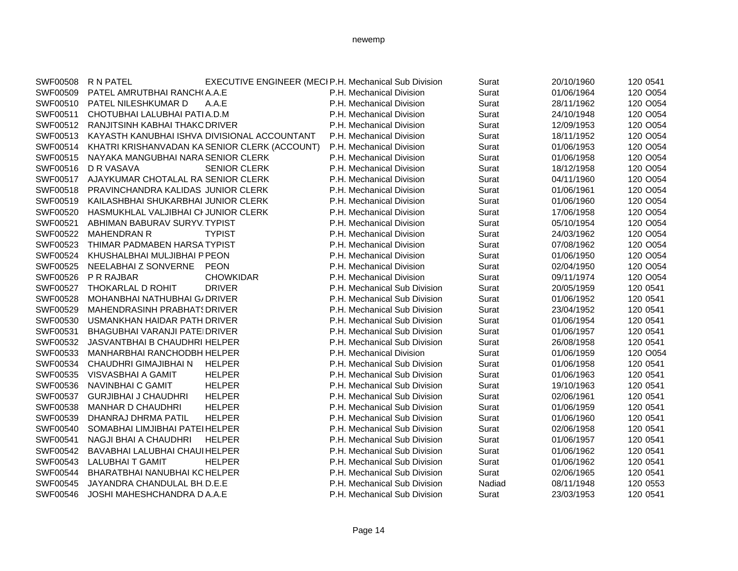| SWF00508 | R N PATEL                                     | EXECUTIVE ENGINEER (MECI P.H. Mechanical Sub Division |                              | Surat  | 20/10/1960 | 120 0541 |
|----------|-----------------------------------------------|-------------------------------------------------------|------------------------------|--------|------------|----------|
| SWF00509 | PATEL AMRUTBHAI RANCH(A.A.E                   |                                                       | P.H. Mechanical Division     | Surat  | 01/06/1964 | 120 O054 |
| SWF00510 | PATEL NILESHKUMAR D                           | A.A.E                                                 | P.H. Mechanical Division     | Surat  | 28/11/1962 | 120 O054 |
| SWF00511 | CHOTUBHAI LALUBHAI PATIA.D.M                  |                                                       | P.H. Mechanical Division     | Surat  | 24/10/1948 | 120 O054 |
| SWF00512 | RANJITSINH KABHAI THAKO DRIVER                |                                                       | P.H. Mechanical Division     | Surat  | 12/09/1953 | 120 O054 |
| SWF00513 | KAYASTH KANUBHAI ISHVA DIVISIONAL ACCOUNTANT  |                                                       | P.H. Mechanical Division     | Surat  | 18/11/1952 | 120 O054 |
| SWF00514 | KHATRI KRISHANVADAN KA SENIOR CLERK (ACCOUNT) |                                                       | P.H. Mechanical Division     | Surat  | 01/06/1953 | 120 O054 |
| SWF00515 | NAYAKA MANGUBHAI NARA SENIOR CLERK            |                                                       | P.H. Mechanical Division     | Surat  | 01/06/1958 | 120 O054 |
| SWF00516 | D R VASAVA                                    | <b>SENIOR CLERK</b>                                   | P.H. Mechanical Division     | Surat  | 18/12/1958 | 120 O054 |
| SWF00517 | AJAYKUMAR CHOTALAL RA SENIOR CLERK            |                                                       | P.H. Mechanical Division     | Surat  | 04/11/1960 | 120 O054 |
| SWF00518 | PRAVINCHANDRA KALIDAS JUNIOR CLERK            |                                                       | P.H. Mechanical Division     | Surat  | 01/06/1961 | 120 O054 |
| SWF00519 | KAILASHBHAI SHUKARBHAI JUNIOR CLERK           |                                                       | P.H. Mechanical Division     | Surat  | 01/06/1960 | 120 O054 |
| SWF00520 | HASMUKHLAL VALJIBHAI CI JUNIOR CLERK          |                                                       | P.H. Mechanical Division     | Surat  | 17/06/1958 | 120 O054 |
| SWF00521 | ABHIMAN BABURAV SURYV. TYPIST                 |                                                       | P.H. Mechanical Division     | Surat  | 05/10/1954 | 120 O054 |
| SWF00522 | <b>MAHENDRAN R</b>                            | <b>TYPIST</b>                                         | P.H. Mechanical Division     | Surat  | 24/03/1962 | 120 O054 |
| SWF00523 | THIMAR PADMABEN HARSA TYPIST                  |                                                       | P.H. Mechanical Division     | Surat  | 07/08/1962 | 120 O054 |
| SWF00524 | KHUSHALBHAI MULJIBHAI P PEON                  |                                                       | P.H. Mechanical Division     | Surat  | 01/06/1950 | 120 O054 |
| SWF00525 | NEELABHAI Z SONVERNE                          | <b>PEON</b>                                           | P.H. Mechanical Division     | Surat  | 02/04/1950 | 120 O054 |
| SWF00526 | P R RAJBAR                                    | <b>CHOWKIDAR</b>                                      | P.H. Mechanical Division     | Surat  | 09/11/1974 | 120 O054 |
| SWF00527 | THOKARLAL D ROHIT                             | <b>DRIVER</b>                                         | P.H. Mechanical Sub Division | Surat  | 20/05/1959 | 120 0541 |
| SWF00528 | <b>MOHANBHAI NATHUBHAI G/ DRIVER</b>          |                                                       | P.H. Mechanical Sub Division | Surat  | 01/06/1952 | 120 0541 |
| SWF00529 | <b>MAHENDRASINH PRABHAT: DRIVER</b>           |                                                       | P.H. Mechanical Sub Division | Surat  | 23/04/1952 | 120 0541 |
| SWF00530 | USMANKHAN HAIDAR PATH DRIVER                  |                                                       | P.H. Mechanical Sub Division | Surat  | 01/06/1954 | 120 0541 |
| SWF00531 | <b>BHAGUBHAI VARANJI PATEIDRIVER</b>          |                                                       | P.H. Mechanical Sub Division | Surat  | 01/06/1957 | 120 0541 |
| SWF00532 | JASVANTBHAI B CHAUDHRI HELPER                 |                                                       | P.H. Mechanical Sub Division | Surat  | 26/08/1958 | 120 0541 |
| SWF00533 | MANHARBHAI RANCHODBH HELPER                   |                                                       | P.H. Mechanical Division     | Surat  | 01/06/1959 | 120 O054 |
| SWF00534 | CHAUDHRI GIMAJIBHAI N                         | <b>HELPER</b>                                         | P.H. Mechanical Sub Division | Surat  | 01/06/1958 | 120 0541 |
| SWF00535 | <b>VISVASBHAI A GAMIT</b>                     | <b>HELPER</b>                                         | P.H. Mechanical Sub Division | Surat  | 01/06/1963 | 120 0541 |
| SWF00536 | <b>NAVINBHAI C GAMIT</b>                      | <b>HELPER</b>                                         | P.H. Mechanical Sub Division | Surat  | 19/10/1963 | 120 0541 |
| SWF00537 | <b>GURJIBHAI J CHAUDHRI</b>                   | <b>HELPER</b>                                         | P.H. Mechanical Sub Division | Surat  | 02/06/1961 | 120 0541 |
| SWF00538 | <b>MANHAR D CHAUDHRI</b>                      | <b>HELPER</b>                                         | P.H. Mechanical Sub Division | Surat  | 01/06/1959 | 120 0541 |
| SWF00539 | DHANRAJ DHRMA PATIL                           | <b>HELPER</b>                                         | P.H. Mechanical Sub Division | Surat  | 01/06/1960 | 120 0541 |
| SWF00540 | SOMABHAI LIMJIBHAI PATEI HELPER               |                                                       | P.H. Mechanical Sub Division | Surat  | 02/06/1958 | 120 0541 |
| SWF00541 | <b>NAGJI BHAI A CHAUDHRI</b>                  | <b>HELPER</b>                                         | P.H. Mechanical Sub Division | Surat  | 01/06/1957 | 120 0541 |
| SWF00542 | BAVABHAI LALUBHAI CHAUI HELPER                |                                                       | P.H. Mechanical Sub Division | Surat  | 01/06/1962 | 120 0541 |
| SWF00543 | <b>LALUBHAIT GAMIT</b>                        | <b>HELPER</b>                                         | P.H. Mechanical Sub Division | Surat  | 01/06/1962 | 120 0541 |
| SWF00544 | BHARATBHAI NANUBHAI KOHELPER                  |                                                       | P.H. Mechanical Sub Division | Surat  | 02/06/1965 | 120 0541 |
| SWF00545 | JAYANDRA CHANDULAL BH.D.E.E                   |                                                       | P.H. Mechanical Sub Division | Nadiad | 08/11/1948 | 120 0553 |
| SWF00546 | JOSHI MAHESHCHANDRA D A.A.E                   |                                                       | P.H. Mechanical Sub Division | Surat  | 23/03/1953 | 120 0541 |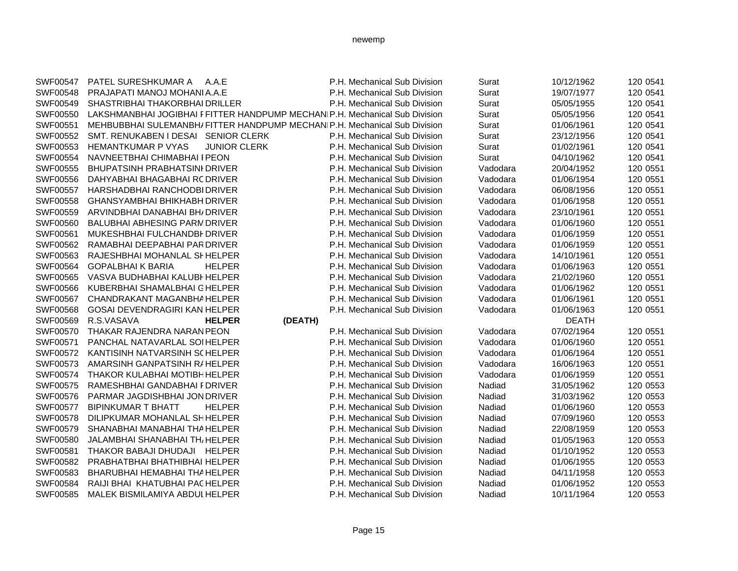| SWF00547 | PATEL SURESHKUMAR A<br>A.A.E                                               | P.H. Mechanical Sub Division | Surat    | 10/12/1962   | 120 0541 |
|----------|----------------------------------------------------------------------------|------------------------------|----------|--------------|----------|
| SWF00548 | PRAJAPATI MANOJ MOHANI A.A.E                                               | P.H. Mechanical Sub Division | Surat    | 19/07/1977   | 120 0541 |
| SWF00549 | SHASTRIBHAI THAKORBHAI DRILLER                                             | P.H. Mechanical Sub Division | Surat    | 05/05/1955   | 120 0541 |
| SWF00550 | LAKSHMANBHAI JOGIBHAI FFITTER HANDPUMP MECHANIP.H. Mechanical Sub Division |                              | Surat    | 05/05/1956   | 120 0541 |
| SWF00551 | MEHBUBBHAI SULEMANBH/ FITTER HANDPUMP MECHANIP.H. Mechanical Sub Division  |                              | Surat    | 01/06/1961   | 120 0541 |
| SWF00552 | SMT. RENUKABEN I DESAI SENIOR CLERK                                        | P.H. Mechanical Sub Division | Surat    | 23/12/1956   | 120 0541 |
| SWF00553 | <b>HEMANTKUMAR P VYAS</b><br><b>JUNIOR CLERK</b>                           | P.H. Mechanical Sub Division | Surat    | 01/02/1961   | 120 0541 |
| SWF00554 | NAVNEETBHAI CHIMABHAI I PEON                                               | P.H. Mechanical Sub Division | Surat    | 04/10/1962   | 120 0541 |
| SWF00555 | <b>BHUPATSINH PRABHATSINI DRIVER</b>                                       | P.H. Mechanical Sub Division | Vadodara | 20/04/1952   | 120 0551 |
| SWF00556 | DAHYABHAI BHAGABHAI RC DRIVER                                              | P.H. Mechanical Sub Division | Vadodara | 01/06/1954   | 120 0551 |
| SWF00557 | HARSHADBHAI RANCHODBI DRIVER                                               | P.H. Mechanical Sub Division | Vadodara | 06/08/1956   | 120 0551 |
| SWF00558 | GHANSYAMBHAI BHIKHABH DRIVER                                               | P.H. Mechanical Sub Division | Vadodara | 01/06/1958   | 120 0551 |
| SWF00559 | ARVINDBHAI DANABHAI BH/ DRIVER                                             | P.H. Mechanical Sub Division | Vadodara | 23/10/1961   | 120 0551 |
| SWF00560 | <b>BALUBHAI ABHESING PARM DRIVER</b>                                       | P.H. Mechanical Sub Division | Vadodara | 01/06/1960   | 120 0551 |
| SWF00561 | MUKESHBHAI FULCHANDBI DRIVER                                               | P.H. Mechanical Sub Division | Vadodara | 01/06/1959   | 120 0551 |
| SWF00562 | RAMABHAI DEEPABHAI PAR DRIVER                                              | P.H. Mechanical Sub Division | Vadodara | 01/06/1959   | 120 0551 |
| SWF00563 | RAJESHBHAI MOHANLAL SI HELPER                                              | P.H. Mechanical Sub Division | Vadodara | 14/10/1961   | 120 0551 |
| SWF00564 | <b>GOPALBHAIK BARIA</b><br><b>HELPER</b>                                   | P.H. Mechanical Sub Division | Vadodara | 01/06/1963   | 120 0551 |
| SWF00565 | VASVA BUDHABHAI KALUBI HELPER                                              | P.H. Mechanical Sub Division | Vadodara | 21/02/1960   | 120 0551 |
| SWF00566 | KUBERBHAI SHAMALBHAI GHELPER                                               | P.H. Mechanical Sub Division | Vadodara | 01/06/1962   | 120 0551 |
| SWF00567 | CHANDRAKANT MAGANBHAHELPER                                                 | P.H. Mechanical Sub Division | Vadodara | 01/06/1961   | 120 0551 |
| SWF00568 | GOSAI DEVENDRAGIRI KAN HELPER                                              | P.H. Mechanical Sub Division | Vadodara | 01/06/1963   | 120 0551 |
| SWF00569 | R.S.VASAVA<br>(DEATH)<br><b>HELPER</b>                                     |                              |          | <b>DEATH</b> |          |
| SWF00570 | THAKAR RAJENDRA NARAN PEON                                                 | P.H. Mechanical Sub Division | Vadodara | 07/02/1964   | 120 0551 |
| SWF00571 | PANCHAL NATAVARLAL SOI HELPER                                              | P.H. Mechanical Sub Division | Vadodara | 01/06/1960   | 120 0551 |
| SWF00572 | KANTISINH NATVARSINH SCHELPER                                              | P.H. Mechanical Sub Division | Vadodara | 01/06/1964   | 120 0551 |
| SWF00573 | AMARSINH GANPATSINH RIHELPER                                               | P.H. Mechanical Sub Division | Vadodara | 16/06/1963   | 120 0551 |
| SWF00574 | <b>THAKOR KULABHAI MOTIBHHELPER</b>                                        | P.H. Mechanical Sub Division | Vadodara | 01/06/1959   | 120 0551 |
| SWF00575 | RAMESHBHAI GANDABHAI FDRIVER                                               | P.H. Mechanical Sub Division | Nadiad   | 31/05/1962   | 120 0553 |
| SWF00576 | PARMAR JAGDISHBHAI JONDRIVER                                               | P.H. Mechanical Sub Division | Nadiad   | 31/03/1962   | 120 0553 |
| SWF00577 | <b>BIPINKUMAR T BHATT</b><br><b>HELPER</b>                                 | P.H. Mechanical Sub Division | Nadiad   | 01/06/1960   | 120 0553 |
| SWF00578 | DILIPKUMAR MOHANLAL SHHELPER                                               | P.H. Mechanical Sub Division | Nadiad   | 07/09/1960   | 120 0553 |
| SWF00579 | SHANABHAI MANABHAI THA HELPER                                              | P.H. Mechanical Sub Division | Nadiad   | 22/08/1959   | 120 0553 |
| SWF00580 | <b>JALAMBHAI SHANABHAI THI HELPER</b>                                      | P.H. Mechanical Sub Division | Nadiad   | 01/05/1963   | 120 0553 |
| SWF00581 | THAKOR BABAJI DHUDAJI HELPER                                               | P.H. Mechanical Sub Division | Nadiad   | 01/10/1952   | 120 0553 |
| SWF00582 | PRABHATBHAI BHATHIBHAI HELPER                                              | P.H. Mechanical Sub Division | Nadiad   | 01/06/1955   | 120 0553 |
| SWF00583 | BHARUBHAI HEMABHAI THA HELPER                                              | P.H. Mechanical Sub Division | Nadiad   | 04/11/1958   | 120 0553 |
| SWF00584 | RAIJI BHAI KHATUBHAI PACHELPER                                             | P.H. Mechanical Sub Division | Nadiad   | 01/06/1952   | 120 0553 |
| SWF00585 | MALEK BISMILAMIYA ABDUL HELPER                                             | P.H. Mechanical Sub Division | Nadiad   | 10/11/1964   | 120 0553 |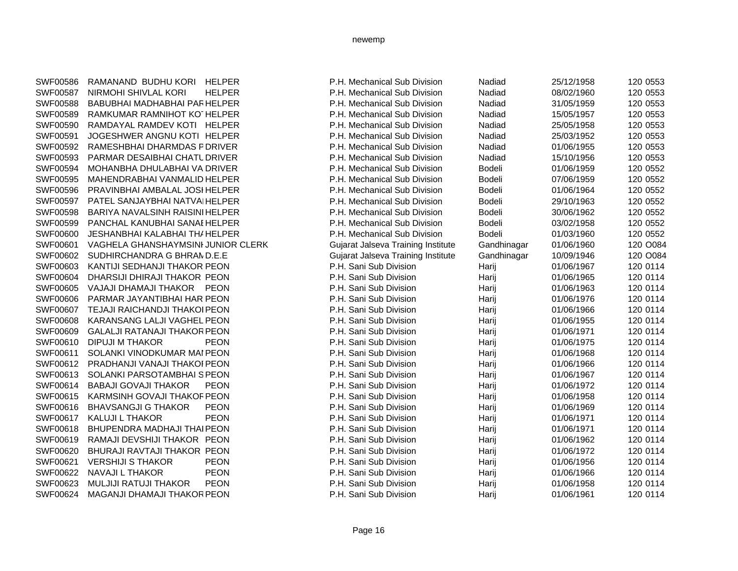| SWF00586 | RAMANAND BUDHU KORI HELPER            |               | P.H. Mechanical Sub Division       | Nadiad        | 25/12/1958 | 120 0553 |
|----------|---------------------------------------|---------------|------------------------------------|---------------|------------|----------|
| SWF00587 | NIRMOHI SHIVLAL KORI                  | <b>HELPER</b> | P.H. Mechanical Sub Division       | Nadiad        | 08/02/1960 | 120 0553 |
| SWF00588 | BABUBHAI MADHABHAI PAR HELPER         |               | P.H. Mechanical Sub Division       | Nadiad        | 31/05/1959 | 120 0553 |
| SWF00589 | RAMKUMAR RAMNIHOT KOTHELPER           |               | P.H. Mechanical Sub Division       | Nadiad        | 15/05/1957 | 120 0553 |
| SWF00590 | RAMDAYAL RAMDEV KOTI HELPER           |               | P.H. Mechanical Sub Division       | Nadiad        | 25/05/1958 | 120 0553 |
| SWF00591 | JOGESHWER ANGNU KOTI HELPER           |               | P.H. Mechanical Sub Division       | Nadiad        | 25/03/1952 | 120 0553 |
| SWF00592 | RAMESHBHAI DHARMDAS PDRIVER           |               | P.H. Mechanical Sub Division       | Nadiad        | 01/06/1955 | 120 0553 |
| SWF00593 | PARMAR DESAIBHAI CHATUDRIVER          |               | P.H. Mechanical Sub Division       | Nadiad        | 15/10/1956 | 120 0553 |
| SWF00594 | MOHANBHA DHULABHAI VA DRIVER          |               | P.H. Mechanical Sub Division       | <b>Bodeli</b> | 01/06/1959 | 120 0552 |
| SWF00595 | MAHENDRABHAI VANMALID HELPER          |               | P.H. Mechanical Sub Division       | Bodeli        | 07/06/1959 | 120 0552 |
| SWF00596 | PRAVINBHAI AMBALAL JOSI HELPER        |               | P.H. Mechanical Sub Division       | Bodeli        | 01/06/1964 | 120 0552 |
| SWF00597 | PATEL SANJAYBHAI NATVAIHELPER         |               | P.H. Mechanical Sub Division       | Bodeli        | 29/10/1963 | 120 0552 |
| SWF00598 | BARIYA NAVALSINH RAISINI HELPER       |               | P.H. Mechanical Sub Division       | Bodeli        | 30/06/1962 | 120 0552 |
| SWF00599 | PANCHAL KANUBHAI SANAE HELPER         |               | P.H. Mechanical Sub Division       | Bodeli        | 03/02/1958 | 120 0552 |
| SWF00600 | <b>JESHANBHAI KALABHAI THI HELPER</b> |               | P.H. Mechanical Sub Division       | <b>Bodeli</b> | 01/03/1960 | 120 0552 |
| SWF00601 | VAGHELA GHANSHAYMSINI JUNIOR CLERK    |               | Gujarat Jalseva Training Institute | Gandhinagar   | 01/06/1960 | 120 O084 |
| SWF00602 | SUDHIRCHANDRA G BHRAND.E.E            |               | Gujarat Jalseva Training Institute | Gandhinagar   | 10/09/1946 | 120 O084 |
| SWF00603 | KANTIJI SEDHANJI THAKOR PEON          |               | P.H. Sani Sub Division             | Harij         | 01/06/1967 | 120 0114 |
| SWF00604 | DHARSIJI DHIRAJI THAKOR PEON          |               | P.H. Sani Sub Division             | Harij         | 01/06/1965 | 120 0114 |
| SWF00605 | VAJAJI DHAMAJI THAKOR PEON            |               | P.H. Sani Sub Division             | Harij         | 01/06/1963 | 120 0114 |
| SWF00606 | PARMAR JAYANTIBHAI HAR PEON           |               | P.H. Sani Sub Division             | Harij         | 01/06/1976 | 120 0114 |
| SWF00607 | TEJAJI RAICHANDJI THAKOI PEON         |               | P.H. Sani Sub Division             | Harij         | 01/06/1966 | 120 0114 |
| SWF00608 | KARANSANG LALJI VAGHEL PEON           |               | P.H. Sani Sub Division             | Harij         | 01/06/1955 | 120 0114 |
| SWF00609 | <b>GALALJI RATANAJI THAKOR PEON</b>   |               | P.H. Sani Sub Division             | Harij         | 01/06/1971 | 120 0114 |
| SWF00610 | <b>DIPUJI M THAKOR</b>                | <b>PEON</b>   | P.H. Sani Sub Division             | Harij         | 01/06/1975 | 120 0114 |
| SWF00611 | SOLANKI VINODKUMAR MAI PEON           |               | P.H. Sani Sub Division             | Harij         | 01/06/1968 | 120 0114 |
| SWF00612 | PRADHANJI VANAJI THAKOI PEON          |               | P.H. Sani Sub Division             | Harij         | 01/06/1966 | 120 0114 |
| SWF00613 | SOLANKI PARSOTAMBHAI S PEON           |               | P.H. Sani Sub Division             | Harij         | 01/06/1967 | 120 0114 |
| SWF00614 | <b>BABAJI GOVAJI THAKOR</b>           | <b>PEON</b>   | P.H. Sani Sub Division             | Harij         | 01/06/1972 | 120 0114 |
| SWF00615 | KARMSINH GOVAJI THAKOF PEON           |               | P.H. Sani Sub Division             | Harij         | 01/06/1958 | 120 0114 |
| SWF00616 | <b>BHAVSANGJI G THAKOR</b>            | <b>PEON</b>   | P.H. Sani Sub Division             | Harij         | 01/06/1969 | 120 0114 |
| SWF00617 | <b>KALUJI L THAKOR</b>                | <b>PEON</b>   | P.H. Sani Sub Division             | Harij         | 01/06/1971 | 120 0114 |
| SWF00618 | <b>BHUPENDRA MADHAJI THAI PEON</b>    |               | P.H. Sani Sub Division             | Harij         | 01/06/1971 | 120 0114 |
| SWF00619 | RAMAJI DEVSHIJI THAKOR PEON           |               | P.H. Sani Sub Division             | Harij         | 01/06/1962 | 120 0114 |
| SWF00620 | BHURAJI RAVTAJI THAKOR PEON           |               | P.H. Sani Sub Division             | Harij         | 01/06/1972 | 120 0114 |
| SWF00621 | <b>VERSHIJI S THAKOR</b>              | <b>PEON</b>   | P.H. Sani Sub Division             | Harij         | 01/06/1956 | 120 0114 |
| SWF00622 | <b>NAVAJI L THAKOR</b>                | <b>PEON</b>   | P.H. Sani Sub Division             | Harij         | 01/06/1966 | 120 0114 |
| SWF00623 | <b>MULJIJI RATUJI THAKOR</b>          | <b>PEON</b>   | P.H. Sani Sub Division             | Harij         | 01/06/1958 | 120 0114 |
| SWF00624 | MAGANJI DHAMAJI THAKOR PEON           |               | P.H. Sani Sub Division             | Harij         | 01/06/1961 | 120 0114 |
|          |                                       |               |                                    |               |            |          |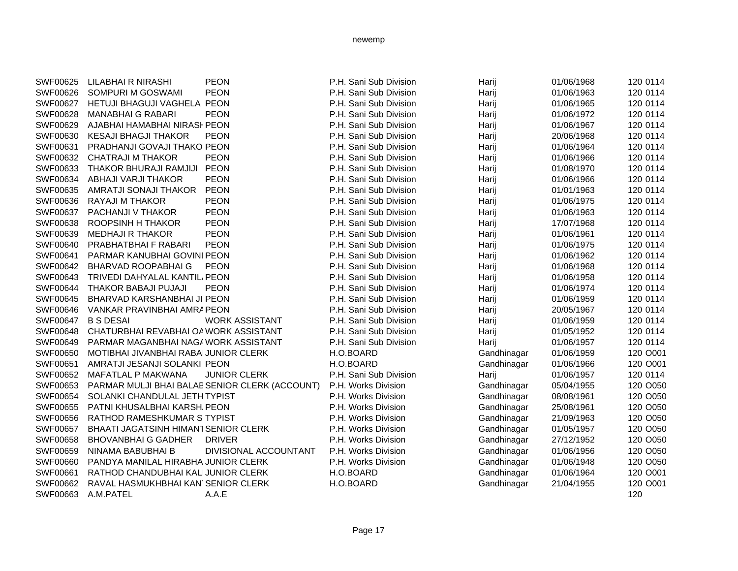| SWF00625 | LILABHAI R NIRASHI                             | <b>PEON</b>           | P.H. Sani Sub Division | Harij       | 01/06/1968 | 120 0114 |
|----------|------------------------------------------------|-----------------------|------------------------|-------------|------------|----------|
| SWF00626 | SOMPURI M GOSWAMI                              | <b>PEON</b>           | P.H. Sani Sub Division | Harij       | 01/06/1963 | 120 0114 |
| SWF00627 | HETUJI BHAGUJI VAGHELA PEON                    |                       | P.H. Sani Sub Division | Harij       | 01/06/1965 | 120 0114 |
| SWF00628 | <b>MANABHAI G RABARI</b>                       | <b>PEON</b>           | P.H. Sani Sub Division | Harij       | 01/06/1972 | 120 0114 |
| SWF00629 | AJABHAI HAMABHAI NIRASI PEON                   |                       | P.H. Sani Sub Division | Harij       | 01/06/1967 | 120 0114 |
| SWF00630 | <b>KESAJI BHAGJI THAKOR</b>                    | <b>PEON</b>           | P.H. Sani Sub Division | Harij       | 20/06/1968 | 120 0114 |
| SWF00631 | PRADHANJI GOVAJI THAKO PEON                    |                       | P.H. Sani Sub Division | Harij       | 01/06/1964 | 120 0114 |
| SWF00632 | <b>CHATRAJI M THAKOR</b>                       | <b>PEON</b>           | P.H. Sani Sub Division | Harij       | 01/06/1966 | 120 0114 |
| SWF00633 | THAKOR BHURAJI RAMJIJI PEON                    |                       | P.H. Sani Sub Division | Harij       | 01/08/1970 | 120 0114 |
| SWF00634 | ABHAJI VARJI THAKOR                            | <b>PEON</b>           | P.H. Sani Sub Division | Harij       | 01/06/1966 | 120 0114 |
| SWF00635 | AMRATJI SONAJI THAKOR                          | <b>PEON</b>           | P.H. Sani Sub Division | Harij       | 01/01/1963 | 120 0114 |
| SWF00636 | RAYAJI M THAKOR                                | <b>PEON</b>           | P.H. Sani Sub Division | Harij       | 01/06/1975 | 120 0114 |
| SWF00637 | PACHANJI V THAKOR                              | <b>PEON</b>           | P.H. Sani Sub Division | Harij       | 01/06/1963 | 120 0114 |
| SWF00638 | ROOPSINH H THAKOR                              | <b>PEON</b>           | P.H. Sani Sub Division | Harij       | 17/07/1968 | 120 0114 |
| SWF00639 | <b>MEDHAJI R THAKOR</b>                        | <b>PEON</b>           | P.H. Sani Sub Division | Harij       | 01/06/1961 | 120 0114 |
| SWF00640 | PRABHATBHAI F RABARI                           | <b>PEON</b>           | P.H. Sani Sub Division | Harij       | 01/06/1975 | 120 0114 |
| SWF00641 | PARMAR KANUBHAI GOVINI PEON                    |                       | P.H. Sani Sub Division | Harij       | 01/06/1962 | 120 0114 |
| SWF00642 | <b>BHARVAD ROOPABHAIG</b>                      | <b>PEON</b>           | P.H. Sani Sub Division | Harij       | 01/06/1968 | 120 0114 |
| SWF00643 | TRIVEDI DAHYALAL KANTIL PEON                   |                       | P.H. Sani Sub Division | Harij       | 01/06/1958 | 120 0114 |
| SWF00644 | THAKOR BABAJI PUJAJI                           | <b>PEON</b>           | P.H. Sani Sub Division | Harij       | 01/06/1974 | 120 0114 |
| SWF00645 | BHARVAD KARSHANBHAI JI PEON                    |                       | P.H. Sani Sub Division | Harij       | 01/06/1959 | 120 0114 |
| SWF00646 | VANKAR PRAVINBHAI AMRA PEON                    |                       | P.H. Sani Sub Division | Harij       | 20/05/1967 | 120 0114 |
| SWF00647 | <b>B S DESAI</b>                               | <b>WORK ASSISTANT</b> | P.H. Sani Sub Division | Harij       | 01/06/1959 | 120 0114 |
| SWF00648 | CHATURBHAI REVABHAI OA WORK ASSISTANT          |                       | P.H. Sani Sub Division | Harij       | 01/05/1952 | 120 0114 |
| SWF00649 | PARMAR MAGANBHAI NAGAWORK ASSISTANT            |                       | P.H. Sani Sub Division | Harij       | 01/06/1957 | 120 0114 |
| SWF00650 | MOTIBHAI JIVANBHAI RABAI JUNIOR CLERK          |                       | H.O.BOARD              | Gandhinagar | 01/06/1959 | 120 O001 |
| SWF00651 | AMRATJI JESANJI SOLANKI PEON                   |                       | H.O.BOARD              | Gandhinagar | 01/06/1966 | 120 O001 |
| SWF00652 | MAFATLAL P MAKWANA                             | <b>JUNIOR CLERK</b>   | P.H. Sani Sub Division | Harij       | 01/06/1957 | 120 0114 |
| SWF00653 | PARMAR MULJI BHAI BALAB SENIOR CLERK (ACCOUNT) |                       | P.H. Works Division    | Gandhinagar | 05/04/1955 | 120 O050 |
| SWF00654 | SOLANKI CHANDULAL JETH TYPIST                  |                       | P.H. Works Division    | Gandhinagar | 08/08/1961 | 120 O050 |
| SWF00655 | PATNI KHUSALBHAI KARSH, PEON                   |                       | P.H. Works Division    | Gandhinagar | 25/08/1961 | 120 O050 |
| SWF00656 | RATHOD RAMESHKUMAR SITYPIST                    |                       | P.H. Works Division    | Gandhinagar | 21/09/1963 | 120 O050 |
| SWF00657 | BHAATI JAGATSINH HIMANT SENIOR CLERK           |                       | P.H. Works Division    | Gandhinagar | 01/05/1957 | 120 O050 |
| SWF00658 | <b>BHOVANBHAI G GADHER</b>                     | <b>DRIVER</b>         | P.H. Works Division    | Gandhinagar | 27/12/1952 | 120 O050 |
| SWF00659 | NINAMA BABUBHAI B                              | DIVISIONAL ACCOUNTANT | P.H. Works Division    | Gandhinagar | 01/06/1956 | 120 O050 |
| SWF00660 | PANDYA MANILAL HIRABHA JUNIOR CLERK            |                       | P.H. Works Division    | Gandhinagar | 01/06/1948 | 120 O050 |
| SWF00661 | RATHOD CHANDUBHAI KALIJUNIOR CLERK             |                       | H.O.BOARD              | Gandhinagar | 01/06/1964 | 120 O001 |
| SWF00662 | RAVAL HASMUKHBHAI KAN SENIOR CLERK             |                       | H.O.BOARD              | Gandhinagar | 21/04/1955 | 120 O001 |
| SWF00663 | A.M.PATEL                                      | A.A.E                 |                        |             |            | 120      |
|          |                                                |                       |                        |             |            |          |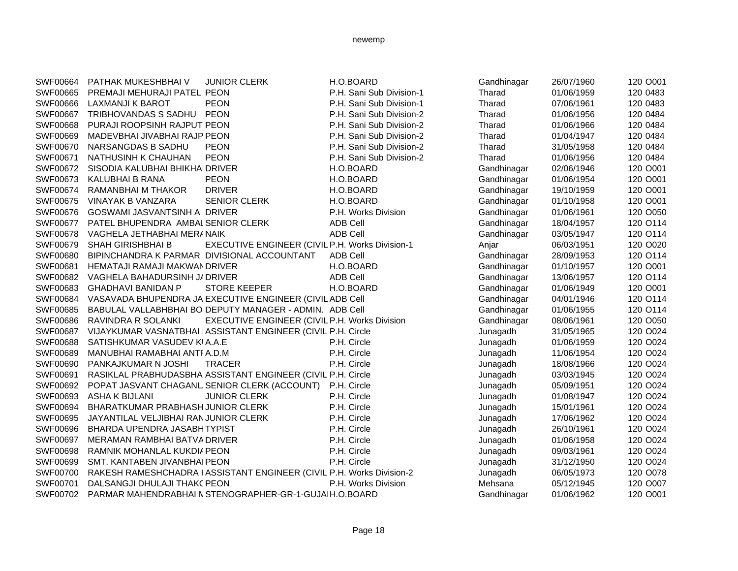| SWF00664        | PATHAK MUKESHBHAI V                         | <b>JUNIOR CLERK</b>                                                   | H.O.BOARD                | Gandhinagar | 26/07/1960 | 120 O001 |
|-----------------|---------------------------------------------|-----------------------------------------------------------------------|--------------------------|-------------|------------|----------|
| SWF00665        | PREMAJI MEHURAJI PATEL PEON                 |                                                                       | P.H. Sani Sub Division-1 | Tharad      | 01/06/1959 | 120 0483 |
| <b>SWF00666</b> | LAXMANJI K BAROT                            | <b>PEON</b>                                                           | P.H. Sani Sub Division-1 | Tharad      | 07/06/1961 | 120 0483 |
| <b>SWF00667</b> | TRIBHOVANDAS S SADHU PEON                   |                                                                       | P.H. Sani Sub Division-2 | Tharad      | 01/06/1956 | 120 0484 |
| SWF00668        | PURAJI ROOPSINH RAJPUT PEON                 |                                                                       | P.H. Sani Sub Division-2 | Tharad      | 01/06/1966 | 120 0484 |
| SWF00669        | MADEVBHAI JIVABHAI RAJP PEON                |                                                                       | P.H. Sani Sub Division-2 | Tharad      | 01/04/1947 | 120 0484 |
| SWF00670        | NARSANGDAS B SADHU                          | <b>PEON</b>                                                           | P.H. Sani Sub Division-2 | Tharad      | 31/05/1958 | 120 0484 |
| SWF00671        | NATHUSINH K CHAUHAN                         | <b>PEON</b>                                                           | P.H. Sani Sub Division-2 | Tharad      | 01/06/1956 | 120 0484 |
| SWF00672        | SISODIA KALUBHAI BHIKHAIDRIVER              |                                                                       | H.O.BOARD                | Gandhinagar | 02/06/1946 | 120 O001 |
| SWF00673        | KALUBHAI B RANA                             | <b>PEON</b>                                                           | H.O.BOARD                | Gandhinagar | 01/06/1954 | 120 O001 |
| SWF00674        | RAMANBHAI M THAKOR                          | <b>DRIVER</b>                                                         | H.O.BOARD                | Gandhinagar | 19/10/1959 | 120 O001 |
| SWF00675        | VINAYAK B VANZARA                           | <b>SENIOR CLERK</b>                                                   | H.O.BOARD                | Gandhinagar | 01/10/1958 | 120 O001 |
| SWF00676        | GOSWAMI JASVANTSINH A DRIVER                |                                                                       | P.H. Works Division      | Gandhinagar | 01/06/1961 | 120 O050 |
| SWF00677        | PATEL BHUPENDRA AMBAL SENIOR CLERK          |                                                                       | <b>ADB Cell</b>          | Gandhinagar | 18/04/1957 | 120 O114 |
| SWF00678        | VAGHELA JETHABHAI MERANAIK                  |                                                                       | <b>ADB Cell</b>          | Gandhinagar | 03/05/1947 | 120 O114 |
| SWF00679        | <b>SHAH GIRISHBHAI B</b>                    | EXECUTIVE ENGINEER (CIVIL P.H. Works Division-1                       |                          | Anjar       | 06/03/1951 | 120 O020 |
| SWF00680        | BIPINCHANDRA K PARMAR DIVISIONAL ACCOUNTANT |                                                                       | <b>ADB Cell</b>          | Gandhinagar | 28/09/1953 | 120 O114 |
| SWF00681        | HEMATAJI RAMAJI MAKWAN DRIVER               |                                                                       | H.O.BOARD                | Gandhinagar | 01/10/1957 | 120 O001 |
| SWF00682        | VAGHELA BAHADURSINH J/ DRIVER               |                                                                       | <b>ADB Cell</b>          | Gandhinagar | 13/06/1957 | 120 O114 |
| SWF00683        | <b>GHADHAVI BANIDAN P</b>                   | <b>STORE KEEPER</b>                                                   | H.O.BOARD                | Gandhinagar | 01/06/1949 | 120 O001 |
| SWF00684        |                                             | VASAVADA BHUPENDRA JA EXECUTIVE ENGINEER (CIVIL ADB Cell              |                          | Gandhinagar | 04/01/1946 | 120 O114 |
| SWF00685        |                                             | BABULAL VALLABHBHAI BO DEPUTY MANAGER - ADMIN. ADB Cell               |                          | Gandhinagar | 01/06/1955 | 120 O114 |
| SWF00686        | RAVINDRA R SOLANKI                          | EXECUTIVE ENGINEER (CIVIL P.H. Works Division                         |                          | Gandhinagar | 08/06/1961 | 120 O050 |
| SWF00687        |                                             | VIJAYKUMAR VASNATBHAI IASSISTANT ENGINEER (CIVIL P.H. Circle          |                          | Junagadh    | 31/05/1965 | 120 O024 |
| SWF00688        | SATISHKUMAR VASUDEV KIA.A.E                 |                                                                       | P.H. Circle              | Junagadh    | 01/06/1959 | 120 O024 |
| SWF00689        | MANUBHAI RAMABHAI ANTFA.D.M                 |                                                                       | P.H. Circle              | Junagadh    | 11/06/1954 | 120 O024 |
| SWF00690        | PANKAJKUMAR N JOSHI                         | TRACER                                                                | P.H. Circle              | Junagadh    | 18/08/1966 | 120 O024 |
| SWF00691        |                                             | RASIKLAL PRABHUDASBHA ASSISTANT ENGINEER (CIVIL P.H. Circle           |                          | Junagadh    | 03/03/1945 | 120 O024 |
| SWF00692        |                                             | POPAT JASVANT CHAGANL SENIOR CLERK (ACCOUNT) P.H. Circle              |                          | Junagadh    | 05/09/1951 | 120 O024 |
| SWF00693        | <b>ASHA K BIJLANI</b>                       | <b>JUNIOR CLERK</b>                                                   | P.H. Circle              | Junagadh    | 01/08/1947 | 120 O024 |
| SWF00694        | BHARATKUMAR PRABHASH JUNIOR CLERK           |                                                                       | P.H. Circle              | Junagadh    | 15/01/1961 | 120 O024 |
| SWF00695        | JAYANTILAL VELJIBHAI RANJUNIOR CLERK        |                                                                       | P.H. Circle              | Junagadh    | 17/06/1962 | 120 O024 |
| SWF00696        | BHARDA UPENDRA JASABHTYPIST                 |                                                                       | P.H. Circle              | Junagadh    | 26/10/1961 | 120 O024 |
| SWF00697        | MERAMAN RAMBHAI BATVA DRIVER                |                                                                       | P.H. Circle              | Junagadh    | 01/06/1958 | 120 O024 |
| SWF00698        | RAMNIK MOHANLAL KUKDIA PEON                 |                                                                       | P.H. Circle              | Junagadh    | 09/03/1961 | 120 O024 |
| SWF00699        | SMT. KANTABEN JIVANBHAI PEON                |                                                                       | P.H. Circle              | Junagadh    | 31/12/1950 | 120 O024 |
| SWF00700        |                                             | RAKESH RAMESHCHADRA I ASSISTANT ENGINEER (CIVIL P.H. Works Division-2 |                          | Junagadh    | 06/05/1973 | 120 O078 |
| SWF00701        | DALSANGJI DHULAJI THAKC PEON                |                                                                       | P.H. Works Division      | Mehsana     | 05/12/1945 | 120 O007 |
| SWF00702        |                                             | PARMAR MAHENDRABHAI N STENOGRAPHER-GR-1-GUJAIH.O.BOARD                |                          | Gandhinagar | 01/06/1962 | 120 O001 |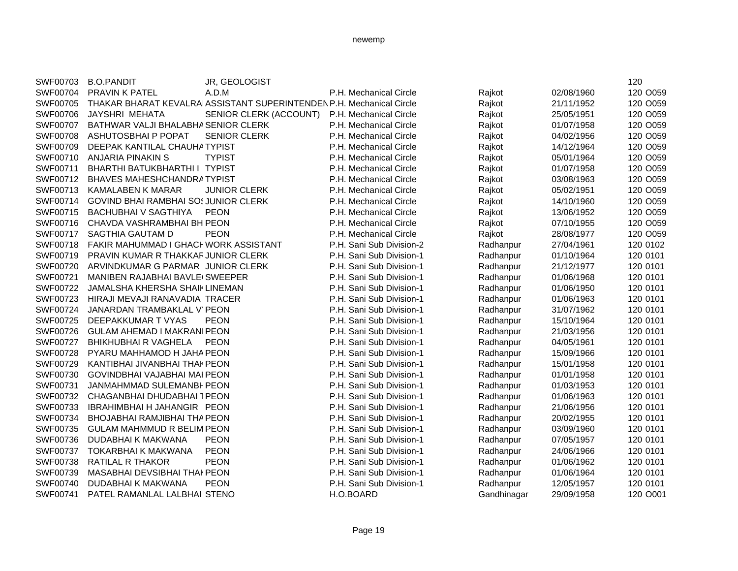| SWF00703 | <b>B.O.PANDIT</b>                       | JR, GEOLOGIST                                                         |                          |             |            | 120      |
|----------|-----------------------------------------|-----------------------------------------------------------------------|--------------------------|-------------|------------|----------|
| SWF00704 | <b>PRAVIN K PATEL</b>                   | A.D.M                                                                 | P.H. Mechanical Circle   | Rajkot      | 02/08/1960 | 120 O059 |
| SWF00705 |                                         | THAKAR BHARAT KEVALRAI ASSISTANT SUPERINTENDEN P.H. Mechanical Circle |                          | Rajkot      | 21/11/1952 | 120 O059 |
| SWF00706 | JAYSHRI MEHATA                          | SENIOR CLERK (ACCOUNT)                                                | P.H. Mechanical Circle   | Rajkot      | 25/05/1951 | 120 O059 |
| SWF00707 | BATHWAR VALJI BHALABHA SENIOR CLERK     |                                                                       | P.H. Mechanical Circle   | Rajkot      | 01/07/1958 | 120 O059 |
| SWF00708 | ASHUTOSBHAI P POPAT                     | <b>SENIOR CLERK</b>                                                   | P.H. Mechanical Circle   | Rajkot      | 04/02/1956 | 120 O059 |
| SWF00709 | DEEPAK KANTILAL CHAUHA TYPIST           |                                                                       | P.H. Mechanical Circle   | Rajkot      | 14/12/1964 | 120 O059 |
| SWF00710 | <b>ANJARIA PINAKIN S</b>                | <b>TYPIST</b>                                                         | P.H. Mechanical Circle   | Rajkot      | 05/01/1964 | 120 O059 |
| SWF00711 | BHARTHI BATUKBHARTHI I TYPIST           |                                                                       | P.H. Mechanical Circle   | Rajkot      | 01/07/1958 | 120 O059 |
| SWF00712 | <b>BHAVES MAHESHCHANDRATYPIST</b>       |                                                                       | P.H. Mechanical Circle   | Rajkot      | 03/08/1963 | 120 O059 |
| SWF00713 | KAMALABEN K MARAR                       | <b>JUNIOR CLERK</b>                                                   | P.H. Mechanical Circle   | Rajkot      | 05/02/1951 | 120 O059 |
| SWF00714 | GOVIND BHAI RAMBHAI SOSJUNIOR CLERK     |                                                                       | P.H. Mechanical Circle   | Rajkot      | 14/10/1960 | 120 O059 |
| SWF00715 | <b>BACHUBHAI V SAGTHIYA</b>             | <b>PEON</b>                                                           | P.H. Mechanical Circle   | Rajkot      | 13/06/1952 | 120 O059 |
| SWF00716 | CHAVDA VASHRAMBHAI BH PEON              |                                                                       | P.H. Mechanical Circle   | Rajkot      | 07/10/1955 | 120 O059 |
| SWF00717 | SAGTHIA GAUTAM D                        | <b>PEON</b>                                                           | P.H. Mechanical Circle   | Rajkot      | 28/08/1977 | 120 O059 |
| SWF00718 | FAKIR MAHUMMAD I GHACI WORK ASSISTANT   |                                                                       | P.H. Sani Sub Division-2 | Radhanpur   | 27/04/1961 | 120 0102 |
| SWF00719 | PRAVIN KUMAR R THAKKAR JUNIOR CLERK     |                                                                       | P.H. Sani Sub Division-1 | Radhanpur   | 01/10/1964 | 120 0101 |
| SWF00720 | ARVINDKUMAR G PARMAR JUNIOR CLERK       |                                                                       | P.H. Sani Sub Division-1 | Radhanpur   | 21/12/1977 | 120 0101 |
| SWF00721 | <b>MANIBEN RAJABHAI BAVLE (SWEEPER)</b> |                                                                       | P.H. Sani Sub Division-1 | Radhanpur   | 01/06/1968 | 120 0101 |
| SWF00722 | JAMALSHA KHERSHA SHAIKLINEMAN           |                                                                       | P.H. Sani Sub Division-1 | Radhanpur   | 01/06/1950 | 120 0101 |
| SWF00723 | HIRAJI MEVAJI RANAVADIA TRACER          |                                                                       | P.H. Sani Sub Division-1 | Radhanpur   | 01/06/1963 | 120 0101 |
| SWF00724 | JANARDAN TRAMBAKLAL V`PEON              |                                                                       | P.H. Sani Sub Division-1 | Radhanpur   | 31/07/1962 | 120 0101 |
| SWF00725 | DEEPAKKUMAR T VYAS                      | <b>PEON</b>                                                           | P.H. Sani Sub Division-1 | Radhanpur   | 15/10/1964 | 120 0101 |
| SWF00726 | GULAM AHEMAD I MAKRANI PEON             |                                                                       | P.H. Sani Sub Division-1 | Radhanpur   | 21/03/1956 | 120 0101 |
| SWF00727 | <b>BHIKHUBHAI R VAGHELA</b>             | <b>PEON</b>                                                           | P.H. Sani Sub Division-1 | Radhanpur   | 04/05/1961 | 120 0101 |
| SWF00728 | PYARU MAHHAMOD H JAHA PEON              |                                                                       | P.H. Sani Sub Division-1 | Radhanpur   | 15/09/1966 | 120 0101 |
| SWF00729 | KANTIBHAI JIVANBHAI THAI PEON           |                                                                       | P.H. Sani Sub Division-1 | Radhanpur   | 15/01/1958 | 120 0101 |
| SWF00730 | GOVINDBHAI VAJABHAI MAI PEON            |                                                                       | P.H. Sani Sub Division-1 | Radhanpur   | 01/01/1958 | 120 0101 |
| SWF00731 | JANMAHMMAD SULEMANBI PEON               |                                                                       | P.H. Sani Sub Division-1 | Radhanpur   | 01/03/1953 | 120 0101 |
| SWF00732 | CHAGANBHAI DHUDABHAI TPEON              |                                                                       | P.H. Sani Sub Division-1 | Radhanpur   | 01/06/1963 | 120 0101 |
| SWF00733 | <b>IBRAHIMBHAI H JAHANGIR PEON</b>      |                                                                       | P.H. Sani Sub Division-1 | Radhanpur   | 21/06/1956 | 120 0101 |
| SWF00734 | BHOJABHAI RAMJIBHAI THA PEON            |                                                                       | P.H. Sani Sub Division-1 | Radhanpur   | 20/02/1955 | 120 0101 |
| SWF00735 | <b>GULAM MAHMMUD R BELIM PEON</b>       |                                                                       | P.H. Sani Sub Division-1 | Radhanpur   | 03/09/1960 | 120 0101 |
| SWF00736 | DUDABHAI K MAKWANA                      | <b>PEON</b>                                                           | P.H. Sani Sub Division-1 | Radhanpur   | 07/05/1957 | 120 0101 |
| SWF00737 | TOKARBHAI K MAKWANA                     | <b>PEON</b>                                                           | P.H. Sani Sub Division-1 | Radhanpur   | 24/06/1966 | 120 0101 |
| SWF00738 | <b>RATILAL R THAKOR</b>                 | <b>PEON</b>                                                           | P.H. Sani Sub Division-1 | Radhanpur   | 01/06/1962 | 120 0101 |
| SWF00739 | MASABHAI DEVSIBHAI THAI PEON            |                                                                       | P.H. Sani Sub Division-1 | Radhanpur   | 01/06/1964 | 120 0101 |
| SWF00740 | DUDABHAI K MAKWANA                      | <b>PEON</b>                                                           | P.H. Sani Sub Division-1 | Radhanpur   | 12/05/1957 | 120 0101 |
| SWF00741 | PATEL RAMANLAL LALBHAI STENO            |                                                                       | H.O.BOARD                | Gandhinagar | 29/09/1958 | 120 O001 |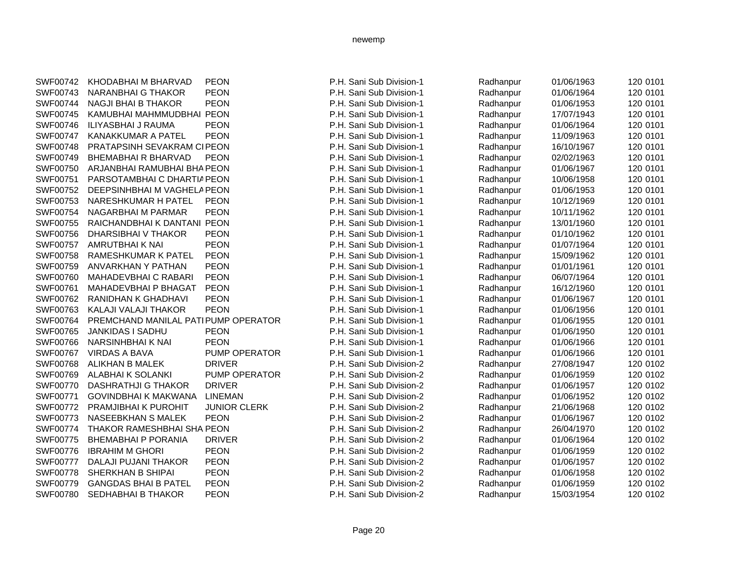| SWF00742        | KHODABHAI M BHARVAD                 | <b>PEON</b>         | P.H. Sani Sub Division-1 | Radhanpur | 01/06/1963 | 120 0101 |
|-----------------|-------------------------------------|---------------------|--------------------------|-----------|------------|----------|
| SWF00743        | NARANBHAI G THAKOR                  | <b>PEON</b>         | P.H. Sani Sub Division-1 | Radhanpur | 01/06/1964 | 120 0101 |
| SWF00744        | <b>NAGJI BHAI B THAKOR</b>          | <b>PEON</b>         | P.H. Sani Sub Division-1 | Radhanpur | 01/06/1953 | 120 0101 |
| SWF00745        | KAMUBHAI MAHMMUDBHAI PEON           |                     | P.H. Sani Sub Division-1 | Radhanpur | 17/07/1943 | 120 0101 |
| SWF00746        | ILIYASBHAI J RAUMA                  | <b>PEON</b>         | P.H. Sani Sub Division-1 | Radhanpur | 01/06/1964 | 120 0101 |
| SWF00747        | <b>KANAKKUMAR A PATEL</b>           | <b>PEON</b>         | P.H. Sani Sub Division-1 | Radhanpur | 11/09/1963 | 120 0101 |
| SWF00748        | PRATAPSINH SEVAKRAM CIPEON          |                     | P.H. Sani Sub Division-1 | Radhanpur | 16/10/1967 | 120 0101 |
| SWF00749        | <b>BHEMABHAI R BHARVAD</b>          | <b>PEON</b>         | P.H. Sani Sub Division-1 | Radhanpur | 02/02/1963 | 120 0101 |
| SWF00750        | ARJANBHAI RAMUBHAI BHA PEON         |                     | P.H. Sani Sub Division-1 | Radhanpur | 01/06/1967 | 120 0101 |
| SWF00751        | PARSOTAMBHAI C DHARTIA PEON         |                     | P.H. Sani Sub Division-1 | Radhanpur | 10/06/1958 | 120 0101 |
| SWF00752        | DEEPSINHBHAI M VAGHELA PEON         |                     | P.H. Sani Sub Division-1 | Radhanpur | 01/06/1953 | 120 0101 |
| SWF00753        | NARESHKUMAR H PATEL                 | <b>PEON</b>         | P.H. Sani Sub Division-1 | Radhanpur | 10/12/1969 | 120 0101 |
| SWF00754        | NAGARBHAI M PARMAR                  | <b>PEON</b>         | P.H. Sani Sub Division-1 | Radhanpur | 10/11/1962 | 120 0101 |
| SWF00755        | RAICHANDBHAI K DANTANI PEON         |                     | P.H. Sani Sub Division-1 | Radhanpur | 13/01/1960 | 120 0101 |
| SWF00756        | DHARSIBHAI V THAKOR                 | <b>PEON</b>         | P.H. Sani Sub Division-1 | Radhanpur | 01/10/1962 | 120 0101 |
| SWF00757        | AMRUTBHAI K NAI                     | <b>PEON</b>         | P.H. Sani Sub Division-1 | Radhanpur | 01/07/1964 | 120 0101 |
| SWF00758        | <b>RAMESHKUMAR K PATEL</b>          | <b>PEON</b>         | P.H. Sani Sub Division-1 | Radhanpur | 15/09/1962 | 120 0101 |
| SWF00759        | ANVARKHAN Y PATHAN                  | <b>PEON</b>         | P.H. Sani Sub Division-1 | Radhanpur | 01/01/1961 | 120 0101 |
| SWF00760        | <b>MAHADEVBHAI C RABARI</b>         | <b>PEON</b>         | P.H. Sani Sub Division-1 | Radhanpur | 06/07/1964 | 120 0101 |
| SWF00761        | MAHADEVBHAI P BHAGAT                | <b>PEON</b>         | P.H. Sani Sub Division-1 | Radhanpur | 16/12/1960 | 120 0101 |
| SWF00762        | RANIDHAN K GHADHAVI                 | <b>PEON</b>         | P.H. Sani Sub Division-1 | Radhanpur | 01/06/1967 | 120 0101 |
| SWF00763        | KALAJI VALAJI THAKOR                | <b>PEON</b>         | P.H. Sani Sub Division-1 | Radhanpur | 01/06/1956 | 120 0101 |
| SWF00764        | PREMCHAND MANILAL PATIPUMP OPERATOR |                     | P.H. Sani Sub Division-1 | Radhanpur | 01/06/1955 | 120 0101 |
| SWF00765        | JANKIDAS I SADHU                    | <b>PEON</b>         | P.H. Sani Sub Division-1 | Radhanpur | 01/06/1950 | 120 0101 |
| SWF00766        | NARSINHBHAI K NAI                   | <b>PEON</b>         | P.H. Sani Sub Division-1 | Radhanpur | 01/06/1966 | 120 0101 |
| SWF00767        | <b>VIRDAS A BAVA</b>                | PUMP OPERATOR       | P.H. Sani Sub Division-1 | Radhanpur | 01/06/1966 | 120 0101 |
| SWF00768        | ALIKHAN B MALEK                     | <b>DRIVER</b>       | P.H. Sani Sub Division-2 | Radhanpur | 27/08/1947 | 120 0102 |
| SWF00769        | <b>ALABHAI K SOLANKI</b>            | PUMP OPERATOR       | P.H. Sani Sub Division-2 | Radhanpur | 01/06/1959 | 120 0102 |
| SWF00770        | <b>DASHRATHJI G THAKOR</b>          | <b>DRIVER</b>       | P.H. Sani Sub Division-2 | Radhanpur | 01/06/1957 | 120 0102 |
| SWF00771        | <b>GOVINDBHAI K MAKWANA</b>         | <b>LINEMAN</b>      | P.H. Sani Sub Division-2 | Radhanpur | 01/06/1952 | 120 0102 |
| SWF00772        | <b>PRAMJIBHAI K PUROHIT</b>         | <b>JUNIOR CLERK</b> | P.H. Sani Sub Division-2 | Radhanpur | 21/06/1968 | 120 0102 |
| SWF00773        | NASEEBKHAN S MALEK                  | <b>PEON</b>         | P.H. Sani Sub Division-2 | Radhanpur | 01/06/1967 | 120 0102 |
| <b>SWF00774</b> | THAKOR RAMESHBHAI SHA PEON          |                     | P.H. Sani Sub Division-2 | Radhanpur | 26/04/1970 | 120 0102 |
| SWF00775        | <b>BHEMABHAI P PORANIA</b>          | <b>DRIVER</b>       | P.H. Sani Sub Division-2 | Radhanpur | 01/06/1964 | 120 0102 |
| SWF00776        | <b>IBRAHIM M GHORI</b>              | <b>PEON</b>         | P.H. Sani Sub Division-2 | Radhanpur | 01/06/1959 | 120 0102 |
| <b>SWF00777</b> | DALAJI PUJANI THAKOR                | <b>PEON</b>         | P.H. Sani Sub Division-2 | Radhanpur | 01/06/1957 | 120 0102 |
| SWF00778        | SHERKHAN B SHIPAI                   | <b>PEON</b>         | P.H. Sani Sub Division-2 | Radhanpur | 01/06/1958 | 120 0102 |
| SWF00779        | <b>GANGDAS BHAI B PATEL</b>         | <b>PEON</b>         | P.H. Sani Sub Division-2 | Radhanpur | 01/06/1959 | 120 0102 |
| SWF00780        | <b>SEDHABHAI B THAKOR</b>           | <b>PEON</b>         | P.H. Sani Sub Division-2 | Radhanpur | 15/03/1954 | 120 0102 |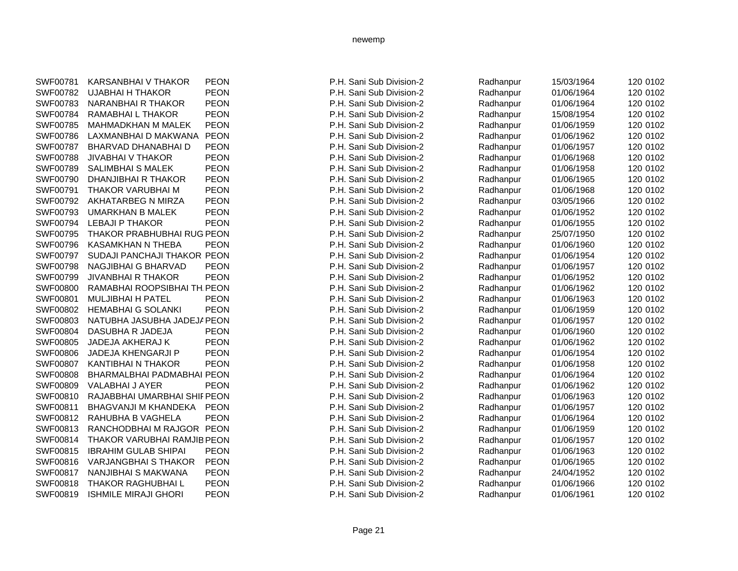| SWF00781        | KARSANBHAI V THAKOR               | PEON        |
|-----------------|-----------------------------------|-------------|
| SWF00782        | UJABHAI H THAKOR                  | <b>PEON</b> |
| SWF00783        | <b>NARANBHAI R THAKOR</b>         | <b>PEON</b> |
| SWF00784        | RAMABHAI L THAKOR                 | <b>PEON</b> |
| SWF00785        | MAHMADKHAN M MALEK                | <b>PEON</b> |
| SWF00786        | LAXMANBHAI D MAKWANA              | <b>PEON</b> |
| SWF00787        | BHARVAD DHANABHAI D               | <b>PEON</b> |
| SWF00788        | <b>JIVABHAI V THAKOR</b>          | <b>PEON</b> |
| SWF00789        | SALIMBHAI S MALEK                 | <b>PEON</b> |
| SWF00790        | DHANJIBHAI R THAKOR               | <b>PEON</b> |
| SWF00791        | THAKOR VARUBHAI M                 | <b>PEON</b> |
| SWF00792        | AKHATARBEG N MIRZA                | <b>PEON</b> |
| SWF00793        | UMARKHAN B MALEK                  | <b>PEON</b> |
| SWF00794        | LEBAJI P THAKOR                   | <b>PEON</b> |
| SWF00795        | <b>THAKOR PRABHUBHAI RUG PEON</b> |             |
| SWF00796        | KASAMKHAN N THEBA                 | <b>PEON</b> |
| SWF00797        | SUDAJI PANCHAJI THAKOR PEON       |             |
| SWF00798        | NAGJIBHAI G BHARVAD               | <b>PEON</b> |
| SWF00799        | JIVANBHAI R THAKOR                | <b>PEON</b> |
| SWF00800        | RAMABHAI ROOPSIBHAI TH. PEON      |             |
| SWF00801        | MULJIBHAI H PATEL                 | PEON        |
| SWF00802        | HEMABHAI G SOLANKI                | <b>PEON</b> |
| SWF00803        | NATUBHA JASUBHA JADEJA PEON       |             |
| SWF00804        | DASUBHA R JADEJA                  | <b>PEON</b> |
| SWF00805        | JADEJA AKHERAJ K                  | <b>PEON</b> |
| SWF00806        | JADEJA KHENGARJI P                | <b>PEON</b> |
| SWF00807        | KANTIBHAI N THAKOR                | PEON        |
| <b>SWF00808</b> | BHARMALBHAI PADMABHAI PEON        |             |
| SWF00809        | VALABHAI J AYER                   | <b>PEON</b> |
| SWF00810        | RAJABBHAI UMARBHAI SHIF PEON      |             |
| SWF00811        | BHAGVANJI M KHANDEKA PEON         |             |
| SWF00812        | RAHUBHA B VAGHELA                 | <b>PEON</b> |
| SWF00813        | RANCHODBHAI M RAJGOR PEON         |             |
| SWF00814        | THAKOR VARUBHAI RAMJIB PEON       |             |
| SWF00815        | <b>IBRAHIM GULAB SHIPAI</b>       | <b>PEON</b> |
| SWF00816        | <b>VARJANGBHAI S THAKOR</b>       | <b>PEON</b> |
| SWF00817        | NANJIBHAI S MAKWANA               | <b>PEON</b> |
| SWF00818        | THAKOR RAGHUBHAI L                | <b>PEON</b> |
| SWF00819        | <b>ISHMILE MIRAJI GHORI</b>       | <b>PEON</b> |

| SWF00781 | KARSANBHAI V THAKOR               | <b>PEON</b> | P.H. Sani Sub Division-2 | Radhanpur | 15/03/1964 | 120 0102 |
|----------|-----------------------------------|-------------|--------------------------|-----------|------------|----------|
| SWF00782 | <b>UJABHAI H THAKOR</b>           | <b>PEON</b> | P.H. Sani Sub Division-2 | Radhanpur | 01/06/1964 | 120 0102 |
| SWF00783 | NARANBHAI R THAKOR                | <b>PEON</b> | P.H. Sani Sub Division-2 | Radhanpur | 01/06/1964 | 120 0102 |
| SWF00784 | RAMABHAI L THAKOR                 | <b>PEON</b> | P.H. Sani Sub Division-2 | Radhanpur | 15/08/1954 | 120 0102 |
| SWF00785 | <b>MAHMADKHAN M MALEK</b>         | <b>PEON</b> | P.H. Sani Sub Division-2 | Radhanpur | 01/06/1959 | 120 0102 |
| SWF00786 | LAXMANBHAI D MAKWANA PEON         |             | P.H. Sani Sub Division-2 | Radhanpur | 01/06/1962 | 120 0102 |
| SWF00787 | BHARVAD DHANABHAI D               | <b>PEON</b> | P.H. Sani Sub Division-2 | Radhanpur | 01/06/1957 | 120 0102 |
| SWF00788 | <b>JIVABHAI V THAKOR</b>          | <b>PEON</b> | P.H. Sani Sub Division-2 | Radhanpur | 01/06/1968 | 120 0102 |
| SWF00789 | <b>SALIMBHAI S MALEK</b>          | <b>PEON</b> | P.H. Sani Sub Division-2 | Radhanpur | 01/06/1958 | 120 0102 |
| SWF00790 | DHANJIBHAI R THAKOR               | <b>PEON</b> | P.H. Sani Sub Division-2 | Radhanpur | 01/06/1965 | 120 0102 |
| SWF00791 | THAKOR VARUBHAI M                 | <b>PEON</b> | P.H. Sani Sub Division-2 | Radhanpur | 01/06/1968 | 120 0102 |
| SWF00792 | AKHATARBEG N MIRZA                | <b>PEON</b> | P.H. Sani Sub Division-2 | Radhanpur | 03/05/1966 | 120 0102 |
| SWF00793 | <b>UMARKHAN B MALEK</b>           | <b>PEON</b> | P.H. Sani Sub Division-2 | Radhanpur | 01/06/1952 | 120 0102 |
| SWF00794 | <b>LEBAJI P THAKOR</b>            | <b>PEON</b> | P.H. Sani Sub Division-2 | Radhanpur | 01/06/1955 | 120 0102 |
| SWF00795 | <b>THAKOR PRABHUBHAI RUG PEON</b> |             | P.H. Sani Sub Division-2 | Radhanpur | 25/07/1950 | 120 0102 |
| SWF00796 | <b>KASAMKHAN N THEBA</b>          | <b>PEON</b> | P.H. Sani Sub Division-2 | Radhanpur | 01/06/1960 | 120 0102 |
| SWF00797 | SUDAJI PANCHAJI THAKOR PEON       |             | P.H. Sani Sub Division-2 | Radhanpur | 01/06/1954 | 120 0102 |
| SWF00798 | NAGJIBHAI G BHARVAD               | <b>PEON</b> | P.H. Sani Sub Division-2 | Radhanpur | 01/06/1957 | 120 0102 |
| SWF00799 | <b>JIVANBHAI R THAKOR</b>         | <b>PEON</b> | P.H. Sani Sub Division-2 | Radhanpur | 01/06/1952 | 120 0102 |
| SWF00800 | RAMABHAI ROOPSIBHAI TH. PEON      |             | P.H. Sani Sub Division-2 | Radhanpur | 01/06/1962 | 120 0102 |
| SWF00801 | <b>MULJIBHAI H PATEL</b>          | <b>PEON</b> | P.H. Sani Sub Division-2 | Radhanpur | 01/06/1963 | 120 0102 |
| SWF00802 | <b>HEMABHAI G SOLANKI</b>         | <b>PEON</b> | P.H. Sani Sub Division-2 | Radhanpur | 01/06/1959 | 120 0102 |
| SWF00803 | NATUBHA JASUBHA JADEJA PEON       |             | P.H. Sani Sub Division-2 | Radhanpur | 01/06/1957 | 120 0102 |
| SWF00804 | DASUBHA R JADEJA                  | <b>PEON</b> | P.H. Sani Sub Division-2 | Radhanpur | 01/06/1960 | 120 0102 |
| SWF00805 | JADEJA AKHERAJ K                  | <b>PEON</b> | P.H. Sani Sub Division-2 | Radhanpur | 01/06/1962 | 120 0102 |
| SWF00806 | JADEJA KHENGARJI P                | <b>PEON</b> | P.H. Sani Sub Division-2 | Radhanpur | 01/06/1954 | 120 0102 |
| SWF00807 | KANTIBHAI N THAKOR                | <b>PEON</b> | P.H. Sani Sub Division-2 | Radhanpur | 01/06/1958 | 120 0102 |
| SWF00808 | BHARMALBHAI PADMABHAI PEON        |             | P.H. Sani Sub Division-2 | Radhanpur | 01/06/1964 | 120 0102 |
| SWF00809 | VALABHAI J AYER                   | <b>PEON</b> | P.H. Sani Sub Division-2 | Radhanpur | 01/06/1962 | 120 0102 |
| SWF00810 | RAJABBHAI UMARBHAI SHIF PEON      |             | P.H. Sani Sub Division-2 | Radhanpur | 01/06/1963 | 120 0102 |
| SWF00811 | BHAGVANJI M KHANDEKA              | PEON        | P.H. Sani Sub Division-2 | Radhanpur | 01/06/1957 | 120 0102 |
| SWF00812 | RAHUBHA B VAGHELA                 | <b>PEON</b> | P.H. Sani Sub Division-2 | Radhanpur | 01/06/1964 | 120 0102 |
| SWF00813 | RANCHODBHAI M RAJGOR PEON         |             | P.H. Sani Sub Division-2 | Radhanpur | 01/06/1959 | 120 0102 |
| SWF00814 | THAKOR VARUBHAI RAMJIB PEON       |             | P.H. Sani Sub Division-2 | Radhanpur | 01/06/1957 | 120 0102 |
| SWF00815 | <b>IBRAHIM GULAB SHIPAI</b>       | <b>PEON</b> | P.H. Sani Sub Division-2 | Radhanpur | 01/06/1963 | 120 0102 |
| SWF00816 | <b>VARJANGBHAI S THAKOR</b>       | <b>PEON</b> | P.H. Sani Sub Division-2 | Radhanpur | 01/06/1965 | 120 0102 |
| SWF00817 | NANJIBHAI S MAKWANA               | <b>PEON</b> | P.H. Sani Sub Division-2 | Radhanpur | 24/04/1952 | 120 0102 |
| SWF00818 | <b>THAKOR RAGHUBHAIL</b>          | <b>PEON</b> | P.H. Sani Sub Division-2 | Radhanpur | 01/06/1966 | 120 0102 |
| SWF00819 | <b>ISHMILE MIRAJI GHORI</b>       | <b>PEON</b> | P.H. Sani Sub Division-2 | Radhanpur | 01/06/1961 | 120 0102 |
|          |                                   |             |                          |           |            |          |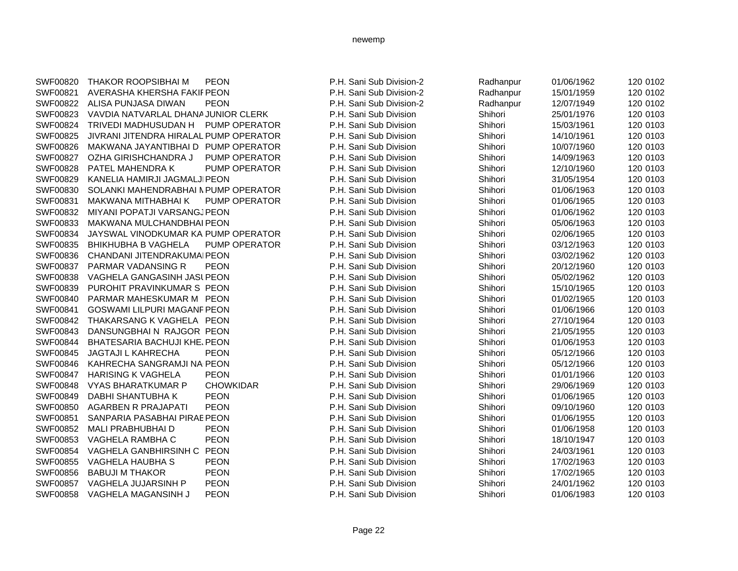| SWF00820        | <b>THAKOR ROOPSIBHAI M</b>             | <b>PEON</b>          | P.H. Sani Sub Division-2 | Radhanpur | 01/06/1962 | 120 0102 |
|-----------------|----------------------------------------|----------------------|--------------------------|-----------|------------|----------|
| SWF00821        | AVERASHA KHERSHA FAKIF PEON            |                      | P.H. Sani Sub Division-2 | Radhanpur | 15/01/1959 | 120 0102 |
| SWF00822        | ALISA PUNJASA DIWAN                    | <b>PEON</b>          | P.H. Sani Sub Division-2 | Radhanpur | 12/07/1949 | 120 0102 |
| SWF00823        | VAVDIA NATVARLAL DHANA JUNIOR CLERK    |                      | P.H. Sani Sub Division   | Shihori   | 25/01/1976 | 120 0103 |
| SWF00824        | <b>TRIVEDI MADHUSUDAN H</b>            | PUMP OPERATOR        | P.H. Sani Sub Division   | Shihori   | 15/03/1961 | 120 0103 |
| SWF00825        | JIVRANI JITENDRA HIRALAL PUMP OPERATOR |                      | P.H. Sani Sub Division   | Shihori   | 14/10/1961 | 120 0103 |
| SWF00826        | MAKWANA JAYANTIBHAI D PUMP OPERATOR    |                      | P.H. Sani Sub Division   | Shihori   | 10/07/1960 | 120 0103 |
| <b>SWF00827</b> | OZHA GIRISHCHANDRA J                   | PUMP OPERATOR        | P.H. Sani Sub Division   | Shihori   | 14/09/1963 | 120 0103 |
| SWF00828        | PATEL MAHENDRA K                       | PUMP OPERATOR        | P.H. Sani Sub Division   | Shihori   | 12/10/1960 | 120 0103 |
| SWF00829        | KANELIA HAMIRJI JAGMALJI PEON          |                      | P.H. Sani Sub Division   | Shihori   | 31/05/1954 | 120 0103 |
| SWF00830        | SOLANKI MAHENDRABHAI N PUMP OPERATOR   |                      | P.H. Sani Sub Division   | Shihori   | 01/06/1963 | 120 0103 |
| SWF00831        | MAKWANA MITHABHAI K                    | <b>PUMP OPERATOR</b> | P.H. Sani Sub Division   | Shihori   | 01/06/1965 | 120 0103 |
| SWF00832        | MIYANI POPATJI VARSANGJPEON            |                      | P.H. Sani Sub Division   | Shihori   | 01/06/1962 | 120 0103 |
| SWF00833        | MAKWANA MULCHANDBHAI PEON              |                      | P.H. Sani Sub Division   | Shihori   | 05/06/1963 | 120 0103 |
| SWF00834        | JAYSWAL VINODKUMAR KA PUMP OPERATOR    |                      | P.H. Sani Sub Division   | Shihori   | 02/06/1965 | 120 0103 |
| SWF00835        | <b>BHIKHUBHA B VAGHELA</b>             | PUMP OPERATOR        | P.H. Sani Sub Division   | Shihori   | 03/12/1963 | 120 0103 |
| SWF00836        | CHANDANI JITENDRAKUMAI PEON            |                      | P.H. Sani Sub Division   | Shihori   | 03/02/1962 | 120 0103 |
| SWF00837        | PARMAR VADANSING R                     | <b>PEON</b>          | P.H. Sani Sub Division   | Shihori   | 20/12/1960 | 120 0103 |
| SWF00838        | VAGHELA GANGASINH JASI PEON            |                      | P.H. Sani Sub Division   | Shihori   | 05/02/1962 | 120 0103 |
| SWF00839        | PUROHIT PRAVINKUMAR S PEON             |                      | P.H. Sani Sub Division   | Shihori   | 15/10/1965 | 120 0103 |
| SWF00840        | PARMAR MAHESKUMAR M PEON               |                      | P.H. Sani Sub Division   | Shihori   | 01/02/1965 | 120 0103 |
| SWF00841        | GOSWAMI LILPURI MAGANF PEON            |                      | P.H. Sani Sub Division   | Shihori   | 01/06/1966 | 120 0103 |
| SWF00842        | THAKARSANG K VAGHELA PEON              |                      | P.H. Sani Sub Division   | Shihori   | 27/10/1964 | 120 0103 |
| SWF00843        | DANSUNGBHAIN RAJGOR PEON               |                      | P.H. Sani Sub Division   | Shihori   | 21/05/1955 | 120 0103 |
| SWF00844        | <b>BHATESARIA BACHUJI KHE, PEON</b>    |                      | P.H. Sani Sub Division   | Shihori   | 01/06/1953 | 120 0103 |
| SWF00845        | <b>JAGTAJI L KAHRECHA</b>              | <b>PEON</b>          | P.H. Sani Sub Division   | Shihori   | 05/12/1966 | 120 0103 |
| SWF00846        | KAHRECHA SANGRAMJI NA PEON             |                      | P.H. Sani Sub Division   | Shihori   | 05/12/1966 | 120 0103 |
| SWF00847        | <b>HARISING K VAGHELA</b>              | <b>PEON</b>          | P.H. Sani Sub Division   | Shihori   | 01/01/1966 | 120 0103 |
| <b>SWF00848</b> | <b>VYAS BHARATKUMAR P</b>              | <b>CHOWKIDAR</b>     | P.H. Sani Sub Division   | Shihori   | 29/06/1969 | 120 0103 |
| SWF00849        | DABHI SHANTUBHA K                      | <b>PEON</b>          | P.H. Sani Sub Division   | Shihori   | 01/06/1965 | 120 0103 |
| SWF00850        | <b>AGARBEN R PRAJAPATI</b>             | <b>PEON</b>          | P.H. Sani Sub Division   | Shihori   | 09/10/1960 | 120 0103 |
| SWF00851        | SANPARIA PASABHAI PIRAE PEON           |                      | P.H. Sani Sub Division   | Shihori   | 01/06/1955 | 120 0103 |
| SWF00852        | MALI PRABHUBHAI D                      | <b>PEON</b>          | P.H. Sani Sub Division   | Shihori   | 01/06/1958 | 120 0103 |
| SWF00853        | VAGHELA RAMBHA C                       | <b>PEON</b>          | P.H. Sani Sub Division   | Shihori   | 18/10/1947 | 120 0103 |
| SWF00854        | VAGHELA GANBHIRSINH C                  | <b>PEON</b>          | P.H. Sani Sub Division   | Shihori   | 24/03/1961 | 120 0103 |
| SWF00855        | VAGHELA HAUBHA S                       | <b>PEON</b>          | P.H. Sani Sub Division   | Shihori   | 17/02/1963 | 120 0103 |
| SWF00856        | <b>BABUJI M THAKOR</b>                 | <b>PEON</b>          | P.H. Sani Sub Division   | Shihori   | 17/02/1965 | 120 0103 |
| SWF00857        | VAGHELA JUJARSINH P                    | <b>PEON</b>          | P.H. Sani Sub Division   | Shihori   | 24/01/1962 | 120 0103 |
| SWF00858        | VAGHELA MAGANSINH J                    | <b>PEON</b>          | P.H. Sani Sub Division   | Shihori   | 01/06/1983 | 120 0103 |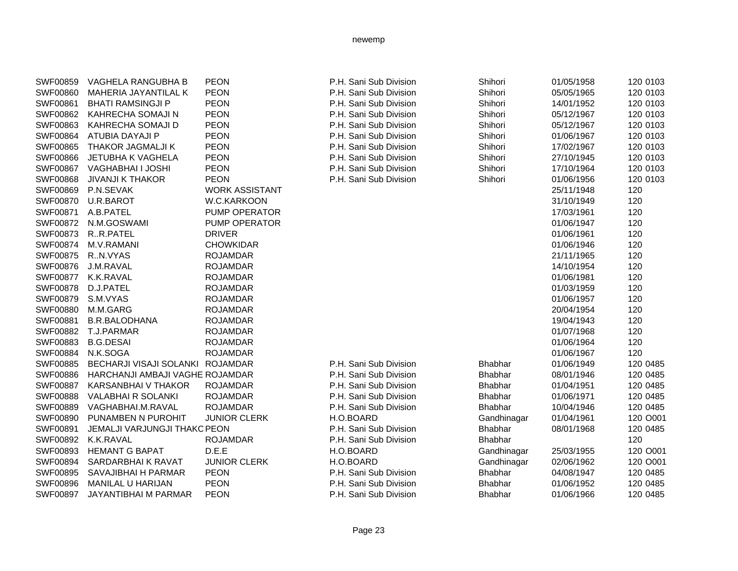| SWF00859        | VAGHELA RANGUBHA B                  | <b>PEON</b>           | P.H. Sani Sub Division | Shihori        | 01/05/1958 | 120 0103 |
|-----------------|-------------------------------------|-----------------------|------------------------|----------------|------------|----------|
| SWF00860        | MAHERIA JAYANTILAL K                | <b>PEON</b>           | P.H. Sani Sub Division | Shihori        | 05/05/1965 | 120 0103 |
| SWF00861        | <b>BHATI RAMSINGJI P</b>            | <b>PEON</b>           | P.H. Sani Sub Division | Shihori        | 14/01/1952 | 120 0103 |
| SWF00862        | KAHRECHA SOMAJI N                   | <b>PEON</b>           | P.H. Sani Sub Division | Shihori        | 05/12/1967 | 120 0103 |
| SWF00863        | KAHRECHA SOMAJI D                   | <b>PEON</b>           | P.H. Sani Sub Division | Shihori        | 05/12/1967 | 120 0103 |
| <b>SWF00864</b> | ATUBIA DAYAJI P                     | <b>PEON</b>           | P.H. Sani Sub Division | Shihori        | 01/06/1967 | 120 0103 |
| SWF00865        | THAKOR JAGMALJI K                   | <b>PEON</b>           | P.H. Sani Sub Division | Shihori        | 17/02/1967 | 120 0103 |
| <b>SWF00866</b> | JETUBHA K VAGHELA                   | <b>PEON</b>           | P.H. Sani Sub Division | Shihori        | 27/10/1945 | 120 0103 |
| SWF00867        | VAGHABHAI I JOSHI                   | <b>PEON</b>           | P.H. Sani Sub Division | Shihori        | 17/10/1964 | 120 0103 |
| SWF00868        | <b>JIVANJI K THAKOR</b>             | <b>PEON</b>           | P.H. Sani Sub Division | Shihori        | 01/06/1956 | 120 0103 |
| SWF00869        | P.N.SEVAK                           | <b>WORK ASSISTANT</b> |                        |                | 25/11/1948 | 120      |
| SWF00870        | U.R.BAROT                           | W.C.KARKOON           |                        |                | 31/10/1949 | 120      |
| SWF00871        | A.B.PATEL                           | PUMP OPERATOR         |                        |                | 17/03/1961 | 120      |
| SWF00872        | N.M.GOSWAMI                         | PUMP OPERATOR         |                        |                | 01/06/1947 | 120      |
| SWF00873        | R.R.PATEL                           | <b>DRIVER</b>         |                        |                | 01/06/1961 | 120      |
| SWF00874        | M.V.RAMANI                          | <b>CHOWKIDAR</b>      |                        |                | 01/06/1946 | 120      |
| <b>SWF00875</b> | R.N.VYAS                            | <b>ROJAMDAR</b>       |                        |                | 21/11/1965 | 120      |
| SWF00876        | J.M.RAVAL                           | <b>ROJAMDAR</b>       |                        |                | 14/10/1954 | 120      |
| SWF00877        | K.K.RAVAL                           | <b>ROJAMDAR</b>       |                        |                | 01/06/1981 | 120      |
| <b>SWF00878</b> | D.J.PATEL                           | <b>ROJAMDAR</b>       |                        |                | 01/03/1959 | 120      |
| SWF00879        | S.M.VYAS                            | <b>ROJAMDAR</b>       |                        |                | 01/06/1957 | 120      |
| <b>SWF00880</b> | M.M.GARG                            | <b>ROJAMDAR</b>       |                        |                | 20/04/1954 | 120      |
| SWF00881        | <b>B.R.BALODHANA</b>                | <b>ROJAMDAR</b>       |                        |                | 19/04/1943 | 120      |
| SWF00882        | T.J.PARMAR                          | <b>ROJAMDAR</b>       |                        |                | 01/07/1968 | 120      |
| SWF00883        | <b>B.G.DESAI</b>                    | <b>ROJAMDAR</b>       |                        |                | 01/06/1964 | 120      |
| SWF00884        | N.K.SOGA                            | <b>ROJAMDAR</b>       |                        |                | 01/06/1967 | 120      |
| SWF00885        | BECHARJI VISAJI SOLANKI ROJAMDAR    |                       | P.H. Sani Sub Division | <b>Bhabhar</b> | 01/06/1949 | 120 0485 |
| <b>SWF00886</b> | HARCHANJI AMBAJI VAGHE ROJAMDAR     |                       | P.H. Sani Sub Division | <b>Bhabhar</b> | 08/01/1946 | 120 0485 |
| <b>SWF00887</b> | KARSANBHAI V THAKOR                 | <b>ROJAMDAR</b>       | P.H. Sani Sub Division | <b>Bhabhar</b> | 01/04/1951 | 120 0485 |
| <b>SWF00888</b> | <b>VALABHAI R SOLANKI</b>           | <b>ROJAMDAR</b>       | P.H. Sani Sub Division | <b>Bhabhar</b> | 01/06/1971 | 120 0485 |
| SWF00889        | VAGHABHAI.M.RAVAL                   | <b>ROJAMDAR</b>       | P.H. Sani Sub Division | <b>Bhabhar</b> | 10/04/1946 | 120 0485 |
| SWF00890        | PUNAMBEN N PUROHIT                  | <b>JUNIOR CLERK</b>   | H.O.BOARD              | Gandhinagar    | 01/04/1961 | 120 O001 |
| SWF00891        | <b>JEMALJI VARJUNGJI THAKO PEON</b> |                       | P.H. Sani Sub Division | <b>Bhabhar</b> | 08/01/1968 | 120 0485 |
| SWF00892        | K.K.RAVAL                           | <b>ROJAMDAR</b>       | P.H. Sani Sub Division | Bhabhar        |            | 120      |
| SWF00893        | <b>HEMANT G BAPAT</b>               | D.E.E                 | H.O.BOARD              | Gandhinagar    | 25/03/1955 | 120 O001 |
| SWF00894        | SARDARBHAI K RAVAT                  | <b>JUNIOR CLERK</b>   | H.O.BOARD              | Gandhinagar    | 02/06/1962 | 120 O001 |
| SWF00895        | SAVAJIBHAI H PARMAR                 | <b>PEON</b>           | P.H. Sani Sub Division | <b>Bhabhar</b> | 04/08/1947 | 120 0485 |
| SWF00896        | <b>MANILAL U HARIJAN</b>            | <b>PEON</b>           | P.H. Sani Sub Division | Bhabhar        | 01/06/1952 | 120 0485 |
| SWF00897        | JAYANTIBHAI M PARMAR                | <b>PEON</b>           | P.H. Sani Sub Division | <b>Bhabhar</b> | 01/06/1966 | 120 0485 |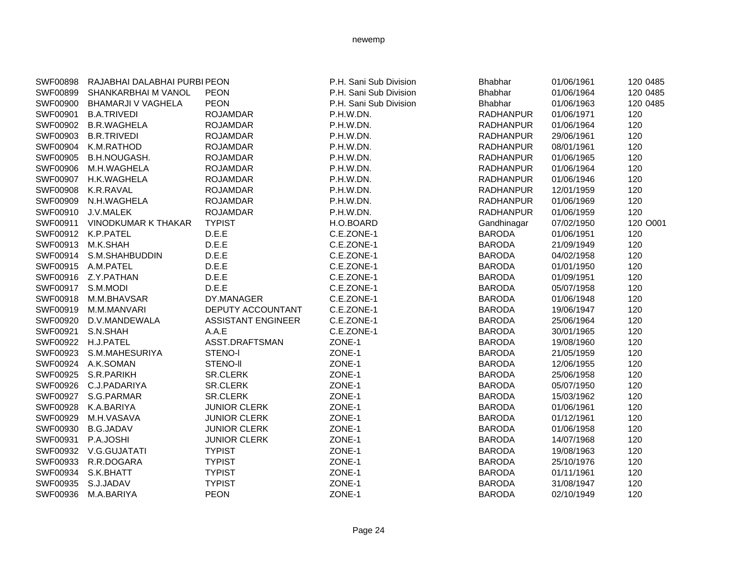|                    | SWF00898 RAJABHAI DALABHAI PURBI PEON |                           | P.H. Sani Sub Division | Bhabhar          | 01/06/1961 | 120 0485 |
|--------------------|---------------------------------------|---------------------------|------------------------|------------------|------------|----------|
|                    | SWF00899 SHANKARBHAI M VANOL          | <b>PEON</b>               | P.H. Sani Sub Division | Bhabhar          | 01/06/1964 | 120 0485 |
|                    | SWF00900 BHAMARJI V VAGHELA           | <b>PEON</b>               | P.H. Sani Sub Division | Bhabhar          | 01/06/1963 | 120 0485 |
|                    | SWF00901 B.A.TRIVEDI                  | <b>ROJAMDAR</b>           | P.H.W.DN.              | <b>RADHANPUR</b> | 01/06/1971 | 120      |
|                    | SWF00902 B.R.WAGHELA                  | <b>ROJAMDAR</b>           | P.H.W.DN.              | <b>RADHANPUR</b> | 01/06/1964 | 120      |
|                    | SWF00903 B.R.TRIVEDI                  | <b>ROJAMDAR</b>           | P.H.W.DN.              | RADHANPUR        | 29/06/1961 | 120      |
|                    | SWF00904 K.M.RATHOD                   | <b>ROJAMDAR</b>           | P.H.W.DN.              | <b>RADHANPUR</b> | 08/01/1961 | 120      |
|                    | SWF00905 B.H.NOUGASH.                 | <b>ROJAMDAR</b>           | P.H.W.DN.              | <b>RADHANPUR</b> | 01/06/1965 | 120      |
|                    | SWF00906 M.H.WAGHELA                  | <b>ROJAMDAR</b>           | P.H.W.DN.              | <b>RADHANPUR</b> | 01/06/1964 | 120      |
|                    | SWF00907 H.K.WAGHELA                  | <b>ROJAMDAR</b>           | P.H.W.DN.              | <b>RADHANPUR</b> | 01/06/1946 | 120      |
|                    | SWF00908 K.R.RAVAL                    | <b>ROJAMDAR</b>           | P.H.W.DN.              | <b>RADHANPUR</b> | 12/01/1959 | 120      |
|                    | SWF00909 N.H.WAGHELA                  | <b>ROJAMDAR</b>           | P.H.W.DN.              | <b>RADHANPUR</b> | 01/06/1969 | 120      |
|                    | SWF00910 J.V.MALEK                    | <b>ROJAMDAR</b>           | P.H.W.DN.              | <b>RADHANPUR</b> | 01/06/1959 | 120      |
|                    | SWF00911 VINODKUMAR K THAKAR          | <b>TYPIST</b>             | H.O.BOARD              | Gandhinagar      | 07/02/1950 | 120 O001 |
| SWF00912 K.P.PATEL |                                       | D.E.E.                    | C.E.ZONE-1             | <b>BARODA</b>    | 01/06/1951 | 120      |
| SWF00913 M.K.SHAH  |                                       | D.E.E                     | C.E.ZONE-1             | <b>BARODA</b>    | 21/09/1949 | 120      |
|                    | SWF00914 S.M.SHAHBUDDIN               | D.E.E                     | C.E.ZONE-1             | <b>BARODA</b>    | 04/02/1958 | 120      |
|                    | SWF00915 A.M.PATEL                    | D.E.E.                    | C.E.ZONE-1             | <b>BARODA</b>    | 01/01/1950 | 120      |
|                    | SWF00916 Z.Y.PATHAN                   | D.E.E                     | C.E.ZONE-1             | <b>BARODA</b>    | 01/09/1951 | 120      |
| SWF00917 S.M.MODI  |                                       | D.E.E                     | C.E.ZONE-1             | <b>BARODA</b>    | 05/07/1958 | 120      |
|                    | SWF00918 M.M.BHAVSAR                  | DY.MANAGER                | C.E.ZONE-1             | <b>BARODA</b>    | 01/06/1948 | 120      |
|                    | SWF00919 M.M.MANVARI                  | DEPUTY ACCOUNTANT         | C.E.ZONE-1             | <b>BARODA</b>    | 19/06/1947 | 120      |
|                    | SWF00920 D.V.MANDEWALA                | <b>ASSISTANT ENGINEER</b> | C.E.ZONE-1             | <b>BARODA</b>    | 25/06/1964 | 120      |
| SWF00921 S.N.SHAH  |                                       | A.A.E                     | C.E.ZONE-1             | <b>BARODA</b>    | 30/01/1965 | 120      |
| SWF00922 H.J.PATEL |                                       | ASST.DRAFTSMAN            | ZONE-1                 | <b>BARODA</b>    | 19/08/1960 | 120      |
|                    | SWF00923 S.M.MAHESURIYA               | STENO-I                   | ZONE-1                 | <b>BARODA</b>    | 21/05/1959 | 120      |
|                    | SWF00924 A.K.SOMAN                    | STENO-II                  | ZONE-1                 | <b>BARODA</b>    | 12/06/1955 | 120      |
|                    | SWF00925 S.R.PARIKH                   | SR.CLERK                  | ZONE-1                 | <b>BARODA</b>    | 25/06/1958 | 120      |
|                    | SWF00926 C.J.PADARIYA                 | SR.CLERK                  | ZONE-1                 | <b>BARODA</b>    | 05/07/1950 | 120      |
|                    | SWF00927 S.G.PARMAR                   | <b>SR.CLERK</b>           | ZONE-1                 | <b>BARODA</b>    | 15/03/1962 | 120      |
|                    | SWF00928 K.A.BARIYA                   | <b>JUNIOR CLERK</b>       | ZONE-1                 | <b>BARODA</b>    | 01/06/1961 | 120      |
|                    | SWF00929 M.H.VASAVA                   | <b>JUNIOR CLERK</b>       | ZONE-1                 | <b>BARODA</b>    | 01/12/1961 | 120      |
|                    | SWF00930 B.G.JADAV                    | <b>JUNIOR CLERK</b>       | ZONE-1                 | <b>BARODA</b>    | 01/06/1958 | 120      |
| SWF00931 P.A.JOSHI |                                       | <b>JUNIOR CLERK</b>       | ZONE-1                 | <b>BARODA</b>    | 14/07/1968 | 120      |
|                    | SWF00932 V.G.GUJATATI                 | <b>TYPIST</b>             | ZONE-1                 | <b>BARODA</b>    | 19/08/1963 | 120      |
|                    | SWF00933 R.R.DOGARA                   | <b>TYPIST</b>             | ZONE-1                 | <b>BARODA</b>    | 25/10/1976 | 120      |
| SWF00934 S.K.BHATT |                                       | <b>TYPIST</b>             | ZONE-1                 | <b>BARODA</b>    | 01/11/1961 | 120      |
| SWF00935 S.J.JADAV |                                       | <b>TYPIST</b>             | ZONE-1                 | <b>BARODA</b>    | 31/08/1947 | 120      |
|                    | SWF00936 M.A.BARIYA                   | <b>PEON</b>               | ZONE-1                 | <b>BARODA</b>    | 02/10/1949 | 120      |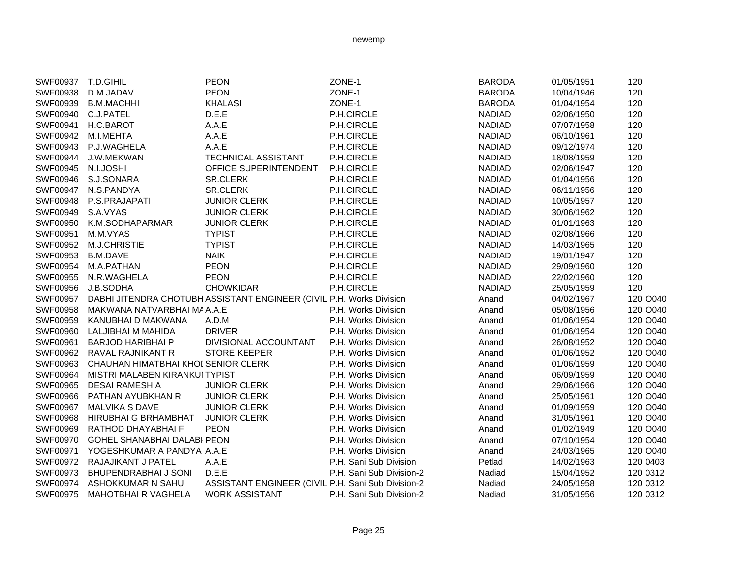| SWF00937 T.D.GIHIL |                                     | <b>PEON</b>                                                          | ZONE-1                   | <b>BARODA</b> | 01/05/1951 | 120      |
|--------------------|-------------------------------------|----------------------------------------------------------------------|--------------------------|---------------|------------|----------|
| SWF00938           | D.M.JADAV                           | <b>PEON</b>                                                          | ZONE-1                   | <b>BARODA</b> | 10/04/1946 | 120      |
| SWF00939           | <b>B.M.MACHHI</b>                   | <b>KHALASI</b>                                                       | ZONE-1                   | <b>BARODA</b> | 01/04/1954 | 120      |
| SWF00940 C.J.PATEL |                                     | D.E.E                                                                | P.H.CIRCLE               | <b>NADIAD</b> | 02/06/1950 | 120      |
| SWF00941           | H.C.BAROT                           | A.A.E                                                                | P.H.CIRCLE               | <b>NADIAD</b> | 07/07/1958 | 120      |
| SWF00942           | M.I.MEHTA                           | A.A.E                                                                | P.H.CIRCLE               | <b>NADIAD</b> | 06/10/1961 | 120      |
| SWF00943           | P.J.WAGHELA                         | A.A.E                                                                | P.H.CIRCLE               | <b>NADIAD</b> | 09/12/1974 | 120      |
| SWF00944           | J.W.MEKWAN                          | TECHNICAL ASSISTANT                                                  | P.H.CIRCLE               | <b>NADIAD</b> | 18/08/1959 | 120      |
| SWF00945 N.I.JOSHI |                                     | OFFICE SUPERINTENDENT                                                | P.H.CIRCLE               | <b>NADIAD</b> | 02/06/1947 | 120      |
| SWF00946           | S.J.SONARA                          | <b>SR.CLERK</b>                                                      | P.H.CIRCLE               | <b>NADIAD</b> | 01/04/1956 | 120      |
|                    | SWF00947 N.S.PANDYA                 | SR.CLERK                                                             | P.H.CIRCLE               | <b>NADIAD</b> | 06/11/1956 | 120      |
| SWF00948           | P.S.PRAJAPATI                       | <b>JUNIOR CLERK</b>                                                  | P.H.CIRCLE               | <b>NADIAD</b> | 10/05/1957 | 120      |
| SWF00949           | S.A.VYAS                            | <b>JUNIOR CLERK</b>                                                  | P.H.CIRCLE               | <b>NADIAD</b> | 30/06/1962 | 120      |
| SWF00950           | K.M.SODHAPARMAR                     | <b>JUNIOR CLERK</b>                                                  | P.H.CIRCLE               | <b>NADIAD</b> | 01/01/1963 | 120      |
| SWF00951           | M.M.VYAS                            | <b>TYPIST</b>                                                        | P.H.CIRCLE               | <b>NADIAD</b> | 02/08/1966 | 120      |
| SWF00952           | M.J.CHRISTIE                        | <b>TYPIST</b>                                                        | P.H.CIRCLE               | <b>NADIAD</b> | 14/03/1965 | 120      |
| SWF00953           | <b>B.M.DAVE</b>                     | <b>NAIK</b>                                                          | P.H.CIRCLE               | <b>NADIAD</b> | 19/01/1947 | 120      |
| SWF00954           | M.A.PATHAN                          | <b>PEON</b>                                                          | P.H.CIRCLE               | <b>NADIAD</b> | 29/09/1960 | 120      |
| SWF00955           | N.R.WAGHELA                         | <b>PEON</b>                                                          | P.H.CIRCLE               | <b>NADIAD</b> | 22/02/1960 | 120      |
| SWF00956           | J.B.SODHA                           | <b>CHOWKIDAR</b>                                                     | P.H.CIRCLE               | <b>NADIAD</b> | 25/05/1959 | 120      |
| SWF00957           |                                     | DABHI JITENDRA CHOTUBH ASSISTANT ENGINEER (CIVIL P.H. Works Division |                          | Anand         | 04/02/1967 | 120 O040 |
| SWF00958           | MAKWANA NATVARBHAI MA A.A.E         |                                                                      | P.H. Works Division      | Anand         | 05/08/1956 | 120 O040 |
| SWF00959           | KANUBHAI D MAKWANA                  | A.D.M                                                                | P.H. Works Division      | Anand         | 01/06/1954 | 120 O040 |
| SWF00960           | LALJIBHAI M MAHIDA                  | <b>DRIVER</b>                                                        | P.H. Works Division      | Anand         | 01/06/1954 | 120 O040 |
| SWF00961           | <b>BARJOD HARIBHAI P</b>            | DIVISIONAL ACCOUNTANT                                                | P.H. Works Division      | Anand         | 26/08/1952 | 120 O040 |
| SWF00962           | RAVAL RAJNIKANT R                   | <b>STORE KEEPER</b>                                                  | P.H. Works Division      | Anand         | 01/06/1952 | 120 O040 |
| SWF00963           | CHAUHAN HIMATBHAI KHOI SENIOR CLERK |                                                                      | P.H. Works Division      | Anand         | 01/06/1959 | 120 O040 |
| SWF00964           | MISTRI MALABEN KIRANKUI TYPIST      |                                                                      | P.H. Works Division      | Anand         | 06/09/1959 | 120 O040 |
| SWF00965           | <b>DESAI RAMESH A</b>               | <b>JUNIOR CLERK</b>                                                  | P.H. Works Division      | Anand         | 29/06/1966 | 120 O040 |
| SWF00966           | PATHAN AYUBKHAN R                   | <b>JUNIOR CLERK</b>                                                  | P.H. Works Division      | Anand         | 25/05/1961 | 120 O040 |
| SWF00967           | <b>MALVIKA S DAVE</b>               | <b>JUNIOR CLERK</b>                                                  | P.H. Works Division      | Anand         | 01/09/1959 | 120 O040 |
| <b>SWF00968</b>    | HIRUBHAI G BRHAMBHAT                | <b>JUNIOR CLERK</b>                                                  | P.H. Works Division      | Anand         | 31/05/1961 | 120 O040 |
| SWF00969           | RATHOD DHAYABHAI F                  | <b>PEON</b>                                                          | P.H. Works Division      | Anand         | 01/02/1949 | 120 O040 |
| SWF00970           | GOHEL SHANABHAI DALABI PEON         |                                                                      | P.H. Works Division      | Anand         | 07/10/1954 | 120 O040 |
| SWF00971           | YOGESHKUMAR A PANDYA A.A.E          |                                                                      | P.H. Works Division      | Anand         | 24/03/1965 | 120 O040 |
| SWF00972           | RAJAJIKANT J PATEL                  | A.A.E                                                                | P.H. Sani Sub Division   | Petlad        | 14/02/1963 | 120 0403 |
| SWF00973           | BHUPENDRABHAI J SONI                | D.E.E                                                                | P.H. Sani Sub Division-2 | Nadiad        | 15/04/1952 | 120 0312 |
| SWF00974           | ASHOKKUMAR N SAHU                   | ASSISTANT ENGINEER (CIVIL P.H. Sani Sub Division-2                   |                          | Nadiad        | 24/05/1958 | 120 0312 |
| SWF00975           | <b>MAHOTBHAI R VAGHELA</b>          | <b>WORK ASSISTANT</b>                                                | P.H. Sani Sub Division-2 | Nadiad        | 31/05/1956 | 120 0312 |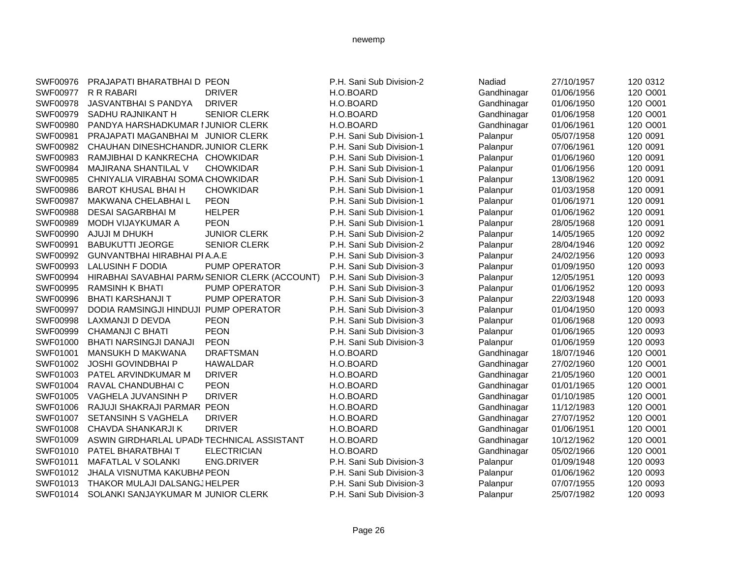| SWF00976 | PRAJAPATI BHARATBHAI D PEON                |                                               | P.H. Sani Sub Division-2 | Nadiad      | 27/10/1957 | 120 0312 |
|----------|--------------------------------------------|-----------------------------------------------|--------------------------|-------------|------------|----------|
| SWF00977 | R R RABARI                                 | <b>DRIVER</b>                                 | H.O.BOARD                | Gandhinagar | 01/06/1956 | 120 O001 |
| SWF00978 | JASVANTBHAI S PANDYA                       | <b>DRIVER</b>                                 | H.O.BOARD                | Gandhinagar | 01/06/1950 | 120 O001 |
| SWF00979 | SADHU RAJNIKANT H                          | <b>SENIOR CLERK</b>                           | H.O.BOARD                | Gandhinagar | 01/06/1958 | 120 O001 |
| SWF00980 | PANDYA HARSHADKUMAR I JUNIOR CLERK         |                                               | H.O.BOARD                | Gandhinagar | 01/06/1961 | 120 O001 |
| SWF00981 | PRAJAPATI MAGANBHAI M JUNIOR CLERK         |                                               | P.H. Sani Sub Division-1 | Palanpur    | 05/07/1958 | 120 0091 |
| SWF00982 | CHAUHAN DINESHCHANDR, JUNIOR CLERK         |                                               | P.H. Sani Sub Division-1 | Palanpur    | 07/06/1961 | 120 0091 |
| SWF00983 | RAMJIBHAI D KANKRECHA CHOWKIDAR            |                                               | P.H. Sani Sub Division-1 | Palanpur    | 01/06/1960 | 120 0091 |
| SWF00984 | <b>MAJIRANA SHANTILAL V</b>                | <b>CHOWKIDAR</b>                              | P.H. Sani Sub Division-1 | Palanpur    | 01/06/1956 | 120 0091 |
| SWF00985 | CHNIYALIA VIRABHAI SOMA CHOWKIDAR          |                                               | P.H. Sani Sub Division-1 | Palanpur    | 13/08/1962 | 120 0091 |
| SWF00986 | <b>BAROT KHUSAL BHAI H</b>                 | <b>CHOWKIDAR</b>                              | P.H. Sani Sub Division-1 | Palanpur    | 01/03/1958 | 120 0091 |
| SWF00987 | MAKWANA CHELABHAI L                        | <b>PEON</b>                                   | P.H. Sani Sub Division-1 | Palanpur    | 01/06/1971 | 120 0091 |
| SWF00988 | <b>DESAI SAGARBHAI M</b>                   | <b>HELPER</b>                                 | P.H. Sani Sub Division-1 | Palanpur    | 01/06/1962 | 120 0091 |
| SWF00989 | MODH VIJAYKUMAR A                          | <b>PEON</b>                                   | P.H. Sani Sub Division-1 | Palanpur    | 28/05/1968 | 120 0091 |
| SWF00990 | AJUJI M DHUKH                              | <b>JUNIOR CLERK</b>                           | P.H. Sani Sub Division-2 | Palanpur    | 14/05/1965 | 120 0092 |
| SWF00991 | <b>BABUKUTTI JEORGE</b>                    | <b>SENIOR CLERK</b>                           | P.H. Sani Sub Division-2 | Palanpur    | 28/04/1946 | 120 0092 |
| SWF00992 | <b>GUNVANTBHAI HIRABHAI PI A.A.E</b>       |                                               | P.H. Sani Sub Division-3 | Palanpur    | 24/02/1956 | 120 0093 |
| SWF00993 | LALUSINH F DODIA                           | PUMP OPERATOR                                 | P.H. Sani Sub Division-3 | Palanpur    | 01/09/1950 | 120 0093 |
| SWF00994 |                                            | HIRABHAI SAVABHAI PARM/SENIOR CLERK (ACCOUNT) | P.H. Sani Sub Division-3 | Palanpur    | 12/05/1951 | 120 0093 |
| SWF00995 | <b>RAMSINH K BHATI</b>                     | PUMP OPERATOR                                 | P.H. Sani Sub Division-3 | Palanpur    | 01/06/1952 | 120 0093 |
| SWF00996 | <b>BHATI KARSHANJI T</b>                   | PUMP OPERATOR                                 | P.H. Sani Sub Division-3 | Palanpur    | 22/03/1948 | 120 0093 |
| SWF00997 | DODIA RAMSINGJI HINDUJI PUMP OPERATOR      |                                               | P.H. Sani Sub Division-3 | Palanpur    | 01/04/1950 | 120 0093 |
| SWF00998 | LAXMANJI D DEVDA                           | <b>PEON</b>                                   | P.H. Sani Sub Division-3 | Palanpur    | 01/06/1968 | 120 0093 |
| SWF00999 | <b>CHAMANJI C BHATI</b>                    | <b>PEON</b>                                   | P.H. Sani Sub Division-3 | Palanpur    | 01/06/1965 | 120 0093 |
| SWF01000 | <b>BHATI NARSINGJI DANAJI</b>              | <b>PEON</b>                                   | P.H. Sani Sub Division-3 | Palanpur    | 01/06/1959 | 120 0093 |
| SWF01001 | MANSUKH D MAKWANA                          | <b>DRAFTSMAN</b>                              | H.O.BOARD                | Gandhinagar | 18/07/1946 | 120 O001 |
| SWF01002 | <b>JOSHI GOVINDBHAI P</b>                  | <b>HAWALDAR</b>                               | H.O.BOARD                | Gandhinagar | 27/02/1960 | 120 O001 |
| SWF01003 | PATEL ARVINDKUMAR M                        | <b>DRIVER</b>                                 | H.O.BOARD                | Gandhinagar | 21/05/1960 | 120 O001 |
| SWF01004 | RAVAL CHANDUBHAI C                         | <b>PEON</b>                                   | H.O.BOARD                | Gandhinagar | 01/01/1965 | 120 O001 |
| SWF01005 | VAGHELA JUVANSINH P                        | <b>DRIVER</b>                                 | H.O.BOARD                | Gandhinagar | 01/10/1985 | 120 O001 |
| SWF01006 | RAJUJI SHAKRAJI PARMAR PEON                |                                               | H.O.BOARD                | Gandhinagar | 11/12/1983 | 120 O001 |
| SWF01007 | SETANSINH S VAGHELA                        | <b>DRIVER</b>                                 | H.O.BOARD                | Gandhinagar | 27/07/1952 | 120 O001 |
| SWF01008 | CHAVDA SHANKARJI K                         | <b>DRIVER</b>                                 | H.O.BOARD                | Gandhinagar | 01/06/1951 | 120 O001 |
| SWF01009 | ASWIN GIRDHARLAL UPADI TECHNICAL ASSISTANT |                                               | H.O.BOARD                | Gandhinagar | 10/12/1962 | 120 O001 |
| SWF01010 | PATEL BHARATBHAIT                          | <b>ELECTRICIAN</b>                            | H.O.BOARD                | Gandhinagar | 05/02/1966 | 120 O001 |
| SWF01011 | <b>MAFATLAL V SOLANKI</b>                  | <b>ENG.DRIVER</b>                             | P.H. Sani Sub Division-3 | Palanpur    | 01/09/1948 | 120 0093 |
| SWF01012 | JHALA VISNUTMA KAKUBHA PEON                |                                               | P.H. Sani Sub Division-3 | Palanpur    | 01/06/1962 | 120 0093 |
| SWF01013 | THAKOR MULAJI DALSANGJHELPER               |                                               | P.H. Sani Sub Division-3 | Palanpur    | 07/07/1955 | 120 0093 |
| SWF01014 | SOLANKI SANJAYKUMAR M JUNIOR CLERK         |                                               | P.H. Sani Sub Division-3 | Palanpur    | 25/07/1982 | 120 0093 |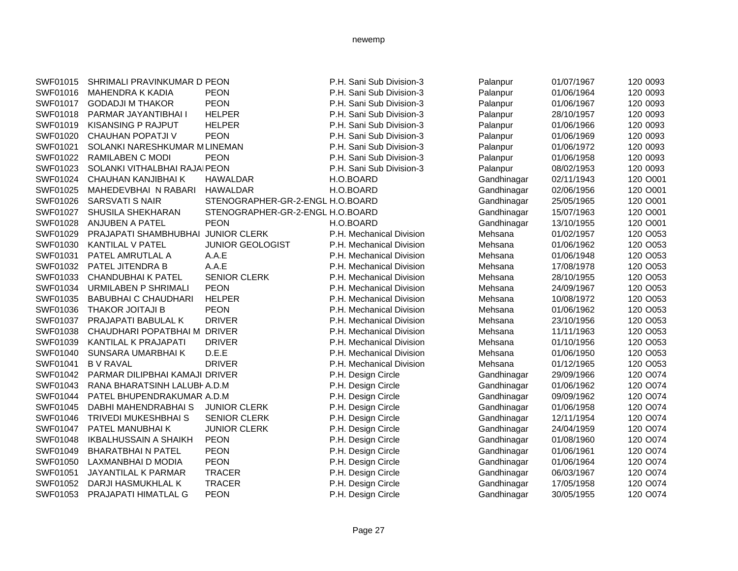| SWF01015 | SHRIMALI PRAVINKUMAR D PEON        |                                  | P.H. Sani Sub Division-3 | Palanpur    | 01/07/1967 | 120 0093 |
|----------|------------------------------------|----------------------------------|--------------------------|-------------|------------|----------|
| SWF01016 | <b>MAHENDRA K KADIA</b>            | <b>PEON</b>                      | P.H. Sani Sub Division-3 | Palanpur    | 01/06/1964 | 120 0093 |
| SWF01017 | <b>GODADJI M THAKOR</b>            | <b>PEON</b>                      | P.H. Sani Sub Division-3 | Palanpur    | 01/06/1967 | 120 0093 |
| SWF01018 | PARMAR JAYANTIBHAI I               | <b>HELPER</b>                    | P.H. Sani Sub Division-3 | Palanpur    | 28/10/1957 | 120 0093 |
| SWF01019 | <b>KISANSING P RAJPUT</b>          | <b>HELPER</b>                    | P.H. Sani Sub Division-3 | Palanpur    | 01/06/1966 | 120 0093 |
| SWF01020 | <b>CHAUHAN POPATJI V</b>           | <b>PEON</b>                      | P.H. Sani Sub Division-3 | Palanpur    | 01/06/1969 | 120 0093 |
| SWF01021 | SOLANKI NARESHKUMAR MLINEMAN       |                                  | P.H. Sani Sub Division-3 | Palanpur    | 01/06/1972 | 120 0093 |
| SWF01022 | RAMILABEN C MODI                   | <b>PEON</b>                      | P.H. Sani Sub Division-3 | Palanpur    | 01/06/1958 | 120 0093 |
| SWF01023 | SOLANKI VITHALBHAI RAJAIPEON       |                                  | P.H. Sani Sub Division-3 | Palanpur    | 08/02/1953 | 120 0093 |
| SWF01024 | CHAUHAN KANJIBHAI K                | <b>HAWALDAR</b>                  | H.O.BOARD                | Gandhinagar | 02/11/1943 | 120 O001 |
| SWF01025 | MAHEDEVBHAI N RABARI               | <b>HAWALDAR</b>                  | H.O.BOARD                | Gandhinagar | 02/06/1956 | 120 O001 |
| SWF01026 | <b>SARSVATI S NAIR</b>             | STENOGRAPHER-GR-2-ENGL H.O.BOARD |                          | Gandhinagar | 25/05/1965 | 120 O001 |
| SWF01027 | SHUSILA SHEKHARAN                  | STENOGRAPHER-GR-2-ENGL H.O.BOARD |                          | Gandhinagar | 15/07/1963 | 120 O001 |
| SWF01028 | ANJUBEN A PATEL                    | <b>PEON</b>                      | H.O.BOARD                | Gandhinagar | 13/10/1955 | 120 O001 |
| SWF01029 | PRAJAPATI SHAMBHUBHAI JUNIOR CLERK |                                  | P.H. Mechanical Division | Mehsana     | 01/02/1957 | 120 O053 |
| SWF01030 | KANTILAL V PATEL                   | <b>JUNIOR GEOLOGIST</b>          | P.H. Mechanical Division | Mehsana     | 01/06/1962 | 120 O053 |
| SWF01031 | PATEL AMRUTLAL A                   | A.A.E                            | P.H. Mechanical Division | Mehsana     | 01/06/1948 | 120 O053 |
| SWF01032 | PATEL JITENDRA B                   | A.A.E                            | P.H. Mechanical Division | Mehsana     | 17/08/1978 | 120 O053 |
| SWF01033 | CHANDUBHAI K PATEL                 | <b>SENIOR CLERK</b>              | P.H. Mechanical Division | Mehsana     | 28/10/1955 | 120 O053 |
| SWF01034 | <b>URMILABEN P SHRIMALI</b>        | <b>PEON</b>                      | P.H. Mechanical Division | Mehsana     | 24/09/1967 | 120 O053 |
| SWF01035 | <b>BABUBHAI C CHAUDHARI</b>        | <b>HELPER</b>                    | P.H. Mechanical Division | Mehsana     | 10/08/1972 | 120 O053 |
| SWF01036 | <b>THAKOR JOITAJI B</b>            | <b>PEON</b>                      | P.H. Mechanical Division | Mehsana     | 01/06/1962 | 120 O053 |
| SWF01037 | PRAJAPATI BABULAL K                | <b>DRIVER</b>                    | P.H. Mechanical Division | Mehsana     | 23/10/1956 | 120 O053 |
| SWF01038 | CHAUDHARI POPATBHAI M DRIVER       |                                  | P.H. Mechanical Division | Mehsana     | 11/11/1963 | 120 O053 |
| SWF01039 | KANTILAL K PRAJAPATI               | <b>DRIVER</b>                    | P.H. Mechanical Division | Mehsana     | 01/10/1956 | 120 O053 |
| SWF01040 | SUNSARA UMARBHAI K                 | D.E.E                            | P.H. Mechanical Division | Mehsana     | 01/06/1950 | 120 O053 |
| SWF01041 | <b>BV RAVAL</b>                    | <b>DRIVER</b>                    | P.H. Mechanical Division | Mehsana     | 01/12/1965 | 120 O053 |
| SWF01042 | PARMAR DILIPBHAI KAMAJI DRIVER     |                                  | P.H. Design Circle       | Gandhinagar | 29/09/1966 | 120 O074 |
| SWF01043 | RANA BHARATSINH LALUBHA.D.M        |                                  | P.H. Design Circle       | Gandhinagar | 01/06/1962 | 120 O074 |
| SWF01044 | PATEL BHUPENDRAKUMAR A.D.M         |                                  | P.H. Design Circle       | Gandhinagar | 09/09/1962 | 120 O074 |
| SWF01045 | DABHI MAHENDRABHAI S               | <b>JUNIOR CLERK</b>              | P.H. Design Circle       | Gandhinagar | 01/06/1958 | 120 O074 |
| SWF01046 | <b>TRIVEDI MUKESHBHAI S</b>        | <b>SENIOR CLERK</b>              | P.H. Design Circle       | Gandhinagar | 12/11/1954 | 120 O074 |
| SWF01047 | PATEL MANUBHAI K                   | <b>JUNIOR CLERK</b>              | P.H. Design Circle       | Gandhinagar | 24/04/1959 | 120 O074 |
| SWF01048 | <b>IKBALHUSSAIN A SHAIKH</b>       | <b>PEON</b>                      | P.H. Design Circle       | Gandhinagar | 01/08/1960 | 120 O074 |
| SWF01049 | <b>BHARATBHAIN PATEL</b>           | <b>PEON</b>                      | P.H. Design Circle       | Gandhinagar | 01/06/1961 | 120 O074 |
| SWF01050 | LAXMANBHAI D MODIA                 | <b>PEON</b>                      | P.H. Design Circle       | Gandhinagar | 01/06/1964 | 120 O074 |
| SWF01051 | JAYANTILAL K PARMAR                | <b>TRACER</b>                    | P.H. Design Circle       | Gandhinagar | 06/03/1967 | 120 O074 |
| SWF01052 | DARJI HASMUKHLAL K                 | <b>TRACER</b>                    | P.H. Design Circle       | Gandhinagar | 17/05/1958 | 120 O074 |
| SWF01053 | <b>PRAJAPATI HIMATLAL G</b>        | <b>PEON</b>                      | P.H. Design Circle       | Gandhinagar | 30/05/1955 | 120 O074 |
|          |                                    |                                  |                          |             |            |          |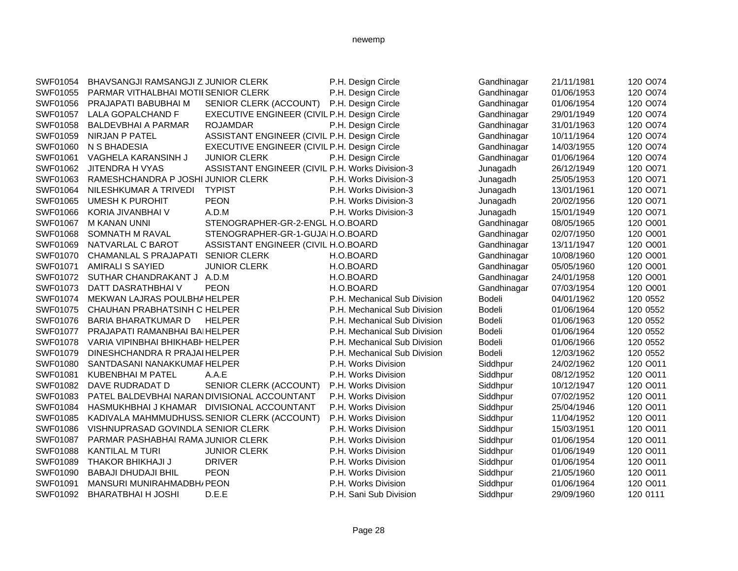| SWF01054        | BHAVSANGJI RAMSANGJI Z JUNIOR CLERK          |                                                 | P.H. Design Circle           | Gandhinagar   | 21/11/1981 | 120 O074 |
|-----------------|----------------------------------------------|-------------------------------------------------|------------------------------|---------------|------------|----------|
| SWF01055        | PARMAR VITHALBHAI MOTII SENIOR CLERK         |                                                 | P.H. Design Circle           | Gandhinagar   | 01/06/1953 | 120 O074 |
| SWF01056        | PRAJAPATI BABUBHAI M                         | SENIOR CLERK (ACCOUNT) P.H. Design Circle       |                              | Gandhinagar   | 01/06/1954 | 120 O074 |
| SWF01057        | LALA GOPALCHAND F                            | EXECUTIVE ENGINEER (CIVIL P.H. Design Circle    |                              | Gandhinagar   | 29/01/1949 | 120 O074 |
| SWF01058        | <b>BALDEVBHAI A PARMAR</b>                   | <b>ROJAMDAR</b>                                 | P.H. Design Circle           | Gandhinagar   | 31/01/1963 | 120 O074 |
| SWF01059        | <b>NIRJAN P PATEL</b>                        | ASSISTANT ENGINEER (CIVIL P.H. Design Circle    |                              | Gandhinagar   | 10/11/1964 | 120 O074 |
| SWF01060        | N S BHADESIA                                 | EXECUTIVE ENGINEER (CIVIL P.H. Design Circle    |                              | Gandhinagar   | 14/03/1955 | 120 O074 |
| SWF01061        | VAGHELA KARANSINH J                          | <b>JUNIOR CLERK</b>                             | P.H. Design Circle           | Gandhinagar   | 01/06/1964 | 120 O074 |
| SWF01062        | JITENDRA H VYAS                              | ASSISTANT ENGINEER (CIVIL P.H. Works Division-3 |                              | Junagadh      | 26/12/1949 | 120 O071 |
| SWF01063        | RAMESHCHANDRA P JOSHI JUNIOR CLERK           |                                                 | P.H. Works Division-3        | Junagadh      | 25/05/1953 | 120 O071 |
| SWF01064        | NILESHKUMAR A TRIVEDI                        | <b>TYPIST</b>                                   | P.H. Works Division-3        | Junagadh      | 13/01/1961 | 120 O071 |
| SWF01065        | <b>UMESH K PUROHIT</b>                       | <b>PEON</b>                                     | P.H. Works Division-3        | Junagadh      | 20/02/1956 | 120 O071 |
| SWF01066        | KORIA JIVANBHAI V                            | A.D.M                                           | P.H. Works Division-3        | Junagadh      | 15/01/1949 | 120 O071 |
| SWF01067        | M KANAN UNNI                                 | STENOGRAPHER-GR-2-ENGL H.O.BOARD                |                              | Gandhinagar   | 08/05/1965 | 120 O001 |
| SWF01068        | SOMNATH M RAVAL                              | STENOGRAPHER-GR-1-GUJAIH.O.BOARD                |                              | Gandhinagar   | 02/07/1950 | 120 O001 |
| SWF01069        | NATVARLAL C BAROT                            | ASSISTANT ENGINEER (CIVIL H.O.BOARD             |                              | Gandhinagar   | 13/11/1947 | 120 O001 |
| SWF01070        | CHAMANLAL S PRAJAPATI                        | <b>SENIOR CLERK</b>                             | H.O.BOARD                    | Gandhinagar   | 10/08/1960 | 120 O001 |
| SWF01071        | <b>AMIRALI S SAYIED</b>                      | <b>JUNIOR CLERK</b>                             | H.O.BOARD                    | Gandhinagar   | 05/05/1960 | 120 O001 |
| SWF01072        | SUTHAR CHANDRAKANT J A.D.M                   |                                                 | H.O.BOARD                    | Gandhinagar   | 24/01/1958 | 120 O001 |
| SWF01073        | DATT DASRATHBHAI V                           | <b>PEON</b>                                     | H.O.BOARD                    | Gandhinagar   | 07/03/1954 | 120 O001 |
| SWF01074        | MEKWAN LAJRAS POULBHAHELPER                  |                                                 | P.H. Mechanical Sub Division | Bodeli        | 04/01/1962 | 120 0552 |
| SWF01075        | CHAUHAN PRABHATSINH C HELPER                 |                                                 | P.H. Mechanical Sub Division | Bodeli        | 01/06/1964 | 120 0552 |
| SWF01076        | <b>BARIA BHARATKUMAR D</b>                   | <b>HELPER</b>                                   | P.H. Mechanical Sub Division | <b>Bodeli</b> | 01/06/1963 | 120 0552 |
| <b>SWF01077</b> | PRAJAPATI RAMANBHAI BAIHELPER                |                                                 | P.H. Mechanical Sub Division | Bodeli        | 01/06/1964 | 120 0552 |
| SWF01078        | VARIA VIPINBHAI BHIKHABH HELPER              |                                                 | P.H. Mechanical Sub Division | Bodeli        | 01/06/1966 | 120 0552 |
| SWF01079        | DINESHCHANDRA R PRAJAIHELPER                 |                                                 | P.H. Mechanical Sub Division | <b>Bodeli</b> | 12/03/1962 | 120 0552 |
| SWF01080        | SANTDASANI NANAKKUMAF HELPER                 |                                                 | P.H. Works Division          | Siddhpur      | 24/02/1962 | 120 O011 |
| SWF01081        | <b>KUBENBHAI M PATEL</b>                     | A.A.E                                           | P.H. Works Division          | Siddhpur      | 08/12/1952 | 120 O011 |
| SWF01082        | DAVE RUDRADAT D                              | SENIOR CLERK (ACCOUNT)                          | P.H. Works Division          | Siddhpur      | 10/12/1947 | 120 O011 |
| SWF01083        | PATEL BALDEVBHAI NARAN DIVISIONAL ACCOUNTANT |                                                 | P.H. Works Division          | Siddhpur      | 07/02/1952 | 120 O011 |
| SWF01084        | HASMUKHBHAI J KHAMAR DIVISIONAL ACCOUNTANT   |                                                 | P.H. Works Division          | Siddhpur      | 25/04/1946 | 120 O011 |
| SWF01085        |                                              | KADIVALA MAHMMUDHUSS, SENIOR CLERK (ACCOUNT)    | P.H. Works Division          | Siddhpur      | 11/04/1952 | 120 O011 |
| SWF01086        | VISHNUPRASAD GOVINDLA SENIOR CLERK           |                                                 | P.H. Works Division          | Siddhpur      | 15/03/1951 | 120 O011 |
| SWF01087        | PARMAR PASHABHAI RAMA JUNIOR CLERK           |                                                 | P.H. Works Division          | Siddhpur      | 01/06/1954 | 120 O011 |
| SWF01088        | <b>KANTILAL M TURI</b>                       | <b>JUNIOR CLERK</b>                             | P.H. Works Division          | Siddhpur      | 01/06/1949 | 120 O011 |
| SWF01089        | THAKOR BHIKHAJI J                            | <b>DRIVER</b>                                   | P.H. Works Division          | Siddhpur      | 01/06/1954 | 120 O011 |
| SWF01090        | <b>BABAJI DHUDAJI BHIL</b>                   | <b>PEON</b>                                     | P.H. Works Division          | Siddhpur      | 21/05/1960 | 120 O011 |
| SWF01091        | MANSURI MUNIRAHMADBH/ PEON                   |                                                 | P.H. Works Division          | Siddhpur      | 01/06/1964 | 120 O011 |
| SWF01092        | <b>BHARATBHAI H JOSHI</b>                    | D.E.E                                           | P.H. Sani Sub Division       | Siddhpur      | 29/09/1960 | 120 0111 |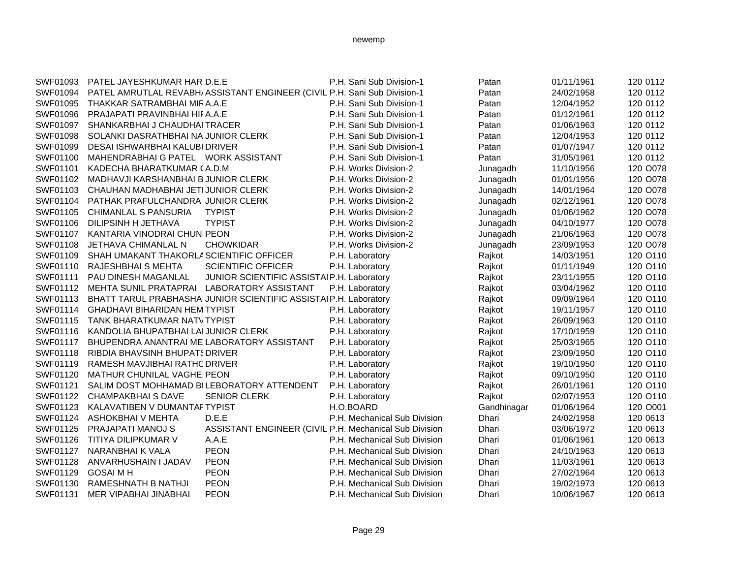| SWF01093 | PATEL JAYESHKUMAR HAR D.E.E                         |                                                                           | P.H. Sani Sub Division-1     | Patan       | 01/11/1961 | 120 0112 |
|----------|-----------------------------------------------------|---------------------------------------------------------------------------|------------------------------|-------------|------------|----------|
| SWF01094 |                                                     | PATEL AMRUTLAL REVABH/ ASSISTANT ENGINEER (CIVIL P.H. Sani Sub Division-1 |                              | Patan       | 24/02/1958 | 120 0112 |
| SWF01095 | THAKKAR SATRAMBHAI MIRA.A.E                         |                                                                           | P.H. Sani Sub Division-1     | Patan       | 12/04/1952 | 120 0112 |
| SWF01096 | PRAJAPATI PRAVINBHAI HIFA.A.E                       |                                                                           | P.H. Sani Sub Division-1     | Patan       | 01/12/1961 | 120 0112 |
| SWF01097 | SHANKARBHAI J CHAUDHAI TRACER                       |                                                                           | P.H. Sani Sub Division-1     | Patan       | 01/06/1963 | 120 0112 |
| SWF01098 | SOLANKI DASRATHBHAI NA JUNIOR CLERK                 |                                                                           | P.H. Sani Sub Division-1     | Patan       | 12/04/1953 | 120 0112 |
| SWF01099 | DESAI ISHWARBHAI KALUBI DRIVER                      |                                                                           | P.H. Sani Sub Division-1     | Patan       | 01/07/1947 | 120 0112 |
| SWF01100 | MAHENDRABHAI G PATEL WORK ASSISTANT                 |                                                                           | P.H. Sani Sub Division-1     | Patan       | 31/05/1961 | 120 0112 |
| SWF01101 | KADECHA BHARATKUMAR (A.D.M                          |                                                                           | P.H. Works Division-2        | Junagadh    | 11/10/1956 | 120 O078 |
| SWF01102 | MADHAVJI KARSHANBHAI B JUNIOR CLERK                 |                                                                           | P.H. Works Division-2        | Junagadh    | 01/01/1956 | 120 O078 |
| SWF01103 | CHAUHAN MADHABHAI JETI JUNIOR CLERK                 |                                                                           | P.H. Works Division-2        | Junagadh    | 14/01/1964 | 120 O078 |
| SWF01104 | PATHAK PRAFULCHANDRA JUNIOR CLERK                   |                                                                           | P.H. Works Division-2        | Junagadh    | 02/12/1961 | 120 O078 |
| SWF01105 | <b>CHIMANLAL S PANSURIA</b>                         | <b>TYPIST</b>                                                             | P.H. Works Division-2        | Junagadh    | 01/06/1962 | 120 O078 |
| SWF01106 | DILIPSINH H JETHAVA                                 | <b>TYPIST</b>                                                             | P.H. Works Division-2        | Junagadh    | 04/10/1977 | 120 O078 |
| SWF01107 | KANTARIA VINODRAI CHUNIPEON                         |                                                                           | P.H. Works Division-2        | Junagadh    | 21/06/1963 | 120 O078 |
| SWF01108 | JETHAVA CHIMANLAL N                                 | <b>CHOWKIDAR</b>                                                          | P.H. Works Division-2        | Junagadh    | 23/09/1953 | 120 O078 |
| SWF01109 | SHAH UMAKANT THAKORLA SCIENTIFIC OFFICER            |                                                                           | P.H. Laboratory              | Rajkot      | 14/03/1951 | 120 O110 |
| SWF01110 | RAJESHBHAI S MEHTA                                  | <b>SCIENTIFIC OFFICER</b>                                                 | P.H. Laboratory              | Rajkot      | 01/11/1949 | 120 O110 |
| SWF01111 | PAU DINESH MAGANLAL                                 | JUNIOR SCIENTIFIC ASSISTAIP.H. Laboratory                                 |                              | Rajkot      | 23/11/1955 | 120 O110 |
|          | SWF01112 MEHTA SUNIL PRATAPRAI LABORATORY ASSISTANT |                                                                           | P.H. Laboratory              | Rajkot      | 03/04/1962 | 120 O110 |
| SWF01113 |                                                     | BHATT TARUL PRABHASHAI JUNIOR SCIENTIFIC ASSISTAI P.H. Laboratory         |                              | Rajkot      | 09/09/1964 | 120 O110 |
|          | SWF01114 GHADHAVI BIHARIDAN HEM TYPIST              |                                                                           | P.H. Laboratory              | Rajkot      | 19/11/1957 | 120 O110 |
| SWF01115 | TANK BHARATKUMAR NATV TYPIST                        |                                                                           | P.H. Laboratory              | Rajkot      | 26/09/1963 | 120 O110 |
| SWF01116 | KANDOLIA BHUPATBHAI LAI JUNIOR CLERK                |                                                                           | P.H. Laboratory              | Rajkot      | 17/10/1959 | 120 O110 |
| SWF01117 | BHUPENDRA ANANTRAI ME LABORATORY ASSISTANT          |                                                                           | P.H. Laboratory              | Rajkot      | 25/03/1965 | 120 O110 |
| SWF01118 | <b>RIBDIA BHAVSINH BHUPATS DRIVER</b>               |                                                                           | P.H. Laboratory              | Rajkot      | 23/09/1950 | 120 O110 |
| SWF01119 | RAMESH MAVJIBHAI RATHC DRIVER                       |                                                                           | P.H. Laboratory              | Rajkot      | 19/10/1950 | 120 O110 |
| SWF01120 | MATHUR CHUNILAL VAGHEIPEON                          |                                                                           | P.H. Laboratory              | Rajkot      | 09/10/1950 | 120 O110 |
| SWF01121 | SALIM DOST MOHHAMAD BILEBORATORY ATTENDENT          |                                                                           | P.H. Laboratory              | Rajkot      | 26/01/1961 | 120 O110 |
|          | SWF01122 CHAMPAKBHAISDAVE                           | <b>SENIOR CLERK</b>                                                       | P.H. Laboratory              | Rajkot      | 02/07/1953 | 120 O110 |
| SWF01123 | KALAVATIBEN V DUMANTAFTYPIST                        |                                                                           | H.O.BOARD                    | Gandhinagar | 01/06/1964 | 120 O001 |
|          | SWF01124 ASHOKBHAI V MEHTA                          | D.E.E                                                                     | P.H. Mechanical Sub Division | Dhari       | 24/02/1958 | 120 0613 |
| SWF01125 | PRAJAPATI MANOJ S                                   | ASSISTANT ENGINEER (CIVIL P.H. Mechanical Sub Division                    |                              | Dhari       | 03/06/1972 | 120 0613 |
| SWF01126 | TITIYA DILIPKUMAR V                                 | A.A.E                                                                     | P.H. Mechanical Sub Division | Dhari       | 01/06/1961 | 120 0613 |
| SWF01127 | NARANBHAI K VALA                                    | <b>PEON</b>                                                               | P.H. Mechanical Sub Division | Dhari       | 24/10/1963 | 120 0613 |
| SWF01128 | ANVARHUSHAIN I JADAV                                | <b>PEON</b>                                                               | P.H. Mechanical Sub Division | Dhari       | 11/03/1961 | 120 0613 |
| SWF01129 | <b>GOSAI M H</b>                                    | <b>PEON</b>                                                               | P.H. Mechanical Sub Division | Dhari       | 27/02/1964 | 120 0613 |
| SWF01130 | RAMESHNATH B NATHJI                                 | <b>PEON</b>                                                               | P.H. Mechanical Sub Division | Dhari       | 19/02/1973 | 120 0613 |
| SWF01131 | MER VIPABHAI JINABHAI                               | <b>PEON</b>                                                               | P.H. Mechanical Sub Division | Dhari       | 10/06/1967 | 120 0613 |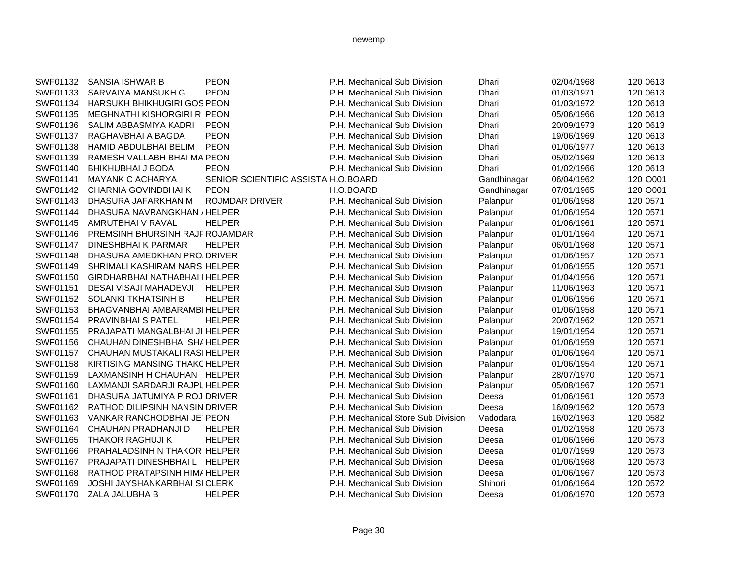| SWF01132 | SANSIA ISHWAR B                       | <b>PEON</b>                         | P.H. Mechanical Sub Division       | Dhari        | 02/04/1968 | 120 0613 |
|----------|---------------------------------------|-------------------------------------|------------------------------------|--------------|------------|----------|
| SWF01133 | SARVAIYA MANSUKH G                    | <b>PEON</b>                         | P.H. Mechanical Sub Division       | Dhari        | 01/03/1971 | 120 0613 |
| SWF01134 | <b>HARSUKH BHIKHUGIRI GOS PEON</b>    |                                     | P.H. Mechanical Sub Division       | <b>Dhari</b> | 01/03/1972 | 120 0613 |
| SWF01135 | MEGHNATHI KISHORGIRI R PEON           |                                     | P.H. Mechanical Sub Division       | Dhari        | 05/06/1966 | 120 0613 |
| SWF01136 | SALIM ABBASMIYA KADRI                 | <b>PEON</b>                         | P.H. Mechanical Sub Division       | Dhari        | 20/09/1973 | 120 0613 |
| SWF01137 | RAGHAVBHAI A BAGDA                    | <b>PEON</b>                         | P.H. Mechanical Sub Division       | Dhari        | 19/06/1969 | 120 0613 |
| SWF01138 | HAMID ABDULBHAI BELIM                 | <b>PEON</b>                         | P.H. Mechanical Sub Division       | Dhari        | 01/06/1977 | 120 0613 |
| SWF01139 | RAMESH VALLABH BHAI MA PEON           |                                     | P.H. Mechanical Sub Division       | Dhari        | 05/02/1969 | 120 0613 |
| SWF01140 | <b>BHIKHUBHAI J BODA</b>              | <b>PEON</b>                         | P.H. Mechanical Sub Division       | Dhari        | 01/02/1966 | 120 0613 |
| SWF01141 | <b>MAYANK C ACHARYA</b>               | SENIOR SCIENTIFIC ASSISTA H.O.BOARD |                                    | Gandhinagar  | 06/04/1962 | 120 O001 |
| SWF01142 | CHARNIA GOVINDBHAI K                  | <b>PEON</b>                         | H.O.BOARD                          | Gandhinagar  | 07/01/1965 | 120 O001 |
| SWF01143 | DHASURA JAFARKHAN M                   | <b>ROJMDAR DRIVER</b>               | P.H. Mechanical Sub Division       | Palanpur     | 01/06/1958 | 120 0571 |
| SWF01144 | DHASURA NAVRANGKHAN / HELPER          |                                     | P.H. Mechanical Sub Division       | Palanpur     | 01/06/1954 | 120 0571 |
| SWF01145 | AMRUTBHAI V RAVAL                     | <b>HELPER</b>                       | P.H. Mechanical Sub Division       | Palanpur     | 01/06/1961 | 120 0571 |
| SWF01146 | PREMSINH BHURSINH RAJF ROJAMDAR       |                                     | P.H. Mechanical Sub Division       | Palanpur     | 01/01/1964 | 120 0571 |
| SWF01147 | DINESHBHAI K PARMAR                   | <b>HELPER</b>                       | P.H. Mechanical Sub Division       | Palanpur     | 06/01/1968 | 120 0571 |
| SWF01148 | DHASURA AMEDKHAN PRO DRIVER           |                                     | P.H. Mechanical Sub Division       | Palanpur     | 01/06/1957 | 120 0571 |
| SWF01149 | SHRIMALI KASHIRAM NARSIHELPER         |                                     | P.H. Mechanical Sub Division       | Palanpur     | 01/06/1955 | 120 0571 |
| SWF01150 | <b>GIRDHARBHAI NATHABHAI I HELPER</b> |                                     | P.H. Mechanical Sub Division       | Palanpur     | 01/04/1956 | 120 0571 |
| SWF01151 | DESAI VISAJI MAHADEVJI                | <b>HELPER</b>                       | P.H. Mechanical Sub Division       | Palanpur     | 11/06/1963 | 120 0571 |
| SWF01152 | <b>SOLANKI TKHATSINH B</b>            | <b>HELPER</b>                       | P.H. Mechanical Sub Division       | Palanpur     | 01/06/1956 | 120 0571 |
| SWF01153 | BHAGVANBHAI AMBARAMBIHELPER           |                                     | P.H. Mechanical Sub Division       | Palanpur     | 01/06/1958 | 120 0571 |
| SWF01154 | <b>PRAVINBHAI S PATEL</b>             | <b>HELPER</b>                       | P.H. Mechanical Sub Division       | Palanpur     | 20/07/1962 | 120 0571 |
| SWF01155 | PRAJAPATI MANGALBHAI JI HELPER        |                                     | P.H. Mechanical Sub Division       | Palanpur     | 19/01/1954 | 120 0571 |
| SWF01156 | CHAUHAN DINESHBHAI SHAHELPER          |                                     | P.H. Mechanical Sub Division       | Palanpur     | 01/06/1959 | 120 0571 |
| SWF01157 | CHAUHAN MUSTAKALI RASIHELPER          |                                     | P.H. Mechanical Sub Division       | Palanpur     | 01/06/1964 | 120 0571 |
| SWF01158 | KIRTISING MANSING THAKCHELPER         |                                     | P.H. Mechanical Sub Division       | Palanpur     | 01/06/1954 | 120 0571 |
| SWF01159 | LAXMANSINH H CHAUHAN HELPER           |                                     | P.H. Mechanical Sub Division       | Palanpur     | 28/07/1970 | 120 0571 |
| SWF01160 | LAXMANJI SARDARJI RAJPL HELPER        |                                     | P.H. Mechanical Sub Division       | Palanpur     | 05/08/1967 | 120 0571 |
| SWF01161 | DHASURA JATUMIYA PIROJ DRIVER         |                                     | P.H. Mechanical Sub Division       | Deesa        | 01/06/1961 | 120 0573 |
| SWF01162 | RATHOD DILIPSINH NANSIN DRIVER        |                                     | P.H. Mechanical Sub Division       | Deesa        | 16/09/1962 | 120 0573 |
| SWF01163 | VANKAR RANCHODBHAI JE PEON            |                                     | P.H. Mechanical Store Sub Division | Vadodara     | 16/02/1963 | 120 0582 |
| SWF01164 | CHAUHAN PRADHANJI D                   | <b>HELPER</b>                       | P.H. Mechanical Sub Division       | Deesa        | 01/02/1958 | 120 0573 |
| SWF01165 | <b>THAKOR RAGHUJI K</b>               | <b>HELPER</b>                       | P.H. Mechanical Sub Division       | Deesa        | 01/06/1966 | 120 0573 |
| SWF01166 | PRAHALADSINH N THAKOR HELPER          |                                     | P.H. Mechanical Sub Division       | Deesa        | 01/07/1959 | 120 0573 |
| SWF01167 | PRAJAPATI DINESHBHAI L HELPER         |                                     | P.H. Mechanical Sub Division       | Deesa        | 01/06/1968 | 120 0573 |
| SWF01168 | RATHOD PRATAPSINH HIMAHELPER          |                                     | P.H. Mechanical Sub Division       | Deesa        | 01/06/1967 | 120 0573 |
| SWF01169 | <b>JOSHI JAYSHANKARBHAI SI CLERK</b>  |                                     | P.H. Mechanical Sub Division       | Shihori      | 01/06/1964 | 120 0572 |
|          | SWF01170 ZALA JALUBHA B               | <b>HELPER</b>                       | P.H. Mechanical Sub Division       | Deesa        | 01/06/1970 | 120 0573 |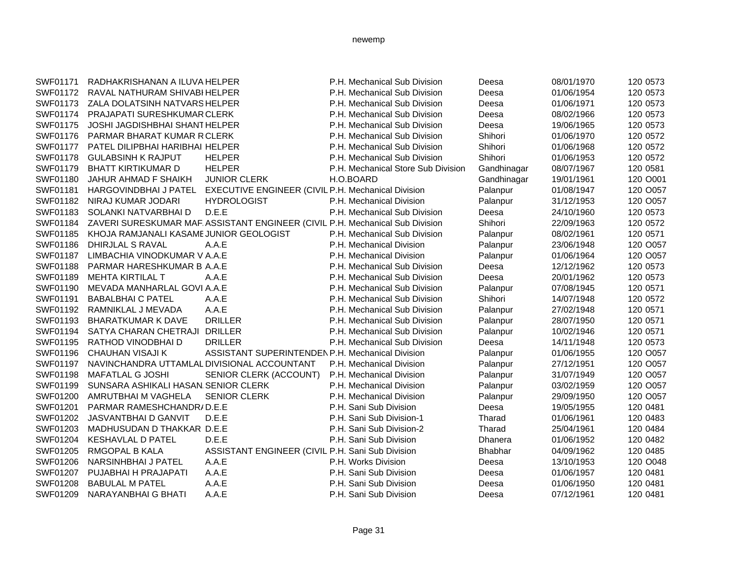| SWF01171        | RADHAKRISHANAN A ILUVA HELPER               |                                                                              | P.H. Mechanical Sub Division       | Deesa          | 08/01/1970 | 120 0573 |
|-----------------|---------------------------------------------|------------------------------------------------------------------------------|------------------------------------|----------------|------------|----------|
| SWF01172        | RAVAL NATHURAM SHIVABI HELPER               |                                                                              | P.H. Mechanical Sub Division       | Deesa          | 01/06/1954 | 120 0573 |
| SWF01173        | ZALA DOLATSINH NATVARS HELPER               |                                                                              | P.H. Mechanical Sub Division       | Deesa          | 01/06/1971 | 120 0573 |
| SWF01174        | PRAJAPATI SURESHKUMAR CLERK                 |                                                                              | P.H. Mechanical Sub Division       | Deesa          | 08/02/1966 | 120 0573 |
| SWF01175        | JOSHI JAGDISHBHAI SHANT HELPER              |                                                                              | P.H. Mechanical Sub Division       | Deesa          | 19/06/1965 | 120 0573 |
| SWF01176        | PARMAR BHARAT KUMAR R CLERK                 |                                                                              | P.H. Mechanical Sub Division       | Shihori        | 01/06/1970 | 120 0572 |
| SWF01177        | PATEL DILIPBHAI HARIBHAI HELPER             |                                                                              | P.H. Mechanical Sub Division       | Shihori        | 01/06/1968 | 120 0572 |
| <b>SWF01178</b> | <b>GULABSINH K RAJPUT</b>                   | <b>HELPER</b>                                                                | P.H. Mechanical Sub Division       | Shihori        | 01/06/1953 | 120 0572 |
| SWF01179        | <b>BHATT KIRTIKUMAR D</b>                   | <b>HELPER</b>                                                                | P.H. Mechanical Store Sub Division | Gandhinagar    | 08/07/1967 | 120 0581 |
| SWF01180        | JAHUR AHMAD F SHAIKH                        | <b>JUNIOR CLERK</b>                                                          | H.O.BOARD                          | Gandhinagar    | 19/01/1961 | 120 O001 |
| SWF01181        | HARGOVINDBHAI J PATEL                       | <b>EXECUTIVE ENGINEER (CIVIL P.H. Mechanical Division</b>                    |                                    | Palanpur       | 01/08/1947 | 120 O057 |
| SWF01182        | NIRAJ KUMAR JODARI                          | <b>HYDROLOGIST</b>                                                           | P.H. Mechanical Division           | Palanpur       | 31/12/1953 | 120 O057 |
| SWF01183        | SOLANKI NATVARBHAI D                        | D.E.E                                                                        | P.H. Mechanical Sub Division       | Deesa          | 24/10/1960 | 120 0573 |
| SWF01184        |                                             | ZAVERI SURESKUMAR MAF ASSISTANT ENGINEER (CIVIL P.H. Mechanical Sub Division |                                    | Shihori        | 22/09/1963 | 120 0572 |
| SWF01185        | KHOJA RAMJANALI KASAME JUNIOR GEOLOGIST     |                                                                              | P.H. Mechanical Sub Division       | Palanpur       | 08/02/1961 | 120 0571 |
| SWF01186        | DHIRJLAL S RAVAL                            | A.A.E                                                                        | P.H. Mechanical Division           | Palanpur       | 23/06/1948 | 120 O057 |
| SWF01187        | LIMBACHIA VINODKUMAR V A.A.E                |                                                                              | P.H. Mechanical Division           | Palanpur       | 01/06/1964 | 120 O057 |
| SWF01188        | PARMAR HARESHKUMAR B A.A.E                  |                                                                              | P.H. Mechanical Sub Division       | Deesa          | 12/12/1962 | 120 0573 |
| SWF01189        | <b>MEHTA KIRTILAL T</b>                     | A.A.E                                                                        | P.H. Mechanical Sub Division       | Deesa          | 20/01/1962 | 120 0573 |
| SWF01190        | MEVADA MANHARLAL GOVI A.A.E                 |                                                                              | P.H. Mechanical Sub Division       | Palanpur       | 07/08/1945 | 120 0571 |
| SWF01191        | <b>BABALBHAI C PATEL</b>                    | A.A.E                                                                        | P.H. Mechanical Sub Division       | Shihori        | 14/07/1948 | 120 0572 |
| SWF01192        | RAMNIKLAL J MEVADA                          | A.A.E                                                                        | P.H. Mechanical Sub Division       | Palanpur       | 27/02/1948 | 120 0571 |
| SWF01193        | <b>BHARATKUMAR K DAVE</b>                   | <b>DRILLER</b>                                                               | P.H. Mechanical Sub Division       | Palanpur       | 28/07/1950 | 120 0571 |
| SWF01194        | SATYA CHARAN CHETRAJI DRILLER               |                                                                              | P.H. Mechanical Sub Division       | Palanpur       | 10/02/1946 | 120 0571 |
| SWF01195        | RATHOD VINODBHAI D                          | <b>DRILLER</b>                                                               | P.H. Mechanical Sub Division       | Deesa          | 14/11/1948 | 120 0573 |
| SWF01196        | CHAUHAN VISAJI K                            | <b>ASSISTANT SUPERINTENDEN P.H. Mechanical Division</b>                      |                                    | Palanpur       | 01/06/1955 | 120 O057 |
| SWF01197        | NAVINCHANDRA UTTAMLAL DIVISIONAL ACCOUNTANT |                                                                              | P.H. Mechanical Division           | Palanpur       | 27/12/1951 | 120 O057 |
| SWF01198        | <b>MAFATLAL G JOSHI</b>                     | SENIOR CLERK (ACCOUNT)                                                       | P.H. Mechanical Division           | Palanpur       | 31/07/1949 | 120 O057 |
| SWF01199        | SUNSARA ASHIKALI HASAN SENIOR CLERK         |                                                                              | P.H. Mechanical Division           | Palanpur       | 03/02/1959 | 120 O057 |
| SWF01200        | AMRUTBHAI M VAGHELA                         | <b>SENIOR CLERK</b>                                                          | P.H. Mechanical Division           | Palanpur       | 29/09/1950 | 120 O057 |
| SWF01201        | PARMAR RAMESHCHANDR/D.E.E                   |                                                                              | P.H. Sani Sub Division             | Deesa          | 19/05/1955 | 120 0481 |
| SWF01202        | <b>JASVANTBHAI D GANVIT</b>                 | D.E.E                                                                        | P.H. Sani Sub Division-1           | Tharad         | 01/06/1961 | 120 0483 |
| SWF01203        | MADHUSUDAN D THAKKAR D.E.E                  |                                                                              | P.H. Sani Sub Division-2           | Tharad         | 25/04/1961 | 120 0484 |
| SWF01204        | <b>KESHAVLAL D PATEL</b>                    | D.E.E                                                                        | P.H. Sani Sub Division             | <b>Dhanera</b> | 01/06/1952 | 120 0482 |
| SWF01205        | RMGOPAL B KALA                              | ASSISTANT ENGINEER (CIVIL P.H. Sani Sub Division                             |                                    | <b>Bhabhar</b> | 04/09/1962 | 120 0485 |
| SWF01206        | NARSINHBHAI J PATEL                         | A.A.E                                                                        | P.H. Works Division                | Deesa          | 13/10/1953 | 120 O048 |
| SWF01207        | PUJABHAI H PRAJAPATI                        | A.A.E                                                                        | P.H. Sani Sub Division             | Deesa          | 01/06/1957 | 120 0481 |
| SWF01208        | <b>BABULAL M PATEL</b>                      | A.A.E                                                                        | P.H. Sani Sub Division             | Deesa          | 01/06/1950 | 120 0481 |
| SWF01209        | NARAYANBHAI G BHATI                         | A.A.E                                                                        | P.H. Sani Sub Division             | Deesa          | 07/12/1961 | 120 0481 |
|                 |                                             |                                                                              |                                    |                |            |          |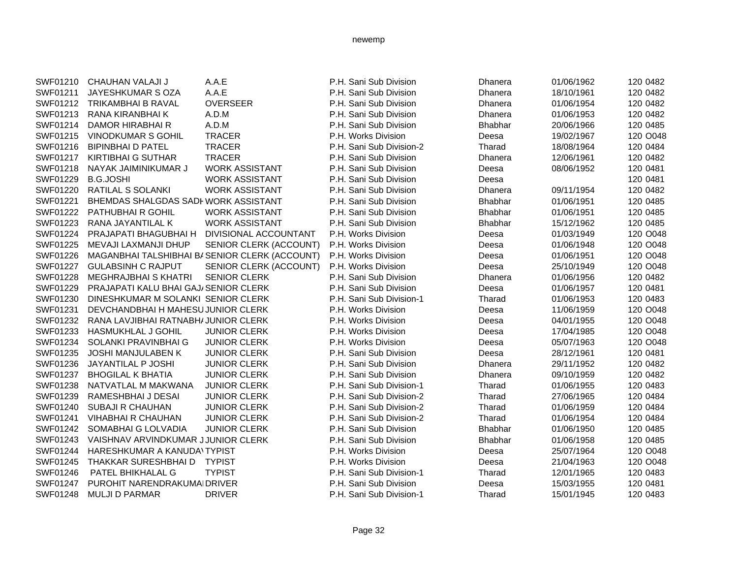| SWF01210 | CHAUHAN VALAJI J                      | A.A.E                                          | P.H. Sani Sub Division   | <b>Dhanera</b> | 01/06/1962 | 120 0482 |
|----------|---------------------------------------|------------------------------------------------|--------------------------|----------------|------------|----------|
| SWF01211 | JAYESHKUMAR S OZA                     | A.A.E                                          | P.H. Sani Sub Division   | Dhanera        | 18/10/1961 | 120 0482 |
| SWF01212 | <b>TRIKAMBHAI B RAVAL</b>             | <b>OVERSEER</b>                                | P.H. Sani Sub Division   | Dhanera        | 01/06/1954 | 120 0482 |
| SWF01213 | RANA KIRANBHAI K                      | A.D.M                                          | P.H. Sani Sub Division   | Dhanera        | 01/06/1953 | 120 0482 |
| SWF01214 | <b>DAMOR HIRABHAI R</b>               | A.D.M                                          | P.H. Sani Sub Division   | <b>Bhabhar</b> | 20/06/1966 | 120 0485 |
| SWF01215 | <b>VINODKUMAR S GOHIL</b>             | <b>TRACER</b>                                  | P.H. Works Division      | Deesa          | 19/02/1967 | 120 O048 |
| SWF01216 | <b>BIPINBHAI D PATEL</b>              | <b>TRACER</b>                                  | P.H. Sani Sub Division-2 | Tharad         | 18/08/1964 | 120 0484 |
| SWF01217 | <b>KIRTIBHAI G SUTHAR</b>             | <b>TRACER</b>                                  | P.H. Sani Sub Division   | Dhanera        | 12/06/1961 | 120 0482 |
| SWF01218 | NAYAK JAIMINIKUMAR J                  | <b>WORK ASSISTANT</b>                          | P.H. Sani Sub Division   | Deesa          | 08/06/1952 | 120 0481 |
| SWF01229 | <b>B.G.JOSHI</b>                      | <b>WORK ASSISTANT</b>                          | P.H. Sani Sub Division   | Deesa          |            | 120 0481 |
| SWF01220 | RATILAL S SOLANKI                     | <b>WORK ASSISTANT</b>                          | P.H. Sani Sub Division   | Dhanera        | 09/11/1954 | 120 0482 |
| SWF01221 | BHEMDAS SHALGDAS SADI WORK ASSISTANT  |                                                | P.H. Sani Sub Division   | <b>Bhabhar</b> | 01/06/1951 | 120 0485 |
| SWF01222 | <b>PATHUBHAI R GOHIL</b>              | <b>WORK ASSISTANT</b>                          | P.H. Sani Sub Division   | <b>Bhabhar</b> | 01/06/1951 | 120 0485 |
| SWF01223 | RANA JAYANTILAL K                     | <b>WORK ASSISTANT</b>                          | P.H. Sani Sub Division   | <b>Bhabhar</b> | 15/12/1962 | 120 0485 |
| SWF01224 | PRAJAPATI BHAGUBHAI H                 | DIVISIONAL ACCOUNTANT                          | P.H. Works Division      | Deesa          | 01/03/1949 | 120 O048 |
| SWF01225 | MEVAJI LAXMANJI DHUP                  | SENIOR CLERK (ACCOUNT)                         | P.H. Works Division      | Deesa          | 01/06/1948 | 120 O048 |
| SWF01226 |                                       | MAGANBHAI TALSHIBHAI BI SENIOR CLERK (ACCOUNT) | P.H. Works Division      | Deesa          | 01/06/1951 | 120 O048 |
| SWF01227 | <b>GULABSINH C RAJPUT</b>             | SENIOR CLERK (ACCOUNT)                         | P.H. Works Division      | Deesa          | 25/10/1949 | 120 O048 |
| SWF01228 | <b>MEGHRAJBHAI S KHATRI</b>           | <b>SENIOR CLERK</b>                            | P.H. Sani Sub Division   | Dhanera        | 01/06/1956 | 120 0482 |
| SWF01229 | PRAJAPATI KALU BHAI GAJ/ SENIOR CLERK |                                                | P.H. Sani Sub Division   | Deesa          | 01/06/1957 | 120 0481 |
| SWF01230 | DINESHKUMAR M SOLANKI SENIOR CLERK    |                                                | P.H. Sani Sub Division-1 | Tharad         | 01/06/1953 | 120 0483 |
| SWF01231 | DEVCHANDBHAI H MAHESU JUNIOR CLERK    |                                                | P.H. Works Division      | Deesa          | 11/06/1959 | 120 O048 |
| SWF01232 | RANA LAVJIBHAI RATNABH/JUNIOR CLERK   |                                                | P.H. Works Division      | Deesa          | 04/01/1955 | 120 O048 |
| SWF01233 | HASMUKHLAL J GOHIL                    | <b>JUNIOR CLERK</b>                            | P.H. Works Division      | Deesa          | 17/04/1985 | 120 O048 |
| SWF01234 | SOLANKI PRAVINBHAI G                  | <b>JUNIOR CLERK</b>                            | P.H. Works Division      | Deesa          | 05/07/1963 | 120 O048 |
| SWF01235 | <b>JOSHI MANJULABEN K</b>             | <b>JUNIOR CLERK</b>                            | P.H. Sani Sub Division   | Deesa          | 28/12/1961 | 120 0481 |
| SWF01236 | JAYANTILAL P JOSHI                    | <b>JUNIOR CLERK</b>                            | P.H. Sani Sub Division   | Dhanera        | 29/11/1952 | 120 0482 |
| SWF01237 | <b>BHOGILAL K BHATIA</b>              | <b>JUNIOR CLERK</b>                            | P.H. Sani Sub Division   | Dhanera        | 09/10/1959 | 120 0482 |
| SWF01238 | NATVATLAL M MAKWANA                   | <b>JUNIOR CLERK</b>                            | P.H. Sani Sub Division-1 | Tharad         | 01/06/1955 | 120 0483 |
| SWF01239 | RAMESHBHAI J DESAI                    | <b>JUNIOR CLERK</b>                            | P.H. Sani Sub Division-2 | Tharad         | 27/06/1965 | 120 0484 |
| SWF01240 | SUBAJI R CHAUHAN                      | <b>JUNIOR CLERK</b>                            | P.H. Sani Sub Division-2 | Tharad         | 01/06/1959 | 120 0484 |
| SWF01241 | <b>VIHABHAI R CHAUHAN</b>             | <b>JUNIOR CLERK</b>                            | P.H. Sani Sub Division-2 | Tharad         | 01/06/1954 | 120 0484 |
| SWF01242 | SOMABHAI G LOLVADIA                   | <b>JUNIOR CLERK</b>                            | P.H. Sani Sub Division   | Bhabhar        | 01/06/1950 | 120 0485 |
| SWF01243 | VAISHNAV ARVINDKUMAR JJUNIOR CLERK    |                                                | P.H. Sani Sub Division   | Bhabhar        | 01/06/1958 | 120 0485 |
| SWF01244 | HARESHKUMAR A KANUDA\TYPIST           |                                                | P.H. Works Division      | Deesa          | 25/07/1964 | 120 O048 |
| SWF01245 | THAKKAR SURESHBHAI D                  | <b>TYPIST</b>                                  | P.H. Works Division      | Deesa          | 21/04/1963 | 120 O048 |
| SWF01246 | PATEL BHIKHALAL G                     | <b>TYPIST</b>                                  | P.H. Sani Sub Division-1 | Tharad         | 12/01/1965 | 120 0483 |
| SWF01247 | PUROHIT NARENDRAKUMAI DRIVER          |                                                | P.H. Sani Sub Division   | Deesa          | 15/03/1955 | 120 0481 |
| SWF01248 | <b>MULJI D PARMAR</b>                 | <b>DRIVER</b>                                  | P.H. Sani Sub Division-1 | Tharad         | 15/01/1945 | 120 0483 |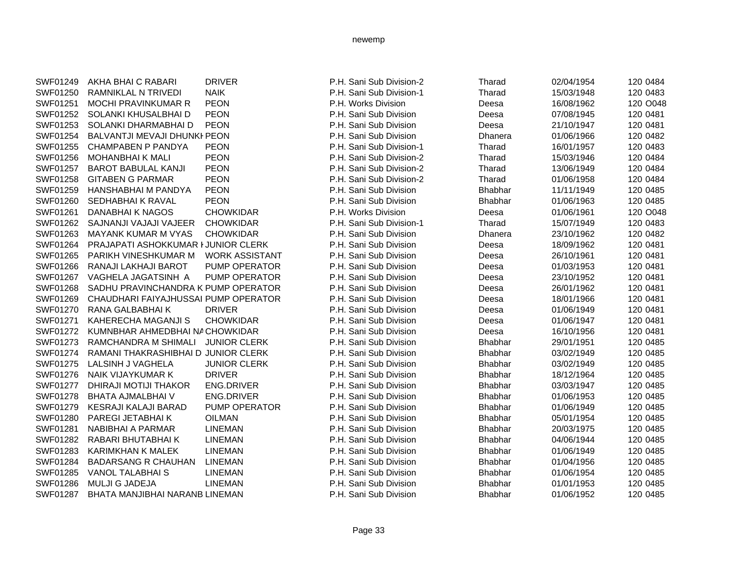| AKHA BHAI C RABARI         | <b>DRIVER</b>         | P.H. Sani Sub Division-2                                                                                                                                                                                                                                       | Tharad         | 02/04/1954 | 120 0484 |
|----------------------------|-----------------------|----------------------------------------------------------------------------------------------------------------------------------------------------------------------------------------------------------------------------------------------------------------|----------------|------------|----------|
| RAMNIKLAL N TRIVEDI        | <b>NAIK</b>           | P.H. Sani Sub Division-1                                                                                                                                                                                                                                       | Tharad         | 15/03/1948 | 120 0483 |
| MOCHI PRAVINKUMAR R        | <b>PEON</b>           | P.H. Works Division                                                                                                                                                                                                                                            | Deesa          | 16/08/1962 | 120 O048 |
| SOLANKI KHUSALBHAI D       | <b>PEON</b>           | P.H. Sani Sub Division                                                                                                                                                                                                                                         | Deesa          | 07/08/1945 | 120 0481 |
| SOLANKI DHARMABHAI D       | <b>PEON</b>           | P.H. Sani Sub Division                                                                                                                                                                                                                                         | Deesa          | 21/10/1947 | 120 0481 |
|                            |                       | P.H. Sani Sub Division                                                                                                                                                                                                                                         | Dhanera        | 01/06/1966 | 120 0482 |
| <b>CHAMPABEN P PANDYA</b>  | <b>PEON</b>           | P.H. Sani Sub Division-1                                                                                                                                                                                                                                       | Tharad         | 16/01/1957 | 120 0483 |
| <b>MOHANBHAIK MALI</b>     | <b>PEON</b>           | P.H. Sani Sub Division-2                                                                                                                                                                                                                                       | Tharad         | 15/03/1946 | 120 0484 |
| <b>BAROT BABULAL KANJI</b> | <b>PEON</b>           | P.H. Sani Sub Division-2                                                                                                                                                                                                                                       | Tharad         | 13/06/1949 | 120 0484 |
| <b>GITABEN G PARMAR</b>    | <b>PEON</b>           | P.H. Sani Sub Division-2                                                                                                                                                                                                                                       | Tharad         | 01/06/1958 | 120 0484 |
| <b>HANSHABHAI M PANDYA</b> | <b>PEON</b>           | P.H. Sani Sub Division                                                                                                                                                                                                                                         | Bhabhar        | 11/11/1949 | 120 0485 |
| SEDHABHAI K RAVAL          | <b>PEON</b>           | P.H. Sani Sub Division                                                                                                                                                                                                                                         | <b>Bhabhar</b> | 01/06/1963 | 120 0485 |
| DANABHAI K NAGOS           | <b>CHOWKIDAR</b>      | P.H. Works Division                                                                                                                                                                                                                                            | Deesa          | 01/06/1961 | 120 O048 |
| SAJNANJI VAJAJI VAJEER     | <b>CHOWKIDAR</b>      | P.H. Sani Sub Division-1                                                                                                                                                                                                                                       | Tharad         | 15/07/1949 | 120 0483 |
| <b>MAYANK KUMAR M VYAS</b> | <b>CHOWKIDAR</b>      | P.H. Sani Sub Division                                                                                                                                                                                                                                         | Dhanera        | 23/10/1962 | 120 0482 |
|                            |                       | P.H. Sani Sub Division                                                                                                                                                                                                                                         | Deesa          | 18/09/1962 | 120 0481 |
| PARIKH VINESHKUMAR M       | <b>WORK ASSISTANT</b> | P.H. Sani Sub Division                                                                                                                                                                                                                                         | Deesa          | 26/10/1961 | 120 0481 |
| RANAJI LAKHAJI BAROT       | PUMP OPERATOR         | P.H. Sani Sub Division                                                                                                                                                                                                                                         | Deesa          | 01/03/1953 | 120 0481 |
| VAGHELA JAGATSINH A        | <b>PUMP OPERATOR</b>  | P.H. Sani Sub Division                                                                                                                                                                                                                                         | Deesa          | 23/10/1952 | 120 0481 |
|                            |                       | P.H. Sani Sub Division                                                                                                                                                                                                                                         | Deesa          | 26/01/1962 | 120 0481 |
|                            |                       | P.H. Sani Sub Division                                                                                                                                                                                                                                         | Deesa          | 18/01/1966 | 120 0481 |
| RANA GALBABHAI K           | <b>DRIVER</b>         | P.H. Sani Sub Division                                                                                                                                                                                                                                         | Deesa          | 01/06/1949 | 120 0481 |
| KAHERECHA MAGANJI S        | <b>CHOWKIDAR</b>      | P.H. Sani Sub Division                                                                                                                                                                                                                                         | Deesa          | 01/06/1947 | 120 0481 |
|                            |                       | P.H. Sani Sub Division                                                                                                                                                                                                                                         | Deesa          | 16/10/1956 | 120 0481 |
| RAMCHANDRA M SHIMALI       | <b>JUNIOR CLERK</b>   | P.H. Sani Sub Division                                                                                                                                                                                                                                         | Bhabhar        | 29/01/1951 | 120 0485 |
|                            |                       | P.H. Sani Sub Division                                                                                                                                                                                                                                         | <b>Bhabhar</b> | 03/02/1949 | 120 0485 |
| LALSINH J VAGHELA          | <b>JUNIOR CLERK</b>   | P.H. Sani Sub Division                                                                                                                                                                                                                                         | Bhabhar        | 03/02/1949 | 120 0485 |
| <b>NAIK VIJAYKUMAR K</b>   | <b>DRIVER</b>         | P.H. Sani Sub Division                                                                                                                                                                                                                                         | Bhabhar        | 18/12/1964 | 120 0485 |
| DHIRAJI MOTIJI THAKOR      | <b>ENG.DRIVER</b>     | P.H. Sani Sub Division                                                                                                                                                                                                                                         | <b>Bhabhar</b> | 03/03/1947 | 120 0485 |
| <b>BHATA AJMALBHAI V</b>   | <b>ENG.DRIVER</b>     | P.H. Sani Sub Division                                                                                                                                                                                                                                         | <b>Bhabhar</b> | 01/06/1953 | 120 0485 |
| KESRAJI KALAJI BARAD       | PUMP OPERATOR         | P.H. Sani Sub Division                                                                                                                                                                                                                                         | Bhabhar        | 01/06/1949 | 120 0485 |
| PAREGI JETABHAI K          | <b>OILMAN</b>         | P.H. Sani Sub Division                                                                                                                                                                                                                                         | Bhabhar        | 05/01/1954 | 120 0485 |
| <b>NABIBHAI A PARMAR</b>   | <b>LINEMAN</b>        | P.H. Sani Sub Division                                                                                                                                                                                                                                         | Bhabhar        | 20/03/1975 | 120 0485 |
| RABARI BHUTABHAI K         | <b>LINEMAN</b>        | P.H. Sani Sub Division                                                                                                                                                                                                                                         | Bhabhar        | 04/06/1944 | 120 0485 |
| KARIMKHAN K MALEK          | <b>LINEMAN</b>        | P.H. Sani Sub Division                                                                                                                                                                                                                                         | <b>Bhabhar</b> | 01/06/1949 | 120 0485 |
| <b>BADARSANG R CHAUHAN</b> | <b>LINEMAN</b>        | P.H. Sani Sub Division                                                                                                                                                                                                                                         | <b>Bhabhar</b> | 01/04/1956 | 120 0485 |
| <b>VANOL TALABHAI S</b>    | <b>LINEMAN</b>        | P.H. Sani Sub Division                                                                                                                                                                                                                                         | <b>Bhabhar</b> | 01/06/1954 | 120 0485 |
| <b>MULJI G JADEJA</b>      | <b>LINEMAN</b>        | P.H. Sani Sub Division                                                                                                                                                                                                                                         | <b>Bhabhar</b> | 01/01/1953 | 120 0485 |
|                            |                       | P.H. Sani Sub Division                                                                                                                                                                                                                                         | <b>Bhabhar</b> | 01/06/1952 | 120 0485 |
|                            |                       | BALVANTJI MEVAJI DHUNKI PEON<br>PRAJAPATI ASHOKKUMAR I JUNIOR CLERK<br>SADHU PRAVINCHANDRA K PUMP OPERATOR<br>CHAUDHARI FAIYAJHUSSAI PUMP OPERATOR<br>KUMNBHAR AHMEDBHAI NA CHOWKIDAR<br>RAMANI THAKRASHIBHAI D JUNIOR CLERK<br>BHATA MANJIBHAI NARANB LINEMAN |                |            |          |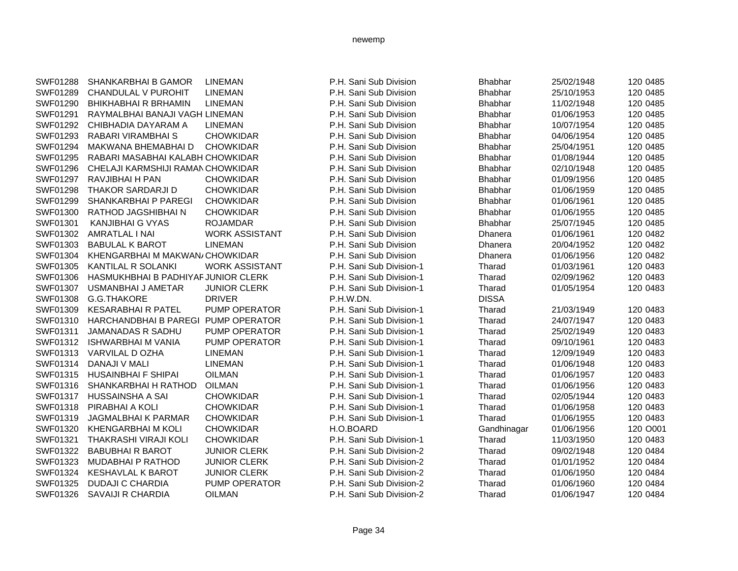| <b>SWF01288</b> | <b>SHANKARBHAI B GAMOR</b>          | <b>LINEMAN</b>        | P.H. Sani Sub Division   | <b>Bhabhar</b> | 25/02/1948 | 120 0485 |
|-----------------|-------------------------------------|-----------------------|--------------------------|----------------|------------|----------|
| SWF01289        | CHANDULAL V PUROHIT                 | <b>LINEMAN</b>        | P.H. Sani Sub Division   | <b>Bhabhar</b> | 25/10/1953 | 120 0485 |
| SWF01290        | <b>BHIKHABHAI R BRHAMIN</b>         | <b>LINEMAN</b>        | P.H. Sani Sub Division   | <b>Bhabhar</b> | 11/02/1948 | 120 0485 |
| SWF01291        | RAYMALBHAI BANAJI VAGH LINEMAN      |                       | P.H. Sani Sub Division   | <b>Bhabhar</b> | 01/06/1953 | 120 0485 |
| SWF01292        | CHIBHADIA DAYARAM A                 | <b>LINEMAN</b>        | P.H. Sani Sub Division   | <b>Bhabhar</b> | 10/07/1954 | 120 0485 |
| SWF01293        | <b>RABARI VIRAMBHAI S</b>           | <b>CHOWKIDAR</b>      | P.H. Sani Sub Division   | <b>Bhabhar</b> | 04/06/1954 | 120 0485 |
| SWF01294        | MAKWANA BHEMABHAI D                 | <b>CHOWKIDAR</b>      | P.H. Sani Sub Division   | <b>Bhabhar</b> | 25/04/1951 | 120 0485 |
| SWF01295        | RABARI MASABHAI KALABH CHOWKIDAR    |                       | P.H. Sani Sub Division   | <b>Bhabhar</b> | 01/08/1944 | 120 0485 |
| SWF01296        | CHELAJI KARMSHIJI RAMAN CHOWKIDAR   |                       | P.H. Sani Sub Division   | <b>Bhabhar</b> | 02/10/1948 | 120 0485 |
| SWF01297        | RAVJIBHAI H PAN                     | <b>CHOWKIDAR</b>      | P.H. Sani Sub Division   | <b>Bhabhar</b> | 01/09/1956 | 120 0485 |
| SWF01298        | <b>THAKOR SARDARJI D</b>            | <b>CHOWKIDAR</b>      | P.H. Sani Sub Division   | <b>Bhabhar</b> | 01/06/1959 | 120 0485 |
| SWF01299        | <b>SHANKARBHAI P PAREGI</b>         | <b>CHOWKIDAR</b>      | P.H. Sani Sub Division   | <b>Bhabhar</b> | 01/06/1961 | 120 0485 |
| SWF01300        | RATHOD JAGSHIBHAI N                 | <b>CHOWKIDAR</b>      | P.H. Sani Sub Division   | <b>Bhabhar</b> | 01/06/1955 | 120 0485 |
| SWF01301        | <b>KANJIBHAI G VYAS</b>             | <b>ROJAMDAR</b>       | P.H. Sani Sub Division   | <b>Bhabhar</b> | 25/07/1945 | 120 0485 |
| SWF01302        | <b>AMRATLAL I NAI</b>               | <b>WORK ASSISTANT</b> | P.H. Sani Sub Division   | <b>Dhanera</b> | 01/06/1961 | 120 0482 |
| SWF01303        | <b>BABULAL K BAROT</b>              | <b>LINEMAN</b>        | P.H. Sani Sub Division   | Dhanera        | 20/04/1952 | 120 0482 |
| SWF01304        | KHENGARBHAI M MAKWAN/CHOWKIDAR      |                       | P.H. Sani Sub Division   | <b>Dhanera</b> | 01/06/1956 | 120 0482 |
| SWF01305        | KANTILAL R SOLANKI                  | <b>WORK ASSISTANT</b> | P.H. Sani Sub Division-1 | Tharad         | 01/03/1961 | 120 0483 |
| SWF01306        | HASMUKHBHAI B PADHIYAF JUNIOR CLERK |                       | P.H. Sani Sub Division-1 | Tharad         | 02/09/1962 | 120 0483 |
| SWF01307        | <b>USMANBHAI J AMETAR</b>           | <b>JUNIOR CLERK</b>   | P.H. Sani Sub Division-1 | Tharad         | 01/05/1954 | 120 0483 |
| SWF01308        | G.G.THAKORE                         | <b>DRIVER</b>         | P.H.W.DN.                | <b>DISSA</b>   |            |          |
| SWF01309        | <b>KESARABHAI R PATEL</b>           | PUMP OPERATOR         | P.H. Sani Sub Division-1 | Tharad         | 21/03/1949 | 120 0483 |
| SWF01310        | <b>HARCHANDBHAI B PAREGI</b>        | <b>PUMP OPERATOR</b>  | P.H. Sani Sub Division-1 | Tharad         | 24/07/1947 | 120 0483 |
| SWF01311        | JAMANADAS R SADHU                   | PUMP OPERATOR         | P.H. Sani Sub Division-1 | Tharad         | 25/02/1949 | 120 0483 |
| SWF01312        | <b>ISHWARBHAI M VANIA</b>           | <b>PUMP OPERATOR</b>  | P.H. Sani Sub Division-1 | Tharad         | 09/10/1961 | 120 0483 |
| SWF01313        | VARVILAL D OZHA                     | <b>LINEMAN</b>        | P.H. Sani Sub Division-1 | Tharad         | 12/09/1949 | 120 0483 |
| SWF01314        | DANAJI V MALI                       | <b>LINEMAN</b>        | P.H. Sani Sub Division-1 | Tharad         | 01/06/1948 | 120 0483 |
| SWF01315        | <b>HUSAINBHAI F SHIPAI</b>          | <b>OILMAN</b>         | P.H. Sani Sub Division-1 | Tharad         | 01/06/1957 | 120 0483 |
| SWF01316        | SHANKARBHAI H RATHOD                | <b>OILMAN</b>         | P.H. Sani Sub Division-1 | Tharad         | 01/06/1956 | 120 0483 |
| SWF01317        | HUSSAINSHA A SAI                    | <b>CHOWKIDAR</b>      | P.H. Sani Sub Division-1 | Tharad         | 02/05/1944 | 120 0483 |
| SWF01318        | PIRABHAI A KOLI                     | <b>CHOWKIDAR</b>      | P.H. Sani Sub Division-1 | Tharad         | 01/06/1958 | 120 0483 |
| SWF01319        | <b>JAGMALBHAI K PARMAR</b>          | <b>CHOWKIDAR</b>      | P.H. Sani Sub Division-1 | Tharad         | 01/06/1955 | 120 0483 |
| SWF01320        | <b>KHENGARBHAI M KOLI</b>           | <b>CHOWKIDAR</b>      | H.O.BOARD                | Gandhinagar    | 01/06/1956 | 120 O001 |
| SWF01321        | <b>THAKRASHI VIRAJI KOLI</b>        | <b>CHOWKIDAR</b>      | P.H. Sani Sub Division-1 | Tharad         | 11/03/1950 | 120 0483 |
| SWF01322        | <b>BABUBHAI R BAROT</b>             | <b>JUNIOR CLERK</b>   | P.H. Sani Sub Division-2 | Tharad         | 09/02/1948 | 120 0484 |
| SWF01323        | <b>MUDABHAI P RATHOD</b>            | <b>JUNIOR CLERK</b>   | P.H. Sani Sub Division-2 | Tharad         | 01/01/1952 | 120 0484 |
| SWF01324        | <b>KESHAVLAL K BAROT</b>            | <b>JUNIOR CLERK</b>   | P.H. Sani Sub Division-2 | Tharad         | 01/06/1950 | 120 0484 |
| SWF01325        | <b>DUDAJI C CHARDIA</b>             | PUMP OPERATOR         | P.H. Sani Sub Division-2 | Tharad         | 01/06/1960 | 120 0484 |
| SWF01326        | <b>SAVAIJI R CHARDIA</b>            | <b>OILMAN</b>         | P.H. Sani Sub Division-2 | Tharad         | 01/06/1947 | 120 0484 |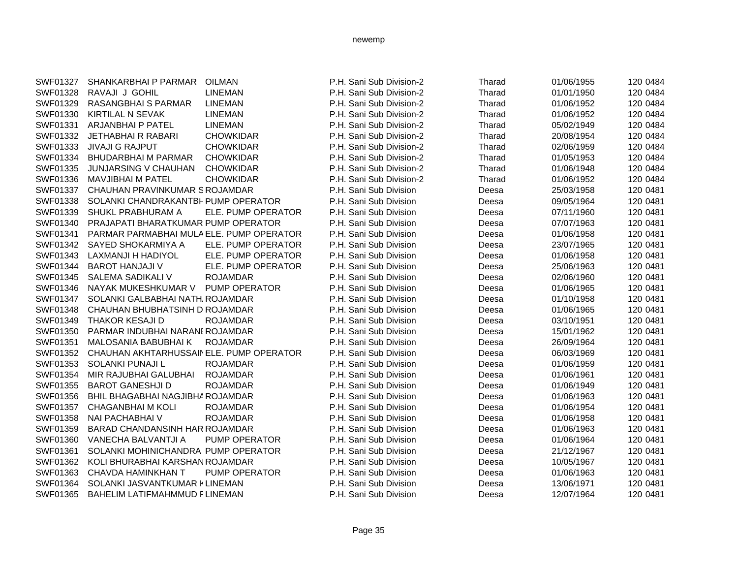| SWF01327 | <b>SHANKARBHAI P PARMAR</b>              | <b>OILMAN</b>        | P.H. Sani Sub Division-2 | Tharad | 01/06/1955 | 120 0484 |
|----------|------------------------------------------|----------------------|--------------------------|--------|------------|----------|
| SWF01328 | RAVAJI J GOHIL                           | <b>LINEMAN</b>       | P.H. Sani Sub Division-2 | Tharad | 01/01/1950 | 120 0484 |
| SWF01329 | RASANGBHAI S PARMAR                      | <b>LINEMAN</b>       | P.H. Sani Sub Division-2 | Tharad | 01/06/1952 | 120 0484 |
| SWF01330 | KIRTILAL N SEVAK                         | <b>LINEMAN</b>       | P.H. Sani Sub Division-2 | Tharad | 01/06/1952 | 120 0484 |
| SWF01331 | <b>ARJANBHAI P PATEL</b>                 | <b>LINEMAN</b>       | P.H. Sani Sub Division-2 | Tharad | 05/02/1949 | 120 0484 |
| SWF01332 | <b>JETHABHAI R RABARI</b>                | <b>CHOWKIDAR</b>     | P.H. Sani Sub Division-2 | Tharad | 20/08/1954 | 120 0484 |
| SWF01333 | <b>JIVAJI G RAJPUT</b>                   | <b>CHOWKIDAR</b>     | P.H. Sani Sub Division-2 | Tharad | 02/06/1959 | 120 0484 |
| SWF01334 | <b>BHUDARBHAI M PARMAR</b>               | <b>CHOWKIDAR</b>     | P.H. Sani Sub Division-2 | Tharad | 01/05/1953 | 120 0484 |
| SWF01335 | JUNJARSING V CHAUHAN                     | <b>CHOWKIDAR</b>     | P.H. Sani Sub Division-2 | Tharad | 01/06/1948 | 120 0484 |
| SWF01336 | <b>MAVJIBHAI M PATEL</b>                 | <b>CHOWKIDAR</b>     | P.H. Sani Sub Division-2 | Tharad | 01/06/1952 | 120 0484 |
| SWF01337 | CHAUHAN PRAVINKUMAR SROJAMDAR            |                      | P.H. Sani Sub Division   | Deesa  | 25/03/1958 | 120 0481 |
| SWF01338 | SOLANKI CHANDRAKANTBH PUMP OPERATOR      |                      | P.H. Sani Sub Division   | Deesa  | 09/05/1964 | 120 0481 |
| SWF01339 | SHUKL PRABHURAM A                        | ELE. PUMP OPERATOR   | P.H. Sani Sub Division   | Deesa  | 07/11/1960 | 120 0481 |
| SWF01340 | PRAJAPATI BHARATKUMAR PUMP OPERATOR      |                      | P.H. Sani Sub Division   | Deesa  | 07/07/1963 | 120 0481 |
| SWF01341 | PARMAR PARMABHAI MULA ELE. PUMP OPERATOR |                      | P.H. Sani Sub Division   | Deesa  | 01/06/1958 | 120 0481 |
| SWF01342 | SAYED SHOKARMIYA A                       | ELE. PUMP OPERATOR   | P.H. Sani Sub Division   | Deesa  | 23/07/1965 | 120 0481 |
| SWF01343 | LAXMANJI H HADIYOL                       | ELE. PUMP OPERATOR   | P.H. Sani Sub Division   | Deesa  | 01/06/1958 | 120 0481 |
| SWF01344 | <b>BAROT HANJAJI V</b>                   | ELE. PUMP OPERATOR   | P.H. Sani Sub Division   | Deesa  | 25/06/1963 | 120 0481 |
| SWF01345 | SALEMA SADIKALI V                        | <b>ROJAMDAR</b>      | P.H. Sani Sub Division   | Deesa  | 02/06/1960 | 120 0481 |
| SWF01346 | NAYAK MUKESHKUMAR V                      | PUMP OPERATOR        | P.H. Sani Sub Division   | Deesa  | 01/06/1965 | 120 0481 |
| SWF01347 | SOLANKI GALBABHAI NATH, ROJAMDAR         |                      | P.H. Sani Sub Division   | Deesa  | 01/10/1958 | 120 0481 |
| SWF01348 | CHAUHAN BHUBHATSINH D ROJAMDAR           |                      | P.H. Sani Sub Division   | Deesa  | 01/06/1965 | 120 0481 |
| SWF01349 | <b>THAKOR KESAJI D</b>                   | <b>ROJAMDAR</b>      | P.H. Sani Sub Division   | Deesa  | 03/10/1951 | 120 0481 |
| SWF01350 | PARMAR INDUBHAI NARANE ROJAMDAR          |                      | P.H. Sani Sub Division   | Deesa  | 15/01/1962 | 120 0481 |
| SWF01351 | <b>MALOSANIA BABUBHAI K</b>              | <b>ROJAMDAR</b>      | P.H. Sani Sub Division   | Deesa  | 26/09/1964 | 120 0481 |
| SWF01352 | CHAUHAN AKHTARHUSSAIN ELE. PUMP OPERATOR |                      | P.H. Sani Sub Division   | Deesa  | 06/03/1969 | 120 0481 |
| SWF01353 | SOLANKI PUNAJI L                         | <b>ROJAMDAR</b>      | P.H. Sani Sub Division   | Deesa  | 01/06/1959 | 120 0481 |
| SWF01354 | MIR RAJUBHAI GALUBHAI                    | <b>ROJAMDAR</b>      | P.H. Sani Sub Division   | Deesa  | 01/06/1961 | 120 0481 |
| SWF01355 | <b>BAROT GANESHJI D</b>                  | <b>ROJAMDAR</b>      | P.H. Sani Sub Division   | Deesa  | 01/06/1949 | 120 0481 |
| SWF01356 | BHIL BHAGABHAI NAGJIBHA ROJAMDAR         |                      | P.H. Sani Sub Division   | Deesa  | 01/06/1963 | 120 0481 |
| SWF01357 | <b>CHAGANBHAI M KOLI</b>                 | <b>ROJAMDAR</b>      | P.H. Sani Sub Division   | Deesa  | 01/06/1954 | 120 0481 |
| SWF01358 | NAI PACHABHAI V                          | <b>ROJAMDAR</b>      | P.H. Sani Sub Division   | Deesa  | 01/06/1958 | 120 0481 |
| SWF01359 | BARAD CHANDANSINH HAR ROJAMDAR           |                      | P.H. Sani Sub Division   | Deesa  | 01/06/1963 | 120 0481 |
| SWF01360 | VANECHA BALVANTJI A                      | <b>PUMP OPERATOR</b> | P.H. Sani Sub Division   | Deesa  | 01/06/1964 | 120 0481 |
| SWF01361 | SOLANKI MOHINICHANDRA PUMP OPERATOR      |                      | P.H. Sani Sub Division   | Deesa  | 21/12/1967 | 120 0481 |
| SWF01362 | KOLI BHURABHAI KARSHAN ROJAMDAR          |                      | P.H. Sani Sub Division   | Deesa  | 10/05/1967 | 120 0481 |
| SWF01363 | CHAVDA HAMINKHAN T                       | <b>PUMP OPERATOR</b> | P.H. Sani Sub Division   | Deesa  | 01/06/1963 | 120 0481 |
| SWF01364 | SOLANKI JASVANTKUMAR KLINEMAN            |                      | P.H. Sani Sub Division   | Deesa  | 13/06/1971 | 120 0481 |
| SWF01365 | BAHELIM LATIFMAHMMUD FLINEMAN            |                      | P.H. Sani Sub Division   | Deesa  | 12/07/1964 | 120 0481 |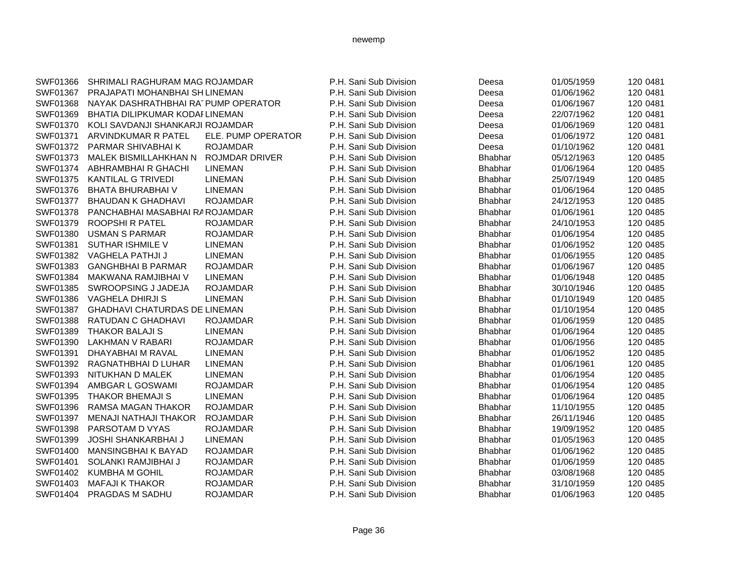| SWF01366 | SHRIMALI RAGHURAM MAG ROJAMDAR       |                       | P.H. Sani Sub Division | Deesa          | 01/05/1959 | 120 0481 |
|----------|--------------------------------------|-----------------------|------------------------|----------------|------------|----------|
| SWF01367 | PRAJAPATI MOHANBHAI SH LINEMAN       |                       | P.H. Sani Sub Division | Deesa          | 01/06/1962 | 120 0481 |
| SWF01368 | NAYAK DASHRATHBHAI RATPUMP OPERATOR  |                       | P.H. Sani Sub Division | Deesa          | 01/06/1967 | 120 0481 |
| SWF01369 | BHATIA DILIPKUMAR KODAI LINEMAN      |                       | P.H. Sani Sub Division | Deesa          | 22/07/1962 | 120 0481 |
| SWF01370 | KOLI SAVDANJI SHANKARJI ROJAMDAR     |                       | P.H. Sani Sub Division | Deesa          | 01/06/1969 | 120 0481 |
| SWF01371 | ARVINDKUMAR R PATEL                  | ELE. PUMP OPERATOR    | P.H. Sani Sub Division | Deesa          | 01/06/1972 | 120 0481 |
| SWF01372 | PARMAR SHIVABHAI K                   | <b>ROJAMDAR</b>       | P.H. Sani Sub Division | Deesa          | 01/10/1962 | 120 0481 |
| SWF01373 | <b>MALEK BISMILLAHKHAN N</b>         | <b>ROJMDAR DRIVER</b> | P.H. Sani Sub Division | <b>Bhabhar</b> | 05/12/1963 | 120 0485 |
| SWF01374 | ABHRAMBHAI R GHACHI                  | <b>LINEMAN</b>        | P.H. Sani Sub Division | Bhabhar        | 01/06/1964 | 120 0485 |
| SWF01375 | <b>KANTILAL G TRIVEDI</b>            | <b>LINEMAN</b>        | P.H. Sani Sub Division | <b>Bhabhar</b> | 25/07/1949 | 120 0485 |
| SWF01376 | <b>BHATA BHURABHAI V</b>             | <b>LINEMAN</b>        | P.H. Sani Sub Division | <b>Bhabhar</b> | 01/06/1964 | 120 0485 |
| SWF01377 | <b>BHAUDAN K GHADHAVI</b>            | <b>ROJAMDAR</b>       | P.H. Sani Sub Division | <b>Bhabhar</b> | 24/12/1953 | 120 0485 |
| SWF01378 | PANCHABHAI MASABHAI RA ROJAMDAR      |                       | P.H. Sani Sub Division | <b>Bhabhar</b> | 01/06/1961 | 120 0485 |
| SWF01379 | ROOPSHI R PATEL                      | <b>ROJAMDAR</b>       | P.H. Sani Sub Division | <b>Bhabhar</b> | 24/10/1953 | 120 0485 |
| SWF01380 | <b>USMAN S PARMAR</b>                | <b>ROJAMDAR</b>       | P.H. Sani Sub Division | <b>Bhabhar</b> | 01/06/1954 | 120 0485 |
| SWF01381 | SUTHAR ISHMILE V                     | <b>LINEMAN</b>        | P.H. Sani Sub Division | <b>Bhabhar</b> | 01/06/1952 | 120 0485 |
| SWF01382 | VAGHELA PATHJI J                     | <b>LINEMAN</b>        | P.H. Sani Sub Division | <b>Bhabhar</b> | 01/06/1955 | 120 0485 |
| SWF01383 | <b>GANGHBHAI B PARMAR</b>            | <b>ROJAMDAR</b>       | P.H. Sani Sub Division | <b>Bhabhar</b> | 01/06/1967 | 120 0485 |
| SWF01384 | MAKWANA RAMJIBHAI V                  | <b>LINEMAN</b>        | P.H. Sani Sub Division | <b>Bhabhar</b> | 01/06/1948 | 120 0485 |
| SWF01385 | SWROOPSING J JADEJA                  | <b>ROJAMDAR</b>       | P.H. Sani Sub Division | <b>Bhabhar</b> | 30/10/1946 | 120 0485 |
| SWF01386 | VAGHELA DHIRJI S                     | <b>LINEMAN</b>        | P.H. Sani Sub Division | <b>Bhabhar</b> | 01/10/1949 | 120 0485 |
| SWF01387 | <b>GHADHAVI CHATURDAS DE LINEMAN</b> |                       | P.H. Sani Sub Division | Bhabhar        | 01/10/1954 | 120 0485 |
| SWF01388 | RATUDAN C GHADHAVI                   | <b>ROJAMDAR</b>       | P.H. Sani Sub Division | <b>Bhabhar</b> | 01/06/1959 | 120 0485 |
| SWF01389 | <b>THAKOR BALAJI S</b>               | <b>LINEMAN</b>        | P.H. Sani Sub Division | <b>Bhabhar</b> | 01/06/1964 | 120 0485 |
| SWF01390 | <b>LAKHMAN V RABARI</b>              | <b>ROJAMDAR</b>       | P.H. Sani Sub Division | Bhabhar        | 01/06/1956 | 120 0485 |
| SWF01391 | DHAYABHAI M RAVAL                    | <b>LINEMAN</b>        | P.H. Sani Sub Division | <b>Bhabhar</b> | 01/06/1952 | 120 0485 |
| SWF01392 | RAGNATHBHAI D LUHAR                  | <b>LINEMAN</b>        | P.H. Sani Sub Division | <b>Bhabhar</b> | 01/06/1961 | 120 0485 |
| SWF01393 | NITUKHAN D MALEK                     | <b>LINEMAN</b>        | P.H. Sani Sub Division | <b>Bhabhar</b> | 01/06/1954 | 120 0485 |
| SWF01394 | AMBGAR L GOSWAMI                     | <b>ROJAMDAR</b>       | P.H. Sani Sub Division | <b>Bhabhar</b> | 01/06/1954 | 120 0485 |
| SWF01395 | <b>THAKOR BHEMAJI S</b>              | <b>LINEMAN</b>        | P.H. Sani Sub Division | <b>Bhabhar</b> | 01/06/1964 | 120 0485 |
| SWF01396 | <b>RAMSA MAGAN THAKOR</b>            | <b>ROJAMDAR</b>       | P.H. Sani Sub Division | <b>Bhabhar</b> | 11/10/1955 | 120 0485 |
| SWF01397 | <b>MENAJI NATHAJI THAKOR</b>         | <b>ROJAMDAR</b>       | P.H. Sani Sub Division | <b>Bhabhar</b> | 26/11/1946 | 120 0485 |
| SWF01398 | PARSOTAM D VYAS                      | <b>ROJAMDAR</b>       | P.H. Sani Sub Division | <b>Bhabhar</b> | 19/09/1952 | 120 0485 |
| SWF01399 | <b>JOSHI SHANKARBHAI J</b>           | <b>LINEMAN</b>        | P.H. Sani Sub Division | <b>Bhabhar</b> | 01/05/1963 | 120 0485 |
| SWF01400 | <b>MANSINGBHAI K BAYAD</b>           | <b>ROJAMDAR</b>       | P.H. Sani Sub Division | <b>Bhabhar</b> | 01/06/1962 | 120 0485 |
| SWF01401 | SOLANKI RAMJIBHAI J                  | <b>ROJAMDAR</b>       | P.H. Sani Sub Division | <b>Bhabhar</b> | 01/06/1959 | 120 0485 |
| SWF01402 | <b>KUMBHA M GOHIL</b>                | <b>ROJAMDAR</b>       | P.H. Sani Sub Division | Bhabhar        | 03/08/1968 | 120 0485 |
| SWF01403 | <b>MAFAJI K THAKOR</b>               | <b>ROJAMDAR</b>       | P.H. Sani Sub Division | <b>Bhabhar</b> | 31/10/1959 | 120 0485 |
| SWF01404 | PRAGDAS M SADHU                      | <b>ROJAMDAR</b>       | P.H. Sani Sub Division | <b>Bhabhar</b> | 01/06/1963 | 120 0485 |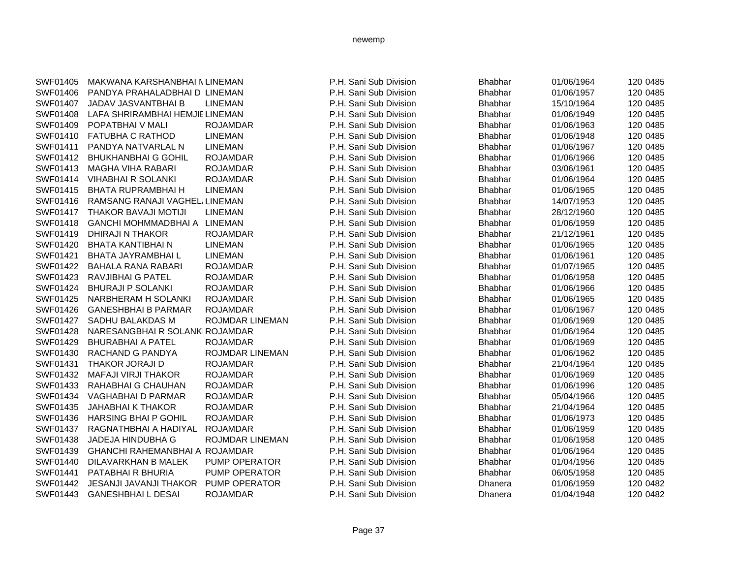| SWF01405 | MAKWANA KARSHANBHAI N LINEMAN         |                        | P.H. Sani Sub Division | <b>Bhabhar</b> | 01/06/1964 | 120 0485 |
|----------|---------------------------------------|------------------------|------------------------|----------------|------------|----------|
| SWF01406 | PANDYA PRAHALADBHAI D LINEMAN         |                        | P.H. Sani Sub Division | <b>Bhabhar</b> | 01/06/1957 | 120 0485 |
| SWF01407 | JADAV JASVANTBHAI B                   | <b>LINEMAN</b>         | P.H. Sani Sub Division | <b>Bhabhar</b> | 15/10/1964 | 120 0485 |
| SWF01408 | LAFA SHRIRAMBHAI HEMJIE LINEMAN       |                        | P.H. Sani Sub Division | <b>Bhabhar</b> | 01/06/1949 | 120 0485 |
| SWF01409 | POPATBHAIV MALI                       | <b>ROJAMDAR</b>        | P.H. Sani Sub Division | <b>Bhabhar</b> | 01/06/1963 | 120 0485 |
| SWF01410 | <b>FATUBHA C RATHOD</b>               | <b>LINEMAN</b>         | P.H. Sani Sub Division | <b>Bhabhar</b> | 01/06/1948 | 120 0485 |
| SWF01411 | PANDYA NATVARLAL N                    | <b>LINEMAN</b>         | P.H. Sani Sub Division | <b>Bhabhar</b> | 01/06/1967 | 120 0485 |
| SWF01412 | <b>BHUKHANBHAI G GOHIL</b>            | <b>ROJAMDAR</b>        | P.H. Sani Sub Division | <b>Bhabhar</b> | 01/06/1966 | 120 0485 |
| SWF01413 | <b>MAGHA VIHA RABARI</b>              | <b>ROJAMDAR</b>        | P.H. Sani Sub Division | <b>Bhabhar</b> | 03/06/1961 | 120 0485 |
| SWF01414 | <b>VIHABHAI R SOLANKI</b>             | <b>ROJAMDAR</b>        | P.H. Sani Sub Division | Bhabhar        | 01/06/1964 | 120 0485 |
| SWF01415 | <b>BHATA RUPRAMBHAI H</b>             | <b>LINEMAN</b>         | P.H. Sani Sub Division | <b>Bhabhar</b> | 01/06/1965 | 120 0485 |
| SWF01416 | RAMSANG RANAJI VAGHEL/LINEMAN         |                        | P.H. Sani Sub Division | <b>Bhabhar</b> | 14/07/1953 | 120 0485 |
| SWF01417 | <b>THAKOR BAVAJI MOTIJI</b>           | <b>LINEMAN</b>         | P.H. Sani Sub Division | <b>Bhabhar</b> | 28/12/1960 | 120 0485 |
| SWF01418 | GANCHI MOHMMADBHAI A LINEMAN          |                        | P.H. Sani Sub Division | Bhabhar        | 01/06/1959 | 120 0485 |
| SWF01419 | DHIRAJI N THAKOR                      | <b>ROJAMDAR</b>        | P.H. Sani Sub Division | <b>Bhabhar</b> | 21/12/1961 | 120 0485 |
| SWF01420 | <b>BHATA KANTIBHAI N</b>              | <b>LINEMAN</b>         | P.H. Sani Sub Division | <b>Bhabhar</b> | 01/06/1965 | 120 0485 |
| SWF01421 | <b>BHATA JAYRAMBHAIL</b>              | <b>LINEMAN</b>         | P.H. Sani Sub Division | <b>Bhabhar</b> | 01/06/1961 | 120 0485 |
| SWF01422 | <b>BAHALA RANA RABARI</b>             | <b>ROJAMDAR</b>        | P.H. Sani Sub Division | <b>Bhabhar</b> | 01/07/1965 | 120 0485 |
| SWF01423 | <b>RAVJIBHAI G PATEL</b>              | <b>ROJAMDAR</b>        | P.H. Sani Sub Division | <b>Bhabhar</b> | 01/06/1958 | 120 0485 |
| SWF01424 | <b>BHURAJI P SOLANKI</b>              | <b>ROJAMDAR</b>        | P.H. Sani Sub Division | Bhabhar        | 01/06/1966 | 120 0485 |
| SWF01425 | NARBHERAM H SOLANKI                   | <b>ROJAMDAR</b>        | P.H. Sani Sub Division | <b>Bhabhar</b> | 01/06/1965 | 120 0485 |
| SWF01426 | <b>GANESHBHAI B PARMAR</b>            | <b>ROJAMDAR</b>        | P.H. Sani Sub Division | <b>Bhabhar</b> | 01/06/1967 | 120 0485 |
| SWF01427 | SADHU BALAKDAS M                      | <b>ROJMDAR LINEMAN</b> | P.H. Sani Sub Division | <b>Bhabhar</b> | 01/06/1969 | 120 0485 |
| SWF01428 | NARESANGBHAI R SOLANKIROJAMDAR        |                        | P.H. Sani Sub Division | <b>Bhabhar</b> | 01/06/1964 | 120 0485 |
| SWF01429 | <b>BHURABHAI A PATEL</b>              | <b>ROJAMDAR</b>        | P.H. Sani Sub Division | <b>Bhabhar</b> | 01/06/1969 | 120 0485 |
| SWF01430 | RACHAND G PANDYA                      | ROJMDAR LINEMAN        | P.H. Sani Sub Division | <b>Bhabhar</b> | 01/06/1962 | 120 0485 |
| SWF01431 | <b>THAKOR JORAJI D</b>                | <b>ROJAMDAR</b>        | P.H. Sani Sub Division | <b>Bhabhar</b> | 21/04/1964 | 120 0485 |
| SWF01432 | <b>MAFAJI VIRJI THAKOR</b>            | <b>ROJAMDAR</b>        | P.H. Sani Sub Division | <b>Bhabhar</b> | 01/06/1969 | 120 0485 |
| SWF01433 | RAHABHAI G CHAUHAN                    | <b>ROJAMDAR</b>        | P.H. Sani Sub Division | <b>Bhabhar</b> | 01/06/1996 | 120 0485 |
| SWF01434 | VAGHABHAI D PARMAR                    | <b>ROJAMDAR</b>        | P.H. Sani Sub Division | <b>Bhabhar</b> | 05/04/1966 | 120 0485 |
| SWF01435 | <b>JAHABHAI K THAKOR</b>              | <b>ROJAMDAR</b>        | P.H. Sani Sub Division | Bhabhar        | 21/04/1964 | 120 0485 |
| SWF01436 | <b>HARSING BHAI P GOHIL</b>           | <b>ROJAMDAR</b>        | P.H. Sani Sub Division | <b>Bhabhar</b> | 01/06/1973 | 120 0485 |
| SWF01437 | RAGNATHBHAI A HADIYAL                 | <b>ROJAMDAR</b>        | P.H. Sani Sub Division | <b>Bhabhar</b> | 01/06/1959 | 120 0485 |
| SWF01438 | <b>JADEJA HINDUBHA G</b>              | ROJMDAR LINEMAN        | P.H. Sani Sub Division | <b>Bhabhar</b> | 01/06/1958 | 120 0485 |
| SWF01439 | <b>GHANCHI RAHEMANBHAI A ROJAMDAR</b> |                        | P.H. Sani Sub Division | <b>Bhabhar</b> | 01/06/1964 | 120 0485 |
| SWF01440 | DILAVARKHAN B MALEK                   | PUMP OPERATOR          | P.H. Sani Sub Division | <b>Bhabhar</b> | 01/04/1956 | 120 0485 |
| SWF01441 | PATABHAI R BHURIA                     | PUMP OPERATOR          | P.H. Sani Sub Division | <b>Bhabhar</b> | 06/05/1958 | 120 0485 |
| SWF01442 | <b>JESANJI JAVANJI THAKOR</b>         | PUMP OPERATOR          | P.H. Sani Sub Division | Dhanera        | 01/06/1959 | 120 0482 |
| SWF01443 | <b>GANESHBHAILDESAI</b>               | <b>ROJAMDAR</b>        | P.H. Sani Sub Division | <b>Dhanera</b> | 01/04/1948 | 120 0482 |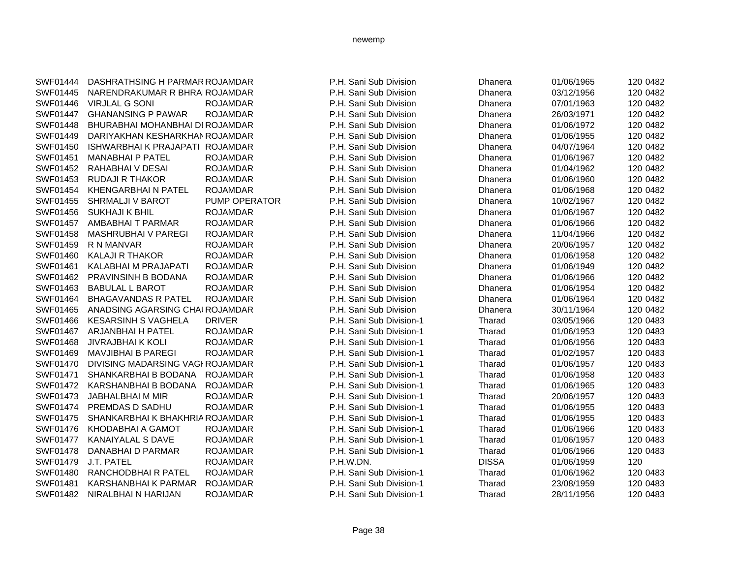| SWF01444        | DASHRATHSING H PARMAR ROJAMDAR   |                 | P.H. Sani Sub Division   | Dhanera      | 01/06/1965 | 120 0482 |
|-----------------|----------------------------------|-----------------|--------------------------|--------------|------------|----------|
| SWF01445        | NARENDRAKUMAR R BHRAIROJAMDAR    |                 | P.H. Sani Sub Division   | Dhanera      | 03/12/1956 | 120 0482 |
| SWF01446        | <b>VIRJLAL G SONI</b>            | <b>ROJAMDAR</b> | P.H. Sani Sub Division   | Dhanera      | 07/01/1963 | 120 0482 |
| <b>SWF01447</b> | <b>GHANANSING P PAWAR</b>        | <b>ROJAMDAR</b> | P.H. Sani Sub Division   | Dhanera      | 26/03/1971 | 120 0482 |
| SWF01448        | BHURABHAI MOHANBHAI DI ROJAMDAR  |                 | P.H. Sani Sub Division   | Dhanera      | 01/06/1972 | 120 0482 |
| SWF01449        | DARIYAKHAN KESHARKHAN ROJAMDAR   |                 | P.H. Sani Sub Division   | Dhanera      | 01/06/1955 | 120 0482 |
| SWF01450        | ISHWARBHAI K PRAJAPATI ROJAMDAR  |                 | P.H. Sani Sub Division   | Dhanera      | 04/07/1964 | 120 0482 |
| SWF01451        | <b>MANABHAI P PATEL</b>          | <b>ROJAMDAR</b> | P.H. Sani Sub Division   | Dhanera      | 01/06/1967 | 120 0482 |
| SWF01452        | RAHABHAI V DESAI                 | <b>ROJAMDAR</b> | P.H. Sani Sub Division   | Dhanera      | 01/04/1962 | 120 0482 |
| SWF01453        | <b>RUDAJI R THAKOR</b>           | <b>ROJAMDAR</b> | P.H. Sani Sub Division   | Dhanera      | 01/06/1960 | 120 0482 |
| SWF01454        | <b>KHENGARBHAIN PATEL</b>        | <b>ROJAMDAR</b> | P.H. Sani Sub Division   | Dhanera      | 01/06/1968 | 120 0482 |
| SWF01455        | SHRMALJI V BAROT                 | PUMP OPERATOR   | P.H. Sani Sub Division   | Dhanera      | 10/02/1967 | 120 0482 |
| SWF01456        | <b>SUKHAJI K BHIL</b>            | <b>ROJAMDAR</b> | P.H. Sani Sub Division   | Dhanera      | 01/06/1967 | 120 0482 |
| SWF01457        | AMBABHAI T PARMAR                | <b>ROJAMDAR</b> | P.H. Sani Sub Division   | Dhanera      | 01/06/1966 | 120 0482 |
| SWF01458        | <b>MASHRUBHAI V PAREGI</b>       | <b>ROJAMDAR</b> | P.H. Sani Sub Division   | Dhanera      | 11/04/1966 | 120 0482 |
| SWF01459        | R N MANVAR                       | <b>ROJAMDAR</b> | P.H. Sani Sub Division   | Dhanera      | 20/06/1957 | 120 0482 |
| SWF01460        | <b>KALAJI R THAKOR</b>           | <b>ROJAMDAR</b> | P.H. Sani Sub Division   | Dhanera      | 01/06/1958 | 120 0482 |
| SWF01461        | KALABHAI M PRAJAPATI             | <b>ROJAMDAR</b> | P.H. Sani Sub Division   | Dhanera      | 01/06/1949 | 120 0482 |
| SWF01462        | PRAVINSINH B BODANA              | <b>ROJAMDAR</b> | P.H. Sani Sub Division   | Dhanera      | 01/06/1966 | 120 0482 |
| SWF01463        | <b>BABULAL L BAROT</b>           | <b>ROJAMDAR</b> | P.H. Sani Sub Division   | Dhanera      | 01/06/1954 | 120 0482 |
| SWF01464        | <b>BHAGAVANDAS R PATEL</b>       | <b>ROJAMDAR</b> | P.H. Sani Sub Division   | Dhanera      | 01/06/1964 | 120 0482 |
| SWF01465        | ANADSING AGARSING CHALROJAMDAR   |                 | P.H. Sani Sub Division   | Dhanera      | 30/11/1964 | 120 0482 |
| SWF01466        | <b>KESARSINH S VAGHELA</b>       | <b>DRIVER</b>   | P.H. Sani Sub Division-1 | Tharad       | 03/05/1966 | 120 0483 |
| <b>SWF01467</b> | ARJANBHAI H PATEL                | <b>ROJAMDAR</b> | P.H. Sani Sub Division-1 | Tharad       | 01/06/1953 | 120 0483 |
| SWF01468        | <b>JIVRAJBHAI K KOLI</b>         | <b>ROJAMDAR</b> | P.H. Sani Sub Division-1 | Tharad       | 01/06/1956 | 120 0483 |
| SWF01469        | <b>MAVJIBHAI B PAREGI</b>        | <b>ROJAMDAR</b> | P.H. Sani Sub Division-1 | Tharad       | 01/02/1957 | 120 0483 |
| SWF01470        | DIVISING MADARSING VAGI ROJAMDAR |                 | P.H. Sani Sub Division-1 | Tharad       | 01/06/1957 | 120 0483 |
| SWF01471        | SHANKARBHAI B BODANA             | <b>ROJAMDAR</b> | P.H. Sani Sub Division-1 | Tharad       | 01/06/1958 | 120 0483 |
| SWF01472        | KARSHANBHAI B BODANA             | <b>ROJAMDAR</b> | P.H. Sani Sub Division-1 | Tharad       | 01/06/1965 | 120 0483 |
| SWF01473        | JABHALBHAI M MIR                 | <b>ROJAMDAR</b> | P.H. Sani Sub Division-1 | Tharad       | 20/06/1957 | 120 0483 |
| <b>SWF01474</b> | PREMDAS D SADHU                  | <b>ROJAMDAR</b> | P.H. Sani Sub Division-1 | Tharad       | 01/06/1955 | 120 0483 |
| SWF01475        | SHANKARBHAI K BHAKHRIA ROJAMDAR  |                 | P.H. Sani Sub Division-1 | Tharad       | 01/06/1955 | 120 0483 |
| SWF01476        | KHODABHAI A GAMOT                | <b>ROJAMDAR</b> | P.H. Sani Sub Division-1 | Tharad       | 01/06/1966 | 120 0483 |
| <b>SWF01477</b> | <b>KANAIYALAL S DAVE</b>         | <b>ROJAMDAR</b> | P.H. Sani Sub Division-1 | Tharad       | 01/06/1957 | 120 0483 |
| <b>SWF01478</b> | DANABHAI D PARMAR                | <b>ROJAMDAR</b> | P.H. Sani Sub Division-1 | Tharad       | 01/06/1966 | 120 0483 |
| SWF01479        | J.T. PATEL                       | <b>ROJAMDAR</b> | P.H.W.DN.                | <b>DISSA</b> | 01/06/1959 | 120      |
| SWF01480        | RANCHODBHAI R PATEL              | <b>ROJAMDAR</b> | P.H. Sani Sub Division-1 | Tharad       | 01/06/1962 | 120 0483 |
| SWF01481        | KARSHANBHAI K PARMAR             | <b>ROJAMDAR</b> | P.H. Sani Sub Division-1 | Tharad       | 23/08/1959 | 120 0483 |
| SWF01482        | NIRALBHAI N HARIJAN              | <b>ROJAMDAR</b> | P.H. Sani Sub Division-1 | Tharad       | 28/11/1956 | 120 0483 |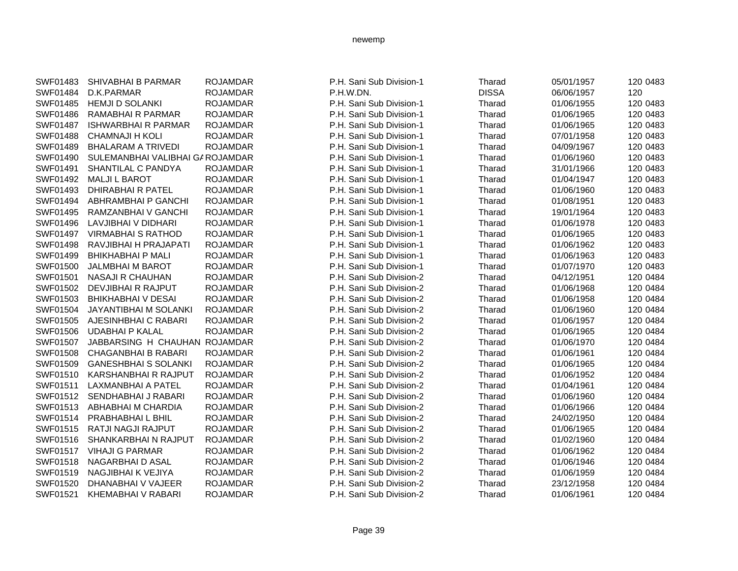| SWF01483 | SHIVABHAI B PARMAR              | <b>ROJAMDAR</b> | P.H. Sani Sub Division-1 | Tharad       | 05/01/1957 | 120 0483 |
|----------|---------------------------------|-----------------|--------------------------|--------------|------------|----------|
| SWF01484 | D.K.PARMAR                      | <b>ROJAMDAR</b> | P.H.W.DN.                | <b>DISSA</b> | 06/06/1957 | 120      |
| SWF01485 | <b>HEMJI D SOLANKI</b>          | <b>ROJAMDAR</b> | P.H. Sani Sub Division-1 | Tharad       | 01/06/1955 | 120 0483 |
| SWF01486 | <b>RAMABHAI R PARMAR</b>        | <b>ROJAMDAR</b> | P.H. Sani Sub Division-1 | Tharad       | 01/06/1965 | 120 0483 |
| SWF01487 | <b>ISHWARBHAI R PARMAR</b>      | <b>ROJAMDAR</b> | P.H. Sani Sub Division-1 | Tharad       | 01/06/1965 | 120 0483 |
| SWF01488 | <b>CHAMNAJI H KOLI</b>          | <b>ROJAMDAR</b> | P.H. Sani Sub Division-1 | Tharad       | 07/01/1958 | 120 0483 |
| SWF01489 | <b>BHALARAM A TRIVEDI</b>       | <b>ROJAMDAR</b> | P.H. Sani Sub Division-1 | Tharad       | 04/09/1967 | 120 0483 |
| SWF01490 | SULEMANBHAI VALIBHAI GAROJAMDAR |                 | P.H. Sani Sub Division-1 | Tharad       | 01/06/1960 | 120 0483 |
| SWF01491 | SHANTILAL C PANDYA              | <b>ROJAMDAR</b> | P.H. Sani Sub Division-1 | Tharad       | 31/01/1966 | 120 0483 |
| SWF01492 | <b>MALJI L BAROT</b>            | <b>ROJAMDAR</b> | P.H. Sani Sub Division-1 | Tharad       | 01/04/1947 | 120 0483 |
| SWF01493 | <b>DHIRABHAI R PATEL</b>        | <b>ROJAMDAR</b> | P.H. Sani Sub Division-1 | Tharad       | 01/06/1960 | 120 0483 |
| SWF01494 | ABHRAMBHAI P GANCHI             | <b>ROJAMDAR</b> | P.H. Sani Sub Division-1 | Tharad       | 01/08/1951 | 120 0483 |
| SWF01495 | RAMZANBHAI V GANCHI             | <b>ROJAMDAR</b> | P.H. Sani Sub Division-1 | Tharad       | 19/01/1964 | 120 0483 |
| SWF01496 | LAVJIBHAI V DIDHARI             | <b>ROJAMDAR</b> | P.H. Sani Sub Division-1 | Tharad       | 01/06/1978 | 120 0483 |
| SWF01497 | <b>VIRMABHAI S RATHOD</b>       | <b>ROJAMDAR</b> | P.H. Sani Sub Division-1 | Tharad       | 01/06/1965 | 120 0483 |
| SWF01498 | RAVJIBHAI H PRAJAPATI           | <b>ROJAMDAR</b> | P.H. Sani Sub Division-1 | Tharad       | 01/06/1962 | 120 0483 |
| SWF01499 | <b>BHIKHABHAI P MALI</b>        | <b>ROJAMDAR</b> | P.H. Sani Sub Division-1 | Tharad       | 01/06/1963 | 120 0483 |
| SWF01500 | <b>JALMBHAI M BAROT</b>         | <b>ROJAMDAR</b> | P.H. Sani Sub Division-1 | Tharad       | 01/07/1970 | 120 0483 |
| SWF01501 | <b>NASAJI R CHAUHAN</b>         | <b>ROJAMDAR</b> | P.H. Sani Sub Division-2 | Tharad       | 04/12/1951 | 120 0484 |
| SWF01502 | DEVJIBHAI R RAJPUT              | <b>ROJAMDAR</b> | P.H. Sani Sub Division-2 | Tharad       | 01/06/1968 | 120 0484 |
| SWF01503 | <b>BHIKHABHAI V DESAI</b>       | <b>ROJAMDAR</b> | P.H. Sani Sub Division-2 | Tharad       | 01/06/1958 | 120 0484 |
| SWF01504 | <b>JAYANTIBHAI M SOLANKI</b>    | <b>ROJAMDAR</b> | P.H. Sani Sub Division-2 | Tharad       | 01/06/1960 | 120 0484 |
| SWF01505 | AJESINHBHAI C RABARI            | <b>ROJAMDAR</b> | P.H. Sani Sub Division-2 | Tharad       | 01/06/1957 | 120 0484 |
| SWF01506 | <b>UDABHAI P KALAL</b>          | <b>ROJAMDAR</b> | P.H. Sani Sub Division-2 | Tharad       | 01/06/1965 | 120 0484 |
| SWF01507 | JABBARSING H CHAUHAN ROJAMDAR   |                 | P.H. Sani Sub Division-2 | Tharad       | 01/06/1970 | 120 0484 |
| SWF01508 | <b>CHAGANBHAI B RABARI</b>      | <b>ROJAMDAR</b> | P.H. Sani Sub Division-2 | Tharad       | 01/06/1961 | 120 0484 |
| SWF01509 | <b>GANESHBHAI S SOLANKI</b>     | <b>ROJAMDAR</b> | P.H. Sani Sub Division-2 | Tharad       | 01/06/1965 | 120 0484 |
| SWF01510 | <b>KARSHANBHAI R RAJPUT</b>     | <b>ROJAMDAR</b> | P.H. Sani Sub Division-2 | Tharad       | 01/06/1952 | 120 0484 |
| SWF01511 | LAXMANBHAI A PATEL              | <b>ROJAMDAR</b> | P.H. Sani Sub Division-2 | Tharad       | 01/04/1961 | 120 0484 |
| SWF01512 | SENDHABHAI J RABARI             | <b>ROJAMDAR</b> | P.H. Sani Sub Division-2 | Tharad       | 01/06/1960 | 120 0484 |
| SWF01513 | ABHABHAI M CHARDIA              | <b>ROJAMDAR</b> | P.H. Sani Sub Division-2 | Tharad       | 01/06/1966 | 120 0484 |
| SWF01514 | PRABHABHAIL BHIL                | <b>ROJAMDAR</b> | P.H. Sani Sub Division-2 | Tharad       | 24/02/1950 | 120 0484 |
| SWF01515 | RATJI NAGJI RAJPUT              | <b>ROJAMDAR</b> | P.H. Sani Sub Division-2 | Tharad       | 01/06/1965 | 120 0484 |
| SWF01516 | SHANKARBHAI N RAJPUT            | <b>ROJAMDAR</b> | P.H. Sani Sub Division-2 | Tharad       | 01/02/1960 | 120 0484 |
| SWF01517 | <b>VIHAJI G PARMAR</b>          | <b>ROJAMDAR</b> | P.H. Sani Sub Division-2 | Tharad       | 01/06/1962 | 120 0484 |
| SWF01518 | NAGARBHAI D ASAL                | <b>ROJAMDAR</b> | P.H. Sani Sub Division-2 | Tharad       | 01/06/1946 | 120 0484 |
| SWF01519 | NAGJIBHAI K VEJIYA              | <b>ROJAMDAR</b> | P.H. Sani Sub Division-2 | Tharad       | 01/06/1959 | 120 0484 |
| SWF01520 | DHANABHAI V VAJEER              | <b>ROJAMDAR</b> | P.H. Sani Sub Division-2 | Tharad       | 23/12/1958 | 120 0484 |
| SWF01521 | <b>KHEMABHAI V RABARI</b>       | <b>ROJAMDAR</b> | P.H. Sani Sub Division-2 | Tharad       | 01/06/1961 | 120 0484 |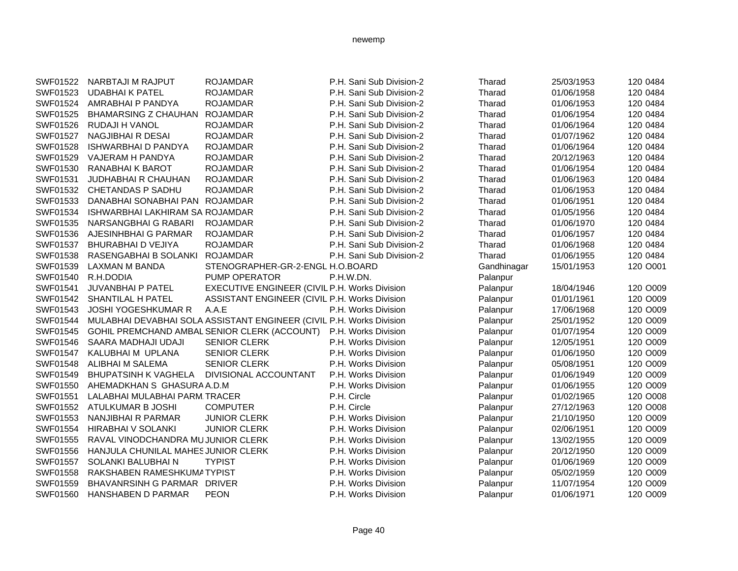| SWF01522        | NARBTAJI M RAJPUT                   | <b>ROJAMDAR</b>                                                      | P.H. Sani Sub Division-2 | Tharad      | 25/03/1953 | 120 0484 |
|-----------------|-------------------------------------|----------------------------------------------------------------------|--------------------------|-------------|------------|----------|
| SWF01523        | <b>UDABHAIK PATEL</b>               | <b>ROJAMDAR</b>                                                      | P.H. Sani Sub Division-2 | Tharad      | 01/06/1958 | 120 0484 |
| SWF01524        | AMRABHAI P PANDYA                   | <b>ROJAMDAR</b>                                                      | P.H. Sani Sub Division-2 | Tharad      | 01/06/1953 | 120 0484 |
| SWF01525        | <b>BHAMARSING Z CHAUHAN</b>         | <b>ROJAMDAR</b>                                                      | P.H. Sani Sub Division-2 | Tharad      | 01/06/1954 | 120 0484 |
| SWF01526        | RUDAJI H VANOL                      | <b>ROJAMDAR</b>                                                      | P.H. Sani Sub Division-2 | Tharad      | 01/06/1964 | 120 0484 |
| <b>SWF01527</b> | NAGJIBHAI R DESAI                   | <b>ROJAMDAR</b>                                                      | P.H. Sani Sub Division-2 | Tharad      | 01/07/1962 | 120 0484 |
| SWF01528        | <b>ISHWARBHAI D PANDYA</b>          | <b>ROJAMDAR</b>                                                      | P.H. Sani Sub Division-2 | Tharad      | 01/06/1964 | 120 0484 |
| SWF01529        | VAJERAM H PANDYA                    | <b>ROJAMDAR</b>                                                      | P.H. Sani Sub Division-2 | Tharad      | 20/12/1963 | 120 0484 |
| SWF01530        | RANABHAI K BAROT                    | <b>ROJAMDAR</b>                                                      | P.H. Sani Sub Division-2 | Tharad      | 01/06/1954 | 120 0484 |
| SWF01531        | <b>JUDHABHAI R CHAUHAN</b>          | <b>ROJAMDAR</b>                                                      | P.H. Sani Sub Division-2 | Tharad      | 01/06/1963 | 120 0484 |
| SWF01532        | <b>CHETANDAS P SADHU</b>            | <b>ROJAMDAR</b>                                                      | P.H. Sani Sub Division-2 | Tharad      | 01/06/1953 | 120 0484 |
| SWF01533        | DANABHAI SONABHAI PAN ROJAMDAR      |                                                                      | P.H. Sani Sub Division-2 | Tharad      | 01/06/1951 | 120 0484 |
| SWF01534        | ISHWARBHAI LAKHIRAM SA ROJAMDAR     |                                                                      | P.H. Sani Sub Division-2 | Tharad      | 01/05/1956 | 120 0484 |
| SWF01535        | NARSANGBHAIG RABARI                 | <b>ROJAMDAR</b>                                                      | P.H. Sani Sub Division-2 | Tharad      | 01/06/1970 | 120 0484 |
| SWF01536        | AJESINHBHAI G PARMAR                | <b>ROJAMDAR</b>                                                      | P.H. Sani Sub Division-2 | Tharad      | 01/06/1957 | 120 0484 |
| SWF01537        | <b>BHURABHAI D VEJIYA</b>           | <b>ROJAMDAR</b>                                                      | P.H. Sani Sub Division-2 | Tharad      | 01/06/1968 | 120 0484 |
| SWF01538        | RASENGABHAI B SOLANKI               | <b>ROJAMDAR</b>                                                      | P.H. Sani Sub Division-2 | Tharad      | 01/06/1955 | 120 0484 |
| SWF01539        | <b>LAXMAN M BANDA</b>               | STENOGRAPHER-GR-2-ENGL H.O.BOARD                                     |                          | Gandhinagar | 15/01/1953 | 120 O001 |
| SWF01540        | R.H.DODIA                           | PUMP OPERATOR                                                        | P.H.W.DN.                | Palanpur    |            |          |
| SWF01541        | <b>JUVANBHAI P PATEL</b>            | EXECUTIVE ENGINEER (CIVIL P.H. Works Division                        |                          | Palanpur    | 18/04/1946 | 120 O009 |
| SWF01542        | SHANTILAL H PATEL                   | ASSISTANT ENGINEER (CIVIL P.H. Works Division                        |                          | Palanpur    | 01/01/1961 | 120 O009 |
| SWF01543        | <b>JOSHI YOGESHKUMAR R</b>          | A.A.E                                                                | P.H. Works Division      | Palanpur    | 17/06/1968 | 120 O009 |
| SWF01544        |                                     | MULABHAI DEVABHAI SOLA ASSISTANT ENGINEER (CIVIL P.H. Works Division |                          | Palanpur    | 25/01/1952 | 120 O009 |
| SWF01545        |                                     | GOHIL PREMCHAND AMBAL SENIOR CLERK (ACCOUNT)                         | P.H. Works Division      | Palanpur    | 01/07/1954 | 120 O009 |
| SWF01546        | SAARA MADHAJI UDAJI                 | <b>SENIOR CLERK</b>                                                  | P.H. Works Division      | Palanpur    | 12/05/1951 | 120 O009 |
| SWF01547        | KALUBHAI M UPLANA                   | <b>SENIOR CLERK</b>                                                  | P.H. Works Division      | Palanpur    | 01/06/1950 | 120 O009 |
| SWF01548        | ALIBHAI M SALEMA                    | <b>SENIOR CLERK</b>                                                  | P.H. Works Division      | Palanpur    | 05/08/1951 | 120 O009 |
| SWF01549        | <b>BHUPATSINH K VAGHELA</b>         | DIVISIONAL ACCOUNTANT                                                | P.H. Works Division      | Palanpur    | 01/06/1949 | 120 O009 |
| SWF01550        | AHEMADKHAN S GHASURA A.D.M          |                                                                      | P.H. Works Division      | Palanpur    | 01/06/1955 | 120 O009 |
| SWF01551        | LALABHAI MULABHAI PARM. TRACER      |                                                                      | P.H. Circle              | Palanpur    | 01/02/1965 | 120 O008 |
| SWF01552        | ATULKUMAR B JOSHI                   | <b>COMPUTER</b>                                                      | P.H. Circle              | Palanpur    | 27/12/1963 | 120 O008 |
| SWF01553        | NANJIBHAI R PARMAR                  | <b>JUNIOR CLERK</b>                                                  | P.H. Works Division      | Palanpur    | 21/10/1950 | 120 O009 |
| SWF01554        | HIRABHAI V SOLANKI                  | <b>JUNIOR CLERK</b>                                                  | P.H. Works Division      | Palanpur    | 02/06/1951 | 120 O009 |
| SWF01555        | RAVAL VINODCHANDRA MUJUNIOR CLERK   |                                                                      | P.H. Works Division      | Palanpur    | 13/02/1955 | 120 O009 |
| SWF01556        | HANJULA CHUNILAL MAHES JUNIOR CLERK |                                                                      | P.H. Works Division      | Palanpur    | 20/12/1950 | 120 O009 |
| SWF01557        | SOLANKI BALUBHAI N                  | <b>TYPIST</b>                                                        | P.H. Works Division      | Palanpur    | 01/06/1969 | 120 O009 |
| SWF01558        | RAKSHABEN RAMESHKUMATYPIST          |                                                                      | P.H. Works Division      | Palanpur    | 05/02/1959 | 120 O009 |
| SWF01559        | BHAVANRSINH G PARMAR DRIVER         |                                                                      | P.H. Works Division      | Palanpur    | 11/07/1954 | 120 O009 |
| SWF01560        | <b>HANSHABEN D PARMAR</b>           | <b>PEON</b>                                                          | P.H. Works Division      | Palanpur    | 01/06/1971 | 120 O009 |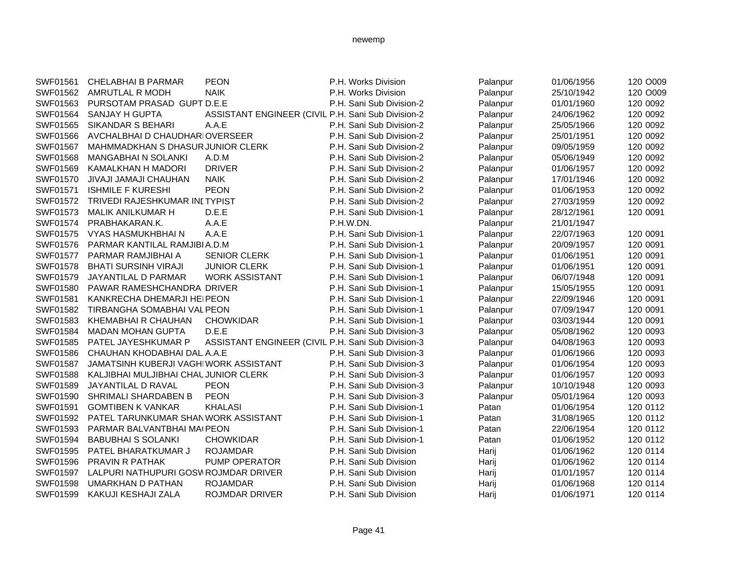| SWF01561 | <b>CHELABHAI B PARMAR</b>             | <b>PEON</b>                                        | P.H. Works Division      | Palanpur | 01/06/1956 | 120 O009 |
|----------|---------------------------------------|----------------------------------------------------|--------------------------|----------|------------|----------|
| SWF01562 | AMRUTLAL R MODH                       | <b>NAIK</b>                                        | P.H. Works Division      | Palanpur | 25/10/1942 | 120 O009 |
| SWF01563 | PURSOTAM PRASAD GUPT D.E.E            |                                                    | P.H. Sani Sub Division-2 | Palanpur | 01/01/1960 | 120 0092 |
| SWF01564 | SANJAY H GUPTA                        | ASSISTANT ENGINEER (CIVIL P.H. Sani Sub Division-2 |                          | Palanpur | 24/06/1962 | 120 0092 |
| SWF01565 | <b>SIKANDAR S BEHARI</b>              | A.A.E                                              | P.H. Sani Sub Division-2 | Palanpur | 25/05/1966 | 120 0092 |
| SWF01566 | AVCHALBHAI D CHAUDHARIOVERSEER        |                                                    | P.H. Sani Sub Division-2 | Palanpur | 25/01/1951 | 120 0092 |
| SWF01567 | MAHMMADKHAN S DHASUR JUNIOR CLERK     |                                                    | P.H. Sani Sub Division-2 | Palanpur | 09/05/1959 | 120 0092 |
| SWF01568 | <b>MANGABHAI N SOLANKI</b>            | A.D.M                                              | P.H. Sani Sub Division-2 | Palanpur | 05/06/1949 | 120 0092 |
| SWF01569 | KAMALKHAN H MADORI                    | <b>DRIVER</b>                                      | P.H. Sani Sub Division-2 | Palanpur | 01/06/1957 | 120 0092 |
| SWF01570 | JIVAJI JAMAJI CHAUHAN                 | <b>NAIK</b>                                        | P.H. Sani Sub Division-2 | Palanpur | 17/01/1946 | 120 0092 |
| SWF01571 | <b>ISHMILE F KURESHI</b>              | <b>PEON</b>                                        | P.H. Sani Sub Division-2 | Palanpur | 01/06/1953 | 120 0092 |
| SWF01572 | TRIVEDI RAJESHKUMAR INI TYPIST        |                                                    | P.H. Sani Sub Division-2 | Palanpur | 27/03/1959 | 120 0092 |
| SWF01573 | <b>MALIK ANILKUMAR H</b>              | D.E.E                                              | P.H. Sani Sub Division-1 | Palanpur | 28/12/1961 | 120 0091 |
| SWF01574 | PRABHAKARAN.K.                        | A.A.E                                              | P.H.W.DN.                | Palanpur | 21/01/1947 |          |
| SWF01575 | VYAS HASMUKHBHAI N                    | A.A.E                                              | P.H. Sani Sub Division-1 | Palanpur | 22/07/1963 | 120 0091 |
| SWF01576 | PARMAR KANTILAL RAMJIBI A.D.M         |                                                    | P.H. Sani Sub Division-1 | Palanpur | 20/09/1957 | 120 0091 |
| SWF01577 | PARMAR RAMJIBHAI A                    | <b>SENIOR CLERK</b>                                | P.H. Sani Sub Division-1 | Palanpur | 01/06/1951 | 120 0091 |
| SWF01578 | <b>BHATI SURSINH VIRAJI</b>           | <b>JUNIOR CLERK</b>                                | P.H. Sani Sub Division-1 | Palanpur | 01/06/1951 | 120 0091 |
| SWF01579 | JAYANTILAL D PARMAR                   | <b>WORK ASSISTANT</b>                              | P.H. Sani Sub Division-1 | Palanpur | 06/07/1948 | 120 0091 |
| SWF01580 | PAWAR RAMESHCHANDRA DRIVER            |                                                    | P.H. Sani Sub Division-1 | Palanpur | 15/05/1955 | 120 0091 |
| SWF01581 | KANKRECHA DHEMARJI HEIPEON            |                                                    | P.H. Sani Sub Division-1 | Palanpur | 22/09/1946 | 120 0091 |
| SWF01582 | TIRBANGHA SOMABHAI VAL PEON           |                                                    | P.H. Sani Sub Division-1 | Palanpur | 07/09/1947 | 120 0091 |
| SWF01583 | KHEMABHAI R CHAUHAN                   | <b>CHOWKIDAR</b>                                   | P.H. Sani Sub Division-1 | Palanpur | 03/03/1944 | 120 0091 |
| SWF01584 | <b>MADAN MOHAN GUPTA</b>              | D.E.E                                              | P.H. Sani Sub Division-3 | Palanpur | 05/08/1962 | 120 0093 |
| SWF01585 | PATEL JAYESHKUMAR P                   | ASSISTANT ENGINEER (CIVIL P.H. Sani Sub Division-3 |                          | Palanpur | 04/08/1963 | 120 0093 |
| SWF01586 | CHAUHAN KHODABHAI DAL A.A.E           |                                                    | P.H. Sani Sub Division-3 | Palanpur | 01/06/1966 | 120 0093 |
| SWF01587 | JAMATSINH KUBERJI VAGHIWORK ASSISTANT |                                                    | P.H. Sani Sub Division-3 | Palanpur | 01/06/1954 | 120 0093 |
| SWF01588 | KALJIBHAI MULJIBHAI CHAL JUNIOR CLERK |                                                    | P.H. Sani Sub Division-3 | Palanpur | 01/06/1957 | 120 0093 |
| SWF01589 | JAYANTILAL D RAVAL                    | <b>PEON</b>                                        | P.H. Sani Sub Division-3 | Palanpur | 10/10/1948 | 120 0093 |
| SWF01590 | SHRIMALI SHARDABEN B                  | <b>PEON</b>                                        | P.H. Sani Sub Division-3 | Palanpur | 05/01/1964 | 120 0093 |
| SWF01591 | <b>GOMTIBEN K VANKAR</b>              | <b>KHALASI</b>                                     | P.H. Sani Sub Division-1 | Patan    | 01/06/1954 | 120 0112 |
| SWF01592 | PATEL TARUNKUMAR SHANWORK ASSISTANT   |                                                    | P.H. Sani Sub Division-1 | Patan    | 31/08/1965 | 120 0112 |
| SWF01593 | PARMAR BALVANTBHAI MAI PEON           |                                                    | P.H. Sani Sub Division-1 | Patan    | 22/06/1954 | 120 0112 |
| SWF01594 | <b>BABUBHAI S SOLANKI</b>             | <b>CHOWKIDAR</b>                                   | P.H. Sani Sub Division-1 | Patan    | 01/06/1952 | 120 0112 |
| SWF01595 | PATEL BHARATKUMAR J                   | <b>ROJAMDAR</b>                                    | P.H. Sani Sub Division   | Harij    | 01/06/1962 | 120 0114 |
| SWF01596 | <b>PRAVIN R PATHAK</b>                | <b>PUMP OPERATOR</b>                               | P.H. Sani Sub Division   | Harij    | 01/06/1962 | 120 0114 |
| SWF01597 | LALPURI NATHUPURI GOSV ROJMDAR DRIVER |                                                    | P.H. Sani Sub Division   | Harij    | 01/01/1957 | 120 0114 |
| SWF01598 | UMARKHAN D PATHAN                     | <b>ROJAMDAR</b>                                    | P.H. Sani Sub Division   | Harij    | 01/06/1968 | 120 0114 |
| SWF01599 | KAKUJI KESHAJI ZALA                   | <b>ROJMDAR DRIVER</b>                              | P.H. Sani Sub Division   | Harii    | 01/06/1971 | 120 0114 |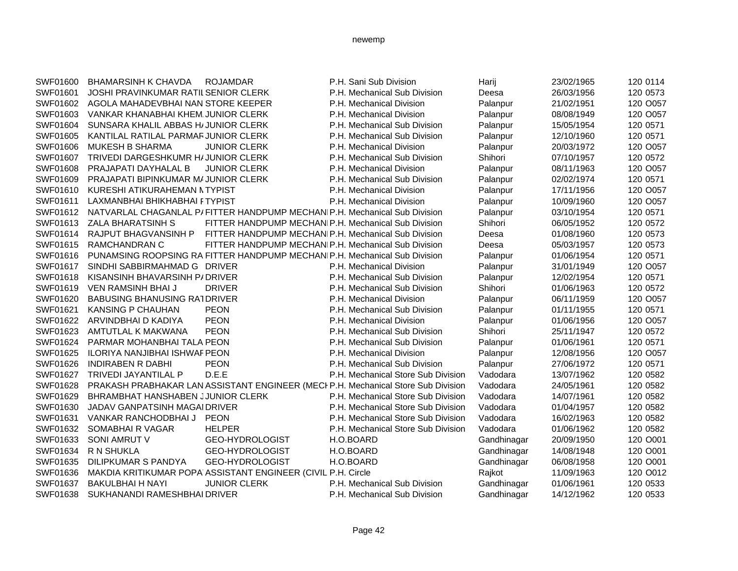| SWF01600 | <b>BHAMARSINH K CHAVDA</b>           | <b>ROJAMDAR</b>                                                           | P.H. Sani Sub Division                                                            | Harij       | 23/02/1965 | 120 0114 |
|----------|--------------------------------------|---------------------------------------------------------------------------|-----------------------------------------------------------------------------------|-------------|------------|----------|
| SWF01601 | JOSHI PRAVINKUMAR RATIL SENIOR CLERK |                                                                           | P.H. Mechanical Sub Division                                                      | Deesa       | 26/03/1956 | 120 0573 |
| SWF01602 | AGOLA MAHADEVBHAI NAN STORE KEEPER   |                                                                           | P.H. Mechanical Division                                                          | Palanpur    | 21/02/1951 | 120 O057 |
| SWF01603 | VANKAR KHANABHAI KHEM JUNIOR CLERK   |                                                                           | P.H. Mechanical Division                                                          | Palanpur    | 08/08/1949 | 120 O057 |
| SWF01604 | SUNSARA KHALIL ABBAS H/JUNIOR CLERK  |                                                                           | P.H. Mechanical Sub Division                                                      | Palanpur    | 15/05/1954 | 120 0571 |
| SWF01605 | KANTILAL RATILAL PARMAR JUNIOR CLERK |                                                                           | P.H. Mechanical Sub Division                                                      | Palanpur    | 12/10/1960 | 120 0571 |
| SWF01606 | <b>MUKESH B SHARMA</b>               | <b>JUNIOR CLERK</b>                                                       | P.H. Mechanical Division                                                          | Palanpur    | 20/03/1972 | 120 O057 |
| SWF01607 | TRIVEDI DARGESHKUMR H/ JUNIOR CLERK  |                                                                           | P.H. Mechanical Sub Division                                                      | Shihori     | 07/10/1957 | 120 0572 |
| SWF01608 | PRAJAPATI DAYHALAL B                 | <b>JUNIOR CLERK</b>                                                       | P.H. Mechanical Division                                                          | Palanpur    | 08/11/1963 | 120 O057 |
| SWF01609 | PRAJAPATI BIPINKUMAR M/ JUNIOR CLERK |                                                                           | P.H. Mechanical Sub Division                                                      | Palanpur    | 02/02/1974 | 120 0571 |
| SWF01610 | KURESHI ATIKURAHEMAN NTYPIST         |                                                                           | P.H. Mechanical Division                                                          | Palanpur    | 17/11/1956 | 120 O057 |
| SWF01611 | LAXMANBHAI BHIKHABHAI FTYPIST        |                                                                           | P.H. Mechanical Division                                                          | Palanpur    | 10/09/1960 | 120 O057 |
| SWF01612 |                                      | NATVARLAL CHAGANLAL P/FITTER HANDPUMP MECHANIP.H. Mechanical Sub Division |                                                                                   | Palanpur    | 03/10/1954 | 120 0571 |
| SWF01613 | ZALA BHARATSINH S                    | FITTER HANDPUMP MECHANIP.H. Mechanical Sub Division                       |                                                                                   | Shihori     | 06/05/1952 | 120 0572 |
| SWF01614 | RAJPUT BHAGVANSINH P                 | FITTER HANDPUMP MECHANIP.H. Mechanical Sub Division                       |                                                                                   | Deesa       | 01/08/1960 | 120 0573 |
| SWF01615 | <b>RAMCHANDRAN C</b>                 | FITTER HANDPUMP MECHANIP.H. Mechanical Sub Division                       |                                                                                   | Deesa       | 05/03/1957 | 120 0573 |
| SWF01616 |                                      | PUNAMSING ROOPSING RA FITTER HANDPUMP MECHANIP.H. Mechanical Sub Division |                                                                                   | Palanpur    | 01/06/1954 | 120 0571 |
| SWF01617 | SINDHI SABBIRMAHMAD G DRIVER         |                                                                           | P.H. Mechanical Division                                                          | Palanpur    | 31/01/1949 | 120 O057 |
| SWF01618 | KISANSINH BHAVARSINH P/DRIVER        |                                                                           | P.H. Mechanical Sub Division                                                      | Palanpur    | 12/02/1954 | 120 0571 |
| SWF01619 | <b>VEN RAMSINH BHAI J</b>            | <b>DRIVER</b>                                                             | P.H. Mechanical Sub Division                                                      | Shihori     | 01/06/1963 | 120 0572 |
| SWF01620 | <b>BABUSING BHANUSING RATDRIVER</b>  |                                                                           | P.H. Mechanical Division                                                          | Palanpur    | 06/11/1959 | 120 O057 |
| SWF01621 | <b>KANSING P CHAUHAN</b>             | <b>PEON</b>                                                               | P.H. Mechanical Sub Division                                                      | Palanpur    | 01/11/1955 | 120 0571 |
| SWF01622 | ARVINDBHAI D KADIYA                  | <b>PEON</b>                                                               | P.H. Mechanical Division                                                          | Palanpur    | 01/06/1956 | 120 O057 |
| SWF01623 | AMTUTLAL K MAKWANA                   | <b>PEON</b>                                                               | P.H. Mechanical Sub Division                                                      | Shihori     | 25/11/1947 | 120 0572 |
| SWF01624 | PARMAR MOHANBHAI TALA PEON           |                                                                           | P.H. Mechanical Sub Division                                                      | Palanpur    | 01/06/1961 | 120 0571 |
| SWF01625 | ILORIYA NANJIBHAI ISHWAF PEON        |                                                                           | P.H. Mechanical Division                                                          | Palanpur    | 12/08/1956 | 120 O057 |
| SWF01626 | <b>INDIRABEN R DABHI</b>             | <b>PEON</b>                                                               | P.H. Mechanical Sub Division                                                      | Palanpur    | 27/06/1972 | 120 0571 |
| SWF01627 | TRIVEDI JAYANTILAL P                 | D.E.E                                                                     | P.H. Mechanical Store Sub Division                                                | Vadodara    | 13/07/1962 | 120 0582 |
| SWF01628 |                                      |                                                                           | PRAKASH PRABHAKAR LAN ASSISTANT ENGINEER (MECI P.H. Mechanical Store Sub Division | Vadodara    | 24/05/1961 | 120 0582 |
| SWF01629 | BHRAMBHAT HANSHABEN JJUNIOR CLERK    |                                                                           | P.H. Mechanical Store Sub Division                                                | Vadodara    | 14/07/1961 | 120 0582 |
| SWF01630 | JADAV GANPATSINH MAGAI DRIVER        |                                                                           | P.H. Mechanical Store Sub Division                                                | Vadodara    | 01/04/1957 | 120 0582 |
| SWF01631 | VANKAR RANCHODBHAI J                 | <b>PEON</b>                                                               | P.H. Mechanical Store Sub Division                                                | Vadodara    | 16/02/1963 | 120 0582 |
| SWF01632 | SOMABHAI R VAGAR                     | <b>HELPER</b>                                                             | P.H. Mechanical Store Sub Division                                                | Vadodara    | 01/06/1962 | 120 0582 |
| SWF01633 | <b>SONI AMRUT V</b>                  | GEO-HYDROLOGIST                                                           | H.O.BOARD                                                                         | Gandhinagar | 20/09/1950 | 120 O001 |
| SWF01634 | <b>R N SHUKLA</b>                    | GEO-HYDROLOGIST                                                           | H.O.BOARD                                                                         | Gandhinagar | 14/08/1948 | 120 O001 |
| SWF01635 | DILIPKUMAR S PANDYA                  | GEO-HYDROLOGIST                                                           | H.O.BOARD                                                                         | Gandhinagar | 06/08/1958 | 120 O001 |
| SWF01636 |                                      | MAKDIA KRITIKUMAR POPA ASSISTANT ENGINEER (CIVIL P.H. Circle              |                                                                                   | Rajkot      | 11/09/1963 | 120 O012 |
| SWF01637 | <b>BAKULBHAI H NAYI</b>              | <b>JUNIOR CLERK</b>                                                       | P.H. Mechanical Sub Division                                                      | Gandhinagar | 01/06/1961 | 120 0533 |
| SWF01638 | SUKHANANDI RAMESHBHAI DRIVER         |                                                                           | P.H. Mechanical Sub Division                                                      | Gandhinagar | 14/12/1962 | 120 0533 |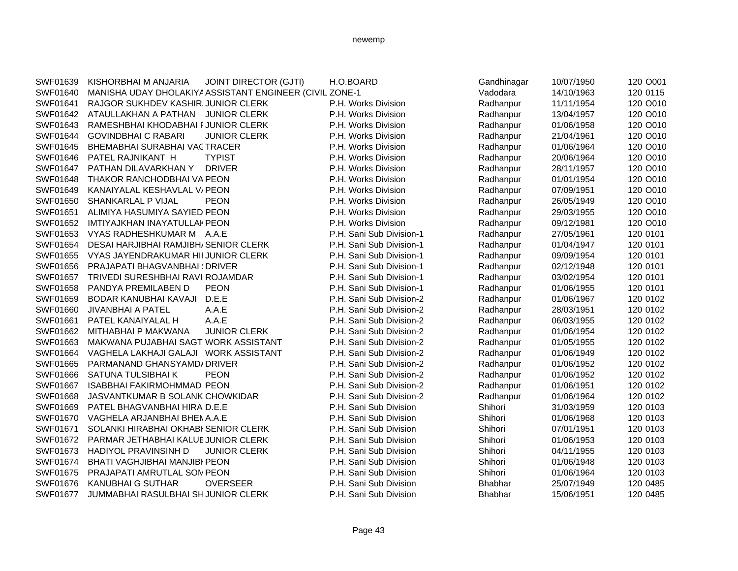| SWF01639 | KISHORBHAI M ANJARIA                      | <b>JOINT DIRECTOR (GJTI)</b>                            | H.O.BOARD                | Gandhinagar    | 10/07/1950 | 120 O001 |
|----------|-------------------------------------------|---------------------------------------------------------|--------------------------|----------------|------------|----------|
| SWF01640 |                                           | MANISHA UDAY DHOLAKIYA ASSISTANT ENGINEER (CIVIL ZONE-1 |                          | Vadodara       | 14/10/1963 | 120 0115 |
| SWF01641 | RAJGOR SUKHDEV KASHIR/JUNIOR CLERK        |                                                         | P.H. Works Division      | Radhanpur      | 11/11/1954 | 120 O010 |
| SWF01642 | ATAULLAKHAN A PATHAN JUNIOR CLERK         |                                                         | P.H. Works Division      | Radhanpur      | 13/04/1957 | 120 O010 |
| SWF01643 | RAMESHBHAI KHODABHAI FJUNIOR CLERK        |                                                         | P.H. Works Division      | Radhanpur      | 01/06/1958 | 120 O010 |
| SWF01644 | <b>GOVINDBHAI C RABARI</b>                | <b>JUNIOR CLERK</b>                                     | P.H. Works Division      | Radhanpur      | 21/04/1961 | 120 O010 |
| SWF01645 | BHEMABHAI SURABHAI VACTRACER              |                                                         | P.H. Works Division      | Radhanpur      | 01/06/1964 | 120 O010 |
| SWF01646 | PATEL RAJNIKANT H                         | <b>TYPIST</b>                                           | P.H. Works Division      | Radhanpur      | 20/06/1964 | 120 O010 |
| SWF01647 | PATHAN DILAVARKHAN Y                      | <b>DRIVER</b>                                           | P.H. Works Division      | Radhanpur      | 28/11/1957 | 120 O010 |
| SWF01648 | THAKOR RANCHODBHAI VA PEON                |                                                         | P.H. Works Division      | Radhanpur      | 01/01/1954 | 120 O010 |
| SWF01649 | KANAIYALAL KESHAVLAL V/ PEON              |                                                         | P.H. Works Division      | Radhanpur      | 07/09/1951 | 120 O010 |
| SWF01650 | <b>SHANKARLAL P VIJAL</b>                 | <b>PEON</b>                                             | P.H. Works Division      | Radhanpur      | 26/05/1949 | 120 O010 |
| SWF01651 | ALIMIYA HASUMIYA SAYIED PEON              |                                                         | P.H. Works Division      | Radhanpur      | 29/03/1955 | 120 O010 |
| SWF01652 | <b>IMTIYAJKHAN INAYATULLAK PEON</b>       |                                                         | P.H. Works Division      | Radhanpur      | 09/12/1981 | 120 O010 |
| SWF01653 | VYAS RADHESHKUMAR M A.A.E                 |                                                         | P.H. Sani Sub Division-1 | Radhanpur      | 27/05/1961 | 120 0101 |
| SWF01654 | DESAI HARJIBHAI RAMJIBH/SENIOR CLERK      |                                                         | P.H. Sani Sub Division-1 | Radhanpur      | 01/04/1947 | 120 0101 |
| SWF01655 | VYAS JAYENDRAKUMAR HII JUNIOR CLERK       |                                                         | P.H. Sani Sub Division-1 | Radhanpur      | 09/09/1954 | 120 0101 |
| SWF01656 | <b>PRAJAPATI BHAGVANBHAI (DRIVER</b>      |                                                         | P.H. Sani Sub Division-1 | Radhanpur      | 02/12/1948 | 120 0101 |
| SWF01657 | TRIVEDI SURESHBHAI RAVI ROJAMDAR          |                                                         | P.H. Sani Sub Division-1 | Radhanpur      | 03/02/1954 | 120 0101 |
| SWF01658 | PANDYA PREMILABEN D                       | <b>PEON</b>                                             | P.H. Sani Sub Division-1 | Radhanpur      | 01/06/1955 | 120 0101 |
| SWF01659 | BODAR KANUBHAI KAVAJI                     | D.E.E                                                   | P.H. Sani Sub Division-2 | Radhanpur      | 01/06/1967 | 120 0102 |
| SWF01660 | JIVANBHAI A PATEL                         | A.A.E                                                   | P.H. Sani Sub Division-2 | Radhanpur      | 28/03/1951 | 120 0102 |
| SWF01661 | PATEL KANAIYALAL H                        | A.A.E                                                   | P.H. Sani Sub Division-2 | Radhanpur      | 06/03/1955 | 120 0102 |
| SWF01662 | MITHABHAI P MAKWANA                       | <b>JUNIOR CLERK</b>                                     | P.H. Sani Sub Division-2 | Radhanpur      | 01/06/1954 | 120 0102 |
| SWF01663 | MAKWANA PUJABHAI SAGT. WORK ASSISTANT     |                                                         | P.H. Sani Sub Division-2 | Radhanpur      | 01/05/1955 | 120 0102 |
| SWF01664 | VAGHELA LAKHAJI GALAJI WORK ASSISTANT     |                                                         | P.H. Sani Sub Division-2 | Radhanpur      | 01/06/1949 | 120 0102 |
| SWF01665 | PARMANAND GHANSYAMD/ DRIVER               |                                                         | P.H. Sani Sub Division-2 | Radhanpur      | 01/06/1952 | 120 0102 |
| SWF01666 | SATUNA TULSIBHAI K                        | <b>PEON</b>                                             | P.H. Sani Sub Division-2 | Radhanpur      | 01/06/1952 | 120 0102 |
| SWF01667 | <b>ISABBHAI FAKIRMOHMMAD PEON</b>         |                                                         | P.H. Sani Sub Division-2 | Radhanpur      | 01/06/1951 | 120 0102 |
| SWF01668 | JASVANTKUMAR B SOLANK CHOWKIDAR           |                                                         | P.H. Sani Sub Division-2 | Radhanpur      | 01/06/1964 | 120 0102 |
| SWF01669 | PATEL BHAGVANBHAI HIRA D.E.E              |                                                         | P.H. Sani Sub Division   | Shihori        | 31/03/1959 | 120 0103 |
| SWF01670 | VAGHELA ARJANBHAI BHENA.A.E               |                                                         | P.H. Sani Sub Division   | Shihori        | 01/06/1968 | 120 0103 |
| SWF01671 | SOLANKI HIRABHAI OKHABI SENIOR CLERK      |                                                         | P.H. Sani Sub Division   | Shihori        | 07/01/1951 | 120 0103 |
| SWF01672 | PARMAR JETHABHAI KALUE JUNIOR CLERK       |                                                         | P.H. Sani Sub Division   | Shihori        | 01/06/1953 | 120 0103 |
| SWF01673 | <b>HADIYOL PRAVINSINH D</b>               | <b>JUNIOR CLERK</b>                                     | P.H. Sani Sub Division   | Shihori        | 04/11/1955 | 120 0103 |
| SWF01674 | <b>BHATI VAGHJIBHAI MANJIBI PEON</b>      |                                                         | P.H. Sani Sub Division   | Shihori        | 01/06/1948 | 120 0103 |
| SWF01675 | <b>PRAJAPATI AMRUTLAL SON PEON</b>        |                                                         | P.H. Sani Sub Division   | Shihori        | 01/06/1964 | 120 0103 |
| SWF01676 | <b>KANUBHAI G SUTHAR</b>                  | <b>OVERSEER</b>                                         | P.H. Sani Sub Division   | <b>Bhabhar</b> | 25/07/1949 | 120 0485 |
| SWF01677 | <b>JUMMABHAI RASULBHAI SHJUNIOR CLERK</b> |                                                         | P.H. Sani Sub Division   | <b>Bhabhar</b> | 15/06/1951 | 120 0485 |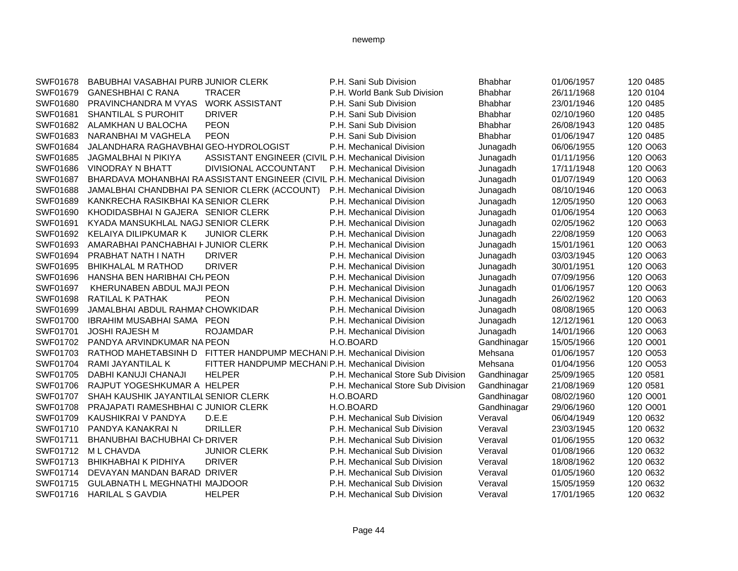| SWF01678 | BABUBHAI VASABHAI PURB JUNIOR CLERK   |                                                                          | P.H. Sani Sub Division             | <b>Bhabhar</b> | 01/06/1957 | 120 0485 |
|----------|---------------------------------------|--------------------------------------------------------------------------|------------------------------------|----------------|------------|----------|
| SWF01679 | <b>GANESHBHAI C RANA</b>              | <b>TRACER</b>                                                            | P.H. World Bank Sub Division       | <b>Bhabhar</b> | 26/11/1968 | 120 0104 |
| SWF01680 | PRAVINCHANDRA M VYAS                  | <b>WORK ASSISTANT</b>                                                    | P.H. Sani Sub Division             | Bhabhar        | 23/01/1946 | 120 0485 |
| SWF01681 | SHANTILAL S PUROHIT                   | <b>DRIVER</b>                                                            | P.H. Sani Sub Division             | <b>Bhabhar</b> | 02/10/1960 | 120 0485 |
| SWF01682 | ALAMKHAN U BALOCHA                    | <b>PEON</b>                                                              | P.H. Sani Sub Division             | Bhabhar        | 26/08/1943 | 120 0485 |
| SWF01683 | NARANBHAI M VAGHELA                   | <b>PEON</b>                                                              | P.H. Sani Sub Division             | Bhabhar        | 01/06/1947 | 120 0485 |
| SWF01684 | JALANDHARA RAGHAVBHAI GEO-HYDROLOGIST |                                                                          | P.H. Mechanical Division           | Junagadh       | 06/06/1955 | 120 O063 |
| SWF01685 | JAGMALBHAI N PIKIYA                   | ASSISTANT ENGINEER (CIVIL P.H. Mechanical Division                       |                                    | Junagadh       | 01/11/1956 | 120 O063 |
| SWF01686 | <b>VINODRAY N BHATT</b>               | DIVISIONAL ACCOUNTANT                                                    | P.H. Mechanical Division           | Junagadh       | 17/11/1948 | 120 O063 |
| SWF01687 |                                       | BHARDAVA MOHANBHAI RA ASSISTANT ENGINEER (CIVIL P.H. Mechanical Division |                                    | Junagadh       | 01/07/1949 | 120 O063 |
| SWF01688 |                                       | JAMALBHAI CHANDBHAI PA SENIOR CLERK (ACCOUNT)                            | P.H. Mechanical Division           | Junagadh       | 08/10/1946 | 120 O063 |
| SWF01689 | KANKRECHA RASIKBHAI KA SENIOR CLERK   |                                                                          | P.H. Mechanical Division           | Junagadh       | 12/05/1950 | 120 O063 |
| SWF01690 | KHODIDASBHAI N GAJERA SENIOR CLERK    |                                                                          | P.H. Mechanical Division           | Junagadh       | 01/06/1954 | 120 O063 |
| SWF01691 | KYADA MANSUKHLAL NAGJ SENIOR CLERK    |                                                                          | P.H. Mechanical Division           | Junagadh       | 02/05/1962 | 120 O063 |
| SWF01692 | KELAIYA DILIPKUMAR K                  | <b>JUNIOR CLERK</b>                                                      | P.H. Mechanical Division           | Junagadh       | 22/08/1959 | 120 O063 |
| SWF01693 | AMARABHAI PANCHABHAI F JUNIOR CLERK   |                                                                          | P.H. Mechanical Division           | Junagadh       | 15/01/1961 | 120 O063 |
| SWF01694 | PRABHAT NATH I NATH                   | <b>DRIVER</b>                                                            | P.H. Mechanical Division           | Junagadh       | 03/03/1945 | 120 O063 |
| SWF01695 | <b>BHIKHALAL M RATHOD</b>             | <b>DRIVER</b>                                                            | P.H. Mechanical Division           | Junagadh       | 30/01/1951 | 120 O063 |
| SWF01696 | HANSHA BEN HARIBHAI CH/ PEON          |                                                                          | P.H. Mechanical Division           | Junagadh       | 07/09/1956 | 120 O063 |
| SWF01697 | KHERUNABEN ABDUL MAJI PEON            |                                                                          | P.H. Mechanical Division           | Junagadh       | 01/06/1957 | 120 O063 |
| SWF01698 | RATILAL K PATHAK                      | <b>PEON</b>                                                              | P.H. Mechanical Division           | Junagadh       | 26/02/1962 | 120 O063 |
| SWF01699 | JAMALBHAI ABDUL RAHMAI CHOWKIDAR      |                                                                          | P.H. Mechanical Division           | Junagadh       | 08/08/1965 | 120 O063 |
| SWF01700 | <b>IBRAHIM MUSABHAI SAMA PEON</b>     |                                                                          | P.H. Mechanical Division           | Junagadh       | 12/12/1961 | 120 O063 |
| SWF01701 | <b>JOSHI RAJESH M</b>                 | <b>ROJAMDAR</b>                                                          | P.H. Mechanical Division           | Junagadh       | 14/01/1966 | 120 O063 |
| SWF01702 | PANDYA ARVINDKUMAR NA PEON            |                                                                          | H.O.BOARD                          | Gandhinagar    | 15/05/1966 | 120 O001 |
| SWF01703 |                                       | RATHOD MAHETABSINH D FITTER HANDPUMP MECHANIP.H. Mechanical Division     |                                    | Mehsana        | 01/06/1957 | 120 O053 |
| SWF01704 | RAMI JAYANTILAL K                     | FITTER HANDPUMP MECHANIP.H. Mechanical Division                          |                                    | Mehsana        | 01/04/1956 | 120 O053 |
| SWF01705 | DABHI KANUJI CHANAJI                  | <b>HELPER</b>                                                            | P.H. Mechanical Store Sub Division | Gandhinagar    | 25/09/1965 | 120 0581 |
| SWF01706 | RAJPUT YOGESHKUMAR A HELPER           |                                                                          | P.H. Mechanical Store Sub Division | Gandhinagar    | 21/08/1969 | 120 0581 |
| SWF01707 | SHAH KAUSHIK JAYANTILAL SENIOR CLERK  |                                                                          | H.O.BOARD                          | Gandhinagar    | 08/02/1960 | 120 O001 |
| SWF01708 | PRAJAPATI RAMESHBHAI C JUNIOR CLERK   |                                                                          | H.O.BOARD                          | Gandhinagar    | 29/06/1960 | 120 O001 |
| SWF01709 | KAUSHIKRAI V PANDYA                   | D.E.E                                                                    | P.H. Mechanical Sub Division       | Veraval        | 06/04/1949 | 120 0632 |
| SWF01710 | PANDYA KANAKRAI N                     | <b>DRILLER</b>                                                           | P.H. Mechanical Sub Division       | Veraval        | 23/03/1945 | 120 0632 |
| SWF01711 | BHANUBHAI BACHUBHAI CF DRIVER         |                                                                          | P.H. Mechanical Sub Division       | Veraval        | 01/06/1955 | 120 0632 |
| SWF01712 | M L CHAVDA                            | <b>JUNIOR CLERK</b>                                                      | P.H. Mechanical Sub Division       | Veraval        | 01/08/1966 | 120 0632 |
| SWF01713 | <b>BHIKHABHAI K PIDHIYA</b>           | <b>DRIVER</b>                                                            | P.H. Mechanical Sub Division       | Veraval        | 18/08/1962 | 120 0632 |
| SWF01714 | DEVAYAN MANDAN BARAD DRIVER           |                                                                          | P.H. Mechanical Sub Division       | Veraval        | 01/05/1960 | 120 0632 |
| SWF01715 | GULABNATH L MEGHNATHI MAJDOOR         |                                                                          | P.H. Mechanical Sub Division       | Veraval        | 15/05/1959 | 120 0632 |
| SWF01716 | <b>HARILAL S GAVDIA</b>               | <b>HELPER</b>                                                            | P.H. Mechanical Sub Division       | Veraval        | 17/01/1965 | 120 0632 |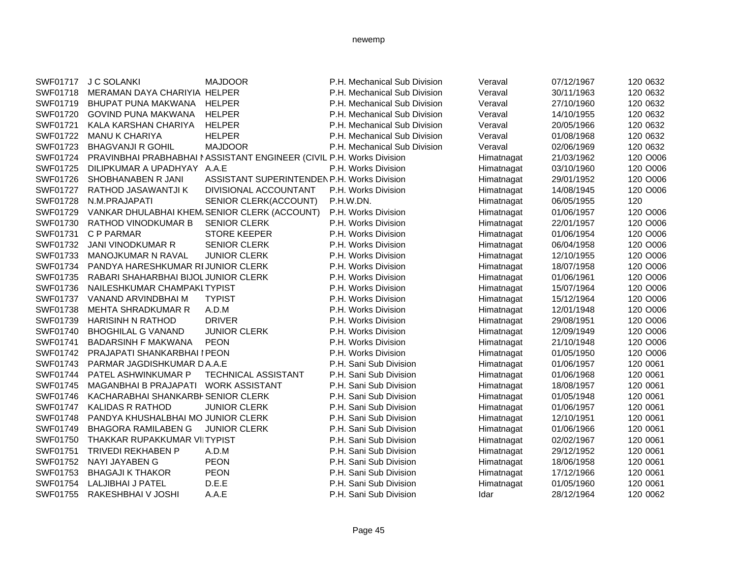| SWF01717        | <b>J C SOLANKI</b>                   | <b>MAJDOOR</b>                                                        | P.H. Mechanical Sub Division | Veraval    | 07/12/1967 | 120 0632 |
|-----------------|--------------------------------------|-----------------------------------------------------------------------|------------------------------|------------|------------|----------|
| SWF01718        | MERAMAN DAYA CHARIYIA HELPER         |                                                                       | P.H. Mechanical Sub Division | Veraval    | 30/11/1963 | 120 0632 |
| SWF01719        | BHUPAT PUNA MAKWANA                  | <b>HELPER</b>                                                         | P.H. Mechanical Sub Division | Veraval    | 27/10/1960 | 120 0632 |
| SWF01720        | <b>GOVIND PUNA MAKWANA</b>           | <b>HELPER</b>                                                         | P.H. Mechanical Sub Division | Veraval    | 14/10/1955 | 120 0632 |
| SWF01721        | KALA KARSHAN CHARIYA                 | <b>HELPER</b>                                                         | P.H. Mechanical Sub Division | Veraval    | 20/05/1966 | 120 0632 |
| SWF01722        | <b>MANU K CHARIYA</b>                | <b>HELPER</b>                                                         | P.H. Mechanical Sub Division | Veraval    | 01/08/1968 | 120 0632 |
| SWF01723        | <b>BHAGVANJI R GOHIL</b>             | <b>MAJDOOR</b>                                                        | P.H. Mechanical Sub Division | Veraval    | 02/06/1969 | 120 0632 |
| SWF01724        |                                      | PRAVINBHAI PRABHABHAI I ASSISTANT ENGINEER (CIVIL P.H. Works Division |                              | Himatnagat | 21/03/1962 | 120 O006 |
| SWF01725        | DILIPKUMAR A UPADHYAY A.A.E          |                                                                       | P.H. Works Division          | Himatnagat | 03/10/1960 | 120 O006 |
| SWF01726        | SHOBHANABEN R JANI                   | <b>ASSISTANT SUPERINTENDEN P.H. Works Division</b>                    |                              | Himatnagat | 29/01/1952 | 120 O006 |
| <b>SWF01727</b> | RATHOD JASAWANTJI K                  | DIVISIONAL ACCOUNTANT                                                 | P.H. Works Division          | Himatnagat | 14/08/1945 | 120 O006 |
| SWF01728        | N.M.PRAJAPATI                        | SENIOR CLERK(ACCOUNT)                                                 | P.H.W.DN.                    | Himatnagat | 06/05/1955 | 120      |
| SWF01729        |                                      | VANKAR DHULABHAI KHEM SENIOR CLERK (ACCOUNT)                          | P.H. Works Division          | Himatnagat | 01/06/1957 | 120 O006 |
| SWF01730        | RATHOD VINODKUMAR B                  | <b>SENIOR CLERK</b>                                                   | P.H. Works Division          | Himatnagat | 22/01/1957 | 120 O006 |
| SWF01731        | C P PARMAR                           | <b>STORE KEEPER</b>                                                   | P.H. Works Division          | Himatnagat | 01/06/1954 | 120 O006 |
| SWF01732        | <b>JANI VINODKUMAR R</b>             | <b>SENIOR CLERK</b>                                                   | P.H. Works Division          | Himatnagat | 06/04/1958 | 120 O006 |
| SWF01733        | MANOJKUMAR N RAVAL                   | <b>JUNIOR CLERK</b>                                                   | P.H. Works Division          | Himatnagat | 12/10/1955 | 120 O006 |
| SWF01734        | PANDYA HARESHKUMAR RIJUNIOR CLERK    |                                                                       | P.H. Works Division          | Himatnagat | 18/07/1958 | 120 O006 |
| SWF01735        | RABARI SHAHARBHAI BIJOL JUNIOR CLERK |                                                                       | P.H. Works Division          | Himatnagat | 01/06/1961 | 120 O006 |
| SWF01736        | NAILESHKUMAR CHAMPAKLTYPIST          |                                                                       | P.H. Works Division          | Himatnagat | 15/07/1964 | 120 O006 |
| SWF01737        | VANAND ARVINDBHAI M                  | <b>TYPIST</b>                                                         | P.H. Works Division          | Himatnagat | 15/12/1964 | 120 O006 |
| SWF01738        | <b>MEHTA SHRADKUMAR R</b>            | A.D.M                                                                 | P.H. Works Division          | Himatnagat | 12/01/1948 | 120 O006 |
| SWF01739        | <b>HARISINH N RATHOD</b>             | <b>DRIVER</b>                                                         | P.H. Works Division          | Himatnagat | 29/08/1951 | 120 O006 |
| SWF01740        | <b>BHOGHILAL G VANAND</b>            | <b>JUNIOR CLERK</b>                                                   | P.H. Works Division          | Himatnagat | 12/09/1949 | 120 O006 |
| SWF01741        | <b>BADARSINH F MAKWANA</b>           | <b>PEON</b>                                                           | P.H. Works Division          | Himatnagat | 21/10/1948 | 120 O006 |
| SWF01742        | PRAJAPATI SHANKARBHAI I PEON         |                                                                       | P.H. Works Division          | Himatnagat | 01/05/1950 | 120 O006 |
| SWF01743        | PARMAR JAGDISHKUMAR DA.A.E           |                                                                       | P.H. Sani Sub Division       | Himatnagat | 01/06/1957 | 120 0061 |
| SWF01744        | PATEL ASHWINKUMAR P                  | TECHNICAL ASSISTANT                                                   | P.H. Sani Sub Division       | Himatnagat | 01/06/1968 | 120 0061 |
| SWF01745        | MAGANBHAI B PRAJAPATI                | <b>WORK ASSISTANT</b>                                                 | P.H. Sani Sub Division       | Himatnagat | 18/08/1957 | 120 0061 |
| SWF01746        | KACHARABHAI SHANKARBI SENIOR CLERK   |                                                                       | P.H. Sani Sub Division       | Himatnagat | 01/05/1948 | 120 0061 |
| SWF01747        | <b>KALIDAS R RATHOD</b>              | <b>JUNIOR CLERK</b>                                                   | P.H. Sani Sub Division       | Himatnagat | 01/06/1957 | 120 0061 |
| SWF01748        | PANDYA KHUSHALBHAI MO JUNIOR CLERK   |                                                                       | P.H. Sani Sub Division       | Himatnagat | 12/10/1951 | 120 0061 |
| SWF01749        | <b>BHAGORA RAMILABEN G</b>           | <b>JUNIOR CLERK</b>                                                   | P.H. Sani Sub Division       | Himatnagat | 01/06/1966 | 120 0061 |
| SWF01750        | THAKKAR RUPAKKUMAR VIITYPIST         |                                                                       | P.H. Sani Sub Division       | Himatnagat | 02/02/1967 | 120 0061 |
| SWF01751        | <b>TRIVEDI REKHABEN P</b>            | A.D.M                                                                 | P.H. Sani Sub Division       | Himatnagat | 29/12/1952 | 120 0061 |
| SWF01752        | NAYI JAYABEN G                       | <b>PEON</b>                                                           | P.H. Sani Sub Division       | Himatnagat | 18/06/1958 | 120 0061 |
| SWF01753        | <b>BHAGAJI K THAKOR</b>              | <b>PEON</b>                                                           | P.H. Sani Sub Division       | Himatnagat | 17/12/1966 | 120 0061 |
| SWF01754        | LALJIBHAI J PATEL                    | D.E.E                                                                 | P.H. Sani Sub Division       | Himatnagat | 01/05/1960 | 120 0061 |
| SWF01755        |                                      | A.A.E                                                                 |                              |            |            |          |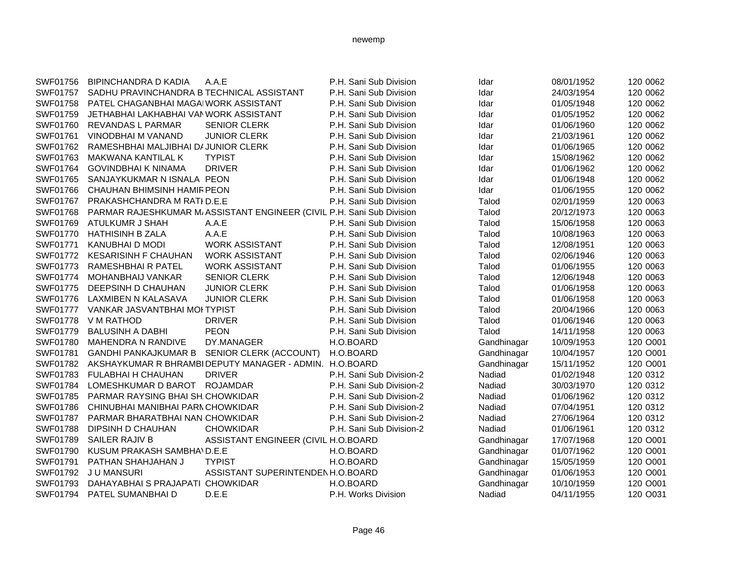| SWF01756 | <b>BIPINCHANDRA D KADIA</b>                 | A.A.E                                                                 | P.H. Sani Sub Division   | Idar        | 08/01/1952 | 120 0062 |
|----------|---------------------------------------------|-----------------------------------------------------------------------|--------------------------|-------------|------------|----------|
| SWF01757 | SADHU PRAVINCHANDRA B TECHNICAL ASSISTANT   |                                                                       | P.H. Sani Sub Division   | Idar        | 24/03/1954 | 120 0062 |
| SWF01758 | PATEL CHAGANBHAI MAGAIWORK ASSISTANT        |                                                                       | P.H. Sani Sub Division   | Idar        | 01/05/1948 | 120 0062 |
| SWF01759 | JETHABHAI LAKHABHAI VAN WORK ASSISTANT      |                                                                       | P.H. Sani Sub Division   | Idar        | 01/05/1952 | 120 0062 |
| SWF01760 | <b>REVANDAS L PARMAR</b>                    | <b>SENIOR CLERK</b>                                                   | P.H. Sani Sub Division   | Idar        | 01/06/1960 | 120 0062 |
| SWF01761 | VINODBHAI M VANAND                          | <b>JUNIOR CLERK</b>                                                   | P.H. Sani Sub Division   | Idar        | 21/03/1961 | 120 0062 |
| SWF01762 | RAMESHBHAI MALJIBHAI DI JUNIOR CLERK        |                                                                       | P.H. Sani Sub Division   | Idar        | 01/06/1965 | 120 0062 |
| SWF01763 | MAKWANA KANTILAL K                          | <b>TYPIST</b>                                                         | P.H. Sani Sub Division   | Idar        | 15/08/1962 | 120 0062 |
| SWF01764 | <b>GOVINDBHAI K NINAMA</b>                  | <b>DRIVER</b>                                                         | P.H. Sani Sub Division   | Idar        | 01/06/1962 | 120 0062 |
| SWF01765 | SANJAYKUKMAR N ISNALA PEON                  |                                                                       | P.H. Sani Sub Division   | Idar        | 01/06/1948 | 120 0062 |
| SWF01766 | CHAUHAN BHIMSINH HAMIR PEON                 |                                                                       | P.H. Sani Sub Division   | Idar        | 01/06/1955 | 120 0062 |
| SWF01767 | PRAKASHCHANDRA M RATI D.E.E                 |                                                                       | P.H. Sani Sub Division   | Talod       | 02/01/1959 | 120 0063 |
| SWF01768 |                                             | PARMAR RAJESHKUMAR M/ASSISTANT ENGINEER (CIVIL P.H. Sani Sub Division |                          | Talod       | 20/12/1973 | 120 0063 |
| SWF01769 | ATULKUMR J SHAH                             | A.A.E                                                                 | P.H. Sani Sub Division   | Talod       | 15/06/1958 | 120 0063 |
| SWF01770 | <b>HATHISINH B ZALA</b>                     | A.A.E                                                                 | P.H. Sani Sub Division   | Talod       | 10/08/1963 | 120 0063 |
| SWF01771 | KANUBHAI D MODI                             | <b>WORK ASSISTANT</b>                                                 | P.H. Sani Sub Division   | Talod       | 12/08/1951 | 120 0063 |
| SWF01772 | <b>KESARISINH F CHAUHAN</b>                 | <b>WORK ASSISTANT</b>                                                 | P.H. Sani Sub Division   | Talod       | 02/06/1946 | 120 0063 |
| SWF01773 | <b>RAMESHBHAI R PATEL</b>                   | <b>WORK ASSISTANT</b>                                                 | P.H. Sani Sub Division   | Talod       | 01/06/1955 | 120 0063 |
| SWF01774 | MOHANBHAIJ VANKAR                           | <b>SENIOR CLERK</b>                                                   | P.H. Sani Sub Division   | Talod       | 12/06/1948 | 120 0063 |
| SWF01775 | DEEPSINH D CHAUHAN                          | <b>JUNIOR CLERK</b>                                                   | P.H. Sani Sub Division   | Talod       | 01/06/1958 | 120 0063 |
| SWF01776 | LAXMIBEN N KALASAVA                         | <b>JUNIOR CLERK</b>                                                   | P.H. Sani Sub Division   | Talod       | 01/06/1958 | 120 0063 |
| SWF01777 | VANKAR JASVANTBHAI MOI TYPIST               |                                                                       | P.H. Sani Sub Division   | Talod       | 20/04/1966 | 120 0063 |
| SWF01778 | V M RATHOD                                  | <b>DRIVER</b>                                                         | P.H. Sani Sub Division   | Talod       | 01/06/1946 | 120 0063 |
| SWF01779 | <b>BALUSINH A DABHI</b>                     | <b>PEON</b>                                                           | P.H. Sani Sub Division   | Talod       | 14/11/1958 | 120 0063 |
| SWF01780 | <b>MAHENDRA N RANDIVE</b>                   | DY.MANAGER                                                            | H.O.BOARD                | Gandhinagar | 10/09/1953 | 120 O001 |
| SWF01781 | GANDHI PANKAJKUMAR B SENIOR CLERK (ACCOUNT) |                                                                       | H.O.BOARD                | Gandhinagar | 10/04/1957 | 120 O001 |
| SWF01782 |                                             | AKSHAYKUMAR R BHRAMBI DEPUTY MANAGER - ADMIN. H.O.BOARD               |                          | Gandhinagar | 15/11/1952 | 120 O001 |
| SWF01783 | <b>FULABHAI H CHAUHAN</b>                   | <b>DRIVER</b>                                                         | P.H. Sani Sub Division-2 | Nadiad      | 01/02/1948 | 120 0312 |
| SWF01784 | LOMESHKUMAR D BAROT ROJAMDAR                |                                                                       | P.H. Sani Sub Division-2 | Nadiad      | 30/03/1970 | 120 0312 |
| SWF01785 | PARMAR RAYSING BHAI SH. CHOWKIDAR           |                                                                       | P.H. Sani Sub Division-2 | Nadiad      | 01/06/1962 | 120 0312 |
| SWF01786 | CHINUBHAI MANIBHAI PARN CHOWKIDAR           |                                                                       | P.H. Sani Sub Division-2 | Nadiad      | 07/04/1951 | 120 0312 |
| SWF01787 | PARMAR BHARATBHAI NAN CHOWKIDAR             |                                                                       | P.H. Sani Sub Division-2 | Nadiad      | 27/06/1964 | 120 0312 |
| SWF01788 | DIPSINH D CHAUHAN                           | <b>CHOWKIDAR</b>                                                      | P.H. Sani Sub Division-2 | Nadiad      | 01/06/1961 | 120 0312 |
| SWF01789 | SAILER RAJIV B                              | ASSISTANT ENGINEER (CIVIL H.O.BOARD                                   |                          | Gandhinagar | 17/07/1968 | 120 O001 |
| SWF01790 | KUSUM PRAKASH SAMBHA\D.E.E                  |                                                                       | H.O.BOARD                | Gandhinagar | 01/07/1962 | 120 O001 |
| SWF01791 | PATHAN SHAHJAHAN J                          | <b>TYPIST</b>                                                         | H.O.BOARD                | Gandhinagar | 15/05/1959 | 120 O001 |
| SWF01792 | J U MANSURI                                 | ASSISTANT SUPERINTENDENH.O.BOARD                                      |                          | Gandhinagar | 01/06/1953 | 120 O001 |
| SWF01793 | DAHAYABHAI S PRAJAPATI CHOWKIDAR            |                                                                       | H.O.BOARD                | Gandhinagar | 10/10/1959 | 120 O001 |
| SWF01794 | PATEL SUMANBHAI D                           | D.E.E                                                                 | P.H. Works Division      | Nadiad      | 04/11/1955 | 120 O031 |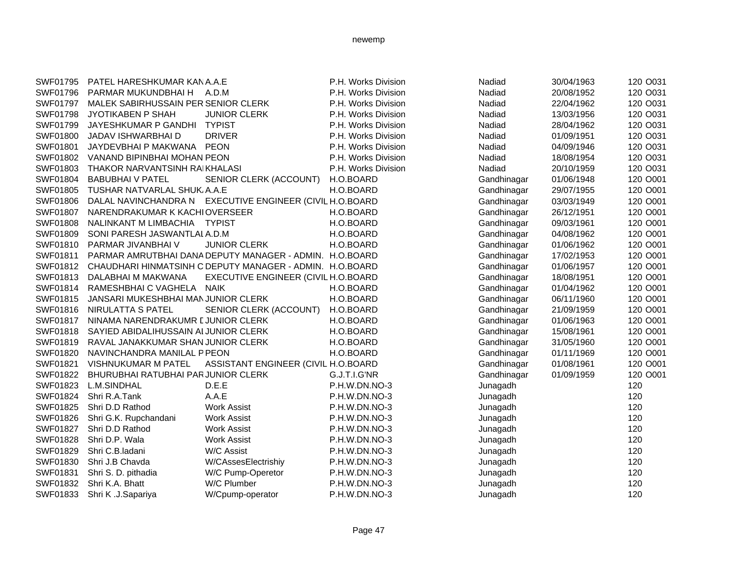| SWF01795 | PATEL HARESHKUMAR KAN A.A.E          |                                                                   | P.H. Works Division | Nadiad      | 30/04/1963 | 120 O031 |
|----------|--------------------------------------|-------------------------------------------------------------------|---------------------|-------------|------------|----------|
| SWF01796 | PARMAR MUKUNDBHAI H                  | A.D.M                                                             | P.H. Works Division | Nadiad      | 20/08/1952 | 120 O031 |
| SWF01797 | MALEK SABIRHUSSAIN PER SENIOR CLERK  |                                                                   | P.H. Works Division | Nadiad      | 22/04/1962 | 120 O031 |
| SWF01798 | JYOTIKABEN P SHAH                    | <b>JUNIOR CLERK</b>                                               | P.H. Works Division | Nadiad      | 13/03/1956 | 120 O031 |
| SWF01799 | JAYESHKUMAR P GANDHI TYPIST          |                                                                   | P.H. Works Division | Nadiad      | 28/04/1962 | 120 O031 |
| SWF01800 | JADAV ISHWARBHAI D                   | <b>DRIVER</b>                                                     | P.H. Works Division | Nadiad      | 01/09/1951 | 120 O031 |
| SWF01801 | JAYDEVBHAI P MAKWANA PEON            |                                                                   | P.H. Works Division | Nadiad      | 04/09/1946 | 120 O031 |
| SWF01802 | VANAND BIPINBHAI MOHAN PEON          |                                                                   | P.H. Works Division | Nadiad      | 18/08/1954 | 120 O031 |
| SWF01803 | THAKOR NARVANTSINH RAIKHALASI        |                                                                   | P.H. Works Division | Nadiad      | 20/10/1959 | 120 O031 |
| SWF01804 | <b>BABUBHAI V PATEL</b>              | SENIOR CLERK (ACCOUNT)                                            | H.O.BOARD           | Gandhinagar | 01/06/1948 | 120 O001 |
| SWF01805 | TUSHAR NATVARLAL SHUK, A.A.E         |                                                                   | H.O.BOARD           | Gandhinagar | 29/07/1955 | 120 O001 |
| SWF01806 |                                      | DALAL NAVINCHANDRA N EXECUTIVE ENGINEER (CIVIL H.O.BOARD          |                     | Gandhinagar | 03/03/1949 | 120 O001 |
| SWF01807 | NARENDRAKUMAR K KACHIOVERSEER        |                                                                   | H.O.BOARD           | Gandhinagar | 26/12/1951 | 120 O001 |
| SWF01808 | NALINKANT M LIMBACHIA TYPIST         |                                                                   | H.O.BOARD           | Gandhinagar | 09/03/1961 | 120 O001 |
| SWF01809 | SONI PARESH JASWANTLAL A.D.M         |                                                                   | H.O.BOARD           | Gandhinagar | 04/08/1962 | 120 O001 |
| SWF01810 | PARMAR JIVANBHAI V                   | <b>JUNIOR CLERK</b>                                               | H.O.BOARD           | Gandhinagar | 01/06/1962 | 120 O001 |
| SWF01811 |                                      | PARMAR AMRUTBHAI DANA DEPUTY MANAGER - ADMIN. H.O.BOARD           |                     | Gandhinagar | 17/02/1953 | 120 O001 |
|          |                                      | SWF01812 CHAUDHARI HINMATSINH C DEPUTY MANAGER - ADMIN. H.O.BOARD |                     | Gandhinagar | 01/06/1957 | 120 O001 |
| SWF01813 | DALABHAI M MAKWANA                   | EXECUTIVE ENGINEER (CIVIL H.O.BOARD                               |                     | Gandhinagar | 18/08/1951 | 120 O001 |
| SWF01814 | RAMESHBHAI C VAGHELA NAIK            |                                                                   | H.O.BOARD           | Gandhinagar | 01/04/1962 | 120 O001 |
| SWF01815 | JANSARI MUKESHBHAI MAN JUNIOR CLERK  |                                                                   | H.O.BOARD           | Gandhinagar | 06/11/1960 | 120 O001 |
| SWF01816 | NIRULATTA S PATEL                    | SENIOR CLERK (ACCOUNT)                                            | H.O.BOARD           | Gandhinagar | 21/09/1959 | 120 O001 |
| SWF01817 | NINAMA NARENDRAKUMR LJUNIOR CLERK    |                                                                   | H.O.BOARD           | Gandhinagar | 01/06/1963 | 120 O001 |
| SWF01818 | SAYIED ABIDALIHUSSAIN ALJUNIOR CLERK |                                                                   | H.O.BOARD           | Gandhinagar | 15/08/1961 | 120 O001 |
| SWF01819 | RAVAL JANAKKUMAR SHAN JUNIOR CLERK   |                                                                   | H.O.BOARD           | Gandhinagar | 31/05/1960 | 120 O001 |
| SWF01820 | NAVINCHANDRA MANILAL P PEON          |                                                                   | H.O.BOARD           | Gandhinagar | 01/11/1969 | 120 O001 |
| SWF01821 | VISHNUKUMAR M PATEL                  | ASSISTANT ENGINEER (CIVIL H.O.BOARD                               |                     | Gandhinagar | 01/08/1961 | 120 O001 |
| SWF01822 | BHURUBHAI RATUBHAI PAR JUNIOR CLERK  |                                                                   | G.J.T.I.G'NR        | Gandhinagar | 01/09/1959 | 120 O001 |
| SWF01823 | L.M.SINDHAL                          | D.E.E                                                             | P.H.W.DN.NO-3       | Junagadh    |            | 120      |
| SWF01824 | Shri R.A.Tank                        | A.A.E                                                             | P.H.W.DN.NO-3       | Junagadh    |            | 120      |
| SWF01825 | Shri D.D Rathod                      | <b>Work Assist</b>                                                | P.H.W.DN.NO-3       | Junagadh    |            | 120      |
| SWF01826 | Shri G.K. Rupchandani                | <b>Work Assist</b>                                                | P.H.W.DN.NO-3       | Junagadh    |            | 120      |
| SWF01827 | Shri D.D Rathod                      | <b>Work Assist</b>                                                | P.H.W.DN.NO-3       | Junagadh    |            | 120      |
| SWF01828 | Shri D.P. Wala                       | <b>Work Assist</b>                                                | P.H.W.DN.NO-3       | Junagadh    |            | 120      |
| SWF01829 | Shri C.B.ladani                      | W/C Assist                                                        | P.H.W.DN.NO-3       | Junagadh    |            | 120      |
| SWF01830 | Shri J.B Chavda                      | W/CAssesElectrishiy                                               | P.H.W.DN.NO-3       | Junagadh    |            | 120      |
| SWF01831 | Shri S. D. pithadia                  | W/C Pump-Operetor                                                 | P.H.W.DN.NO-3       | Junagadh    |            | 120      |
| SWF01832 | Shri K.A. Bhatt                      | W/C Plumber                                                       | P.H.W.DN.NO-3       | Junagadh    |            | 120      |
| SWF01833 | Shri K .J.Sapariya                   | W/Cpump-operator                                                  | P.H.W.DN.NO-3       | Junagadh    |            | 120      |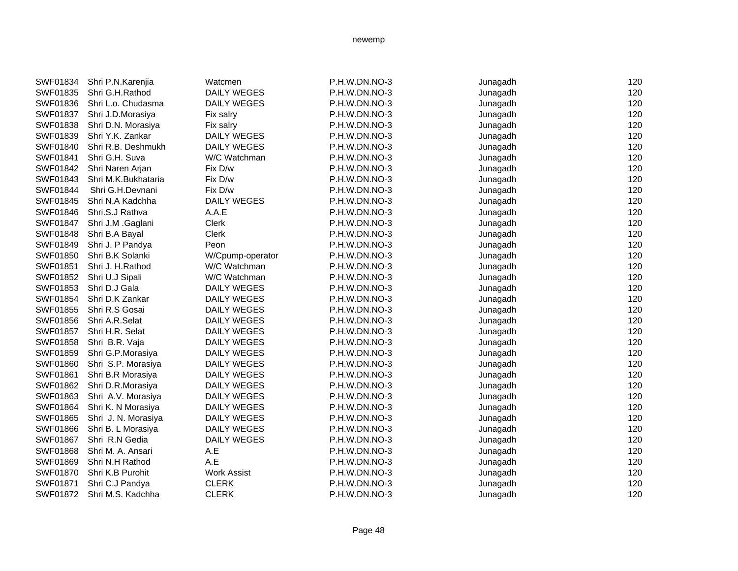| SWF01834 | Shri P.N.Karenjia   | Watcmen            | P.H.W.DN.NO-3 | Junagadh | 120 |
|----------|---------------------|--------------------|---------------|----------|-----|
| SWF01835 | Shri G.H.Rathod     | <b>DAILY WEGES</b> | P.H.W.DN.NO-3 | Junagadh | 120 |
| SWF01836 | Shri L.o. Chudasma  | DAILY WEGES        | P.H.W.DN.NO-3 | Junagadh | 120 |
| SWF01837 | Shri J.D.Morasiya   | Fix salry          | P.H.W.DN.NO-3 | Junagadh | 120 |
| SWF01838 | Shri D.N. Morasiya  | Fix salry          | P.H.W.DN.NO-3 | Junagadh | 120 |
| SWF01839 | Shri Y.K. Zankar    | <b>DAILY WEGES</b> | P.H.W.DN.NO-3 | Junagadh | 120 |
| SWF01840 | Shri R.B. Deshmukh  | DAILY WEGES        | P.H.W.DN.NO-3 | Junagadh | 120 |
| SWF01841 | Shri G.H. Suva      | W/C Watchman       | P.H.W.DN.NO-3 | Junagadh | 120 |
| SWF01842 | Shri Naren Arjan    | Fix D/w            | P.H.W.DN.NO-3 | Junagadh | 120 |
| SWF01843 | Shri M.K.Bukhataria | Fix D/w            | P.H.W.DN.NO-3 | Junagadh | 120 |
| SWF01844 | Shri G.H.Devnani    | Fix D/w            | P.H.W.DN.NO-3 | Junagadh | 120 |
| SWF01845 | Shri N.A Kadchha    | <b>DAILY WEGES</b> | P.H.W.DN.NO-3 | Junagadh | 120 |
| SWF01846 | Shri.S.J Rathva     | A.A.E              | P.H.W.DN.NO-3 | Junagadh | 120 |
| SWF01847 | Shri J.M .Gaglani   | Clerk              | P.H.W.DN.NO-3 | Junagadh | 120 |
| SWF01848 | Shri B.A Bayal      | Clerk              | P.H.W.DN.NO-3 | Junagadh | 120 |
| SWF01849 | Shri J. P Pandya    | Peon               | P.H.W.DN.NO-3 | Junagadh | 120 |
| SWF01850 | Shri B.K Solanki    | W/Cpump-operator   | P.H.W.DN.NO-3 | Junagadh | 120 |
| SWF01851 | Shri J. H.Rathod    | W/C Watchman       | P.H.W.DN.NO-3 | Junagadh | 120 |
| SWF01852 | Shri U.J Sipali     | W/C Watchman       | P.H.W.DN.NO-3 | Junagadh | 120 |
| SWF01853 | Shri D.J Gala       | DAILY WEGES        | P.H.W.DN.NO-3 | Junagadh | 120 |
| SWF01854 | Shri D.K Zankar     | DAILY WEGES        | P.H.W.DN.NO-3 | Junagadh | 120 |
| SWF01855 | Shri R.S Gosai      | DAILY WEGES        | P.H.W.DN.NO-3 | Junagadh | 120 |
| SWF01856 | Shri A.R.Selat      | DAILY WEGES        | P.H.W.DN.NO-3 | Junagadh | 120 |
| SWF01857 | Shri H.R. Selat     | DAILY WEGES        | P.H.W.DN.NO-3 | Junagadh | 120 |
| SWF01858 | Shri B.R. Vaja      | <b>DAILY WEGES</b> | P.H.W.DN.NO-3 | Junagadh | 120 |
| SWF01859 | Shri G.P.Morasiya   | DAILY WEGES        | P.H.W.DN.NO-3 | Junagadh | 120 |
| SWF01860 | Shri S.P. Morasiya  | DAILY WEGES        | P.H.W.DN.NO-3 | Junagadh | 120 |
| SWF01861 | Shri B.R Morasiya   | DAILY WEGES        | P.H.W.DN.NO-3 | Junagadh | 120 |
| SWF01862 | Shri D.R.Morasiya   | <b>DAILY WEGES</b> | P.H.W.DN.NO-3 | Junagadh | 120 |
| SWF01863 | Shri A.V. Morasiya  | DAILY WEGES        | P.H.W.DN.NO-3 | Junagadh | 120 |
| SWF01864 | Shri K. N Morasiya  | DAILY WEGES        | P.H.W.DN.NO-3 | Junagadh | 120 |
| SWF01865 | Shri J. N. Morasiya | DAILY WEGES        | P.H.W.DN.NO-3 | Junagadh | 120 |
| SWF01866 | Shri B. L Morasiya  | DAILY WEGES        | P.H.W.DN.NO-3 | Junagadh | 120 |
| SWF01867 | Shri R.N Gedia      | DAILY WEGES        | P.H.W.DN.NO-3 | Junagadh | 120 |
| SWF01868 | Shri M. A. Ansari   | A.E                | P.H.W.DN.NO-3 | Junagadh | 120 |
| SWF01869 | Shri N.H Rathod     | A.E                | P.H.W.DN.NO-3 | Junagadh | 120 |
| SWF01870 | Shri K.B Purohit    | <b>Work Assist</b> | P.H.W.DN.NO-3 | Junagadh | 120 |
| SWF01871 | Shri C.J Pandya     | <b>CLERK</b>       | P.H.W.DN.NO-3 | Junagadh | 120 |
| SWF01872 | Shri M.S. Kadchha   | <b>CLERK</b>       | P.H.W.DN.NO-3 | Junagadh | 120 |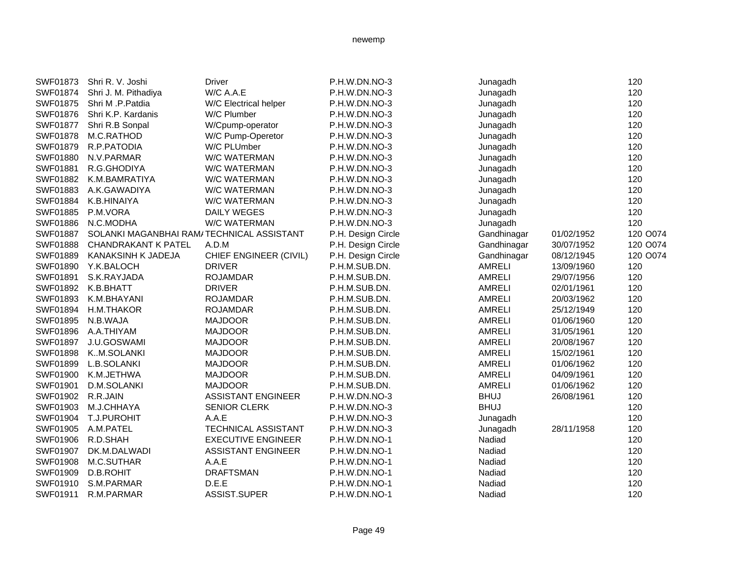| Shri R. V. Joshi     | <b>Driver</b>              | P.H.W.DN.NO-3                             | Junagadh      |            | 120      |
|----------------------|----------------------------|-------------------------------------------|---------------|------------|----------|
| Shri J. M. Pithadiya | W/C A.A.E                  | P.H.W.DN.NO-3                             | Junagadh      |            | 120      |
| Shri M .P.Patdia     | W/C Electrical helper      | P.H.W.DN.NO-3                             | Junagadh      |            | 120      |
| Shri K.P. Kardanis   | W/C Plumber                | P.H.W.DN.NO-3                             | Junagadh      |            | 120      |
| Shri R.B Sonpal      | W/Cpump-operator           | P.H.W.DN.NO-3                             | Junagadh      |            | 120      |
| M.C.RATHOD           | W/C Pump-Operetor          | P.H.W.DN.NO-3                             | Junagadh      |            | 120      |
| R.P.PATODIA          | W/C PLUmber                | P.H.W.DN.NO-3                             | Junagadh      |            | 120      |
| N.V.PARMAR           | <b>W/C WATERMAN</b>        | P.H.W.DN.NO-3                             | Junagadh      |            | 120      |
| R.G.GHODIYA          | W/C WATERMAN               | P.H.W.DN.NO-3                             | Junagadh      |            | 120      |
| K.M.BAMRATIYA        | <b>W/C WATERMAN</b>        | P.H.W.DN.NO-3                             | Junagadh      |            | 120      |
| A.K.GAWADIYA         | <b>W/C WATERMAN</b>        | P.H.W.DN.NO-3                             | Junagadh      |            | 120      |
| K.B.HINAIYA          | W/C WATERMAN               | P.H.W.DN.NO-3                             | Junagadh      |            | 120      |
| P.M.VORA             | <b>DAILY WEGES</b>         | P.H.W.DN.NO-3                             | Junagadh      |            | 120      |
| N.C.MODHA            | W/C WATERMAN               | P.H.W.DN.NO-3                             | Junagadh      |            | 120      |
|                      |                            | P.H. Design Circle                        | Gandhinagar   | 01/02/1952 | 120 O074 |
| CHANDRAKANT K PATEL  | A.D.M                      | P.H. Design Circle                        | Gandhinagar   | 30/07/1952 | 120 O074 |
| KANAKSINH K JADEJA   | CHIEF ENGINEER (CIVIL)     | P.H. Design Circle                        | Gandhinagar   | 08/12/1945 | 120 O074 |
| Y.K.BALOCH           | <b>DRIVER</b>              | P.H.M.SUB.DN.                             | <b>AMRELI</b> | 13/09/1960 | 120      |
| S.K.RAYJADA          | <b>ROJAMDAR</b>            | P.H.M.SUB.DN.                             | <b>AMRELI</b> | 29/07/1956 | 120      |
| K.B.BHATT            | <b>DRIVER</b>              | P.H.M.SUB.DN.                             | <b>AMRELI</b> | 02/01/1961 | 120      |
| K.M.BHAYANI          | <b>ROJAMDAR</b>            | P.H.M.SUB.DN.                             | <b>AMRELI</b> | 20/03/1962 | 120      |
| H.M.THAKOR           | <b>ROJAMDAR</b>            | P.H.M.SUB.DN.                             | <b>AMRELI</b> | 25/12/1949 | 120      |
| N.B.WAJA             | <b>MAJDOOR</b>             | P.H.M.SUB.DN.                             | <b>AMRELI</b> | 01/06/1960 | 120      |
| A.A.THIYAM           | <b>MAJDOOR</b>             | P.H.M.SUB.DN.                             | <b>AMRELI</b> | 31/05/1961 | 120      |
| J.U.GOSWAMI          | <b>MAJDOOR</b>             | P.H.M.SUB.DN.                             | <b>AMRELI</b> | 20/08/1967 | 120      |
| KM.SOLANKI           | <b>MAJDOOR</b>             | P.H.M.SUB.DN.                             | <b>AMRELI</b> | 15/02/1961 | 120      |
| L.B.SOLANKI          | <b>MAJDOOR</b>             | P.H.M.SUB.DN.                             | <b>AMRELI</b> | 01/06/1962 | 120      |
| K.M.JETHWA           | <b>MAJDOOR</b>             | P.H.M.SUB.DN.                             | <b>AMRELI</b> | 04/09/1961 | 120      |
| D.M.SOLANKI          | <b>MAJDOOR</b>             | P.H.M.SUB.DN.                             | AMRELI        | 01/06/1962 | 120      |
| R.R.JAIN             | <b>ASSISTANT ENGINEER</b>  | P.H.W.DN.NO-3                             | <b>BHUJ</b>   | 26/08/1961 | 120      |
| M.J.CHHAYA           | <b>SENIOR CLERK</b>        | P.H.W.DN.NO-3                             | <b>BHUJ</b>   |            | 120      |
| <b>T.J.PUROHIT</b>   | A.A.E                      | P.H.W.DN.NO-3                             | Junagadh      |            | 120      |
| A.M.PATEL            | <b>TECHNICAL ASSISTANT</b> | P.H.W.DN.NO-3                             | Junagadh      | 28/11/1958 | 120      |
| R.D.SHAH             | <b>EXECUTIVE ENGINEER</b>  | P.H.W.DN.NO-1                             | Nadiad        |            | 120      |
| DK.M.DALWADI         | <b>ASSISTANT ENGINEER</b>  | P.H.W.DN.NO-1                             | Nadiad        |            | 120      |
| M.C.SUTHAR           | A.A.E                      | P.H.W.DN.NO-1                             | Nadiad        |            | 120      |
| D.B.ROHIT            | <b>DRAFTSMAN</b>           | P.H.W.DN.NO-1                             | Nadiad        |            | 120      |
| S.M.PARMAR           | D.E.E                      | P.H.W.DN.NO-1                             | Nadiad        |            | 120      |
| R.M.PARMAR           | ASSIST.SUPER               | P.H.W.DN.NO-1                             | Nadiad        |            | 120      |
|                      |                            | SOLANKI MAGANBHAI RAM/TECHNICAL ASSISTANT |               |            |          |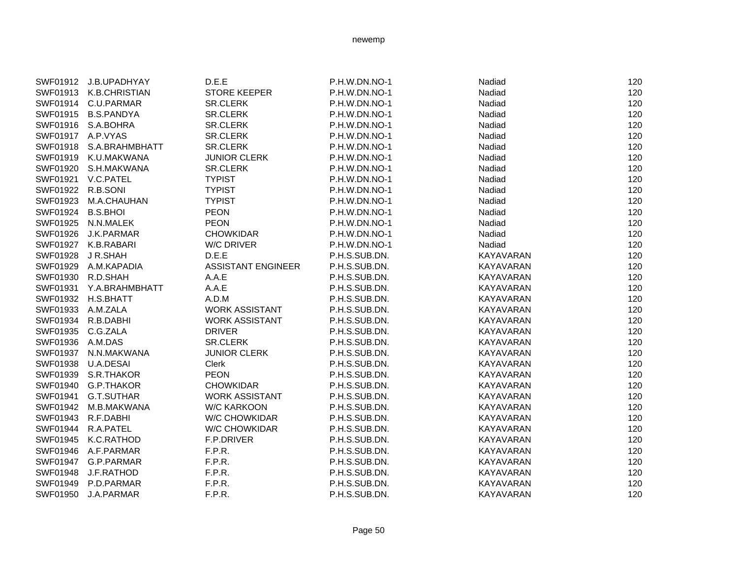|                   | SWF01912 J.B.UPADHYAY   | D.E.E                     | P.H.W.DN.NO-1 | Nadiad           | 120 |
|-------------------|-------------------------|---------------------------|---------------|------------------|-----|
|                   | SWF01913 K.B.CHRISTIAN  | <b>STORE KEEPER</b>       | P.H.W.DN.NO-1 | Nadiad           | 120 |
|                   | SWF01914 C.U.PARMAR     | <b>SR.CLERK</b>           | P.H.W.DN.NO-1 | Nadiad           | 120 |
|                   | SWF01915 B.S.PANDYA     | <b>SR.CLERK</b>           | P.H.W.DN.NO-1 | Nadiad           | 120 |
|                   | SWF01916 S.A.BOHRA      | <b>SR.CLERK</b>           | P.H.W.DN.NO-1 | Nadiad           | 120 |
|                   | SWF01917 A.P.VYAS       | <b>SR.CLERK</b>           | P.H.W.DN.NO-1 | Nadiad           | 120 |
|                   | SWF01918 S.A.BRAHMBHATT | <b>SR.CLERK</b>           | P.H.W.DN.NO-1 | Nadiad           | 120 |
|                   | SWF01919 K.U.MAKWANA    | <b>JUNIOR CLERK</b>       | P.H.W.DN.NO-1 | Nadiad           | 120 |
|                   | SWF01920 S.H.MAKWANA    | <b>SR.CLERK</b>           | P.H.W.DN.NO-1 | Nadiad           | 120 |
| SWF01921          | V.C.PATEL               | <b>TYPIST</b>             | P.H.W.DN.NO-1 | Nadiad           | 120 |
| SWF01922 R.B.SONI |                         | <b>TYPIST</b>             | P.H.W.DN.NO-1 | Nadiad           | 120 |
|                   | SWF01923 M.A.CHAUHAN    | <b>TYPIST</b>             | P.H.W.DN.NO-1 | Nadiad           | 120 |
| SWF01924 B.S.BHOI |                         | <b>PEON</b>               | P.H.W.DN.NO-1 | Nadiad           | 120 |
|                   | SWF01925 N.N.MALEK      | <b>PEON</b>               | P.H.W.DN.NO-1 | Nadiad           | 120 |
|                   | SWF01926 J.K.PARMAR     | <b>CHOWKIDAR</b>          | P.H.W.DN.NO-1 | Nadiad           | 120 |
|                   | SWF01927 K.B.RABARI     | W/C DRIVER                | P.H.W.DN.NO-1 | Nadiad           | 120 |
|                   | SWF01928 JR.SHAH        | D.E.E                     | P.H.S.SUB.DN. | KAYAVARAN        | 120 |
|                   | SWF01929 A.M.KAPADIA    | <b>ASSISTANT ENGINEER</b> | P.H.S.SUB.DN. | KAYAVARAN        | 120 |
|                   | SWF01930 R.D.SHAH       | A.A.E                     | P.H.S.SUB.DN. | KAYAVARAN        | 120 |
| SWF01931          | Y.A.BRAHMBHATT          | A.A.E                     | P.H.S.SUB.DN. | KAYAVARAN        | 120 |
|                   | SWF01932 H.S.BHATT      | A.D.M                     | P.H.S.SUB.DN. | KAYAVARAN        | 120 |
|                   | SWF01933 A.M.ZALA       | <b>WORK ASSISTANT</b>     | P.H.S.SUB.DN. | KAYAVARAN        | 120 |
|                   | SWF01934 R.B.DABHI      | <b>WORK ASSISTANT</b>     | P.H.S.SUB.DN. | KAYAVARAN        | 120 |
|                   | SWF01935 C.G.ZALA       | <b>DRIVER</b>             | P.H.S.SUB.DN. | <b>KAYAVARAN</b> | 120 |
| SWF01936 A.M.DAS  |                         | <b>SR.CLERK</b>           | P.H.S.SUB.DN. | KAYAVARAN        | 120 |
|                   | SWF01937 N.N.MAKWANA    | <b>JUNIOR CLERK</b>       | P.H.S.SUB.DN. | KAYAVARAN        | 120 |
| SWF01938          | U.A.DESAI               | Clerk                     | P.H.S.SUB.DN. | KAYAVARAN        | 120 |
|                   | SWF01939 S.R.THAKOR     | <b>PEON</b>               | P.H.S.SUB.DN. | <b>KAYAVARAN</b> | 120 |
| SWF01940          | G.P.THAKOR              | <b>CHOWKIDAR</b>          | P.H.S.SUB.DN. | <b>KAYAVARAN</b> | 120 |
| SWF01941          | G.T.SUTHAR              | <b>WORK ASSISTANT</b>     | P.H.S.SUB.DN. | KAYAVARAN        | 120 |
|                   | SWF01942 M.B.MAKWANA    | <b>W/C KARKOON</b>        | P.H.S.SUB.DN. | <b>KAYAVARAN</b> | 120 |
|                   | SWF01943 R.F.DABHI      | <b>W/C CHOWKIDAR</b>      | P.H.S.SUB.DN. | KAYAVARAN        | 120 |
|                   | SWF01944 R.A.PATEL      | <b>W/C CHOWKIDAR</b>      | P.H.S.SUB.DN. | KAYAVARAN        | 120 |
|                   | SWF01945 K.C.RATHOD     | F.P.DRIVER                | P.H.S.SUB.DN. | <b>KAYAVARAN</b> | 120 |
|                   | SWF01946 A.F.PARMAR     | F.P.R.                    | P.H.S.SUB.DN. | KAYAVARAN        | 120 |
|                   | SWF01947 G.P.PARMAR     | F.P.R.                    | P.H.S.SUB.DN. | KAYAVARAN        | 120 |
| SWF01948          | J.F.RATHOD              | F.P.R.                    | P.H.S.SUB.DN. | KAYAVARAN        | 120 |
| SWF01949          | P.D.PARMAR              | F.P.R.                    | P.H.S.SUB.DN. | KAYAVARAN        | 120 |
| SWF01950          | J.A.PARMAR              | F.P.R.                    | P.H.S.SUB.DN. | KAYAVARAN        | 120 |

Page 50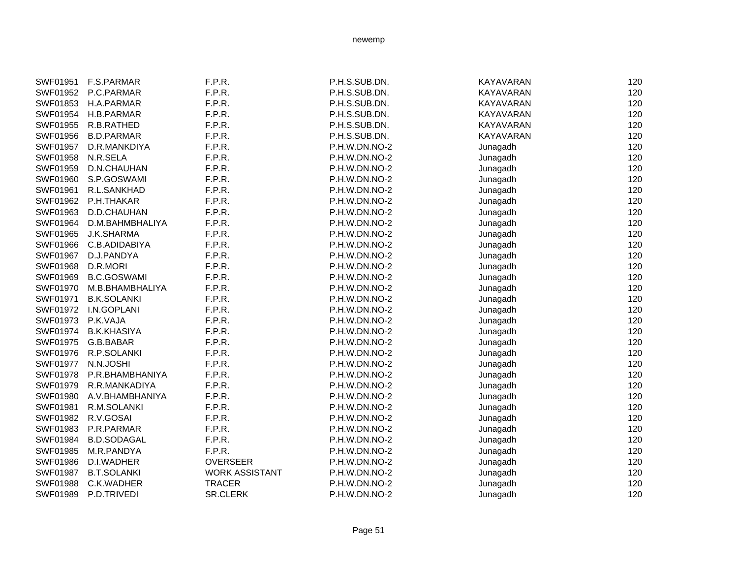| SWF01951 | <b>F.S.PARMAR</b>  | F.P.R.                | P.H.S.SUB.DN. | <b>KAYAVARAN</b> | 120 |
|----------|--------------------|-----------------------|---------------|------------------|-----|
| SWF01952 | P.C.PARMAR         | F.P.R.                | P.H.S.SUB.DN. | <b>KAYAVARAN</b> | 120 |
| SWF01853 | H.A.PARMAR         | F.P.R.                | P.H.S.SUB.DN. | KAYAVARAN        | 120 |
| SWF01954 | H.B.PARMAR         | F.P.R.                | P.H.S.SUB.DN. | <b>KAYAVARAN</b> | 120 |
| SWF01955 | R.B.RATHED         | F.P.R.                | P.H.S.SUB.DN. | KAYAVARAN        | 120 |
| SWF01956 | <b>B.D.PARMAR</b>  | F.P.R.                | P.H.S.SUB.DN. | <b>KAYAVARAN</b> | 120 |
| SWF01957 | D.R.MANKDIYA       | F.P.R.                | P.H.W.DN.NO-2 | Junagadh         | 120 |
| SWF01958 | N.R.SELA           | F.P.R.                | P.H.W.DN.NO-2 | Junagadh         | 120 |
| SWF01959 | D.N.CHAUHAN        | F.P.R.                | P.H.W.DN.NO-2 | Junagadh         | 120 |
| SWF01960 | S.P.GOSWAMI        | F.P.R.                | P.H.W.DN.NO-2 | Junagadh         | 120 |
| SWF01961 | R.L.SANKHAD        | F.P.R.                | P.H.W.DN.NO-2 | Junagadh         | 120 |
| SWF01962 | P.H.THAKAR         | F.P.R.                | P.H.W.DN.NO-2 | Junagadh         | 120 |
| SWF01963 | D.D.CHAUHAN        | F.P.R.                | P.H.W.DN.NO-2 | Junagadh         | 120 |
| SWF01964 | D.M.BAHMBHALIYA    | F.P.R.                | P.H.W.DN.NO-2 | Junagadh         | 120 |
| SWF01965 | <b>J.K.SHARMA</b>  | F.P.R.                | P.H.W.DN.NO-2 | Junagadh         | 120 |
| SWF01966 | C.B.ADIDABIYA      | F.P.R.                | P.H.W.DN.NO-2 | Junagadh         | 120 |
| SWF01967 | D.J.PANDYA         | F.P.R.                | P.H.W.DN.NO-2 | Junagadh         | 120 |
| SWF01968 | D.R.MORI           | F.P.R.                | P.H.W.DN.NO-2 | Junagadh         | 120 |
| SWF01969 | <b>B.C.GOSWAMI</b> | F.P.R.                | P.H.W.DN.NO-2 | Junagadh         | 120 |
| SWF01970 | M.B.BHAMBHALIYA    | F.P.R.                | P.H.W.DN.NO-2 | Junagadh         | 120 |
| SWF01971 | <b>B.K.SOLANKI</b> | F.P.R.                | P.H.W.DN.NO-2 | Junagadh         | 120 |
| SWF01972 | I.N.GOPLANI        | F.P.R.                | P.H.W.DN.NO-2 | Junagadh         | 120 |
| SWF01973 | P.K.VAJA           | F.P.R.                | P.H.W.DN.NO-2 | Junagadh         | 120 |
| SWF01974 | <b>B.K.KHASIYA</b> | F.P.R.                | P.H.W.DN.NO-2 | Junagadh         | 120 |
| SWF01975 | G.B.BABAR          | F.P.R.                | P.H.W.DN.NO-2 | Junagadh         | 120 |
| SWF01976 | R.P.SOLANKI        | F.P.R.                | P.H.W.DN.NO-2 | Junagadh         | 120 |
| SWF01977 | N.N.JOSHI          | F.P.R.                | P.H.W.DN.NO-2 | Junagadh         | 120 |
| SWF01978 | P.R.BHAMBHANIYA    | F.P.R.                | P.H.W.DN.NO-2 | Junagadh         | 120 |
| SWF01979 | R.R.MANKADIYA      | F.P.R.                | P.H.W.DN.NO-2 | Junagadh         | 120 |
| SWF01980 | A.V.BHAMBHANIYA    | F.P.R.                | P.H.W.DN.NO-2 | Junagadh         | 120 |
| SWF01981 | R.M.SOLANKI        | F.P.R.                | P.H.W.DN.NO-2 | Junagadh         | 120 |
| SWF01982 | R.V.GOSAI          | F.P.R.                | P.H.W.DN.NO-2 | Junagadh         | 120 |
| SWF01983 | P.R.PARMAR         | F.P.R.                | P.H.W.DN.NO-2 | Junagadh         | 120 |
| SWF01984 | <b>B.D.SODAGAL</b> | F.P.R.                | P.H.W.DN.NO-2 | Junagadh         | 120 |
| SWF01985 | M.R.PANDYA         | F.P.R.                | P.H.W.DN.NO-2 | Junagadh         | 120 |
| SWF01986 | D.I.WADHER         | <b>OVERSEER</b>       | P.H.W.DN.NO-2 | Junagadh         | 120 |
| SWF01987 | <b>B.T.SOLANKI</b> | <b>WORK ASSISTANT</b> | P.H.W.DN.NO-2 | Junagadh         | 120 |
| SWF01988 | C.K.WADHER         | <b>TRACER</b>         | P.H.W.DN.NO-2 | Junagadh         | 120 |
| SWF01989 | P.D.TRIVEDI        | <b>SR.CLERK</b>       | P.H.W.DN.NO-2 | Junagadh         | 120 |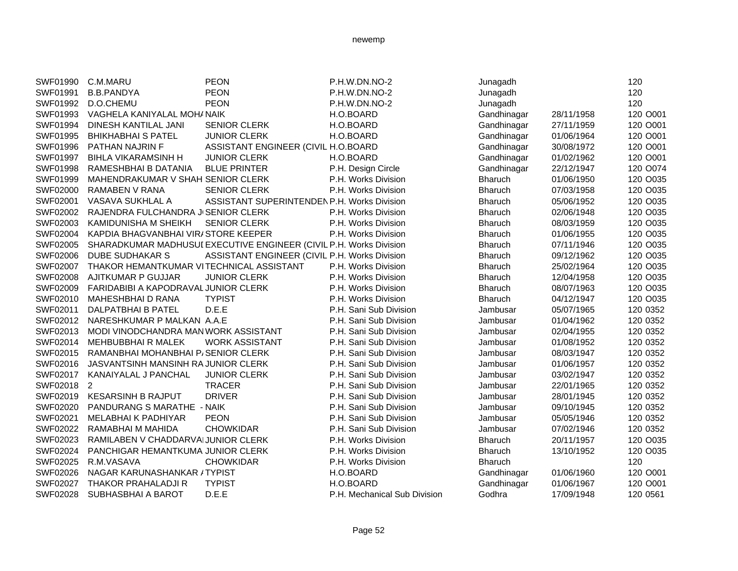| <b>PEON</b><br>SWF01991<br><b>B.B.PANDYA</b><br>P.H.W.DN.NO-2<br>Junagadh<br>120<br><b>PEON</b><br>120<br>SWF01992<br>D.O.CHEMU<br>P.H.W.DN.NO-2<br>Junagadh<br>Gandhinagar<br>120 O001<br>SWF01993<br>VAGHELA KANIYALAL MOH/ NAIK<br>H.O.BOARD<br>28/11/1958<br>SWF01994<br><b>SENIOR CLERK</b><br>120 O001<br>DINESH KANTILAL JANI<br>H.O.BOARD<br>Gandhinagar<br>27/11/1959<br>120 O001<br>SWF01995<br><b>JUNIOR CLERK</b><br>H.O.BOARD<br>Gandhinagar<br>01/06/1964<br><b>BHIKHABHAI S PATEL</b><br>ASSISTANT ENGINEER (CIVIL H.O.BOARD<br>120 O001<br>SWF01996<br>Gandhinagar<br>PATHAN NAJRIN F<br>30/08/1972<br>H.O.BOARD<br>120 O001<br>SWF01997<br><b>BIHLA VIKARAMSINH H</b><br><b>JUNIOR CLERK</b><br>Gandhinagar<br>01/02/1962<br>120 O074<br><b>SWF01998</b><br><b>BLUE PRINTER</b><br>P.H. Design Circle<br>Gandhinagar<br>22/12/1947<br>RAMESHBHAI B DATANIA<br>SWF01999<br>MAHENDRAKUMAR V SHAH SENIOR CLERK<br>P.H. Works Division<br><b>Bharuch</b><br>01/06/1950<br>120 O035<br><b>Bharuch</b><br>SWF02000<br>RAMABEN V RANA<br><b>SENIOR CLERK</b><br>P.H. Works Division<br>07/03/1958<br>120 O035<br>SWF02001<br>ASSISTANT SUPERINTENDEN P.H. Works Division<br>Bharuch<br>120 O035<br>VASAVA SUKHLAL A<br>05/06/1952<br>120 O035<br>SWF02002<br>RAJENDRA FULCHANDRA JI SENIOR CLERK<br>P.H. Works Division<br><b>Bharuch</b><br>02/06/1948<br>SWF02003<br><b>SENIOR CLERK</b><br><b>Bharuch</b><br>120 O035<br>KAMIDUNISHA M SHEIKH<br>P.H. Works Division<br>08/03/1959<br>SWF02004<br>KAPDIA BHAGVANBHAI VIR/STORE KEEPER<br><b>Bharuch</b><br>120 O035<br>P.H. Works Division<br>01/06/1955<br>SHARADKUMAR MADHUSUI EXECUTIVE ENGINEER (CIVIL P.H. Works Division<br>120 O035<br>SWF02005<br><b>Bharuch</b><br>07/11/1946<br>120 O035<br>SWF02006<br><b>DUBE SUDHAKAR S</b><br>ASSISTANT ENGINEER (CIVIL P.H. Works Division<br>Bharuch<br>09/12/1962<br>THAKOR HEMANTKUMAR VITECHNICAL ASSISTANT<br>120 O035<br>SWF02007<br><b>Bharuch</b><br>25/02/1964<br>P.H. Works Division<br>SWF02008<br><b>JUNIOR CLERK</b><br><b>Bharuch</b><br>120 O035<br>AJITKUMAR P GUJJAR<br>P.H. Works Division<br>12/04/1958<br>120 O035<br>SWF02009<br>FARIDABIBI A KAPODRAVAL JUNIOR CLERK<br>P.H. Works Division<br><b>Bharuch</b><br>08/07/1963<br>SWF02010<br><b>TYPIST</b><br><b>Bharuch</b><br>120 O035<br><b>MAHESHBHAI D RANA</b><br>P.H. Works Division<br>04/12/1947<br>D.E.E<br>SWF02011<br>DALPATBHAI B PATEL<br>P.H. Sani Sub Division<br>Jambusar<br>05/07/1965<br>120 0352<br>SWF02012<br>NARESHKUMAR P MALKAN A.A.E<br>P.H. Sani Sub Division<br>Jambusar<br>01/04/1962<br>120 0352<br>SWF02013<br>P.H. Sani Sub Division<br>MODI VINODCHANDRA MAN WORK ASSISTANT<br>Jambusar<br>02/04/1955<br>120 0352<br>SWF02014<br><b>WORK ASSISTANT</b><br>P.H. Sani Sub Division<br>120 0352<br><b>MEHBUBBHAI R MALEK</b><br>Jambusar<br>01/08/1952<br>SWF02015<br>RAMANBHAI MOHANBHAI P/SENIOR CLERK<br>P.H. Sani Sub Division<br>Jambusar<br>08/03/1947<br>120 0352<br>SWF02016<br>JASVANTSINH MANSINH RA JUNIOR CLERK<br>P.H. Sani Sub Division<br>120 0352<br>Jambusar<br>01/06/1957<br>120 0352<br>SWF02017<br>KANAIYALAL J PANCHAL<br><b>JUNIOR CLERK</b><br>P.H. Sani Sub Division<br>Jambusar<br>03/02/1947<br><b>TRACER</b><br>SWF02018<br>2<br>P.H. Sani Sub Division<br>Jambusar<br>22/01/1965<br>120 0352<br><b>DRIVER</b><br>SWF02019<br><b>KESARSINH B RAJPUT</b><br>P.H. Sani Sub Division<br>Jambusar<br>120 0352<br>28/01/1945<br>SWF02020<br>PANDURANG S MARATHE - NAIK<br>P.H. Sani Sub Division<br>Jambusar<br>09/10/1945<br>120 0352<br>SWF02021<br>MELABHAI K PADHIYAR<br><b>PEON</b><br>P.H. Sani Sub Division<br>120 0352<br>Jambusar<br>05/05/1946<br>SWF02022<br><b>CHOWKIDAR</b><br>P.H. Sani Sub Division<br>120 0352<br>RAMABHAI M MAHIDA<br>Jambusar<br>07/02/1946<br>SWF02023<br>RAMILABEN V CHADDARVAIJUNIOR CLERK<br>P.H. Works Division<br><b>Bharuch</b><br>120 O035<br>20/11/1957<br>120 O035<br>SWF02024<br>PANCHIGAR HEMANTKUMA JUNIOR CLERK<br>P.H. Works Division<br><b>Bharuch</b><br>13/10/1952<br>SWF02025<br><b>Bharuch</b><br>120<br>R.M.VASAVA<br><b>CHOWKIDAR</b><br>P.H. Works Division<br>SWF02026<br>NAGAR KARUNASHANKAR / TYPIST<br>Gandhinagar<br>01/06/1960<br>120 O001<br>H.O.BOARD<br>SWF02027<br><b>TYPIST</b><br>H.O.BOARD<br>Gandhinagar<br>01/06/1967<br>120 O001<br>THAKOR PRAHALADJI R<br>SWF02028<br>D.E.E<br>Godhra<br>120 0561<br>SUBHASBHAI A BAROT<br>P.H. Mechanical Sub Division<br>17/09/1948 | SWF01990 | C.M.MARU | <b>PEON</b> | P.H.W.DN.NO-2 | Junagadh | 120 |
|-------------------------------------------------------------------------------------------------------------------------------------------------------------------------------------------------------------------------------------------------------------------------------------------------------------------------------------------------------------------------------------------------------------------------------------------------------------------------------------------------------------------------------------------------------------------------------------------------------------------------------------------------------------------------------------------------------------------------------------------------------------------------------------------------------------------------------------------------------------------------------------------------------------------------------------------------------------------------------------------------------------------------------------------------------------------------------------------------------------------------------------------------------------------------------------------------------------------------------------------------------------------------------------------------------------------------------------------------------------------------------------------------------------------------------------------------------------------------------------------------------------------------------------------------------------------------------------------------------------------------------------------------------------------------------------------------------------------------------------------------------------------------------------------------------------------------------------------------------------------------------------------------------------------------------------------------------------------------------------------------------------------------------------------------------------------------------------------------------------------------------------------------------------------------------------------------------------------------------------------------------------------------------------------------------------------------------------------------------------------------------------------------------------------------------------------------------------------------------------------------------------------------------------------------------------------------------------------------------------------------------------------------------------------------------------------------------------------------------------------------------------------------------------------------------------------------------------------------------------------------------------------------------------------------------------------------------------------------------------------------------------------------------------------------------------------------------------------------------------------------------------------------------------------------------------------------------------------------------------------------------------------------------------------------------------------------------------------------------------------------------------------------------------------------------------------------------------------------------------------------------------------------------------------------------------------------------------------------------------------------------------------------------------------------------------------------------------------------------------------------------------------------------------------------------------------------------------------------------------------------------------------------------------------------------------------------------------------------------------------------------------------------------------------------------------------------------------------------------------------------------------------------------------------------------------------------------------------------------------------------------------------------------------------------------------------------------------------------------------------------------------------------------------------------------------------------------------------------------------|----------|----------|-------------|---------------|----------|-----|
|                                                                                                                                                                                                                                                                                                                                                                                                                                                                                                                                                                                                                                                                                                                                                                                                                                                                                                                                                                                                                                                                                                                                                                                                                                                                                                                                                                                                                                                                                                                                                                                                                                                                                                                                                                                                                                                                                                                                                                                                                                                                                                                                                                                                                                                                                                                                                                                                                                                                                                                                                                                                                                                                                                                                                                                                                                                                                                                                                                                                                                                                                                                                                                                                                                                                                                                                                                                                                                                                                                                                                                                                                                                                                                                                                                                                                                                                                                                                                                                                                                                                                                                                                                                                                                                                                                                                                                                                                                                                                     |          |          |             |               |          |     |
|                                                                                                                                                                                                                                                                                                                                                                                                                                                                                                                                                                                                                                                                                                                                                                                                                                                                                                                                                                                                                                                                                                                                                                                                                                                                                                                                                                                                                                                                                                                                                                                                                                                                                                                                                                                                                                                                                                                                                                                                                                                                                                                                                                                                                                                                                                                                                                                                                                                                                                                                                                                                                                                                                                                                                                                                                                                                                                                                                                                                                                                                                                                                                                                                                                                                                                                                                                                                                                                                                                                                                                                                                                                                                                                                                                                                                                                                                                                                                                                                                                                                                                                                                                                                                                                                                                                                                                                                                                                                                     |          |          |             |               |          |     |
|                                                                                                                                                                                                                                                                                                                                                                                                                                                                                                                                                                                                                                                                                                                                                                                                                                                                                                                                                                                                                                                                                                                                                                                                                                                                                                                                                                                                                                                                                                                                                                                                                                                                                                                                                                                                                                                                                                                                                                                                                                                                                                                                                                                                                                                                                                                                                                                                                                                                                                                                                                                                                                                                                                                                                                                                                                                                                                                                                                                                                                                                                                                                                                                                                                                                                                                                                                                                                                                                                                                                                                                                                                                                                                                                                                                                                                                                                                                                                                                                                                                                                                                                                                                                                                                                                                                                                                                                                                                                                     |          |          |             |               |          |     |
|                                                                                                                                                                                                                                                                                                                                                                                                                                                                                                                                                                                                                                                                                                                                                                                                                                                                                                                                                                                                                                                                                                                                                                                                                                                                                                                                                                                                                                                                                                                                                                                                                                                                                                                                                                                                                                                                                                                                                                                                                                                                                                                                                                                                                                                                                                                                                                                                                                                                                                                                                                                                                                                                                                                                                                                                                                                                                                                                                                                                                                                                                                                                                                                                                                                                                                                                                                                                                                                                                                                                                                                                                                                                                                                                                                                                                                                                                                                                                                                                                                                                                                                                                                                                                                                                                                                                                                                                                                                                                     |          |          |             |               |          |     |
|                                                                                                                                                                                                                                                                                                                                                                                                                                                                                                                                                                                                                                                                                                                                                                                                                                                                                                                                                                                                                                                                                                                                                                                                                                                                                                                                                                                                                                                                                                                                                                                                                                                                                                                                                                                                                                                                                                                                                                                                                                                                                                                                                                                                                                                                                                                                                                                                                                                                                                                                                                                                                                                                                                                                                                                                                                                                                                                                                                                                                                                                                                                                                                                                                                                                                                                                                                                                                                                                                                                                                                                                                                                                                                                                                                                                                                                                                                                                                                                                                                                                                                                                                                                                                                                                                                                                                                                                                                                                                     |          |          |             |               |          |     |
|                                                                                                                                                                                                                                                                                                                                                                                                                                                                                                                                                                                                                                                                                                                                                                                                                                                                                                                                                                                                                                                                                                                                                                                                                                                                                                                                                                                                                                                                                                                                                                                                                                                                                                                                                                                                                                                                                                                                                                                                                                                                                                                                                                                                                                                                                                                                                                                                                                                                                                                                                                                                                                                                                                                                                                                                                                                                                                                                                                                                                                                                                                                                                                                                                                                                                                                                                                                                                                                                                                                                                                                                                                                                                                                                                                                                                                                                                                                                                                                                                                                                                                                                                                                                                                                                                                                                                                                                                                                                                     |          |          |             |               |          |     |
|                                                                                                                                                                                                                                                                                                                                                                                                                                                                                                                                                                                                                                                                                                                                                                                                                                                                                                                                                                                                                                                                                                                                                                                                                                                                                                                                                                                                                                                                                                                                                                                                                                                                                                                                                                                                                                                                                                                                                                                                                                                                                                                                                                                                                                                                                                                                                                                                                                                                                                                                                                                                                                                                                                                                                                                                                                                                                                                                                                                                                                                                                                                                                                                                                                                                                                                                                                                                                                                                                                                                                                                                                                                                                                                                                                                                                                                                                                                                                                                                                                                                                                                                                                                                                                                                                                                                                                                                                                                                                     |          |          |             |               |          |     |
|                                                                                                                                                                                                                                                                                                                                                                                                                                                                                                                                                                                                                                                                                                                                                                                                                                                                                                                                                                                                                                                                                                                                                                                                                                                                                                                                                                                                                                                                                                                                                                                                                                                                                                                                                                                                                                                                                                                                                                                                                                                                                                                                                                                                                                                                                                                                                                                                                                                                                                                                                                                                                                                                                                                                                                                                                                                                                                                                                                                                                                                                                                                                                                                                                                                                                                                                                                                                                                                                                                                                                                                                                                                                                                                                                                                                                                                                                                                                                                                                                                                                                                                                                                                                                                                                                                                                                                                                                                                                                     |          |          |             |               |          |     |
|                                                                                                                                                                                                                                                                                                                                                                                                                                                                                                                                                                                                                                                                                                                                                                                                                                                                                                                                                                                                                                                                                                                                                                                                                                                                                                                                                                                                                                                                                                                                                                                                                                                                                                                                                                                                                                                                                                                                                                                                                                                                                                                                                                                                                                                                                                                                                                                                                                                                                                                                                                                                                                                                                                                                                                                                                                                                                                                                                                                                                                                                                                                                                                                                                                                                                                                                                                                                                                                                                                                                                                                                                                                                                                                                                                                                                                                                                                                                                                                                                                                                                                                                                                                                                                                                                                                                                                                                                                                                                     |          |          |             |               |          |     |
|                                                                                                                                                                                                                                                                                                                                                                                                                                                                                                                                                                                                                                                                                                                                                                                                                                                                                                                                                                                                                                                                                                                                                                                                                                                                                                                                                                                                                                                                                                                                                                                                                                                                                                                                                                                                                                                                                                                                                                                                                                                                                                                                                                                                                                                                                                                                                                                                                                                                                                                                                                                                                                                                                                                                                                                                                                                                                                                                                                                                                                                                                                                                                                                                                                                                                                                                                                                                                                                                                                                                                                                                                                                                                                                                                                                                                                                                                                                                                                                                                                                                                                                                                                                                                                                                                                                                                                                                                                                                                     |          |          |             |               |          |     |
|                                                                                                                                                                                                                                                                                                                                                                                                                                                                                                                                                                                                                                                                                                                                                                                                                                                                                                                                                                                                                                                                                                                                                                                                                                                                                                                                                                                                                                                                                                                                                                                                                                                                                                                                                                                                                                                                                                                                                                                                                                                                                                                                                                                                                                                                                                                                                                                                                                                                                                                                                                                                                                                                                                                                                                                                                                                                                                                                                                                                                                                                                                                                                                                                                                                                                                                                                                                                                                                                                                                                                                                                                                                                                                                                                                                                                                                                                                                                                                                                                                                                                                                                                                                                                                                                                                                                                                                                                                                                                     |          |          |             |               |          |     |
|                                                                                                                                                                                                                                                                                                                                                                                                                                                                                                                                                                                                                                                                                                                                                                                                                                                                                                                                                                                                                                                                                                                                                                                                                                                                                                                                                                                                                                                                                                                                                                                                                                                                                                                                                                                                                                                                                                                                                                                                                                                                                                                                                                                                                                                                                                                                                                                                                                                                                                                                                                                                                                                                                                                                                                                                                                                                                                                                                                                                                                                                                                                                                                                                                                                                                                                                                                                                                                                                                                                                                                                                                                                                                                                                                                                                                                                                                                                                                                                                                                                                                                                                                                                                                                                                                                                                                                                                                                                                                     |          |          |             |               |          |     |
|                                                                                                                                                                                                                                                                                                                                                                                                                                                                                                                                                                                                                                                                                                                                                                                                                                                                                                                                                                                                                                                                                                                                                                                                                                                                                                                                                                                                                                                                                                                                                                                                                                                                                                                                                                                                                                                                                                                                                                                                                                                                                                                                                                                                                                                                                                                                                                                                                                                                                                                                                                                                                                                                                                                                                                                                                                                                                                                                                                                                                                                                                                                                                                                                                                                                                                                                                                                                                                                                                                                                                                                                                                                                                                                                                                                                                                                                                                                                                                                                                                                                                                                                                                                                                                                                                                                                                                                                                                                                                     |          |          |             |               |          |     |
|                                                                                                                                                                                                                                                                                                                                                                                                                                                                                                                                                                                                                                                                                                                                                                                                                                                                                                                                                                                                                                                                                                                                                                                                                                                                                                                                                                                                                                                                                                                                                                                                                                                                                                                                                                                                                                                                                                                                                                                                                                                                                                                                                                                                                                                                                                                                                                                                                                                                                                                                                                                                                                                                                                                                                                                                                                                                                                                                                                                                                                                                                                                                                                                                                                                                                                                                                                                                                                                                                                                                                                                                                                                                                                                                                                                                                                                                                                                                                                                                                                                                                                                                                                                                                                                                                                                                                                                                                                                                                     |          |          |             |               |          |     |
|                                                                                                                                                                                                                                                                                                                                                                                                                                                                                                                                                                                                                                                                                                                                                                                                                                                                                                                                                                                                                                                                                                                                                                                                                                                                                                                                                                                                                                                                                                                                                                                                                                                                                                                                                                                                                                                                                                                                                                                                                                                                                                                                                                                                                                                                                                                                                                                                                                                                                                                                                                                                                                                                                                                                                                                                                                                                                                                                                                                                                                                                                                                                                                                                                                                                                                                                                                                                                                                                                                                                                                                                                                                                                                                                                                                                                                                                                                                                                                                                                                                                                                                                                                                                                                                                                                                                                                                                                                                                                     |          |          |             |               |          |     |
|                                                                                                                                                                                                                                                                                                                                                                                                                                                                                                                                                                                                                                                                                                                                                                                                                                                                                                                                                                                                                                                                                                                                                                                                                                                                                                                                                                                                                                                                                                                                                                                                                                                                                                                                                                                                                                                                                                                                                                                                                                                                                                                                                                                                                                                                                                                                                                                                                                                                                                                                                                                                                                                                                                                                                                                                                                                                                                                                                                                                                                                                                                                                                                                                                                                                                                                                                                                                                                                                                                                                                                                                                                                                                                                                                                                                                                                                                                                                                                                                                                                                                                                                                                                                                                                                                                                                                                                                                                                                                     |          |          |             |               |          |     |
|                                                                                                                                                                                                                                                                                                                                                                                                                                                                                                                                                                                                                                                                                                                                                                                                                                                                                                                                                                                                                                                                                                                                                                                                                                                                                                                                                                                                                                                                                                                                                                                                                                                                                                                                                                                                                                                                                                                                                                                                                                                                                                                                                                                                                                                                                                                                                                                                                                                                                                                                                                                                                                                                                                                                                                                                                                                                                                                                                                                                                                                                                                                                                                                                                                                                                                                                                                                                                                                                                                                                                                                                                                                                                                                                                                                                                                                                                                                                                                                                                                                                                                                                                                                                                                                                                                                                                                                                                                                                                     |          |          |             |               |          |     |
|                                                                                                                                                                                                                                                                                                                                                                                                                                                                                                                                                                                                                                                                                                                                                                                                                                                                                                                                                                                                                                                                                                                                                                                                                                                                                                                                                                                                                                                                                                                                                                                                                                                                                                                                                                                                                                                                                                                                                                                                                                                                                                                                                                                                                                                                                                                                                                                                                                                                                                                                                                                                                                                                                                                                                                                                                                                                                                                                                                                                                                                                                                                                                                                                                                                                                                                                                                                                                                                                                                                                                                                                                                                                                                                                                                                                                                                                                                                                                                                                                                                                                                                                                                                                                                                                                                                                                                                                                                                                                     |          |          |             |               |          |     |
|                                                                                                                                                                                                                                                                                                                                                                                                                                                                                                                                                                                                                                                                                                                                                                                                                                                                                                                                                                                                                                                                                                                                                                                                                                                                                                                                                                                                                                                                                                                                                                                                                                                                                                                                                                                                                                                                                                                                                                                                                                                                                                                                                                                                                                                                                                                                                                                                                                                                                                                                                                                                                                                                                                                                                                                                                                                                                                                                                                                                                                                                                                                                                                                                                                                                                                                                                                                                                                                                                                                                                                                                                                                                                                                                                                                                                                                                                                                                                                                                                                                                                                                                                                                                                                                                                                                                                                                                                                                                                     |          |          |             |               |          |     |
|                                                                                                                                                                                                                                                                                                                                                                                                                                                                                                                                                                                                                                                                                                                                                                                                                                                                                                                                                                                                                                                                                                                                                                                                                                                                                                                                                                                                                                                                                                                                                                                                                                                                                                                                                                                                                                                                                                                                                                                                                                                                                                                                                                                                                                                                                                                                                                                                                                                                                                                                                                                                                                                                                                                                                                                                                                                                                                                                                                                                                                                                                                                                                                                                                                                                                                                                                                                                                                                                                                                                                                                                                                                                                                                                                                                                                                                                                                                                                                                                                                                                                                                                                                                                                                                                                                                                                                                                                                                                                     |          |          |             |               |          |     |
|                                                                                                                                                                                                                                                                                                                                                                                                                                                                                                                                                                                                                                                                                                                                                                                                                                                                                                                                                                                                                                                                                                                                                                                                                                                                                                                                                                                                                                                                                                                                                                                                                                                                                                                                                                                                                                                                                                                                                                                                                                                                                                                                                                                                                                                                                                                                                                                                                                                                                                                                                                                                                                                                                                                                                                                                                                                                                                                                                                                                                                                                                                                                                                                                                                                                                                                                                                                                                                                                                                                                                                                                                                                                                                                                                                                                                                                                                                                                                                                                                                                                                                                                                                                                                                                                                                                                                                                                                                                                                     |          |          |             |               |          |     |
|                                                                                                                                                                                                                                                                                                                                                                                                                                                                                                                                                                                                                                                                                                                                                                                                                                                                                                                                                                                                                                                                                                                                                                                                                                                                                                                                                                                                                                                                                                                                                                                                                                                                                                                                                                                                                                                                                                                                                                                                                                                                                                                                                                                                                                                                                                                                                                                                                                                                                                                                                                                                                                                                                                                                                                                                                                                                                                                                                                                                                                                                                                                                                                                                                                                                                                                                                                                                                                                                                                                                                                                                                                                                                                                                                                                                                                                                                                                                                                                                                                                                                                                                                                                                                                                                                                                                                                                                                                                                                     |          |          |             |               |          |     |
|                                                                                                                                                                                                                                                                                                                                                                                                                                                                                                                                                                                                                                                                                                                                                                                                                                                                                                                                                                                                                                                                                                                                                                                                                                                                                                                                                                                                                                                                                                                                                                                                                                                                                                                                                                                                                                                                                                                                                                                                                                                                                                                                                                                                                                                                                                                                                                                                                                                                                                                                                                                                                                                                                                                                                                                                                                                                                                                                                                                                                                                                                                                                                                                                                                                                                                                                                                                                                                                                                                                                                                                                                                                                                                                                                                                                                                                                                                                                                                                                                                                                                                                                                                                                                                                                                                                                                                                                                                                                                     |          |          |             |               |          |     |
|                                                                                                                                                                                                                                                                                                                                                                                                                                                                                                                                                                                                                                                                                                                                                                                                                                                                                                                                                                                                                                                                                                                                                                                                                                                                                                                                                                                                                                                                                                                                                                                                                                                                                                                                                                                                                                                                                                                                                                                                                                                                                                                                                                                                                                                                                                                                                                                                                                                                                                                                                                                                                                                                                                                                                                                                                                                                                                                                                                                                                                                                                                                                                                                                                                                                                                                                                                                                                                                                                                                                                                                                                                                                                                                                                                                                                                                                                                                                                                                                                                                                                                                                                                                                                                                                                                                                                                                                                                                                                     |          |          |             |               |          |     |
|                                                                                                                                                                                                                                                                                                                                                                                                                                                                                                                                                                                                                                                                                                                                                                                                                                                                                                                                                                                                                                                                                                                                                                                                                                                                                                                                                                                                                                                                                                                                                                                                                                                                                                                                                                                                                                                                                                                                                                                                                                                                                                                                                                                                                                                                                                                                                                                                                                                                                                                                                                                                                                                                                                                                                                                                                                                                                                                                                                                                                                                                                                                                                                                                                                                                                                                                                                                                                                                                                                                                                                                                                                                                                                                                                                                                                                                                                                                                                                                                                                                                                                                                                                                                                                                                                                                                                                                                                                                                                     |          |          |             |               |          |     |
|                                                                                                                                                                                                                                                                                                                                                                                                                                                                                                                                                                                                                                                                                                                                                                                                                                                                                                                                                                                                                                                                                                                                                                                                                                                                                                                                                                                                                                                                                                                                                                                                                                                                                                                                                                                                                                                                                                                                                                                                                                                                                                                                                                                                                                                                                                                                                                                                                                                                                                                                                                                                                                                                                                                                                                                                                                                                                                                                                                                                                                                                                                                                                                                                                                                                                                                                                                                                                                                                                                                                                                                                                                                                                                                                                                                                                                                                                                                                                                                                                                                                                                                                                                                                                                                                                                                                                                                                                                                                                     |          |          |             |               |          |     |
|                                                                                                                                                                                                                                                                                                                                                                                                                                                                                                                                                                                                                                                                                                                                                                                                                                                                                                                                                                                                                                                                                                                                                                                                                                                                                                                                                                                                                                                                                                                                                                                                                                                                                                                                                                                                                                                                                                                                                                                                                                                                                                                                                                                                                                                                                                                                                                                                                                                                                                                                                                                                                                                                                                                                                                                                                                                                                                                                                                                                                                                                                                                                                                                                                                                                                                                                                                                                                                                                                                                                                                                                                                                                                                                                                                                                                                                                                                                                                                                                                                                                                                                                                                                                                                                                                                                                                                                                                                                                                     |          |          |             |               |          |     |
|                                                                                                                                                                                                                                                                                                                                                                                                                                                                                                                                                                                                                                                                                                                                                                                                                                                                                                                                                                                                                                                                                                                                                                                                                                                                                                                                                                                                                                                                                                                                                                                                                                                                                                                                                                                                                                                                                                                                                                                                                                                                                                                                                                                                                                                                                                                                                                                                                                                                                                                                                                                                                                                                                                                                                                                                                                                                                                                                                                                                                                                                                                                                                                                                                                                                                                                                                                                                                                                                                                                                                                                                                                                                                                                                                                                                                                                                                                                                                                                                                                                                                                                                                                                                                                                                                                                                                                                                                                                                                     |          |          |             |               |          |     |
|                                                                                                                                                                                                                                                                                                                                                                                                                                                                                                                                                                                                                                                                                                                                                                                                                                                                                                                                                                                                                                                                                                                                                                                                                                                                                                                                                                                                                                                                                                                                                                                                                                                                                                                                                                                                                                                                                                                                                                                                                                                                                                                                                                                                                                                                                                                                                                                                                                                                                                                                                                                                                                                                                                                                                                                                                                                                                                                                                                                                                                                                                                                                                                                                                                                                                                                                                                                                                                                                                                                                                                                                                                                                                                                                                                                                                                                                                                                                                                                                                                                                                                                                                                                                                                                                                                                                                                                                                                                                                     |          |          |             |               |          |     |
|                                                                                                                                                                                                                                                                                                                                                                                                                                                                                                                                                                                                                                                                                                                                                                                                                                                                                                                                                                                                                                                                                                                                                                                                                                                                                                                                                                                                                                                                                                                                                                                                                                                                                                                                                                                                                                                                                                                                                                                                                                                                                                                                                                                                                                                                                                                                                                                                                                                                                                                                                                                                                                                                                                                                                                                                                                                                                                                                                                                                                                                                                                                                                                                                                                                                                                                                                                                                                                                                                                                                                                                                                                                                                                                                                                                                                                                                                                                                                                                                                                                                                                                                                                                                                                                                                                                                                                                                                                                                                     |          |          |             |               |          |     |
|                                                                                                                                                                                                                                                                                                                                                                                                                                                                                                                                                                                                                                                                                                                                                                                                                                                                                                                                                                                                                                                                                                                                                                                                                                                                                                                                                                                                                                                                                                                                                                                                                                                                                                                                                                                                                                                                                                                                                                                                                                                                                                                                                                                                                                                                                                                                                                                                                                                                                                                                                                                                                                                                                                                                                                                                                                                                                                                                                                                                                                                                                                                                                                                                                                                                                                                                                                                                                                                                                                                                                                                                                                                                                                                                                                                                                                                                                                                                                                                                                                                                                                                                                                                                                                                                                                                                                                                                                                                                                     |          |          |             |               |          |     |
|                                                                                                                                                                                                                                                                                                                                                                                                                                                                                                                                                                                                                                                                                                                                                                                                                                                                                                                                                                                                                                                                                                                                                                                                                                                                                                                                                                                                                                                                                                                                                                                                                                                                                                                                                                                                                                                                                                                                                                                                                                                                                                                                                                                                                                                                                                                                                                                                                                                                                                                                                                                                                                                                                                                                                                                                                                                                                                                                                                                                                                                                                                                                                                                                                                                                                                                                                                                                                                                                                                                                                                                                                                                                                                                                                                                                                                                                                                                                                                                                                                                                                                                                                                                                                                                                                                                                                                                                                                                                                     |          |          |             |               |          |     |
|                                                                                                                                                                                                                                                                                                                                                                                                                                                                                                                                                                                                                                                                                                                                                                                                                                                                                                                                                                                                                                                                                                                                                                                                                                                                                                                                                                                                                                                                                                                                                                                                                                                                                                                                                                                                                                                                                                                                                                                                                                                                                                                                                                                                                                                                                                                                                                                                                                                                                                                                                                                                                                                                                                                                                                                                                                                                                                                                                                                                                                                                                                                                                                                                                                                                                                                                                                                                                                                                                                                                                                                                                                                                                                                                                                                                                                                                                                                                                                                                                                                                                                                                                                                                                                                                                                                                                                                                                                                                                     |          |          |             |               |          |     |
|                                                                                                                                                                                                                                                                                                                                                                                                                                                                                                                                                                                                                                                                                                                                                                                                                                                                                                                                                                                                                                                                                                                                                                                                                                                                                                                                                                                                                                                                                                                                                                                                                                                                                                                                                                                                                                                                                                                                                                                                                                                                                                                                                                                                                                                                                                                                                                                                                                                                                                                                                                                                                                                                                                                                                                                                                                                                                                                                                                                                                                                                                                                                                                                                                                                                                                                                                                                                                                                                                                                                                                                                                                                                                                                                                                                                                                                                                                                                                                                                                                                                                                                                                                                                                                                                                                                                                                                                                                                                                     |          |          |             |               |          |     |
|                                                                                                                                                                                                                                                                                                                                                                                                                                                                                                                                                                                                                                                                                                                                                                                                                                                                                                                                                                                                                                                                                                                                                                                                                                                                                                                                                                                                                                                                                                                                                                                                                                                                                                                                                                                                                                                                                                                                                                                                                                                                                                                                                                                                                                                                                                                                                                                                                                                                                                                                                                                                                                                                                                                                                                                                                                                                                                                                                                                                                                                                                                                                                                                                                                                                                                                                                                                                                                                                                                                                                                                                                                                                                                                                                                                                                                                                                                                                                                                                                                                                                                                                                                                                                                                                                                                                                                                                                                                                                     |          |          |             |               |          |     |
|                                                                                                                                                                                                                                                                                                                                                                                                                                                                                                                                                                                                                                                                                                                                                                                                                                                                                                                                                                                                                                                                                                                                                                                                                                                                                                                                                                                                                                                                                                                                                                                                                                                                                                                                                                                                                                                                                                                                                                                                                                                                                                                                                                                                                                                                                                                                                                                                                                                                                                                                                                                                                                                                                                                                                                                                                                                                                                                                                                                                                                                                                                                                                                                                                                                                                                                                                                                                                                                                                                                                                                                                                                                                                                                                                                                                                                                                                                                                                                                                                                                                                                                                                                                                                                                                                                                                                                                                                                                                                     |          |          |             |               |          |     |
|                                                                                                                                                                                                                                                                                                                                                                                                                                                                                                                                                                                                                                                                                                                                                                                                                                                                                                                                                                                                                                                                                                                                                                                                                                                                                                                                                                                                                                                                                                                                                                                                                                                                                                                                                                                                                                                                                                                                                                                                                                                                                                                                                                                                                                                                                                                                                                                                                                                                                                                                                                                                                                                                                                                                                                                                                                                                                                                                                                                                                                                                                                                                                                                                                                                                                                                                                                                                                                                                                                                                                                                                                                                                                                                                                                                                                                                                                                                                                                                                                                                                                                                                                                                                                                                                                                                                                                                                                                                                                     |          |          |             |               |          |     |
|                                                                                                                                                                                                                                                                                                                                                                                                                                                                                                                                                                                                                                                                                                                                                                                                                                                                                                                                                                                                                                                                                                                                                                                                                                                                                                                                                                                                                                                                                                                                                                                                                                                                                                                                                                                                                                                                                                                                                                                                                                                                                                                                                                                                                                                                                                                                                                                                                                                                                                                                                                                                                                                                                                                                                                                                                                                                                                                                                                                                                                                                                                                                                                                                                                                                                                                                                                                                                                                                                                                                                                                                                                                                                                                                                                                                                                                                                                                                                                                                                                                                                                                                                                                                                                                                                                                                                                                                                                                                                     |          |          |             |               |          |     |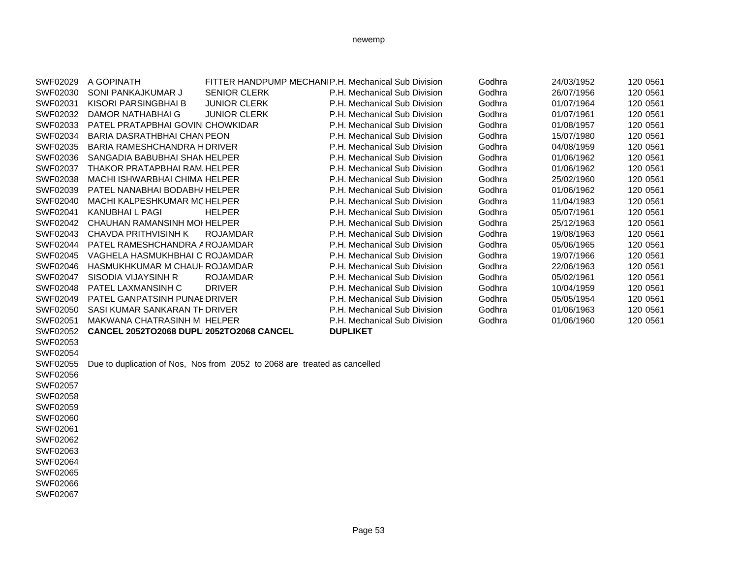| SWF02029        | A GOPINATH                               | FITTER HANDPUMP MECHANIP.H. Mechanical Sub Division                       |                              | Godhra | 24/03/1952 | 120 0561 |
|-----------------|------------------------------------------|---------------------------------------------------------------------------|------------------------------|--------|------------|----------|
| SWF02030        | SONI PANKAJKUMAR J                       | <b>SENIOR CLERK</b>                                                       | P.H. Mechanical Sub Division | Godhra | 26/07/1956 | 120 0561 |
| SWF02031        | KISORI PARSINGBHAI B                     | <b>JUNIOR CLERK</b>                                                       | P.H. Mechanical Sub Division | Godhra | 01/07/1964 | 120 0561 |
| SWF02032        | DAMOR NATHABHAI G                        | <b>JUNIOR CLERK</b>                                                       | P.H. Mechanical Sub Division | Godhra | 01/07/1961 | 120 0561 |
| SWF02033        | PATEL PRATAPBHAI GOVINICHOWKIDAR         |                                                                           | P.H. Mechanical Sub Division | Godhra | 01/08/1957 | 120 0561 |
| SWF02034        | BARIA DASRATHBHAI CHAN PEON              |                                                                           | P.H. Mechanical Sub Division | Godhra | 15/07/1980 | 120 0561 |
| SWF02035        | <b>BARIA RAMESHCHANDRA HDRIVER</b>       |                                                                           | P.H. Mechanical Sub Division | Godhra | 04/08/1959 | 120 0561 |
| SWF02036        | SANGADIA BABUBHAI SHAN HELPER            |                                                                           | P.H. Mechanical Sub Division | Godhra | 01/06/1962 | 120 0561 |
| SWF02037        | THAKOR PRATAPBHAI RAM HELPER             |                                                                           | P.H. Mechanical Sub Division | Godhra | 01/06/1962 | 120 0561 |
| SWF02038        | <b>MACHI ISHWARBHAI CHIMA HELPER</b>     |                                                                           | P.H. Mechanical Sub Division | Godhra | 25/02/1960 | 120 0561 |
| SWF02039        | PATEL NANABHAI BODABH/ HELPER            |                                                                           | P.H. Mechanical Sub Division | Godhra | 01/06/1962 | 120 0561 |
| SWF02040        | MACHI KALPESHKUMAR MCHELPER              |                                                                           | P.H. Mechanical Sub Division | Godhra | 11/04/1983 | 120 0561 |
| SWF02041        | <b>KANUBHAI L PAGI</b>                   | <b>HELPER</b>                                                             | P.H. Mechanical Sub Division | Godhra | 05/07/1961 | 120 0561 |
| SWF02042        | CHAUHAN RAMANSINH MOI HELPER             |                                                                           | P.H. Mechanical Sub Division | Godhra | 25/12/1963 | 120 0561 |
| SWF02043        | <b>CHAVDA PRITHVISINH K</b>              | <b>ROJAMDAR</b>                                                           | P.H. Mechanical Sub Division | Godhra | 19/08/1963 | 120 0561 |
| SWF02044        | PATEL RAMESHCHANDRA AROJAMDAR            |                                                                           | P.H. Mechanical Sub Division | Godhra | 05/06/1965 | 120 0561 |
| SWF02045        | VAGHELA HASMUKHBHAI C ROJAMDAR           |                                                                           | P.H. Mechanical Sub Division | Godhra | 19/07/1966 | 120 0561 |
| SWF02046        | HASMUKHKUMAR M CHAUH ROJAMDAR            |                                                                           | P.H. Mechanical Sub Division | Godhra | 22/06/1963 | 120 0561 |
| <b>SWF02047</b> | SISODIA VIJAYSINH R                      | <b>ROJAMDAR</b>                                                           | P.H. Mechanical Sub Division | Godhra | 05/02/1961 | 120 0561 |
| SWF02048        | PATEL LAXMANSINH C                       | <b>DRIVER</b>                                                             | P.H. Mechanical Sub Division | Godhra | 10/04/1959 | 120 0561 |
| SWF02049        | PATEL GANPATSINH PUNAE DRIVER            |                                                                           | P.H. Mechanical Sub Division | Godhra | 05/05/1954 | 120 0561 |
| SWF02050        | SASI KUMAR SANKARAN THDRIVER             |                                                                           | P.H. Mechanical Sub Division | Godhra | 01/06/1963 | 120 0561 |
| SWF02051        | MAKWANA CHATRASINH M HELPER              |                                                                           | P.H. Mechanical Sub Division | Godhra | 01/06/1960 | 120 0561 |
| SWF02052        | CANCEL 2052TO2068 DUPLI2052TO2068 CANCEL |                                                                           | <b>DUPLIKET</b>              |        |            |          |
| SWF02053        |                                          |                                                                           |                              |        |            |          |
| SWF02054        |                                          |                                                                           |                              |        |            |          |
| SWF02055        |                                          | Due to duplication of Nos, Nos from 2052 to 2068 are treated as cancelled |                              |        |            |          |
| SWF02056        |                                          |                                                                           |                              |        |            |          |
| SWF02057        |                                          |                                                                           |                              |        |            |          |
| SWF02058        |                                          |                                                                           |                              |        |            |          |
| SWF02059        |                                          |                                                                           |                              |        |            |          |
| SWF02060        |                                          |                                                                           |                              |        |            |          |
| SWF02061        |                                          |                                                                           |                              |        |            |          |
| SWF02062        |                                          |                                                                           |                              |        |            |          |
| SWF02063        |                                          |                                                                           |                              |        |            |          |
| SWF02064        |                                          |                                                                           |                              |        |            |          |
| SWF02065        |                                          |                                                                           |                              |        |            |          |
| SWF02066        |                                          |                                                                           |                              |        |            |          |
| SWF02067        |                                          |                                                                           |                              |        |            |          |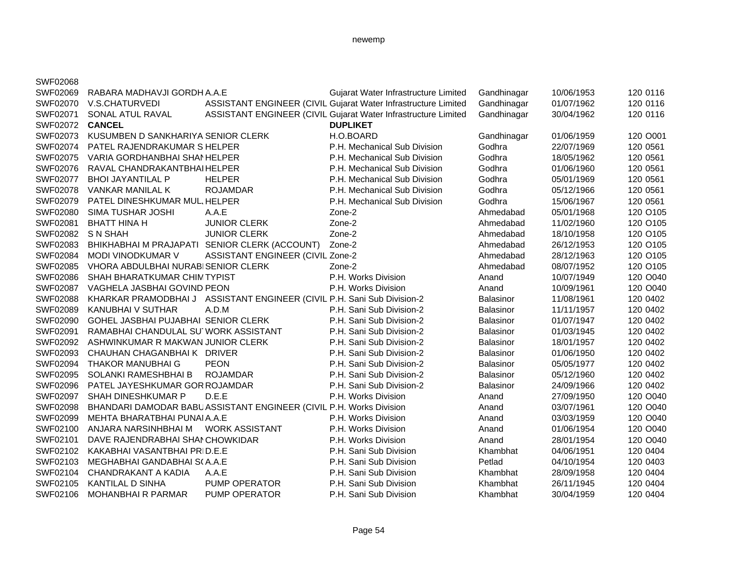| SWF02068        |                                       |                                                                         |                                                                |                  |            |          |
|-----------------|---------------------------------------|-------------------------------------------------------------------------|----------------------------------------------------------------|------------------|------------|----------|
| SWF02069        | RABARA MADHAVJI GORDH A.A.E           |                                                                         | Gujarat Water Infrastructure Limited                           | Gandhinagar      | 10/06/1953 | 120 0116 |
| SWF02070        | V.S.CHATURVEDI                        |                                                                         | ASSISTANT ENGINEER (CIVIL Gujarat Water Infrastructure Limited | Gandhinagar      | 01/07/1962 | 120 0116 |
| SWF02071        | SONAL ATUL RAVAL                      |                                                                         | ASSISTANT ENGINEER (CIVIL Gujarat Water Infrastructure Limited | Gandhinagar      | 30/04/1962 | 120 0116 |
| SWF02072 CANCEL |                                       |                                                                         | <b>DUPLIKET</b>                                                |                  |            |          |
| SWF02073        | KUSUMBEN D SANKHARIYA SENIOR CLERK    |                                                                         | H.O.BOARD                                                      | Gandhinagar      | 01/06/1959 | 120 O001 |
| SWF02074        | PATEL RAJENDRAKUMAR S HELPER          |                                                                         | P.H. Mechanical Sub Division                                   | Godhra           | 22/07/1969 | 120 0561 |
| SWF02075        | VARIA GORDHANBHAI SHANHELPER          |                                                                         | P.H. Mechanical Sub Division                                   | Godhra           | 18/05/1962 | 120 0561 |
| SWF02076        | RAVAL CHANDRAKANTBHAIHELPER           |                                                                         | P.H. Mechanical Sub Division                                   | Godhra           | 01/06/1960 | 120 0561 |
| SWF02077        | <b>BHOI JAYANTILAL P</b>              | <b>HELPER</b>                                                           | P.H. Mechanical Sub Division                                   | Godhra           | 05/01/1969 | 120 0561 |
| SWF02078        | VANKAR MANILAL K                      | <b>ROJAMDAR</b>                                                         | P.H. Mechanical Sub Division                                   | Godhra           | 05/12/1966 | 120 0561 |
| SWF02079        | PATEL DINESHKUMAR MUL, HELPER         |                                                                         | P.H. Mechanical Sub Division                                   | Godhra           | 15/06/1967 | 120 0561 |
| SWF02080        | <b>SIMA TUSHAR JOSHI</b>              | A.A.E                                                                   | Zone-2                                                         | Ahmedabad        | 05/01/1968 | 120 O105 |
| SWF02081        | <b>BHATT HINA H</b>                   | <b>JUNIOR CLERK</b>                                                     | Zone-2                                                         | Ahmedabad        | 11/02/1960 | 120 O105 |
| SWF02082        | S N SHAH                              | <b>JUNIOR CLERK</b>                                                     | Zone-2                                                         | Ahmedabad        | 18/10/1958 | 120 O105 |
| SWF02083        |                                       | BHIKHABHAI M PRAJAPATI SENIOR CLERK (ACCOUNT)                           | Zone-2                                                         | Ahmedabad        | 26/12/1953 | 120 O105 |
| SWF02084        | MODI VINODKUMAR V                     | ASSISTANT ENGINEER (CIVIL Zone-2                                        |                                                                | Ahmedabad        | 28/12/1963 | 120 O105 |
| SWF02085        | VHORA ABDULBHAI NURABISENIOR CLERK    |                                                                         | Zone-2                                                         | Ahmedabad        | 08/07/1952 | 120 O105 |
| SWF02086        | SHAH BHARATKUMAR CHIMTYPIST           |                                                                         | P.H. Works Division                                            | Anand            | 10/07/1949 | 120 O040 |
| SWF02087        | VAGHELA JASBHAI GOVIND PEON           |                                                                         | P.H. Works Division                                            | Anand            | 10/09/1961 | 120 O040 |
| SWF02088        |                                       | KHARKAR PRAMODBHAI J ASSISTANT ENGINEER (CIVIL P.H. Sani Sub Division-2 |                                                                | Balasinor        | 11/08/1961 | 120 0402 |
| SWF02089        | <b>KANUBHAI V SUTHAR</b>              | A.D.M                                                                   | P.H. Sani Sub Division-2                                       | Balasinor        | 11/11/1957 | 120 0402 |
| SWF02090        | GOHEL JASBHAI PUJABHAI SENIOR CLERK   |                                                                         | P.H. Sani Sub Division-2                                       | Balasinor        | 01/07/1947 | 120 0402 |
| SWF02091        | RAMABHAI CHANDULAL SU' WORK ASSISTANT |                                                                         | P.H. Sani Sub Division-2                                       | <b>Balasinor</b> | 01/03/1945 | 120 0402 |
| SWF02092        | ASHWINKUMAR R MAKWAN JUNIOR CLERK     |                                                                         | P.H. Sani Sub Division-2                                       | <b>Balasinor</b> | 18/01/1957 | 120 0402 |
| SWF02093        | CHAUHAN CHAGANBHAI K DRIVER           |                                                                         | P.H. Sani Sub Division-2                                       | Balasinor        | 01/06/1950 | 120 0402 |
| SWF02094        | <b>THAKOR MANUBHAI G</b>              | <b>PEON</b>                                                             | P.H. Sani Sub Division-2                                       | Balasinor        | 05/05/1977 | 120 0402 |
| SWF02095        | SOLANKI RAMESHBHAI B                  | <b>ROJAMDAR</b>                                                         | P.H. Sani Sub Division-2                                       | <b>Balasinor</b> | 05/12/1960 | 120 0402 |
| SWF02096        | PATEL JAYESHKUMAR GOR ROJAMDAR        |                                                                         | P.H. Sani Sub Division-2                                       | <b>Balasinor</b> | 24/09/1966 | 120 0402 |
| SWF02097        | SHAH DINESHKUMAR P                    | D.E.E                                                                   | P.H. Works Division                                            | Anand            | 27/09/1950 | 120 O040 |
| SWF02098        |                                       | BHANDARI DAMODAR BABU ASSISTANT ENGINEER (CIVIL P.H. Works Division     |                                                                | Anand            | 03/07/1961 | 120 O040 |
| SWF02099        | MEHTA BHARATBHAI PUNAI A.A.E          |                                                                         | P.H. Works Division                                            | Anand            | 03/03/1959 | 120 O040 |
| SWF02100        | ANJARA NARSINHBHAI M                  | WORK ASSISTANT                                                          | P.H. Works Division                                            | Anand            | 01/06/1954 | 120 O040 |
| SWF02101        | DAVE RAJENDRABHAI SHAI CHOWKIDAR      |                                                                         | P.H. Works Division                                            | Anand            | 28/01/1954 | 120 O040 |
| SWF02102        | KAKABHAI VASANTBHAI PRID.E.E          |                                                                         | P.H. Sani Sub Division                                         | Khambhat         | 04/06/1951 | 120 0404 |
| SWF02103        | MEGHABHAI GANDABHAI S(A.A.E           |                                                                         | P.H. Sani Sub Division                                         | Petlad           | 04/10/1954 | 120 0403 |
| SWF02104        | <b>CHANDRAKANT A KADIA</b>            | A.A.E                                                                   | P.H. Sani Sub Division                                         | Khambhat         | 28/09/1958 | 120 0404 |
| SWF02105        | KANTILAL D SINHA                      | <b>PUMP OPERATOR</b>                                                    | P.H. Sani Sub Division                                         | Khambhat         | 26/11/1945 | 120 0404 |
| SWF02106        | <b>MOHANBHAI R PARMAR</b>             | <b>PUMP OPERATOR</b>                                                    | P.H. Sani Sub Division                                         | Khambhat         | 30/04/1959 | 120 0404 |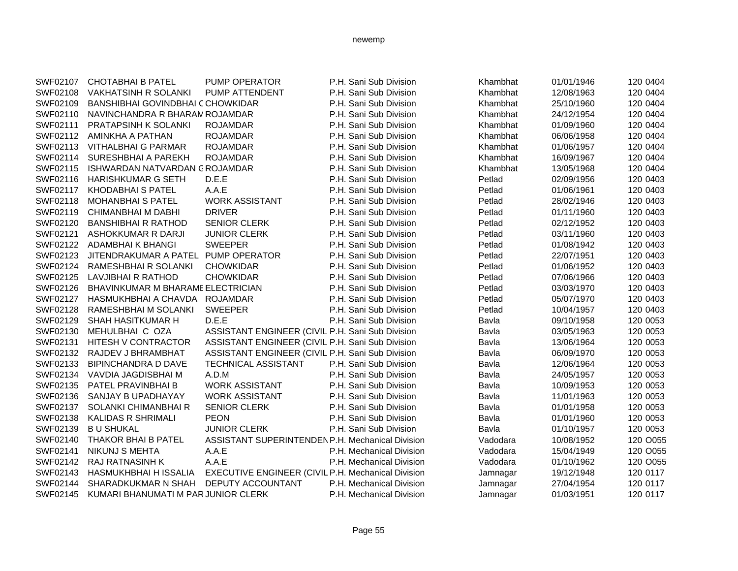| SWF02107 | <b>CHOTABHAI B PATEL</b>            | PUMP OPERATOR                                      | P.H. Sani Sub Division   | Khambhat | 01/01/1946 | 120 0404 |
|----------|-------------------------------------|----------------------------------------------------|--------------------------|----------|------------|----------|
| SWF02108 | <b>VAKHATSINH R SOLANKI</b>         | PUMP ATTENDENT                                     | P.H. Sani Sub Division   | Khambhat | 12/08/1963 | 120 0404 |
| SWF02109 | BANSHIBHAI GOVINDBHAI CCHOWKIDAR    |                                                    | P.H. Sani Sub Division   | Khambhat | 25/10/1960 | 120 0404 |
| SWF02110 | NAVINCHANDRA R BHARAM ROJAMDAR      |                                                    | P.H. Sani Sub Division   | Khambhat | 24/12/1954 | 120 0404 |
| SWF02111 | PRATAPSINH K SOLANKI                | <b>ROJAMDAR</b>                                    | P.H. Sani Sub Division   | Khambhat | 01/09/1960 | 120 0404 |
| SWF02112 | AMINKHA A PATHAN                    | <b>ROJAMDAR</b>                                    | P.H. Sani Sub Division   | Khambhat | 06/06/1958 | 120 0404 |
| SWF02113 | <b>VITHALBHAI G PARMAR</b>          | <b>ROJAMDAR</b>                                    | P.H. Sani Sub Division   | Khambhat | 01/06/1957 | 120 0404 |
| SWF02114 | <b>SURESHBHAI A PAREKH</b>          | <b>ROJAMDAR</b>                                    | P.H. Sani Sub Division   | Khambhat | 16/09/1967 | 120 0404 |
| SWF02115 | ISHWARDAN NATVARDAN CROJAMDAR       |                                                    | P.H. Sani Sub Division   | Khambhat | 13/05/1968 | 120 0404 |
| SWF02116 | <b>HARISHKUMAR G SETH</b>           | D.E.E                                              | P.H. Sani Sub Division   | Petlad   | 02/09/1956 | 120 0403 |
| SWF02117 | <b>KHODABHAI S PATEL</b>            | A.A.E                                              | P.H. Sani Sub Division   | Petlad   | 01/06/1961 | 120 0403 |
| SWF02118 | <b>MOHANBHAI S PATEL</b>            | <b>WORK ASSISTANT</b>                              | P.H. Sani Sub Division   | Petlad   | 28/02/1946 | 120 0403 |
| SWF02119 | <b>CHIMANBHAI M DABHI</b>           | <b>DRIVER</b>                                      | P.H. Sani Sub Division   | Petlad   | 01/11/1960 | 120 0403 |
| SWF02120 | <b>BANSHIBHAI R RATHOD</b>          | <b>SENIOR CLERK</b>                                | P.H. Sani Sub Division   | Petlad   | 02/12/1952 | 120 0403 |
| SWF02121 | ASHOKKUMAR R DARJI                  | <b>JUNIOR CLERK</b>                                | P.H. Sani Sub Division   | Petlad   | 03/11/1960 | 120 0403 |
| SWF02122 | ADAMBHAI K BHANGI                   | <b>SWEEPER</b>                                     | P.H. Sani Sub Division   | Petlad   | 01/08/1942 | 120 0403 |
| SWF02123 | JITENDRAKUMAR A PATEL               | <b>PUMP OPERATOR</b>                               | P.H. Sani Sub Division   | Petlad   | 22/07/1951 | 120 0403 |
| SWF02124 | RAMESHBHAI R SOLANKI                | <b>CHOWKIDAR</b>                                   | P.H. Sani Sub Division   | Petlad   | 01/06/1952 | 120 0403 |
| SWF02125 | LAVJIBHAI R RATHOD                  | <b>CHOWKIDAR</b>                                   | P.H. Sani Sub Division   | Petlad   | 07/06/1966 | 120 0403 |
| SWF02126 | BHAVINKUMAR M BHARAME ELECTRICIAN   |                                                    | P.H. Sani Sub Division   | Petlad   | 03/03/1970 | 120 0403 |
| SWF02127 | HASMUKHBHAI A CHAVDA                | <b>ROJAMDAR</b>                                    | P.H. Sani Sub Division   | Petlad   | 05/07/1970 | 120 0403 |
| SWF02128 | RAMESHBHAI M SOLANKI                | <b>SWEEPER</b>                                     | P.H. Sani Sub Division   | Petlad   | 10/04/1957 | 120 0403 |
| SWF02129 | <b>SHAH HASITKUMAR H</b>            | D.E.E                                              | P.H. Sani Sub Division   | Bavla    | 09/10/1958 | 120 0053 |
| SWF02130 | MEHULBHAI C OZA                     | ASSISTANT ENGINEER (CIVIL P.H. Sani Sub Division   |                          | Bavla    | 03/05/1963 | 120 0053 |
| SWF02131 | <b>HITESH V CONTRACTOR</b>          | ASSISTANT ENGINEER (CIVIL P.H. Sani Sub Division   |                          | Bavla    | 13/06/1964 | 120 0053 |
| SWF02132 | RAJDEV J BHRAMBHAT                  | ASSISTANT ENGINEER (CIVIL P.H. Sani Sub Division   |                          | Bavla    | 06/09/1970 | 120 0053 |
| SWF02133 | <b>BIPINCHANDRA D DAVE</b>          | TECHNICAL ASSISTANT                                | P.H. Sani Sub Division   | Bavla    | 12/06/1964 | 120 0053 |
| SWF02134 | VAVDIA JAGDISBHAI M                 | A.D.M                                              | P.H. Sani Sub Division   | Bavla    | 24/05/1957 | 120 0053 |
| SWF02135 | PATEL PRAVINBHAI B                  | <b>WORK ASSISTANT</b>                              | P.H. Sani Sub Division   | Bavla    | 10/09/1953 | 120 0053 |
| SWF02136 | SANJAY B UPADHAYAY                  | <b>WORK ASSISTANT</b>                              | P.H. Sani Sub Division   | Bavla    | 11/01/1963 | 120 0053 |
| SWF02137 | SOLANKI CHIMANBHAI R                | <b>SENIOR CLERK</b>                                | P.H. Sani Sub Division   | Bavla    | 01/01/1958 | 120 0053 |
| SWF02138 | <b>KALIDAS R SHRIMALI</b>           | <b>PEON</b>                                        | P.H. Sani Sub Division   | Bavla    | 01/01/1960 | 120 0053 |
| SWF02139 | <b>B U SHUKAL</b>                   | <b>JUNIOR CLERK</b>                                | P.H. Sani Sub Division   | Bavla    | 01/10/1957 | 120 0053 |
| SWF02140 | THAKOR BHAI B PATEL                 | ASSISTANT SUPERINTENDEN P.H. Mechanical Division   |                          | Vadodara | 10/08/1952 | 120 O055 |
| SWF02141 | <b>NIKUNJ S MEHTA</b>               | A.A.E                                              | P.H. Mechanical Division | Vadodara | 15/04/1949 | 120 O055 |
| SWF02142 | <b>RAJ RATNASINH K</b>              | A.A.E                                              | P.H. Mechanical Division | Vadodara | 01/10/1962 | 120 O055 |
| SWF02143 | HASMUKHBHAI H ISSALIA               | EXECUTIVE ENGINEER (CIVIL P.H. Mechanical Division |                          | Jamnagar | 19/12/1948 | 120 0117 |
| SWF02144 | SHARADKUKMAR N SHAH                 | DEPUTY ACCOUNTANT                                  | P.H. Mechanical Division | Jamnagar | 27/04/1954 | 120 0117 |
| SWF02145 | KUMARI BHANUMATI M PAR JUNIOR CLERK |                                                    | P.H. Mechanical Division | Jamnagar | 01/03/1951 | 120 0117 |
|          |                                     |                                                    |                          |          |            |          |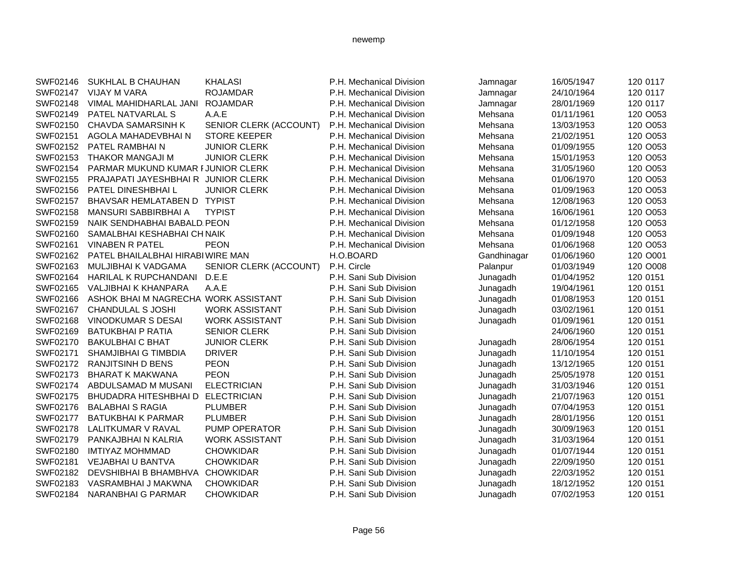| SWF02146 | SUKHLAL B CHAUHAN                    | <b>KHALASI</b>         | P.H. Mechanical Division | Jamnagar    | 16/05/1947 | 120 0117 |
|----------|--------------------------------------|------------------------|--------------------------|-------------|------------|----------|
| SWF02147 | <b>VIJAY M VARA</b>                  | <b>ROJAMDAR</b>        | P.H. Mechanical Division | Jamnagar    | 24/10/1964 | 120 0117 |
| SWF02148 | VIMAL MAHIDHARLAL JANI               | <b>ROJAMDAR</b>        | P.H. Mechanical Division | Jamnagar    | 28/01/1969 | 120 0117 |
| SWF02149 | PATEL NATVARLAL S                    | A.A.E                  | P.H. Mechanical Division | Mehsana     | 01/11/1961 | 120 O053 |
| SWF02150 | <b>CHAVDA SAMARSINH K</b>            | SENIOR CLERK (ACCOUNT) | P.H. Mechanical Division | Mehsana     | 13/03/1953 | 120 O053 |
| SWF02151 | AGOLA MAHADEVBHAIN                   | <b>STORE KEEPER</b>    | P.H. Mechanical Division | Mehsana     | 21/02/1951 | 120 O053 |
| SWF02152 | PATEL RAMBHAIN                       | <b>JUNIOR CLERK</b>    | P.H. Mechanical Division | Mehsana     | 01/09/1955 | 120 O053 |
| SWF02153 | THAKOR MANGAJI M                     | <b>JUNIOR CLERK</b>    | P.H. Mechanical Division | Mehsana     | 15/01/1953 | 120 O053 |
| SWF02154 | PARMAR MUKUND KUMAR FJUNIOR CLERK    |                        | P.H. Mechanical Division | Mehsana     | 31/05/1960 | 120 O053 |
| SWF02155 | PRAJAPATI JAYESHBHAI R JUNIOR CLERK  |                        | P.H. Mechanical Division | Mehsana     | 01/06/1970 | 120 O053 |
| SWF02156 | PATEL DINESHBHAIL                    | <b>JUNIOR CLERK</b>    | P.H. Mechanical Division | Mehsana     | 01/09/1963 | 120 O053 |
| SWF02157 | BHAVSAR HEMLATABEN D TYPIST          |                        | P.H. Mechanical Division | Mehsana     | 12/08/1963 | 120 O053 |
| SWF02158 | <b>MANSURI SABBIRBHAI A</b>          | <b>TYPIST</b>          | P.H. Mechanical Division | Mehsana     | 16/06/1961 | 120 O053 |
| SWF02159 | NAIK SENDHABHAI BABALD PEON          |                        | P.H. Mechanical Division | Mehsana     | 01/12/1958 | 120 O053 |
| SWF02160 | SAMALBHAI KESHABHAI CH NAIK          |                        | P.H. Mechanical Division | Mehsana     | 01/09/1948 | 120 O053 |
| SWF02161 | <b>VINABEN R PATEL</b>               | <b>PEON</b>            | P.H. Mechanical Division | Mehsana     | 01/06/1968 | 120 O053 |
| SWF02162 | PATEL BHAILALBHAI HIRABI WIRE MAN    |                        | H.O.BOARD                | Gandhinagar | 01/06/1960 | 120 O001 |
| SWF02163 | MULJIBHAI K VADGAMA                  | SENIOR CLERK (ACCOUNT) | P.H. Circle              | Palanpur    | 01/03/1949 | 120 O008 |
| SWF02164 | HARILAL K RUPCHANDANI                | D.E.E                  | P.H. Sani Sub Division   | Junagadh    | 01/04/1952 | 120 0151 |
| SWF02165 | VALJIBHAI K KHANPARA                 | A.A.E                  | P.H. Sani Sub Division   | Junagadh    | 19/04/1961 | 120 0151 |
| SWF02166 | ASHOK BHAI M NAGRECHA WORK ASSISTANT |                        | P.H. Sani Sub Division   | Junagadh    | 01/08/1953 | 120 0151 |
| SWF02167 | <b>CHANDULAL S JOSHI</b>             | <b>WORK ASSISTANT</b>  | P.H. Sani Sub Division   | Junagadh    | 03/02/1961 | 120 0151 |
| SWF02168 | <b>VINODKUMAR S DESAI</b>            | <b>WORK ASSISTANT</b>  | P.H. Sani Sub Division   | Junagadh    | 01/09/1961 | 120 0151 |
| SWF02169 | <b>BATUKBHAI P RATIA</b>             | <b>SENIOR CLERK</b>    | P.H. Sani Sub Division   |             | 24/06/1960 | 120 0151 |
| SWF02170 | <b>BAKULBHAI C BHAT</b>              | <b>JUNIOR CLERK</b>    | P.H. Sani Sub Division   | Junagadh    | 28/06/1954 | 120 0151 |
| SWF02171 | SHAMJIBHAI G TIMBDIA                 | <b>DRIVER</b>          | P.H. Sani Sub Division   | Junagadh    | 11/10/1954 | 120 0151 |
| SWF02172 | <b>RANJITSINH D BENS</b>             | <b>PEON</b>            | P.H. Sani Sub Division   | Junagadh    | 13/12/1965 | 120 0151 |
| SWF02173 | <b>BHARAT K MAKWANA</b>              | <b>PEON</b>            | P.H. Sani Sub Division   | Junagadh    | 25/05/1978 | 120 0151 |
| SWF02174 | ABDULSAMAD M MUSANI                  | <b>ELECTRICIAN</b>     | P.H. Sani Sub Division   | Junagadh    | 31/03/1946 | 120 0151 |
| SWF02175 | <b>BHUDADRA HITESHBHAI D</b>         | <b>ELECTRICIAN</b>     | P.H. Sani Sub Division   | Junagadh    | 21/07/1963 | 120 0151 |
| SWF02176 | <b>BALABHAI S RAGIA</b>              | <b>PLUMBER</b>         | P.H. Sani Sub Division   | Junagadh    | 07/04/1953 | 120 0151 |
| SWF02177 | <b>BATUKBHAI K PARMAR</b>            | <b>PLUMBER</b>         | P.H. Sani Sub Division   | Junagadh    | 28/01/1956 | 120 0151 |
| SWF02178 | LALITKUMAR V RAVAL                   | PUMP OPERATOR          | P.H. Sani Sub Division   | Junagadh    | 30/09/1963 | 120 0151 |
| SWF02179 | PANKAJBHAI N KALRIA                  | <b>WORK ASSISTANT</b>  | P.H. Sani Sub Division   | Junagadh    | 31/03/1964 | 120 0151 |
| SWF02180 | <b>IMTIYAZ MOHMMAD</b>               | <b>CHOWKIDAR</b>       | P.H. Sani Sub Division   | Junagadh    | 01/07/1944 | 120 0151 |
| SWF02181 | <b>VEJABHAI U BANTVA</b>             | <b>CHOWKIDAR</b>       | P.H. Sani Sub Division   | Junagadh    | 22/09/1950 | 120 0151 |
| SWF02182 | DEVSHIBHAI B BHAMBHVA                | <b>CHOWKIDAR</b>       | P.H. Sani Sub Division   | Junagadh    | 22/03/1952 | 120 0151 |
| SWF02183 | VASRAMBHAI J MAKWNA                  | <b>CHOWKIDAR</b>       | P.H. Sani Sub Division   | Junagadh    | 18/12/1952 | 120 0151 |
| SWF02184 | NARANBHAI G PARMAR                   | <b>CHOWKIDAR</b>       | P.H. Sani Sub Division   | Junagadh    | 07/02/1953 | 120 0151 |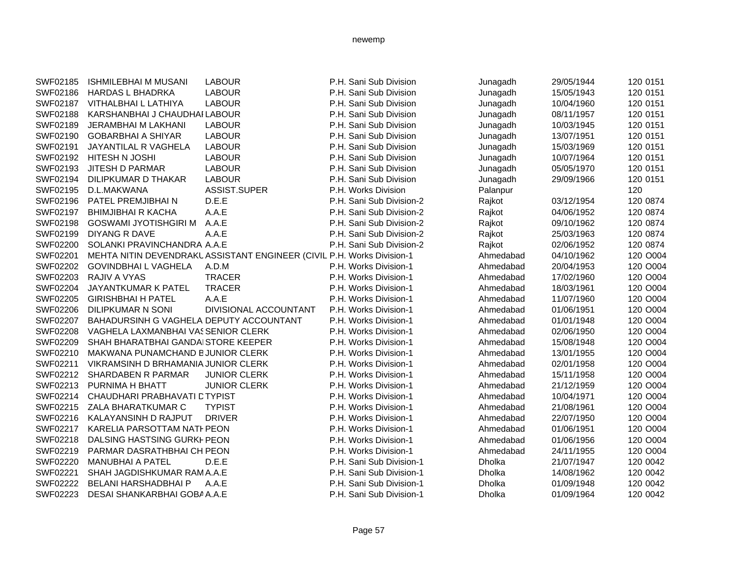| SWF02185 | <b>ISHMILEBHAI M MUSANI</b>             | <b>LABOUR</b>                                                          | P.H. Sani Sub Division   | Junagadh  | 29/05/1944 | 120 0151 |
|----------|-----------------------------------------|------------------------------------------------------------------------|--------------------------|-----------|------------|----------|
| SWF02186 | <b>HARDAS L BHADRKA</b>                 | <b>LABOUR</b>                                                          | P.H. Sani Sub Division   | Junagadh  | 15/05/1943 | 120 0151 |
| SWF02187 | VITHALBHAI L LATHIYA                    | <b>LABOUR</b>                                                          | P.H. Sani Sub Division   | Junagadh  | 10/04/1960 | 120 0151 |
| SWF02188 | KARSHANBHAI J CHAUDHAI LABOUR           |                                                                        | P.H. Sani Sub Division   | Junagadh  | 08/11/1957 | 120 0151 |
| SWF02189 | JERAMBHAI M LAKHANI                     | <b>LABOUR</b>                                                          | P.H. Sani Sub Division   | Junagadh  | 10/03/1945 | 120 0151 |
| SWF02190 | <b>GOBARBHAI A SHIYAR</b>               | <b>LABOUR</b>                                                          | P.H. Sani Sub Division   | Junagadh  | 13/07/1951 | 120 0151 |
| SWF02191 | JAYANTILAL R VAGHELA                    | <b>LABOUR</b>                                                          | P.H. Sani Sub Division   | Junagadh  | 15/03/1969 | 120 0151 |
| SWF02192 | <b>HITESH N JOSHI</b>                   | <b>LABOUR</b>                                                          | P.H. Sani Sub Division   | Junagadh  | 10/07/1964 | 120 0151 |
| SWF02193 | <b>JITESH D PARMAR</b>                  | <b>LABOUR</b>                                                          | P.H. Sani Sub Division   | Junagadh  | 05/05/1970 | 120 0151 |
| SWF02194 | <b>DILIPKUMAR D THAKAR</b>              | <b>LABOUR</b>                                                          | P.H. Sani Sub Division   | Junagadh  | 29/09/1966 | 120 0151 |
| SWF02195 | D.L.MAKWANA                             | ASSIST.SUPER                                                           | P.H. Works Division      | Palanpur  |            | 120      |
| SWF02196 | PATEL PREMJIBHAI N                      | D.E.E                                                                  | P.H. Sani Sub Division-2 | Rajkot    | 03/12/1954 | 120 0874 |
| SWF02197 | <b>BHIMJIBHAI R KACHA</b>               | A.A.E                                                                  | P.H. Sani Sub Division-2 | Rajkot    | 04/06/1952 | 120 0874 |
| SWF02198 | <b>GOSWAMI JYOTISHGIRI M</b>            | A.A.E                                                                  | P.H. Sani Sub Division-2 | Rajkot    | 09/10/1962 | 120 0874 |
| SWF02199 | <b>DIYANG R DAVE</b>                    | A.A.E                                                                  | P.H. Sani Sub Division-2 | Rajkot    | 25/03/1963 | 120 0874 |
| SWF02200 | SOLANKI PRAVINCHANDRA A.A.E             |                                                                        | P.H. Sani Sub Division-2 | Rajkot    | 02/06/1952 | 120 0874 |
| SWF02201 |                                         | MEHTA NITIN DEVENDRAKL ASSISTANT ENGINEER (CIVIL P.H. Works Division-1 |                          | Ahmedabad | 04/10/1962 | 120 O004 |
| SWF02202 | <b>GOVINDBHAIL VAGHELA</b>              | A.D.M                                                                  | P.H. Works Division-1    | Ahmedabad | 20/04/1953 | 120 O004 |
| SWF02203 | RAJIV A VYAS                            | <b>TRACER</b>                                                          | P.H. Works Division-1    | Ahmedabad | 17/02/1960 | 120 O004 |
| SWF02204 | JAYANTKUMAR K PATEL                     | <b>TRACER</b>                                                          | P.H. Works Division-1    | Ahmedabad | 18/03/1961 | 120 O004 |
| SWF02205 | <b>GIRISHBHAI H PATEL</b>               | A.A.E                                                                  | P.H. Works Division-1    | Ahmedabad | 11/07/1960 | 120 O004 |
| SWF02206 | DILIPKUMAR N SONI                       | DIVISIONAL ACCOUNTANT                                                  | P.H. Works Division-1    | Ahmedabad | 01/06/1951 | 120 O004 |
| SWF02207 | BAHADURSINH G VAGHELA DEPUTY ACCOUNTANT |                                                                        | P.H. Works Division-1    | Ahmedabad | 01/01/1948 | 120 O004 |
| SWF02208 | VAGHELA LAXMANBHAI VAS SENIOR CLERK     |                                                                        | P.H. Works Division-1    | Ahmedabad | 02/06/1950 | 120 O004 |
| SWF02209 | SHAH BHARATBHAI GANDAISTORE KEEPER      |                                                                        | P.H. Works Division-1    | Ahmedabad | 15/08/1948 | 120 O004 |
| SWF02210 | MAKWANA PUNAMCHAND BJUNIOR CLERK        |                                                                        | P.H. Works Division-1    | Ahmedabad | 13/01/1955 | 120 O004 |
| SWF02211 | VIKRAMSINH D BRHAMANIA JUNIOR CLERK     |                                                                        | P.H. Works Division-1    | Ahmedabad | 02/01/1958 | 120 O004 |
| SWF02212 | <b>SHARDABEN R PARMAR</b>               | <b>JUNIOR CLERK</b>                                                    | P.H. Works Division-1    | Ahmedabad | 15/11/1958 | 120 O004 |
| SWF02213 | PURNIMA H BHATT                         | <b>JUNIOR CLERK</b>                                                    | P.H. Works Division-1    | Ahmedabad | 21/12/1959 | 120 O004 |
| SWF02214 | CHAUDHARI PRABHAVATI DTYPIST            |                                                                        | P.H. Works Division-1    | Ahmedabad | 10/04/1971 | 120 O004 |
| SWF02215 | ZALA BHARATKUMAR C                      | <b>TYPIST</b>                                                          | P.H. Works Division-1    | Ahmedabad | 21/08/1961 | 120 O004 |
| SWF02216 | KALAYANSINH D RAJPUT                    | <b>DRIVER</b>                                                          | P.H. Works Division-1    | Ahmedabad | 22/07/1950 | 120 O004 |
| SWF02217 | KARELIA PARSOTTAM NATHPEON              |                                                                        | P.H. Works Division-1    | Ahmedabad | 01/06/1951 | 120 O004 |
| SWF02218 | DALSING HASTSING GURKF PEON             |                                                                        | P.H. Works Division-1    | Ahmedabad | 01/06/1956 | 120 O004 |
| SWF02219 | PARMAR DASRATHBHAI CH PEON              |                                                                        | P.H. Works Division-1    | Ahmedabad | 24/11/1955 | 120 O004 |
| SWF02220 | <b>MANUBHAI A PATEL</b>                 | D.E.E                                                                  | P.H. Sani Sub Division-1 | Dholka    | 21/07/1947 | 120 0042 |
| SWF02221 | SHAH JAGDISHKUMAR RAMA.A.E              |                                                                        | P.H. Sani Sub Division-1 | Dholka    | 14/08/1962 | 120 0042 |
| SWF02222 | <b>BELANI HARSHADBHAI P</b>             | A.A.E                                                                  | P.H. Sani Sub Division-1 | Dholka    | 01/09/1948 | 120 0042 |
| SWF02223 | DESAI SHANKARBHAI GOBA A.A.E            |                                                                        | P.H. Sani Sub Division-1 | Dholka    | 01/09/1964 | 120 0042 |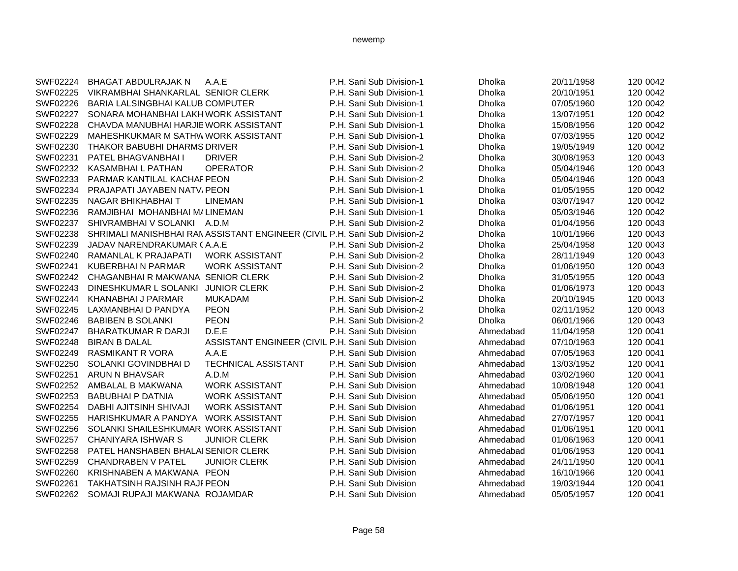| SWF02224        | <b>BHAGAT ABDULRAJAK N</b>            | A.A.E                                                                      | P.H. Sani Sub Division-1 | Dholka        | 20/11/1958 | 120 0042 |
|-----------------|---------------------------------------|----------------------------------------------------------------------------|--------------------------|---------------|------------|----------|
| SWF02225        | VIKRAMBHAI SHANKARLAL SENIOR CLERK    |                                                                            | P.H. Sani Sub Division-1 | Dholka        | 20/10/1951 | 120 0042 |
| SWF02226        | BARIA LALSINGBHAI KALUB COMPUTER      |                                                                            | P.H. Sani Sub Division-1 | Dholka        | 07/05/1960 | 120 0042 |
| SWF02227        | SONARA MOHANBHAI LAKH WORK ASSISTANT  |                                                                            | P.H. Sani Sub Division-1 | Dholka        | 13/07/1951 | 120 0042 |
| SWF02228        | CHAVDA MANUBHAI HARJIB WORK ASSISTANT |                                                                            | P.H. Sani Sub Division-1 | Dholka        | 15/08/1956 | 120 0042 |
| SWF02229        | MAHESHKUKMAR M SATHWWORK ASSISTANT    |                                                                            | P.H. Sani Sub Division-1 | Dholka        | 07/03/1955 | 120 0042 |
| SWF02230        | THAKOR BABUBHI DHARMS DRIVER          |                                                                            | P.H. Sani Sub Division-1 | Dholka        | 19/05/1949 | 120 0042 |
| SWF02231        | PATEL BHAGVANBHAI I                   | <b>DRIVER</b>                                                              | P.H. Sani Sub Division-2 | Dholka        | 30/08/1953 | 120 0043 |
| SWF02232        | KASAMBHAI L PATHAN                    | <b>OPERATOR</b>                                                            | P.H. Sani Sub Division-2 | <b>Dholka</b> | 05/04/1946 | 120 0043 |
| SWF02233        | PARMAR KANTILAL KACHAF PEON           |                                                                            | P.H. Sani Sub Division-2 | Dholka        | 05/04/1946 | 120 0043 |
| SWF02234        | <b>PRAJAPATI JAYABEN NATV, PEON</b>   |                                                                            | P.H. Sani Sub Division-1 | Dholka        | 01/05/1955 | 120 0042 |
| SWF02235        | NAGAR BHIKHABHAI T                    | <b>LINEMAN</b>                                                             | P.H. Sani Sub Division-1 | Dholka        | 03/07/1947 | 120 0042 |
| SWF02236        | RAMJIBHAI MOHANBHAI M/ LINEMAN        |                                                                            | P.H. Sani Sub Division-1 | Dholka        | 05/03/1946 | 120 0042 |
| SWF02237        | SHIVRAMBHAI V SOLANKI A.D.M           |                                                                            | P.H. Sani Sub Division-2 | Dholka        | 01/04/1956 | 120 0043 |
| SWF02238        |                                       | SHRIMALI MANISHBHAI RAN ASSISTANT ENGINEER (CIVIL P.H. Sani Sub Division-2 |                          | Dholka        | 10/01/1966 | 120 0043 |
| SWF02239        | JADAV NARENDRAKUMAR CA.A.E            |                                                                            | P.H. Sani Sub Division-2 | Dholka        | 25/04/1958 | 120 0043 |
| SWF02240        | RAMANLAL K PRAJAPATI                  | <b>WORK ASSISTANT</b>                                                      | P.H. Sani Sub Division-2 | Dholka        | 28/11/1949 | 120 0043 |
| SWF02241        | <b>KUBERBHAI N PARMAR</b>             | <b>WORK ASSISTANT</b>                                                      | P.H. Sani Sub Division-2 | Dholka        | 01/06/1950 | 120 0043 |
| SWF02242        | CHAGANBHAIR MAKWANA SENIOR CLERK      |                                                                            | P.H. Sani Sub Division-2 | Dholka        | 31/05/1955 | 120 0043 |
| SWF02243        | DINESHKUMAR L SOLANKI                 | <b>JUNIOR CLERK</b>                                                        | P.H. Sani Sub Division-2 | Dholka        | 01/06/1973 | 120 0043 |
| SWF02244        | KHANABHAI J PARMAR                    | <b>MUKADAM</b>                                                             | P.H. Sani Sub Division-2 | <b>Dholka</b> | 20/10/1945 | 120 0043 |
| SWF02245        | LAXMANBHAI D PANDYA                   | <b>PEON</b>                                                                | P.H. Sani Sub Division-2 | Dholka        | 02/11/1952 | 120 0043 |
| SWF02246        | <b>BABIBEN B SOLANKI</b>              | <b>PEON</b>                                                                | P.H. Sani Sub Division-2 | <b>Dholka</b> | 06/01/1966 | 120 0043 |
| <b>SWF02247</b> | <b>BHARATKUMAR R DARJI</b>            | D.E.E                                                                      | P.H. Sani Sub Division   | Ahmedabad     | 11/04/1958 | 120 0041 |
| SWF02248        | <b>BIRAN B DALAL</b>                  | ASSISTANT ENGINEER (CIVIL P.H. Sani Sub Division                           |                          | Ahmedabad     | 07/10/1963 | 120 0041 |
| SWF02249        | <b>RASMIKANT R VORA</b>               | A.A.E                                                                      | P.H. Sani Sub Division   | Ahmedabad     | 07/05/1963 | 120 0041 |
| SWF02250        | SOLANKI GOVINDBHAI D                  | <b>TECHNICAL ASSISTANT</b>                                                 | P.H. Sani Sub Division   | Ahmedabad     | 13/03/1952 | 120 0041 |
| SWF02251        | <b>ARUN N BHAVSAR</b>                 | A.D.M                                                                      | P.H. Sani Sub Division   | Ahmedabad     | 03/02/1960 | 120 0041 |
| SWF02252        | AMBALAL B MAKWANA                     | <b>WORK ASSISTANT</b>                                                      | P.H. Sani Sub Division   | Ahmedabad     | 10/08/1948 | 120 0041 |
| SWF02253        | <b>BABUBHAI P DATNIA</b>              | <b>WORK ASSISTANT</b>                                                      | P.H. Sani Sub Division   | Ahmedabad     | 05/06/1950 | 120 0041 |
| SWF02254        | DABHI AJITSINH SHIVAJI                | <b>WORK ASSISTANT</b>                                                      | P.H. Sani Sub Division   | Ahmedabad     | 01/06/1951 | 120 0041 |
| SWF02255        | HARISHKUMAR A PANDYA                  | <b>WORK ASSISTANT</b>                                                      | P.H. Sani Sub Division   | Ahmedabad     | 27/07/1957 | 120 0041 |
| SWF02256        | SOLANKI SHAILESHKUMAR WORK ASSISTANT  |                                                                            | P.H. Sani Sub Division   | Ahmedabad     | 01/06/1951 | 120 0041 |
| SWF02257        | <b>CHANIYARA ISHWAR S</b>             | <b>JUNIOR CLERK</b>                                                        | P.H. Sani Sub Division   | Ahmedabad     | 01/06/1963 | 120 0041 |
| SWF02258        | PATEL HANSHABEN BHALAI SENIOR CLERK   |                                                                            | P.H. Sani Sub Division   | Ahmedabad     | 01/06/1953 | 120 0041 |
| SWF02259        | <b>CHANDRABEN V PATEL</b>             | <b>JUNIOR CLERK</b>                                                        | P.H. Sani Sub Division   | Ahmedabad     | 24/11/1950 | 120 0041 |
| SWF02260        | KRISHNABEN A MAKWANA PEON             |                                                                            | P.H. Sani Sub Division   | Ahmedabad     | 16/10/1966 | 120 0041 |
| SWF02261        | <b>TAKHATSINH RAJSINH RAJF PEON</b>   |                                                                            | P.H. Sani Sub Division   | Ahmedabad     | 19/03/1944 | 120 0041 |
| SWF02262        | SOMAJI RUPAJI MAKWANA ROJAMDAR        |                                                                            | P.H. Sani Sub Division   | Ahmedabad     | 05/05/1957 | 120 0041 |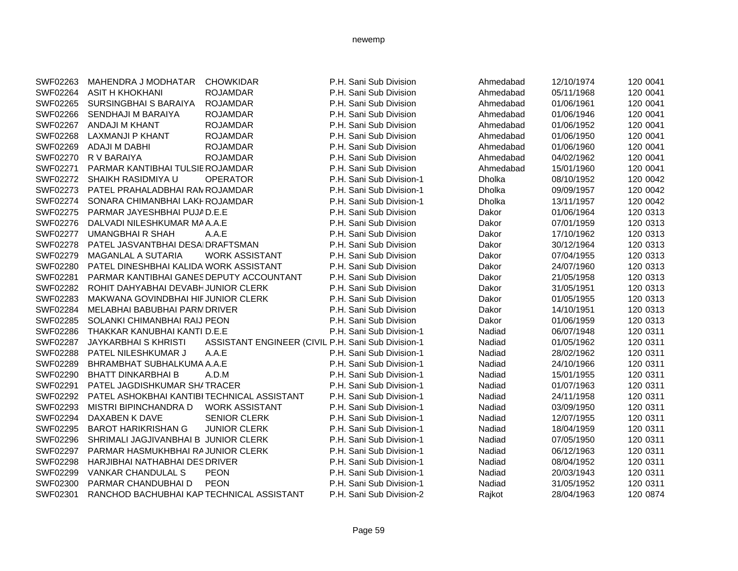| SWF02263        | MAHENDRA J MODHATAR                         | <b>CHOWKIDAR</b>                                   | P.H. Sani Sub Division   | Ahmedabad | 12/10/1974 | 120 0041 |
|-----------------|---------------------------------------------|----------------------------------------------------|--------------------------|-----------|------------|----------|
| SWF02264        | ASIT H KHOKHANI                             | <b>ROJAMDAR</b>                                    | P.H. Sani Sub Division   | Ahmedabad | 05/11/1968 | 120 0041 |
| SWF02265        | SURSINGBHAI S BARAIYA                       | <b>ROJAMDAR</b>                                    | P.H. Sani Sub Division   | Ahmedabad | 01/06/1961 | 120 0041 |
| SWF02266        | SENDHAJI M BARAIYA                          | <b>ROJAMDAR</b>                                    | P.H. Sani Sub Division   | Ahmedabad | 01/06/1946 | 120 0041 |
| SWF02267        | <b>ANDAJI M KHANT</b>                       | <b>ROJAMDAR</b>                                    | P.H. Sani Sub Division   | Ahmedabad | 01/06/1952 | 120 0041 |
| SWF02268        | LAXMANJI P KHANT                            | <b>ROJAMDAR</b>                                    | P.H. Sani Sub Division   | Ahmedabad | 01/06/1950 | 120 0041 |
| SWF02269        | ADAJI M DABHI                               | <b>ROJAMDAR</b>                                    | P.H. Sani Sub Division   | Ahmedabad | 01/06/1960 | 120 0041 |
| SWF02270        | R V BARAIYA                                 | <b>ROJAMDAR</b>                                    | P.H. Sani Sub Division   | Ahmedabad | 04/02/1962 | 120 0041 |
| SWF02271        | PARMAR KANTIBHAI TULSIE ROJAMDAR            |                                                    | P.H. Sani Sub Division   | Ahmedabad | 15/01/1960 | 120 0041 |
| SWF02272        | SHAIKH RASIDMIYA U                          | <b>OPERATOR</b>                                    | P.H. Sani Sub Division-1 | Dholka    | 08/10/1952 | 120 0042 |
| SWF02273        | PATEL PRAHALADBHAI RAN ROJAMDAR             |                                                    | P.H. Sani Sub Division-1 | Dholka    | 09/09/1957 | 120 0042 |
| SWF02274        | SONARA CHIMANBHAI LAKI ROJAMDAR             |                                                    | P.H. Sani Sub Division-1 | Dholka    | 13/11/1957 | 120 0042 |
| SWF02275        | PARMAR JAYESHBHAI PUJAD.E.E                 |                                                    | P.H. Sani Sub Division   | Dakor     | 01/06/1964 | 120 0313 |
| SWF02276        | DALVADI NILESHKUMAR MAA.A.E                 |                                                    | P.H. Sani Sub Division   | Dakor     | 07/01/1959 | 120 0313 |
| <b>SWF02277</b> | <b>UMANGBHAIR SHAH</b>                      | A.A.E                                              | P.H. Sani Sub Division   | Dakor     | 17/10/1962 | 120 0313 |
| SWF02278        | PATEL JASVANTBHAI DESAIDRAFTSMAN            |                                                    | P.H. Sani Sub Division   | Dakor     | 30/12/1964 | 120 0313 |
| SWF02279        | <b>MAGANLAL A SUTARIA</b>                   | <b>WORK ASSISTANT</b>                              | P.H. Sani Sub Division   | Dakor     | 07/04/1955 | 120 0313 |
| SWF02280        | PATEL DINESHBHAI KALIDA WORK ASSISTANT      |                                                    | P.H. Sani Sub Division   | Dakor     | 24/07/1960 | 120 0313 |
| SWF02281        | PARMAR KANTIBHAI GANES DEPUTY ACCOUNTANT    |                                                    | P.H. Sani Sub Division   | Dakor     | 21/05/1958 | 120 0313 |
| SWF02282        | ROHIT DAHYABHAI DEVABHJUNIOR CLERK          |                                                    | P.H. Sani Sub Division   | Dakor     | 31/05/1951 | 120 0313 |
| SWF02283        | MAKWANA GOVINDBHAI HIF JUNIOR CLERK         |                                                    | P.H. Sani Sub Division   | Dakor     | 01/05/1955 | 120 0313 |
| SWF02284        | MELABHAI BABUBHAI PARM DRIVER               |                                                    | P.H. Sani Sub Division   | Dakor     | 14/10/1951 | 120 0313 |
| SWF02285        | SOLANKI CHIMANBHAI RAIJ PEON                |                                                    | P.H. Sani Sub Division   | Dakor     | 01/06/1959 | 120 0313 |
| SWF02286        | THAKKAR KANUBHAI KANTI D.E.E                |                                                    | P.H. Sani Sub Division-1 | Nadiad    | 06/07/1948 | 120 0311 |
| <b>SWF02287</b> | <b>JAYKARBHAI S KHRISTI</b>                 | ASSISTANT ENGINEER (CIVIL P.H. Sani Sub Division-1 |                          | Nadiad    | 01/05/1962 | 120 0311 |
| SWF02288        | PATEL NILESHKUMAR J                         | A.A.E                                              | P.H. Sani Sub Division-1 | Nadiad    | 28/02/1962 | 120 0311 |
| SWF02289        | BHRAMBHAT SUBHALKUMA A.A.E                  |                                                    | P.H. Sani Sub Division-1 | Nadiad    | 24/10/1966 | 120 0311 |
| SWF02290        | <b>BHATT DINKARBHAI B</b>                   | A.D.M                                              | P.H. Sani Sub Division-1 | Nadiad    | 15/01/1955 | 120 0311 |
| SWF02291        | PATEL JAGDISHKUMAR SHITRACER                |                                                    | P.H. Sani Sub Division-1 | Nadiad    | 01/07/1963 | 120 0311 |
| SWF02292        | PATEL ASHOKBHAI KANTIBI TECHNICAL ASSISTANT |                                                    | P.H. Sani Sub Division-1 | Nadiad    | 24/11/1958 | 120 0311 |
| SWF02293        | MISTRI BIPINCHANDRA D                       | <b>WORK ASSISTANT</b>                              | P.H. Sani Sub Division-1 | Nadiad    | 03/09/1950 | 120 0311 |
| SWF02294        | DAXABEN K DAVE                              | <b>SENIOR CLERK</b>                                | P.H. Sani Sub Division-1 | Nadiad    | 12/07/1955 | 120 0311 |
| SWF02295        | <b>BAROT HARIKRISHAN G</b>                  | <b>JUNIOR CLERK</b>                                | P.H. Sani Sub Division-1 | Nadiad    | 18/04/1959 | 120 0311 |
| SWF02296        | SHRIMALI JAGJIVANBHAI B JUNIOR CLERK        |                                                    | P.H. Sani Sub Division-1 | Nadiad    | 07/05/1950 | 120 0311 |
| SWF02297        | PARMAR HASMUKHBHAI RAJUNIOR CLERK           |                                                    | P.H. Sani Sub Division-1 | Nadiad    | 06/12/1963 | 120 0311 |
| SWF02298        | <b>HARJIBHAI NATHABHAI DES DRIVER</b>       |                                                    | P.H. Sani Sub Division-1 | Nadiad    | 08/04/1952 | 120 0311 |
| SWF02299        | <b>VANKAR CHANDULAL S</b>                   | <b>PEON</b>                                        | P.H. Sani Sub Division-1 | Nadiad    | 20/03/1943 | 120 0311 |
| SWF02300        | PARMAR CHANDUBHAI D                         | <b>PEON</b>                                        | P.H. Sani Sub Division-1 | Nadiad    | 31/05/1952 | 120 0311 |
| SWF02301        | RANCHOD BACHUBHAI KAP TECHNICAL ASSISTANT   |                                                    | P.H. Sani Sub Division-2 | Rajkot    | 28/04/1963 | 120 0874 |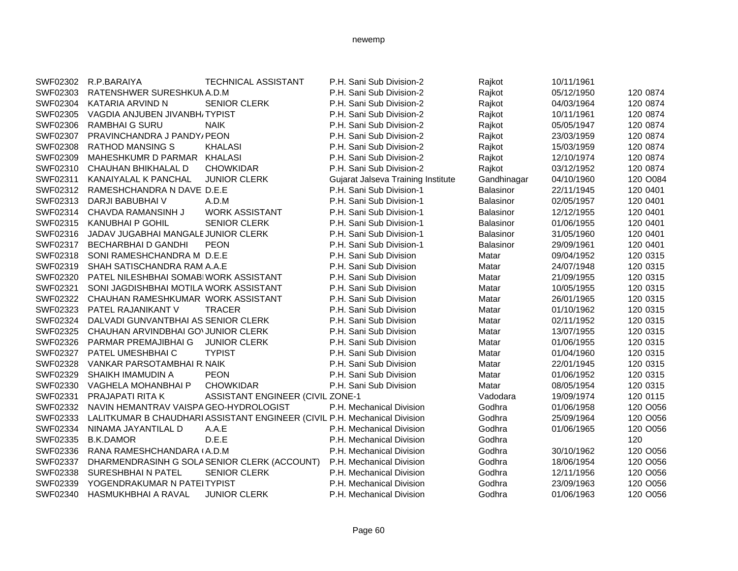| SWF02302 | R.P.BARAIYA                            | <b>TECHNICAL ASSISTANT</b>                                                | P.H. Sani Sub Division-2           | Rajkot           | 10/11/1961 |          |
|----------|----------------------------------------|---------------------------------------------------------------------------|------------------------------------|------------------|------------|----------|
| SWF02303 | RATENSHWER SURESHKUN A.D.M             |                                                                           | P.H. Sani Sub Division-2           | Rajkot           | 05/12/1950 | 120 0874 |
| SWF02304 | KATARIA ARVIND N                       | <b>SENIOR CLERK</b>                                                       | P.H. Sani Sub Division-2           | Rajkot           | 04/03/1964 | 120 0874 |
| SWF02305 | VAGDIA ANJUBEN JIVANBH/TYPIST          |                                                                           | P.H. Sani Sub Division-2           | Rajkot           | 10/11/1961 | 120 0874 |
| SWF02306 | <b>RAMBHAIG SURU</b>                   | <b>NAIK</b>                                                               | P.H. Sani Sub Division-2           | Rajkot           | 05/05/1947 | 120 0874 |
| SWF02307 | PRAVINCHANDRA J PANDY/PEON             |                                                                           | P.H. Sani Sub Division-2           | Rajkot           | 23/03/1959 | 120 0874 |
| SWF02308 | <b>RATHOD MANSING S</b>                | <b>KHALASI</b>                                                            | P.H. Sani Sub Division-2           | Rajkot           | 15/03/1959 | 120 0874 |
| SWF02309 | MAHESHKUMR D PARMAR KHALASI            |                                                                           | P.H. Sani Sub Division-2           | Rajkot           | 12/10/1974 | 120 0874 |
| SWF02310 | CHAUHAN BHIKHALAL D                    | <b>CHOWKIDAR</b>                                                          | P.H. Sani Sub Division-2           | Rajkot           | 03/12/1952 | 120 0874 |
| SWF02311 | KANAIYALAL K PANCHAL                   | <b>JUNIOR CLERK</b>                                                       | Gujarat Jalseva Training Institute | Gandhinagar      | 04/10/1960 | 120 O084 |
| SWF02312 | RAMESHCHANDRA N DAVE D.E.E             |                                                                           | P.H. Sani Sub Division-1           | Balasinor        | 22/11/1945 | 120 0401 |
| SWF02313 | DARJI BABUBHAI V                       | A.D.M                                                                     | P.H. Sani Sub Division-1           | Balasinor        | 02/05/1957 | 120 0401 |
| SWF02314 | CHAVDA RAMANSINH J                     | <b>WORK ASSISTANT</b>                                                     | P.H. Sani Sub Division-1           | Balasinor        | 12/12/1955 | 120 0401 |
| SWF02315 | <b>KANUBHAI P GOHIL</b>                | <b>SENIOR CLERK</b>                                                       | P.H. Sani Sub Division-1           | Balasinor        | 01/06/1955 | 120 0401 |
| SWF02316 | JADAV JUGABHAI MANGALE JUNIOR CLERK    |                                                                           | P.H. Sani Sub Division-1           | <b>Balasinor</b> | 31/05/1960 | 120 0401 |
| SWF02317 | <b>BECHARBHAI D GANDHI</b>             | <b>PEON</b>                                                               | P.H. Sani Sub Division-1           | Balasinor        | 29/09/1961 | 120 0401 |
| SWF02318 | SONI RAMESHCHANDRA M D.E.E             |                                                                           | P.H. Sani Sub Division             | Matar            | 09/04/1952 | 120 0315 |
| SWF02319 | SHAH SATISCHANDRA RAM A.A.E            |                                                                           | P.H. Sani Sub Division             | Matar            | 24/07/1948 | 120 0315 |
| SWF02320 | PATEL NILESHBHAI SOMABIWORK ASSISTANT  |                                                                           | P.H. Sani Sub Division             | Matar            | 21/09/1955 | 120 0315 |
| SWF02321 | SONI JAGDISHBHAI MOTILA WORK ASSISTANT |                                                                           | P.H. Sani Sub Division             | Matar            | 10/05/1955 | 120 0315 |
| SWF02322 | CHAUHAN RAMESHKUMAR WORK ASSISTANT     |                                                                           | P.H. Sani Sub Division             | Matar            | 26/01/1965 | 120 0315 |
| SWF02323 | PATEL RAJANIKANT V                     | <b>TRACER</b>                                                             | P.H. Sani Sub Division             | Matar            | 01/10/1962 | 120 0315 |
| SWF02324 | DALVADI GUNVANTBHAI AS SENIOR CLERK    |                                                                           | P.H. Sani Sub Division             | Matar            | 02/11/1952 | 120 0315 |
| SWF02325 | CHAUHAN ARVINDBHAI GOVJUNIOR CLERK     |                                                                           | P.H. Sani Sub Division             | Matar            | 13/07/1955 | 120 0315 |
| SWF02326 | PARMAR PREMAJIBHAI G                   | <b>JUNIOR CLERK</b>                                                       | P.H. Sani Sub Division             | Matar            | 01/06/1955 | 120 0315 |
| SWF02327 | PATEL UMESHBHAI C                      | <b>TYPIST</b>                                                             | P.H. Sani Sub Division             | Matar            | 01/04/1960 | 120 0315 |
| SWF02328 | VANKAR PARSOTAMBHAI R. NAIK            |                                                                           | P.H. Sani Sub Division             | Matar            | 22/01/1945 | 120 0315 |
| SWF02329 | SHAIKH IMAMUDIN A                      | <b>PEON</b>                                                               | P.H. Sani Sub Division             | Matar            | 01/06/1952 | 120 0315 |
| SWF02330 | VAGHELA MOHANBHAI P                    | <b>CHOWKIDAR</b>                                                          | P.H. Sani Sub Division             | Matar            | 08/05/1954 | 120 0315 |
| SWF02331 | PRAJAPATI RITA K                       | ASSISTANT ENGINEER (CIVIL ZONE-1                                          |                                    | Vadodara         | 19/09/1974 | 120 0115 |
| SWF02332 | NAVIN HEMANTRAV VAISPA GEO-HYDROLOGIST |                                                                           | P.H. Mechanical Division           | Godhra           | 01/06/1958 | 120 O056 |
| SWF02333 |                                        | LALITKUMAR B CHAUDHARI ASSISTANT ENGINEER (CIVIL P.H. Mechanical Division |                                    | Godhra           | 25/09/1964 | 120 O056 |
| SWF02334 | NINAMA JAYANTILAL D                    | A.A.E                                                                     | P.H. Mechanical Division           | Godhra           | 01/06/1965 | 120 O056 |
| SWF02335 | <b>B.K.DAMOR</b>                       | D.E.E                                                                     | P.H. Mechanical Division           | Godhra           |            | 120      |
| SWF02336 | RANA RAMESHCHANDARA (A.D.M             |                                                                           | P.H. Mechanical Division           | Godhra           | 30/10/1962 | 120 O056 |
| SWF02337 |                                        | DHARMENDRASINH G SOLA SENIOR CLERK (ACCOUNT)                              | P.H. Mechanical Division           | Godhra           | 18/06/1954 | 120 O056 |
| SWF02338 | SURESHBHAIN PATEL                      | <b>SENIOR CLERK</b>                                                       | P.H. Mechanical Division           | Godhra           | 12/11/1956 | 120 O056 |
| SWF02339 | YOGENDRAKUMAR N PATEITYPIST            |                                                                           | P.H. Mechanical Division           | Godhra           | 23/09/1963 | 120 O056 |
| SWF02340 | HASMUKHBHAI A RAVAL                    | <b>JUNIOR CLERK</b>                                                       | P.H. Mechanical Division           | Godhra           | 01/06/1963 | 120 O056 |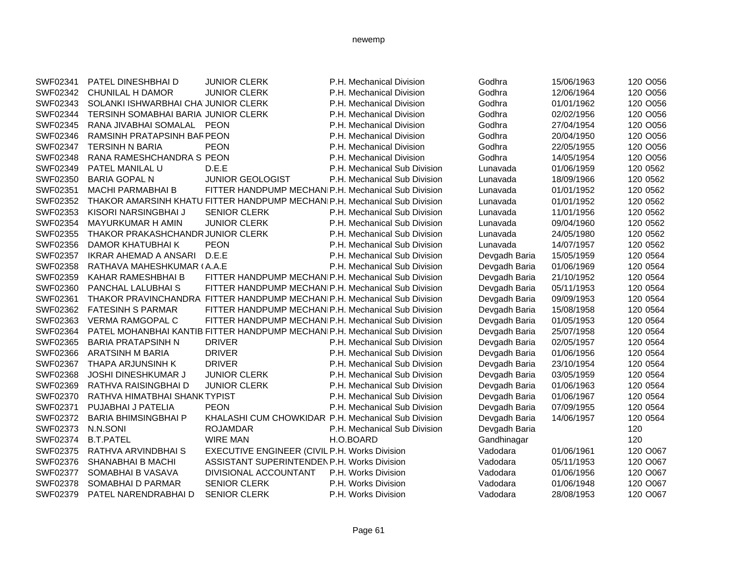| SWF02341 | PATEL DINESHBHAI D                  | <b>JUNIOR CLERK</b>                                                        | P.H. Mechanical Division     | Godhra        | 15/06/1963 | 120 O056 |
|----------|-------------------------------------|----------------------------------------------------------------------------|------------------------------|---------------|------------|----------|
| SWF02342 | CHUNILAL H DAMOR                    | <b>JUNIOR CLERK</b>                                                        | P.H. Mechanical Division     | Godhra        | 12/06/1964 | 120 O056 |
| SWF02343 | SOLANKI ISHWARBHAI CHA JUNIOR CLERK |                                                                            | P.H. Mechanical Division     | Godhra        | 01/01/1962 | 120 O056 |
| SWF02344 | TERSINH SOMABHAI BARIA JUNIOR CLERK |                                                                            | P.H. Mechanical Division     | Godhra        | 02/02/1956 | 120 O056 |
| SWF02345 | RANA JIVABHAI SOMALAL               | <b>PEON</b>                                                                | P.H. Mechanical Division     | Godhra        | 27/04/1954 | 120 O056 |
| SWF02346 | <b>RAMSINH PRATAPSINH BARPEON</b>   |                                                                            | P.H. Mechanical Division     | Godhra        | 20/04/1950 | 120 O056 |
| SWF02347 | <b>TERSINH N BARIA</b>              | <b>PEON</b>                                                                | P.H. Mechanical Division     | Godhra        | 22/05/1955 | 120 O056 |
| SWF02348 | RANA RAMESHCHANDRA S PEON           |                                                                            | P.H. Mechanical Division     | Godhra        | 14/05/1954 | 120 O056 |
| SWF02349 | PATEL MANILAL U                     | D.E.E                                                                      | P.H. Mechanical Sub Division | Lunavada      | 01/06/1959 | 120 0562 |
| SWF02350 | <b>BARIA GOPAL N</b>                | <b>JUNIOR GEOLOGIST</b>                                                    | P.H. Mechanical Sub Division | Lunavada      | 18/09/1966 | 120 0562 |
| SWF02351 | <b>MACHI PARMABHAI B</b>            | FITTER HANDPUMP MECHANIP.H. Mechanical Sub Division                        |                              | Lunavada      | 01/01/1952 | 120 0562 |
| SWF02352 |                                     | THAKOR AMARSINH KHATU FITTER HANDPUMP MECHANIP.H. Mechanical Sub Division  |                              | Lunavada      | 01/01/1952 | 120 0562 |
| SWF02353 | KISORI NARSINGBHAI J                | <b>SENIOR CLERK</b>                                                        | P.H. Mechanical Sub Division | Lunavada      | 11/01/1956 | 120 0562 |
| SWF02354 | <b>MAYURKUMAR H AMIN</b>            | <b>JUNIOR CLERK</b>                                                        | P.H. Mechanical Sub Division | Lunavada      | 09/04/1960 | 120 0562 |
| SWF02355 | THAKOR PRAKASHCHANDR JUNIOR CLERK   |                                                                            | P.H. Mechanical Sub Division | Lunavada      | 24/05/1980 | 120 0562 |
| SWF02356 | DAMOR KHATUBHAI K                   | <b>PEON</b>                                                                | P.H. Mechanical Sub Division | Lunavada      | 14/07/1957 | 120 0562 |
| SWF02357 | IKRAR AHEMAD A ANSARI               | D.E.E                                                                      | P.H. Mechanical Sub Division | Devgadh Baria | 15/05/1959 | 120 0564 |
| SWF02358 | RATHAVA MAHESHKUMAR (A.A.E          |                                                                            | P.H. Mechanical Sub Division | Devgadh Baria | 01/06/1969 | 120 0564 |
| SWF02359 | KAHAR RAMESHBHAI B                  | FITTER HANDPUMP MECHANIP.H. Mechanical Sub Division                        |                              | Devgadh Baria | 21/10/1952 | 120 0564 |
| SWF02360 | PANCHAL LALUBHAI S                  | FITTER HANDPUMP MECHANIP.H. Mechanical Sub Division                        |                              | Devgadh Baria | 05/11/1953 | 120 0564 |
| SWF02361 |                                     | THAKOR PRAVINCHANDRA FITTER HANDPUMP MECHANIP.H. Mechanical Sub Division   |                              | Devgadh Baria | 09/09/1953 | 120 0564 |
| SWF02362 | <b>FATESINH S PARMAR</b>            | FITTER HANDPUMP MECHANIP.H. Mechanical Sub Division                        |                              | Devgadh Baria | 15/08/1958 | 120 0564 |
| SWF02363 | <b>VERMA RAMGOPAL C</b>             | FITTER HANDPUMP MECHANIP.H. Mechanical Sub Division                        |                              | Devgadh Baria | 01/05/1953 | 120 0564 |
| SWF02364 |                                     | PATEL MOHANBHAI KANTIB FITTER HANDPUMP MECHANIP.H. Mechanical Sub Division |                              | Devgadh Baria | 25/07/1958 | 120 0564 |
| SWF02365 | <b>BARIA PRATAPSINH N</b>           | <b>DRIVER</b>                                                              | P.H. Mechanical Sub Division | Devgadh Baria | 02/05/1957 | 120 0564 |
| SWF02366 | <b>ARATSINH M BARIA</b>             | <b>DRIVER</b>                                                              | P.H. Mechanical Sub Division | Devgadh Baria | 01/06/1956 | 120 0564 |
| SWF02367 | <b>THAPA ARJUNSINH K</b>            | <b>DRIVER</b>                                                              | P.H. Mechanical Sub Division | Devgadh Baria | 23/10/1954 | 120 0564 |
| SWF02368 | <b>JOSHI DINESHKUMAR J</b>          | <b>JUNIOR CLERK</b>                                                        | P.H. Mechanical Sub Division | Devgadh Baria | 03/05/1959 | 120 0564 |
| SWF02369 | RATHVA RAISINGBHAI D                | <b>JUNIOR CLERK</b>                                                        | P.H. Mechanical Sub Division | Devgadh Baria | 01/06/1963 | 120 0564 |
| SWF02370 | RATHVA HIMATBHAI SHANK TYPIST       |                                                                            | P.H. Mechanical Sub Division | Devgadh Baria | 01/06/1967 | 120 0564 |
| SWF02371 | PUJABHAI J PATELIA                  | <b>PEON</b>                                                                | P.H. Mechanical Sub Division | Devgadh Baria | 07/09/1955 | 120 0564 |
| SWF02372 | <b>BARIA BHIMSINGBHAI P</b>         | KHALASHI CUM CHOWKIDAR P.H. Mechanical Sub Division                        |                              | Devgadh Baria | 14/06/1957 | 120 0564 |
| SWF02373 | N.N.SONI                            | <b>ROJAMDAR</b>                                                            | P.H. Mechanical Sub Division | Devgadh Baria |            | 120      |
| SWF02374 | <b>B.T.PATEL</b>                    | <b>WIRE MAN</b>                                                            | H.O.BOARD                    | Gandhinagar   |            | 120      |
| SWF02375 | RATHVA ARVINDBHAI S                 | EXECUTIVE ENGINEER (CIVIL P.H. Works Division                              |                              | Vadodara      | 01/06/1961 | 120 O067 |
| SWF02376 | <b>SHANABHAI B MACHI</b>            | ASSISTANT SUPERINTENDEN P.H. Works Division                                |                              | Vadodara      | 05/11/1953 | 120 O067 |
| SWF02377 | SOMABHAI B VASAVA                   | DIVISIONAL ACCOUNTANT                                                      | P.H. Works Division          | Vadodara      | 01/06/1956 | 120 O067 |
| SWF02378 | SOMABHAI D PARMAR                   | <b>SENIOR CLERK</b>                                                        | P.H. Works Division          | Vadodara      | 01/06/1948 | 120 O067 |
| SWF02379 | PATEL NARENDRABHAI D                | <b>SENIOR CLERK</b>                                                        | P.H. Works Division          | Vadodara      | 28/08/1953 | 120 O067 |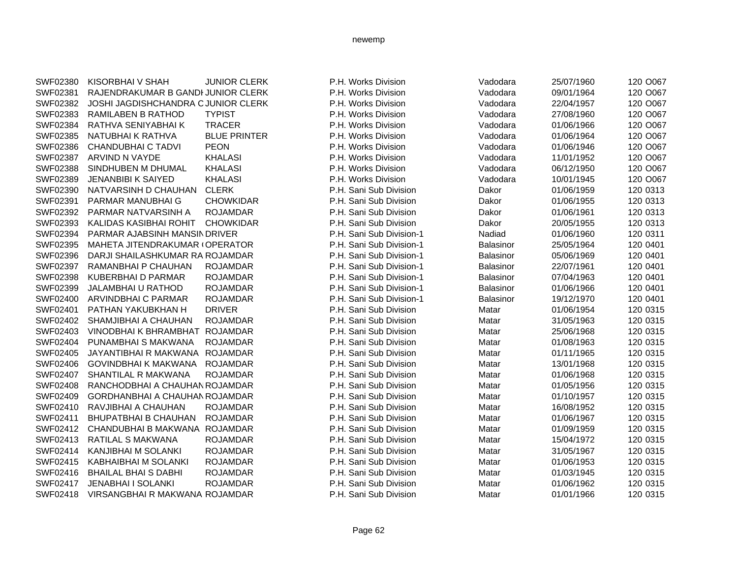| SWF02380 | KISORBHAI V SHAH                      | <b>JUNIOR CLERK</b> | P.H. Works Division      | Vadodara         | 25/07/1960 | 120 O067 |
|----------|---------------------------------------|---------------------|--------------------------|------------------|------------|----------|
| SWF02381 | RAJENDRAKUMAR B GANDI JUNIOR CLERK    |                     | P.H. Works Division      | Vadodara         | 09/01/1964 | 120 O067 |
| SWF02382 | JOSHI JAGDISHCHANDRA C JUNIOR CLERK   |                     | P.H. Works Division      | Vadodara         | 22/04/1957 | 120 O067 |
| SWF02383 | RAMILABEN B RATHOD                    | <b>TYPIST</b>       | P.H. Works Division      | Vadodara         | 27/08/1960 | 120 O067 |
| SWF02384 | RATHVA SENIYABHAI K                   | <b>TRACER</b>       | P.H. Works Division      | Vadodara         | 01/06/1966 | 120 O067 |
| SWF02385 | NATUBHAI K RATHVA                     | <b>BLUE PRINTER</b> | P.H. Works Division      | Vadodara         | 01/06/1964 | 120 O067 |
| SWF02386 | CHANDUBHAI C TADVI                    | <b>PEON</b>         | P.H. Works Division      | Vadodara         | 01/06/1946 | 120 O067 |
| SWF02387 | ARVIND N VAYDE                        | <b>KHALASI</b>      | P.H. Works Division      | Vadodara         | 11/01/1952 | 120 O067 |
| SWF02388 | SINDHUBEN M DHUMAL                    | <b>KHALASI</b>      | P.H. Works Division      | Vadodara         | 06/12/1950 | 120 O067 |
| SWF02389 | <b>JENANBIBI K SAIYED</b>             | <b>KHALASI</b>      | P.H. Works Division      | Vadodara         | 10/01/1945 | 120 O067 |
| SWF02390 | NATVARSINH D CHAUHAN                  | <b>CLERK</b>        | P.H. Sani Sub Division   | Dakor            | 01/06/1959 | 120 0313 |
| SWF02391 | PARMAR MANUBHAI G                     | <b>CHOWKIDAR</b>    | P.H. Sani Sub Division   | Dakor            | 01/06/1955 | 120 0313 |
| SWF02392 | PARMAR NATVARSINH A                   | <b>ROJAMDAR</b>     | P.H. Sani Sub Division   | Dakor            | 01/06/1961 | 120 0313 |
| SWF02393 | KALIDAS KASIBHAI ROHIT                | <b>CHOWKIDAR</b>    | P.H. Sani Sub Division   | Dakor            | 20/05/1955 | 120 0313 |
| SWF02394 | PARMAR AJABSINH MANSIN DRIVER         |                     | P.H. Sani Sub Division-1 | Nadiad           | 01/06/1960 | 120 0311 |
| SWF02395 | MAHETA JITENDRAKUMAR (OPERATOR        |                     | P.H. Sani Sub Division-1 | Balasinor        | 25/05/1964 | 120 0401 |
| SWF02396 | DARJI SHAILASHKUMAR RA ROJAMDAR       |                     | P.H. Sani Sub Division-1 | <b>Balasinor</b> | 05/06/1969 | 120 0401 |
| SWF02397 | RAMANBHAI P CHAUHAN                   | <b>ROJAMDAR</b>     | P.H. Sani Sub Division-1 | Balasinor        | 22/07/1961 | 120 0401 |
| SWF02398 | <b>KUBERBHAI D PARMAR</b>             | <b>ROJAMDAR</b>     | P.H. Sani Sub Division-1 | Balasinor        | 07/04/1963 | 120 0401 |
| SWF02399 | JALAMBHAI U RATHOD                    | <b>ROJAMDAR</b>     | P.H. Sani Sub Division-1 | Balasinor        | 01/06/1966 | 120 0401 |
| SWF02400 | ARVINDBHAI C PARMAR                   | <b>ROJAMDAR</b>     | P.H. Sani Sub Division-1 | Balasinor        | 19/12/1970 | 120 0401 |
| SWF02401 | PATHAN YAKUBKHAN H                    | <b>DRIVER</b>       | P.H. Sani Sub Division   | Matar            | 01/06/1954 | 120 0315 |
| SWF02402 | SHAMJIBHAI A CHAUHAN                  | <b>ROJAMDAR</b>     | P.H. Sani Sub Division   | Matar            | 31/05/1963 | 120 0315 |
| SWF02403 | VINODBHAI K BHRAMBHAT ROJAMDAR        |                     | P.H. Sani Sub Division   | Matar            | 25/06/1968 | 120 0315 |
| SWF02404 | PUNAMBHAI S MAKWANA                   | <b>ROJAMDAR</b>     | P.H. Sani Sub Division   | Matar            | 01/08/1963 | 120 0315 |
| SWF02405 | JAYANTIBHAI R MAKWANA ROJAMDAR        |                     | P.H. Sani Sub Division   | Matar            | 01/11/1965 | 120 0315 |
| SWF02406 | <b>GOVINDBHAI K MAKWANA</b>           | <b>ROJAMDAR</b>     | P.H. Sani Sub Division   | Matar            | 13/01/1968 | 120 0315 |
| SWF02407 | SHANTILAL R MAKWANA                   | <b>ROJAMDAR</b>     | P.H. Sani Sub Division   | Matar            | 01/06/1968 | 120 0315 |
| SWF02408 | RANCHODBHAI A CHAUHAN ROJAMDAR        |                     | P.H. Sani Sub Division   | Matar            | 01/05/1956 | 120 0315 |
| SWF02409 | <b>GORDHANBHAI A CHAUHAN ROJAMDAR</b> |                     | P.H. Sani Sub Division   | Matar            | 01/10/1957 | 120 0315 |
| SWF02410 | RAVJIBHAI A CHAUHAN                   | <b>ROJAMDAR</b>     | P.H. Sani Sub Division   | Matar            | 16/08/1952 | 120 0315 |
| SWF02411 | <b>BHUPATBHAI B CHAUHAN</b>           | <b>ROJAMDAR</b>     | P.H. Sani Sub Division   | Matar            | 01/06/1967 | 120 0315 |
| SWF02412 | CHANDUBHAI B MAKWANA ROJAMDAR         |                     | P.H. Sani Sub Division   | Matar            | 01/09/1959 | 120 0315 |
| SWF02413 | RATILAL S MAKWANA                     | <b>ROJAMDAR</b>     | P.H. Sani Sub Division   | Matar            | 15/04/1972 | 120 0315 |
| SWF02414 | KANJIBHAI M SOLANKI                   | <b>ROJAMDAR</b>     | P.H. Sani Sub Division   | Matar            | 31/05/1967 | 120 0315 |
| SWF02415 | KABHAIBHAI M SOLANKI                  | <b>ROJAMDAR</b>     | P.H. Sani Sub Division   | Matar            | 01/06/1953 | 120 0315 |
| SWF02416 | <b>BHAILAL BHAI S DABHI</b>           | <b>ROJAMDAR</b>     | P.H. Sani Sub Division   | Matar            | 01/03/1945 | 120 0315 |
| SWF02417 | <b>JENABHAI I SOLANKI</b>             | <b>ROJAMDAR</b>     | P.H. Sani Sub Division   | Matar            | 01/06/1962 | 120 0315 |
| SWF02418 | VIRSANGBHAI R MAKWANA ROJAMDAR        |                     | P.H. Sani Sub Division   | Matar            | 01/01/1966 | 120 0315 |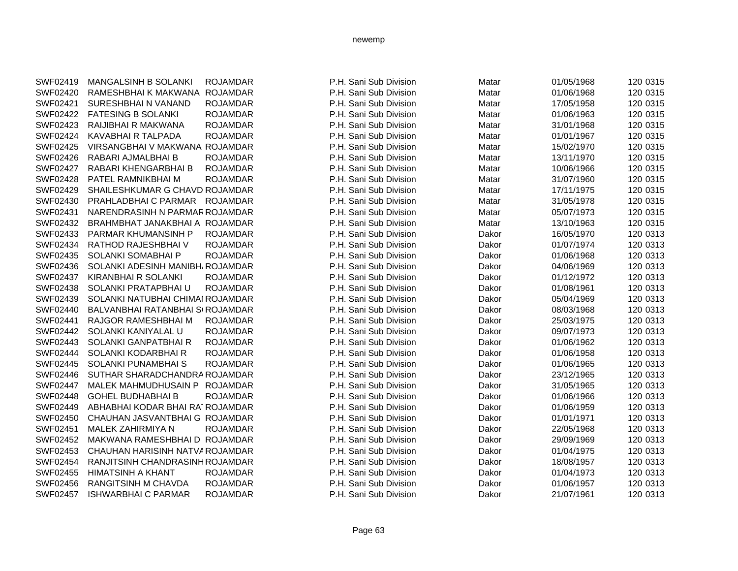| SWF02419 | MANGALSINH B SOLANKI             | <b>ROJAMDAR</b> |
|----------|----------------------------------|-----------------|
| SWF02420 | RAMESHBHAI K MAKWANA             | ROJAMDAR        |
| SWF02421 | SURESHBHAI N VANAND              | ROJAMDAR        |
| SWF02422 | <b>FATESING B SOLANKI</b>        | ROJAMDAR        |
| SWF02423 | RAIJIBHAI R MAKWANA              | <b>ROJAMDAR</b> |
| SWF02424 | KAVABHAI R TALPADA               | <b>ROJAMDAR</b> |
| SWF02425 | VIRSANGBHAI V MAKWANA ROJAMDAR   |                 |
| SWF02426 | RABARI AJMALBHAI B               | <b>ROJAMDAR</b> |
| SWF02427 | RABARI KHENGARBHAI B             | <b>ROJAMDAR</b> |
| SWF02428 | PATEL RAMNIKBHAI M               | <b>ROJAMDAR</b> |
| SWF02429 | SHAILESHKUMAR G CHAVD ROJAMDAR   |                 |
| SWF02430 | PRAHLADBHAI C PARMAR             | <b>ROJAMDAR</b> |
| SWF02431 | NARENDRASINH N PARMAR ROJAMDAR   |                 |
| SWF02432 | BRAHMBHAT JANAKBHAI A ROJAMDAR   |                 |
| SWF02433 | PARMAR KHUMANSINH P              | <b>ROJAMDAR</b> |
| SWF02434 | RATHOD RAJESHBHAI V              | <b>ROJAMDAR</b> |
| SWF02435 | SOLANKI SOMABHAI P               | ROJAMDAR        |
| SWF02436 | SOLANKI ADESINH MANIBH/ ROJAMDAR |                 |
| SWF02437 | KIRANBHAI R SOLANKI              | <b>ROJAMDAR</b> |
| SWF02438 | SOLANKI PRATAPBHAI U             | <b>ROJAMDAR</b> |
| SWF02439 | SOLANKI NATUBHAI CHIMAI ROJAMDAR |                 |
| SWF02440 | BALVANBHAI RATANBHAI SI ROJAMDAR |                 |
| SWF02441 | RAJGOR RAMESHBHAI M              | <b>ROJAMDAR</b> |
| SWF02442 | SOLANKI KANIYALAL U              | <b>ROJAMDAR</b> |
| SWF02443 | SOLANKI GANPATBHAI R             | ROJAMDAR        |
| SWF02444 | SOLANKI KODARBHAI R              | <b>ROJAMDAR</b> |
| SWF02445 | SOLANKI PUNAMBHAI S              | ROJAMDAR        |
| SWF02446 | SUTHAR SHARADCHANDRA ROJAMDAR    |                 |
| SWF02447 | MALEK MAHMUDHUSAIN P ROJAMDAR    |                 |
| SWF02448 | GOHEL BUDHABHAI B                | ROJAMDAR        |
| SWF02449 | ABHABHAI KODAR BHAI RATROJAMDAR  |                 |
| SWF02450 | CHAUHAN JASVANTBHAI G ROJAMDAR   |                 |
| SWF02451 | MALEK ZAHIRMIYA N                | <b>ROJAMDAR</b> |
| SWF02452 | MAKWANA RAMESHBHAI D ROJAMDAR    |                 |
| SWF02453 | CHAUHAN HARISINH NATVA ROJAMDAR  |                 |
| SWF02454 | RANJITSINH CHANDRASINH ROJAMDAR  |                 |
| SWF02455 | HIMATSINH A KHANT                | <b>ROJAMDAR</b> |
| SWF02456 | RANGITSINH M CHAVDA              | <b>ROJAMDAR</b> |
| SWF02457 | <b>ISHWARBHAI C PARMAR</b>       | <b>ROJAMDAR</b> |
|          |                                  |                 |

| SWF02419 | MANGALSINH B SOLANKI             | <b>ROJAMDAR</b> | P.H. Sani Sub Division | Matar | 01/05/1968 | 120 0315 |
|----------|----------------------------------|-----------------|------------------------|-------|------------|----------|
| SWF02420 | RAMESHBHAI K MAKWANA             | <b>ROJAMDAR</b> | P.H. Sani Sub Division | Matar | 01/06/1968 | 120 0315 |
| SWF02421 | SURESHBHAI N VANAND              | <b>ROJAMDAR</b> | P.H. Sani Sub Division | Matar | 17/05/1958 | 120 0315 |
| SWF02422 | <b>FATESING B SOLANKI</b>        | <b>ROJAMDAR</b> | P.H. Sani Sub Division | Matar | 01/06/1963 | 120 0315 |
| SWF02423 | RAIJIBHAI R MAKWANA              | <b>ROJAMDAR</b> | P.H. Sani Sub Division | Matar | 31/01/1968 | 120 0315 |
| SWF02424 | KAVABHAI R TALPADA               | <b>ROJAMDAR</b> | P.H. Sani Sub Division | Matar | 01/01/1967 | 120 0315 |
| SWF02425 | VIRSANGBHAI V MAKWANA ROJAMDAR   |                 | P.H. Sani Sub Division | Matar | 15/02/1970 | 120 0315 |
| SWF02426 | RABARI AJMALBHAI B               | <b>ROJAMDAR</b> | P.H. Sani Sub Division | Matar | 13/11/1970 | 120 0315 |
| SWF02427 | RABARI KHENGARBHAI B             | <b>ROJAMDAR</b> | P.H. Sani Sub Division | Matar | 10/06/1966 | 120 0315 |
| SWF02428 | PATEL RAMNIKBHAI M               | <b>ROJAMDAR</b> | P.H. Sani Sub Division | Matar | 31/07/1960 | 120 0315 |
| SWF02429 | SHAILESHKUMAR G CHAVD ROJAMDAR   |                 | P.H. Sani Sub Division | Matar | 17/11/1975 | 120 0315 |
| SWF02430 | PRAHLADBHAI C PARMAR ROJAMDAR    |                 | P.H. Sani Sub Division | Matar | 31/05/1978 | 120 0315 |
| SWF02431 | NARENDRASINH N PARMAR ROJAMDAR   |                 | P.H. Sani Sub Division | Matar | 05/07/1973 | 120 0315 |
| SWF02432 | BRAHMBHAT JANAKBHAI A ROJAMDAR   |                 | P.H. Sani Sub Division | Matar | 13/10/1963 | 120 0315 |
| SWF02433 | <b>PARMAR KHUMANSINH P</b>       | <b>ROJAMDAR</b> | P.H. Sani Sub Division | Dakor | 16/05/1970 | 120 0313 |
| SWF02434 | RATHOD RAJESHBHAI V              | <b>ROJAMDAR</b> | P.H. Sani Sub Division | Dakor | 01/07/1974 | 120 0313 |
| SWF02435 | <b>SOLANKI SOMABHAI P</b>        | <b>ROJAMDAR</b> | P.H. Sani Sub Division | Dakor | 01/06/1968 | 120 0313 |
| SWF02436 | SOLANKI ADESINH MANIBH/ROJAMDAR  |                 | P.H. Sani Sub Division | Dakor | 04/06/1969 | 120 0313 |
| SWF02437 | <b>KIRANBHAI R SOLANKI</b>       | <b>ROJAMDAR</b> | P.H. Sani Sub Division | Dakor | 01/12/1972 | 120 0313 |
| SWF02438 | SOLANKI PRATAPBHAI U             | <b>ROJAMDAR</b> | P.H. Sani Sub Division | Dakor | 01/08/1961 | 120 0313 |
| SWF02439 | SOLANKI NATUBHAI CHIMAI ROJAMDAR |                 | P.H. Sani Sub Division | Dakor | 05/04/1969 | 120 0313 |
| SWF02440 | BALVANBHAI RATANBHAI SCROJAMDAR  |                 | P.H. Sani Sub Division | Dakor | 08/03/1968 | 120 0313 |
| SWF02441 | RAJGOR RAMESHBHAI M              | <b>ROJAMDAR</b> | P.H. Sani Sub Division | Dakor | 25/03/1975 | 120 0313 |
| SWF02442 | SOLANKI KANIYALAL U              | <b>ROJAMDAR</b> | P.H. Sani Sub Division | Dakor | 09/07/1973 | 120 0313 |
| SWF02443 | SOLANKI GANPATBHAI R             | <b>ROJAMDAR</b> | P.H. Sani Sub Division | Dakor | 01/06/1962 | 120 0313 |
| SWF02444 | SOLANKI KODARBHAI R              | <b>ROJAMDAR</b> | P.H. Sani Sub Division | Dakor | 01/06/1958 | 120 0313 |
| SWF02445 | SOLANKI PUNAMBHAI S              | <b>ROJAMDAR</b> | P.H. Sani Sub Division | Dakor | 01/06/1965 | 120 0313 |
| SWF02446 | SUTHAR SHARADCHANDRA ROJAMDAR    |                 | P.H. Sani Sub Division | Dakor | 23/12/1965 | 120 0313 |
| SWF02447 | MALEK MAHMUDHUSAIN P ROJAMDAR    |                 | P.H. Sani Sub Division | Dakor | 31/05/1965 | 120 0313 |
| SWF02448 | <b>GOHEL BUDHABHAI B</b>         | <b>ROJAMDAR</b> | P.H. Sani Sub Division | Dakor | 01/06/1966 | 120 0313 |
| SWF02449 | ABHABHAI KODAR BHAI RATROJAMDAR  |                 | P.H. Sani Sub Division | Dakor | 01/06/1959 | 120 0313 |
| SWF02450 | CHAUHAN JASVANTBHAI G ROJAMDAR   |                 | P.H. Sani Sub Division | Dakor | 01/01/1971 | 120 0313 |
| SWF02451 | <b>MALEK ZAHIRMIYA N</b>         | ROJAMDAR        | P.H. Sani Sub Division | Dakor | 22/05/1968 | 120 0313 |
| SWF02452 | MAKWANA RAMESHBHAI D ROJAMDAR    |                 | P.H. Sani Sub Division | Dakor | 29/09/1969 | 120 0313 |
| SWF02453 | CHAUHAN HARISINH NATVA ROJAMDAR  |                 | P.H. Sani Sub Division | Dakor | 01/04/1975 | 120 0313 |
| SWF02454 | RANJITSINH CHANDRASINH ROJAMDAR  |                 | P.H. Sani Sub Division | Dakor | 18/08/1957 | 120 0313 |
| SWF02455 | <b>HIMATSINH A KHANT</b>         | <b>ROJAMDAR</b> | P.H. Sani Sub Division | Dakor | 01/04/1973 | 120 0313 |
| SWF02456 | <b>RANGITSINH M CHAVDA</b>       | <b>ROJAMDAR</b> | P.H. Sani Sub Division | Dakor | 01/06/1957 | 120 0313 |
| SWF02457 | <b>ISHWARBHAI C PARMAR</b>       | <b>ROJAMDAR</b> | P.H. Sani Sub Division | Dakor | 21/07/1961 | 120 0313 |
|          |                                  |                 |                        |       |            |          |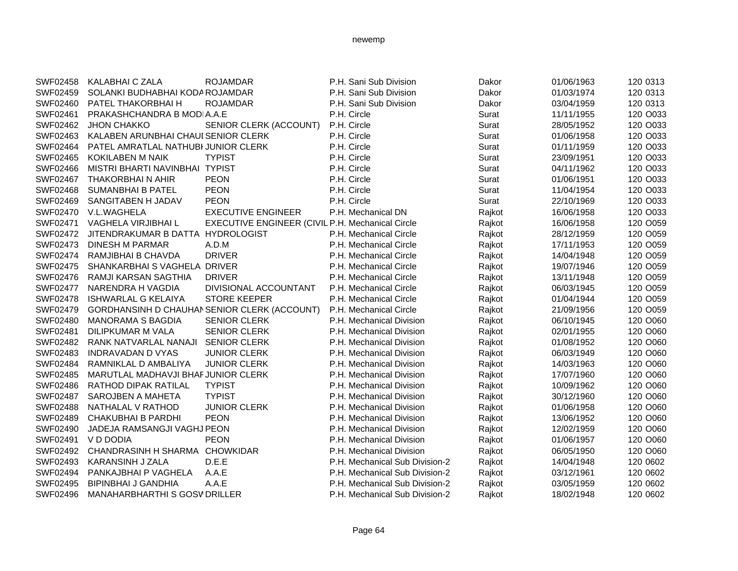# SWF02458 KALABHAI C ZALA ROJAMDAR P.H. Sani Sub Division Dakor 01/06/1963 120 0313 SWF02459 SOLANKI BUDHABHAI KODA ROJAMDAR P.H. Sani Sub Division Dakor Dakor 01/03/1974 120 0313 SWF02460 PATEL THAKORBHAI H ROJAMDAR P.H. Sani Sub Division Dakor Dakor 03/04/1959 120 0313 SWF02461 PRAKASHCHANDRA B MODIA.A.E **P.H. Circle Surat Surat 11/11/1955** 120 O033 SWF02462 JHON CHAKKO SENIOR CLERK (ACCOUNT) P.H. Circle Surat Surat 28/05/1952 120 0033 SWF02463 KALABEN ARUNBHAI CHAUI SENIOR CLERK P.H. Circle Surat Surat 01/06/1958 120 0033 SWF02464 PATEL AMRATLAL NATHUBI JUNIOR CLERK P.H. Circle Surat Surat 01/11/1959 120 0033 SWF02465 KOKILABEN M NAIK TYPIST P.H. Circle Circle Surat 23/09/1951 120 O033 SWF02466 MISTRI BHARTI NAVINBHAI TYPIST CHE P.H. Circle Surat Surat 04/11/1962 120 0033 SWF02467 THAKORBHAI N AHIR PEON P.H. Circle Surat Surat 01/06/1951 120 0033 SWF02468 SUMANBHAI B PATEL PEON P.H. Circle Circle Surat 11/04/1954 120 0033 SWF02469 SANGITABEN H JADAV PEON P.H. Circle Circle Surat 22/10/1969 120 0033 SWF02470 V.L.WAGHELA EXECUTIVE ENGINEER P.H. Mechanical DN Raikot 16/06/1958 120 0033 SWF02471 VAGHELA VIRJIBHAI L EXECUTIVE ENGINEER (CIVIL P.H. Mechanical Circle Rajkot Rajkot 16/06/1958 120 O059 SWF02472 JITENDRAKUMAR B DATTA HYDROLOGIST **P.H. Mechanical Circle Rajkot** 28/12/1959 120 0059 SWF02473 DINESH M PARMAR A.D.M A.D.M P.H. Mechanical Circle Raikot 17/11/1953 120 0059 SWF02474 RAMJIBHAI B CHAVDA DRIVER **P.H. Mechanical Circle Rajkot** 14/04/1948 120 0059 SWF02475 SHANKARBHAI S VAGHELA DRIVER P.H. Mechanical Circle Rajkot 19/07/1946 120 O059 SWF02476 RAMJI KARSAN SAGTHIA DRIVER CHANGER P.H. Mechanical Circle Raikot 13/11/1948 120 0059 SWF02477 NARENDRA H VAGDIA DIVISIONAL ACCOUNTANT P.H. Mechanical Circle Rajkot 06/03/1945 120 0059 SWF02478 ISHWARLAL G KELAIYA STORE KEEPER P.H. Mechanical Circle Rajkot 01/04/1944 120 0059 SWF02479 GORDHANSINH D CHAUHAN SENIOR CLERK (ACCOUNT) P.H. Mechanical Circle Rajkot 21/09/1956 120 0059 SWF02480 MANORAMA S BAGDIA SENIOR CLERK P.H. Mechanical Division Raikot 06/10/1945 120 0060 SWF02481 DILIPKUMAR M VALA SENIOR CLERK P.H. Mechanical Division Rajkot 02/01/1955 120 0060 SWF02482 RANK NATVARLAL NANAJI SENIOR CLERK P.H. Mechanical Division Rajkot 01/08/1952 120 0060 SWF02483 INDRAVADAN D VYAS JUNIOR CLERK P.H. Mechanical Division Raikot 06/03/1949 120 0060 SWF02484 RAMNIKLAL D AMBALIYA JUNIOR CLERK P.H. Mechanical Division Rajkot 14/03/1963 120 0060 SWF02485 MARUTLAL MADHAVJI BHAFJUNIOR CLERK P.H. Mechanical Division Rajkot 17/07/1960 120 0060 SWF02486 RATHOD DIPAK RATILAL TYPIST **P.H. Mechanical Division** Rajkot 10/09/1962 120 O060 SWF02487 SAROJBEN A MAHETA TYPIST **P.H. Mechanical Division** Rajkot 30/12/1960 120 O060 SWF02488 NATHALAL V RATHOD JUNIOR CLERK P.H. Mechanical Division Rajkot 01/06/1958 120 0060 SWF02489 CHAKUBHAI B PARDHI PEON P.H. Mechanical Division Rajkot 13/06/1952 120 O060 SWF02490 JADEJA RAMSANGJI VAGHJ PEON P.H. Mechanical Division Rajkot 12/02/1959 120 0060 SWF02491 V D DODIA PEON P.H. Mechanical Division Rajkot 01/06/1957 120 0060 SWF02492 CHANDRASINH H SHARMA CHOWKIDAR P.H. Mechanical Division Rajkot 06/05/1950 120 0060 SWF02493 KARANSINH J ZALA D.E.E D.E. P.H. Mechanical Sub Division-2 Rajkot 14/04/1948 120 0602 SWF02494 PANKAJBHAI P VAGHELA A.A.E P.H. Mechanical Sub Division-2 Rajkot 03/12/1961 120 0602 SWF02495 BIPINBHAI J GANDHIA A.A.E P.H. Mechanical Sub Division-2 Rajkot 03/05/1959 120 0602 SWF02496 MANAHARBHARTHI S GOSV DRILLER P.H. Mechanical Sub Division-2 Rajkot 18/02/1948 120 0602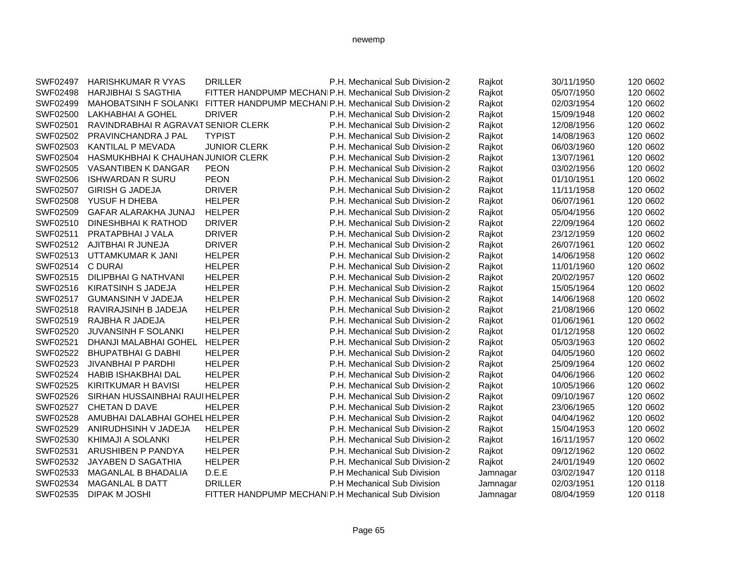| SWF02497 | HARISHKUMAR R VYAS                  | <b>DRILLER</b>                                     | P.H. Mechanical Sub Division-2                        | Rajkot   | 30/11/1950 | 120 0602 |
|----------|-------------------------------------|----------------------------------------------------|-------------------------------------------------------|----------|------------|----------|
| SWF02498 | <b>HARJIBHAI S SAGTHIA</b>          |                                                    | FITTER HANDPUMP MECHANIP.H. Mechanical Sub Division-2 | Rajkot   | 05/07/1950 | 120 0602 |
| SWF02499 | <b>MAHOBATSINH F SOLANKI</b>        |                                                    | FITTER HANDPUMP MECHANIP.H. Mechanical Sub Division-2 | Rajkot   | 02/03/1954 | 120 0602 |
| SWF02500 | LAKHABHAI A GOHEL                   | <b>DRIVER</b>                                      | P.H. Mechanical Sub Division-2                        | Rajkot   | 15/09/1948 | 120 0602 |
| SWF02501 | RAVINDRABHAI R AGRAVAT SENIOR CLERK |                                                    | P.H. Mechanical Sub Division-2                        | Rajkot   | 12/08/1956 | 120 0602 |
| SWF02502 | PRAVINCHANDRA J PAL                 | <b>TYPIST</b>                                      | P.H. Mechanical Sub Division-2                        | Rajkot   | 14/08/1963 | 120 0602 |
| SWF02503 | <b>KANTILAL P MEVADA</b>            | <b>JUNIOR CLERK</b>                                | P.H. Mechanical Sub Division-2                        | Rajkot   | 06/03/1960 | 120 0602 |
| SWF02504 | HASMUKHBHAI K CHAUHAN JUNIOR CLERK  |                                                    | P.H. Mechanical Sub Division-2                        | Rajkot   | 13/07/1961 | 120 0602 |
| SWF02505 | VASANTIBEN K DANGAR                 | <b>PEON</b>                                        | P.H. Mechanical Sub Division-2                        | Rajkot   | 03/02/1956 | 120 0602 |
| SWF02506 | <b>ISHWARDAN R SURU</b>             | <b>PEON</b>                                        | P.H. Mechanical Sub Division-2                        | Rajkot   | 01/10/1951 | 120 0602 |
| SWF02507 | <b>GIRISH G JADEJA</b>              | <b>DRIVER</b>                                      | P.H. Mechanical Sub Division-2                        | Rajkot   | 11/11/1958 | 120 0602 |
| SWF02508 | YUSUF H DHEBA                       | <b>HELPER</b>                                      | P.H. Mechanical Sub Division-2                        | Rajkot   | 06/07/1961 | 120 0602 |
| SWF02509 | GAFAR ALARAKHA JUNAJ                | <b>HELPER</b>                                      | P.H. Mechanical Sub Division-2                        | Rajkot   | 05/04/1956 | 120 0602 |
| SWF02510 | <b>DINESHBHAI K RATHOD</b>          | <b>DRIVER</b>                                      | P.H. Mechanical Sub Division-2                        | Rajkot   | 22/09/1964 | 120 0602 |
| SWF02511 | PRATAPBHAI J VALA                   | <b>DRIVER</b>                                      | P.H. Mechanical Sub Division-2                        | Rajkot   | 23/12/1959 | 120 0602 |
| SWF02512 | AJITBHAI R JUNEJA                   | <b>DRIVER</b>                                      | P.H. Mechanical Sub Division-2                        | Rajkot   | 26/07/1961 | 120 0602 |
| SWF02513 | UTTAMKUMAR K JANI                   | <b>HELPER</b>                                      | P.H. Mechanical Sub Division-2                        | Rajkot   | 14/06/1958 | 120 0602 |
| SWF02514 | C DURAI                             | <b>HELPER</b>                                      | P.H. Mechanical Sub Division-2                        | Rajkot   | 11/01/1960 | 120 0602 |
| SWF02515 | <b>DILIPBHAI G NATHVANI</b>         | <b>HELPER</b>                                      | P.H. Mechanical Sub Division-2                        | Rajkot   | 20/02/1957 | 120 0602 |
| SWF02516 | KIRATSINH S JADEJA                  | <b>HELPER</b>                                      | P.H. Mechanical Sub Division-2                        | Rajkot   | 15/05/1964 | 120 0602 |
| SWF02517 | <b>GUMANSINH V JADEJA</b>           | <b>HELPER</b>                                      | P.H. Mechanical Sub Division-2                        | Rajkot   | 14/06/1968 | 120 0602 |
| SWF02518 | RAVIRAJSINH B JADEJA                | <b>HELPER</b>                                      | P.H. Mechanical Sub Division-2                        | Rajkot   | 21/08/1966 | 120 0602 |
| SWF02519 | RAJBHA R JADEJA                     | <b>HELPER</b>                                      | P.H. Mechanical Sub Division-2                        | Rajkot   | 01/06/1961 | 120 0602 |
| SWF02520 | <b>JUVANSINH F SOLANKI</b>          | <b>HELPER</b>                                      | P.H. Mechanical Sub Division-2                        | Rajkot   | 01/12/1958 | 120 0602 |
| SWF02521 | DHANJI MALABHAI GOHEL               | <b>HELPER</b>                                      | P.H. Mechanical Sub Division-2                        | Rajkot   | 05/03/1963 | 120 0602 |
| SWF02522 | <b>BHUPATBHAI G DABHI</b>           | <b>HELPER</b>                                      | P.H. Mechanical Sub Division-2                        | Rajkot   | 04/05/1960 | 120 0602 |
| SWF02523 | <b>JIVANBHAI P PARDHI</b>           | <b>HELPER</b>                                      | P.H. Mechanical Sub Division-2                        | Rajkot   | 25/09/1964 | 120 0602 |
| SWF02524 | <b>HABIB ISHAKBHAI DAL</b>          | <b>HELPER</b>                                      | P.H. Mechanical Sub Division-2                        | Rajkot   | 04/06/1966 | 120 0602 |
| SWF02525 | KIRITKUMAR H BAVISI                 | <b>HELPER</b>                                      | P.H. Mechanical Sub Division-2                        | Rajkot   | 10/05/1966 | 120 0602 |
| SWF02526 | SIRHAN HUSSAINBHAI RAUI HELPER      |                                                    | P.H. Mechanical Sub Division-2                        | Rajkot   | 09/10/1967 | 120 0602 |
| SWF02527 | <b>CHETAN D DAVE</b>                | <b>HELPER</b>                                      | P.H. Mechanical Sub Division-2                        | Rajkot   | 23/06/1965 | 120 0602 |
| SWF02528 | AMUBHAI DALABHAI GOHEL HELPER       |                                                    | P.H. Mechanical Sub Division-2                        | Rajkot   | 04/04/1962 | 120 0602 |
| SWF02529 | ANIRUDHSINH V JADEJA                | <b>HELPER</b>                                      | P.H. Mechanical Sub Division-2                        | Rajkot   | 15/04/1953 | 120 0602 |
| SWF02530 | <b>KHIMAJI A SOLANKI</b>            | <b>HELPER</b>                                      | P.H. Mechanical Sub Division-2                        | Rajkot   | 16/11/1957 | 120 0602 |
| SWF02531 | ARUSHIBEN P PANDYA                  | <b>HELPER</b>                                      | P.H. Mechanical Sub Division-2                        | Rajkot   | 09/12/1962 | 120 0602 |
| SWF02532 | JAYABEN D SAGATHIA                  | <b>HELPER</b>                                      | P.H. Mechanical Sub Division-2                        | Rajkot   | 24/01/1949 | 120 0602 |
| SWF02533 | MAGANLAL B BHADALIA                 | D.E.E                                              | P.H Mechanical Sub Division                           | Jamnagar | 03/02/1947 | 120 0118 |
| SWF02534 | <b>MAGANLAL B DATT</b>              | <b>DRILLER</b>                                     | P.H Mechanical Sub Division                           | Jamnagar | 02/03/1951 | 120 0118 |
| SWF02535 | <b>DIPAK M JOSHI</b>                | FITTER HANDPUMP MECHANIP.H Mechanical Sub Division |                                                       | Jamnagar | 08/04/1959 | 120 0118 |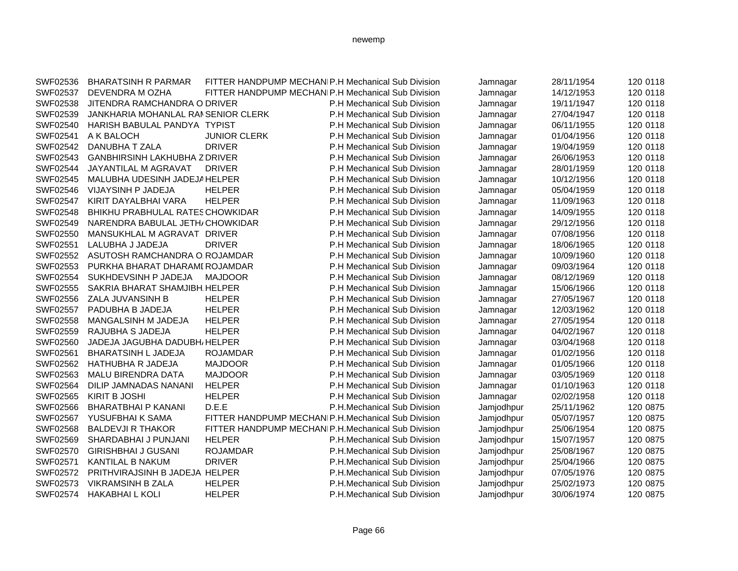| SWF02536 | <b>BHARATSINH R PARMAR</b>           | FITTER HANDPUMP MECHANIP.H Mechanical Sub Division |                             | Jamnagar   | 28/11/1954 | 120 0118 |
|----------|--------------------------------------|----------------------------------------------------|-----------------------------|------------|------------|----------|
| SWF02537 | DEVENDRA M OZHA                      | FITTER HANDPUMP MECHANIP.H Mechanical Sub Division |                             | Jamnagar   | 14/12/1953 | 120 0118 |
| SWF02538 | JITENDRA RAMCHANDRA O DRIVER         |                                                    | P.H Mechanical Sub Division | Jamnagar   | 19/11/1947 | 120 0118 |
| SWF02539 | JANKHARIA MOHANLAL RAMSENIOR CLERK   |                                                    | P.H Mechanical Sub Division | Jamnagar   | 27/04/1947 | 120 0118 |
| SWF02540 | HARISH BABULAL PANDYA TYPIST         |                                                    | P.H Mechanical Sub Division | Jamnagar   | 06/11/1955 | 120 0118 |
| SWF02541 | A K BALOCH                           | <b>JUNIOR CLERK</b>                                | P.H Mechanical Sub Division | Jamnagar   | 01/04/1956 | 120 0118 |
| SWF02542 | DANUBHA T ZALA                       | <b>DRIVER</b>                                      | P.H Mechanical Sub Division | Jamnagar   | 19/04/1959 | 120 0118 |
| SWF02543 | <b>GANBHIRSINH LAKHUBHA Z DRIVER</b> |                                                    | P.H Mechanical Sub Division | Jamnagar   | 26/06/1953 | 120 0118 |
| SWF02544 | JAYANTILAL M AGRAVAT                 | <b>DRIVER</b>                                      | P.H Mechanical Sub Division | Jamnagar   | 28/01/1959 | 120 0118 |
| SWF02545 | MALUBHA UDESINH JADEJA HELPER        |                                                    | P.H Mechanical Sub Division | Jamnagar   | 10/12/1956 | 120 0118 |
| SWF02546 | VIJAYSINH P JADEJA                   | <b>HELPER</b>                                      | P.H Mechanical Sub Division | Jamnagar   | 05/04/1959 | 120 0118 |
| SWF02547 | KIRIT DAYALBHAI VARA                 | <b>HELPER</b>                                      | P.H Mechanical Sub Division | Jamnagar   | 11/09/1963 | 120 0118 |
| SWF02548 | BHIKHU PRABHULAL RATES CHOWKIDAR     |                                                    | P.H Mechanical Sub Division | Jamnagar   | 14/09/1955 | 120 0118 |
| SWF02549 | NARENDRA BABULAL JETH/CHOWKIDAR      |                                                    | P.H Mechanical Sub Division | Jamnagar   | 29/12/1956 | 120 0118 |
| SWF02550 | MANSUKHLAL M AGRAVAT DRIVER          |                                                    | P.H Mechanical Sub Division | Jamnagar   | 07/08/1956 | 120 0118 |
| SWF02551 | LALUBHA J JADEJA                     | <b>DRIVER</b>                                      | P.H Mechanical Sub Division | Jamnagar   | 18/06/1965 | 120 0118 |
| SWF02552 | ASUTOSH RAMCHANDRA O ROJAMDAR        |                                                    | P.H Mechanical Sub Division | Jamnagar   | 10/09/1960 | 120 0118 |
| SWF02553 | PURKHA BHARAT DHARAMI ROJAMDAR       |                                                    | P.H Mechanical Sub Division | Jamnagar   | 09/03/1964 | 120 0118 |
| SWF02554 | SUKHDEVSINH P JADEJA                 | <b>MAJDOOR</b>                                     | P.H Mechanical Sub Division | Jamnagar   | 08/12/1969 | 120 0118 |
| SWF02555 | SAKRIA BHARAT SHAMJIBH. HELPER       |                                                    | P.H Mechanical Sub Division | Jamnagar   | 15/06/1966 | 120 0118 |
| SWF02556 | ZALA JUVANSINH B                     | <b>HELPER</b>                                      | P.H Mechanical Sub Division | Jamnagar   | 27/05/1967 | 120 0118 |
| SWF02557 | PADUBHA B JADEJA                     | <b>HELPER</b>                                      | P.H Mechanical Sub Division | Jamnagar   | 12/03/1962 | 120 0118 |
| SWF02558 | MANGALSINH M JADEJA                  | <b>HELPER</b>                                      | P.H Mechanical Sub Division | Jamnagar   | 27/05/1954 | 120 0118 |
| SWF02559 | RAJUBHA S JADEJA                     | <b>HELPER</b>                                      | P.H Mechanical Sub Division | Jamnagar   | 04/02/1967 | 120 0118 |
| SWF02560 | JADEJA JAGUBHA DADUBH, HELPER        |                                                    | P.H Mechanical Sub Division | Jamnagar   | 03/04/1968 | 120 0118 |
| SWF02561 | <b>BHARATSINH L JADEJA</b>           | <b>ROJAMDAR</b>                                    | P.H Mechanical Sub Division | Jamnagar   | 01/02/1956 | 120 0118 |
| SWF02562 | HATHUBHA R JADEJA                    | <b>MAJDOOR</b>                                     | P.H Mechanical Sub Division | Jamnagar   | 01/05/1966 | 120 0118 |
| SWF02563 | MALU BIRENDRA DATA                   | <b>MAJDOOR</b>                                     | P.H Mechanical Sub Division | Jamnagar   | 03/05/1969 | 120 0118 |
| SWF02564 | DILIP JAMNADAS NANANI                | <b>HELPER</b>                                      | P.H Mechanical Sub Division | Jamnagar   | 01/10/1963 | 120 0118 |
| SWF02565 | <b>KIRIT B JOSHI</b>                 | <b>HELPER</b>                                      | P.H Mechanical Sub Division | Jamnagar   | 02/02/1958 | 120 0118 |
| SWF02566 | <b>BHARATBHAI P KANANI</b>           | D.E.E                                              | P.H.Mechanical Sub Division | Jamjodhpur | 25/11/1962 | 120 0875 |
| SWF02567 | YUSUFBHAI K SAMA                     | FITTER HANDPUMP MECHANIP.H.Mechanical Sub Division |                             | Jamjodhpur | 05/07/1957 | 120 0875 |
| SWF02568 | <b>BALDEVJI R THAKOR</b>             | FITTER HANDPUMP MECHANIP.H.Mechanical Sub Division |                             | Jamjodhpur | 25/06/1954 | 120 0875 |
| SWF02569 | SHARDABHAI J PUNJANI                 | <b>HELPER</b>                                      | P.H.Mechanical Sub Division | Jamjodhpur | 15/07/1957 | 120 0875 |
| SWF02570 | <b>GIRISHBHAI J GUSANI</b>           | <b>ROJAMDAR</b>                                    | P.H.Mechanical Sub Division | Jamjodhpur | 25/08/1967 | 120 0875 |
| SWF02571 | <b>KANTILAL B NAKUM</b>              | <b>DRIVER</b>                                      | P.H.Mechanical Sub Division | Jamjodhpur | 25/04/1966 | 120 0875 |
| SWF02572 | PRITHVIRAJSINH B JADEJA HELPER       |                                                    | P.H.Mechanical Sub Division | Jamjodhpur | 07/05/1976 | 120 0875 |
| SWF02573 | <b>VIKRAMSINH B ZALA</b>             | <b>HELPER</b>                                      | P.H.Mechanical Sub Division | Jamjodhpur | 25/02/1973 | 120 0875 |
| SWF02574 | <b>HAKABHAI L KOLI</b>               | <b>HELPER</b>                                      | P.H.Mechanical Sub Division | Jamiodhpur | 30/06/1974 | 120 0875 |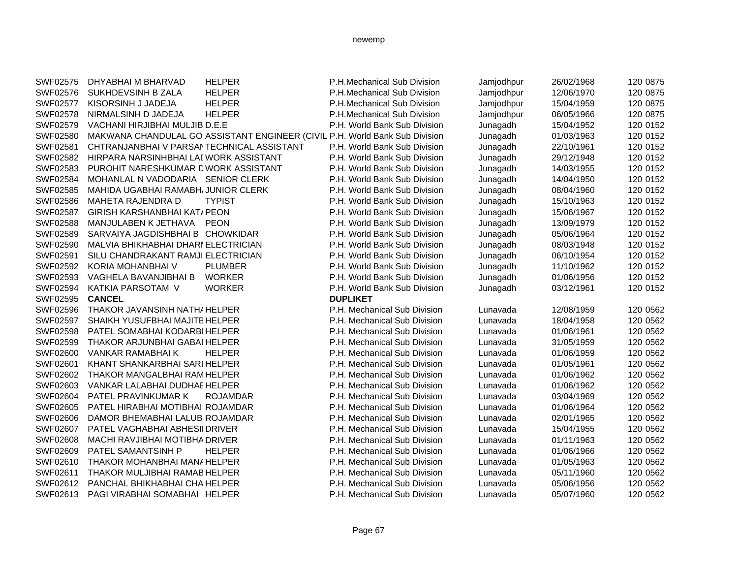| SWF02575 | DHYABHAI M BHARVAD                                                          | <b>HELPER</b>   | P.H.Mechanical Sub Division  | Jamjodhpur | 26/02/1968 | 120 0875 |
|----------|-----------------------------------------------------------------------------|-----------------|------------------------------|------------|------------|----------|
| SWF02576 | SUKHDEVSINH B ZALA                                                          | <b>HELPER</b>   | P.H.Mechanical Sub Division  | Jamjodhpur | 12/06/1970 | 120 0875 |
| SWF02577 | KISORSINH J JADEJA                                                          | <b>HELPER</b>   | P.H.Mechanical Sub Division  | Jamjodhpur | 15/04/1959 | 120 0875 |
| SWF02578 | NIRMALSINH D JADEJA                                                         | <b>HELPER</b>   | P.H.Mechanical Sub Division  | Jamjodhpur | 06/05/1966 | 120 0875 |
| SWF02579 | VACHANI HIRJIBHAI MULJIB D.E.E                                              |                 | P.H. World Bank Sub Division | Junagadh   | 15/04/1952 | 120 0152 |
| SWF02580 | MAKWANA CHANDULAL GO ASSISTANT ENGINEER (CIVIL P.H. World Bank Sub Division |                 |                              | Junagadh   | 01/03/1963 | 120 0152 |
| SWF02581 | CHTRANJANBHAI V PARSANTECHNICAL ASSISTANT                                   |                 | P.H. World Bank Sub Division | Junagadh   | 22/10/1961 | 120 0152 |
| SWF02582 | HIRPARA NARSINHBHAI LAI WORK ASSISTANT                                      |                 | P.H. World Bank Sub Division | Junagadh   | 29/12/1948 | 120 0152 |
| SWF02583 | PUROHIT NARESHKUMAR DWORK ASSISTANT                                         |                 | P.H. World Bank Sub Division | Junagadh   | 14/03/1955 | 120 0152 |
| SWF02584 | MOHANLAL N VADODARIA SENIOR CLERK                                           |                 | P.H. World Bank Sub Division | Junagadh   | 14/04/1950 | 120 0152 |
| SWF02585 | MAHIDA UGABHAI RAMABH/JUNIOR CLERK                                          |                 | P.H. World Bank Sub Division | Junagadh   | 08/04/1960 | 120 0152 |
| SWF02586 | <b>MAHETA RAJENDRA D</b>                                                    | <b>TYPIST</b>   | P.H. World Bank Sub Division | Junagadh   | 15/10/1963 | 120 0152 |
| SWF02587 | <b>GIRISH KARSHANBHAI KAT/ PEON</b>                                         |                 | P.H. World Bank Sub Division | Junagadh   | 15/06/1967 | 120 0152 |
| SWF02588 | MANJULABEN K JETHAVA                                                        | <b>PEON</b>     | P.H. World Bank Sub Division | Junagadh   | 13/09/1979 | 120 0152 |
| SWF02589 | SARVAIYA JAGDISHBHAI B CHOWKIDAR                                            |                 | P.H. World Bank Sub Division | Junagadh   | 05/06/1964 | 120 0152 |
| SWF02590 | MALVIA BHIKHABHAI DHARI ELECTRICIAN                                         |                 | P.H. World Bank Sub Division | Junagadh   | 08/03/1948 | 120 0152 |
| SWF02591 | SILU CHANDRAKANT RAMJI ELECTRICIAN                                          |                 | P.H. World Bank Sub Division | Junagadh   | 06/10/1954 | 120 0152 |
| SWF02592 | KORIA MOHANBHAI V                                                           | <b>PLUMBER</b>  | P.H. World Bank Sub Division | Junagadh   | 11/10/1962 | 120 0152 |
| SWF02593 | VAGHELA BAVANJIBHAI B                                                       | <b>WORKER</b>   | P.H. World Bank Sub Division | Junagadh   | 01/06/1956 | 120 0152 |
| SWF02594 | KATKIA PARSOTAM V                                                           | <b>WORKER</b>   | P.H. World Bank Sub Division | Junagadh   | 03/12/1961 | 120 0152 |
| SWF02595 | <b>CANCEL</b>                                                               |                 | <b>DUPLIKET</b>              |            |            |          |
| SWF02596 | THAKOR JAVANSINH NATH/ HELPER                                               |                 | P.H. Mechanical Sub Division | Lunavada   | 12/08/1959 | 120 0562 |
| SWF02597 | SHAIKH YUSUFBHAI MAJITE HELPER                                              |                 | P.H. Mechanical Sub Division | Lunavada   | 18/04/1958 | 120 0562 |
| SWF02598 | PATEL SOMABHAI KODARBI HELPER                                               |                 | P.H. Mechanical Sub Division | Lunavada   | 01/06/1961 | 120 0562 |
| SWF02599 | THAKOR ARJUNBHAI GABAI HELPER                                               |                 | P.H. Mechanical Sub Division | Lunavada   | 31/05/1959 | 120 0562 |
| SWF02600 | VANKAR RAMABHAI K                                                           | <b>HELPER</b>   | P.H. Mechanical Sub Division | Lunavada   | 01/06/1959 | 120 0562 |
| SWF02601 | KHANT SHANKARBHAI SARI HELPER                                               |                 | P.H. Mechanical Sub Division | Lunavada   | 01/05/1961 | 120 0562 |
| SWF02602 | THAKOR MANGALBHAI RAM HELPER                                                |                 | P.H. Mechanical Sub Division | Lunavada   | 01/06/1962 | 120 0562 |
| SWF02603 | VANKAR LALABHAI DUDHAE HELPER                                               |                 | P.H. Mechanical Sub Division | Lunavada   | 01/06/1962 | 120 0562 |
| SWF02604 | PATEL PRAVINKUMAR K                                                         | <b>ROJAMDAR</b> | P.H. Mechanical Sub Division | Lunavada   | 03/04/1969 | 120 0562 |
| SWF02605 | PATEL HIRABHAI MOTIBHAI ROJAMDAR                                            |                 | P.H. Mechanical Sub Division | Lunavada   | 01/06/1964 | 120 0562 |
| SWF02606 | DAMOR BHEMABHAI LALUB ROJAMDAR                                              |                 | P.H. Mechanical Sub Division | Lunavada   | 02/01/1965 | 120 0562 |
| SWF02607 | PATEL VAGHABHAI ABHESIIDRIVER                                               |                 | P.H. Mechanical Sub Division | Lunavada   | 15/04/1955 | 120 0562 |
| SWF02608 | MACHI RAVJIBHAI MOTIBHA DRIVER                                              |                 | P.H. Mechanical Sub Division | Lunavada   | 01/11/1963 | 120 0562 |
| SWF02609 | PATEL SAMANTSINH P                                                          | <b>HELPER</b>   | P.H. Mechanical Sub Division | Lunavada   | 01/06/1966 | 120 0562 |
| SWF02610 | THAKOR MOHANBHAI MANAHELPER                                                 |                 | P.H. Mechanical Sub Division | Lunavada   | 01/05/1963 | 120 0562 |
| SWF02611 | THAKOR MULJIBHAI RAMAB HELPER                                               |                 | P.H. Mechanical Sub Division | Lunavada   | 05/11/1960 | 120 0562 |
| SWF02612 | PANCHAL BHIKHABHAI CHA HELPER                                               |                 | P.H. Mechanical Sub Division | Lunavada   | 05/06/1956 | 120 0562 |
| SWF02613 | PAGI VIRABHAI SOMABHAI HELPER                                               |                 | P.H. Mechanical Sub Division | Lunavada   | 05/07/1960 | 120 0562 |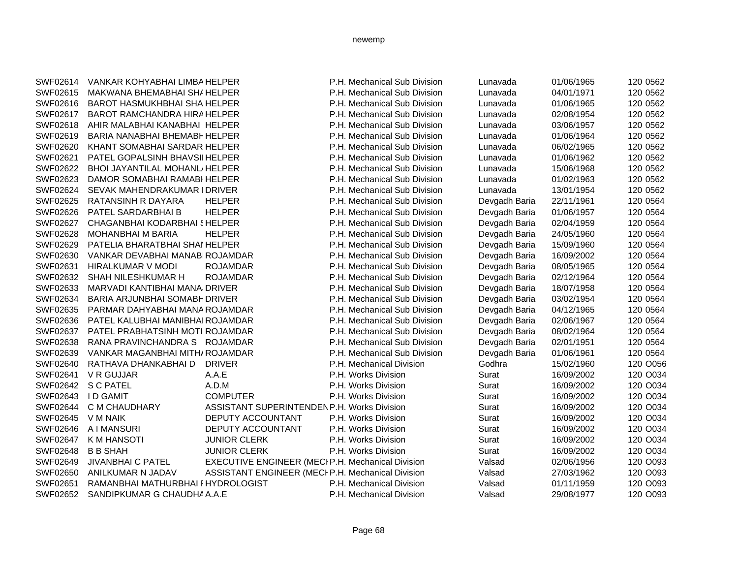| SWF02614 | VANKAR KOHYABHAI LIMBA HELPER       |                                                   | P.H. Mechanical Sub Division | Lunavada      | 01/06/1965 | 120 0562 |
|----------|-------------------------------------|---------------------------------------------------|------------------------------|---------------|------------|----------|
| SWF02615 | MAKWANA BHEMABHAI SHAHELPER         |                                                   | P.H. Mechanical Sub Division | Lunavada      | 04/01/1971 | 120 0562 |
| SWF02616 | <b>BAROT HASMUKHBHAI SHA HELPER</b> |                                                   | P.H. Mechanical Sub Division | Lunavada      | 01/06/1965 | 120 0562 |
| SWF02617 | BAROT RAMCHANDRA HIRAHELPER         |                                                   | P.H. Mechanical Sub Division | Lunavada      | 02/08/1954 | 120 0562 |
| SWF02618 | AHIR MALABHAI KANABHAI HELPER       |                                                   | P.H. Mechanical Sub Division | Lunavada      | 03/06/1957 | 120 0562 |
| SWF02619 | BARIA NANABHAI BHEMABH HELPER       |                                                   | P.H. Mechanical Sub Division | Lunavada      | 01/06/1964 | 120 0562 |
| SWF02620 | KHANT SOMABHAI SARDAR HELPER        |                                                   | P.H. Mechanical Sub Division | Lunavada      | 06/02/1965 | 120 0562 |
| SWF02621 | PATEL GOPALSINH BHAVSII HELPER      |                                                   | P.H. Mechanical Sub Division | Lunavada      | 01/06/1962 | 120 0562 |
| SWF02622 | BHOI JAYANTILAL MOHANL/HELPER       |                                                   | P.H. Mechanical Sub Division | Lunavada      | 15/06/1968 | 120 0562 |
| SWF02623 | DAMOR SOMABHAI RAMABI HELPER        |                                                   | P.H. Mechanical Sub Division | Lunavada      | 01/02/1963 | 120 0562 |
| SWF02624 | SEVAK MAHENDRAKUMAR I DRIVER        |                                                   | P.H. Mechanical Sub Division | Lunavada      | 13/01/1954 | 120 0562 |
| SWF02625 | RATANSINH R DAYARA                  | <b>HELPER</b>                                     | P.H. Mechanical Sub Division | Devgadh Baria | 22/11/1961 | 120 0564 |
| SWF02626 | PATEL SARDARBHAI B                  | <b>HELPER</b>                                     | P.H. Mechanical Sub Division | Devgadh Baria | 01/06/1957 | 120 0564 |
| SWF02627 | CHAGANBHAI KODARBHAI SHELPER        |                                                   | P.H. Mechanical Sub Division | Devgadh Baria | 02/04/1959 | 120 0564 |
| SWF02628 | <b>MOHANBHAI M BARIA</b>            | <b>HELPER</b>                                     | P.H. Mechanical Sub Division | Devgadh Baria | 24/05/1960 | 120 0564 |
| SWF02629 | PATELIA BHARATBHAI SHAI HELPER      |                                                   | P.H. Mechanical Sub Division | Devgadh Baria | 15/09/1960 | 120 0564 |
| SWF02630 | VANKAR DEVABHAI MANABIROJAMDAR      |                                                   | P.H. Mechanical Sub Division | Devgadh Baria | 16/09/2002 | 120 0564 |
| SWF02631 | HIRALKUMAR V MODI                   | <b>ROJAMDAR</b>                                   | P.H. Mechanical Sub Division | Devgadh Baria | 08/05/1965 | 120 0564 |
| SWF02632 | SHAH NILESHKUMAR H                  | <b>ROJAMDAR</b>                                   | P.H. Mechanical Sub Division | Devgadh Baria | 02/12/1964 | 120 0564 |
| SWF02633 | MARVADI KANTIBHAI MANA, DRIVER      |                                                   | P.H. Mechanical Sub Division | Devgadh Baria | 18/07/1958 | 120 0564 |
| SWF02634 | BARIA ARJUNBHAI SOMABH DRIVER       |                                                   | P.H. Mechanical Sub Division | Devgadh Baria | 03/02/1954 | 120 0564 |
| SWF02635 | PARMAR DAHYABHAI MANA ROJAMDAR      |                                                   | P.H. Mechanical Sub Division | Devgadh Baria | 04/12/1965 | 120 0564 |
| SWF02636 | PATEL KALUBHAI MANIBHAI ROJAMDAR    |                                                   | P.H. Mechanical Sub Division | Devgadh Baria | 02/06/1967 | 120 0564 |
| SWF02637 | PATEL PRABHATSINH MOTI ROJAMDAR     |                                                   | P.H. Mechanical Sub Division | Devgadh Baria | 08/02/1964 | 120 0564 |
| SWF02638 | RANA PRAVINCHANDRA S ROJAMDAR       |                                                   | P.H. Mechanical Sub Division | Devgadh Baria | 02/01/1951 | 120 0564 |
| SWF02639 | VANKAR MAGANBHAI MITH/ROJAMDAR      |                                                   | P.H. Mechanical Sub Division | Devgadh Baria | 01/06/1961 | 120 0564 |
| SWF02640 | RATHAVA DHANKABHAI D                | <b>DRIVER</b>                                     | P.H. Mechanical Division     | Godhra        | 15/02/1960 | 120 O056 |
| SWF02641 | V R GUJJAR                          | A.A.E                                             | P.H. Works Division          | Surat         | 16/09/2002 | 120 O034 |
| SWF02642 | <b>S C PATEL</b>                    | A.D.M                                             | P.H. Works Division          | Surat         | 16/09/2002 | 120 O034 |
| SWF02643 | <b>ID GAMIT</b>                     | <b>COMPUTER</b>                                   | P.H. Works Division          | Surat         | 16/09/2002 | 120 O034 |
| SWF02644 | C M CHAUDHARY                       | ASSISTANT SUPERINTENDEN P.H. Works Division       |                              | Surat         | 16/09/2002 | 120 O034 |
| SWF02645 | V M NAIK                            | <b>DEPUTY ACCOUNTANT</b>                          | P.H. Works Division          | Surat         | 16/09/2002 | 120 O034 |
| SWF02646 | A I MANSURI                         | DEPUTY ACCOUNTANT                                 | P.H. Works Division          | Surat         | 16/09/2002 | 120 O034 |
| SWF02647 | K M HANSOTI                         | <b>JUNIOR CLERK</b>                               | P.H. Works Division          | Surat         | 16/09/2002 | 120 O034 |
| SWF02648 | <b>B B SHAH</b>                     | <b>JUNIOR CLERK</b>                               | P.H. Works Division          | Surat         | 16/09/2002 | 120 O034 |
| SWF02649 | <b>JIVANBHAI C PATEL</b>            | EXECUTIVE ENGINEER (MECI P.H. Mechanical Division |                              | Valsad        | 02/06/1956 | 120 O093 |
| SWF02650 | ANILKUMAR N JADAV                   | ASSISTANT ENGINEER (MECI P.H. Mechanical Division |                              | Valsad        | 27/03/1962 | 120 O093 |
| SWF02651 | RAMANBHAI MATHURBHAI FHYDROLOGIST   |                                                   | P.H. Mechanical Division     | Valsad        | 01/11/1959 | 120 O093 |
| SWF02652 | SANDIPKUMAR G CHAUDHA A.A.E         |                                                   | P.H. Mechanical Division     | Valsad        | 29/08/1977 | 120 O093 |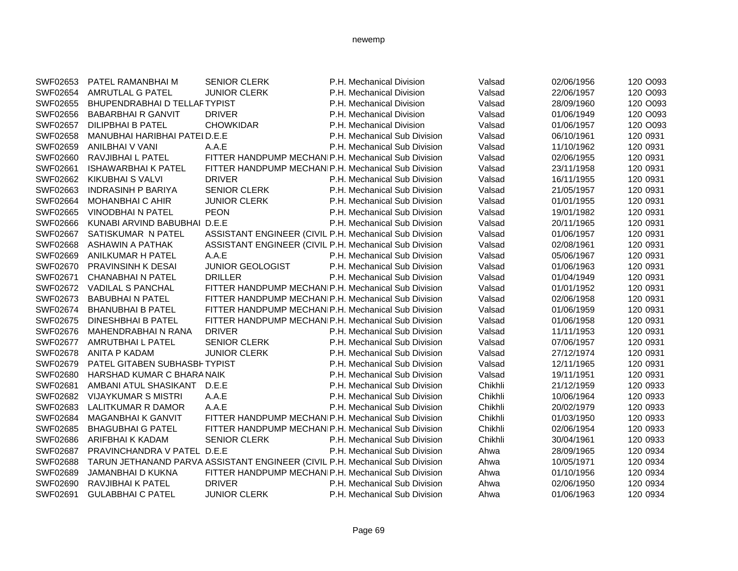| SWF02653 | PATEL RAMANBHAI M                   | <b>SENIOR CLERK</b>                                                          | P.H. Mechanical Division     | Valsad  | 02/06/1956 | 120 O093 |
|----------|-------------------------------------|------------------------------------------------------------------------------|------------------------------|---------|------------|----------|
| SWF02654 | AMRUTLAL G PATEL                    | <b>JUNIOR CLERK</b>                                                          | P.H. Mechanical Division     | Valsad  | 22/06/1957 | 120 O093 |
| SWF02655 | <b>BHUPENDRABHAI D TELLAFTYPIST</b> |                                                                              | P.H. Mechanical Division     | Valsad  | 28/09/1960 | 120 O093 |
| SWF02656 | <b>BABARBHAIR GANVIT</b>            | <b>DRIVER</b>                                                                | P.H. Mechanical Division     | Valsad  | 01/06/1949 | 120 O093 |
| SWF02657 | <b>DILIPBHAI B PATEL</b>            | <b>CHOWKIDAR</b>                                                             | P.H. Mechanical Division     | Valsad  | 01/06/1957 | 120 O093 |
| SWF02658 | MANUBHAI HARIBHAI PATEI D.E.E       |                                                                              | P.H. Mechanical Sub Division | Valsad  | 06/10/1961 | 120 0931 |
| SWF02659 | ANILBHAI V VANI                     | A.A.E                                                                        | P.H. Mechanical Sub Division | Valsad  | 11/10/1962 | 120 0931 |
| SWF02660 | RAVJIBHAI L PATEL                   | FITTER HANDPUMP MECHANIP.H. Mechanical Sub Division                          |                              | Valsad  | 02/06/1955 | 120 0931 |
| SWF02661 | <b>ISHAWARBHAI K PATEL</b>          | FITTER HANDPUMP MECHANIP.H. Mechanical Sub Division                          |                              | Valsad  | 23/11/1958 | 120 0931 |
| SWF02662 | <b>KIKUBHAI S VALVI</b>             | <b>DRIVER</b>                                                                | P.H. Mechanical Sub Division | Valsad  | 16/11/1955 | 120 0931 |
| SWF02663 | <b>INDRASINH P BARIYA</b>           | <b>SENIOR CLERK</b>                                                          | P.H. Mechanical Sub Division | Valsad  | 21/05/1957 | 120 0931 |
| SWF02664 | MOHANBHAI C AHIR                    | <b>JUNIOR CLERK</b>                                                          | P.H. Mechanical Sub Division | Valsad  | 01/01/1955 | 120 0931 |
| SWF02665 | <b>VINODBHAI N PATEL</b>            | <b>PEON</b>                                                                  | P.H. Mechanical Sub Division | Valsad  | 19/01/1982 | 120 0931 |
| SWF02666 | KUNABI ARVIND BABUBHAI D.E.E        |                                                                              | P.H. Mechanical Sub Division | Valsad  | 20/11/1965 | 120 0931 |
| SWF02667 | SATISKUMAR N PATEL                  | ASSISTANT ENGINEER (CIVIL P.H. Mechanical Sub Division                       |                              | Valsad  | 01/06/1957 | 120 0931 |
| SWF02668 | <b>ASHAWIN A PATHAK</b>             | ASSISTANT ENGINEER (CIVIL P.H. Mechanical Sub Division                       |                              | Valsad  | 02/08/1961 | 120 0931 |
| SWF02669 | ANILKUMAR H PATEL                   | A.A.E                                                                        | P.H. Mechanical Sub Division | Valsad  | 05/06/1967 | 120 0931 |
| SWF02670 | <b>PRAVINSINH K DESAI</b>           | <b>JUNIOR GEOLOGIST</b>                                                      | P.H. Mechanical Sub Division | Valsad  | 01/06/1963 | 120 0931 |
| SWF02671 | <b>CHANABHAI N PATEL</b>            | <b>DRILLER</b>                                                               | P.H. Mechanical Sub Division | Valsad  | 01/04/1949 | 120 0931 |
| SWF02672 | <b>VADILAL S PANCHAL</b>            | FITTER HANDPUMP MECHANIP.H. Mechanical Sub Division                          |                              | Valsad  | 01/01/1952 | 120 0931 |
| SWF02673 | <b>BABUBHAI N PATEL</b>             | FITTER HANDPUMP MECHANIP.H. Mechanical Sub Division                          |                              | Valsad  | 02/06/1958 | 120 0931 |
| SWF02674 | <b>BHANUBHAI B PATEL</b>            | FITTER HANDPUMP MECHANIP.H. Mechanical Sub Division                          |                              | Valsad  | 01/06/1959 | 120 0931 |
| SWF02675 | <b>DINESHBHAI B PATEL</b>           | FITTER HANDPUMP MECHANIP.H. Mechanical Sub Division                          |                              | Valsad  | 01/06/1958 | 120 0931 |
| SWF02676 | MAHENDRABHAI N RANA                 | <b>DRIVER</b>                                                                | P.H. Mechanical Sub Division | Valsad  | 11/11/1953 | 120 0931 |
| SWF02677 | AMRUTBHAI L PATEL                   | <b>SENIOR CLERK</b>                                                          | P.H. Mechanical Sub Division | Valsad  | 07/06/1957 | 120 0931 |
| SWF02678 | <b>ANITA P KADAM</b>                | <b>JUNIOR CLERK</b>                                                          | P.H. Mechanical Sub Division | Valsad  | 27/12/1974 | 120 0931 |
| SWF02679 | PATEL GITABEN SUBHASBI TYPIST       |                                                                              | P.H. Mechanical Sub Division | Valsad  | 12/11/1965 | 120 0931 |
| SWF02680 | HARSHAD KUMAR C BHARA NAIK          |                                                                              | P.H. Mechanical Sub Division | Valsad  | 19/11/1951 | 120 0931 |
| SWF02681 | AMBANI ATUL SHASIKANT               | D.E.E                                                                        | P.H. Mechanical Sub Division | Chikhli | 21/12/1959 | 120 0933 |
| SWF02682 | <b>VIJAYKUMAR S MISTRI</b>          | A.A.E                                                                        | P.H. Mechanical Sub Division | Chikhli | 10/06/1964 | 120 0933 |
| SWF02683 | LALITKUMAR R DAMOR                  | A.A.E                                                                        | P.H. Mechanical Sub Division | Chikhli | 20/02/1979 | 120 0933 |
| SWF02684 | <b>MAGANBHAIK GANVIT</b>            | FITTER HANDPUMP MECHANIP.H. Mechanical Sub Division                          |                              | Chikhli | 01/03/1950 | 120 0933 |
| SWF02685 | <b>BHAGUBHAI G PATEL</b>            | FITTER HANDPUMP MECHANIP.H. Mechanical Sub Division                          |                              | Chikhli | 02/06/1954 | 120 0933 |
| SWF02686 | ARIFBHAI K KADAM                    | <b>SENIOR CLERK</b>                                                          | P.H. Mechanical Sub Division | Chikhli | 30/04/1961 | 120 0933 |
| SWF02687 | PRAVINCHANDRA V PATEL D.E.E         |                                                                              | P.H. Mechanical Sub Division | Ahwa    | 28/09/1965 | 120 0934 |
| SWF02688 |                                     | TARUN JETHANAND PARVA ASSISTANT ENGINEER (CIVIL P.H. Mechanical Sub Division |                              | Ahwa    | 10/05/1971 | 120 0934 |
| SWF02689 | JAMANBHAI D KUKNA                   | FITTER HANDPUMP MECHANIP.H. Mechanical Sub Division                          |                              | Ahwa    | 01/10/1956 | 120 0934 |
| SWF02690 | RAVJIBHAI K PATEL                   | <b>DRIVER</b>                                                                | P.H. Mechanical Sub Division | Ahwa    | 02/06/1950 | 120 0934 |
| SWF02691 | <b>GULABBHAI C PATEL</b>            | <b>JUNIOR CLERK</b>                                                          | P.H. Mechanical Sub Division | Ahwa    | 01/06/1963 | 120 0934 |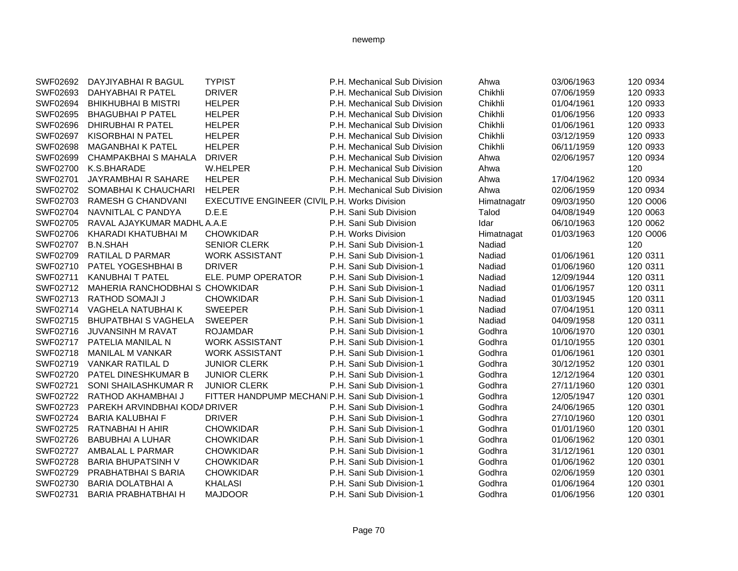| SWF02692 | DAYJIYABHAI R BAGUL             | <b>TYPIST</b>                                   | P.H. Mechanical Sub Division | Ahwa        | 03/06/1963 | 120 0934 |
|----------|---------------------------------|-------------------------------------------------|------------------------------|-------------|------------|----------|
| SWF02693 | DAHYABHAI R PATEL               | <b>DRIVER</b>                                   | P.H. Mechanical Sub Division | Chikhli     | 07/06/1959 | 120 0933 |
| SWF02694 | <b>BHIKHUBHAI B MISTRI</b>      | <b>HELPER</b>                                   | P.H. Mechanical Sub Division | Chikhli     | 01/04/1961 | 120 0933 |
| SWF02695 | <b>BHAGUBHAI P PATEL</b>        | <b>HELPER</b>                                   | P.H. Mechanical Sub Division | Chikhli     | 01/06/1956 | 120 0933 |
| SWF02696 | DHIRUBHAI R PATEL               | <b>HELPER</b>                                   | P.H. Mechanical Sub Division | Chikhli     | 01/06/1961 | 120 0933 |
| SWF02697 | KISORBHAI N PATEL               | <b>HELPER</b>                                   | P.H. Mechanical Sub Division | Chikhli     | 03/12/1959 | 120 0933 |
| SWF02698 | MAGANBHAI K PATEL               | <b>HELPER</b>                                   | P.H. Mechanical Sub Division | Chikhli     | 06/11/1959 | 120 0933 |
| SWF02699 | <b>CHAMPAKBHAI S MAHALA</b>     | <b>DRIVER</b>                                   | P.H. Mechanical Sub Division | Ahwa        | 02/06/1957 | 120 0934 |
| SWF02700 | K.S.BHARADE                     | W.HELPER                                        | P.H. Mechanical Sub Division | Ahwa        |            | 120      |
| SWF02701 | JAYRAMBHAI R SAHARE             | <b>HELPER</b>                                   | P.H. Mechanical Sub Division | Ahwa        | 17/04/1962 | 120 0934 |
| SWF02702 | SOMABHAI K CHAUCHARI            | <b>HELPER</b>                                   | P.H. Mechanical Sub Division | Ahwa        | 02/06/1959 | 120 0934 |
| SWF02703 | <b>RAMESH G CHANDVANI</b>       | EXECUTIVE ENGINEER (CIVIL P.H. Works Division   |                              | Himatnagatr | 09/03/1950 | 120 O006 |
| SWF02704 | NAVNITLAL C PANDYA              | D.E.E                                           | P.H. Sani Sub Division       | Talod       | 04/08/1949 | 120 0063 |
| SWF02705 | RAVAL AJAYKUMAR MADHUA.A.E      |                                                 | P.H. Sani Sub Division       | Idar        | 06/10/1963 | 120 0062 |
| SWF02706 | KHARADI KHATUBHAI M             | <b>CHOWKIDAR</b>                                | P.H. Works Division          | Himatnagat  | 01/03/1963 | 120 O006 |
| SWF02707 | <b>B.N.SHAH</b>                 | <b>SENIOR CLERK</b>                             | P.H. Sani Sub Division-1     | Nadiad      |            | 120      |
| SWF02709 | RATILAL D PARMAR                | <b>WORK ASSISTANT</b>                           | P.H. Sani Sub Division-1     | Nadiad      | 01/06/1961 | 120 0311 |
| SWF02710 | PATEL YOGESHBHAI B              | <b>DRIVER</b>                                   | P.H. Sani Sub Division-1     | Nadiad      | 01/06/1960 | 120 0311 |
| SWF02711 | <b>KANUBHAI T PATEL</b>         | ELE. PUMP OPERATOR                              | P.H. Sani Sub Division-1     | Nadiad      | 12/09/1944 | 120 0311 |
| SWF02712 | MAHERIA RANCHODBHAI S CHOWKIDAR |                                                 | P.H. Sani Sub Division-1     | Nadiad      | 01/06/1957 | 120 0311 |
| SWF02713 | RATHOD SOMAJI J                 | <b>CHOWKIDAR</b>                                | P.H. Sani Sub Division-1     | Nadiad      | 01/03/1945 | 120 0311 |
| SWF02714 | VAGHELA NATUBHAI K              | <b>SWEEPER</b>                                  | P.H. Sani Sub Division-1     | Nadiad      | 07/04/1951 | 120 0311 |
| SWF02715 | <b>BHUPATBHAI S VAGHELA</b>     | <b>SWEEPER</b>                                  | P.H. Sani Sub Division-1     | Nadiad      | 04/09/1958 | 120 0311 |
| SWF02716 | <b>JUVANSINH M RAVAT</b>        | <b>ROJAMDAR</b>                                 | P.H. Sani Sub Division-1     | Godhra      | 10/06/1970 | 120 0301 |
| SWF02717 | PATELIA MANILAL N               | <b>WORK ASSISTANT</b>                           | P.H. Sani Sub Division-1     | Godhra      | 01/10/1955 | 120 0301 |
| SWF02718 | <b>MANILAL M VANKAR</b>         | <b>WORK ASSISTANT</b>                           | P.H. Sani Sub Division-1     | Godhra      | 01/06/1961 | 120 0301 |
| SWF02719 | <b>VANKAR RATILAL D</b>         | <b>JUNIOR CLERK</b>                             | P.H. Sani Sub Division-1     | Godhra      | 30/12/1952 | 120 0301 |
| SWF02720 | <b>PATEL DINESHKUMAR B</b>      | <b>JUNIOR CLERK</b>                             | P.H. Sani Sub Division-1     | Godhra      | 12/12/1964 | 120 0301 |
| SWF02721 | SONI SHAILASHKUMAR R            | <b>JUNIOR CLERK</b>                             | P.H. Sani Sub Division-1     | Godhra      | 27/11/1960 | 120 0301 |
| SWF02722 | RATHOD AKHAMBHAI J              | FITTER HANDPUMP MECHANIP.H. Sani Sub Division-1 |                              | Godhra      | 12/05/1947 | 120 0301 |
| SWF02723 | PAREKH ARVINDBHAI KODA DRIVER   |                                                 | P.H. Sani Sub Division-1     | Godhra      | 24/06/1965 | 120 0301 |
| SWF02724 | <b>BARIA KALUBHAI F</b>         | <b>DRIVER</b>                                   | P.H. Sani Sub Division-1     | Godhra      | 27/10/1960 | 120 0301 |
| SWF02725 | RATNABHAI H AHIR                | <b>CHOWKIDAR</b>                                | P.H. Sani Sub Division-1     | Godhra      | 01/01/1960 | 120 0301 |
| SWF02726 | <b>BABUBHAI A LUHAR</b>         | <b>CHOWKIDAR</b>                                | P.H. Sani Sub Division-1     | Godhra      | 01/06/1962 | 120 0301 |
| SWF02727 | AMBALAL L PARMAR                | <b>CHOWKIDAR</b>                                | P.H. Sani Sub Division-1     | Godhra      | 31/12/1961 | 120 0301 |
| SWF02728 | <b>BARIA BHUPATSINH V</b>       | <b>CHOWKIDAR</b>                                | P.H. Sani Sub Division-1     | Godhra      | 01/06/1962 | 120 0301 |
| SWF02729 | PRABHATBHAI S BARIA             | <b>CHOWKIDAR</b>                                | P.H. Sani Sub Division-1     | Godhra      | 02/06/1959 | 120 0301 |
| SWF02730 | <b>BARIA DOLATBHAI A</b>        | <b>KHALASI</b>                                  | P.H. Sani Sub Division-1     | Godhra      | 01/06/1964 | 120 0301 |
| SWF02731 | <b>BARIA PRABHATBHAI H</b>      | <b>MAJDOOR</b>                                  | P.H. Sani Sub Division-1     | Godhra      | 01/06/1956 | 120 0301 |
|          |                                 |                                                 |                              |             |            |          |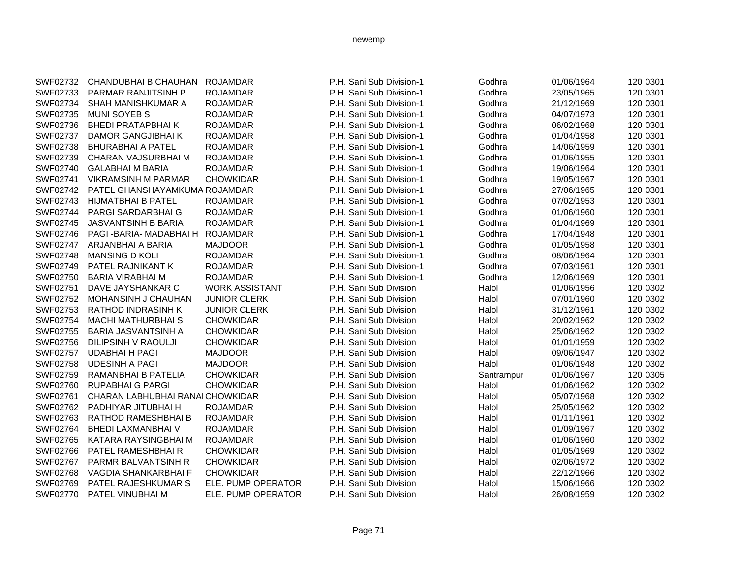| SWF02732 | CHANDUBHAI B CHAUHAN             | <b>ROJAMDAR</b>       | P.H. Sani Sub Division-1 | Godhra     | 01/06/1964 | 120 0301 |
|----------|----------------------------------|-----------------------|--------------------------|------------|------------|----------|
| SWF02733 | PARMAR RANJITSINH P              | <b>ROJAMDAR</b>       | P.H. Sani Sub Division-1 | Godhra     | 23/05/1965 | 120 0301 |
| SWF02734 | SHAH MANISHKUMAR A               | <b>ROJAMDAR</b>       | P.H. Sani Sub Division-1 | Godhra     | 21/12/1969 | 120 0301 |
| SWF02735 | <b>MUNI SOYEB S</b>              | <b>ROJAMDAR</b>       | P.H. Sani Sub Division-1 | Godhra     | 04/07/1973 | 120 0301 |
| SWF02736 | <b>BHEDI PRATAPBHAIK</b>         | <b>ROJAMDAR</b>       | P.H. Sani Sub Division-1 | Godhra     | 06/02/1968 | 120 0301 |
| SWF02737 | <b>DAMOR GANGJIBHAI K</b>        | <b>ROJAMDAR</b>       | P.H. Sani Sub Division-1 | Godhra     | 01/04/1958 | 120 0301 |
| SWF02738 | <b>BHURABHAI A PATEL</b>         | <b>ROJAMDAR</b>       | P.H. Sani Sub Division-1 | Godhra     | 14/06/1959 | 120 0301 |
| SWF02739 | CHARAN VAJSURBHAI M              | <b>ROJAMDAR</b>       | P.H. Sani Sub Division-1 | Godhra     | 01/06/1955 | 120 0301 |
| SWF02740 | <b>GALABHAI M BARIA</b>          | <b>ROJAMDAR</b>       | P.H. Sani Sub Division-1 | Godhra     | 19/06/1964 | 120 0301 |
| SWF02741 | <b>VIKRAMSINH M PARMAR</b>       | <b>CHOWKIDAR</b>      | P.H. Sani Sub Division-1 | Godhra     | 19/05/1967 | 120 0301 |
| SWF02742 | PATEL GHANSHAYAMKUMA ROJAMDAR    |                       | P.H. Sani Sub Division-1 | Godhra     | 27/06/1965 | 120 0301 |
| SWF02743 | <b>HIJMATBHAI B PATEL</b>        | <b>ROJAMDAR</b>       | P.H. Sani Sub Division-1 | Godhra     | 07/02/1953 | 120 0301 |
| SWF02744 | <b>PARGI SARDARBHAI G</b>        | <b>ROJAMDAR</b>       | P.H. Sani Sub Division-1 | Godhra     | 01/06/1960 | 120 0301 |
| SWF02745 | <b>JASVANTSINH B BARIA</b>       | <b>ROJAMDAR</b>       | P.H. Sani Sub Division-1 | Godhra     | 01/04/1969 | 120 0301 |
| SWF02746 | PAGI-BARIA-MADABHAI H            | <b>ROJAMDAR</b>       | P.H. Sani Sub Division-1 | Godhra     | 17/04/1948 | 120 0301 |
| SWF02747 | ARJANBHAI A BARIA                | <b>MAJDOOR</b>        | P.H. Sani Sub Division-1 | Godhra     | 01/05/1958 | 120 0301 |
| SWF02748 | <b>MANSING D KOLI</b>            | <b>ROJAMDAR</b>       | P.H. Sani Sub Division-1 | Godhra     | 08/06/1964 | 120 0301 |
| SWF02749 | PATEL RAJNIKANT K                | <b>ROJAMDAR</b>       | P.H. Sani Sub Division-1 | Godhra     | 07/03/1961 | 120 0301 |
| SWF02750 | <b>BARIA VIRABHAI M</b>          | <b>ROJAMDAR</b>       | P.H. Sani Sub Division-1 | Godhra     | 12/06/1969 | 120 0301 |
| SWF02751 | DAVE JAYSHANKAR C                | <b>WORK ASSISTANT</b> | P.H. Sani Sub Division   | Halol      | 01/06/1956 | 120 0302 |
| SWF02752 | MOHANSINH J CHAUHAN              | <b>JUNIOR CLERK</b>   | P.H. Sani Sub Division   | Halol      | 07/01/1960 | 120 0302 |
| SWF02753 | <b>RATHOD INDRASINH K</b>        | <b>JUNIOR CLERK</b>   | P.H. Sani Sub Division   | Halol      | 31/12/1961 | 120 0302 |
| SWF02754 | <b>MACHI MATHURBHAI S</b>        | <b>CHOWKIDAR</b>      | P.H. Sani Sub Division   | Halol      | 20/02/1962 | 120 0302 |
| SWF02755 | <b>BARIA JASVANTSINH A</b>       | <b>CHOWKIDAR</b>      | P.H. Sani Sub Division   | Halol      | 25/06/1962 | 120 0302 |
| SWF02756 | DILIPSINH V RAOULJI              | <b>CHOWKIDAR</b>      | P.H. Sani Sub Division   | Halol      | 01/01/1959 | 120 0302 |
| SWF02757 | <b>UDABHAI H PAGI</b>            | <b>MAJDOOR</b>        | P.H. Sani Sub Division   | Halol      | 09/06/1947 | 120 0302 |
| SWF02758 | <b>UDESINH A PAGI</b>            | <b>MAJDOOR</b>        | P.H. Sani Sub Division   | Halol      | 01/06/1948 | 120 0302 |
| SWF02759 | RAMANBHAI B PATELIA              | <b>CHOWKIDAR</b>      | P.H. Sani Sub Division   | Santrampur | 01/06/1967 | 120 0305 |
| SWF02760 | <b>RUPABHAI G PARGI</b>          | <b>CHOWKIDAR</b>      | P.H. Sani Sub Division   | Halol      | 01/06/1962 | 120 0302 |
| SWF02761 | CHARAN LABHUBHAI RANAI CHOWKIDAR |                       | P.H. Sani Sub Division   | Halol      | 05/07/1968 | 120 0302 |
| SWF02762 | PADHIYAR JITUBHAI H              | <b>ROJAMDAR</b>       | P.H. Sani Sub Division   | Halol      | 25/05/1962 | 120 0302 |
| SWF02763 | RATHOD RAMESHBHAI B              | <b>ROJAMDAR</b>       | P.H. Sani Sub Division   | Halol      | 01/11/1961 | 120 0302 |
| SWF02764 | <b>BHEDI LAXMANBHAI V</b>        | <b>ROJAMDAR</b>       | P.H. Sani Sub Division   | Halol      | 01/09/1967 | 120 0302 |
| SWF02765 | KATARA RAYSINGBHAI M             | <b>ROJAMDAR</b>       | P.H. Sani Sub Division   | Halol      | 01/06/1960 | 120 0302 |
| SWF02766 | PATEL RAMESHBHAIR                | <b>CHOWKIDAR</b>      | P.H. Sani Sub Division   | Halol      | 01/05/1969 | 120 0302 |
| SWF02767 | PARMR BALVANTSINH R              | <b>CHOWKIDAR</b>      | P.H. Sani Sub Division   | Halol      | 02/06/1972 | 120 0302 |
| SWF02768 | VAGDIA SHANKARBHAI F             | <b>CHOWKIDAR</b>      | P.H. Sani Sub Division   | Halol      | 22/12/1966 | 120 0302 |
| SWF02769 | PATEL RAJESHKUMAR S              | ELE. PUMP OPERATOR    | P.H. Sani Sub Division   | Halol      | 15/06/1966 | 120 0302 |
| SWF02770 | PATEL VINUBHAI M                 | ELE. PUMP OPERATOR    | P.H. Sani Sub Division   | Halol      | 26/08/1959 | 120 0302 |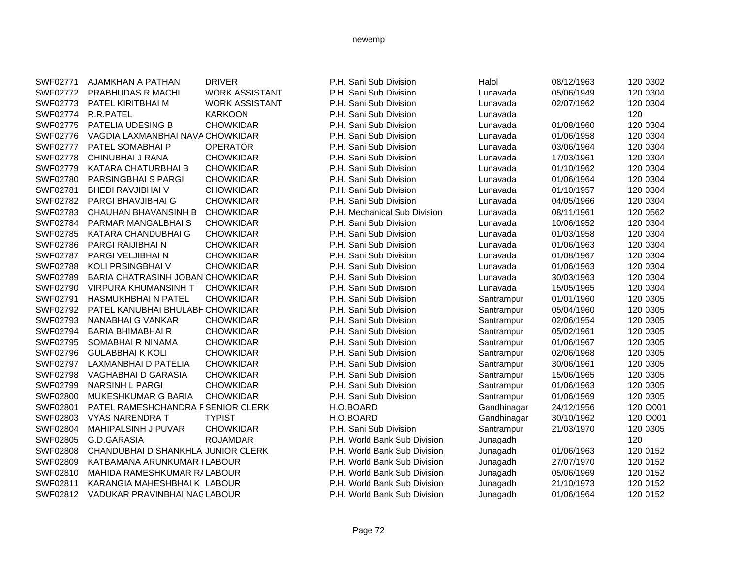| SWF02771        | AJAMKHAN A PATHAN                  | <b>DRIVER</b>         | P.H. Sani Sub Division       | Halol       | 08/12/1963 | 120 0302 |
|-----------------|------------------------------------|-----------------------|------------------------------|-------------|------------|----------|
| SWF02772        | PRABHUDAS R MACHI                  | <b>WORK ASSISTANT</b> | P.H. Sani Sub Division       | Lunavada    | 05/06/1949 | 120 0304 |
| SWF02773        | PATEL KIRITBHAI M                  | <b>WORK ASSISTANT</b> | P.H. Sani Sub Division       | Lunavada    | 02/07/1962 | 120 0304 |
| SWF02774        | R.R.PATEL                          | <b>KARKOON</b>        | P.H. Sani Sub Division       | Lunavada    |            | 120      |
| SWF02775        | PATELIA UDESING B                  | <b>CHOWKIDAR</b>      | P.H. Sani Sub Division       | Lunavada    | 01/08/1960 | 120 0304 |
| SWF02776        | VAGDIA LAXMANBHAI NAVA CHOWKIDAR   |                       | P.H. Sani Sub Division       | Lunavada    | 01/06/1958 | 120 0304 |
| <b>SWF02777</b> | PATEL SOMABHAI P                   | <b>OPERATOR</b>       | P.H. Sani Sub Division       | Lunavada    | 03/06/1964 | 120 0304 |
| SWF02778        | CHINUBHAI J RANA                   | <b>CHOWKIDAR</b>      | P.H. Sani Sub Division       | Lunavada    | 17/03/1961 | 120 0304 |
| SWF02779        | KATARA CHATURBHAI B                | <b>CHOWKIDAR</b>      | P.H. Sani Sub Division       | Lunavada    | 01/10/1962 | 120 0304 |
| SWF02780        | PARSINGBHAI S PARGI                | <b>CHOWKIDAR</b>      | P.H. Sani Sub Division       | Lunavada    | 01/06/1964 | 120 0304 |
| SWF02781        | <b>BHEDI RAVJIBHAI V</b>           | <b>CHOWKIDAR</b>      | P.H. Sani Sub Division       | Lunavada    | 01/10/1957 | 120 0304 |
| SWF02782        | <b>PARGI BHAVJIBHAI G</b>          | <b>CHOWKIDAR</b>      | P.H. Sani Sub Division       | Lunavada    | 04/05/1966 | 120 0304 |
| SWF02783        | <b>CHAUHAN BHAVANSINH B</b>        | <b>CHOWKIDAR</b>      | P.H. Mechanical Sub Division | Lunavada    | 08/11/1961 | 120 0562 |
| SWF02784        | PARMAR MANGALBHAI S                | <b>CHOWKIDAR</b>      | P.H. Sani Sub Division       | Lunavada    | 10/06/1952 | 120 0304 |
| SWF02785        | KATARA CHANDUBHAI G                | <b>CHOWKIDAR</b>      | P.H. Sani Sub Division       | Lunavada    | 01/03/1958 | 120 0304 |
| SWF02786        | PARGI RAIJIBHAI N                  | <b>CHOWKIDAR</b>      | P.H. Sani Sub Division       | Lunavada    | 01/06/1963 | 120 0304 |
| SWF02787        | PARGI VELJIBHAI N                  | <b>CHOWKIDAR</b>      | P.H. Sani Sub Division       | Lunavada    | 01/08/1967 | 120 0304 |
| SWF02788        | KOLI PRSINGBHAI V                  | <b>CHOWKIDAR</b>      | P.H. Sani Sub Division       | Lunavada    | 01/06/1963 | 120 0304 |
| SWF02789        | BARIA CHATRASINH JOBAN CHOWKIDAR   |                       | P.H. Sani Sub Division       | Lunavada    | 30/03/1963 | 120 0304 |
| SWF02790        | <b>VIRPURA KHUMANSINH T</b>        | <b>CHOWKIDAR</b>      | P.H. Sani Sub Division       | Lunavada    | 15/05/1965 | 120 0304 |
| SWF02791        | <b>HASMUKHBHAI N PATEL</b>         | <b>CHOWKIDAR</b>      | P.H. Sani Sub Division       | Santrampur  | 01/01/1960 | 120 0305 |
| SWF02792        | PATEL KANUBHAI BHULABH CHOWKIDAR   |                       | P.H. Sani Sub Division       | Santrampur  | 05/04/1960 | 120 0305 |
| SWF02793        | NANABHAI G VANKAR                  | <b>CHOWKIDAR</b>      | P.H. Sani Sub Division       | Santrampur  | 02/06/1954 | 120 0305 |
| SWF02794        | <b>BARIA BHIMABHAI R</b>           | <b>CHOWKIDAR</b>      | P.H. Sani Sub Division       | Santrampur  | 05/02/1961 | 120 0305 |
| SWF02795        | SOMABHAI R NINAMA                  | <b>CHOWKIDAR</b>      | P.H. Sani Sub Division       | Santrampur  | 01/06/1967 | 120 0305 |
| SWF02796        | <b>GULABBHAIK KOLI</b>             | <b>CHOWKIDAR</b>      | P.H. Sani Sub Division       | Santrampur  | 02/06/1968 | 120 0305 |
| SWF02797        | LAXMANBHAI D PATELIA               | <b>CHOWKIDAR</b>      | P.H. Sani Sub Division       | Santrampur  | 30/06/1961 | 120 0305 |
| SWF02798        | VAGHABHAI D GARASIA                | <b>CHOWKIDAR</b>      | P.H. Sani Sub Division       | Santrampur  | 15/06/1965 | 120 0305 |
| SWF02799        | <b>NARSINH L PARGI</b>             | <b>CHOWKIDAR</b>      | P.H. Sani Sub Division       | Santrampur  | 01/06/1963 | 120 0305 |
| SWF02800        | MUKESHKUMAR G BARIA                | <b>CHOWKIDAR</b>      | P.H. Sani Sub Division       | Santrampur  | 01/06/1969 | 120 0305 |
| SWF02801        | PATEL RAMESHCHANDRA FSENIOR CLERK  |                       | H.O.BOARD                    | Gandhinagar | 24/12/1956 | 120 O001 |
| SWF02803        | <b>VYAS NARENDRA T</b>             | <b>TYPIST</b>         | H.O.BOARD                    | Gandhinagar | 30/10/1962 | 120 O001 |
| SWF02804        | <b>MAHIPALSINH J PUVAR</b>         | <b>CHOWKIDAR</b>      | P.H. Sani Sub Division       | Santrampur  | 21/03/1970 | 120 0305 |
| SWF02805        | G.D.GARASIA                        | <b>ROJAMDAR</b>       | P.H. World Bank Sub Division | Junagadh    |            | 120      |
| SWF02808        | CHANDUBHAI D SHANKHLA JUNIOR CLERK |                       | P.H. World Bank Sub Division | Junagadh    | 01/06/1963 | 120 0152 |
| SWF02809        | KATBAMANA ARUNKUMAR I LABOUR       |                       | P.H. World Bank Sub Division | Junagadh    | 27/07/1970 | 120 0152 |
| SWF02810        | MAHIDA RAMESHKUMAR R/LABOUR        |                       | P.H. World Bank Sub Division | Junagadh    | 05/06/1969 | 120 0152 |
| SWF02811        | KARANGIA MAHESHBHAI K LABOUR       |                       | P.H. World Bank Sub Division | Junagadh    | 21/10/1973 | 120 0152 |
| SWF02812        | VADUKAR PRAVINBHAI NACLABOUR       |                       | P.H. World Bank Sub Division | Junagadh    | 01/06/1964 | 120 0152 |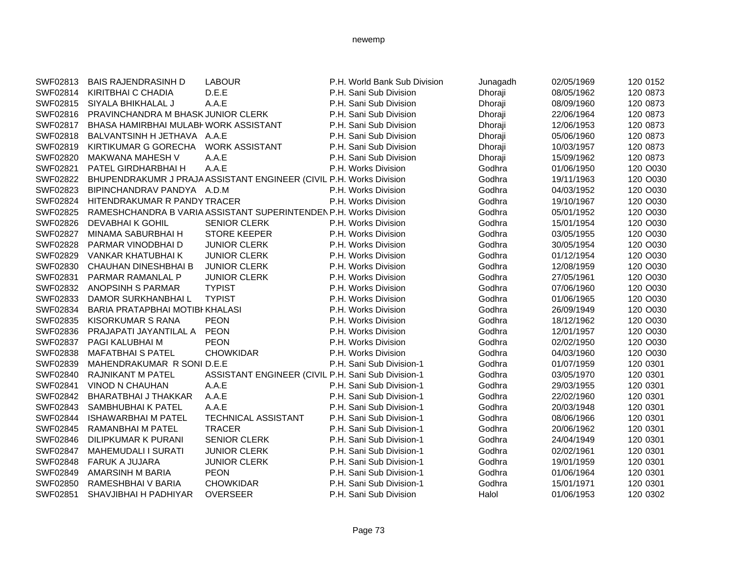| SWF02813 | <b>BAIS RAJENDRASINH D</b>            | <b>LABOUR</b>                                                       | P.H. World Bank Sub Division | Junagadh | 02/05/1969 | 120 0152 |
|----------|---------------------------------------|---------------------------------------------------------------------|------------------------------|----------|------------|----------|
| SWF02814 | KIRITBHAI C CHADIA                    | D.E.E                                                               | P.H. Sani Sub Division       | Dhoraji  | 08/05/1962 | 120 0873 |
| SWF02815 | SIYALA BHIKHALAL J                    | A.A.E                                                               | P.H. Sani Sub Division       | Dhoraji  | 08/09/1960 | 120 0873 |
| SWF02816 | PRAVINCHANDRA M BHASK JUNIOR CLERK    |                                                                     | P.H. Sani Sub Division       | Dhoraji  | 22/06/1964 | 120 0873 |
| SWF02817 | BHASA HAMIRBHAI MULABI WORK ASSISTANT |                                                                     | P.H. Sani Sub Division       | Dhoraji  | 12/06/1953 | 120 0873 |
| SWF02818 | BALVANTSINH H JETHAVA A.A.E           |                                                                     | P.H. Sani Sub Division       | Dhoraji  | 05/06/1960 | 120 0873 |
| SWF02819 | KIRTIKUMAR G GORECHA                  | <b>WORK ASSISTANT</b>                                               | P.H. Sani Sub Division       | Dhoraji  | 10/03/1957 | 120 0873 |
| SWF02820 | <b>MAKWANA MAHESH V</b>               | A.A.E                                                               | P.H. Sani Sub Division       | Dhoraji  | 15/09/1962 | 120 0873 |
| SWF02821 | PATEL GIRDHARBHAI H                   | A.A.E                                                               | P.H. Works Division          | Godhra   | 01/06/1950 | 120 O030 |
| SWF02822 |                                       | BHUPENDRAKUMR J PRAJA ASSISTANT ENGINEER (CIVIL P.H. Works Division |                              | Godhra   | 19/11/1963 | 120 O030 |
| SWF02823 | BIPINCHANDRAV PANDYA A.D.M            |                                                                     | P.H. Works Division          | Godhra   | 04/03/1952 | 120 O030 |
| SWF02824 | HITENDRAKUMAR R PANDY TRACER          |                                                                     | P.H. Works Division          | Godhra   | 19/10/1967 | 120 O030 |
| SWF02825 |                                       | RAMESHCHANDRA B VARIA ASSISTANT SUPERINTENDEN P.H. Works Division   |                              | Godhra   | 05/01/1952 | 120 O030 |
| SWF02826 | <b>DEVABHAIK GOHIL</b>                | <b>SENIOR CLERK</b>                                                 | P.H. Works Division          | Godhra   | 15/01/1954 | 120 O030 |
| SWF02827 | MINAMA SABURBHAI H                    | <b>STORE KEEPER</b>                                                 | P.H. Works Division          | Godhra   | 03/05/1955 | 120 O030 |
| SWF02828 | PARMAR VINODBHAI D                    | <b>JUNIOR CLERK</b>                                                 | P.H. Works Division          | Godhra   | 30/05/1954 | 120 O030 |
| SWF02829 | VANKAR KHATUBHAI K                    | <b>JUNIOR CLERK</b>                                                 | P.H. Works Division          | Godhra   | 01/12/1954 | 120 O030 |
| SWF02830 | <b>CHAUHAN DINESHBHAI B</b>           | <b>JUNIOR CLERK</b>                                                 | P.H. Works Division          | Godhra   | 12/08/1959 | 120 O030 |
| SWF02831 | PARMAR RAMANLAL P                     | <b>JUNIOR CLERK</b>                                                 | P.H. Works Division          | Godhra   | 27/05/1961 | 120 O030 |
| SWF02832 | ANOPSINH S PARMAR                     | <b>TYPIST</b>                                                       | P.H. Works Division          | Godhra   | 07/06/1960 | 120 O030 |
| SWF02833 | DAMOR SURKHANBHAI L                   | <b>TYPIST</b>                                                       | P.H. Works Division          | Godhra   | 01/06/1965 | 120 O030 |
| SWF02834 | BARIA PRATAPBHAI MOTIBI KHALASI       |                                                                     | P.H. Works Division          | Godhra   | 26/09/1949 | 120 O030 |
| SWF02835 | <b>KISORKUMAR S RANA</b>              | <b>PEON</b>                                                         | P.H. Works Division          | Godhra   | 18/12/1962 | 120 O030 |
| SWF02836 | PRAJAPATI JAYANTILAL A                | <b>PEON</b>                                                         | P.H. Works Division          | Godhra   | 12/01/1957 | 120 O030 |
| SWF02837 | PAGI KALUBHAI M                       | <b>PEON</b>                                                         | P.H. Works Division          | Godhra   | 02/02/1950 | 120 O030 |
| SWF02838 | <b>MAFATBHAI S PATEL</b>              | <b>CHOWKIDAR</b>                                                    | P.H. Works Division          | Godhra   | 04/03/1960 | 120 O030 |
| SWF02839 | MAHENDRAKUMAR R SONI D.E.E            |                                                                     | P.H. Sani Sub Division-1     | Godhra   | 01/07/1959 | 120 0301 |
| SWF02840 | <b>RAJNIKANT M PATEL</b>              | ASSISTANT ENGINEER (CIVIL P.H. Sani Sub Division-1                  |                              | Godhra   | 03/05/1970 | 120 0301 |
| SWF02841 | <b>VINOD N CHAUHAN</b>                | A.A.E                                                               | P.H. Sani Sub Division-1     | Godhra   | 29/03/1955 | 120 0301 |
| SWF02842 | <b>BHARATBHAI J THAKKAR</b>           | A.A.E                                                               | P.H. Sani Sub Division-1     | Godhra   | 22/02/1960 | 120 0301 |
| SWF02843 | SAMBHUBHAI K PATEL                    | A.A.E                                                               | P.H. Sani Sub Division-1     | Godhra   | 20/03/1948 | 120 0301 |
| SWF02844 | <b>ISHAWARBHAI M PATEL</b>            | <b>TECHNICAL ASSISTANT</b>                                          | P.H. Sani Sub Division-1     | Godhra   | 08/06/1966 | 120 0301 |
| SWF02845 | RAMANBHAI M PATEL                     | <b>TRACER</b>                                                       | P.H. Sani Sub Division-1     | Godhra   | 20/06/1962 | 120 0301 |
| SWF02846 | <b>DILIPKUMAR K PURANI</b>            | <b>SENIOR CLERK</b>                                                 | P.H. Sani Sub Division-1     | Godhra   | 24/04/1949 | 120 0301 |
| SWF02847 | <b>MAHEMUDALI I SURATI</b>            | <b>JUNIOR CLERK</b>                                                 | P.H. Sani Sub Division-1     | Godhra   | 02/02/1961 | 120 0301 |
| SWF02848 | <b>FARUK A JUJARA</b>                 | <b>JUNIOR CLERK</b>                                                 | P.H. Sani Sub Division-1     | Godhra   | 19/01/1959 | 120 0301 |
| SWF02849 | <b>AMARSINH M BARIA</b>               | <b>PEON</b>                                                         | P.H. Sani Sub Division-1     | Godhra   | 01/06/1964 | 120 0301 |
| SWF02850 | RAMESHBHAI V BARIA                    | <b>CHOWKIDAR</b>                                                    | P.H. Sani Sub Division-1     | Godhra   | 15/01/1971 | 120 0301 |
| SWF02851 | SHAVJIBHAI H PADHIYAR                 | <b>OVERSEER</b>                                                     | P.H. Sani Sub Division       | Halol    | 01/06/1953 | 120 0302 |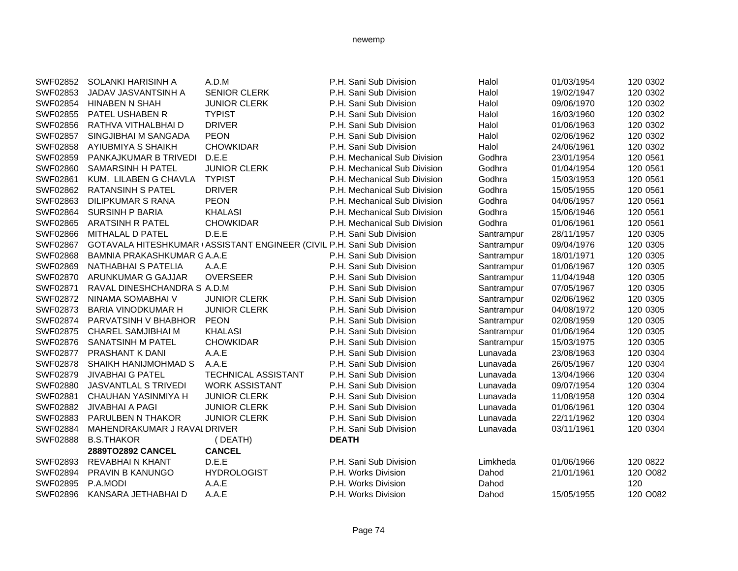| SWF02852 | SOLANKI HARISINH A          | A.D.M                                                                  | P.H. Sani Sub Division       | Halol      | 01/03/1954 | 120 0302 |
|----------|-----------------------------|------------------------------------------------------------------------|------------------------------|------------|------------|----------|
| SWF02853 | JADAV JASVANTSINH A         | <b>SENIOR CLERK</b>                                                    | P.H. Sani Sub Division       | Halol      | 19/02/1947 | 120 0302 |
| SWF02854 | <b>HINABEN N SHAH</b>       | <b>JUNIOR CLERK</b>                                                    | P.H. Sani Sub Division       | Halol      | 09/06/1970 | 120 0302 |
| SWF02855 | PATEL USHABEN R             | <b>TYPIST</b>                                                          | P.H. Sani Sub Division       | Halol      | 16/03/1960 | 120 0302 |
| SWF02856 | RATHVA VITHALBHAI D         | <b>DRIVER</b>                                                          | P.H. Sani Sub Division       | Halol      | 01/06/1963 | 120 0302 |
| SWF02857 | SINGJIBHAI M SANGADA        | <b>PEON</b>                                                            | P.H. Sani Sub Division       | Halol      | 02/06/1962 | 120 0302 |
| SWF02858 | AYIUBMIYA S SHAIKH          | <b>CHOWKIDAR</b>                                                       | P.H. Sani Sub Division       | Halol      | 24/06/1961 | 120 0302 |
| SWF02859 | PANKAJKUMAR B TRIVEDI       | D.E.E                                                                  | P.H. Mechanical Sub Division | Godhra     | 23/01/1954 | 120 0561 |
| SWF02860 | <b>SAMARSINH H PATEL</b>    | <b>JUNIOR CLERK</b>                                                    | P.H. Mechanical Sub Division | Godhra     | 01/04/1954 | 120 0561 |
| SWF02861 | KUM. LILABEN G CHAVLA       | <b>TYPIST</b>                                                          | P.H. Mechanical Sub Division | Godhra     | 15/03/1953 | 120 0561 |
| SWF02862 | <b>RATANSINH S PATEL</b>    | <b>DRIVER</b>                                                          | P.H. Mechanical Sub Division | Godhra     | 15/05/1955 | 120 0561 |
| SWF02863 | <b>DILIPKUMAR S RANA</b>    | <b>PEON</b>                                                            | P.H. Mechanical Sub Division | Godhra     | 04/06/1957 | 120 0561 |
| SWF02864 | <b>SURSINH P BARIA</b>      | <b>KHALASI</b>                                                         | P.H. Mechanical Sub Division | Godhra     | 15/06/1946 | 120 0561 |
| SWF02865 | <b>ARATSINH R PATEL</b>     | <b>CHOWKIDAR</b>                                                       | P.H. Mechanical Sub Division | Godhra     | 01/06/1961 | 120 0561 |
| SWF02866 | MITHALAL D PATEL            | D.E.E                                                                  | P.H. Sani Sub Division       | Santrampur | 28/11/1957 | 120 0305 |
| SWF02867 |                             | GOTAVALA HITESHKUMAR (ASSISTANT ENGINEER (CIVIL P.H. Sani Sub Division |                              | Santrampur | 09/04/1976 | 120 0305 |
| SWF02868 | BAMNIA PRAKASHKUMAR GA.A.E  |                                                                        | P.H. Sani Sub Division       | Santrampur | 18/01/1971 | 120 0305 |
| SWF02869 | NATHABHAI S PATELIA         | A.A.E                                                                  | P.H. Sani Sub Division       | Santrampur | 01/06/1967 | 120 0305 |
| SWF02870 | ARUNKUMAR G GAJJAR          | <b>OVERSEER</b>                                                        | P.H. Sani Sub Division       | Santrampur | 11/04/1948 | 120 0305 |
| SWF02871 | RAVAL DINESHCHANDRA S A.D.M |                                                                        | P.H. Sani Sub Division       | Santrampur | 07/05/1967 | 120 0305 |
| SWF02872 | NINAMA SOMABHAI V           | <b>JUNIOR CLERK</b>                                                    | P.H. Sani Sub Division       | Santrampur | 02/06/1962 | 120 0305 |
| SWF02873 | <b>BARIA VINODKUMAR H</b>   | <b>JUNIOR CLERK</b>                                                    | P.H. Sani Sub Division       | Santrampur | 04/08/1972 | 120 0305 |
| SWF02874 | PARVATSINH V BHABHOR        | <b>PEON</b>                                                            | P.H. Sani Sub Division       | Santrampur | 02/08/1959 | 120 0305 |
| SWF02875 | <b>CHAREL SAMJIBHAI M</b>   | <b>KHALASI</b>                                                         | P.H. Sani Sub Division       | Santrampur | 01/06/1964 | 120 0305 |
| SWF02876 | <b>SANATSINH M PATEL</b>    | <b>CHOWKIDAR</b>                                                       | P.H. Sani Sub Division       | Santrampur | 15/03/1975 | 120 0305 |
| SWF02877 | PRASHANT K DANI             | A.A.E                                                                  | P.H. Sani Sub Division       | Lunavada   | 23/08/1963 | 120 0304 |
| SWF02878 | SHAIKH HANIJMOHMAD S        | A.A.E                                                                  | P.H. Sani Sub Division       | Lunavada   | 26/05/1967 | 120 0304 |
| SWF02879 | <b>JIVABHAI G PATEL</b>     | <b>TECHNICAL ASSISTANT</b>                                             | P.H. Sani Sub Division       | Lunavada   | 13/04/1966 | 120 0304 |
| SWF02880 | <b>JASVANTLAL S TRIVEDI</b> | <b>WORK ASSISTANT</b>                                                  | P.H. Sani Sub Division       | Lunavada   | 09/07/1954 | 120 0304 |
| SWF02881 | CHAUHAN YASINMIYA H         | <b>JUNIOR CLERK</b>                                                    | P.H. Sani Sub Division       | Lunavada   | 11/08/1958 | 120 0304 |
| SWF02882 | JIVABHAI A PAGI             | <b>JUNIOR CLERK</b>                                                    | P.H. Sani Sub Division       | Lunavada   | 01/06/1961 | 120 0304 |
| SWF02883 | PARULBEN N THAKOR           | <b>JUNIOR CLERK</b>                                                    | P.H. Sani Sub Division       | Lunavada   | 22/11/1962 | 120 0304 |
| SWF02884 | MAHENDRAKUMAR J RAVALDRIVER |                                                                        | P.H. Sani Sub Division       | Lunavada   | 03/11/1961 | 120 0304 |
| SWF02888 | <b>B.S.THAKOR</b>           | (DEATH)                                                                | <b>DEATH</b>                 |            |            |          |
|          | 2889TO2892 CANCEL           | <b>CANCEL</b>                                                          |                              |            |            |          |
| SWF02893 | <b>REVABHAI N KHANT</b>     | D.E.E                                                                  | P.H. Sani Sub Division       | Limkheda   | 01/06/1966 | 120 0822 |
| SWF02894 | PRAVIN B KANUNGO            | <b>HYDROLOGIST</b>                                                     | P.H. Works Division          | Dahod      | 21/01/1961 | 120 O082 |
| SWF02895 | P.A.MODI                    | A.A.E                                                                  | P.H. Works Division          | Dahod      |            | 120      |
| SWF02896 | KANSARA JETHABHAI D         | A.A.E                                                                  | P.H. Works Division          | Dahod      | 15/05/1955 | 120 O082 |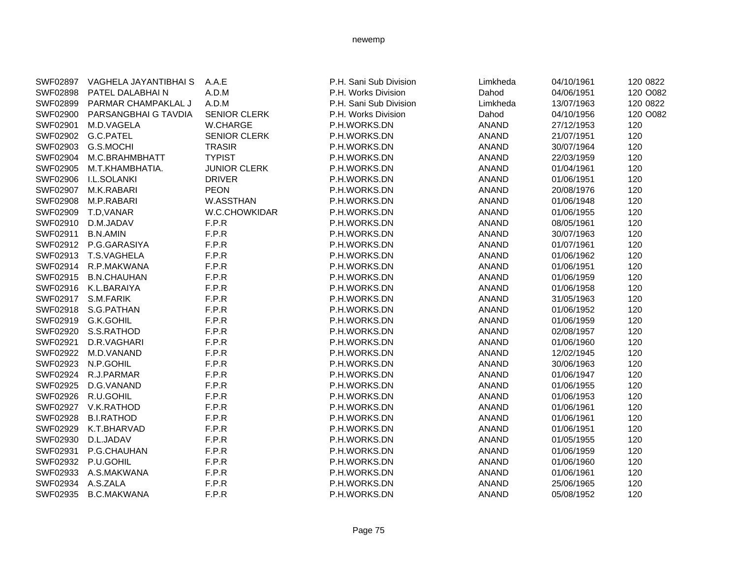|                   | SWF02897 VAGHELA JAYANTIBHAI S | A.A.E               | P.H. Sani Sub Division | Limkheda     | 04/10/1961 | 120 0822 |
|-------------------|--------------------------------|---------------------|------------------------|--------------|------------|----------|
| SWF02898          | PATEL DALABHAIN                | A.D.M               | P.H. Works Division    | Dahod        | 04/06/1951 | 120 O082 |
| SWF02899          | PARMAR CHAMPAKLAL J            | A.D.M               | P.H. Sani Sub Division | Limkheda     | 13/07/1963 | 120 0822 |
| SWF02900          | PARSANGBHAI G TAVDIA           | <b>SENIOR CLERK</b> | P.H. Works Division    | Dahod        | 04/10/1956 | 120 O082 |
| SWF02901          | M.D.VAGELA                     | W.CHARGE            | P.H.WORKS.DN           | <b>ANAND</b> | 27/12/1953 | 120      |
|                   | SWF02902 G.C.PATEL             | <b>SENIOR CLERK</b> | P.H.WORKS.DN           | <b>ANAND</b> | 21/07/1951 | 120      |
|                   | SWF02903 G.S.MOCHI             | <b>TRASIR</b>       | P.H.WORKS.DN           | <b>ANAND</b> | 30/07/1964 | 120      |
|                   | SWF02904 M.C.BRAHMBHATT        | <b>TYPIST</b>       | P.H.WORKS.DN           | <b>ANAND</b> | 22/03/1959 | 120      |
|                   | SWF02905 M.T.KHAMBHATIA.       | <b>JUNIOR CLERK</b> | P.H.WORKS.DN           | <b>ANAND</b> | 01/04/1961 | 120      |
|                   | SWF02906 I.L.SOLANKI           | <b>DRIVER</b>       | P.H.WORKS.DN           | <b>ANAND</b> | 01/06/1951 | 120      |
|                   | SWF02907 M.K.RABARI            | <b>PEON</b>         | P.H.WORKS.DN           | <b>ANAND</b> | 20/08/1976 | 120      |
| SWF02908          | M.P.RABARI                     | <b>W.ASSTHAN</b>    | P.H.WORKS.DN           | <b>ANAND</b> | 01/06/1948 | 120      |
|                   | SWF02909 T.D, VANAR            | W.C.CHOWKIDAR       | P.H.WORKS.DN           | <b>ANAND</b> | 01/06/1955 | 120      |
|                   | SWF02910 D.M.JADAV             | F.P.R               | P.H.WORKS.DN           | <b>ANAND</b> | 08/05/1961 | 120      |
| SWF02911 B.N.AMIN |                                | F.P.R               | P.H.WORKS.DN           | <b>ANAND</b> | 30/07/1963 | 120      |
|                   | SWF02912 P.G.GARASIYA          | F.P.R               | P.H.WORKS.DN           | <b>ANAND</b> | 01/07/1961 | 120      |
|                   | SWF02913 T.S.VAGHELA           | F.P.R               | P.H.WORKS.DN           | <b>ANAND</b> | 01/06/1962 | 120      |
|                   | SWF02914 R.P.MAKWANA           | F.P.R               | P.H.WORKS.DN           | <b>ANAND</b> | 01/06/1951 | 120      |
|                   | SWF02915 B.N.CHAUHAN           | F.P.R               | P.H.WORKS.DN           | <b>ANAND</b> | 01/06/1959 | 120      |
|                   | SWF02916 K.L.BARAIYA           | F.P.R               | P.H.WORKS.DN           | <b>ANAND</b> | 01/06/1958 | 120      |
|                   | SWF02917 S.M.FARIK             | F.P.R               | P.H.WORKS.DN           | <b>ANAND</b> | 31/05/1963 | 120      |
|                   | SWF02918 S.G.PATHAN            | F.P.R               | P.H.WORKS.DN           | <b>ANAND</b> | 01/06/1952 | 120      |
|                   | SWF02919 G.K.GOHIL             | F.P.R               | P.H.WORKS.DN           | <b>ANAND</b> | 01/06/1959 | 120      |
|                   | SWF02920 S.S.RATHOD            | F.P.R               | P.H.WORKS.DN           | <b>ANAND</b> | 02/08/1957 | 120      |
| SWF02921          | D.R.VAGHARI                    | F.P.R               | P.H.WORKS.DN           | <b>ANAND</b> | 01/06/1960 | 120      |
|                   | SWF02922 M.D.VANAND            | F.P.R               | P.H.WORKS.DN           | <b>ANAND</b> | 12/02/1945 | 120      |
|                   | SWF02923 N.P.GOHIL             | F.P.R               | P.H.WORKS.DN           | ANAND        | 30/06/1963 | 120      |
|                   | SWF02924 R.J.PARMAR            | F.P.R               | P.H.WORKS.DN           | <b>ANAND</b> | 01/06/1947 | 120      |
|                   | SWF02925 D.G.VANAND            | F.P.R               | P.H.WORKS.DN           | <b>ANAND</b> | 01/06/1955 | 120      |
|                   | SWF02926 R.U.GOHIL             | F.P.R               | P.H.WORKS.DN           | <b>ANAND</b> | 01/06/1953 | 120      |
|                   | SWF02927 V.K.RATHOD            | F.P.R               | P.H.WORKS.DN           | ANAND        | 01/06/1961 | 120      |
| SWF02928          | <b>B.I.RATHOD</b>              | F.P.R               | P.H.WORKS.DN           | <b>ANAND</b> | 01/06/1961 | 120      |
| SWF02929          | K.T.BHARVAD                    | F.P.R               | P.H.WORKS.DN           | ANAND        | 01/06/1951 | 120      |
| SWF02930          | D.L.JADAV                      | F.P.R               | P.H.WORKS.DN           | <b>ANAND</b> | 01/05/1955 | 120      |
| SWF02931          | P.G.CHAUHAN                    | F.P.R               | P.H.WORKS.DN           | <b>ANAND</b> | 01/06/1959 | 120      |
|                   | SWF02932 P.U.GOHIL             | F.P.R               | P.H.WORKS.DN           | <b>ANAND</b> | 01/06/1960 | 120      |
| SWF02933          | A.S.MAKWANA                    | F.P.R               | P.H.WORKS.DN           | <b>ANAND</b> | 01/06/1961 | 120      |
| SWF02934 A.S.ZALA |                                | F.P.R               | P.H.WORKS.DN           | <b>ANAND</b> | 25/06/1965 | 120      |
|                   | SWF02935 B.C.MAKWANA           | F.P.R               | P.H.WORKS.DN           | <b>ANAND</b> | 05/08/1952 | 120      |
|                   |                                |                     |                        |              |            |          |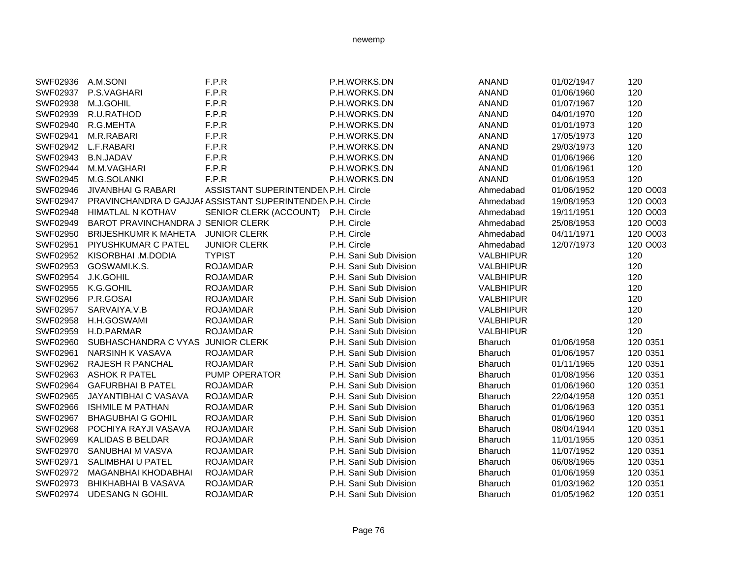| SWF02936 | A.M.SONI                           | F.P.R                                                      | P.H.WORKS.DN           | <b>ANAND</b>     | 01/02/1947 | 120      |
|----------|------------------------------------|------------------------------------------------------------|------------------------|------------------|------------|----------|
| SWF02937 | P.S.VAGHARI                        | F.P.R                                                      | P.H.WORKS.DN           | <b>ANAND</b>     | 01/06/1960 | 120      |
| SWF02938 | M.J.GOHIL                          | F.P.R                                                      | P.H.WORKS.DN           | <b>ANAND</b>     | 01/07/1967 | 120      |
| SWF02939 | R.U.RATHOD                         | F.P.R                                                      | P.H.WORKS.DN           | <b>ANAND</b>     | 04/01/1970 | 120      |
| SWF02940 | R.G.MEHTA                          | F.P.R                                                      | P.H.WORKS.DN           | <b>ANAND</b>     | 01/01/1973 | 120      |
| SWF02941 | M.R.RABARI                         | F.P.R                                                      | P.H.WORKS.DN           | <b>ANAND</b>     | 17/05/1973 | 120      |
| SWF02942 | L.F.RABARI                         | F.P.R                                                      | P.H.WORKS.DN           | <b>ANAND</b>     | 29/03/1973 | 120      |
| SWF02943 | <b>B.N.JADAV</b>                   | F.P.R                                                      | P.H.WORKS.DN           | <b>ANAND</b>     | 01/06/1966 | 120      |
| SWF02944 | M.M.VAGHARI                        | F.P.R                                                      | P.H.WORKS.DN           | <b>ANAND</b>     | 01/06/1961 | 120      |
| SWF02945 | M.G.SOLANKI                        | F.P.R                                                      | P.H.WORKS.DN           | <b>ANAND</b>     | 01/06/1953 | 120      |
| SWF02946 | <b>JIVANBHAI G RABARI</b>          | ASSISTANT SUPERINTENDEN P.H. Circle                        |                        | Ahmedabad        | 01/06/1952 | 120 O003 |
| SWF02947 |                                    | PRAVINCHANDRA D GAJJAF ASSISTANT SUPERINTENDEN P.H. Circle |                        | Ahmedabad        | 19/08/1953 | 120 O003 |
| SWF02948 | HIMATLAL N KOTHAV                  | SENIOR CLERK (ACCOUNT)                                     | P.H. Circle            | Ahmedabad        | 19/11/1951 | 120 O003 |
| SWF02949 | BAROT PRAVINCHANDRA J SENIOR CLERK |                                                            | P.H. Circle            | Ahmedabad        | 25/08/1953 | 120 O003 |
| SWF02950 | <b>BRIJESHKUMR K MAHETA</b>        | <b>JUNIOR CLERK</b>                                        | P.H. Circle            | Ahmedabad        | 04/11/1971 | 120 O003 |
| SWF02951 | PIYUSHKUMAR C PATEL                | <b>JUNIOR CLERK</b>                                        | P.H. Circle            | Ahmedabad        | 12/07/1973 | 120 O003 |
| SWF02952 | KISORBHAI .M.DODIA                 | <b>TYPIST</b>                                              | P.H. Sani Sub Division | <b>VALBHIPUR</b> |            | 120      |
| SWF02953 | GOSWAMI.K.S.                       | <b>ROJAMDAR</b>                                            | P.H. Sani Sub Division | <b>VALBHIPUR</b> |            | 120      |
| SWF02954 | J.K.GOHIL                          | <b>ROJAMDAR</b>                                            | P.H. Sani Sub Division | <b>VALBHIPUR</b> |            | 120      |
| SWF02955 | K.G.GOHIL                          | <b>ROJAMDAR</b>                                            | P.H. Sani Sub Division | <b>VALBHIPUR</b> |            | 120      |
| SWF02956 | P.R.GOSAI                          | <b>ROJAMDAR</b>                                            | P.H. Sani Sub Division | VALBHIPUR        |            | 120      |
| SWF02957 | SARVAIYA.V.B                       | <b>ROJAMDAR</b>                                            | P.H. Sani Sub Division | <b>VALBHIPUR</b> |            | 120      |
| SWF02958 | H.H.GOSWAMI                        | <b>ROJAMDAR</b>                                            | P.H. Sani Sub Division | <b>VALBHIPUR</b> |            | 120      |
| SWF02959 | H.D.PARMAR                         | <b>ROJAMDAR</b>                                            | P.H. Sani Sub Division | <b>VALBHIPUR</b> |            | 120      |
| SWF02960 | SUBHASCHANDRA C VYAS               | <b>JUNIOR CLERK</b>                                        | P.H. Sani Sub Division | Bharuch          | 01/06/1958 | 120 0351 |
| SWF02961 | <b>NARSINH K VASAVA</b>            | <b>ROJAMDAR</b>                                            | P.H. Sani Sub Division | <b>Bharuch</b>   | 01/06/1957 | 120 0351 |
| SWF02962 | RAJESH R PANCHAL                   | <b>ROJAMDAR</b>                                            | P.H. Sani Sub Division | Bharuch          | 01/11/1965 | 120 0351 |
| SWF02963 | <b>ASHOK R PATEL</b>               | PUMP OPERATOR                                              | P.H. Sani Sub Division | Bharuch          | 01/08/1956 | 120 0351 |
| SWF02964 | <b>GAFURBHAI B PATEL</b>           | <b>ROJAMDAR</b>                                            | P.H. Sani Sub Division | Bharuch          | 01/06/1960 | 120 0351 |
| SWF02965 | <b>JAYANTIBHAI C VASAVA</b>        | <b>ROJAMDAR</b>                                            | P.H. Sani Sub Division | <b>Bharuch</b>   | 22/04/1958 | 120 0351 |
| SWF02966 | <b>ISHMILE M PATHAN</b>            | <b>ROJAMDAR</b>                                            | P.H. Sani Sub Division | <b>Bharuch</b>   | 01/06/1963 | 120 0351 |
| SWF02967 | <b>BHAGUBHAI G GOHIL</b>           | <b>ROJAMDAR</b>                                            | P.H. Sani Sub Division | <b>Bharuch</b>   | 01/06/1960 | 120 0351 |
| SWF02968 | POCHIYA RAYJI VASAVA               | <b>ROJAMDAR</b>                                            | P.H. Sani Sub Division | Bharuch          | 08/04/1944 | 120 0351 |
| SWF02969 | <b>KALIDAS B BELDAR</b>            | <b>ROJAMDAR</b>                                            | P.H. Sani Sub Division | Bharuch          | 11/01/1955 | 120 0351 |
| SWF02970 | SANUBHAI M VASVA                   | <b>ROJAMDAR</b>                                            | P.H. Sani Sub Division | <b>Bharuch</b>   | 11/07/1952 | 120 0351 |
| SWF02971 | SALIMBHAI U PATEL                  | <b>ROJAMDAR</b>                                            | P.H. Sani Sub Division | Bharuch          | 06/08/1965 | 120 0351 |
| SWF02972 | <b>MAGANBHAI KHODABHAI</b>         | <b>ROJAMDAR</b>                                            | P.H. Sani Sub Division | Bharuch          | 01/06/1959 | 120 0351 |
| SWF02973 | <b>BHIKHABHAI B VASAVA</b>         | <b>ROJAMDAR</b>                                            | P.H. Sani Sub Division | Bharuch          | 01/03/1962 | 120 0351 |
| SWF02974 | <b>UDESANG N GOHIL</b>             | <b>ROJAMDAR</b>                                            | P.H. Sani Sub Division | <b>Bharuch</b>   | 01/05/1962 | 120 0351 |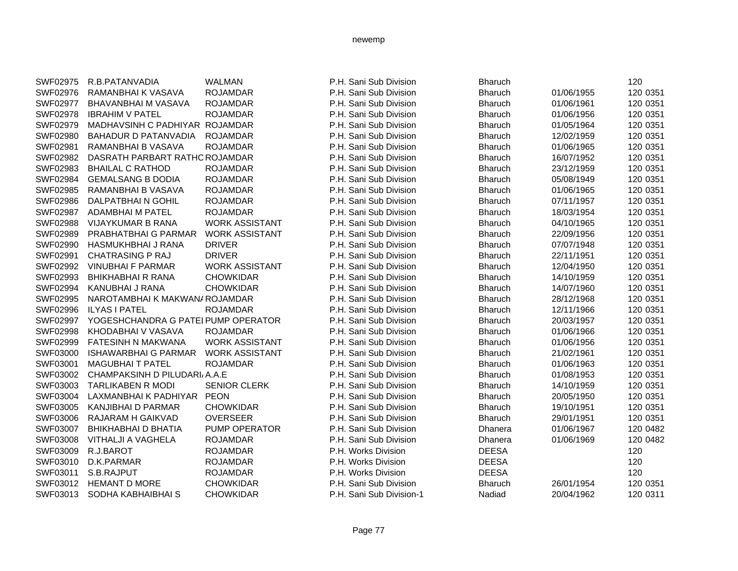| SWF02975 | R.B.PATANVADIA                      | <b>WALMAN</b>         | P.H. Sani Sub Division   | <b>Bharuch</b> |            | 120      |
|----------|-------------------------------------|-----------------------|--------------------------|----------------|------------|----------|
| SWF02976 | RAMANBHAI K VASAVA                  | <b>ROJAMDAR</b>       | P.H. Sani Sub Division   | <b>Bharuch</b> | 01/06/1955 | 120 0351 |
| SWF02977 | BHAVANBHAI M VASAVA                 | <b>ROJAMDAR</b>       | P.H. Sani Sub Division   | <b>Bharuch</b> | 01/06/1961 | 120 0351 |
| SWF02978 | <b>IBRAHIM V PATEL</b>              | <b>ROJAMDAR</b>       | P.H. Sani Sub Division   | <b>Bharuch</b> | 01/06/1956 | 120 0351 |
| SWF02979 | MADHAVSINH C PADHIYAR ROJAMDAR      |                       | P.H. Sani Sub Division   | <b>Bharuch</b> | 01/05/1964 | 120 0351 |
| SWF02980 | <b>BAHADUR D PATANVADIA</b>         | <b>ROJAMDAR</b>       | P.H. Sani Sub Division   | <b>Bharuch</b> | 12/02/1959 | 120 0351 |
| SWF02981 | RAMANBHAI B VASAVA                  | <b>ROJAMDAR</b>       | P.H. Sani Sub Division   | <b>Bharuch</b> | 01/06/1965 | 120 0351 |
| SWF02982 | DASRATH PARBART RATHOROJAMDAR       |                       | P.H. Sani Sub Division   | <b>Bharuch</b> | 16/07/1952 | 120 0351 |
| SWF02983 | <b>BHAILAL C RATHOD</b>             | <b>ROJAMDAR</b>       | P.H. Sani Sub Division   | <b>Bharuch</b> | 23/12/1959 | 120 0351 |
| SWF02984 | <b>GEMALSANG B DODIA</b>            | <b>ROJAMDAR</b>       | P.H. Sani Sub Division   | <b>Bharuch</b> | 05/08/1949 | 120 0351 |
| SWF02985 | RAMANBHAI B VASAVA                  | <b>ROJAMDAR</b>       | P.H. Sani Sub Division   | <b>Bharuch</b> | 01/06/1965 | 120 0351 |
| SWF02986 | DALPATBHAIN GOHIL                   | <b>ROJAMDAR</b>       | P.H. Sani Sub Division   | <b>Bharuch</b> | 07/11/1957 | 120 0351 |
| SWF02987 | ADAMBHAI M PATEL                    | <b>ROJAMDAR</b>       | P.H. Sani Sub Division   | <b>Bharuch</b> | 18/03/1954 | 120 0351 |
| SWF02988 | <b>VIJAYKUMAR B RANA</b>            | <b>WORK ASSISTANT</b> | P.H. Sani Sub Division   | <b>Bharuch</b> | 04/10/1965 | 120 0351 |
| SWF02989 | PRABHATBHAI G PARMAR                | <b>WORK ASSISTANT</b> | P.H. Sani Sub Division   | <b>Bharuch</b> | 22/09/1956 | 120 0351 |
| SWF02990 | HASMUKHBHAI J RANA                  | <b>DRIVER</b>         | P.H. Sani Sub Division   | <b>Bharuch</b> | 07/07/1948 | 120 0351 |
| SWF02991 | <b>CHATRASING P RAJ</b>             | <b>DRIVER</b>         | P.H. Sani Sub Division   | <b>Bharuch</b> | 22/11/1951 | 120 0351 |
| SWF02992 | <b>VINUBHAI F PARMAR</b>            | <b>WORK ASSISTANT</b> | P.H. Sani Sub Division   | <b>Bharuch</b> | 12/04/1950 | 120 0351 |
| SWF02993 | <b>BHIKHABHAI R RANA</b>            | <b>CHOWKIDAR</b>      | P.H. Sani Sub Division   | <b>Bharuch</b> | 14/10/1959 | 120 0351 |
| SWF02994 | KANUBHAI J RANA                     | <b>CHOWKIDAR</b>      | P.H. Sani Sub Division   | <b>Bharuch</b> | 14/07/1960 | 120 0351 |
| SWF02995 | NAROTAMBHAI K MAKWAN/ ROJAMDAR      |                       | P.H. Sani Sub Division   | <b>Bharuch</b> | 28/12/1968 | 120 0351 |
| SWF02996 | <b>ILYAS I PATEL</b>                | <b>ROJAMDAR</b>       | P.H. Sani Sub Division   | <b>Bharuch</b> | 12/11/1966 | 120 0351 |
| SWF02997 | YOGESHCHANDRA G PATEI PUMP OPERATOR |                       | P.H. Sani Sub Division   | <b>Bharuch</b> | 20/03/1957 | 120 0351 |
| SWF02998 | KHODABHAI V VASAVA                  | <b>ROJAMDAR</b>       | P.H. Sani Sub Division   | <b>Bharuch</b> | 01/06/1966 | 120 0351 |
| SWF02999 | <b>FATESINH N MAKWANA</b>           | <b>WORK ASSISTANT</b> | P.H. Sani Sub Division   | <b>Bharuch</b> | 01/06/1956 | 120 0351 |
| SWF03000 | <b>ISHAWARBHAI G PARMAR</b>         | <b>WORK ASSISTANT</b> | P.H. Sani Sub Division   | <b>Bharuch</b> | 21/02/1961 | 120 0351 |
| SWF03001 | <b>MAGUBHAI T PATEL</b>             | <b>ROJAMDAR</b>       | P.H. Sani Sub Division   | <b>Bharuch</b> | 01/06/1963 | 120 0351 |
| SWF03002 | CHAMPAKSINH D PILUDARI A.A.E        |                       | P.H. Sani Sub Division   | <b>Bharuch</b> | 01/08/1953 | 120 0351 |
| SWF03003 | <b>TARLIKABEN R MODI</b>            | <b>SENIOR CLERK</b>   | P.H. Sani Sub Division   | <b>Bharuch</b> | 14/10/1959 | 120 0351 |
| SWF03004 | LAXMANBHAI K PADHIYAR               | <b>PEON</b>           | P.H. Sani Sub Division   | <b>Bharuch</b> | 20/05/1950 | 120 0351 |
| SWF03005 | <b>KANJIBHAI D PARMAR</b>           | <b>CHOWKIDAR</b>      | P.H. Sani Sub Division   | <b>Bharuch</b> | 19/10/1951 | 120 0351 |
| SWF03006 | RAJARAM H GAIKVAD                   | <b>OVERSEER</b>       | P.H. Sani Sub Division   | <b>Bharuch</b> | 29/01/1951 | 120 0351 |
| SWF03007 | <b>BHIKHABHAI D BHATIA</b>          | PUMP OPERATOR         | P.H. Sani Sub Division   | Dhanera        | 01/06/1967 | 120 0482 |
| SWF03008 | VITHALJI A VAGHELA                  | <b>ROJAMDAR</b>       | P.H. Sani Sub Division   | Dhanera        | 01/06/1969 | 120 0482 |
| SWF03009 | R.J.BAROT                           | <b>ROJAMDAR</b>       | P.H. Works Division      | <b>DEESA</b>   |            | 120      |
| SWF03010 | D.K.PARMAR                          | <b>ROJAMDAR</b>       | P.H. Works Division      | <b>DEESA</b>   |            | 120      |
| SWF03011 | S.B.RAJPUT                          | <b>ROJAMDAR</b>       | P.H. Works Division      | <b>DEESA</b>   |            | 120      |
| SWF03012 | <b>HEMANT D MORE</b>                | <b>CHOWKIDAR</b>      | P.H. Sani Sub Division   | <b>Bharuch</b> | 26/01/1954 | 120 0351 |
| SWF03013 | SODHA KABHAIBHAI S                  | <b>CHOWKIDAR</b>      | P.H. Sani Sub Division-1 | Nadiad         | 20/04/1962 | 120 0311 |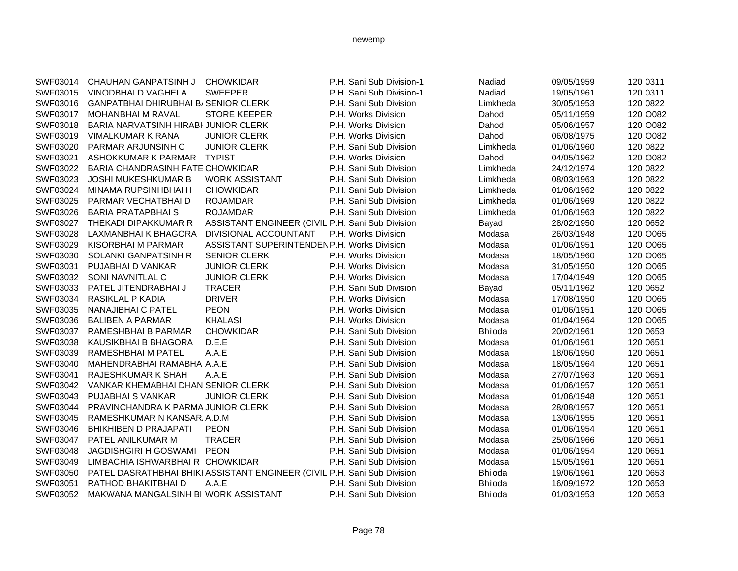| SWF03014 | CHAUHAN GANPATSINH J                       | <b>CHOWKIDAR</b>                                                         | P.H. Sani Sub Division-1 | Nadiad         | 09/05/1959 | 120 0311 |
|----------|--------------------------------------------|--------------------------------------------------------------------------|--------------------------|----------------|------------|----------|
| SWF03015 | VINODBHAI D VAGHELA                        | <b>SWEEPER</b>                                                           | P.H. Sani Sub Division-1 | Nadiad         | 19/05/1961 | 120 0311 |
| SWF03016 | <b>GANPATBHAI DHIRUBHAI B/SENIOR CLERK</b> |                                                                          | P.H. Sani Sub Division   | Limkheda       | 30/05/1953 | 120 0822 |
| SWF03017 | <b>MOHANBHAI M RAVAL</b>                   | <b>STORE KEEPER</b>                                                      | P.H. Works Division      | Dahod          | 05/11/1959 | 120 O082 |
| SWF03018 | BARIA NARVATSINH HIRABI JUNIOR CLERK       |                                                                          | P.H. Works Division      | Dahod          | 05/06/1957 | 120 O082 |
| SWF03019 | <b>VIMALKUMAR K RANA</b>                   | <b>JUNIOR CLERK</b>                                                      | P.H. Works Division      | Dahod          | 06/08/1975 | 120 O082 |
| SWF03020 | PARMAR ARJUNSINH C                         | <b>JUNIOR CLERK</b>                                                      | P.H. Sani Sub Division   | Limkheda       | 01/06/1960 | 120 0822 |
| SWF03021 | ASHOKKUMAR K PARMAR                        | <b>TYPIST</b>                                                            | P.H. Works Division      | Dahod          | 04/05/1962 | 120 O082 |
| SWF03022 | <b>BARIA CHANDRASINH FATE CHOWKIDAR</b>    |                                                                          | P.H. Sani Sub Division   | Limkheda       | 24/12/1974 | 120 0822 |
| SWF03023 | <b>JOSHI MUKESHKUMAR B</b>                 | <b>WORK ASSISTANT</b>                                                    | P.H. Sani Sub Division   | Limkheda       | 08/03/1963 | 120 0822 |
| SWF03024 | MINAMA RUPSINHBHAI H                       | <b>CHOWKIDAR</b>                                                         | P.H. Sani Sub Division   | Limkheda       | 01/06/1962 | 120 0822 |
| SWF03025 | PARMAR VECHATBHAI D                        | <b>ROJAMDAR</b>                                                          | P.H. Sani Sub Division   | Limkheda       | 01/06/1969 | 120 0822 |
| SWF03026 | <b>BARIA PRATAPBHAI S</b>                  | <b>ROJAMDAR</b>                                                          | P.H. Sani Sub Division   | Limkheda       | 01/06/1963 | 120 0822 |
| SWF03027 | THEKADI DIPAKKUMAR R                       | ASSISTANT ENGINEER (CIVIL P.H. Sani Sub Division                         |                          | Bayad          | 28/02/1950 | 120 0652 |
| SWF03028 | LAXMANBHAI K BHAGORA                       | DIVISIONAL ACCOUNTANT                                                    | P.H. Works Division      | Modasa         | 26/03/1948 | 120 O065 |
| SWF03029 | KISORBHAI M PARMAR                         | <b>ASSISTANT SUPERINTENDEN P.H. Works Division</b>                       |                          | Modasa         | 01/06/1951 | 120 O065 |
| SWF03030 | SOLANKI GANPATSINH R                       | <b>SENIOR CLERK</b>                                                      | P.H. Works Division      | Modasa         | 18/05/1960 | 120 O065 |
| SWF03031 | <b>PUJABHAI D VANKAR</b>                   | <b>JUNIOR CLERK</b>                                                      | P.H. Works Division      | Modasa         | 31/05/1950 | 120 O065 |
| SWF03032 | SONI NAVNITLAL C                           | <b>JUNIOR CLERK</b>                                                      | P.H. Works Division      | Modasa         | 17/04/1949 | 120 O065 |
| SWF03033 | PATEL JITENDRABHAI J                       | <b>TRACER</b>                                                            | P.H. Sani Sub Division   | Bayad          | 05/11/1962 | 120 0652 |
| SWF03034 | RASIKLAL P KADIA                           | <b>DRIVER</b>                                                            | P.H. Works Division      | Modasa         | 17/08/1950 | 120 O065 |
| SWF03035 | <b>NANAJIBHAI C PATEL</b>                  | <b>PEON</b>                                                              | P.H. Works Division      | Modasa         | 01/06/1951 | 120 O065 |
| SWF03036 | <b>BALIBEN A PARMAR</b>                    | <b>KHALASI</b>                                                           | P.H. Works Division      | Modasa         | 01/04/1964 | 120 O065 |
| SWF03037 | <b>RAMESHBHAI B PARMAR</b>                 | <b>CHOWKIDAR</b>                                                         | P.H. Sani Sub Division   | <b>Bhiloda</b> | 20/02/1961 | 120 0653 |
| SWF03038 | KAUSIKBHAI B BHAGORA                       | D.E.E                                                                    | P.H. Sani Sub Division   | Modasa         | 01/06/1961 | 120 0651 |
| SWF03039 | RAMESHBHAI M PATEL                         | A.A.E                                                                    | P.H. Sani Sub Division   | Modasa         | 18/06/1950 | 120 0651 |
| SWF03040 | MAHENDRABHAI RAMABHAIA.A.E                 |                                                                          | P.H. Sani Sub Division   | Modasa         | 18/05/1964 | 120 0651 |
| SWF03041 | RAJESHKUMAR K SHAH                         | A.A.E                                                                    | P.H. Sani Sub Division   | Modasa         | 27/07/1963 | 120 0651 |
| SWF03042 | VANKAR KHEMABHAI DHAN SENIOR CLERK         |                                                                          | P.H. Sani Sub Division   | Modasa         | 01/06/1957 | 120 0651 |
| SWF03043 | PUJABHAI S VANKAR                          | <b>JUNIOR CLERK</b>                                                      | P.H. Sani Sub Division   | Modasa         | 01/06/1948 | 120 0651 |
| SWF03044 | PRAVINCHANDRA K PARMA JUNIOR CLERK         |                                                                          | P.H. Sani Sub Division   | Modasa         | 28/08/1957 | 120 0651 |
| SWF03045 | RAMESHKUMAR N KANSAR A.D.M                 |                                                                          | P.H. Sani Sub Division   | Modasa         | 13/06/1955 | 120 0651 |
| SWF03046 | <b>BHIKHIBEN D PRAJAPATI</b>               | <b>PEON</b>                                                              | P.H. Sani Sub Division   | Modasa         | 01/06/1954 | 120 0651 |
| SWF03047 | PATEL ANILKUMAR M                          | <b>TRACER</b>                                                            | P.H. Sani Sub Division   | Modasa         | 25/06/1966 | 120 0651 |
| SWF03048 | <b>JAGDISHGIRI H GOSWAMI</b>               | <b>PEON</b>                                                              | P.H. Sani Sub Division   | Modasa         | 01/06/1954 | 120 0651 |
| SWF03049 | LIMBACHIA ISHWARBHAI R CHOWKIDAR           |                                                                          | P.H. Sani Sub Division   | Modasa         | 15/05/1961 | 120 0651 |
| SWF03050 |                                            | PATEL DASRATHBHAI BHIKI ASSISTANT ENGINEER (CIVIL P.H. Sani Sub Division |                          | <b>Bhiloda</b> | 19/06/1961 | 120 0653 |
| SWF03051 | RATHOD BHAKITBHAI D                        | A.A.E                                                                    | P.H. Sani Sub Division   | <b>Bhiloda</b> | 16/09/1972 | 120 0653 |
| SWF03052 | MAKWANA MANGALSINH BIIWORK ASSISTANT       |                                                                          | P.H. Sani Sub Division   | <b>Bhiloda</b> | 01/03/1953 | 120 0653 |
|          |                                            |                                                                          |                          |                |            |          |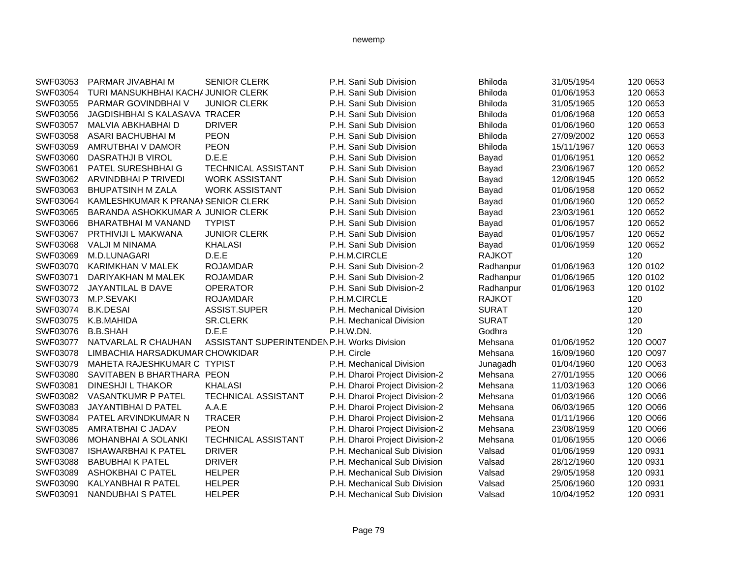| SWF03053 | PARMAR JIVABHAI M                   | <b>SENIOR CLERK</b>                         | P.H. Sani Sub Division         | <b>Bhiloda</b> | 31/05/1954 | 120 0653 |
|----------|-------------------------------------|---------------------------------------------|--------------------------------|----------------|------------|----------|
| SWF03054 | TURI MANSUKHBHAI KACHA JUNIOR CLERK |                                             | P.H. Sani Sub Division         | Bhiloda        | 01/06/1953 | 120 0653 |
| SWF03055 | PARMAR GOVINDBHAI V                 | <b>JUNIOR CLERK</b>                         | P.H. Sani Sub Division         | <b>Bhiloda</b> | 31/05/1965 | 120 0653 |
| SWF03056 | JAGDISHBHAI S KALASAVA TRACER       |                                             | P.H. Sani Sub Division         | <b>Bhiloda</b> | 01/06/1968 | 120 0653 |
| SWF03057 | MALVIA ABKHABHAI D                  | <b>DRIVER</b>                               | P.H. Sani Sub Division         | <b>Bhiloda</b> | 01/06/1960 | 120 0653 |
| SWF03058 | ASARI BACHUBHAI M                   | <b>PEON</b>                                 | P.H. Sani Sub Division         | <b>Bhiloda</b> | 27/09/2002 | 120 0653 |
| SWF03059 | AMRUTBHAI V DAMOR                   | <b>PEON</b>                                 | P.H. Sani Sub Division         | <b>Bhiloda</b> | 15/11/1967 | 120 0653 |
| SWF03060 | DASRATHJI B VIROL                   | D.E.E                                       | P.H. Sani Sub Division         | Bayad          | 01/06/1951 | 120 0652 |
| SWF03061 | PATEL SURESHBHAI G                  | TECHNICAL ASSISTANT                         | P.H. Sani Sub Division         | Bayad          | 23/06/1967 | 120 0652 |
| SWF03062 | ARVINDBHAI P TRIVEDI                | <b>WORK ASSISTANT</b>                       | P.H. Sani Sub Division         | Bayad          | 12/08/1945 | 120 0652 |
| SWF03063 | <b>BHUPATSINH M ZALA</b>            | <b>WORK ASSISTANT</b>                       | P.H. Sani Sub Division         | Bayad          | 01/06/1958 | 120 0652 |
| SWF03064 | KAMLESHKUMAR K PRANAM SENIOR CLERK  |                                             | P.H. Sani Sub Division         | Bayad          | 01/06/1960 | 120 0652 |
| SWF03065 | BARANDA ASHOKKUMAR A JUNIOR CLERK   |                                             | P.H. Sani Sub Division         | Bayad          | 23/03/1961 | 120 0652 |
| SWF03066 | BHARATBHAI M VANAND                 | <b>TYPIST</b>                               | P.H. Sani Sub Division         | Bayad          | 01/06/1957 | 120 0652 |
| SWF03067 | <b>PRTHIVIJI L MAKWANA</b>          | <b>JUNIOR CLERK</b>                         | P.H. Sani Sub Division         | Bayad          | 01/06/1957 | 120 0652 |
| SWF03068 | VALJI M NINAMA                      | <b>KHALASI</b>                              | P.H. Sani Sub Division         | Bayad          | 01/06/1959 | 120 0652 |
| SWF03069 | M.D.LUNAGARI                        | D.E.E                                       | P.H.M.CIRCLE                   | <b>RAJKOT</b>  |            | 120      |
| SWF03070 | KARIMKHAN V MALEK                   | <b>ROJAMDAR</b>                             | P.H. Sani Sub Division-2       | Radhanpur      | 01/06/1963 | 120 0102 |
| SWF03071 | DARIYAKHAN M MALEK                  | <b>ROJAMDAR</b>                             | P.H. Sani Sub Division-2       | Radhanpur      | 01/06/1965 | 120 0102 |
| SWF03072 | JAYANTILAL B DAVE                   | <b>OPERATOR</b>                             | P.H. Sani Sub Division-2       | Radhanpur      | 01/06/1963 | 120 0102 |
| SWF03073 | M.P.SEVAKI                          | <b>ROJAMDAR</b>                             | P.H.M.CIRCLE                   | <b>RAJKOT</b>  |            | 120      |
| SWF03074 | <b>B.K.DESAI</b>                    | ASSIST.SUPER                                | P.H. Mechanical Division       | <b>SURAT</b>   |            | 120      |
| SWF03075 | K.B.MAHIDA                          | <b>SR.CLERK</b>                             | P.H. Mechanical Division       | <b>SURAT</b>   |            | 120      |
| SWF03076 | <b>B.B.SHAH</b>                     | D.E.E                                       | P.H.W.DN.                      | Godhra         |            | 120      |
| SWF03077 | NATVARLAL R CHAUHAN                 | ASSISTANT SUPERINTENDEN P.H. Works Division |                                | Mehsana        | 01/06/1952 | 120 O007 |
| SWF03078 | LIMBACHIA HARSADKUMAR CHOWKIDAR     |                                             | P.H. Circle                    | Mehsana        | 16/09/1960 | 120 O097 |
| SWF03079 | MAHETA RAJESHKUMAR C TYPIST         |                                             | P.H. Mechanical Division       | Junagadh       | 01/04/1960 | 120 O063 |
| SWF03080 | SAVITABEN B BHARTHARA PEON          |                                             | P.H. Dharoi Project Division-2 | Mehsana        | 27/01/1955 | 120 O066 |
| SWF03081 | <b>DINESHJI L THAKOR</b>            | <b>KHALASI</b>                              | P.H. Dharoi Project Division-2 | Mehsana        | 11/03/1963 | 120 O066 |
| SWF03082 | <b>VASANTKUMR P PATEL</b>           | <b>TECHNICAL ASSISTANT</b>                  | P.H. Dharoi Project Division-2 | Mehsana        | 01/03/1966 | 120 O066 |
| SWF03083 | JAYANTIBHAI D PATEL                 | A.A.E                                       | P.H. Dharoi Project Division-2 | Mehsana        | 06/03/1965 | 120 O066 |
| SWF03084 | PATEL ARVINDKUMAR N                 | <b>TRACER</b>                               | P.H. Dharoi Project Division-2 | Mehsana        | 01/11/1966 | 120 O066 |
| SWF03085 | AMRATBHAI C JADAV                   | <b>PEON</b>                                 | P.H. Dharoi Project Division-2 | Mehsana        | 23/08/1959 | 120 O066 |
| SWF03086 | MOHANBHAI A SOLANKI                 | TECHNICAL ASSISTANT                         | P.H. Dharoi Project Division-2 | Mehsana        | 01/06/1955 | 120 O066 |
| SWF03087 | <b>ISHAWARBHAI K PATEL</b>          | <b>DRIVER</b>                               | P.H. Mechanical Sub Division   | Valsad         | 01/06/1959 | 120 0931 |
| SWF03088 | <b>BABUBHAI K PATEL</b>             | <b>DRIVER</b>                               | P.H. Mechanical Sub Division   | Valsad         | 28/12/1960 | 120 0931 |
| SWF03089 | <b>ASHOKBHAI C PATEL</b>            | <b>HELPER</b>                               | P.H. Mechanical Sub Division   | Valsad         | 29/05/1958 | 120 0931 |
| SWF03090 | <b>KALYANBHAI R PATEL</b>           | <b>HELPER</b>                               | P.H. Mechanical Sub Division   | Valsad         | 25/06/1960 | 120 0931 |
| SWF03091 | NANDUBHAI S PATEL                   | <b>HELPER</b>                               | P.H. Mechanical Sub Division   | Valsad         | 10/04/1952 | 120 0931 |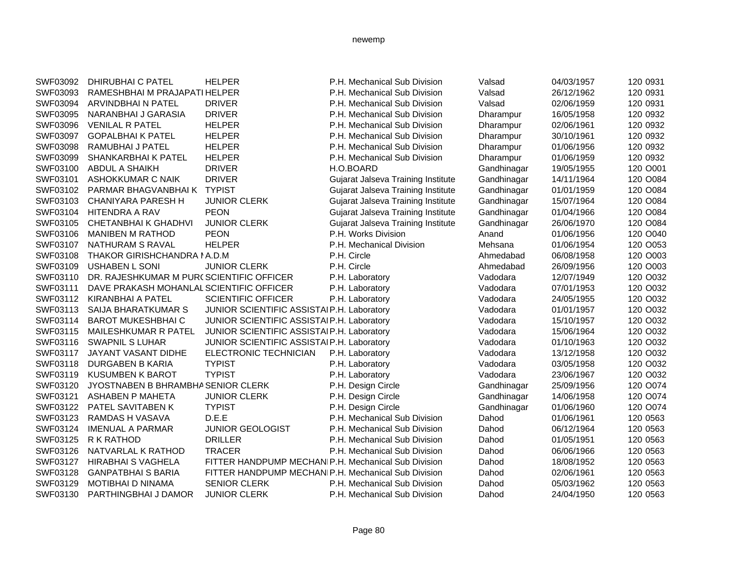| SWF03092 | DHIRUBHAI C PATEL                        | <b>HELPER</b>                                       | P.H. Mechanical Sub Division              | Valsad      | 04/03/1957 | 120 0931 |
|----------|------------------------------------------|-----------------------------------------------------|-------------------------------------------|-------------|------------|----------|
| SWF03093 | RAMESHBHAI M PRAJAPATI HELPER            |                                                     | P.H. Mechanical Sub Division              | Valsad      | 26/12/1962 | 120 0931 |
| SWF03094 | ARVINDBHAI N PATEL                       | <b>DRIVER</b>                                       | P.H. Mechanical Sub Division              | Valsad      | 02/06/1959 | 120 0931 |
| SWF03095 | NARANBHAI J GARASIA                      | <b>DRIVER</b>                                       | P.H. Mechanical Sub Division              | Dharampur   | 16/05/1958 | 120 0932 |
| SWF03096 | <b>VENILAL R PATEL</b>                   | <b>HELPER</b>                                       | P.H. Mechanical Sub Division              | Dharampur   | 02/06/1961 | 120 0932 |
| SWF03097 | <b>GOPALBHAIK PATEL</b>                  | <b>HELPER</b>                                       | P.H. Mechanical Sub Division              | Dharampur   | 30/10/1961 | 120 0932 |
| SWF03098 | RAMUBHAI J PATEL                         | <b>HELPER</b>                                       | P.H. Mechanical Sub Division              | Dharampur   | 01/06/1956 | 120 0932 |
| SWF03099 | <b>SHANKARBHAI K PATEL</b>               | <b>HELPER</b>                                       | P.H. Mechanical Sub Division              | Dharampur   | 01/06/1959 | 120 0932 |
| SWF03100 | <b>ABDUL A SHAIKH</b>                    | <b>DRIVER</b>                                       | H.O.BOARD                                 | Gandhinagar | 19/05/1955 | 120 O001 |
| SWF03101 | ASHOKKUMAR C NAIK                        | <b>DRIVER</b>                                       | Gujarat Jalseva Training Institute        | Gandhinagar | 14/11/1964 | 120 O084 |
| SWF03102 | PARMAR BHAGVANBHAI K                     | <b>TYPIST</b>                                       | <b>Gujarat Jalseva Training Institute</b> | Gandhinagar | 01/01/1959 | 120 O084 |
| SWF03103 | CHANIYARA PARESH H                       | <b>JUNIOR CLERK</b>                                 | Gujarat Jalseva Training Institute        | Gandhinagar | 15/07/1964 | 120 O084 |
| SWF03104 | <b>HITENDRA A RAV</b>                    | <b>PEON</b>                                         | Gujarat Jalseva Training Institute        | Gandhinagar | 01/04/1966 | 120 O084 |
| SWF03105 | <b>CHETANBHAI K GHADHVI</b>              | <b>JUNIOR CLERK</b>                                 | Gujarat Jalseva Training Institute        | Gandhinagar | 26/06/1970 | 120 O084 |
| SWF03106 | <b>MANIBEN M RATHOD</b>                  | <b>PEON</b>                                         | P.H. Works Division                       | Anand       | 01/06/1956 | 120 O040 |
| SWF03107 | NATHURAM S RAVAL                         | <b>HELPER</b>                                       | P.H. Mechanical Division                  | Mehsana     | 01/06/1954 | 120 O053 |
| SWF03108 | <b>THAKOR GIRISHCHANDRA NA.D.M</b>       |                                                     | P.H. Circle                               | Ahmedabad   | 06/08/1958 | 120 O003 |
| SWF03109 | <b>USHABEN L SONI</b>                    | <b>JUNIOR CLERK</b>                                 | P.H. Circle                               | Ahmedabad   | 26/09/1956 | 120 O003 |
| SWF03110 | DR. RAJESHKUMAR M PUR(SCIENTIFIC OFFICER |                                                     | P.H. Laboratory                           | Vadodara    | 12/07/1949 | 120 O032 |
| SWF03111 | DAVE PRAKASH MOHANLAL SCIENTIFIC OFFICER |                                                     | P.H. Laboratory                           | Vadodara    | 07/01/1953 | 120 O032 |
| SWF03112 | KIRANBHAI A PATEL                        | <b>SCIENTIFIC OFFICER</b>                           | P.H. Laboratory                           | Vadodara    | 24/05/1955 | 120 O032 |
| SWF03113 | SAIJA BHARATKUMAR S                      | JUNIOR SCIENTIFIC ASSISTAI P.H. Laboratory          |                                           | Vadodara    | 01/01/1957 | 120 O032 |
| SWF03114 | <b>BAROT MUKESHBHAI C</b>                | JUNIOR SCIENTIFIC ASSISTAIP.H. Laboratory           |                                           | Vadodara    | 15/10/1957 | 120 O032 |
| SWF03115 | <b>MAILESHKUMAR R PATEL</b>              | JUNIOR SCIENTIFIC ASSISTAIP.H. Laboratory           |                                           | Vadodara    | 15/06/1964 | 120 O032 |
| SWF03116 | <b>SWAPNIL S LUHAR</b>                   | JUNIOR SCIENTIFIC ASSISTAI P.H. Laboratory          |                                           | Vadodara    | 01/10/1963 | 120 O032 |
| SWF03117 | <b>JAYANT VASANT DIDHE</b>               | ELECTRONIC TECHNICIAN                               | P.H. Laboratory                           | Vadodara    | 13/12/1958 | 120 O032 |
| SWF03118 | DURGABEN B KARIA                         | <b>TYPIST</b>                                       | P.H. Laboratory                           | Vadodara    | 03/05/1958 | 120 O032 |
| SWF03119 | <b>KUSUMBEN K BAROT</b>                  | <b>TYPIST</b>                                       | P.H. Laboratory                           | Vadodara    | 23/06/1967 | 120 O032 |
| SWF03120 | JYOSTNABEN B BHRAMBHA SENIOR CLERK       |                                                     | P.H. Design Circle                        | Gandhinagar | 25/09/1956 | 120 O074 |
| SWF03121 | <b>ASHABEN P MAHETA</b>                  | <b>JUNIOR CLERK</b>                                 | P.H. Design Circle                        | Gandhinagar | 14/06/1958 | 120 O074 |
| SWF03122 | PATEL SAVITABEN K                        | <b>TYPIST</b>                                       | P.H. Design Circle                        | Gandhinagar | 01/06/1960 | 120 O074 |
| SWF03123 | RAMDAS H VASAVA                          | D.E.E                                               | P.H. Mechanical Sub Division              | Dahod       | 01/06/1961 | 120 0563 |
| SWF03124 | <b>IMENUAL A PARMAR</b>                  | <b>JUNIOR GEOLOGIST</b>                             | P.H. Mechanical Sub Division              | Dahod       | 06/12/1964 | 120 0563 |
| SWF03125 | R K RATHOD                               | <b>DRILLER</b>                                      | P.H. Mechanical Sub Division              | Dahod       | 01/05/1951 | 120 0563 |
| SWF03126 | NATVARLAL K RATHOD                       | <b>TRACER</b>                                       | P.H. Mechanical Sub Division              | Dahod       | 06/06/1966 | 120 0563 |
| SWF03127 | <b>HIRABHAI S VAGHELA</b>                | FITTER HANDPUMP MECHANIP.H. Mechanical Sub Division |                                           | Dahod       | 18/08/1952 | 120 0563 |
| SWF03128 | <b>GANPATBHAI S BARIA</b>                | FITTER HANDPUMP MECHANIP.H. Mechanical Sub Division |                                           | Dahod       | 02/06/1961 | 120 0563 |
| SWF03129 | <b>MOTIBHAI D NINAMA</b>                 | <b>SENIOR CLERK</b>                                 | P.H. Mechanical Sub Division              | Dahod       | 05/03/1962 | 120 0563 |
| SWF03130 | PARTHINGBHAI J DAMOR                     | <b>JUNIOR CLERK</b>                                 | P.H. Mechanical Sub Division              | Dahod       | 24/04/1950 | 120 0563 |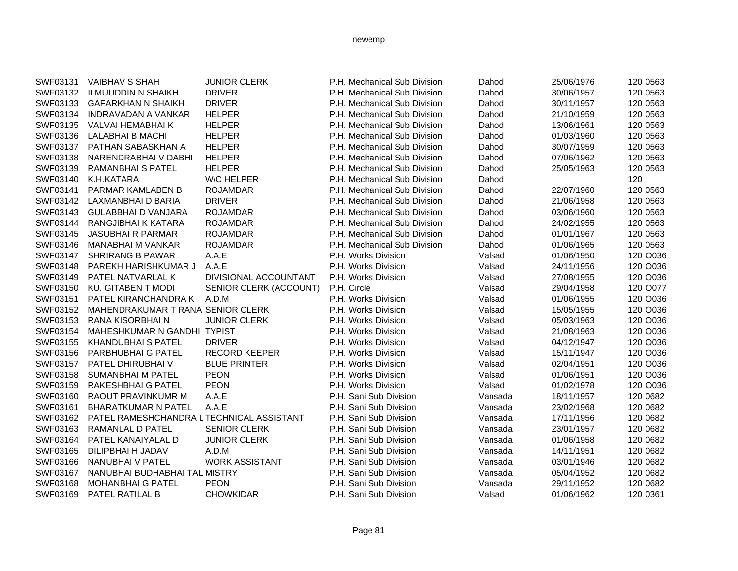| SWF03131 | <b>VAIBHAV S SHAH</b>                    | <b>JUNIOR CLERK</b>    | P.H. Mechanical Sub Division | Dahod   | 25/06/1976 | 120 0563 |
|----------|------------------------------------------|------------------------|------------------------------|---------|------------|----------|
| SWF03132 | <b>ILMUUDDIN N SHAIKH</b>                | <b>DRIVER</b>          | P.H. Mechanical Sub Division | Dahod   | 30/06/1957 | 120 0563 |
| SWF03133 | <b>GAFARKHAN N SHAIKH</b>                | <b>DRIVER</b>          | P.H. Mechanical Sub Division | Dahod   | 30/11/1957 | 120 0563 |
| SWF03134 | <b>INDRAVADAN A VANKAR</b>               | <b>HELPER</b>          | P.H. Mechanical Sub Division | Dahod   | 21/10/1959 | 120 0563 |
| SWF03135 | VALVAI HEMABHAI K                        | <b>HELPER</b>          | P.H. Mechanical Sub Division | Dahod   | 13/06/1961 | 120 0563 |
| SWF03136 | LALABHAI B MACHI                         | <b>HELPER</b>          | P.H. Mechanical Sub Division | Dahod   | 01/03/1960 | 120 0563 |
| SWF03137 | PATHAN SABASKHAN A                       | <b>HELPER</b>          | P.H. Mechanical Sub Division | Dahod   | 30/07/1959 | 120 0563 |
| SWF03138 | NARENDRABHAI V DABHI                     | <b>HELPER</b>          | P.H. Mechanical Sub Division | Dahod   | 07/06/1962 | 120 0563 |
| SWF03139 | <b>RAMANBHAI S PATEL</b>                 | <b>HELPER</b>          | P.H. Mechanical Sub Division | Dahod   | 25/05/1963 | 120 0563 |
| SWF03140 | K.H.KATARA                               | <b>W/C HELPER</b>      | P.H. Mechanical Sub Division | Dahod   |            | 120      |
| SWF03141 | PARMAR KAMLABEN B                        | <b>ROJAMDAR</b>        | P.H. Mechanical Sub Division | Dahod   | 22/07/1960 | 120 0563 |
| SWF03142 | LAXMANBHAI D BARIA                       | <b>DRIVER</b>          | P.H. Mechanical Sub Division | Dahod   | 21/06/1958 | 120 0563 |
| SWF03143 | <b>GULABBHAI D VANJARA</b>               | <b>ROJAMDAR</b>        | P.H. Mechanical Sub Division | Dahod   | 03/06/1960 | 120 0563 |
| SWF03144 | RANGJIBHAI K KATARA                      | <b>ROJAMDAR</b>        | P.H. Mechanical Sub Division | Dahod   | 24/02/1955 | 120 0563 |
| SWF03145 | <b>JASUBHAI R PARMAR</b>                 | <b>ROJAMDAR</b>        | P.H. Mechanical Sub Division | Dahod   | 01/01/1967 | 120 0563 |
| SWF03146 | <b>MANABHAI M VANKAR</b>                 | <b>ROJAMDAR</b>        | P.H. Mechanical Sub Division | Dahod   | 01/06/1965 | 120 0563 |
| SWF03147 | <b>SHRIRANG B PAWAR</b>                  | A.A.E                  | P.H. Works Division          | Valsad  | 01/06/1950 | 120 O036 |
| SWF03148 | PAREKH HARISHKUMAR J                     | A.A.E                  | P.H. Works Division          | Valsad  | 24/11/1956 | 120 O036 |
| SWF03149 | PATEL NATVARLAL K                        | DIVISIONAL ACCOUNTANT  | P.H. Works Division          | Valsad  | 27/08/1955 | 120 O036 |
| SWF03150 | <b>KU. GITABEN T MODI</b>                | SENIOR CLERK (ACCOUNT) | P.H. Circle                  | Valsad  | 29/04/1958 | 120 O077 |
| SWF03151 | PATEL KIRANCHANDRA K                     | A.D.M                  | P.H. Works Division          | Valsad  | 01/06/1955 | 120 O036 |
| SWF03152 | MAHENDRAKUMAR T RANA SENIOR CLERK        |                        | P.H. Works Division          | Valsad  | 15/05/1955 | 120 O036 |
| SWF03153 | RANA KISORBHAI N                         | <b>JUNIOR CLERK</b>    | P.H. Works Division          | Valsad  | 05/03/1963 | 120 O036 |
| SWF03154 | MAHESHKUMAR N GANDHI TYPIST              |                        | P.H. Works Division          | Valsad  | 21/08/1963 | 120 O036 |
| SWF03155 | <b>KHANDUBHAI S PATEL</b>                | <b>DRIVER</b>          | P.H. Works Division          | Valsad  | 04/12/1947 | 120 O036 |
| SWF03156 | <b>PARBHUBHAI G PATEL</b>                | <b>RECORD KEEPER</b>   | P.H. Works Division          | Valsad  | 15/11/1947 | 120 O036 |
| SWF03157 | PATEL DHIRUBHAI V                        | <b>BLUE PRINTER</b>    | P.H. Works Division          | Valsad  | 02/04/1951 | 120 O036 |
| SWF03158 | <b>SUMANBHAI M PATEL</b>                 | <b>PEON</b>            | P.H. Works Division          | Valsad  | 01/06/1951 | 120 O036 |
| SWF03159 | RAKESHBHAI G PATEL                       | <b>PEON</b>            | P.H. Works Division          | Valsad  | 01/02/1978 | 120 O036 |
| SWF03160 | RAOUT PRAVINKUMR M                       | A.A.E                  | P.H. Sani Sub Division       | Vansada | 18/11/1957 | 120 0682 |
| SWF03161 | <b>BHARATKUMAR N PATEL</b>               | A.A.E                  | P.H. Sani Sub Division       | Vansada | 23/02/1968 | 120 0682 |
| SWF03162 | PATEL RAMESHCHANDRA LTECHNICAL ASSISTANT |                        | P.H. Sani Sub Division       | Vansada | 17/11/1956 | 120 0682 |
| SWF03163 | RAMANLAL D PATEL                         | <b>SENIOR CLERK</b>    | P.H. Sani Sub Division       | Vansada | 23/01/1957 | 120 0682 |
| SWF03164 | PATEL KANAIYALAL D                       | <b>JUNIOR CLERK</b>    | P.H. Sani Sub Division       | Vansada | 01/06/1958 | 120 0682 |
| SWF03165 | DILIPBHAI H JADAV                        | A.D.M                  | P.H. Sani Sub Division       | Vansada | 14/11/1951 | 120 0682 |
| SWF03166 | NANUBHAI V PATEL                         | <b>WORK ASSISTANT</b>  | P.H. Sani Sub Division       | Vansada | 03/01/1946 | 120 0682 |
| SWF03167 | NANUBHAI BUDHABHAI TAL MISTRY            |                        | P.H. Sani Sub Division       | Vansada | 05/04/1952 | 120 0682 |
| SWF03168 | <b>MOHANBHAI G PATEL</b>                 | <b>PEON</b>            | P.H. Sani Sub Division       | Vansada | 29/11/1952 | 120 0682 |
| SWF03169 | PATEL RATILAL B                          | <b>CHOWKIDAR</b>       | P.H. Sani Sub Division       | Valsad  | 01/06/1962 | 120 0361 |
|          |                                          |                        |                              |         |            |          |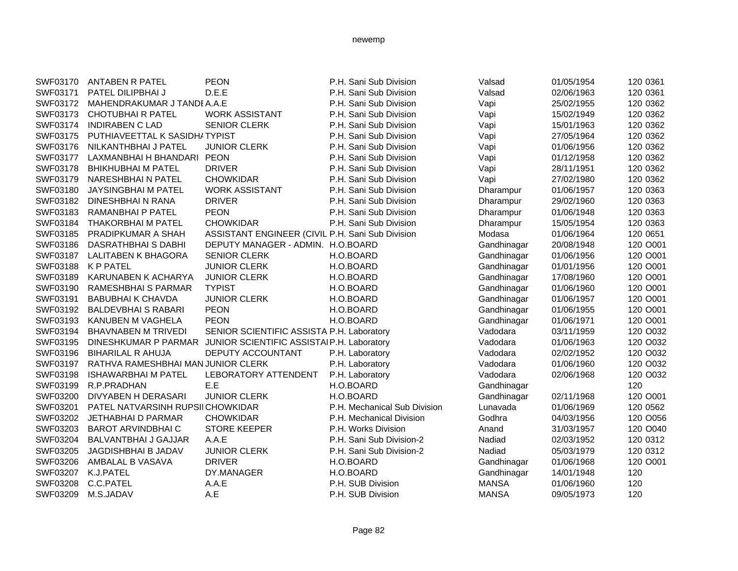| SWF03170 | <b>ANTABEN R PATEL</b>             | <b>PEON</b>                                                     | P.H. Sani Sub Division       | Valsad       | 01/05/1954 | 120 0361 |
|----------|------------------------------------|-----------------------------------------------------------------|------------------------------|--------------|------------|----------|
| SWF03171 | PATEL DILIPBHAI J                  | D.E.E                                                           | P.H. Sani Sub Division       | Valsad       | 02/06/1963 | 120 0361 |
| SWF03172 | MAHENDRAKUMAR J TANDI A.A.E        |                                                                 | P.H. Sani Sub Division       | Vapi         | 25/02/1955 | 120 0362 |
| SWF03173 | <b>CHOTUBHAI R PATEL</b>           | <b>WORK ASSISTANT</b>                                           | P.H. Sani Sub Division       | Vapi         | 15/02/1949 | 120 0362 |
| SWF03174 | <b>INDIRABEN C LAD</b>             | <b>SENIOR CLERK</b>                                             | P.H. Sani Sub Division       | Vapi         | 15/01/1963 | 120 0362 |
| SWF03175 | PUTHIAVEETTAL K SASIDHATYPIST      |                                                                 | P.H. Sani Sub Division       | Vapi         | 27/05/1964 | 120 0362 |
| SWF03176 | NILKANTHBHAI J PATEL               | <b>JUNIOR CLERK</b>                                             | P.H. Sani Sub Division       | Vapi         | 01/06/1956 | 120 0362 |
| SWF03177 | LAXMANBHAI H BHANDARI PEON         |                                                                 | P.H. Sani Sub Division       | Vapi         | 01/12/1958 | 120 0362 |
| SWF03178 | <b>BHIKHUBHAI M PATEL</b>          | <b>DRIVER</b>                                                   | P.H. Sani Sub Division       | Vapi         | 28/11/1951 | 120 0362 |
| SWF03179 | NARESHBHAIN PATEL                  | <b>CHOWKIDAR</b>                                                | P.H. Sani Sub Division       | Vapi         | 27/02/1980 | 120 0362 |
| SWF03180 | JAYSINGBHAI M PATEL                | <b>WORK ASSISTANT</b>                                           | P.H. Sani Sub Division       | Dharampur    | 01/06/1957 | 120 0363 |
| SWF03182 | <b>DINESHBHAI N RANA</b>           | <b>DRIVER</b>                                                   | P.H. Sani Sub Division       | Dharampur    | 29/02/1960 | 120 0363 |
| SWF03183 | RAMANBHAI P PATEL                  | <b>PEON</b>                                                     | P.H. Sani Sub Division       | Dharampur    | 01/06/1948 | 120 0363 |
| SWF03184 | <b>THAKORBHAI M PATEL</b>          | <b>CHOWKIDAR</b>                                                | P.H. Sani Sub Division       | Dharampur    | 15/05/1954 | 120 0363 |
| SWF03185 | PRADIPKUMAR A SHAH                 | ASSISTANT ENGINEER (CIVIL P.H. Sani Sub Division                |                              | Modasa       | 01/06/1964 | 120 0651 |
| SWF03186 | DASRATHBHAI S DABHI                | DEPUTY MANAGER - ADMIN. H.O.BOARD                               |                              | Gandhinagar  | 20/08/1948 | 120 O001 |
| SWF03187 | <b>LALITABEN K BHAGORA</b>         | <b>SENIOR CLERK</b>                                             | H.O.BOARD                    | Gandhinagar  | 01/06/1956 | 120 O001 |
| SWF03188 | <b>K P PATEL</b>                   | <b>JUNIOR CLERK</b>                                             | H.O.BOARD                    | Gandhinagar  | 01/01/1956 | 120 O001 |
| SWF03189 | KARUNABEN K ACHARYA                | <b>JUNIOR CLERK</b>                                             | H.O.BOARD                    | Gandhinagar  | 17/08/1960 | 120 O001 |
| SWF03190 | RAMESHBHAI S PARMAR                | <b>TYPIST</b>                                                   | H.O.BOARD                    | Gandhinagar  | 01/06/1960 | 120 O001 |
| SWF03191 | <b>BABUBHAI K CHAVDA</b>           | <b>JUNIOR CLERK</b>                                             | H.O.BOARD                    | Gandhinagar  | 01/06/1957 | 120 O001 |
| SWF03192 | <b>BALDEVBHAI S RABARI</b>         | <b>PEON</b>                                                     | H.O.BOARD                    | Gandhinagar  | 01/06/1955 | 120 O001 |
| SWF03193 | KANUBEN M VAGHELA                  | <b>PEON</b>                                                     | H.O.BOARD                    | Gandhinagar  | 01/06/1971 | 120 O001 |
| SWF03194 | <b>BHAVNABEN M TRIVEDI</b>         | SENIOR SCIENTIFIC ASSISTA P.H. Laboratory                       |                              | Vadodara     | 03/11/1959 | 120 O032 |
| SWF03195 |                                    | DINESHKUMAR P PARMAR JUNIOR SCIENTIFIC ASSISTAI P.H. Laboratory |                              | Vadodara     | 01/06/1963 | 120 O032 |
| SWF03196 | <b>BIHARILAL R AHUJA</b>           | DEPUTY ACCOUNTANT                                               | P.H. Laboratory              | Vadodara     | 02/02/1952 | 120 O032 |
| SWF03197 | RATHVA RAMESHBHAI MAN JUNIOR CLERK |                                                                 | P.H. Laboratory              | Vadodara     | 01/06/1960 | 120 O032 |
| SWF03198 | <b>ISHAWARBHAI M PATEL</b>         | LEBORATORY ATTENDENT                                            | P.H. Laboratory              | Vadodara     | 02/06/1968 | 120 O032 |
| SWF03199 | R.P.PRADHAN                        | E.E                                                             | H.O.BOARD                    | Gandhinagar  |            | 120      |
| SWF03200 | DIVYABEN H DERASARI                | <b>JUNIOR CLERK</b>                                             | H.O.BOARD                    | Gandhinagar  | 02/11/1968 | 120 O001 |
| SWF03201 | PATEL NATVARSINH RUPSII CHOWKIDAR  |                                                                 | P.H. Mechanical Sub Division | Lunavada     | 01/06/1969 | 120 0562 |
| SWF03202 | JETHABHAI D PARMAR                 | <b>CHOWKIDAR</b>                                                | P.H. Mechanical Division     | Godhra       | 04/03/1956 | 120 O056 |
| SWF03203 | <b>BAROT ARVINDBHAI C</b>          | <b>STORE KEEPER</b>                                             | P.H. Works Division          | Anand        | 31/03/1957 | 120 O040 |
| SWF03204 | <b>BALVANTBHAI J GAJJAR</b>        | A.A.E                                                           | P.H. Sani Sub Division-2     | Nadiad       | 02/03/1952 | 120 0312 |
| SWF03205 | JAGDISHBHAI B JADAV                | <b>JUNIOR CLERK</b>                                             | P.H. Sani Sub Division-2     | Nadiad       | 05/03/1979 | 120 0312 |
| SWF03206 | AMBALAL B VASAVA                   | <b>DRIVER</b>                                                   | H.O.BOARD                    | Gandhinagar  | 01/06/1968 | 120 O001 |
| SWF03207 | K.J.PATEL                          | DY.MANAGER                                                      | H.O.BOARD                    | Gandhinagar  | 14/01/1948 | 120      |
| SWF03208 | C.C.PATEL                          | A.A.E                                                           | P.H. SUB Division            | <b>MANSA</b> | 01/06/1960 | 120      |
| SWF03209 | M.S.JADAV                          | A.E                                                             | P.H. SUB Division            | <b>MANSA</b> | 09/05/1973 | 120      |
|          |                                    |                                                                 |                              |              |            |          |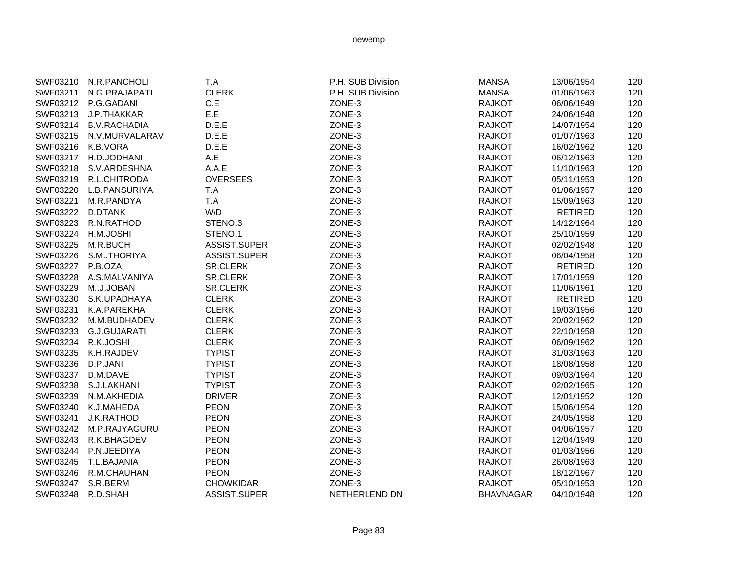|                   | SWF03210 N.R.PANCHOLI   | T.A              | P.H. SUB Division | <b>MANSA</b>     | 13/06/1954     | 120 |
|-------------------|-------------------------|------------------|-------------------|------------------|----------------|-----|
| SWF03211          | N.G.PRAJAPATI           | <b>CLERK</b>     | P.H. SUB Division | <b>MANSA</b>     | 01/06/1963     | 120 |
|                   | SWF03212 P.G.GADANI     | C.E              | ZONE-3            | <b>RAJKOT</b>    | 06/06/1949     | 120 |
|                   | SWF03213 J.P.THAKKAR    | E.E              | ZONE-3            | <b>RAJKOT</b>    | 24/06/1948     | 120 |
|                   | SWF03214 B.V.RACHADIA   | D.E.E            | ZONE-3            | <b>RAJKOT</b>    | 14/07/1954     | 120 |
|                   | SWF03215 N.V.MURVALARAV | D.E.E            | ZONE-3            | <b>RAJKOT</b>    | 01/07/1963     | 120 |
| SWF03216 K.B.VORA |                         | D.E.E            | ZONE-3            | <b>RAJKOT</b>    | 16/02/1962     | 120 |
|                   | SWF03217 H.D.JODHANI    | A.E              | ZONE-3            | <b>RAJKOT</b>    | 06/12/1963     | 120 |
|                   | SWF03218 S.V.ARDESHNA   | A.A.E            | ZONE-3            | <b>RAJKOT</b>    | 11/10/1963     | 120 |
|                   | SWF03219 R.L.CHITRODA   | <b>OVERSEES</b>  | ZONE-3            | <b>RAJKOT</b>    | 05/11/1953     | 120 |
|                   | SWF03220 L.B.PANSURIYA  | T.A              | ZONE-3            | <b>RAJKOT</b>    | 01/06/1957     | 120 |
| SWF03221          | M.R.PANDYA              | T.A              | ZONE-3            | RAJKOT           | 15/09/1963     | 120 |
| SWF03222          | D.DTANK                 | W/D              | ZONE-3            | <b>RAJKOT</b>    | RETIRED        | 120 |
| SWF03223          | R.N.RATHOD              | STENO.3          | ZONE-3            | RAJKOT           | 14/12/1964     | 120 |
| SWF03224          | H.M.JOSHI               | STENO.1          | ZONE-3            | <b>RAJKOT</b>    | 25/10/1959     | 120 |
| SWF03225          | M.R.BUCH                | ASSIST.SUPER     | ZONE-3            | <b>RAJKOT</b>    | 02/02/1948     | 120 |
| SWF03226          | S.MTHORIYA              | ASSIST.SUPER     | ZONE-3            | <b>RAJKOT</b>    | 06/04/1958     | 120 |
| SWF03227 P.B.OZA  |                         | <b>SR.CLERK</b>  | ZONE-3            | <b>RAJKOT</b>    | RETIRED        | 120 |
| SWF03228          | A.S.MALVANIYA           | <b>SR.CLERK</b>  | ZONE-3            | <b>RAJKOT</b>    | 17/01/1959     | 120 |
| SWF03229          | MJ.JOBAN                | <b>SR.CLERK</b>  | ZONE-3            | <b>RAJKOT</b>    | 11/06/1961     | 120 |
| SWF03230          | S.K.UPADHAYA            | <b>CLERK</b>     | ZONE-3            | <b>RAJKOT</b>    | <b>RETIRED</b> | 120 |
| SWF03231          | K.A.PAREKHA             | <b>CLERK</b>     | ZONE-3            | <b>RAJKOT</b>    | 19/03/1956     | 120 |
| SWF03232          | M.M.BUDHADEV            | <b>CLERK</b>     | ZONE-3            | <b>RAJKOT</b>    | 20/02/1962     | 120 |
| SWF03233          | G.J.GUJARATI            | <b>CLERK</b>     | ZONE-3            | <b>RAJKOT</b>    | 22/10/1958     | 120 |
| SWF03234          | R.K.JOSHI               | <b>CLERK</b>     | ZONE-3            | <b>RAJKOT</b>    | 06/09/1962     | 120 |
| SWF03235          | K.H.RAJDEV              | <b>TYPIST</b>    | ZONE-3            | <b>RAJKOT</b>    | 31/03/1963     | 120 |
| SWF03236          | D.P.JANI                | <b>TYPIST</b>    | ZONE-3            | <b>RAJKOT</b>    | 18/08/1958     | 120 |
|                   | SWF03237 D.M.DAVE       | <b>TYPIST</b>    | ZONE-3            | <b>RAJKOT</b>    | 09/03/1964     | 120 |
| SWF03238          | S.J.LAKHANI             | <b>TYPIST</b>    | ZONE-3            | <b>RAJKOT</b>    | 02/02/1965     | 120 |
|                   | SWF03239 N.M.AKHEDIA    | <b>DRIVER</b>    | ZONE-3            | <b>RAJKOT</b>    | 12/01/1952     | 120 |
|                   | SWF03240 K.J.MAHEDA     | <b>PEON</b>      | ZONE-3            | <b>RAJKOT</b>    | 15/06/1954     | 120 |
| SWF03241          | J.K.RATHOD              | <b>PEON</b>      | ZONE-3            | <b>RAJKOT</b>    | 24/05/1958     | 120 |
|                   | SWF03242 M.P.RAJYAGURU  | <b>PEON</b>      | ZONE-3            | <b>RAJKOT</b>    | 04/06/1957     | 120 |
|                   | SWF03243 R.K.BHAGDEV    | <b>PEON</b>      | ZONE-3            | <b>RAJKOT</b>    | 12/04/1949     | 120 |
| SWF03244          | P.N.JEEDIYA             | <b>PEON</b>      | ZONE-3            | <b>RAJKOT</b>    | 01/03/1956     | 120 |
| SWF03245          | T.L.BAJANIA             | <b>PEON</b>      | ZONE-3            | <b>RAJKOT</b>    | 26/08/1963     | 120 |
| SWF03246          | R.M.CHAUHAN             | <b>PEON</b>      | ZONE-3            | RAJKOT           | 18/12/1967     | 120 |
| SWF03247          | S.R.BERM                | <b>CHOWKIDAR</b> | ZONE-3            | <b>RAJKOT</b>    | 05/10/1953     | 120 |
| SWF03248          | R.D.SHAH                | ASSIST.SUPER     | NETHERLEND DN     | <b>BHAVNAGAR</b> | 04/10/1948     | 120 |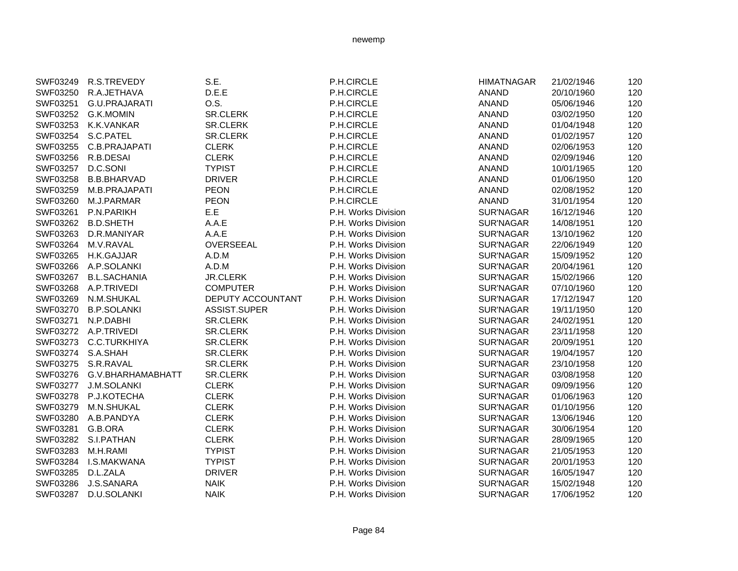| SWF03249 | R.S.TREVEDY         | S.E.              | P.H.CIRCLE          | <b>HIMATNAGAR</b> | 21/02/1946 | 120 |
|----------|---------------------|-------------------|---------------------|-------------------|------------|-----|
| SWF03250 | R.A.JETHAVA         | D.E.E             | P.H.CIRCLE          | <b>ANAND</b>      | 20/10/1960 | 120 |
| SWF03251 | G.U.PRAJARATI       | O.S.              | P.H.CIRCLE          | <b>ANAND</b>      | 05/06/1946 | 120 |
| SWF03252 | G.K.MOMIN           | SR.CLERK          | P.H.CIRCLE          | <b>ANAND</b>      | 03/02/1950 | 120 |
| SWF03253 | K.K.VANKAR          | <b>SR.CLERK</b>   | P.H.CIRCLE          | <b>ANAND</b>      | 01/04/1948 | 120 |
| SWF03254 | S.C.PATEL           | <b>SR.CLERK</b>   | P.H.CIRCLE          | <b>ANAND</b>      | 01/02/1957 | 120 |
| SWF03255 | C.B.PRAJAPATI       | <b>CLERK</b>      | P.H.CIRCLE          | <b>ANAND</b>      | 02/06/1953 | 120 |
| SWF03256 | R.B.DESAI           | <b>CLERK</b>      | P.H.CIRCLE          | <b>ANAND</b>      | 02/09/1946 | 120 |
| SWF03257 | D.C.SONI            | <b>TYPIST</b>     | P.H.CIRCLE          | <b>ANAND</b>      | 10/01/1965 | 120 |
| SWF03258 | <b>B.B.BHARVAD</b>  | <b>DRIVER</b>     | P.H.CIRCLE          | <b>ANAND</b>      | 01/06/1950 | 120 |
| SWF03259 | M.B.PRAJAPATI       | <b>PEON</b>       | P.H.CIRCLE          | <b>ANAND</b>      | 02/08/1952 | 120 |
| SWF03260 | M.J.PARMAR          | <b>PEON</b>       | P.H.CIRCLE          | <b>ANAND</b>      | 31/01/1954 | 120 |
| SWF03261 | P.N.PARIKH          | E.E               | P.H. Works Division | <b>SUR'NAGAR</b>  | 16/12/1946 | 120 |
| SWF03262 | <b>B.D.SHETH</b>    | A.A.E             | P.H. Works Division | SUR'NAGAR         | 14/08/1951 | 120 |
| SWF03263 | D.R.MANIYAR         | A.A.E             | P.H. Works Division | SUR'NAGAR         | 13/10/1962 | 120 |
| SWF03264 | M.V.RAVAL           | OVERSEEAL         | P.H. Works Division | <b>SUR'NAGAR</b>  | 22/06/1949 | 120 |
| SWF03265 | H.K.GAJJAR          | A.D.M             | P.H. Works Division | SUR'NAGAR         | 15/09/1952 | 120 |
| SWF03266 | A.P.SOLANKI         | A.D.M             | P.H. Works Division | <b>SUR'NAGAR</b>  | 20/04/1961 | 120 |
| SWF03267 | <b>B.L.SACHANIA</b> | <b>JR.CLERK</b>   | P.H. Works Division | SUR'NAGAR         | 15/02/1966 | 120 |
| SWF03268 | A.P.TRIVEDI         | <b>COMPUTER</b>   | P.H. Works Division | <b>SUR'NAGAR</b>  | 07/10/1960 | 120 |
| SWF03269 | N.M.SHUKAL          | DEPUTY ACCOUNTANT | P.H. Works Division | <b>SUR'NAGAR</b>  | 17/12/1947 | 120 |
| SWF03270 | <b>B.P.SOLANKI</b>  | ASSIST.SUPER      | P.H. Works Division | <b>SUR'NAGAR</b>  | 19/11/1950 | 120 |
| SWF03271 | N.P.DABHI           | SR.CLERK          | P.H. Works Division | <b>SUR'NAGAR</b>  | 24/02/1951 | 120 |
| SWF03272 | A.P.TRIVEDI         | <b>SR.CLERK</b>   | P.H. Works Division | SUR'NAGAR         | 23/11/1958 | 120 |
| SWF03273 | C.C.TURKHIYA        | SR.CLERK          | P.H. Works Division | SUR'NAGAR         | 20/09/1951 | 120 |
| SWF03274 | S.A.SHAH            | <b>SR.CLERK</b>   | P.H. Works Division | SUR'NAGAR         | 19/04/1957 | 120 |
| SWF03275 | S.R.RAVAL           | <b>SR.CLERK</b>   | P.H. Works Division | SUR'NAGAR         | 23/10/1958 | 120 |
| SWF03276 | G.V.BHARHAMABHATT   | <b>SR.CLERK</b>   | P.H. Works Division | SUR'NAGAR         | 03/08/1958 | 120 |
| SWF03277 | J.M.SOLANKI         | <b>CLERK</b>      | P.H. Works Division | SUR'NAGAR         | 09/09/1956 | 120 |
| SWF03278 | P.J.KOTECHA         | <b>CLERK</b>      | P.H. Works Division | <b>SUR'NAGAR</b>  | 01/06/1963 | 120 |
| SWF03279 | M.N.SHUKAL          | <b>CLERK</b>      | P.H. Works Division | <b>SUR'NAGAR</b>  | 01/10/1956 | 120 |
| SWF03280 | A.B.PANDYA          | <b>CLERK</b>      | P.H. Works Division | <b>SUR'NAGAR</b>  | 13/06/1946 | 120 |
| SWF03281 | G.B.ORA             | <b>CLERK</b>      | P.H. Works Division | SUR'NAGAR         | 30/06/1954 | 120 |
| SWF03282 | S.I.PATHAN          | <b>CLERK</b>      | P.H. Works Division | <b>SUR'NAGAR</b>  | 28/09/1965 | 120 |
| SWF03283 | M.H.RAMI            | <b>TYPIST</b>     | P.H. Works Division | SUR'NAGAR         | 21/05/1953 | 120 |
| SWF03284 | I.S.MAKWANA         | <b>TYPIST</b>     | P.H. Works Division | SUR'NAGAR         | 20/01/1953 | 120 |
| SWF03285 | D.L.ZALA            | <b>DRIVER</b>     | P.H. Works Division | SUR'NAGAR         | 16/05/1947 | 120 |
| SWF03286 | J.S.SANARA          | <b>NAIK</b>       | P.H. Works Division | SUR'NAGAR         | 15/02/1948 | 120 |
| SWF03287 | D.U.SOLANKI         | <b>NAIK</b>       | P.H. Works Division | <b>SUR'NAGAR</b>  | 17/06/1952 | 120 |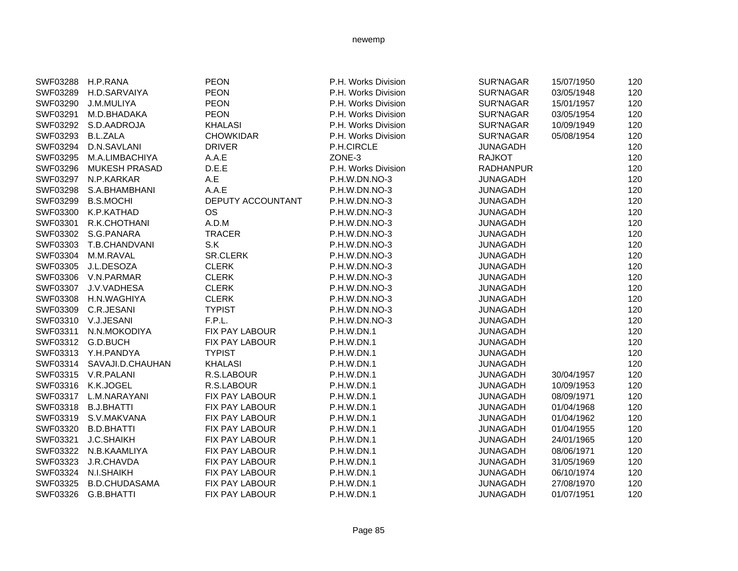| SWF03288 | H.P.RANA               | <b>PEON</b>              | P.H. Works Division | <b>SUR'NAGAR</b> | 15/07/1950 | 120 |
|----------|------------------------|--------------------------|---------------------|------------------|------------|-----|
| SWF03289 | H.D.SARVAIYA           | <b>PEON</b>              | P.H. Works Division | SUR'NAGAR        | 03/05/1948 | 120 |
| SWF03290 | J.M.MULIYA             | <b>PEON</b>              | P.H. Works Division | <b>SUR'NAGAR</b> | 15/01/1957 | 120 |
| SWF03291 | M.D.BHADAKA            | <b>PEON</b>              | P.H. Works Division | SUR'NAGAR        | 03/05/1954 | 120 |
| SWF03292 | S.D.AADROJA            | <b>KHALASI</b>           | P.H. Works Division | SUR'NAGAR        | 10/09/1949 | 120 |
| SWF03293 | <b>B.L.ZALA</b>        | <b>CHOWKIDAR</b>         | P.H. Works Division | <b>SUR'NAGAR</b> | 05/08/1954 | 120 |
| SWF03294 | D.N.SAVLANI            | <b>DRIVER</b>            | P.H.CIRCLE          | <b>JUNAGADH</b>  |            | 120 |
| SWF03295 | M.A.LIMBACHIYA         | A.A.E                    | ZONE-3              | <b>RAJKOT</b>    |            | 120 |
| SWF03296 | <b>MUKESH PRASAD</b>   | D.E.E                    | P.H. Works Division | <b>RADHANPUR</b> |            | 120 |
| SWF03297 | N.P.KARKAR             | A.E                      | P.H.W.DN.NO-3       | <b>JUNAGADH</b>  |            | 120 |
| SWF03298 | S.A.BHAMBHANI          | A.A.E                    | P.H.W.DN.NO-3       | <b>JUNAGADH</b>  |            | 120 |
| SWF03299 | <b>B.S.MOCHI</b>       | <b>DEPUTY ACCOUNTANT</b> | P.H.W.DN.NO-3       | <b>JUNAGADH</b>  |            | 120 |
| SWF03300 | K.P.KATHAD             | <b>OS</b>                | P.H.W.DN.NO-3       | <b>JUNAGADH</b>  |            | 120 |
| SWF03301 | R.K.CHOTHANI           | A.D.M                    | P.H.W.DN.NO-3       | <b>JUNAGADH</b>  |            | 120 |
|          | SWF03302 S.G.PANARA    | <b>TRACER</b>            | P.H.W.DN.NO-3       | <b>JUNAGADH</b>  |            | 120 |
|          | SWF03303 T.B.CHANDVANI | S.K                      | P.H.W.DN.NO-3       | <b>JUNAGADH</b>  |            | 120 |
| SWF03304 | M.M.RAVAL              | SR.CLERK                 | P.H.W.DN.NO-3       | <b>JUNAGADH</b>  |            | 120 |
| SWF03305 | J.L.DESOZA             | <b>CLERK</b>             | P.H.W.DN.NO-3       | <b>JUNAGADH</b>  |            | 120 |
|          | SWF03306 V.N.PARMAR    | <b>CLERK</b>             | P.H.W.DN.NO-3       | <b>JUNAGADH</b>  |            | 120 |
| SWF03307 | J.V.VADHESA            | <b>CLERK</b>             | P.H.W.DN.NO-3       | <b>JUNAGADH</b>  |            | 120 |
| SWF03308 | H.N.WAGHIYA            | <b>CLERK</b>             | P.H.W.DN.NO-3       | <b>JUNAGADH</b>  |            | 120 |
| SWF03309 | C.R.JESANI             | <b>TYPIST</b>            | P.H.W.DN.NO-3       | <b>JUNAGADH</b>  |            | 120 |
|          | SWF03310 V.J.JESANI    | F.P.L.                   | P.H.W.DN.NO-3       | <b>JUNAGADH</b>  |            | 120 |
| SWF03311 | N.N.MOKODIYA           | FIX PAY LABOUR           | P.H.W.DN.1          | <b>JUNAGADH</b>  |            | 120 |
|          | SWF03312 G.D.BUCH      | <b>FIX PAY LABOUR</b>    | <b>P.H.W.DN.1</b>   | <b>JUNAGADH</b>  |            | 120 |
|          | SWF03313 Y.H.PANDYA    | <b>TYPIST</b>            | <b>P.H.W.DN.1</b>   | <b>JUNAGADH</b>  |            | 120 |
| SWF03314 | SAVAJI.D.CHAUHAN       | <b>KHALASI</b>           | P.H.W.DN.1          | <b>JUNAGADH</b>  |            | 120 |
|          | SWF03315 V.R.PALANI    | R.S.LABOUR               | P.H.W.DN.1          | <b>JUNAGADH</b>  | 30/04/1957 | 120 |
| SWF03316 | K.K.JOGEL              | R.S.LABOUR               | <b>P.H.W.DN.1</b>   | <b>JUNAGADH</b>  | 10/09/1953 | 120 |
|          | SWF03317 L.M.NARAYANI  | FIX PAY LABOUR           | P.H.W.DN.1          | <b>JUNAGADH</b>  | 08/09/1971 | 120 |
| SWF03318 | <b>B.J.BHATTI</b>      | FIX PAY LABOUR           | P.H.W.DN.1          | <b>JUNAGADH</b>  | 01/04/1968 | 120 |
| SWF03319 | S.V.MAKVANA            | FIX PAY LABOUR           | <b>P.H.W.DN.1</b>   | <b>JUNAGADH</b>  | 01/04/1962 | 120 |
| SWF03320 | <b>B.D.BHATTI</b>      | FIX PAY LABOUR           | P.H.W.DN.1          | <b>JUNAGADH</b>  | 01/04/1955 | 120 |
| SWF03321 | <b>J.C.SHAIKH</b>      | FIX PAY LABOUR           | P.H.W.DN.1          | <b>JUNAGADH</b>  | 24/01/1965 | 120 |
| SWF03322 | N.B.KAAMLIYA           | FIX PAY LABOUR           | P.H.W.DN.1          | <b>JUNAGADH</b>  | 08/06/1971 | 120 |
| SWF03323 | J.R.CHAVDA             | FIX PAY LABOUR           | P.H.W.DN.1          | <b>JUNAGADH</b>  | 31/05/1969 | 120 |
| SWF03324 | N.I.SHAIKH             | FIX PAY LABOUR           | P.H.W.DN.1          | <b>JUNAGADH</b>  | 06/10/1974 | 120 |
| SWF03325 | <b>B.D.CHUDASAMA</b>   | <b>FIX PAY LABOUR</b>    | P.H.W.DN.1          | <b>JUNAGADH</b>  | 27/08/1970 | 120 |
| SWF03326 | G.B.BHATTI             | <b>FIX PAY LABOUR</b>    | P.H.W.DN.1          | <b>JUNAGADH</b>  | 01/07/1951 | 120 |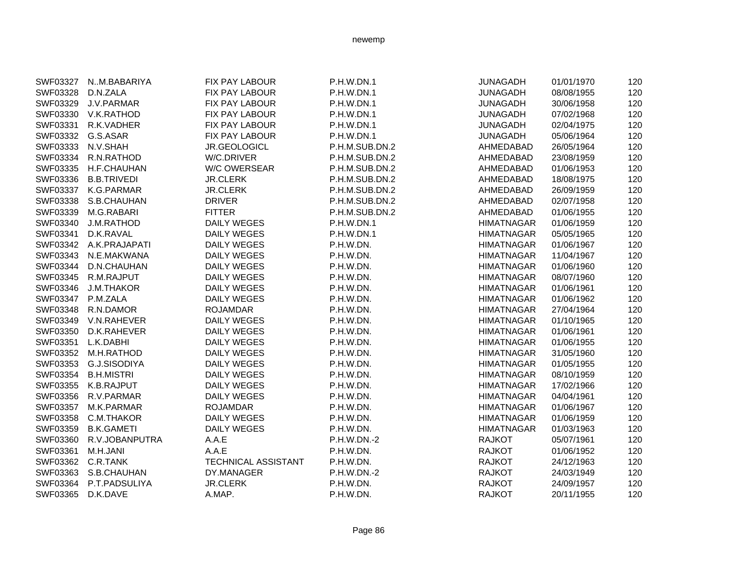| SWF03327          | NM.BABARIYA         | <b>FIX PAY LABOUR</b>      | P.H.W.DN.1        | <b>JUNAGADH</b>   | 01/01/1970 | 120 |
|-------------------|---------------------|----------------------------|-------------------|-------------------|------------|-----|
| SWF03328          | D.N.ZALA            | FIX PAY LABOUR             | P.H.W.DN.1        | <b>JUNAGADH</b>   | 08/08/1955 | 120 |
| SWF03329          | J.V.PARMAR          | <b>FIX PAY LABOUR</b>      | <b>P.H.W.DN.1</b> | <b>JUNAGADH</b>   | 30/06/1958 | 120 |
| SWF03330          | V.K.RATHOD          | <b>FIX PAY LABOUR</b>      | <b>P.H.W.DN.1</b> | <b>JUNAGADH</b>   | 07/02/1968 | 120 |
| SWF03331          | R.K.VADHER          | <b>FIX PAY LABOUR</b>      | <b>P.H.W.DN.1</b> | <b>JUNAGADH</b>   | 02/04/1975 | 120 |
| SWF03332          | G.S.ASAR            | <b>FIX PAY LABOUR</b>      | <b>P.H.W.DN.1</b> | <b>JUNAGADH</b>   | 05/06/1964 | 120 |
| SWF03333          | N.V.SHAH            | JR.GEOLOGICL               | P.H.M.SUB.DN.2    | AHMEDABAD         | 26/05/1964 | 120 |
| SWF03334          | R.N.RATHOD          | W/C.DRIVER                 | P.H.M.SUB.DN.2    | AHMEDABAD         | 23/08/1959 | 120 |
| SWF03335          | H.F.CHAUHAN         | W/C OWERSEAR               | P.H.M.SUB.DN.2    | AHMEDABAD         | 01/06/1953 | 120 |
| SWF03336          | <b>B.B.TRIVEDI</b>  | <b>JR.CLERK</b>            | P.H.M.SUB.DN.2    | AHMEDABAD         | 18/08/1975 | 120 |
|                   | SWF03337 K.G.PARMAR | <b>JR.CLERK</b>            | P.H.M.SUB.DN.2    | AHMEDABAD         | 26/09/1959 | 120 |
| SWF03338          | S.B.CHAUHAN         | <b>DRIVER</b>              | P.H.M.SUB.DN.2    | AHMEDABAD         | 02/07/1958 | 120 |
| SWF03339          | M.G.RABARI          | <b>FITTER</b>              | P.H.M.SUB.DN.2    | AHMEDABAD         | 01/06/1955 | 120 |
| SWF03340          | <b>J.M.RATHOD</b>   | <b>DAILY WEGES</b>         | <b>P.H.W.DN.1</b> | <b>HIMATNAGAR</b> | 01/06/1959 | 120 |
| SWF03341          | D.K.RAVAL           | DAILY WEGES                | P.H.W.DN.1        | <b>HIMATNAGAR</b> | 05/05/1965 | 120 |
| SWF03342          | A.K.PRAJAPATI       | <b>DAILY WEGES</b>         | P.H.W.DN.         | <b>HIMATNAGAR</b> | 01/06/1967 | 120 |
| SWF03343          | N.E.MAKWANA         | <b>DAILY WEGES</b>         | P.H.W.DN.         | <b>HIMATNAGAR</b> | 11/04/1967 | 120 |
| SWF03344          | D.N.CHAUHAN         | <b>DAILY WEGES</b>         | P.H.W.DN.         | <b>HIMATNAGAR</b> | 01/06/1960 | 120 |
| SWF03345          | R.M.RAJPUT          | <b>DAILY WEGES</b>         | P.H.W.DN.         | <b>HIMATNAGAR</b> | 08/07/1960 | 120 |
| SWF03346          | <b>J.M.THAKOR</b>   | <b>DAILY WEGES</b>         | P.H.W.DN.         | <b>HIMATNAGAR</b> | 01/06/1961 | 120 |
| SWF03347 P.M.ZALA |                     | <b>DAILY WEGES</b>         | P.H.W.DN.         | <b>HIMATNAGAR</b> | 01/06/1962 | 120 |
| SWF03348          | R.N.DAMOR           | <b>ROJAMDAR</b>            | P.H.W.DN.         | <b>HIMATNAGAR</b> | 27/04/1964 | 120 |
| SWF03349          | V.N.RAHEVER         | <b>DAILY WEGES</b>         | P.H.W.DN.         | <b>HIMATNAGAR</b> | 01/10/1965 | 120 |
| SWF03350          | D.K.RAHEVER         | <b>DAILY WEGES</b>         | P.H.W.DN.         | <b>HIMATNAGAR</b> | 01/06/1961 | 120 |
| SWF03351          | L.K.DABHI           | <b>DAILY WEGES</b>         | P.H.W.DN.         | <b>HIMATNAGAR</b> | 01/06/1955 | 120 |
| SWF03352          | M.H.RATHOD          | <b>DAILY WEGES</b>         | P.H.W.DN.         | <b>HIMATNAGAR</b> | 31/05/1960 | 120 |
| SWF03353          | G.J.SISODIYA        | <b>DAILY WEGES</b>         | P.H.W.DN.         | <b>HIMATNAGAR</b> | 01/05/1955 | 120 |
| SWF03354          | <b>B.H.MISTRI</b>   | <b>DAILY WEGES</b>         | P.H.W.DN.         | <b>HIMATNAGAR</b> | 08/10/1959 | 120 |
| SWF03355          | K.B.RAJPUT          | DAILY WEGES                | P.H.W.DN.         | <b>HIMATNAGAR</b> | 17/02/1966 | 120 |
| SWF03356          | R.V.PARMAR          | <b>DAILY WEGES</b>         | P.H.W.DN.         | <b>HIMATNAGAR</b> | 04/04/1961 | 120 |
| SWF03357          | M.K.PARMAR          | <b>ROJAMDAR</b>            | P.H.W.DN.         | <b>HIMATNAGAR</b> | 01/06/1967 | 120 |
| SWF03358          | C.M.THAKOR          | DAILY WEGES                | P.H.W.DN.         | <b>HIMATNAGAR</b> | 01/06/1959 | 120 |
| SWF03359          | <b>B.K.GAMETI</b>   | <b>DAILY WEGES</b>         | P.H.W.DN.         | <b>HIMATNAGAR</b> | 01/03/1963 | 120 |
| SWF03360          | R.V.JOBANPUTRA      | A.A.E                      | P.H.W.DN.-2       | <b>RAJKOT</b>     | 05/07/1961 | 120 |
| SWF03361          | M.H.JANI            | A.A.E                      | P.H.W.DN.         | <b>RAJKOT</b>     | 01/06/1952 | 120 |
| SWF03362          | C.R.TANK            | <b>TECHNICAL ASSISTANT</b> | P.H.W.DN.         | <b>RAJKOT</b>     | 24/12/1963 | 120 |
| SWF03363          | S.B.CHAUHAN         | DY.MANAGER                 | P.H.W.DN.-2       | <b>RAJKOT</b>     | 24/03/1949 | 120 |
| SWF03364          | P.T.PADSULIYA       | <b>JR.CLERK</b>            | P.H.W.DN.         | <b>RAJKOT</b>     | 24/09/1957 | 120 |
| SWF03365          | D.K.DAVE            | A.MAP.                     | P.H.W.DN.         | <b>RAJKOT</b>     | 20/11/1955 | 120 |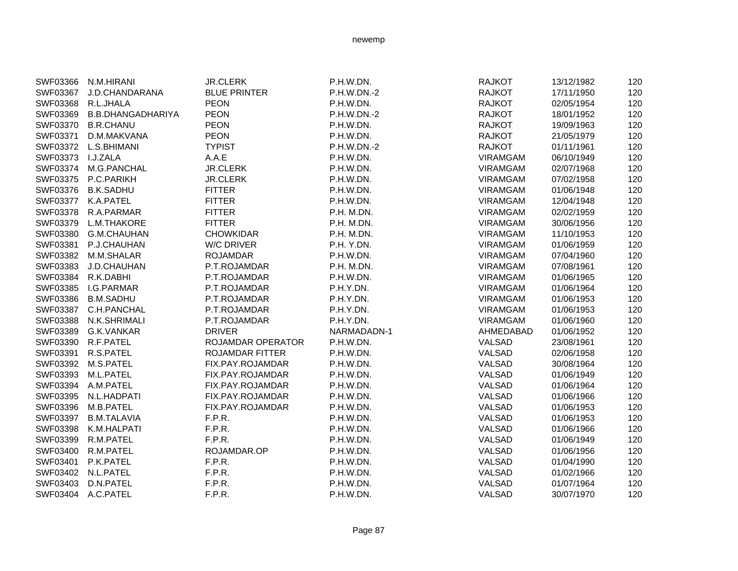| SWF03366 | N.M.HIRANI               | <b>JR.CLERK</b>        | P.H.W.DN.   | <b>RAJKOT</b>   | 13/12/1982 | 120 |
|----------|--------------------------|------------------------|-------------|-----------------|------------|-----|
| SWF03367 | J.D.CHANDARANA           | <b>BLUE PRINTER</b>    | P.H.W.DN.-2 | <b>RAJKOT</b>   | 17/11/1950 | 120 |
| SWF03368 | R.L.JHALA                | <b>PEON</b>            | P.H.W.DN.   | <b>RAJKOT</b>   | 02/05/1954 | 120 |
| SWF03369 | <b>B.B.DHANGADHARIYA</b> | <b>PEON</b>            | P.H.W.DN.-2 | <b>RAJKOT</b>   | 18/01/1952 | 120 |
| SWF03370 | <b>B.R.CHANU</b>         | <b>PEON</b>            | P.H.W.DN.   | <b>RAJKOT</b>   | 19/09/1963 | 120 |
| SWF03371 | D.M.MAKVANA              | <b>PEON</b>            | P.H.W.DN.   | <b>RAJKOT</b>   | 21/05/1979 | 120 |
| SWF03372 | L.S.BHIMANI              | <b>TYPIST</b>          | P.H.W.DN.-2 | <b>RAJKOT</b>   | 01/11/1961 | 120 |
| SWF03373 | I.J.ZALA                 | A.A.E                  | P.H.W.DN.   | <b>VIRAMGAM</b> | 06/10/1949 | 120 |
| SWF03374 | M.G.PANCHAL              | <b>JR.CLERK</b>        | P.H.W.DN.   | <b>VIRAMGAM</b> | 02/07/1968 | 120 |
| SWF03375 | P.C.PARIKH               | <b>JR.CLERK</b>        | P.H.W.DN.   | <b>VIRAMGAM</b> | 07/02/1958 | 120 |
| SWF03376 | <b>B.K.SADHU</b>         | <b>FITTER</b>          | P.H.W.DN.   | <b>VIRAMGAM</b> | 01/06/1948 | 120 |
| SWF03377 | K.A.PATEL                | <b>FITTER</b>          | P.H.W.DN.   | <b>VIRAMGAM</b> | 12/04/1948 | 120 |
| SWF03378 | R.A.PARMAR               | <b>FITTER</b>          | P.H. M.DN.  | <b>VIRAMGAM</b> | 02/02/1959 | 120 |
| SWF03379 | L.M.THAKORE              | <b>FITTER</b>          | P.H. M.DN.  | <b>VIRAMGAM</b> | 30/06/1956 | 120 |
| SWF03380 | G.M.CHAUHAN              | <b>CHOWKIDAR</b>       | P.H. M.DN.  | <b>VIRAMGAM</b> | 11/10/1953 | 120 |
| SWF03381 | P.J.CHAUHAN              | <b>W/C DRIVER</b>      | P.H. Y.DN.  | <b>VIRAMGAM</b> | 01/06/1959 | 120 |
| SWF03382 | M.M.SHALAR               | <b>ROJAMDAR</b>        | P.H.W.DN.   | <b>VIRAMGAM</b> | 07/04/1960 | 120 |
| SWF03383 | J.D.CHAUHAN              | P.T.ROJAMDAR           | P.H. M.DN.  | <b>VIRAMGAM</b> | 07/08/1961 | 120 |
| SWF03384 | R.K.DABHI                | P.T.ROJAMDAR           | P.H.W.DN.   | <b>VIRAMGAM</b> | 01/06/1965 | 120 |
| SWF03385 | I.G.PARMAR               | P.T.ROJAMDAR           | P.H.Y.DN.   | <b>VIRAMGAM</b> | 01/06/1964 | 120 |
| SWF03386 | <b>B.M.SADHU</b>         | P.T.ROJAMDAR           | P.H.Y.DN.   | <b>VIRAMGAM</b> | 01/06/1953 | 120 |
| SWF03387 | C.H.PANCHAL              | P.T.ROJAMDAR           | P.H.Y.DN.   | <b>VIRAMGAM</b> | 01/06/1953 | 120 |
| SWF03388 | N.K.SHRIMALI             | P.T.ROJAMDAR           | P.H.Y.DN.   | <b>VIRAMGAM</b> | 01/06/1960 | 120 |
| SWF03389 | G.K.VANKAR               | <b>DRIVER</b>          | NARMADADN-1 | AHMEDABAD       | 01/06/1952 | 120 |
|          | SWF03390 R.F.PATEL       | ROJAMDAR OPERATOR      | P.H.W.DN.   | VALSAD          | 23/08/1961 | 120 |
|          | SWF03391 R.S.PATEL       | <b>ROJAMDAR FITTER</b> | P.H.W.DN.   | VALSAD          | 02/06/1958 | 120 |
|          | SWF03392 M.S.PATEL       | FIX.PAY.ROJAMDAR       | P.H.W.DN.   | VALSAD          | 30/08/1964 | 120 |
| SWF03393 | M.L.PATEL                | FIX.PAY.ROJAMDAR       | P.H.W.DN.   | VALSAD          | 01/06/1949 | 120 |
| SWF03394 | A.M.PATEL                | FIX.PAY.ROJAMDAR       | P.H.W.DN.   | VALSAD          | 01/06/1964 | 120 |
| SWF03395 | N.L.HADPATI              | FIX.PAY.ROJAMDAR       | P.H.W.DN.   | VALSAD          | 01/06/1966 | 120 |
| SWF03396 | M.B.PATEL                | FIX.PAY.ROJAMDAR       | P.H.W.DN.   | VALSAD          | 01/06/1953 | 120 |
| SWF03397 | <b>B.M.TALAVIA</b>       | F.P.R.                 | P.H.W.DN.   | VALSAD          | 01/06/1953 | 120 |
| SWF03398 | K.M.HALPATI              | F.P.R.                 | P.H.W.DN.   | VALSAD          | 01/06/1966 | 120 |
| SWF03399 | R.M.PATEL                | F.P.R.                 | P.H.W.DN.   | VALSAD          | 01/06/1949 | 120 |
| SWF03400 | R.M.PATEL                | ROJAMDAR.OP            | P.H.W.DN.   | VALSAD          | 01/06/1956 | 120 |
| SWF03401 | P.K.PATEL                | F.P.R.                 | P.H.W.DN.   | VALSAD          | 01/04/1990 | 120 |
|          | SWF03402 N.L.PATEL       | F.P.R.                 | P.H.W.DN.   | VALSAD          | 01/02/1966 | 120 |
| SWF03403 | D.N.PATEL                | F.P.R.                 | P.H.W.DN.   | VALSAD          | 01/07/1964 | 120 |
|          | SWF03404 A.C.PATEL       | F.P.R.                 | P.H.W.DN.   | VALSAD          | 30/07/1970 | 120 |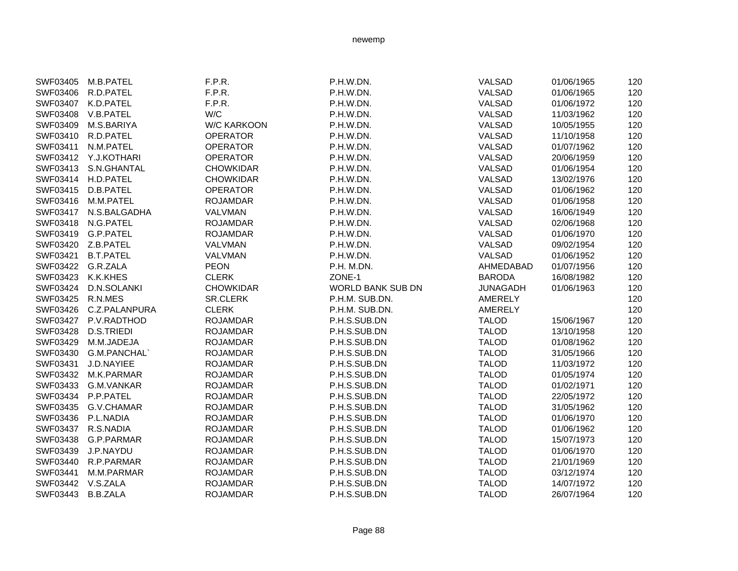| SWF03405 | M.B.PATEL         | F.P.R.             | P.H.W.DN.                | VALSAD          | 01/06/1965 | 120 |
|----------|-------------------|--------------------|--------------------------|-----------------|------------|-----|
| SWF03406 | R.D.PATEL         | F.P.R.             | P.H.W.DN.                | VALSAD          | 01/06/1965 | 120 |
| SWF03407 | K.D.PATEL         | F.P.R.             | P.H.W.DN.                | VALSAD          | 01/06/1972 | 120 |
| SWF03408 | V.B.PATEL         | W/C                | P.H.W.DN.                | VALSAD          | 11/03/1962 | 120 |
| SWF03409 | M.S.BARIYA        | <b>W/C KARKOON</b> | P.H.W.DN.                | VALSAD          | 10/05/1955 | 120 |
| SWF03410 | R.D.PATEL         | <b>OPERATOR</b>    | P.H.W.DN.                | VALSAD          | 11/10/1958 | 120 |
| SWF03411 | N.M.PATEL         | <b>OPERATOR</b>    | P.H.W.DN.                | VALSAD          | 01/07/1962 | 120 |
| SWF03412 | Y.J.KOTHARI       | <b>OPERATOR</b>    | P.H.W.DN.                | VALSAD          | 20/06/1959 | 120 |
| SWF03413 | S.N.GHANTAL       | <b>CHOWKIDAR</b>   | P.H.W.DN.                | VALSAD          | 01/06/1954 | 120 |
| SWF03414 | H.D.PATEL         | <b>CHOWKIDAR</b>   | P.H.W.DN.                | VALSAD          | 13/02/1976 | 120 |
| SWF03415 | D.B.PATEL         | <b>OPERATOR</b>    | P.H.W.DN.                | VALSAD          | 01/06/1962 | 120 |
| SWF03416 | M.M.PATEL         | <b>ROJAMDAR</b>    | P.H.W.DN.                | VALSAD          | 01/06/1958 | 120 |
| SWF03417 | N.S.BALGADHA      | VALVMAN            | P.H.W.DN.                | VALSAD          | 16/06/1949 | 120 |
| SWF03418 | N.G.PATEL         | <b>ROJAMDAR</b>    | P.H.W.DN.                | VALSAD          | 02/06/1968 | 120 |
| SWF03419 | G.P.PATEL         | <b>ROJAMDAR</b>    | P.H.W.DN.                | VALSAD          | 01/06/1970 | 120 |
| SWF03420 | Z.B.PATEL         | VALVMAN            | P.H.W.DN.                | VALSAD          | 09/02/1954 | 120 |
| SWF03421 | <b>B.T.PATEL</b>  | VALVMAN            | P.H.W.DN.                | VALSAD          | 01/06/1952 | 120 |
| SWF03422 | G.R.ZALA          | <b>PEON</b>        | P.H. M.DN.               | AHMEDABAD       | 01/07/1956 | 120 |
| SWF03423 | K.K.KHES          | <b>CLERK</b>       | ZONE-1                   | <b>BARODA</b>   | 16/08/1982 | 120 |
| SWF03424 | D.N.SOLANKI       | <b>CHOWKIDAR</b>   | <b>WORLD BANK SUB DN</b> | <b>JUNAGADH</b> | 01/06/1963 | 120 |
| SWF03425 | R.N.MES           | <b>SR.CLERK</b>    | P.H.M. SUB.DN.           | <b>AMERELY</b>  |            | 120 |
| SWF03426 | C.Z.PALANPURA     | <b>CLERK</b>       | P.H.M. SUB.DN.           | AMERELY         |            | 120 |
| SWF03427 | P.V.RADTHOD       | <b>ROJAMDAR</b>    | P.H.S.SUB.DN             | <b>TALOD</b>    | 15/06/1967 | 120 |
| SWF03428 | <b>D.S.TRIEDI</b> | <b>ROJAMDAR</b>    | P.H.S.SUB.DN             | <b>TALOD</b>    | 13/10/1958 | 120 |
| SWF03429 | M.M.JADEJA        | <b>ROJAMDAR</b>    | P.H.S.SUB.DN             | <b>TALOD</b>    | 01/08/1962 | 120 |
| SWF03430 | G.M.PANCHAL`      | <b>ROJAMDAR</b>    | P.H.S.SUB.DN             | <b>TALOD</b>    | 31/05/1966 | 120 |
| SWF03431 | J.D.NAYIEE        | <b>ROJAMDAR</b>    | P.H.S.SUB.DN             | <b>TALOD</b>    | 11/03/1972 | 120 |
| SWF03432 | M.K.PARMAR        | <b>ROJAMDAR</b>    | P.H.S.SUB.DN             | <b>TALOD</b>    | 01/05/1974 | 120 |
| SWF03433 | G.M.VANKAR        | <b>ROJAMDAR</b>    | P.H.S.SUB.DN             | <b>TALOD</b>    | 01/02/1971 | 120 |
| SWF03434 | P.P.PATEL         | <b>ROJAMDAR</b>    | P.H.S.SUB.DN             | <b>TALOD</b>    | 22/05/1972 | 120 |
| SWF03435 | G.V.CHAMAR        | <b>ROJAMDAR</b>    | P.H.S.SUB.DN             | <b>TALOD</b>    | 31/05/1962 | 120 |
| SWF03436 | P.L.NADIA         | <b>ROJAMDAR</b>    | P.H.S.SUB.DN             | <b>TALOD</b>    | 01/06/1970 | 120 |
| SWF03437 | R.S.NADIA         | <b>ROJAMDAR</b>    | P.H.S.SUB.DN             | <b>TALOD</b>    | 01/06/1962 | 120 |
| SWF03438 | G.P.PARMAR        | <b>ROJAMDAR</b>    | P.H.S.SUB.DN             | <b>TALOD</b>    | 15/07/1973 | 120 |
| SWF03439 | J.P.NAYDU         | <b>ROJAMDAR</b>    | P.H.S.SUB.DN             | <b>TALOD</b>    | 01/06/1970 | 120 |
| SWF03440 | R.P.PARMAR        | <b>ROJAMDAR</b>    | P.H.S.SUB.DN             | <b>TALOD</b>    | 21/01/1969 | 120 |
| SWF03441 | M.M.PARMAR        | <b>ROJAMDAR</b>    | P.H.S.SUB.DN             | <b>TALOD</b>    | 03/12/1974 | 120 |
| SWF03442 | V.S.ZALA          | <b>ROJAMDAR</b>    | P.H.S.SUB.DN             | <b>TALOD</b>    | 14/07/1972 | 120 |
| SWF03443 | <b>B.B.ZALA</b>   | <b>ROJAMDAR</b>    | P.H.S.SUB.DN             | <b>TALOD</b>    | 26/07/1964 | 120 |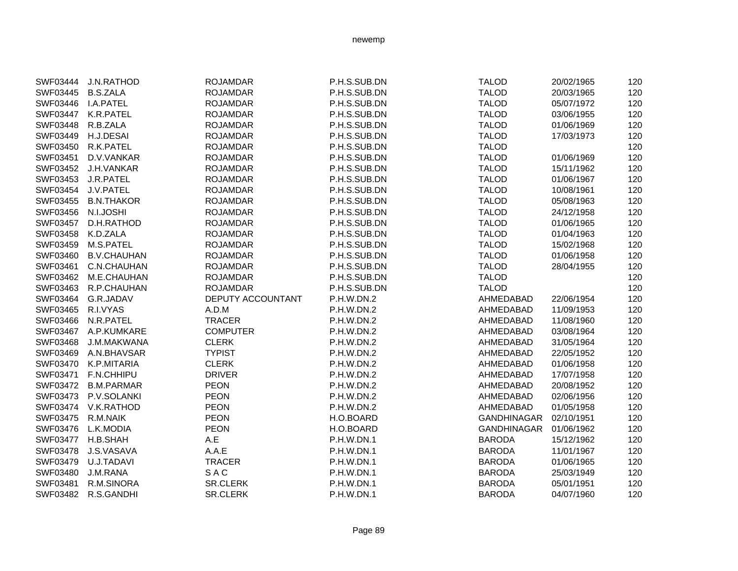| SWF03444 | <b>J.N.RATHOD</b>  | <b>ROJAMDAR</b>   | P.H.S.SUB.DN | <b>TALOD</b>       | 20/02/1965 | 120 |
|----------|--------------------|-------------------|--------------|--------------------|------------|-----|
| SWF03445 | <b>B.S.ZALA</b>    | <b>ROJAMDAR</b>   | P.H.S.SUB.DN | <b>TALOD</b>       | 20/03/1965 | 120 |
| SWF03446 | I.A.PATEL          | <b>ROJAMDAR</b>   | P.H.S.SUB.DN | <b>TALOD</b>       | 05/07/1972 | 120 |
| SWF03447 | K.R.PATEL          | <b>ROJAMDAR</b>   | P.H.S.SUB.DN | <b>TALOD</b>       | 03/06/1955 | 120 |
| SWF03448 | R.B.ZALA           | <b>ROJAMDAR</b>   | P.H.S.SUB.DN | <b>TALOD</b>       | 01/06/1969 | 120 |
| SWF03449 | H.J.DESAI          | <b>ROJAMDAR</b>   | P.H.S.SUB.DN | <b>TALOD</b>       | 17/03/1973 | 120 |
| SWF03450 | R.K.PATEL          | <b>ROJAMDAR</b>   | P.H.S.SUB.DN | <b>TALOD</b>       |            | 120 |
| SWF03451 | D.V.VANKAR         | <b>ROJAMDAR</b>   | P.H.S.SUB.DN | <b>TALOD</b>       | 01/06/1969 | 120 |
| SWF03452 | J.H.VANKAR         | <b>ROJAMDAR</b>   | P.H.S.SUB.DN | <b>TALOD</b>       | 15/11/1962 | 120 |
| SWF03453 | J.R.PATEL          | <b>ROJAMDAR</b>   | P.H.S.SUB.DN | <b>TALOD</b>       | 01/06/1967 | 120 |
| SWF03454 | J.V.PATEL          | <b>ROJAMDAR</b>   | P.H.S.SUB.DN | <b>TALOD</b>       | 10/08/1961 | 120 |
| SWF03455 | <b>B.N.THAKOR</b>  | <b>ROJAMDAR</b>   | P.H.S.SUB.DN | <b>TALOD</b>       | 05/08/1963 | 120 |
| SWF03456 | N.I.JOSHI          | <b>ROJAMDAR</b>   | P.H.S.SUB.DN | <b>TALOD</b>       | 24/12/1958 | 120 |
| SWF03457 | D.H.RATHOD         | <b>ROJAMDAR</b>   | P.H.S.SUB.DN | <b>TALOD</b>       | 01/06/1965 | 120 |
| SWF03458 | K.D.ZALA           | <b>ROJAMDAR</b>   | P.H.S.SUB.DN | <b>TALOD</b>       | 01/04/1963 | 120 |
| SWF03459 | M.S.PATEL          | <b>ROJAMDAR</b>   | P.H.S.SUB.DN | <b>TALOD</b>       | 15/02/1968 | 120 |
| SWF03460 | <b>B.V.CHAUHAN</b> | <b>ROJAMDAR</b>   | P.H.S.SUB.DN | <b>TALOD</b>       | 01/06/1958 | 120 |
| SWF03461 | C.N.CHAUHAN        | <b>ROJAMDAR</b>   | P.H.S.SUB.DN | <b>TALOD</b>       | 28/04/1955 | 120 |
| SWF03462 | M.E.CHAUHAN        | <b>ROJAMDAR</b>   | P.H.S.SUB.DN | <b>TALOD</b>       |            | 120 |
| SWF03463 | R.P.CHAUHAN        | <b>ROJAMDAR</b>   | P.H.S.SUB.DN | <b>TALOD</b>       |            | 120 |
| SWF03464 | G.R.JADAV          | DEPUTY ACCOUNTANT | P.H.W.DN.2   | AHMEDABAD          | 22/06/1954 | 120 |
| SWF03465 | R.I.VYAS           | A.D.M             | P.H.W.DN.2   | AHMEDABAD          | 11/09/1953 | 120 |
| SWF03466 | N.R.PATEL          | <b>TRACER</b>     | P.H.W.DN.2   | AHMEDABAD          | 11/08/1960 | 120 |
| SWF03467 | A.P.KUMKARE        | <b>COMPUTER</b>   | P.H.W.DN.2   | AHMEDABAD          | 03/08/1964 | 120 |
| SWF03468 | J.M.MAKWANA        | <b>CLERK</b>      | P.H.W.DN.2   | AHMEDABAD          | 31/05/1964 | 120 |
| SWF03469 | A.N.BHAVSAR        | <b>TYPIST</b>     | P.H.W.DN.2   | AHMEDABAD          | 22/05/1952 | 120 |
| SWF03470 | K.P.MITARIA        | <b>CLERK</b>      | P.H.W.DN.2   | AHMEDABAD          | 01/06/1958 | 120 |
| SWF03471 | F.N.CHHIPU         | <b>DRIVER</b>     | P.H.W.DN.2   | AHMEDABAD          | 17/07/1958 | 120 |
| SWF03472 | <b>B.M.PARMAR</b>  | <b>PEON</b>       | P.H.W.DN.2   | AHMEDABAD          | 20/08/1952 | 120 |
| SWF03473 | P.V.SOLANKI        | <b>PEON</b>       | P.H.W.DN.2   | AHMEDABAD          | 02/06/1956 | 120 |
| SWF03474 | V.K.RATHOD         | <b>PEON</b>       | P.H.W.DN.2   | AHMEDABAD          | 01/05/1958 | 120 |
| SWF03475 | R.M.NAIK           | <b>PEON</b>       | H.O.BOARD    | <b>GANDHINAGAR</b> | 02/10/1951 | 120 |
| SWF03476 | L.K.MODIA          | <b>PEON</b>       | H.O.BOARD    | <b>GANDHINAGAR</b> | 01/06/1962 | 120 |
| SWF03477 | H.B.SHAH           | A.E               | P.H.W.DN.1   | <b>BARODA</b>      | 15/12/1962 | 120 |
| SWF03478 | J.S.VASAVA         | A.A.E             | P.H.W.DN.1   | <b>BARODA</b>      | 11/01/1967 | 120 |
| SWF03479 | U.J.TADAVI         | <b>TRACER</b>     | P.H.W.DN.1   | <b>BARODA</b>      | 01/06/1965 | 120 |
| SWF03480 | J.M.RANA           | SAC               | P.H.W.DN.1   | <b>BARODA</b>      | 25/03/1949 | 120 |
| SWF03481 | R.M.SINORA         | <b>SR.CLERK</b>   | P.H.W.DN.1   | <b>BARODA</b>      | 05/01/1951 | 120 |
| SWF03482 | R.S.GANDHI         | <b>SR.CLERK</b>   | P.H.W.DN.1   | <b>BARODA</b>      | 04/07/1960 | 120 |
|          |                    |                   |              |                    |            |     |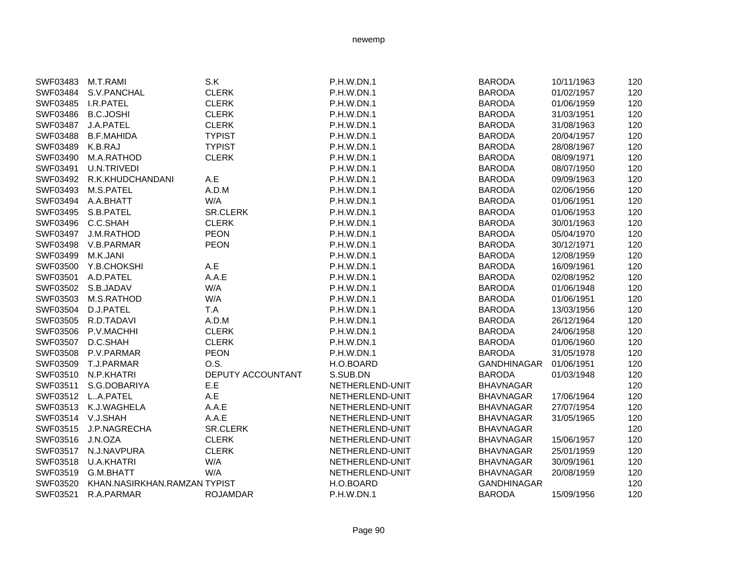| SWF03483          | M.T.RAMI                     | S.K                      | P.H.W.DN.1        | <b>BARODA</b>      | 10/11/1963 | 120 |
|-------------------|------------------------------|--------------------------|-------------------|--------------------|------------|-----|
| SWF03484          | S.V.PANCHAL                  | <b>CLERK</b>             | P.H.W.DN.1        | <b>BARODA</b>      | 01/02/1957 | 120 |
| SWF03485          | I.R.PATEL                    | <b>CLERK</b>             | P.H.W.DN.1        | <b>BARODA</b>      | 01/06/1959 | 120 |
| SWF03486          | <b>B.C.JOSHI</b>             | <b>CLERK</b>             | <b>P.H.W.DN.1</b> | <b>BARODA</b>      | 31/03/1951 | 120 |
| SWF03487          | J.A.PATEL                    | <b>CLERK</b>             | P.H.W.DN.1        | <b>BARODA</b>      | 31/08/1963 | 120 |
| SWF03488          | <b>B.F.MAHIDA</b>            | <b>TYPIST</b>            | P.H.W.DN.1        | <b>BARODA</b>      | 20/04/1957 | 120 |
| SWF03489          | K.B.RAJ                      | <b>TYPIST</b>            | P.H.W.DN.1        | <b>BARODA</b>      | 28/08/1967 | 120 |
| SWF03490          | M.A.RATHOD                   | <b>CLERK</b>             | P.H.W.DN.1        | <b>BARODA</b>      | 08/09/1971 | 120 |
| SWF03491          | <b>U.N.TRIVEDI</b>           |                          | <b>P.H.W.DN.1</b> | <b>BARODA</b>      | 08/07/1950 | 120 |
| SWF03492          | R.K.KHUDCHANDANI             | A.E                      | P.H.W.DN.1        | <b>BARODA</b>      | 09/09/1963 | 120 |
| SWF03493          | M.S.PATEL                    | A.D.M                    | P.H.W.DN.1        | <b>BARODA</b>      | 02/06/1956 | 120 |
| SWF03494          | A.A.BHATT                    | W/A                      | P.H.W.DN.1        | <b>BARODA</b>      | 01/06/1951 | 120 |
|                   | SWF03495 S.B.PATEL           | <b>SR.CLERK</b>          | P.H.W.DN.1        | <b>BARODA</b>      | 01/06/1953 | 120 |
| SWF03496 C.C.SHAH |                              | <b>CLERK</b>             | P.H.W.DN.1        | <b>BARODA</b>      | 30/01/1963 | 120 |
| SWF03497          | J.M.RATHOD                   | <b>PEON</b>              | <b>P.H.W.DN.1</b> | <b>BARODA</b>      | 05/04/1970 | 120 |
| SWF03498          | V.B.PARMAR                   | <b>PEON</b>              | P.H.W.DN.1        | <b>BARODA</b>      | 30/12/1971 | 120 |
| SWF03499          | M.K.JANI                     |                          | <b>P.H.W.DN.1</b> | <b>BARODA</b>      | 12/08/1959 | 120 |
| SWF03500          | Y.B.CHOKSHI                  | A.E                      | P.H.W.DN.1        | <b>BARODA</b>      | 16/09/1961 | 120 |
| SWF03501          | A.D.PATEL                    | A.A.E                    | P.H.W.DN.1        | <b>BARODA</b>      | 02/08/1952 | 120 |
| SWF03502          | S.B.JADAV                    | W/A                      | P.H.W.DN.1        | <b>BARODA</b>      | 01/06/1948 | 120 |
| SWF03503          | M.S.RATHOD                   | W/A                      | P.H.W.DN.1        | <b>BARODA</b>      | 01/06/1951 | 120 |
| SWF03504          | D.J.PATEL                    | T.A                      | P.H.W.DN.1        | <b>BARODA</b>      | 13/03/1956 | 120 |
|                   | SWF03505 R.D.TADAVI          | A.D.M                    | P.H.W.DN.1        | <b>BARODA</b>      | 26/12/1964 | 120 |
| SWF03506          | P.V.MACHHI                   | <b>CLERK</b>             | P.H.W.DN.1        | <b>BARODA</b>      | 24/06/1958 | 120 |
| SWF03507          | D.C.SHAH                     | <b>CLERK</b>             | P.H.W.DN.1        | <b>BARODA</b>      | 01/06/1960 | 120 |
| SWF03508          | P.V.PARMAR                   | <b>PEON</b>              | P.H.W.DN.1        | <b>BARODA</b>      | 31/05/1978 | 120 |
| SWF03509          | T.J.PARMAR                   | O.S.                     | H.O.BOARD         | <b>GANDHINAGAR</b> | 01/06/1951 | 120 |
| SWF03510          | N.P.KHATRI                   | <b>DEPUTY ACCOUNTANT</b> | S.SUB.DN          | <b>BARODA</b>      | 01/03/1948 | 120 |
| SWF03511          | S.G.DOBARIYA                 | E.E                      | NETHERLEND-UNIT   | <b>BHAVNAGAR</b>   |            | 120 |
| SWF03512          | LA.PATEL                     | A.E                      | NETHERLEND-UNIT   | <b>BHAVNAGAR</b>   | 17/06/1964 | 120 |
| SWF03513          | K.J.WAGHELA                  | A.A.E                    | NETHERLEND-UNIT   | <b>BHAVNAGAR</b>   | 27/07/1954 | 120 |
| SWF03514 V.J.SHAH |                              | A.A.E                    | NETHERLEND-UNIT   | <b>BHAVNAGAR</b>   | 31/05/1965 | 120 |
| SWF03515          | J.P.NAGRECHA                 | <b>SR.CLERK</b>          | NETHERLEND-UNIT   | <b>BHAVNAGAR</b>   |            | 120 |
| SWF03516          | J.N.OZA                      | <b>CLERK</b>             | NETHERLEND-UNIT   | <b>BHAVNAGAR</b>   | 15/06/1957 | 120 |
| SWF03517          | N.J.NAVPURA                  | <b>CLERK</b>             | NETHERLEND-UNIT   | <b>BHAVNAGAR</b>   | 25/01/1959 | 120 |
| SWF03518          | <b>U.A.KHATRI</b>            | W/A                      | NETHERLEND-UNIT   | <b>BHAVNAGAR</b>   | 30/09/1961 | 120 |
| SWF03519          | G.M.BHATT                    | W/A                      | NETHERLEND-UNIT   | <b>BHAVNAGAR</b>   | 20/08/1959 | 120 |
| SWF03520          | KHAN.NASIRKHAN.RAMZAN TYPIST |                          | H.O.BOARD         | <b>GANDHINAGAR</b> |            | 120 |
| SWF03521          | R.A.PARMAR                   | <b>ROJAMDAR</b>          | <b>P.H.W.DN.1</b> | <b>BARODA</b>      | 15/09/1956 | 120 |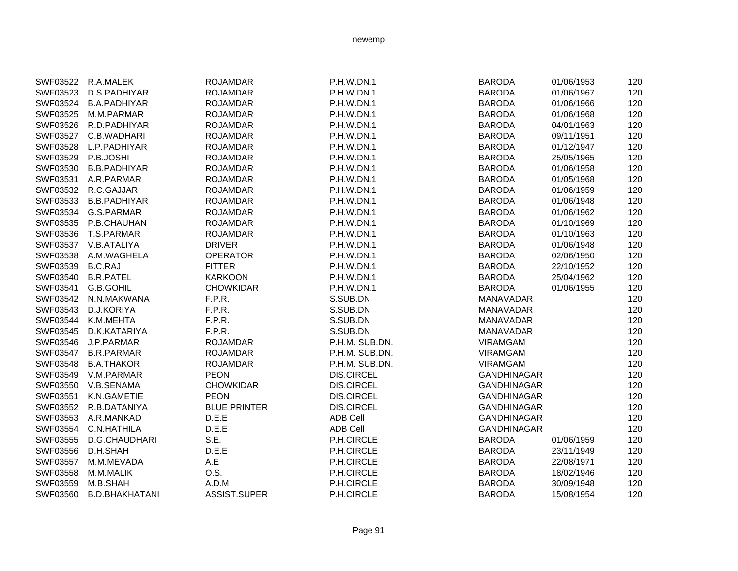|          | SWF03522 R.A.MALEK    | <b>ROJAMDAR</b>     | P.H.W.DN.1        | <b>BARODA</b>      | 01/06/1953 | 120 |
|----------|-----------------------|---------------------|-------------------|--------------------|------------|-----|
| SWF03523 | D.S.PADHIYAR          | <b>ROJAMDAR</b>     | P.H.W.DN.1        | <b>BARODA</b>      | 01/06/1967 | 120 |
| SWF03524 | <b>B.A.PADHIYAR</b>   | <b>ROJAMDAR</b>     | <b>P.H.W.DN.1</b> | <b>BARODA</b>      | 01/06/1966 | 120 |
| SWF03525 | M.M.PARMAR            | <b>ROJAMDAR</b>     | <b>P.H.W.DN.1</b> | <b>BARODA</b>      | 01/06/1968 | 120 |
| SWF03526 | R.D.PADHIYAR          | <b>ROJAMDAR</b>     | P.H.W.DN.1        | <b>BARODA</b>      | 04/01/1963 | 120 |
| SWF03527 | C.B.WADHARI           | <b>ROJAMDAR</b>     | P.H.W.DN.1        | <b>BARODA</b>      | 09/11/1951 | 120 |
| SWF03528 | L.P.PADHIYAR          | <b>ROJAMDAR</b>     | P.H.W.DN.1        | <b>BARODA</b>      | 01/12/1947 | 120 |
| SWF03529 | P.B.JOSHI             | <b>ROJAMDAR</b>     | <b>P.H.W.DN.1</b> | <b>BARODA</b>      | 25/05/1965 | 120 |
| SWF03530 | <b>B.B.PADHIYAR</b>   | <b>ROJAMDAR</b>     | P.H.W.DN.1        | <b>BARODA</b>      | 01/06/1958 | 120 |
| SWF03531 | A.R.PARMAR            | <b>ROJAMDAR</b>     | <b>P.H.W.DN.1</b> | <b>BARODA</b>      | 01/05/1968 | 120 |
| SWF03532 | R.C.GAJJAR            | <b>ROJAMDAR</b>     | P.H.W.DN.1        | <b>BARODA</b>      | 01/06/1959 | 120 |
| SWF03533 | <b>B.B.PADHIYAR</b>   | <b>ROJAMDAR</b>     | P.H.W.DN.1        | <b>BARODA</b>      | 01/06/1948 | 120 |
|          | SWF03534 G.S.PARMAR   | <b>ROJAMDAR</b>     | <b>P.H.W.DN.1</b> | <b>BARODA</b>      | 01/06/1962 | 120 |
|          | SWF03535 P.B.CHAUHAN  | <b>ROJAMDAR</b>     | P.H.W.DN.1        | <b>BARODA</b>      | 01/10/1969 | 120 |
|          | SWF03536 T.S.PARMAR   | <b>ROJAMDAR</b>     | P.H.W.DN.1        | <b>BARODA</b>      | 01/10/1963 | 120 |
|          | SWF03537 V.B.ATALIYA  | <b>DRIVER</b>       | P.H.W.DN.1        | <b>BARODA</b>      | 01/06/1948 | 120 |
| SWF03538 | A.M.WAGHELA           | <b>OPERATOR</b>     | P.H.W.DN.1        | <b>BARODA</b>      | 02/06/1950 | 120 |
| SWF03539 | <b>B.C.RAJ</b>        | <b>FITTER</b>       | <b>P.H.W.DN.1</b> | <b>BARODA</b>      | 22/10/1952 | 120 |
| SWF03540 | <b>B.R.PATEL</b>      | <b>KARKOON</b>      | P.H.W.DN.1        | <b>BARODA</b>      | 25/04/1962 | 120 |
| SWF03541 | G.B.GOHIL             | <b>CHOWKIDAR</b>    | P.H.W.DN.1        | <b>BARODA</b>      | 01/06/1955 | 120 |
| SWF03542 | N.N.MAKWANA           | F.P.R.              | S.SUB.DN          | MANAVADAR          |            | 120 |
| SWF03543 | D.J.KORIYA            | F.P.R.              | S.SUB.DN          | MANAVADAR          |            | 120 |
| SWF03544 | K.M.MEHTA             | F.P.R.              | S.SUB.DN          | MANAVADAR          |            | 120 |
| SWF03545 | D.K.KATARIYA          | F.P.R.              | S.SUB.DN          | <b>MANAVADAR</b>   |            | 120 |
| SWF03546 | J.P.PARMAR            | <b>ROJAMDAR</b>     | P.H.M. SUB.DN.    | <b>VIRAMGAM</b>    |            | 120 |
| SWF03547 | <b>B.R.PARMAR</b>     | <b>ROJAMDAR</b>     | P.H.M. SUB.DN.    | <b>VIRAMGAM</b>    |            | 120 |
| SWF03548 | <b>B.A.THAKOR</b>     | <b>ROJAMDAR</b>     | P.H.M. SUB.DN.    | <b>VIRAMGAM</b>    |            | 120 |
| SWF03549 | V.M.PARMAR            | <b>PEON</b>         | <b>DIS.CIRCEL</b> | <b>GANDHINAGAR</b> |            | 120 |
| SWF03550 | V.B.SENAMA            | <b>CHOWKIDAR</b>    | <b>DIS.CIRCEL</b> | <b>GANDHINAGAR</b> |            | 120 |
| SWF03551 | K.N.GAMETIE           | <b>PEON</b>         | <b>DIS.CIRCEL</b> | <b>GANDHINAGAR</b> |            | 120 |
|          | SWF03552 R.B.DATANIYA | <b>BLUE PRINTER</b> | <b>DIS.CIRCEL</b> | <b>GANDHINAGAR</b> |            | 120 |
| SWF03553 | A.R.MANKAD            | D.E.E               | <b>ADB Cell</b>   | <b>GANDHINAGAR</b> |            | 120 |
| SWF03554 | C.N.HATHILA           | D.E.E               | <b>ADB Cell</b>   | <b>GANDHINAGAR</b> |            | 120 |
| SWF03555 | D.G.CHAUDHARI         | S.E.                | P.H.CIRCLE        | <b>BARODA</b>      | 01/06/1959 | 120 |
| SWF03556 | D.H.SHAH              | D.E.E               | P.H.CIRCLE        | <b>BARODA</b>      | 23/11/1949 | 120 |
| SWF03557 | M.M.MEVADA            | A.E                 | P.H.CIRCLE        | <b>BARODA</b>      | 22/08/1971 | 120 |
| SWF03558 | M.M.MALIK             | O.S.                | P.H.CIRCLE        | <b>BARODA</b>      | 18/02/1946 | 120 |
| SWF03559 | M.B.SHAH              | A.D.M               | P.H.CIRCLE        | <b>BARODA</b>      | 30/09/1948 | 120 |
| SWF03560 | <b>B.D.BHAKHATANI</b> | ASSIST.SUPER        | P.H.CIRCLE        | <b>BARODA</b>      | 15/08/1954 | 120 |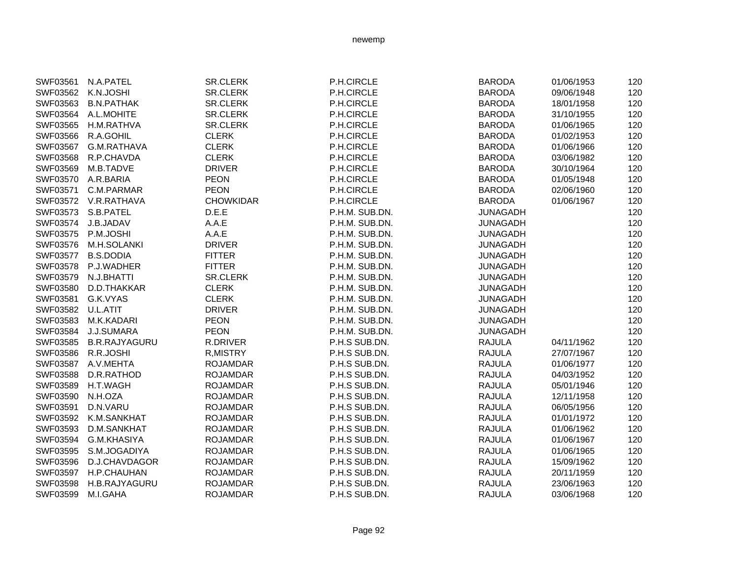| SWF03561          | N.A.PATEL            | <b>SR.CLERK</b>  | P.H.CIRCLE     | <b>BARODA</b>   | 01/06/1953 | 120 |
|-------------------|----------------------|------------------|----------------|-----------------|------------|-----|
| SWF03562          | K.N.JOSHI            | <b>SR.CLERK</b>  | P.H.CIRCLE     | <b>BARODA</b>   | 09/06/1948 | 120 |
| SWF03563          | <b>B.N.PATHAK</b>    | <b>SR.CLERK</b>  | P.H.CIRCLE     | <b>BARODA</b>   | 18/01/1958 | 120 |
| SWF03564          | A.L.MOHITE           | <b>SR.CLERK</b>  | P.H.CIRCLE     | <b>BARODA</b>   | 31/10/1955 | 120 |
| SWF03565          | H.M.RATHVA           | <b>SR.CLERK</b>  | P.H.CIRCLE     | <b>BARODA</b>   | 01/06/1965 | 120 |
| SWF03566          | R.A.GOHIL            | <b>CLERK</b>     | P.H.CIRCLE     | <b>BARODA</b>   | 01/02/1953 | 120 |
| SWF03567          | G.M.RATHAVA          | <b>CLERK</b>     | P.H.CIRCLE     | <b>BARODA</b>   | 01/06/1966 | 120 |
| SWF03568          | R.P.CHAVDA           | <b>CLERK</b>     | P.H.CIRCLE     | <b>BARODA</b>   | 03/06/1982 | 120 |
| SWF03569          | M.B.TADVE            | <b>DRIVER</b>    | P.H.CIRCLE     | <b>BARODA</b>   | 30/10/1964 | 120 |
| SWF03570          | A.R.BARIA            | <b>PEON</b>      | P.H.CIRCLE     | <b>BARODA</b>   | 01/05/1948 | 120 |
| SWF03571          | C.M.PARMAR           | <b>PEON</b>      | P.H.CIRCLE     | <b>BARODA</b>   | 02/06/1960 | 120 |
|                   | SWF03572 V.R.RATHAVA | <b>CHOWKIDAR</b> | P.H.CIRCLE     | <b>BARODA</b>   | 01/06/1967 | 120 |
| SWF03573          | S.B.PATEL            | D.E.E            | P.H.M. SUB.DN. | <b>JUNAGADH</b> |            | 120 |
| SWF03574          | J.B.JADAV            | A.A.E            | P.H.M. SUB.DN. | <b>JUNAGADH</b> |            | 120 |
| SWF03575          | P.M.JOSHI            | A.A.E            | P.H.M. SUB.DN. | <b>JUNAGADH</b> |            | 120 |
| SWF03576          | M.H.SOLANKI          | <b>DRIVER</b>    | P.H.M. SUB.DN. | <b>JUNAGADH</b> |            | 120 |
| SWF03577          | <b>B.S.DODIA</b>     | <b>FITTER</b>    | P.H.M. SUB.DN. | <b>JUNAGADH</b> |            | 120 |
| SWF03578          | P.J.WADHER           | <b>FITTER</b>    | P.H.M. SUB.DN. | <b>JUNAGADH</b> |            | 120 |
| SWF03579          | N.J.BHATTI           | SR.CLERK         | P.H.M. SUB.DN. | <b>JUNAGADH</b> |            | 120 |
| SWF03580          | D.D.THAKKAR          | <b>CLERK</b>     | P.H.M. SUB.DN. | <b>JUNAGADH</b> |            | 120 |
| SWF03581          | G.K.VYAS             | <b>CLERK</b>     | P.H.M. SUB.DN. | <b>JUNAGADH</b> |            | 120 |
| SWF03582 U.L.ATIT |                      | <b>DRIVER</b>    | P.H.M. SUB.DN. | <b>JUNAGADH</b> |            | 120 |
| SWF03583          | M.K.KADARI           | <b>PEON</b>      | P.H.M. SUB.DN. | <b>JUNAGADH</b> |            | 120 |
| SWF03584          | J.J.SUMARA           | <b>PEON</b>      | P.H.M. SUB.DN. | <b>JUNAGADH</b> |            | 120 |
| SWF03585          | <b>B.R.RAJYAGURU</b> | R.DRIVER         | P.H.S SUB.DN.  | <b>RAJULA</b>   | 04/11/1962 | 120 |
| SWF03586          | R.R.JOSHI            | <b>R,MISTRY</b>  | P.H.S SUB.DN.  | <b>RAJULA</b>   | 27/07/1967 | 120 |
| SWF03587          | A.V.MEHTA            | <b>ROJAMDAR</b>  | P.H.S SUB.DN.  | <b>RAJULA</b>   | 01/06/1977 | 120 |
| SWF03588          | D.R.RATHOD           | <b>ROJAMDAR</b>  | P.H.S SUB.DN.  | <b>RAJULA</b>   | 04/03/1952 | 120 |
| SWF03589          | H.T.WAGH             | <b>ROJAMDAR</b>  | P.H.S SUB.DN.  | <b>RAJULA</b>   | 05/01/1946 | 120 |
| SWF03590          | N.H.OZA              | <b>ROJAMDAR</b>  | P.H.S SUB.DN.  | <b>RAJULA</b>   | 12/11/1958 | 120 |
| SWF03591          | D.N.VARU             | <b>ROJAMDAR</b>  | P.H.S SUB.DN.  | <b>RAJULA</b>   | 06/05/1956 | 120 |
| SWF03592          | K.M.SANKHAT          | <b>ROJAMDAR</b>  | P.H.S SUB.DN.  | <b>RAJULA</b>   | 01/01/1972 | 120 |
| SWF03593          | D.M.SANKHAT          | <b>ROJAMDAR</b>  | P.H.S SUB.DN.  | <b>RAJULA</b>   | 01/06/1962 | 120 |
| SWF03594          | G.M.KHASIYA          | <b>ROJAMDAR</b>  | P.H.S SUB.DN.  | <b>RAJULA</b>   | 01/06/1967 | 120 |
| SWF03595          | S.M.JOGADIYA         | <b>ROJAMDAR</b>  | P.H.S SUB.DN.  | <b>RAJULA</b>   | 01/06/1965 | 120 |
| SWF03596          | D.J.CHAVDAGOR        | <b>ROJAMDAR</b>  | P.H.S SUB.DN.  | <b>RAJULA</b>   | 15/09/1962 | 120 |
| SWF03597          | H.P.CHAUHAN          | <b>ROJAMDAR</b>  | P.H.S SUB.DN.  | <b>RAJULA</b>   | 20/11/1959 | 120 |
| SWF03598          | H.B.RAJYAGURU        | <b>ROJAMDAR</b>  | P.H.S SUB.DN.  | <b>RAJULA</b>   | 23/06/1963 | 120 |
| SWF03599          | M.I.GAHA             | <b>ROJAMDAR</b>  | P.H.S SUB.DN.  | <b>RAJULA</b>   | 03/06/1968 | 120 |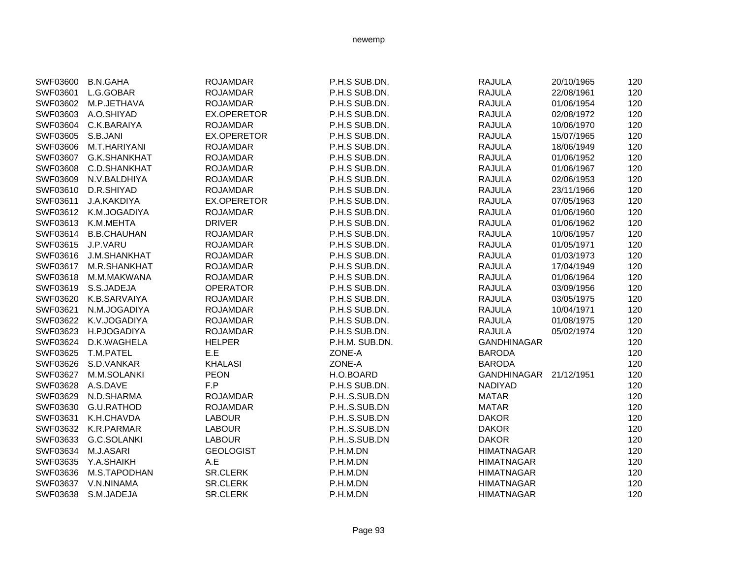| SWF03600 | <b>B.N.GAHA</b>       | <b>ROJAMDAR</b>    | P.H.S SUB.DN.  | <b>RAJULA</b>          | 20/10/1965 | 120 |
|----------|-----------------------|--------------------|----------------|------------------------|------------|-----|
| SWF03601 | L.G.GOBAR             | <b>ROJAMDAR</b>    | P.H.S SUB.DN.  | <b>RAJULA</b>          | 22/08/1961 | 120 |
|          | SWF03602 M.P.JETHAVA  | <b>ROJAMDAR</b>    | P.H.S SUB.DN.  | <b>RAJULA</b>          | 01/06/1954 | 120 |
| SWF03603 | A.O.SHIYAD            | EX.OPERETOR        | P.H.S SUB.DN.  | <b>RAJULA</b>          | 02/08/1972 | 120 |
| SWF03604 | C.K.BARAIYA           | <b>ROJAMDAR</b>    | P.H.S SUB.DN.  | <b>RAJULA</b>          | 10/06/1970 | 120 |
| SWF03605 | S.B.JANI              | EX.OPERETOR        | P.H.S SUB.DN.  | <b>RAJULA</b>          | 15/07/1965 | 120 |
| SWF03606 | M.T.HARIYANI          | <b>ROJAMDAR</b>    | P.H.S SUB.DN.  | <b>RAJULA</b>          | 18/06/1949 | 120 |
|          | SWF03607 G.K.SHANKHAT | <b>ROJAMDAR</b>    | P.H.S SUB.DN.  | <b>RAJULA</b>          | 01/06/1952 | 120 |
|          | SWF03608 C.D.SHANKHAT | <b>ROJAMDAR</b>    | P.H.S SUB.DN.  | <b>RAJULA</b>          | 01/06/1967 | 120 |
|          | SWF03609 N.V.BALDHIYA | <b>ROJAMDAR</b>    | P.H.S SUB.DN.  | <b>RAJULA</b>          | 02/06/1953 | 120 |
| SWF03610 | D.R.SHIYAD            | <b>ROJAMDAR</b>    | P.H.S SUB.DN.  | <b>RAJULA</b>          | 23/11/1966 | 120 |
| SWF03611 | J.A.KAKDIYA           | <b>EX.OPERETOR</b> | P.H.S SUB.DN.  | <b>RAJULA</b>          | 07/05/1963 | 120 |
| SWF03612 | K.M.JOGADIYA          | <b>ROJAMDAR</b>    | P.H.S SUB.DN.  | <b>RAJULA</b>          | 01/06/1960 | 120 |
| SWF03613 | K.M.MEHTA             | <b>DRIVER</b>      | P.H.S SUB.DN.  | <b>RAJULA</b>          | 01/06/1962 | 120 |
| SWF03614 | <b>B.B.CHAUHAN</b>    | <b>ROJAMDAR</b>    | P.H.S SUB.DN.  | <b>RAJULA</b>          | 10/06/1957 | 120 |
| SWF03615 | J.P.VARU              | <b>ROJAMDAR</b>    | P.H.S SUB.DN.  | <b>RAJULA</b>          | 01/05/1971 | 120 |
| SWF03616 | <b>J.M.SHANKHAT</b>   | <b>ROJAMDAR</b>    | P.H.S SUB.DN.  | <b>RAJULA</b>          | 01/03/1973 | 120 |
| SWF03617 | <b>M.R.SHANKHAT</b>   | <b>ROJAMDAR</b>    | P.H.S SUB.DN.  | <b>RAJULA</b>          | 17/04/1949 | 120 |
| SWF03618 | M.M.MAKWANA           | <b>ROJAMDAR</b>    | P.H.S SUB.DN.  | <b>RAJULA</b>          | 01/06/1964 | 120 |
| SWF03619 | S.S.JADEJA            | <b>OPERATOR</b>    | P.H.S SUB.DN.  | <b>RAJULA</b>          | 03/09/1956 | 120 |
| SWF03620 | K.B.SARVAIYA          | <b>ROJAMDAR</b>    | P.H.S SUB.DN.  | <b>RAJULA</b>          | 03/05/1975 | 120 |
| SWF03621 | N.M.JOGADIYA          | <b>ROJAMDAR</b>    | P.H.S SUB.DN.  | <b>RAJULA</b>          | 10/04/1971 | 120 |
| SWF03622 | K.V.JOGADIYA          | <b>ROJAMDAR</b>    | P.H.S SUB.DN.  | <b>RAJULA</b>          | 01/08/1975 | 120 |
| SWF03623 | H.PJOGADIYA           | <b>ROJAMDAR</b>    | P.H.S SUB.DN.  | <b>RAJULA</b>          | 05/02/1974 | 120 |
| SWF03624 | D.K.WAGHELA           | <b>HELPER</b>      | P.H.M. SUB.DN. | <b>GANDHINAGAR</b>     |            | 120 |
| SWF03625 | T.M.PATEL             | E.E                | ZONE-A         | <b>BARODA</b>          |            | 120 |
| SWF03626 | S.D.VANKAR            | <b>KHALASI</b>     | ZONE-A         | <b>BARODA</b>          |            | 120 |
|          | SWF03627 M.M.SOLANKI  | <b>PEON</b>        | H.O.BOARD      | GANDHINAGAR 21/12/1951 |            | 120 |
| SWF03628 | A.S.DAVE              | F.P                | P.H.S SUB.DN.  | <b>NADIYAD</b>         |            | 120 |
| SWF03629 | N.D.SHARMA            | <b>ROJAMDAR</b>    | P.HS.SUB.DN    | <b>MATAR</b>           |            | 120 |
| SWF03630 | G.U.RATHOD            | <b>ROJAMDAR</b>    | P.HS.SUB.DN    | <b>MATAR</b>           |            | 120 |
| SWF03631 | K.H.CHAVDA            | <b>LABOUR</b>      | P.HS.SUB.DN    | <b>DAKOR</b>           |            | 120 |
| SWF03632 | K.R.PARMAR            | <b>LABOUR</b>      | P.HS.SUB.DN    | <b>DAKOR</b>           |            | 120 |
| SWF03633 | G.C.SOLANKI           | <b>LABOUR</b>      | P.HS.SUB.DN    | <b>DAKOR</b>           |            | 120 |
| SWF03634 | M.J.ASARI             | <b>GEOLOGIST</b>   | P.H.M.DN       | <b>HIMATNAGAR</b>      |            | 120 |
| SWF03635 | Y.A.SHAIKH            | A.E                | P.H.M.DN       | <b>HIMATNAGAR</b>      |            | 120 |
| SWF03636 | M.S.TAPODHAN          | <b>SR.CLERK</b>    | P.H.M.DN       | <b>HIMATNAGAR</b>      |            | 120 |
| SWF03637 | V.N.NINAMA            | <b>SR.CLERK</b>    | P.H.M.DN       | <b>HIMATNAGAR</b>      |            | 120 |
| SWF03638 | S.M.JADEJA            | <b>SR.CLERK</b>    | P.H.M.DN       | <b>HIMATNAGAR</b>      |            | 120 |
|          |                       |                    |                |                        |            |     |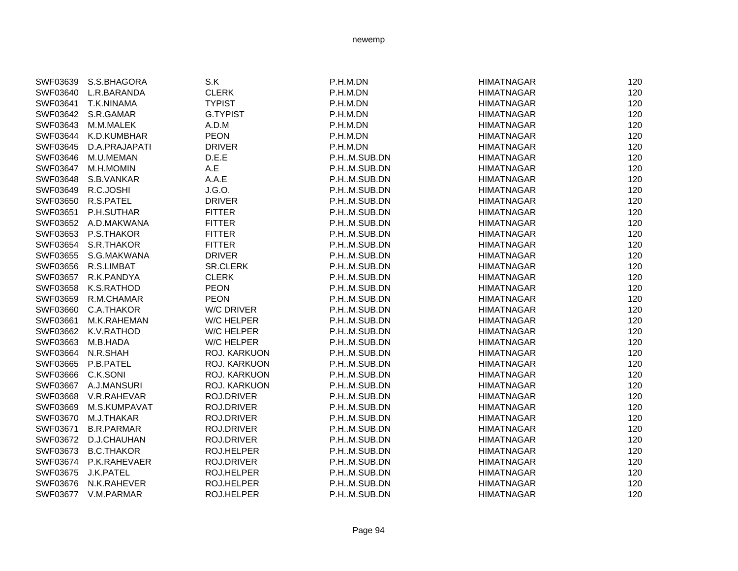| SWF03639          | S.S.BHAGORA           | S.K               | P.H.M.DN    | <b>HIMATNAGAR</b> | 120 |
|-------------------|-----------------------|-------------------|-------------|-------------------|-----|
|                   | SWF03640 L.R.BARANDA  | <b>CLERK</b>      | P.H.M.DN    | <b>HIMATNAGAR</b> | 120 |
| SWF03641          | T.K.NINAMA            | <b>TYPIST</b>     | P.H.M.DN    | <b>HIMATNAGAR</b> | 120 |
|                   | SWF03642 S.R.GAMAR    | <b>G.TYPIST</b>   | P.H.M.DN    | <b>HIMATNAGAR</b> | 120 |
| SWF03643          | M.M.MALEK             | A.D.M             | P.H.M.DN    | <b>HIMATNAGAR</b> | 120 |
| SWF03644          | K.D.KUMBHAR           | <b>PEON</b>       | P.H.M.DN    | <b>HIMATNAGAR</b> | 120 |
| SWF03645          | D.A.PRAJAPATI         | <b>DRIVER</b>     | P.H.M.DN    | <b>HIMATNAGAR</b> | 120 |
| SWF03646          | M.U.MEMAN             | D.E.E             | P.HM.SUB.DN | <b>HIMATNAGAR</b> | 120 |
| SWF03647          | M.H.MOMIN             | A.E               | P.HM.SUB.DN | <b>HIMATNAGAR</b> | 120 |
| SWF03648          | S.B.VANKAR            | A.A.E             | P.HM.SUB.DN | <b>HIMATNAGAR</b> | 120 |
| SWF03649          | R.C.JOSHI             | J.G.O.            | P.HM.SUB.DN | <b>HIMATNAGAR</b> | 120 |
|                   | SWF03650 R.S.PATEL    | <b>DRIVER</b>     | P.HM.SUB.DN | <b>HIMATNAGAR</b> | 120 |
| SWF03651          | P.H.SUTHAR            | <b>FITTER</b>     | P.HM.SUB.DN | <b>HIMATNAGAR</b> | 120 |
|                   | SWF03652 A.D.MAKWANA  | <b>FITTER</b>     | P.HM.SUB.DN | <b>HIMATNAGAR</b> | 120 |
| SWF03653          | P.S.THAKOR            | <b>FITTER</b>     | P.HM.SUB.DN | <b>HIMATNAGAR</b> | 120 |
| SWF03654          | S.R.THAKOR            | <b>FITTER</b>     | P.HM.SUB.DN | <b>HIMATNAGAR</b> | 120 |
| SWF03655          | S.G.MAKWANA           | <b>DRIVER</b>     | P.HM.SUB.DN | <b>HIMATNAGAR</b> | 120 |
| SWF03656          | R.S.LIMBAT            | SR.CLERK          | P.HM.SUB.DN | <b>HIMATNAGAR</b> | 120 |
| SWF03657          | R.K.PANDYA            | <b>CLERK</b>      | P.HM.SUB.DN | <b>HIMATNAGAR</b> | 120 |
| SWF03658          | K.S.RATHOD            | <b>PEON</b>       | P.HM.SUB.DN | <b>HIMATNAGAR</b> | 120 |
| SWF03659          | R.M.CHAMAR            | <b>PEON</b>       | P.HM.SUB.DN | <b>HIMATNAGAR</b> | 120 |
| SWF03660          | C.A.THAKOR            | <b>W/C DRIVER</b> | P.HM.SUB.DN | <b>HIMATNAGAR</b> | 120 |
| SWF03661          | M.K.RAHEMAN           | <b>W/C HELPER</b> | P.HM.SUB.DN | <b>HIMATNAGAR</b> | 120 |
|                   | SWF03662 K.V.RATHOD   | W/C HELPER        | P.HM.SUB.DN | <b>HIMATNAGAR</b> | 120 |
| SWF03663          | M.B.HADA              | <b>W/C HELPER</b> | P.HM.SUB.DN | <b>HIMATNAGAR</b> | 120 |
| SWF03664          | N.R.SHAH              | ROJ. KARKUON      | P.HM.SUB.DN | <b>HIMATNAGAR</b> | 120 |
|                   | SWF03665 P.B.PATEL    | ROJ. KARKUON      | P.HM.SUB.DN | <b>HIMATNAGAR</b> | 120 |
| SWF03666 C.K.SONI |                       | ROJ. KARKUON      | P.HM.SUB.DN | <b>HIMATNAGAR</b> | 120 |
| SWF03667          | A.J.MANSURI           | ROJ. KARKUON      | P.HM.SUB.DN | <b>HIMATNAGAR</b> | 120 |
| SWF03668          | V.R.RAHEVAR           | ROJ.DRIVER        | P.HM.SUB.DN | <b>HIMATNAGAR</b> | 120 |
| SWF03669          | M.S.KUMPAVAT          | ROJ.DRIVER        | P.HM.SUB.DN | <b>HIMATNAGAR</b> | 120 |
| SWF03670          | M.J.THAKAR            | ROJ.DRIVER        | P.HM.SUB.DN | <b>HIMATNAGAR</b> | 120 |
| SWF03671          | <b>B.R.PARMAR</b>     | ROJ.DRIVER        | P.HM.SUB.DN | <b>HIMATNAGAR</b> | 120 |
| SWF03672          | D.J.CHAUHAN           | ROJ.DRIVER        | P.HM.SUB.DN | <b>HIMATNAGAR</b> | 120 |
| SWF03673          | <b>B.C.THAKOR</b>     | ROJ.HELPER        | P.HM.SUB.DN | <b>HIMATNAGAR</b> | 120 |
|                   | SWF03674 P.K.RAHEVAER | ROJ.DRIVER        | P.HM.SUB.DN | <b>HIMATNAGAR</b> | 120 |
| SWF03675          | J.K.PATEL             | ROJ.HELPER        | P.HM.SUB.DN | <b>HIMATNAGAR</b> | 120 |
| SWF03676          | N.K.RAHEVER           | ROJ.HELPER        | P.HM.SUB.DN | <b>HIMATNAGAR</b> | 120 |
|                   | SWF03677 V.M.PARMAR   | ROJ.HELPER        | P.HM.SUB.DN | <b>HIMATNAGAR</b> | 120 |
|                   |                       |                   |             |                   |     |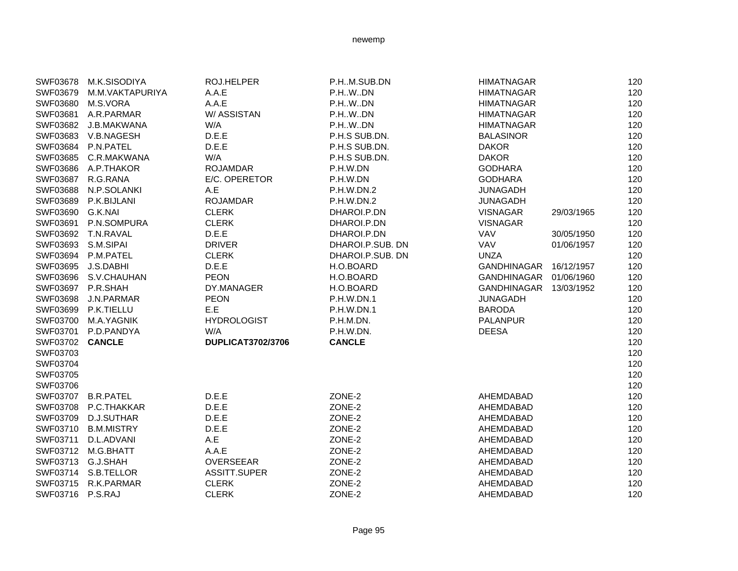| SWF03678           | M.K.SISODIYA         | ROJ.HELPER               | P.HM.SUB.DN       | <b>HIMATNAGAR</b>      |            | 120 |
|--------------------|----------------------|--------------------------|-------------------|------------------------|------------|-----|
| SWF03679           | M.M.VAKTAPURIYA      | A.A.E                    | P.H.W.DN          | <b>HIMATNAGAR</b>      |            | 120 |
| SWF03680 M.S.VORA  |                      | A.A.E                    | P.H.W.DN          | <b>HIMATNAGAR</b>      |            | 120 |
|                    | SWF03681 A.R.PARMAR  | W/ASSISTAN               | P.H.W.DN          | <b>HIMATNAGAR</b>      |            | 120 |
|                    | SWF03682 J.B.MAKWANA | W/A                      | P.HWDN            | <b>HIMATNAGAR</b>      |            | 120 |
|                    | SWF03683 V.B.NAGESH  | D.E.E                    | P.H.S SUB.DN.     | <b>BALASINOR</b>       |            | 120 |
|                    | SWF03684 P.N.PATEL   | D.E.E                    | P.H.S SUB.DN.     | <b>DAKOR</b>           |            | 120 |
|                    | SWF03685 C.R.MAKWANA | W/A                      | P.H.S SUB.DN.     | <b>DAKOR</b>           |            | 120 |
| SWF03686           | A.P.THAKOR           | <b>ROJAMDAR</b>          | P.H.W.DN          | <b>GODHARA</b>         |            | 120 |
| SWF03687           | R.G.RANA             | E/C. OPERETOR            | P.H.W.DN          | <b>GODHARA</b>         |            | 120 |
| SWF03688           | N.P.SOLANKI          | A.E                      | P.H.W.DN.2        | <b>JUNAGADH</b>        |            | 120 |
| SWF03689           | P.K.BIJLANI          | <b>ROJAMDAR</b>          | P.H.W.DN.2        | <b>JUNAGADH</b>        |            | 120 |
| SWF03690 G.K.NAI   |                      | <b>CLERK</b>             | DHAROI.P.DN       | VISNAGAR               | 29/03/1965 | 120 |
|                    | SWF03691 P.N.SOMPURA | <b>CLERK</b>             | DHAROI.P.DN       | <b>VISNAGAR</b>        |            | 120 |
|                    | SWF03692 T.N.RAVAL   | D.E.E                    | DHAROI.P.DN       | VAV                    | 30/05/1950 | 120 |
| SWF03693 S.M.SIPAI |                      | <b>DRIVER</b>            | DHAROI.P.SUB. DN  | VAV                    | 01/06/1957 | 120 |
|                    | SWF03694 P.M.PATEL   | <b>CLERK</b>             | DHAROI.P.SUB. DN  | <b>UNZA</b>            |            | 120 |
| SWF03695           | J.S.DABHI            | D.E.E                    | H.O.BOARD         | GANDHINAGAR 16/12/1957 |            | 120 |
|                    | SWF03696 S.V.CHAUHAN | <b>PEON</b>              | H.O.BOARD         | GANDHINAGAR            | 01/06/1960 | 120 |
| SWF03697 P.R.SHAH  |                      | DY.MANAGER               | H.O.BOARD         | GANDHINAGAR 13/03/1952 |            | 120 |
| SWF03698           | J.N.PARMAR           | <b>PEON</b>              | P.H.W.DN.1        | <b>JUNAGADH</b>        |            | 120 |
| SWF03699           | P.K.TIELLU           | E.E                      | <b>P.H.W.DN.1</b> | <b>BARODA</b>          |            | 120 |
| SWF03700           | M.A.YAGNIK           | <b>HYDROLOGIST</b>       | P.H.M.DN.         | <b>PALANPUR</b>        |            | 120 |
| SWF03701           | P.D.PANDYA           | W/A                      | P.H.W.DN.         | <b>DEESA</b>           |            | 120 |
| SWF03702 CANCLE    |                      | <b>DUPLICAT3702/3706</b> | <b>CANCLE</b>     |                        |            | 120 |
| SWF03703           |                      |                          |                   |                        |            | 120 |
| SWF03704           |                      |                          |                   |                        |            | 120 |
| SWF03705           |                      |                          |                   |                        |            | 120 |
| SWF03706           |                      |                          |                   |                        |            | 120 |
|                    | SWF03707 B.R.PATEL   | D.E.E                    | ZONE-2            | AHEMDABAD              |            | 120 |
|                    | SWF03708 P.C.THAKKAR | D.E.E                    | ZONE-2            | AHEMDABAD              |            | 120 |
|                    | SWF03709 D.J.SUTHAR  | D.E.E                    | ZONE-2            | AHEMDABAD              |            | 120 |
|                    | SWF03710 B.M.MISTRY  | D.E.E                    | ZONE-2            | AHEMDABAD              |            | 120 |
| SWF03711           | D.L.ADVANI           | A.E                      | ZONE-2            | AHEMDABAD              |            | 120 |
|                    | SWF03712 M.G.BHATT   | A.A.E                    | ZONE-2            | AHEMDABAD              |            | 120 |
| SWF03713 G.J.SHAH  |                      | <b>OVERSEEAR</b>         | ZONE-2            | AHEMDABAD              |            | 120 |
|                    | SWF03714 S.B.TELLOR  | ASSITT.SUPER             | ZONE-2            | AHEMDABAD              |            | 120 |
|                    | SWF03715 R.K.PARMAR  | <b>CLERK</b>             | ZONE-2            | AHEMDABAD              |            | 120 |
| SWF03716 P.S.RAJ   |                      | <b>CLERK</b>             | ZONE-2            | AHEMDABAD              |            | 120 |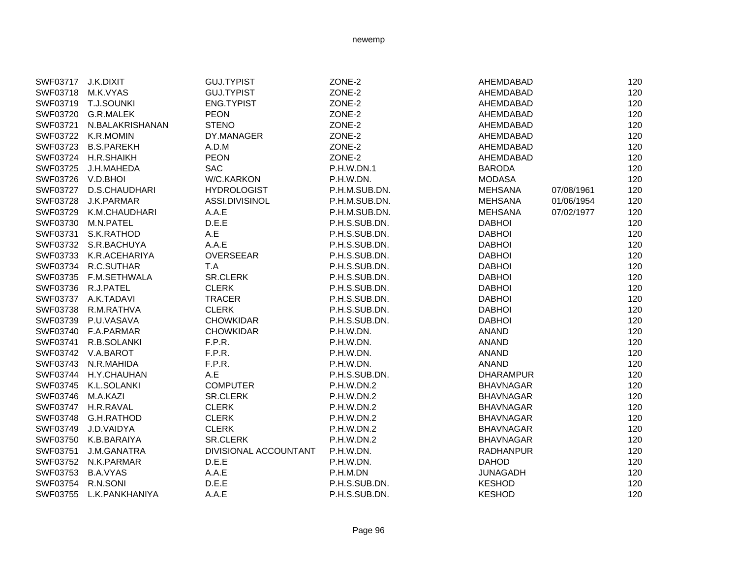| SWF03717 J.K.DIXIT |                        | <b>GUJ.TYPIST</b>     | ZONE-2            | AHEMDABAD        | 120               |
|--------------------|------------------------|-----------------------|-------------------|------------------|-------------------|
|                    | SWF03718 M.K.VYAS      | <b>GUJ.TYPIST</b>     | ZONE-2            | AHEMDABAD        | 120               |
|                    | SWF03719 T.J.SOUNKI    | ENG.TYPIST            | ZONE-2            | AHEMDABAD        | 120               |
|                    | SWF03720 G.R.MALEK     | <b>PEON</b>           | ZONE-2            | AHEMDABAD        | 120               |
| SWF03721           | N.BALAKRISHANAN        | <b>STENO</b>          | ZONE-2            | AHEMDABAD        | 120               |
|                    | SWF03722 K.R.MOMIN     | DY.MANAGER            | ZONE-2            | AHEMDABAD        | 120               |
|                    | SWF03723 B.S.PAREKH    | A.D.M                 | ZONE-2            | AHEMDABAD        | 120               |
|                    | SWF03724 H.R.SHAIKH    | <b>PEON</b>           | ZONE-2            | AHEMDABAD        | 120               |
| SWF03725           | J.H.MAHEDA             | <b>SAC</b>            | <b>P.H.W.DN.1</b> | <b>BARODA</b>    | 120               |
| SWF03726 V.D.BHOI  |                        | W/C.KARKON            | P.H.W.DN.         | <b>MODASA</b>    | 120               |
|                    | SWF03727 D.S.CHAUDHARI | <b>HYDROLOGIST</b>    | P.H.M.SUB.DN.     | <b>MEHSANA</b>   | 120<br>07/08/1961 |
|                    | SWF03728 J.K.PARMAR    | ASSI.DIVISINOL        | P.H.M.SUB.DN.     | <b>MEHSANA</b>   | 01/06/1954<br>120 |
|                    | SWF03729 K.M.CHAUDHARI | A.A.E                 | P.H.M.SUB.DN.     | <b>MEHSANA</b>   | 120<br>07/02/1977 |
|                    | SWF03730 M.N.PATEL     | D.E.E                 | P.H.S.SUB.DN.     | <b>DABHOI</b>    | 120               |
|                    | SWF03731 S.K.RATHOD    | A.E                   | P.H.S.SUB.DN.     | <b>DABHOI</b>    | 120               |
|                    | SWF03732 S.R.BACHUYA   | A.A.E                 | P.H.S.SUB.DN.     | <b>DABHOI</b>    | 120               |
|                    | SWF03733 K.R.ACEHARIYA | <b>OVERSEEAR</b>      | P.H.S.SUB.DN.     | <b>DABHOI</b>    | 120               |
|                    | SWF03734 R.C.SUTHAR    | T.A                   | P.H.S.SUB.DN.     | <b>DABHOI</b>    | 120               |
|                    | SWF03735 F.M.SETHWALA  | SR.CLERK              | P.H.S.SUB.DN.     | <b>DABHOI</b>    | 120               |
|                    | SWF03736 R.J.PATEL     | <b>CLERK</b>          | P.H.S.SUB.DN.     | <b>DABHOI</b>    | 120               |
|                    | SWF03737 A.K.TADAVI    | <b>TRACER</b>         | P.H.S.SUB.DN.     | <b>DABHOI</b>    | 120               |
|                    | SWF03738 R.M.RATHVA    | <b>CLERK</b>          | P.H.S.SUB.DN.     | <b>DABHOI</b>    | 120               |
| SWF03739           | P.U.VASAVA             | <b>CHOWKIDAR</b>      | P.H.S.SUB.DN.     | <b>DABHOI</b>    | 120               |
|                    | SWF03740 F.A.PARMAR    | <b>CHOWKIDAR</b>      | P.H.W.DN.         | <b>ANAND</b>     | 120               |
| SWF03741           | R.B.SOLANKI            | F.P.R.                | P.H.W.DN.         | <b>ANAND</b>     | 120               |
|                    | SWF03742 V.A.BAROT     | F.P.R.                | P.H.W.DN.         | <b>ANAND</b>     | 120               |
|                    | SWF03743 N.R.MAHIDA    | F.P.R.                | P.H.W.DN.         | <b>ANAND</b>     | 120               |
| SWF03744           | H.Y.CHAUHAN            | A.E                   | P.H.S.SUB.DN.     | <b>DHARAMPUR</b> | 120               |
|                    | SWF03745 K.L.SOLANKI   | <b>COMPUTER</b>       | P.H.W.DN.2        | <b>BHAVNAGAR</b> | 120               |
| SWF03746 M.A.KAZI  |                        | SR.CLERK              | P.H.W.DN.2        | <b>BHAVNAGAR</b> | 120               |
|                    | SWF03747 H.R.RAVAL     | <b>CLERK</b>          | P.H.W.DN.2        | <b>BHAVNAGAR</b> | 120               |
|                    | SWF03748 G.H.RATHOD    | <b>CLERK</b>          | P.H.W.DN.2        | <b>BHAVNAGAR</b> | 120               |
|                    | SWF03749 J.D.VAIDYA    | <b>CLERK</b>          | P.H.W.DN.2        | <b>BHAVNAGAR</b> | 120               |
|                    | SWF03750 K.B.BARAIYA   | <b>SR.CLERK</b>       | P.H.W.DN.2        | <b>BHAVNAGAR</b> | 120               |
| SWF03751           | J.M.GANATRA            | DIVISIONAL ACCOUNTANT | P.H.W.DN.         | <b>RADHANPUR</b> | 120               |
|                    | SWF03752 N.K.PARMAR    | D.E.E                 | P.H.W.DN.         | <b>DAHOD</b>     | 120               |
| SWF03753           | <b>B.A.VYAS</b>        | A.A.E                 | P.H.M.DN          | <b>JUNAGADH</b>  | 120               |
| SWF03754           | R.N.SONI               | D.E.E                 | P.H.S.SUB.DN.     | <b>KESHOD</b>    | 120               |
| SWF03755           | L.K.PANKHANIYA         | A.A.E                 | P.H.S.SUB.DN.     | <b>KESHOD</b>    | 120               |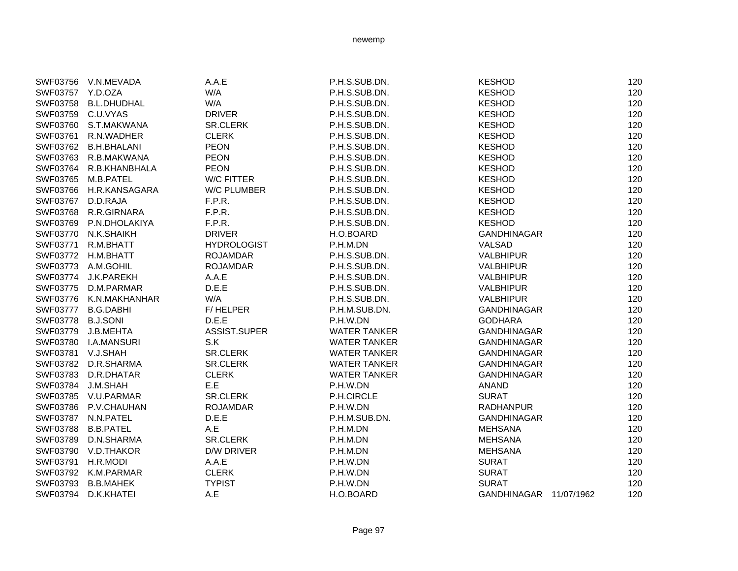|                   | SWF03756 V.N.MEVADA    | A.A.E              | P.H.S.SUB.DN.       | <b>KESHOD</b>          | 120 |
|-------------------|------------------------|--------------------|---------------------|------------------------|-----|
| SWF03757 Y.D.OZA  |                        | W/A                | P.H.S.SUB.DN.       | <b>KESHOD</b>          | 120 |
|                   | SWF03758 B.L.DHUDHAL   | W/A                | P.H.S.SUB.DN.       | <b>KESHOD</b>          | 120 |
|                   | SWF03759 C.U.VYAS      | <b>DRIVER</b>      | P.H.S.SUB.DN.       | <b>KESHOD</b>          | 120 |
|                   | SWF03760 S.T.MAKWANA   | <b>SR.CLERK</b>    | P.H.S.SUB.DN.       | <b>KESHOD</b>          | 120 |
| SWF03761          | R.N.WADHER             | <b>CLERK</b>       | P.H.S.SUB.DN.       | <b>KESHOD</b>          | 120 |
|                   | SWF03762 B.H.BHALANI   | <b>PEON</b>        | P.H.S.SUB.DN.       | <b>KESHOD</b>          | 120 |
|                   | SWF03763 R.B.MAKWANA   | <b>PEON</b>        | P.H.S.SUB.DN.       | <b>KESHOD</b>          | 120 |
|                   | SWF03764 R.B.KHANBHALA | <b>PEON</b>        | P.H.S.SUB.DN.       | <b>KESHOD</b>          | 120 |
|                   | SWF03765 M.B.PATEL     | W/C FITTER         | P.H.S.SUB.DN.       | <b>KESHOD</b>          | 120 |
|                   | SWF03766 H.R.KANSAGARA | <b>W/C PLUMBER</b> | P.H.S.SUB.DN.       | <b>KESHOD</b>          | 120 |
| SWF03767 D.D.RAJA |                        | F.P.R.             | P.H.S.SUB.DN.       | <b>KESHOD</b>          | 120 |
|                   | SWF03768 R.R.GIRNARA   | F.P.R.             | P.H.S.SUB.DN.       | <b>KESHOD</b>          | 120 |
|                   | SWF03769 P.N.DHOLAKIYA | F.P.R.             | P.H.S.SUB.DN.       | <b>KESHOD</b>          | 120 |
|                   | SWF03770 N.K.SHAIKH    | <b>DRIVER</b>      | H.O.BOARD           | GANDHINAGAR            | 120 |
|                   | SWF03771 R.M.BHATT     | <b>HYDROLOGIST</b> | P.H.M.DN            | VALSAD                 | 120 |
|                   | SWF03772 H.M.BHATT     | <b>ROJAMDAR</b>    | P.H.S.SUB.DN.       | <b>VALBHIPUR</b>       | 120 |
|                   | SWF03773 A.M.GOHIL     | <b>ROJAMDAR</b>    | P.H.S.SUB.DN.       | <b>VALBHIPUR</b>       | 120 |
|                   | SWF03774 J.K.PAREKH    | A.A.E              | P.H.S.SUB.DN.       | <b>VALBHIPUR</b>       | 120 |
|                   | SWF03775 D.M.PARMAR    | D.E.E.             | P.H.S.SUB.DN.       | <b>VALBHIPUR</b>       | 120 |
|                   | SWF03776 K.N.MAKHANHAR | W/A                | P.H.S.SUB.DN.       | <b>VALBHIPUR</b>       | 120 |
|                   | SWF03777 B.G.DABHI     | F/HELPER           | P.H.M.SUB.DN.       | GANDHINAGAR            | 120 |
| SWF03778 B.J.SONI |                        | D.E.E.             | P.H.W.DN            | <b>GODHARA</b>         | 120 |
| SWF03779          | J.B.MEHTA              | ASSIST.SUPER       | <b>WATER TANKER</b> | <b>GANDHINAGAR</b>     | 120 |
|                   | SWF03780 I.A.MANSURI   | S.K                | <b>WATER TANKER</b> | <b>GANDHINAGAR</b>     | 120 |
| SWF03781 V.J.SHAH |                        | SR.CLERK           | <b>WATER TANKER</b> | <b>GANDHINAGAR</b>     | 120 |
|                   | SWF03782 D.R.SHARMA    | <b>SR.CLERK</b>    | <b>WATER TANKER</b> | <b>GANDHINAGAR</b>     | 120 |
|                   | SWF03783 D.R.DHATAR    | <b>CLERK</b>       | <b>WATER TANKER</b> | GANDHINAGAR            | 120 |
| SWF03784 J.M.SHAH |                        | E.E                | P.H.W.DN            | <b>ANAND</b>           | 120 |
|                   | SWF03785 V.U.PARMAR    | SR.CLERK           | P.H.CIRCLE          | <b>SURAT</b>           | 120 |
|                   | SWF03786 P.V.CHAUHAN   | <b>ROJAMDAR</b>    | P.H.W.DN            | <b>RADHANPUR</b>       | 120 |
|                   | SWF03787 N.N.PATEL     | D.E.E              | P.H.M.SUB.DN.       | <b>GANDHINAGAR</b>     | 120 |
|                   | SWF03788 B.B.PATEL     | A.E                | P.H.M.DN            | <b>MEHSANA</b>         | 120 |
| SWF03789          | D.N.SHARMA             | <b>SR.CLERK</b>    | P.H.M.DN            | <b>MEHSANA</b>         | 120 |
|                   | SWF03790 V.D.THAKOR    | <b>D/W DRIVER</b>  | P.H.M.DN            | <b>MEHSANA</b>         | 120 |
| SWF03791 H.R.MODI |                        | A.A.E              | P.H.W.DN            | <b>SURAT</b>           | 120 |
|                   | SWF03792 K.M.PARMAR    | <b>CLERK</b>       | P.H.W.DN            | <b>SURAT</b>           | 120 |
|                   | SWF03793 B.B.MAHEK     | <b>TYPIST</b>      | P.H.W.DN            | <b>SURAT</b>           | 120 |
| SWF03794          | D.K.KHATEI             | A.E                | H.O.BOARD           | GANDHINAGAR 11/07/1962 | 120 |
|                   |                        |                    |                     |                        |     |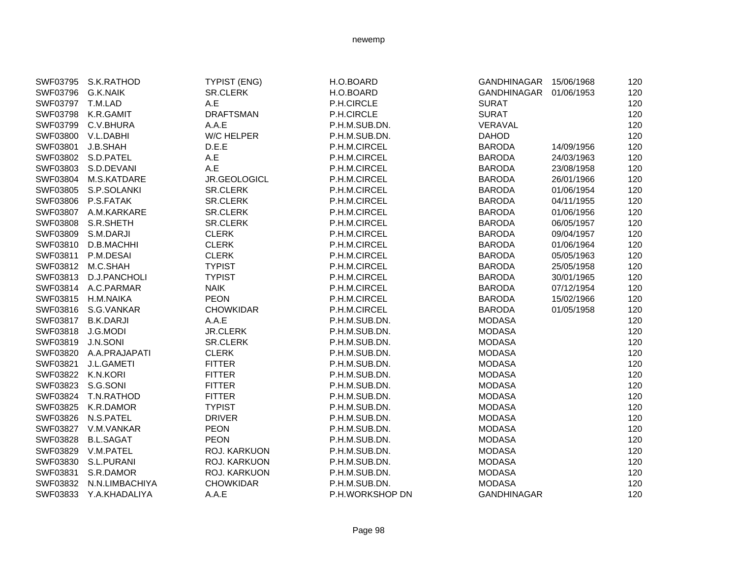|                   | SWF03795 S.K.RATHOD    | <b>TYPIST (ENG)</b> | H.O.BOARD       | GANDHINAGAR 15/06/1968 |            | 120 |
|-------------------|------------------------|---------------------|-----------------|------------------------|------------|-----|
| SWF03796          | G.K.NAIK               | <b>SR.CLERK</b>     | H.O.BOARD       | GANDHINAGAR 01/06/1953 |            | 120 |
| SWF03797 T.M.LAD  |                        | A.E                 | P.H.CIRCLE      | <b>SURAT</b>           |            | 120 |
| SWF03798          | K.R.GAMIT              | <b>DRAFTSMAN</b>    | P.H.CIRCLE      | <b>SURAT</b>           |            | 120 |
| SWF03799          | C.V.BHURA              | A.A.E               | P.H.M.SUB.DN.   | VERAVAL                |            | 120 |
|                   | SWF03800 V.L.DABHI     | W/C HELPER          | P.H.M.SUB.DN.   | <b>DAHOD</b>           |            | 120 |
| SWF03801          | J.B.SHAH               | D.E.E               | P.H.M.CIRCEL    | <b>BARODA</b>          | 14/09/1956 | 120 |
|                   | SWF03802 S.D.PATEL     | A.E                 | P.H.M.CIRCEL    | <b>BARODA</b>          | 24/03/1963 | 120 |
|                   | SWF03803 S.D.DEVANI    | A.E                 | P.H.M.CIRCEL    | <b>BARODA</b>          | 23/08/1958 | 120 |
| SWF03804          | M.S.KATDARE            | JR.GEOLOGICL        | P.H.M.CIRCEL    | <b>BARODA</b>          | 26/01/1966 | 120 |
|                   | SWF03805 S.P.SOLANKI   | <b>SR.CLERK</b>     | P.H.M.CIRCEL    | <b>BARODA</b>          | 01/06/1954 | 120 |
|                   | SWF03806 P.S.FATAK     | <b>SR.CLERK</b>     | P.H.M.CIRCEL    | <b>BARODA</b>          | 04/11/1955 | 120 |
|                   | SWF03807 A.M.KARKARE   | <b>SR.CLERK</b>     | P.H.M.CIRCEL    | <b>BARODA</b>          | 01/06/1956 | 120 |
|                   | SWF03808 S.R.SHETH     | <b>SR.CLERK</b>     | P.H.M.CIRCEL    | <b>BARODA</b>          | 06/05/1957 | 120 |
| SWF03809          | S.M.DARJI              | <b>CLERK</b>        | P.H.M.CIRCEL    | <b>BARODA</b>          | 09/04/1957 | 120 |
| SWF03810          | D.B.MACHHI             | <b>CLERK</b>        | P.H.M.CIRCEL    | <b>BARODA</b>          | 01/06/1964 | 120 |
| SWF03811          | P.M.DESAI              | <b>CLERK</b>        | P.H.M.CIRCEL    | <b>BARODA</b>          | 05/05/1963 | 120 |
| SWF03812          | M.C.SHAH               | <b>TYPIST</b>       | P.H.M.CIRCEL    | <b>BARODA</b>          | 25/05/1958 | 120 |
|                   | SWF03813 D.J.PANCHOLI  | <b>TYPIST</b>       | P.H.M.CIRCEL    | <b>BARODA</b>          | 30/01/1965 | 120 |
|                   | SWF03814 A.C.PARMAR    | <b>NAIK</b>         | P.H.M.CIRCEL    | <b>BARODA</b>          | 07/12/1954 | 120 |
|                   | SWF03815 H.M.NAIKA     | <b>PEON</b>         | P.H.M.CIRCEL    | <b>BARODA</b>          | 15/02/1966 | 120 |
|                   | SWF03816 S.G.VANKAR    | <b>CHOWKIDAR</b>    | P.H.M.CIRCEL    | <b>BARODA</b>          | 01/05/1958 | 120 |
|                   | SWF03817 B.K.DARJI     | A.A.E               | P.H.M.SUB.DN.   | <b>MODASA</b>          |            | 120 |
| SWF03818 J.G.MODI |                        | <b>JR.CLERK</b>     | P.H.M.SUB.DN.   | <b>MODASA</b>          |            | 120 |
| SWF03819 J.N.SONI |                        | <b>SR.CLERK</b>     | P.H.M.SUB.DN.   | <b>MODASA</b>          |            | 120 |
|                   | SWF03820 A.A.PRAJAPATI | <b>CLERK</b>        | P.H.M.SUB.DN.   | <b>MODASA</b>          |            | 120 |
| SWF03821          | J.L.GAMETI             | <b>FITTER</b>       | P.H.M.SUB.DN.   | <b>MODASA</b>          |            | 120 |
| SWF03822 K.N.KORI |                        | <b>FITTER</b>       | P.H.M.SUB.DN.   | <b>MODASA</b>          |            | 120 |
| SWF03823          | S.G.SONI               | <b>FITTER</b>       | P.H.M.SUB.DN.   | <b>MODASA</b>          |            | 120 |
|                   | SWF03824 T.N.RATHOD    | <b>FITTER</b>       | P.H.M.SUB.DN.   | <b>MODASA</b>          |            | 120 |
| SWF03825          | K.R.DAMOR              | <b>TYPIST</b>       | P.H.M.SUB.DN.   | <b>MODASA</b>          |            | 120 |
| SWF03826          | N.S.PATEL              | <b>DRIVER</b>       | P.H.M.SUB.DN.   | <b>MODASA</b>          |            | 120 |
|                   | SWF03827 V.M.VANKAR    | <b>PEON</b>         | P.H.M.SUB.DN.   | <b>MODASA</b>          |            | 120 |
| SWF03828          | <b>B.L.SAGAT</b>       | <b>PEON</b>         | P.H.M.SUB.DN.   | <b>MODASA</b>          |            | 120 |
|                   | SWF03829 V.M.PATEL     | ROJ. KARKUON        | P.H.M.SUB.DN.   | <b>MODASA</b>          |            | 120 |
| SWF03830          | S.L.PURANI             | <b>ROJ. KARKUON</b> | P.H.M.SUB.DN.   | <b>MODASA</b>          |            | 120 |
| SWF03831          | S.R.DAMOR              | ROJ. KARKUON        | P.H.M.SUB.DN.   | <b>MODASA</b>          |            | 120 |
| SWF03832          | N.N.LIMBACHIYA         | <b>CHOWKIDAR</b>    | P.H.M.SUB.DN.   | <b>MODASA</b>          |            | 120 |
| SWF03833          | Y.A.KHADALIYA          | A.A.E               | P.H.WORKSHOP DN | <b>GANDHINAGAR</b>     |            | 120 |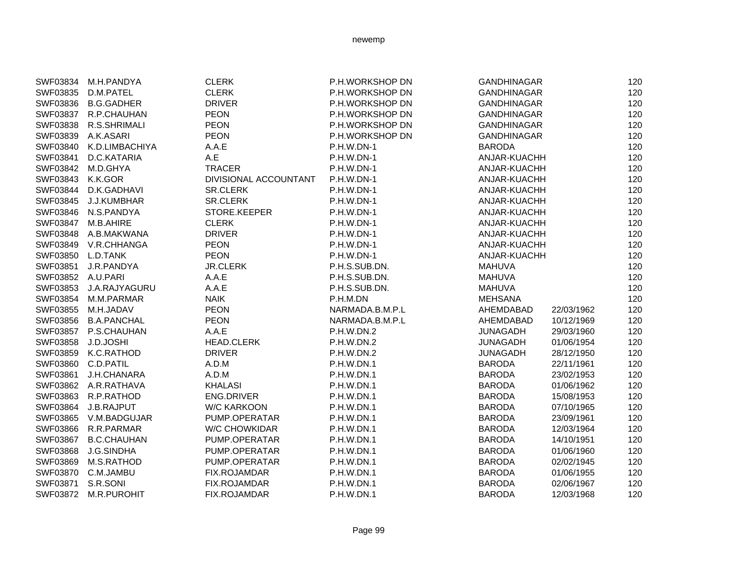|                   | SWF03834 M.H.PANDYA   | <b>CLERK</b>          | P.H.WORKSHOP DN   | <b>GANDHINAGAR</b> |            | 120 |
|-------------------|-----------------------|-----------------------|-------------------|--------------------|------------|-----|
| SWF03835          | D.M.PATEL             | <b>CLERK</b>          | P.H.WORKSHOP DN   | <b>GANDHINAGAR</b> |            | 120 |
| SWF03836          | <b>B.G.GADHER</b>     | <b>DRIVER</b>         | P.H.WORKSHOP DN   | <b>GANDHINAGAR</b> |            | 120 |
| SWF03837          | R.P.CHAUHAN           | <b>PEON</b>           | P.H.WORKSHOP DN   | <b>GANDHINAGAR</b> |            | 120 |
| SWF03838          | R.S.SHRIMALI          | <b>PEON</b>           | P.H.WORKSHOP DN   | <b>GANDHINAGAR</b> |            | 120 |
| SWF03839          | A.K.ASARI             | <b>PEON</b>           | P.H.WORKSHOP DN   | <b>GANDHINAGAR</b> |            | 120 |
| SWF03840          | K.D.LIMBACHIYA        | A.A.E                 | P.H.W.DN-1        | <b>BARODA</b>      |            | 120 |
| SWF03841          | D.C.KATARIA           | A.E                   | P.H.W.DN-1        | ANJAR-KUACHH       |            | 120 |
| SWF03842          | M.D.GHYA              | <b>TRACER</b>         | P.H.W.DN-1        | ANJAR-KUACHH       |            | 120 |
| SWF03843 K.K.GOR  |                       | DIVISIONAL ACCOUNTANT | P.H.W.DN-1        | ANJAR-KUACHH       |            | 120 |
|                   | SWF03844 D.K.GADHAVI  | <b>SR.CLERK</b>       | P.H.W.DN-1        | ANJAR-KUACHH       |            | 120 |
|                   | SWF03845 J.J.KUMBHAR  | <b>SR.CLERK</b>       | P.H.W.DN-1        | ANJAR-KUACHH       |            | 120 |
|                   | SWF03846 N.S.PANDYA   | STORE.KEEPER          | P.H.W.DN-1        | ANJAR-KUACHH       |            | 120 |
|                   | SWF03847 M.B.AHIRE    | <b>CLERK</b>          | P.H.W.DN-1        | ANJAR-KUACHH       |            | 120 |
|                   | SWF03848 A.B.MAKWANA  | <b>DRIVER</b>         | <b>P.H.W.DN-1</b> | ANJAR-KUACHH       |            | 120 |
|                   | SWF03849 V.R.CHHANGA  | <b>PEON</b>           | <b>P.H.W.DN-1</b> | ANJAR-KUACHH       |            | 120 |
| SWF03850 L.D.TANK |                       | <b>PEON</b>           | P.H.W.DN-1        | ANJAR-KUACHH       |            | 120 |
|                   | SWF03851 J.R.PANDYA   | <b>JR.CLERK</b>       | P.H.S.SUB.DN.     | <b>MAHUVA</b>      |            | 120 |
| SWF03852 A.U.PARI |                       | A.A.E                 | P.H.S.SUB.DN.     | <b>MAHUVA</b>      |            | 120 |
| SWF03853          | J.A.RAJYAGURU         | A.A.E                 | P.H.S.SUB.DN.     | <b>MAHUVA</b>      |            | 120 |
|                   | SWF03854 M.M.PARMAR   | <b>NAIK</b>           | P.H.M.DN          | <b>MEHSANA</b>     |            | 120 |
| SWF03855          | M.H.JADAV             | <b>PEON</b>           | NARMADA.B.M.P.L   | AHEMDABAD          | 22/03/1962 | 120 |
|                   | SWF03856 B.A.PANCHAL  | <b>PEON</b>           | NARMADA.B.M.P.L   | AHEMDABAD          | 10/12/1969 | 120 |
|                   | SWF03857 P.S.CHAUHAN  | A.A.E                 | P.H.W.DN.2        | <b>JUNAGADH</b>    | 29/03/1960 | 120 |
| SWF03858          | J.D.JOSHI             | <b>HEAD.CLERK</b>     | <b>P.H.W.DN.2</b> | <b>JUNAGADH</b>    | 01/06/1954 | 120 |
|                   | SWF03859 K.C.RATHOD   | <b>DRIVER</b>         | P.H.W.DN.2        | <b>JUNAGADH</b>    | 28/12/1950 | 120 |
|                   | SWF03860 C.D.PATIL    | A.D.M                 | P.H.W.DN.1        | <b>BARODA</b>      | 22/11/1961 | 120 |
| SWF03861          | J.H.CHANARA           | A.D.M                 | <b>P.H.W.DN.1</b> | <b>BARODA</b>      | 23/02/1953 | 120 |
|                   | SWF03862 A.R.RATHAVA  | <b>KHALASI</b>        | P.H.W.DN.1        | <b>BARODA</b>      | 01/06/1962 | 120 |
| SWF03863          | R.P.RATHOD            | <b>ENG.DRIVER</b>     | P.H.W.DN.1        | <b>BARODA</b>      | 15/08/1953 | 120 |
| SWF03864          | J.B.RAJPUT            | <b>W/C KARKOON</b>    | P.H.W.DN.1        | <b>BARODA</b>      | 07/10/1965 | 120 |
|                   | SWF03865 V.M.BADGUJAR | PUMP.OPERATAR         | <b>P.H.W.DN.1</b> | <b>BARODA</b>      | 23/09/1961 | 120 |
|                   | SWF03866 R.R.PARMAR   | <b>W/C CHOWKIDAR</b>  | P.H.W.DN.1        | <b>BARODA</b>      | 12/03/1964 | 120 |
| SWF03867          | <b>B.C.CHAUHAN</b>    | PUMP.OPERATAR         | P.H.W.DN.1        | <b>BARODA</b>      | 14/10/1951 | 120 |
| SWF03868          | J.G.SINDHA            | PUMP.OPERATAR         | P.H.W.DN.1        | <b>BARODA</b>      | 01/06/1960 | 120 |
| SWF03869          | M.S.RATHOD            | PUMP.OPERATAR         | P.H.W.DN.1        | <b>BARODA</b>      | 02/02/1945 | 120 |
|                   | SWF03870 C.M.JAMBU    | <b>FIX.ROJAMDAR</b>   | <b>P.H.W.DN.1</b> | <b>BARODA</b>      | 01/06/1955 | 120 |
| SWF03871 S.R.SONI |                       | <b>FIX.ROJAMDAR</b>   | P.H.W.DN.1        | <b>BARODA</b>      | 02/06/1967 | 120 |
|                   | SWF03872 M.R.PUROHIT  | FIX.ROJAMDAR          | P.H.W.DN.1        | <b>BARODA</b>      | 12/03/1968 | 120 |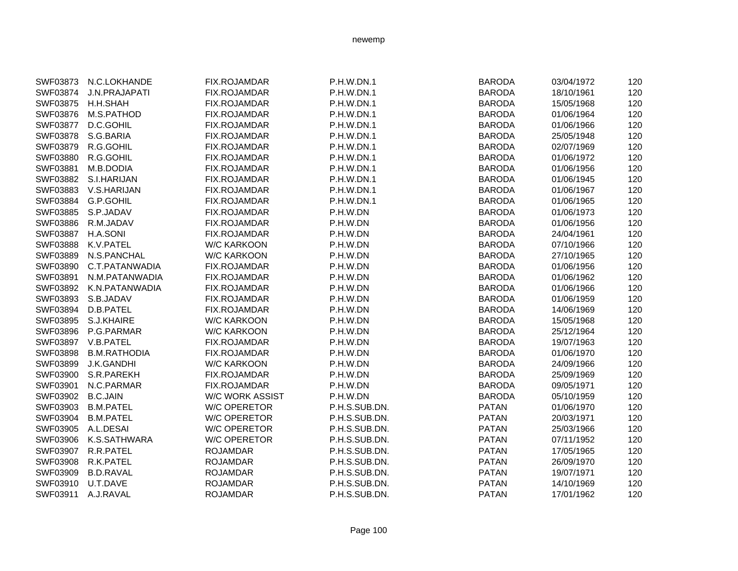| SWF03873 | N.C.LOKHANDE         | FIX.ROJAMDAR           | P.H.W.DN.1    | <b>BARODA</b> | 03/04/1972 | 120 |
|----------|----------------------|------------------------|---------------|---------------|------------|-----|
| SWF03874 | <b>J.N.PRAJAPATI</b> | <b>FIX.ROJAMDAR</b>    | P.H.W.DN.1    | <b>BARODA</b> | 18/10/1961 | 120 |
| SWF03875 | H.H.SHAH             | FIX.ROJAMDAR           | P.H.W.DN.1    | <b>BARODA</b> | 15/05/1968 | 120 |
| SWF03876 | M.S.PATHOD           | FIX.ROJAMDAR           | P.H.W.DN.1    | <b>BARODA</b> | 01/06/1964 | 120 |
| SWF03877 | D.C.GOHIL            | FIX.ROJAMDAR           | P.H.W.DN.1    | <b>BARODA</b> | 01/06/1966 | 120 |
| SWF03878 | S.G.BARIA            | FIX.ROJAMDAR           | P.H.W.DN.1    | <b>BARODA</b> | 25/05/1948 | 120 |
| SWF03879 | R.G.GOHIL            | FIX.ROJAMDAR           | P.H.W.DN.1    | <b>BARODA</b> | 02/07/1969 | 120 |
| SWF03880 | R.G.GOHIL            | <b>FIX.ROJAMDAR</b>    | P.H.W.DN.1    | <b>BARODA</b> | 01/06/1972 | 120 |
| SWF03881 | M.B.DODIA            | FIX.ROJAMDAR           | P.H.W.DN.1    | <b>BARODA</b> | 01/06/1956 | 120 |
| SWF03882 | S.I.HARIJAN          | FIX.ROJAMDAR           | P.H.W.DN.1    | <b>BARODA</b> | 01/06/1945 | 120 |
| SWF03883 | V.S.HARIJAN          | FIX.ROJAMDAR           | P.H.W.DN.1    | <b>BARODA</b> | 01/06/1967 | 120 |
| SWF03884 | <b>G.P.GOHIL</b>     | FIX.ROJAMDAR           | P.H.W.DN.1    | <b>BARODA</b> | 01/06/1965 | 120 |
| SWF03885 | S.P.JADAV            | FIX.ROJAMDAR           | P.H.W.DN      | <b>BARODA</b> | 01/06/1973 | 120 |
| SWF03886 | R.M.JADAV            | <b>FIX.ROJAMDAR</b>    | P.H.W.DN      | <b>BARODA</b> | 01/06/1956 | 120 |
| SWF03887 | H.A.SONI             | FIX.ROJAMDAR           | P.H.W.DN      | <b>BARODA</b> | 24/04/1961 | 120 |
| SWF03888 | K.V.PATEL            | <b>W/C KARKOON</b>     | P.H.W.DN      | <b>BARODA</b> | 07/10/1966 | 120 |
| SWF03889 | N.S.PANCHAL          | <b>W/C KARKOON</b>     | P.H.W.DN      | <b>BARODA</b> | 27/10/1965 | 120 |
| SWF03890 | C.T.PATANWADIA       | <b>FIX.ROJAMDAR</b>    | P.H.W.DN      | <b>BARODA</b> | 01/06/1956 | 120 |
| SWF03891 | N.M.PATANWADIA       | FIX.ROJAMDAR           | P.H.W.DN      | <b>BARODA</b> | 01/06/1962 | 120 |
| SWF03892 | K.N.PATANWADIA       | FIX.ROJAMDAR           | P.H.W.DN      | <b>BARODA</b> | 01/06/1966 | 120 |
| SWF03893 | S.B.JADAV            | FIX.ROJAMDAR           | P.H.W.DN      | <b>BARODA</b> | 01/06/1959 | 120 |
| SWF03894 | D.B.PATEL            | FIX.ROJAMDAR           | P.H.W.DN      | <b>BARODA</b> | 14/06/1969 | 120 |
| SWF03895 | S.J.KHAIRE           | <b>W/C KARKOON</b>     | P.H.W.DN      | <b>BARODA</b> | 15/05/1968 | 120 |
| SWF03896 | P.G.PARMAR           | <b>W/C KARKOON</b>     | P.H.W.DN      | <b>BARODA</b> | 25/12/1964 | 120 |
| SWF03897 | V.B.PATEL            | FIX.ROJAMDAR           | P.H.W.DN      | <b>BARODA</b> | 19/07/1963 | 120 |
| SWF03898 | <b>B.M.RATHODIA</b>  | FIX.ROJAMDAR           | P.H.W.DN      | <b>BARODA</b> | 01/06/1970 | 120 |
| SWF03899 | J.K.GANDHI           | <b>W/C KARKOON</b>     | P.H.W.DN      | <b>BARODA</b> | 24/09/1966 | 120 |
| SWF03900 | S.R.PAREKH           | FIX.ROJAMDAR           | P.H.W.DN      | <b>BARODA</b> | 25/09/1969 | 120 |
| SWF03901 | N.C.PARMAR           | FIX.ROJAMDAR           | P.H.W.DN      | <b>BARODA</b> | 09/05/1971 | 120 |
| SWF03902 | <b>B.C.JAIN</b>      | <b>W/C WORK ASSIST</b> | P.H.W.DN      | <b>BARODA</b> | 05/10/1959 | 120 |
| SWF03903 | <b>B.M.PATEL</b>     | <b>W/C OPERETOR</b>    | P.H.S.SUB.DN. | <b>PATAN</b>  | 01/06/1970 | 120 |
| SWF03904 | <b>B.M.PATEL</b>     | <b>W/C OPERETOR</b>    | P.H.S.SUB.DN. | <b>PATAN</b>  | 20/03/1971 | 120 |
| SWF03905 | A.L.DESAI            | <b>W/C OPERETOR</b>    | P.H.S.SUB.DN. | <b>PATAN</b>  | 25/03/1966 | 120 |
| SWF03906 | K.S.SATHWARA         | <b>W/C OPERETOR</b>    | P.H.S.SUB.DN. | <b>PATAN</b>  | 07/11/1952 | 120 |
| SWF03907 | R.R.PATEL            | <b>ROJAMDAR</b>        | P.H.S.SUB.DN. | <b>PATAN</b>  | 17/05/1965 | 120 |
| SWF03908 | R.K.PATEL            | <b>ROJAMDAR</b>        | P.H.S.SUB.DN. | <b>PATAN</b>  | 26/09/1970 | 120 |
| SWF03909 | <b>B.D.RAVAL</b>     | <b>ROJAMDAR</b>        | P.H.S.SUB.DN. | <b>PATAN</b>  | 19/07/1971 | 120 |
| SWF03910 | U.T.DAVE             | <b>ROJAMDAR</b>        | P.H.S.SUB.DN. | <b>PATAN</b>  | 14/10/1969 | 120 |
| SWF03911 | A.J.RAVAL            | <b>ROJAMDAR</b>        | P.H.S.SUB.DN. | <b>PATAN</b>  | 17/01/1962 | 120 |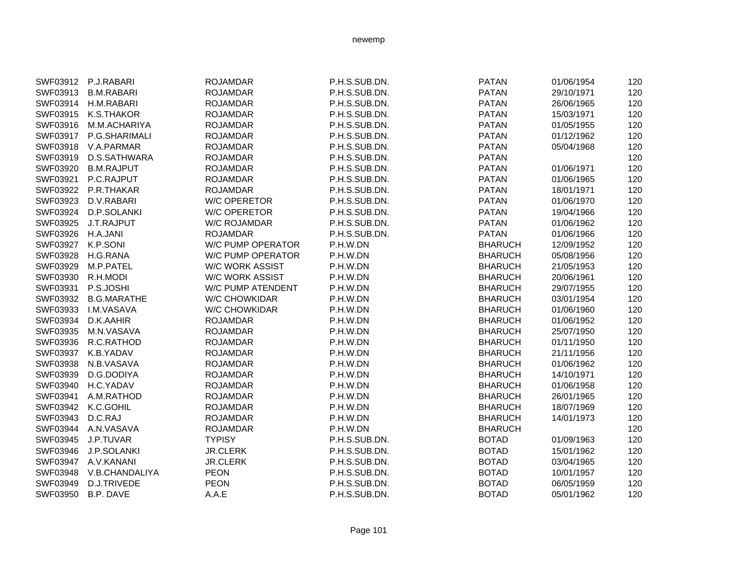|          | SWF03912 P.J.RABARI | <b>ROJAMDAR</b>          | P.H.S.SUB.DN. | <b>PATAN</b>   | 01/06/1954 | 120 |
|----------|---------------------|--------------------------|---------------|----------------|------------|-----|
| SWF03913 | <b>B.M.RABARI</b>   | <b>ROJAMDAR</b>          | P.H.S.SUB.DN. | <b>PATAN</b>   | 29/10/1971 | 120 |
| SWF03914 | H.M.RABARI          | <b>ROJAMDAR</b>          | P.H.S.SUB.DN. | <b>PATAN</b>   | 26/06/1965 | 120 |
| SWF03915 | K.S.THAKOR          | <b>ROJAMDAR</b>          | P.H.S.SUB.DN. | <b>PATAN</b>   | 15/03/1971 | 120 |
| SWF03916 | M.M.ACHARIYA        | <b>ROJAMDAR</b>          | P.H.S.SUB.DN. | <b>PATAN</b>   | 01/05/1955 | 120 |
| SWF03917 | P.G.SHARIMALI       | <b>ROJAMDAR</b>          | P.H.S.SUB.DN. | <b>PATAN</b>   | 01/12/1962 | 120 |
| SWF03918 | V.A.PARMAR          | <b>ROJAMDAR</b>          | P.H.S.SUB.DN. | <b>PATAN</b>   | 05/04/1968 | 120 |
| SWF03919 | D.S.SATHWARA        | <b>ROJAMDAR</b>          | P.H.S.SUB.DN. | <b>PATAN</b>   |            | 120 |
| SWF03920 | <b>B.M.RAJPUT</b>   | <b>ROJAMDAR</b>          | P.H.S.SUB.DN. | <b>PATAN</b>   | 01/06/1971 | 120 |
| SWF03921 | P.C.RAJPUT          | <b>ROJAMDAR</b>          | P.H.S.SUB.DN. | <b>PATAN</b>   | 01/06/1965 | 120 |
| SWF03922 | P.R.THAKAR          | <b>ROJAMDAR</b>          | P.H.S.SUB.DN. | <b>PATAN</b>   | 18/01/1971 | 120 |
| SWF03923 | D.V.RABARI          | <b>W/C OPERETOR</b>      | P.H.S.SUB.DN. | <b>PATAN</b>   | 01/06/1970 | 120 |
| SWF03924 | D.P.SOLANKI         | <b>W/C OPERETOR</b>      | P.H.S.SUB.DN. | <b>PATAN</b>   | 19/04/1966 | 120 |
| SWF03925 | J.T.RAJPUT          | <b>W/C ROJAMDAR</b>      | P.H.S.SUB.DN. | <b>PATAN</b>   | 01/06/1962 | 120 |
| SWF03926 | H.A.JANI            | <b>ROJAMDAR</b>          | P.H.S.SUB.DN. | <b>PATAN</b>   | 01/06/1966 | 120 |
| SWF03927 | K.P.SONI            | <b>W/C PUMP OPERATOR</b> | P.H.W.DN      | <b>BHARUCH</b> | 12/09/1952 | 120 |
| SWF03928 | H.G.RANA            | <b>W/C PUMP OPERATOR</b> | P.H.W.DN      | <b>BHARUCH</b> | 05/08/1956 | 120 |
| SWF03929 | M.P.PATEL           | <b>W/C WORK ASSIST</b>   | P.H.W.DN      | <b>BHARUCH</b> | 21/05/1953 | 120 |
| SWF03930 | R.H.MODI            | <b>W/C WORK ASSIST</b>   | P.H.W.DN      | <b>BHARUCH</b> | 20/06/1961 | 120 |
| SWF03931 | P.S.JOSHI           | <b>W/C PUMP ATENDENT</b> | P.H.W.DN      | <b>BHARUCH</b> | 29/07/1955 | 120 |
| SWF03932 | <b>B.G.MARATHE</b>  | <b>W/C CHOWKIDAR</b>     | P.H.W.DN      | <b>BHARUCH</b> | 03/01/1954 | 120 |
| SWF03933 | <b>I.M.VASAVA</b>   | <b>W/C CHOWKIDAR</b>     | P.H.W.DN      | <b>BHARUCH</b> | 01/06/1960 | 120 |
| SWF03934 | D.K.AAHIR           | <b>ROJAMDAR</b>          | P.H.W.DN      | <b>BHARUCH</b> | 01/06/1952 | 120 |
| SWF03935 | M.N.VASAVA          | <b>ROJAMDAR</b>          | P.H.W.DN      | <b>BHARUCH</b> | 25/07/1950 | 120 |
| SWF03936 | R.C.RATHOD          | <b>ROJAMDAR</b>          | P.H.W.DN      | <b>BHARUCH</b> | 01/11/1950 | 120 |
| SWF03937 | K.B.YADAV           | <b>ROJAMDAR</b>          | P.H.W.DN      | <b>BHARUCH</b> | 21/11/1956 | 120 |
| SWF03938 | N.B.VASAVA          | <b>ROJAMDAR</b>          | P.H.W.DN      | <b>BHARUCH</b> | 01/06/1962 | 120 |
| SWF03939 | D.G.DODIYA          | <b>ROJAMDAR</b>          | P.H.W.DN      | <b>BHARUCH</b> | 14/10/1971 | 120 |
| SWF03940 | H.C.YADAV           | <b>ROJAMDAR</b>          | P.H.W.DN      | <b>BHARUCH</b> | 01/06/1958 | 120 |
| SWF03941 | A.M.RATHOD          | <b>ROJAMDAR</b>          | P.H.W.DN      | <b>BHARUCH</b> | 26/01/1965 | 120 |
| SWF03942 | K.C.GOHIL           | <b>ROJAMDAR</b>          | P.H.W.DN      | <b>BHARUCH</b> | 18/07/1969 | 120 |
| SWF03943 | D.C.RAJ             | <b>ROJAMDAR</b>          | P.H.W.DN      | <b>BHARUCH</b> | 14/01/1973 | 120 |
| SWF03944 | A.N.VASAVA          | <b>ROJAMDAR</b>          | P.H.W.DN      | <b>BHARUCH</b> |            | 120 |
| SWF03945 | J.P.TUVAR           | <b>TYPISY</b>            | P.H.S.SUB.DN. | <b>BOTAD</b>   | 01/09/1963 | 120 |
| SWF03946 | J.P.SOLANKI         | <b>JR.CLERK</b>          | P.H.S.SUB.DN. | <b>BOTAD</b>   | 15/01/1962 | 120 |
| SWF03947 | A.V.KANANI          | <b>JR.CLERK</b>          | P.H.S.SUB.DN. | <b>BOTAD</b>   | 03/04/1965 | 120 |
| SWF03948 | V.B.CHANDALIYA      | <b>PEON</b>              | P.H.S.SUB.DN. | <b>BOTAD</b>   | 10/01/1957 | 120 |
| SWF03949 | D.J.TRIVEDE         | <b>PEON</b>              | P.H.S.SUB.DN. | <b>BOTAD</b>   | 06/05/1959 | 120 |
| SWF03950 | B.P. DAVE           | A.A.E                    | P.H.S.SUB.DN. | <b>BOTAD</b>   | 05/01/1962 | 120 |
|          |                     |                          |               |                |            |     |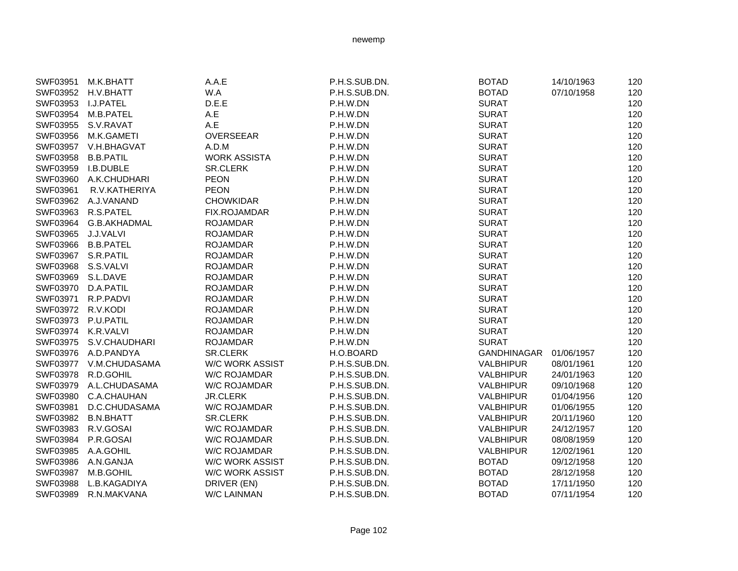|                    | SWF03951 M.K.BHATT     | A.A.E                  | P.H.S.SUB.DN. | <b>BOTAD</b>     | 14/10/1963 | 120 |
|--------------------|------------------------|------------------------|---------------|------------------|------------|-----|
|                    | SWF03952 H.V.BHATT     | W.A                    | P.H.S.SUB.DN. | <b>BOTAD</b>     | 07/10/1958 | 120 |
| SWF03953 I.J.PATEL |                        | D.E.E                  | P.H.W.DN      | <b>SURAT</b>     |            | 120 |
|                    | SWF03954 M.B.PATEL     | A.E                    | P.H.W.DN      | <b>SURAT</b>     |            | 120 |
|                    | SWF03955 S.V.RAVAT     | A.E                    | P.H.W.DN      | <b>SURAT</b>     |            | 120 |
| SWF03956           | M.K.GAMETI             | <b>OVERSEEAR</b>       | P.H.W.DN      | <b>SURAT</b>     |            | 120 |
|                    | SWF03957 V.H.BHAGVAT   | A.D.M                  | P.H.W.DN      | <b>SURAT</b>     |            | 120 |
| SWF03958           | <b>B.B.PATIL</b>       | <b>WORK ASSISTA</b>    | P.H.W.DN      | <b>SURAT</b>     |            | 120 |
|                    | SWF03959 I.B.DUBLE     | <b>SR.CLERK</b>        | P.H.W.DN      | <b>SURAT</b>     |            | 120 |
|                    | SWF03960 A.K.CHUDHARI  | <b>PEON</b>            | P.H.W.DN      | <b>SURAT</b>     |            | 120 |
| SWF03961           | R.V.KATHERIYA          | <b>PEON</b>            | P.H.W.DN      | <b>SURAT</b>     |            | 120 |
|                    | SWF03962 A.J.VANAND    | <b>CHOWKIDAR</b>       | P.H.W.DN      | <b>SURAT</b>     |            | 120 |
|                    | SWF03963 R.S.PATEL     | FIX.ROJAMDAR           | P.H.W.DN      | <b>SURAT</b>     |            | 120 |
|                    | SWF03964 G.B.AKHADMAL  | <b>ROJAMDAR</b>        | P.H.W.DN      | <b>SURAT</b>     |            | 120 |
| SWF03965 J.J.VALVI |                        | <b>ROJAMDAR</b>        | P.H.W.DN      | <b>SURAT</b>     |            | 120 |
|                    | SWF03966 B.B.PATEL     | <b>ROJAMDAR</b>        | P.H.W.DN      | <b>SURAT</b>     |            | 120 |
| SWF03967 S.R.PATIL |                        | <b>ROJAMDAR</b>        | P.H.W.DN      | <b>SURAT</b>     |            | 120 |
| SWF03968 S.S.VALVI |                        | <b>ROJAMDAR</b>        | P.H.W.DN      | <b>SURAT</b>     |            | 120 |
| SWF03969 S.L.DAVE  |                        | <b>ROJAMDAR</b>        | P.H.W.DN      | <b>SURAT</b>     |            | 120 |
| SWF03970 D.A.PATIL |                        | <b>ROJAMDAR</b>        | P.H.W.DN      | <b>SURAT</b>     |            | 120 |
|                    | SWF03971 R.P.PADVI     | <b>ROJAMDAR</b>        | P.H.W.DN      | <b>SURAT</b>     |            | 120 |
| SWF03972 R.V.KODI  |                        | <b>ROJAMDAR</b>        | P.H.W.DN      | <b>SURAT</b>     |            | 120 |
| SWF03973 P.U.PATIL |                        | <b>ROJAMDAR</b>        | P.H.W.DN      | <b>SURAT</b>     |            | 120 |
|                    | SWF03974 K.R.VALVI     | <b>ROJAMDAR</b>        | P.H.W.DN      | <b>SURAT</b>     |            | 120 |
|                    | SWF03975 S.V.CHAUDHARI | <b>ROJAMDAR</b>        | P.H.W.DN      | <b>SURAT</b>     |            | 120 |
|                    | SWF03976 A.D.PANDYA    | SR.CLERK               | H.O.BOARD     | GANDHINAGAR      | 01/06/1957 | 120 |
|                    | SWF03977 V.M.CHUDASAMA | <b>W/C WORK ASSIST</b> | P.H.S.SUB.DN. | <b>VALBHIPUR</b> | 08/01/1961 | 120 |
| SWF03978           | R.D.GOHIL              | W/C ROJAMDAR           | P.H.S.SUB.DN. | <b>VALBHIPUR</b> | 24/01/1963 | 120 |
|                    | SWF03979 A.L.CHUDASAMA | <b>W/C ROJAMDAR</b>    | P.H.S.SUB.DN. | <b>VALBHIPUR</b> | 09/10/1968 | 120 |
|                    | SWF03980 C.A.CHAUHAN   | <b>JR.CLERK</b>        | P.H.S.SUB.DN. | <b>VALBHIPUR</b> | 01/04/1956 | 120 |
|                    | SWF03981 D.C.CHUDASAMA | W/C ROJAMDAR           | P.H.S.SUB.DN. | <b>VALBHIPUR</b> | 01/06/1955 | 120 |
|                    | SWF03982 B.N.BHATT     | <b>SR.CLERK</b>        | P.H.S.SUB.DN. | <b>VALBHIPUR</b> | 20/11/1960 | 120 |
| SWF03983           | R.V.GOSAI              | W/C ROJAMDAR           | P.H.S.SUB.DN. | <b>VALBHIPUR</b> | 24/12/1957 | 120 |
| SWF03984           | P.R.GOSAI              | <b>W/C ROJAMDAR</b>    | P.H.S.SUB.DN. | <b>VALBHIPUR</b> | 08/08/1959 | 120 |
|                    | SWF03985 A.A.GOHIL     | W/C ROJAMDAR           | P.H.S.SUB.DN. | <b>VALBHIPUR</b> | 12/02/1961 | 120 |
|                    | SWF03986 A.N.GANJA     | W/C WORK ASSIST        | P.H.S.SUB.DN. | <b>BOTAD</b>     | 09/12/1958 | 120 |
| SWF03987           | M.B.GOHIL              | <b>W/C WORK ASSIST</b> | P.H.S.SUB.DN. | <b>BOTAD</b>     | 28/12/1958 | 120 |
| <b>SWF03988</b>    | L.B.KAGADIYA           | DRIVER (EN)            | P.H.S.SUB.DN. | <b>BOTAD</b>     | 17/11/1950 | 120 |
| SWF03989           | R.N.MAKVANA            | W/C LAINMAN            | P.H.S.SUB.DN. | <b>BOTAD</b>     | 07/11/1954 | 120 |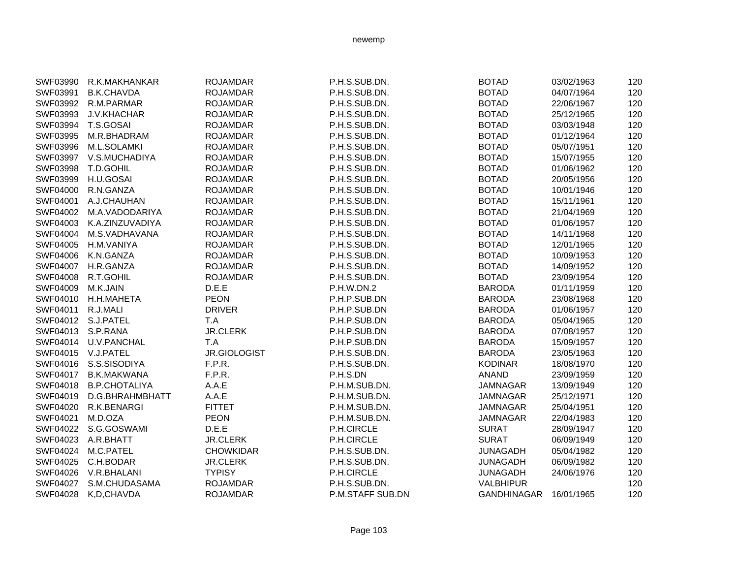| SWF03990        | R.K.MAKHANKAR        | <b>ROJAMDAR</b>  | P.H.S.SUB.DN.    | <b>BOTAD</b>     | 03/02/1963 | 120 |
|-----------------|----------------------|------------------|------------------|------------------|------------|-----|
| SWF03991        | <b>B.K.CHAVDA</b>    | <b>ROJAMDAR</b>  | P.H.S.SUB.DN.    | <b>BOTAD</b>     | 04/07/1964 | 120 |
| SWF03992        | R.M.PARMAR           | <b>ROJAMDAR</b>  | P.H.S.SUB.DN.    | <b>BOTAD</b>     | 22/06/1967 | 120 |
| SWF03993        | J.V.KHACHAR          | <b>ROJAMDAR</b>  | P.H.S.SUB.DN.    | <b>BOTAD</b>     | 25/12/1965 | 120 |
| SWF03994        | T.S.GOSAI            | <b>ROJAMDAR</b>  | P.H.S.SUB.DN.    | <b>BOTAD</b>     | 03/03/1948 | 120 |
| SWF03995        | M.R.BHADRAM          | <b>ROJAMDAR</b>  | P.H.S.SUB.DN.    | <b>BOTAD</b>     | 01/12/1964 | 120 |
| SWF03996        | M.L.SOLAMKI          | <b>ROJAMDAR</b>  | P.H.S.SUB.DN.    | <b>BOTAD</b>     | 05/07/1951 | 120 |
| SWF03997        | V.S.MUCHADIYA        | <b>ROJAMDAR</b>  | P.H.S.SUB.DN.    | <b>BOTAD</b>     | 15/07/1955 | 120 |
| SWF03998        | T.D.GOHIL            | <b>ROJAMDAR</b>  | P.H.S.SUB.DN.    | <b>BOTAD</b>     | 01/06/1962 | 120 |
| SWF03999        | H.U.GOSAI            | <b>ROJAMDAR</b>  | P.H.S.SUB.DN.    | <b>BOTAD</b>     | 20/05/1956 | 120 |
| <b>SWF04000</b> | R.N.GANZA            | <b>ROJAMDAR</b>  | P.H.S.SUB.DN.    | <b>BOTAD</b>     | 10/01/1946 | 120 |
| SWF04001        | A.J.CHAUHAN          | <b>ROJAMDAR</b>  | P.H.S.SUB.DN.    | <b>BOTAD</b>     | 15/11/1961 | 120 |
| SWF04002        | M.A.VADODARIYA       | <b>ROJAMDAR</b>  | P.H.S.SUB.DN.    | <b>BOTAD</b>     | 21/04/1969 | 120 |
| SWF04003        | K.A.ZINZUVADIYA      | <b>ROJAMDAR</b>  | P.H.S.SUB.DN.    | <b>BOTAD</b>     | 01/06/1957 | 120 |
| <b>SWF04004</b> | M.S.VADHAVANA        | <b>ROJAMDAR</b>  | P.H.S.SUB.DN.    | <b>BOTAD</b>     | 14/11/1968 | 120 |
| SWF04005        | H.M.VANIYA           | <b>ROJAMDAR</b>  | P.H.S.SUB.DN.    | <b>BOTAD</b>     | 12/01/1965 | 120 |
| <b>SWF04006</b> | K.N.GANZA            | <b>ROJAMDAR</b>  | P.H.S.SUB.DN.    | <b>BOTAD</b>     | 10/09/1953 | 120 |
| SWF04007        | H.R.GANZA            | <b>ROJAMDAR</b>  | P.H.S.SUB.DN.    | <b>BOTAD</b>     | 14/09/1952 | 120 |
| SWF04008        | R.T.GOHIL            | <b>ROJAMDAR</b>  | P.H.S.SUB.DN.    | <b>BOTAD</b>     | 23/09/1954 | 120 |
| SWF04009        | M.K.JAIN             | D.E.E            | P.H.W.DN.2       | <b>BARODA</b>    | 01/11/1959 | 120 |
| SWF04010        | H.H.MAHETA           | <b>PEON</b>      | P.H.P.SUB.DN     | <b>BARODA</b>    | 23/08/1968 | 120 |
| SWF04011        | R.J.MALI             | <b>DRIVER</b>    | P.H.P.SUB.DN     | <b>BARODA</b>    | 01/06/1957 | 120 |
| SWF04012        | S.J.PATEL            | T.A              | P.H.P.SUB.DN     | <b>BARODA</b>    | 05/04/1965 | 120 |
| SWF04013        | S.P.RANA             | <b>JR.CLERK</b>  | P.H.P.SUB.DN     | <b>BARODA</b>    | 07/08/1957 | 120 |
| SWF04014        | U.V.PANCHAL          | T.A              | P.H.P.SUB.DN     | <b>BARODA</b>    | 15/09/1957 | 120 |
| SWF04015        | V.J.PATEL            | JR.GIOLOGIST     | P.H.S.SUB.DN.    | <b>BARODA</b>    | 23/05/1963 | 120 |
| SWF04016        | S.S.SISODIYA         | F.P.R.           | P.H.S.SUB.DN.    | <b>KODINAR</b>   | 18/08/1970 | 120 |
| SWF04017        | <b>B.K.MAKWANA</b>   | F.P.R.           | P.H.S.DN         | <b>ANAND</b>     | 23/09/1959 | 120 |
| SWF04018        | <b>B.P.CHOTALIYA</b> | A.A.E            | P.H.M.SUB.DN.    | <b>JAMNAGAR</b>  | 13/09/1949 | 120 |
| SWF04019        | D.G.BHRAHMBHATT      | A.A.E            | P.H.M.SUB.DN.    | <b>JAMNAGAR</b>  | 25/12/1971 | 120 |
| SWF04020        | R.K.BENARGI          | <b>FITTET</b>    | P.H.M.SUB.DN.    | <b>JAMNAGAR</b>  | 25/04/1951 | 120 |
| SWF04021        | M.D.OZA              | <b>PEON</b>      | P.H.M.SUB.DN.    | <b>JAMNAGAR</b>  | 22/04/1983 | 120 |
| SWF04022        | S.G.GOSWAMI          | D.E.E            | P.H.CIRCLE       | <b>SURAT</b>     | 28/09/1947 | 120 |
| SWF04023        | A.R.BHATT            | <b>JR.CLERK</b>  | P.H.CIRCLE       | <b>SURAT</b>     | 06/09/1949 | 120 |
| SWF04024        | M.C.PATEL            | <b>CHOWKIDAR</b> | P.H.S.SUB.DN.    | <b>JUNAGADH</b>  | 05/04/1982 | 120 |
| SWF04025        | C.H.BODAR            | <b>JR.CLERK</b>  | P.H.S.SUB.DN.    | <b>JUNAGADH</b>  | 06/09/1982 | 120 |
| SWF04026        | V.R.BHALANI          | <b>TYPISY</b>    | P.H.CIRCLE       | <b>JUNAGADH</b>  | 24/06/1976 | 120 |
| SWF04027        | S.M.CHUDASAMA        | <b>ROJAMDAR</b>  | P.H.S.SUB.DN.    | <b>VALBHIPUR</b> |            | 120 |
| SWF04028        | K,D,CHAVDA           | <b>ROJAMDAR</b>  | P.M.STAFF SUB.DN | GANDHINAGAR      | 16/01/1965 | 120 |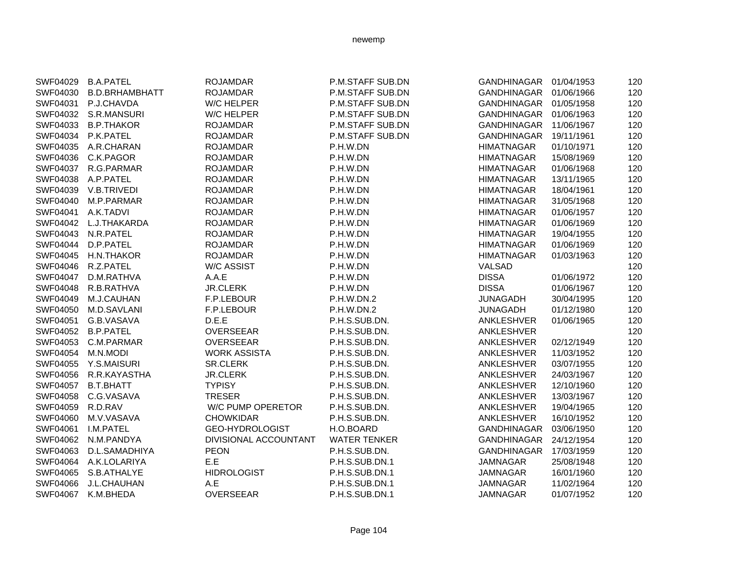| SWF04029 | <b>B.A.PATEL</b>      | <b>ROJAMDAR</b>       | P.M.STAFF SUB.DN    | GANDHINAGAR        | 01/04/1953 | 120 |
|----------|-----------------------|-----------------------|---------------------|--------------------|------------|-----|
| SWF04030 | <b>B.D.BRHAMBHATT</b> | <b>ROJAMDAR</b>       | P.M.STAFF SUB.DN    | GANDHINAGAR        | 01/06/1966 | 120 |
| SWF04031 | P.J.CHAVDA            | <b>W/C HELPER</b>     | P.M.STAFF SUB.DN    | GANDHINAGAR        | 01/05/1958 | 120 |
|          | SWF04032 S.R.MANSURI  | <b>W/C HELPER</b>     | P.M.STAFF SUB.DN    | GANDHINAGAR        | 01/06/1963 | 120 |
| SWF04033 | <b>B.P.THAKOR</b>     | <b>ROJAMDAR</b>       | P.M.STAFF SUB.DN    | <b>GANDHINAGAR</b> | 11/06/1967 | 120 |
| SWF04034 | P.K.PATEL             | <b>ROJAMDAR</b>       | P.M.STAFF SUB.DN    | <b>GANDHINAGAR</b> | 19/11/1961 | 120 |
| SWF04035 | A.R.CHARAN            | <b>ROJAMDAR</b>       | P.H.W.DN            | <b>HIMATNAGAR</b>  | 01/10/1971 | 120 |
| SWF04036 | C.K.PAGOR             | <b>ROJAMDAR</b>       | P.H.W.DN            | <b>HIMATNAGAR</b>  | 15/08/1969 | 120 |
| SWF04037 | R.G.PARMAR            | <b>ROJAMDAR</b>       | P.H.W.DN            | <b>HIMATNAGAR</b>  | 01/06/1968 | 120 |
| SWF04038 | A.P.PATEL             | <b>ROJAMDAR</b>       | P.H.W.DN            | <b>HIMATNAGAR</b>  | 13/11/1965 | 120 |
| SWF04039 | V.B.TRIVEDI           | <b>ROJAMDAR</b>       | P.H.W.DN            | <b>HIMATNAGAR</b>  | 18/04/1961 | 120 |
| SWF04040 | M.P.PARMAR            | <b>ROJAMDAR</b>       | P.H.W.DN            | <b>HIMATNAGAR</b>  | 31/05/1968 | 120 |
| SWF04041 | A.K.TADVI             | <b>ROJAMDAR</b>       | P.H.W.DN            | <b>HIMATNAGAR</b>  | 01/06/1957 | 120 |
|          | SWF04042 L.J.THAKARDA | <b>ROJAMDAR</b>       | P.H.W.DN            | <b>HIMATNAGAR</b>  | 01/06/1969 | 120 |
| SWF04043 | N.R.PATEL             | <b>ROJAMDAR</b>       | P.H.W.DN            | <b>HIMATNAGAR</b>  | 19/04/1955 | 120 |
| SWF04044 | D.P.PATEL             | <b>ROJAMDAR</b>       | P.H.W.DN            | <b>HIMATNAGAR</b>  | 01/06/1969 | 120 |
| SWF04045 | <b>H.N.THAKOR</b>     | <b>ROJAMDAR</b>       | P.H.W.DN            | <b>HIMATNAGAR</b>  | 01/03/1963 | 120 |
| SWF04046 | R.Z.PATEL             | <b>W/C ASSIST</b>     | P.H.W.DN            | VALSAD             |            | 120 |
| SWF04047 | D.M.RATHVA            | A.A.E                 | P.H.W.DN            | <b>DISSA</b>       | 01/06/1972 | 120 |
| SWF04048 | R.B.RATHVA            | <b>JR.CLERK</b>       | P.H.W.DN            | <b>DISSA</b>       | 01/06/1967 | 120 |
| SWF04049 | M.J.CAUHAN            | F.P.LEBOUR            | P.H.W.DN.2          | <b>JUNAGADH</b>    | 30/04/1995 | 120 |
| SWF04050 | M.D.SAVLANI           | F.P.LEBOUR            | P.H.W.DN.2          | <b>JUNAGADH</b>    | 01/12/1980 | 120 |
| SWF04051 | G.B.VASAVA            | D.E.E                 | P.H.S.SUB.DN.       | ANKLESHVER         | 01/06/1965 | 120 |
|          | SWF04052 B.P.PATEL    | OVERSEEAR             | P.H.S.SUB.DN.       | ANKLESHVER         |            | 120 |
| SWF04053 | C.M.PARMAR            | <b>OVERSEEAR</b>      | P.H.S.SUB.DN.       | ANKLESHVER         | 02/12/1949 | 120 |
| SWF04054 | M.N.MODI              | <b>WORK ASSISTA</b>   | P.H.S.SUB.DN.       | ANKLESHVER         | 11/03/1952 | 120 |
| SWF04055 | Y.S.MAISURI           | <b>SR.CLERK</b>       | P.H.S.SUB.DN.       | <b>ANKLESHVER</b>  | 03/07/1955 | 120 |
| SWF04056 | R.R.KAYASTHA          | <b>JR.CLERK</b>       | P.H.S.SUB.DN.       | <b>ANKLESHVER</b>  | 24/03/1967 | 120 |
| SWF04057 | <b>B.T.BHATT</b>      | <b>TYPISY</b>         | P.H.S.SUB.DN.       | ANKLESHVER         | 12/10/1960 | 120 |
| SWF04058 | C.G.VASAVA            | <b>TRESER</b>         | P.H.S.SUB.DN.       | <b>ANKLESHVER</b>  | 13/03/1967 | 120 |
| SWF04059 | R.D.RAV               | W/C PUMP OPERETOR     | P.H.S.SUB.DN.       | ANKLESHVER         | 19/04/1965 | 120 |
| SWF04060 | M.V.VASAVA            | <b>CHOWKIDAR</b>      | P.H.S.SUB.DN.       | ANKLESHVER         | 16/10/1952 | 120 |
| SWF04061 | I.M.PATEL             | GEO-HYDROLOGIST       | H.O.BOARD           | <b>GANDHINAGAR</b> | 03/06/1950 | 120 |
| SWF04062 | N.M.PANDYA            | DIVISIONAL ACCOUNTANT | <b>WATER TENKER</b> | GANDHINAGAR        | 24/12/1954 | 120 |
| SWF04063 | D.L.SAMADHIYA         | <b>PEON</b>           | P.H.S.SUB.DN.       | GANDHINAGAR        | 17/03/1959 | 120 |
| SWF04064 | A.K.LOLARIYA          | E.E                   | P.H.S.SUB.DN.1      | <b>JAMNAGAR</b>    | 25/08/1948 | 120 |
| SWF04065 | S.B.ATHALYE           | <b>HIDROLOGIST</b>    | P.H.S.SUB.DN.1      | <b>JAMNAGAR</b>    | 16/01/1960 | 120 |
| SWF04066 | J.L.CHAUHAN           | A.E                   | P.H.S.SUB.DN.1      | <b>JAMNAGAR</b>    | 11/02/1964 | 120 |
| SWF04067 | K.M.BHEDA             | <b>OVERSEEAR</b>      | P.H.S.SUB.DN.1      | <b>JAMNAGAR</b>    | 01/07/1952 | 120 |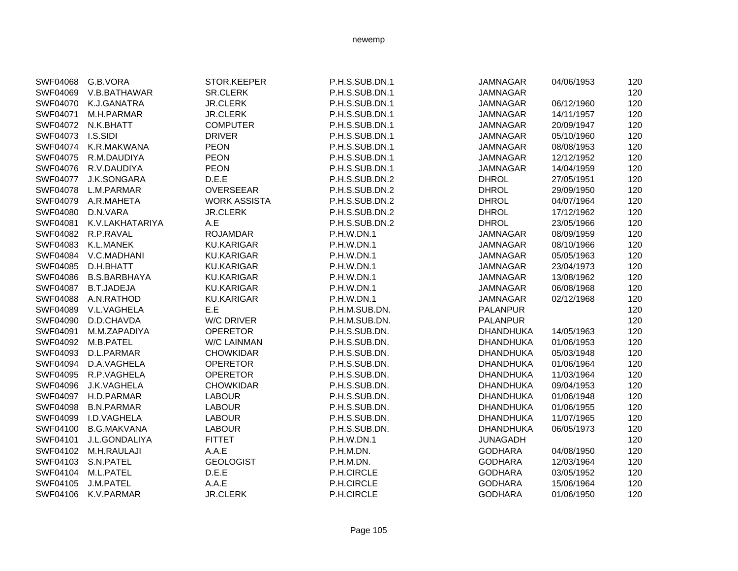|          | SWF04068 G.B.VORA   | STOR.KEEPER         | P.H.S.SUB.DN.1 | <b>JAMNAGAR</b>  | 04/06/1953 | 120 |
|----------|---------------------|---------------------|----------------|------------------|------------|-----|
| SWF04069 | V.B.BATHAWAR        | <b>SR.CLERK</b>     | P.H.S.SUB.DN.1 | <b>JAMNAGAR</b>  |            | 120 |
| SWF04070 | K.J.GANATRA         | <b>JR.CLERK</b>     | P.H.S.SUB.DN.1 | <b>JAMNAGAR</b>  | 06/12/1960 | 120 |
| SWF04071 | M.H.PARMAR          | <b>JR.CLERK</b>     | P.H.S.SUB.DN.1 | <b>JAMNAGAR</b>  | 14/11/1957 | 120 |
| SWF04072 | N.K.BHATT           | <b>COMPUTER</b>     | P.H.S.SUB.DN.1 | JAMNAGAR         | 20/09/1947 | 120 |
| SWF04073 | I.S.SIDI            | <b>DRIVER</b>       | P.H.S.SUB.DN.1 | <b>JAMNAGAR</b>  | 05/10/1960 | 120 |
| SWF04074 | K.R.MAKWANA         | <b>PEON</b>         | P.H.S.SUB.DN.1 | <b>JAMNAGAR</b>  | 08/08/1953 | 120 |
| SWF04075 | R.M.DAUDIYA         | <b>PEON</b>         | P.H.S.SUB.DN.1 | <b>JAMNAGAR</b>  | 12/12/1952 | 120 |
| SWF04076 | R.V.DAUDIYA         | <b>PEON</b>         | P.H.S.SUB.DN.1 | <b>JAMNAGAR</b>  | 14/04/1959 | 120 |
| SWF04077 | J.K.SONGARA         | D.E.E               | P.H.S.SUB.DN.2 | <b>DHROL</b>     | 27/05/1951 | 120 |
| SWF04078 | L.M.PARMAR          | OVERSEEAR           | P.H.S.SUB.DN.2 | <b>DHROL</b>     | 29/09/1950 | 120 |
| SWF04079 | A.R.MAHETA          | <b>WORK ASSISTA</b> | P.H.S.SUB.DN.2 | <b>DHROL</b>     | 04/07/1964 | 120 |
| SWF04080 | D.N.VARA            | <b>JR.CLERK</b>     | P.H.S.SUB.DN.2 | <b>DHROL</b>     | 17/12/1962 | 120 |
| SWF04081 | K.V.LAKHATARIYA     | A.E                 | P.H.S.SUB.DN.2 | <b>DHROL</b>     | 23/05/1966 | 120 |
| SWF04082 | R.P.RAVAL           | <b>ROJAMDAR</b>     | P.H.W.DN.1     | <b>JAMNAGAR</b>  | 08/09/1959 | 120 |
| SWF04083 | K.L.MANEK           | <b>KU.KARIGAR</b>   | P.H.W.DN.1     | <b>JAMNAGAR</b>  | 08/10/1966 | 120 |
| SWF04084 | V.C.MADHANI         | <b>KU.KARIGAR</b>   | P.H.W.DN.1     | <b>JAMNAGAR</b>  | 05/05/1963 | 120 |
| SWF04085 | D.H.BHATT           | <b>KU.KARIGAR</b>   | P.H.W.DN.1     | <b>JAMNAGAR</b>  | 23/04/1973 | 120 |
| SWF04086 | <b>B.S.BARBHAYA</b> | <b>KU.KARIGAR</b>   | P.H.W.DN.1     | <b>JAMNAGAR</b>  | 13/08/1962 | 120 |
| SWF04087 | <b>B.T.JADEJA</b>   | <b>KU.KARIGAR</b>   | P.H.W.DN.1     | <b>JAMNAGAR</b>  | 06/08/1968 | 120 |
| SWF04088 | A.N.RATHOD          | <b>KU.KARIGAR</b>   | P.H.W.DN.1     | JAMNAGAR         | 02/12/1968 | 120 |
| SWF04089 | V.L.VAGHELA         | E.E                 | P.H.M.SUB.DN.  | <b>PALANPUR</b>  |            | 120 |
| SWF04090 | D.D.CHAVDA          | W/C DRIVER          | P.H.M.SUB.DN.  | <b>PALANPUR</b>  |            | 120 |
| SWF04091 | M.M.ZAPADIYA        | <b>OPERETOR</b>     | P.H.S.SUB.DN.  | <b>DHANDHUKA</b> | 14/05/1963 | 120 |
| SWF04092 | M.B.PATEL           | <b>W/C LAINMAN</b>  | P.H.S.SUB.DN.  | <b>DHANDHUKA</b> | 01/06/1953 | 120 |
| SWF04093 | D.L.PARMAR          | <b>CHOWKIDAR</b>    | P.H.S.SUB.DN.  | <b>DHANDHUKA</b> | 05/03/1948 | 120 |
| SWF04094 | D.A.VAGHELA         | <b>OPERETOR</b>     | P.H.S.SUB.DN.  | <b>DHANDHUKA</b> | 01/06/1964 | 120 |
| SWF04095 | R.P.VAGHELA         | <b>OPERETOR</b>     | P.H.S.SUB.DN.  | <b>DHANDHUKA</b> | 11/03/1964 | 120 |
| SWF04096 | J.K.VAGHELA         | <b>CHOWKIDAR</b>    | P.H.S.SUB.DN.  | <b>DHANDHUKA</b> | 09/04/1953 | 120 |
| SWF04097 | H.D.PARMAR          | <b>LABOUR</b>       | P.H.S.SUB.DN.  | <b>DHANDHUKA</b> | 01/06/1948 | 120 |
| SWF04098 | <b>B.N.PARMAR</b>   | <b>LABOUR</b>       | P.H.S.SUB.DN.  | <b>DHANDHUKA</b> | 01/06/1955 | 120 |
| SWF04099 | I.D.VAGHELA         | <b>LABOUR</b>       | P.H.S.SUB.DN.  | <b>DHANDHUKA</b> | 11/07/1965 | 120 |
| SWF04100 | <b>B.G.MAKVANA</b>  | <b>LABOUR</b>       | P.H.S.SUB.DN.  | <b>DHANDHUKA</b> | 06/05/1973 | 120 |
| SWF04101 | J.L.GONDALIYA       | <b>FITTET</b>       | P.H.W.DN.1     | <b>JUNAGADH</b>  |            | 120 |
| SWF04102 | M.H.RAULAJI         | A.A.E               | P.H.M.DN.      | <b>GODHARA</b>   | 04/08/1950 | 120 |
| SWF04103 | S.N.PATEL           | <b>GEOLOGIST</b>    | P.H.M.DN.      | <b>GODHARA</b>   | 12/03/1964 | 120 |
| SWF04104 | M.L.PATEL           | D.E.E               | P.H.CIRCLE     | <b>GODHARA</b>   | 03/05/1952 | 120 |
| SWF04105 | J.M.PATEL           | A.A.E               | P.H.CIRCLE     | <b>GODHARA</b>   | 15/06/1964 | 120 |
| SWF04106 | K.V.PARMAR          | <b>JR.CLERK</b>     | P.H.CIRCLE     | <b>GODHARA</b>   | 01/06/1950 | 120 |
|          |                     |                     |                |                  |            |     |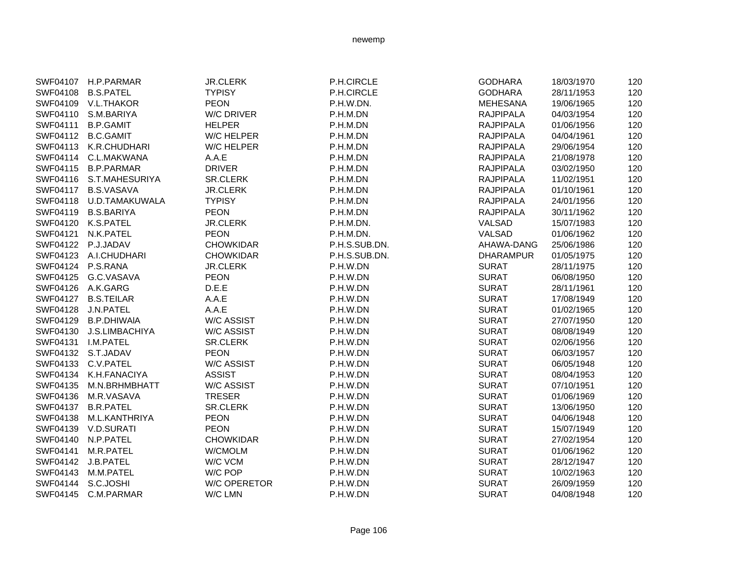|          | SWF04107 H.P.PARMAR     | <b>JR.CLERK</b>     | P.H.CIRCLE    | <b>GODHARA</b>   | 18/03/1970 | 120 |
|----------|-------------------------|---------------------|---------------|------------------|------------|-----|
| SWF04108 | <b>B.S.PATEL</b>        | <b>TYPISY</b>       | P.H.CIRCLE    | <b>GODHARA</b>   | 28/11/1953 | 120 |
|          | SWF04109 V.L.THAKOR     | <b>PEON</b>         | P.H.W.DN.     | <b>MEHESANA</b>  | 19/06/1965 | 120 |
|          | SWF04110 S.M.BARIYA     | <b>W/C DRIVER</b>   | P.H.M.DN      | <b>RAJPIPALA</b> | 04/03/1954 | 120 |
| SWF04111 | <b>B.P.GAMIT</b>        | <b>HELPER</b>       | P.H.M.DN      | <b>RAJPIPALA</b> | 01/06/1956 | 120 |
| SWF04112 | <b>B.C.GAMIT</b>        | <b>W/C HELPER</b>   | P.H.M.DN      | <b>RAJPIPALA</b> | 04/04/1961 | 120 |
|          | SWF04113 K.R.CHUDHARI   | W/C HELPER          | P.H.M.DN      | <b>RAJPIPALA</b> | 29/06/1954 | 120 |
|          | SWF04114 C.L.MAKWANA    | A.A.E               | P.H.M.DN      | <b>RAJPIPALA</b> | 21/08/1978 | 120 |
| SWF04115 | <b>B.P.PARMAR</b>       | <b>DRIVER</b>       | P.H.M.DN      | <b>RAJPIPALA</b> | 03/02/1950 | 120 |
| SWF04116 | S.T.MAHESURIYA          | <b>SR.CLERK</b>     | P.H.M.DN      | <b>RAJPIPALA</b> | 11/02/1951 | 120 |
| SWF04117 | <b>B.S.VASAVA</b>       | <b>JR.CLERK</b>     | P.H.M.DN      | <b>RAJPIPALA</b> | 01/10/1961 | 120 |
|          | SWF04118 U.D.TAMAKUWALA | <b>TYPISY</b>       | P.H.M.DN      | <b>RAJPIPALA</b> | 24/01/1956 | 120 |
| SWF04119 | <b>B.S.BARIYA</b>       | <b>PEON</b>         | P.H.M.DN      | <b>RAJPIPALA</b> | 30/11/1962 | 120 |
|          | SWF04120 K.S.PATEL      | <b>JR.CLERK</b>     | P.H.M.DN.     | VALSAD           | 15/07/1983 | 120 |
| SWF04121 | N.K.PATEL               | <b>PEON</b>         | P.H.M.DN.     | VALSAD           | 01/06/1962 | 120 |
|          | SWF04122 P.J.JADAV      | <b>CHOWKIDAR</b>    | P.H.S.SUB.DN. | AHAWA-DANG       | 25/06/1986 | 120 |
|          | SWF04123 A.I.CHUDHARI   | <b>CHOWKIDAR</b>    | P.H.S.SUB.DN. | <b>DHARAMPUR</b> | 01/05/1975 | 120 |
|          | SWF04124 P.S.RANA       | <b>JR.CLERK</b>     | P.H.W.DN      | <b>SURAT</b>     | 28/11/1975 | 120 |
| SWF04125 | G.C.VASAVA              | <b>PEON</b>         | P.H.W.DN      | <b>SURAT</b>     | 06/08/1950 | 120 |
| SWF04126 | A.K.GARG                | D.E.E               | P.H.W.DN      | <b>SURAT</b>     | 28/11/1961 | 120 |
| SWF04127 | <b>B.S.TEILAR</b>       | A.A.E               | P.H.W.DN      | <b>SURAT</b>     | 17/08/1949 | 120 |
| SWF04128 | J.N.PATEL               | A.A.E               | P.H.W.DN      | <b>SURAT</b>     | 01/02/1965 | 120 |
| SWF04129 | <b>B.P.DHIWAIA</b>      | <b>W/C ASSIST</b>   | P.H.W.DN      | <b>SURAT</b>     | 27/07/1950 | 120 |
| SWF04130 | J.S.LIMBACHIYA          | <b>W/C ASSIST</b>   | P.H.W.DN      | <b>SURAT</b>     | 08/08/1949 | 120 |
| SWF04131 | I.M.PATEL               | <b>SR.CLERK</b>     | P.H.W.DN      | <b>SURAT</b>     | 02/06/1956 | 120 |
|          | SWF04132 S.T.JADAV      | <b>PEON</b>         | P.H.W.DN      | <b>SURAT</b>     | 06/03/1957 | 120 |
|          | SWF04133 C.V.PATEL      | <b>W/C ASSIST</b>   | P.H.W.DN      | <b>SURAT</b>     | 06/05/1948 | 120 |
| SWF04134 | K.H.FANACIYA            | <b>ASSIST</b>       | P.H.W.DN      | <b>SURAT</b>     | 08/04/1953 | 120 |
| SWF04135 | M.N.BRHMBHATT           | <b>W/C ASSIST</b>   | P.H.W.DN      | <b>SURAT</b>     | 07/10/1951 | 120 |
| SWF04136 | M.R.VASAVA              | <b>TRESER</b>       | P.H.W.DN      | <b>SURAT</b>     | 01/06/1969 | 120 |
| SWF04137 | <b>B.R.PATEL</b>        | SR.CLERK            | P.H.W.DN      | <b>SURAT</b>     | 13/06/1950 | 120 |
| SWF04138 | M.L.KANTHRIYA           | <b>PEON</b>         | P.H.W.DN      | <b>SURAT</b>     | 04/06/1948 | 120 |
|          | SWF04139 V.D.SURATI     | <b>PEON</b>         | P.H.W.DN      | <b>SURAT</b>     | 15/07/1949 | 120 |
| SWF04140 | N.P.PATEL               | <b>CHOWKIDAR</b>    | P.H.W.DN      | <b>SURAT</b>     | 27/02/1954 | 120 |
| SWF04141 | M.R.PATEL               | W/CMOLM             | P.H.W.DN      | <b>SURAT</b>     | 01/06/1962 | 120 |
| SWF04142 | J.B.PATEL               | W/C VCM             | P.H.W.DN      | <b>SURAT</b>     | 28/12/1947 | 120 |
| SWF04143 | M.M.PATEL               | W/C POP             | P.H.W.DN      | <b>SURAT</b>     | 10/02/1963 | 120 |
| SWF04144 | S.C.JOSHI               | <b>W/C OPERETOR</b> | P.H.W.DN      | <b>SURAT</b>     | 26/09/1959 | 120 |
| SWF04145 | C.M.PARMAR              | W/C LMN             | P.H.W.DN      | <b>SURAT</b>     | 04/08/1948 | 120 |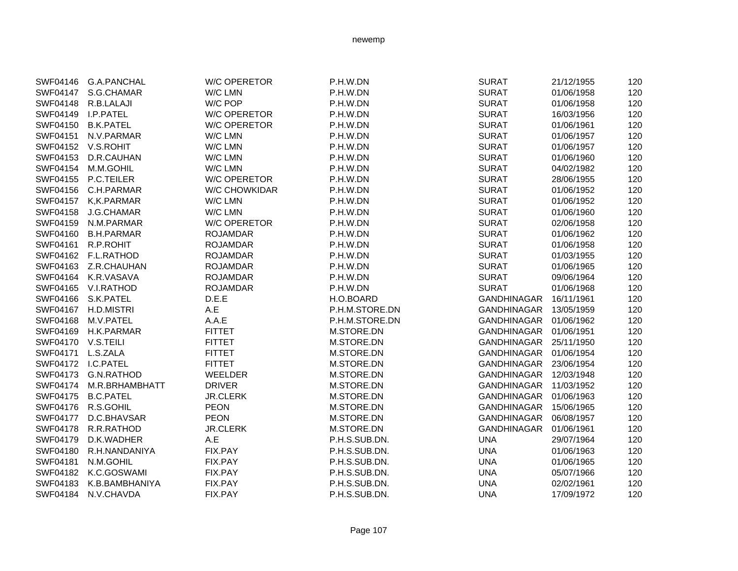| SWF04146           | <b>G.A.PANCHAL</b> | <b>W/C OPERETOR</b>  | P.H.W.DN       | <b>SURAT</b>       | 21/12/1955 | 120 |
|--------------------|--------------------|----------------------|----------------|--------------------|------------|-----|
| SWF04147           | S.G.CHAMAR         | W/C LMN              | P.H.W.DN       | <b>SURAT</b>       | 01/06/1958 | 120 |
| SWF04148           | R.B.LALAJI         | W/C POP              | P.H.W.DN       | <b>SURAT</b>       | 01/06/1958 | 120 |
| SWF04149           | I.P.PATEL          | <b>W/C OPERETOR</b>  | P.H.W.DN       | <b>SURAT</b>       | 16/03/1956 | 120 |
| SWF04150           | <b>B.K.PATEL</b>   | <b>W/C OPERETOR</b>  | P.H.W.DN       | <b>SURAT</b>       | 01/06/1961 | 120 |
| SWF04151           | N.V.PARMAR         | W/C LMN              | P.H.W.DN       | <b>SURAT</b>       | 01/06/1957 | 120 |
| SWF04152           | V.S.ROHIT          | W/C LMN              | P.H.W.DN       | <b>SURAT</b>       | 01/06/1957 | 120 |
| SWF04153           | D.R.CAUHAN         | W/C LMN              | P.H.W.DN       | <b>SURAT</b>       | 01/06/1960 | 120 |
| SWF04154           | M.M.GOHIL          | W/C LMN              | P.H.W.DN       | <b>SURAT</b>       | 04/02/1982 | 120 |
| SWF04155           | P.C.TEILER         | <b>W/C OPERETOR</b>  | P.H.W.DN       | <b>SURAT</b>       | 28/06/1955 | 120 |
| SWF04156           | C.H.PARMAR         | <b>W/C CHOWKIDAR</b> | P.H.W.DN       | <b>SURAT</b>       | 01/06/1952 | 120 |
| SWF04157           | K,K.PARMAR         | W/C LMN              | P.H.W.DN       | <b>SURAT</b>       | 01/06/1952 | 120 |
| SWF04158           | J.G.CHAMAR         | W/C LMN              | P.H.W.DN       | <b>SURAT</b>       | 01/06/1960 | 120 |
| SWF04159           | N.M.PARMAR         | <b>W/C OPERETOR</b>  | P.H.W.DN       | <b>SURAT</b>       | 02/06/1958 | 120 |
| SWF04160           | <b>B.H.PARMAR</b>  | <b>ROJAMDAR</b>      | P.H.W.DN       | <b>SURAT</b>       | 01/06/1962 | 120 |
| SWF04161           | R.P.ROHIT          | <b>ROJAMDAR</b>      | P.H.W.DN       | <b>SURAT</b>       | 01/06/1958 | 120 |
| SWF04162           | F.L.RATHOD         | <b>ROJAMDAR</b>      | P.H.W.DN       | <b>SURAT</b>       | 01/03/1955 | 120 |
| SWF04163           | Z.R.CHAUHAN        | <b>ROJAMDAR</b>      | P.H.W.DN       | <b>SURAT</b>       | 01/06/1965 | 120 |
| SWF04164           | K.R.VASAVA         | <b>ROJAMDAR</b>      | P.H.W.DN       | <b>SURAT</b>       | 09/06/1964 | 120 |
| SWF04165           | V.I.RATHOD         | <b>ROJAMDAR</b>      | P.H.W.DN       | <b>SURAT</b>       | 01/06/1968 | 120 |
| SWF04166           | S.K.PATEL          | D.E.E                | H.O.BOARD      | <b>GANDHINAGAR</b> | 16/11/1961 | 120 |
| SWF04167           | H.D.MISTRI         | A.E                  | P.H.M.STORE.DN | <b>GANDHINAGAR</b> | 13/05/1959 | 120 |
| SWF04168           | M.V.PATEL          | A.A.E                | P.H.M.STORE.DN | GANDHINAGAR        | 01/06/1962 | 120 |
| SWF04169           | H.K.PARMAR         | <b>FITTET</b>        | M.STORE.DN     | GANDHINAGAR        | 01/06/1951 | 120 |
| SWF04170           | V.S.TEILI          | <b>FITTET</b>        | M.STORE.DN     | GANDHINAGAR        | 25/11/1950 | 120 |
| SWF04171           | L.S.ZALA           | <b>FITTET</b>        | M.STORE.DN     | GANDHINAGAR        | 01/06/1954 | 120 |
| SWF04172 I.C.PATEL |                    | <b>FITTET</b>        | M.STORE.DN     | GANDHINAGAR        | 23/06/1954 | 120 |
| SWF04173           | <b>G.N.RATHOD</b>  | WEELDER              | M.STORE.DN     | <b>GANDHINAGAR</b> | 12/03/1948 | 120 |
| SWF04174           | M.R.BRHAMBHATT     | <b>DRIVER</b>        | M.STORE.DN     | <b>GANDHINAGAR</b> | 11/03/1952 | 120 |
| SWF04175           | <b>B.C.PATEL</b>   | <b>JR.CLERK</b>      | M.STORE.DN     | GANDHINAGAR        | 01/06/1963 | 120 |
|                    | SWF04176 R.S.GOHIL | <b>PEON</b>          | M.STORE.DN     | <b>GANDHINAGAR</b> | 15/06/1965 | 120 |
| <b>SWF04177</b>    | D.C.BHAVSAR        | <b>PEON</b>          | M.STORE.DN     | GANDHINAGAR        | 06/08/1957 | 120 |
| SWF04178           | R.R.RATHOD         | <b>JR.CLERK</b>      | M.STORE.DN     | <b>GANDHINAGAR</b> | 01/06/1961 | 120 |
| SWF04179           | D.K.WADHER         | A.E                  | P.H.S.SUB.DN.  | <b>UNA</b>         | 29/07/1964 | 120 |
| SWF04180           | R.H.NANDANIYA      | FIX.PAY              | P.H.S.SUB.DN.  | <b>UNA</b>         | 01/06/1963 | 120 |
| SWF04181           | N.M.GOHIL          | FIX.PAY              | P.H.S.SUB.DN.  | <b>UNA</b>         | 01/06/1965 | 120 |
| SWF04182           | K.C.GOSWAMI        | FIX.PAY              | P.H.S.SUB.DN.  | <b>UNA</b>         | 05/07/1966 | 120 |
| SWF04183           | K.B.BAMBHANIYA     | FIX.PAY              | P.H.S.SUB.DN.  | <b>UNA</b>         | 02/02/1961 | 120 |
| SWF04184           | N.V.CHAVDA         | FIX.PAY              | P.H.S.SUB.DN.  | <b>UNA</b>         | 17/09/1972 | 120 |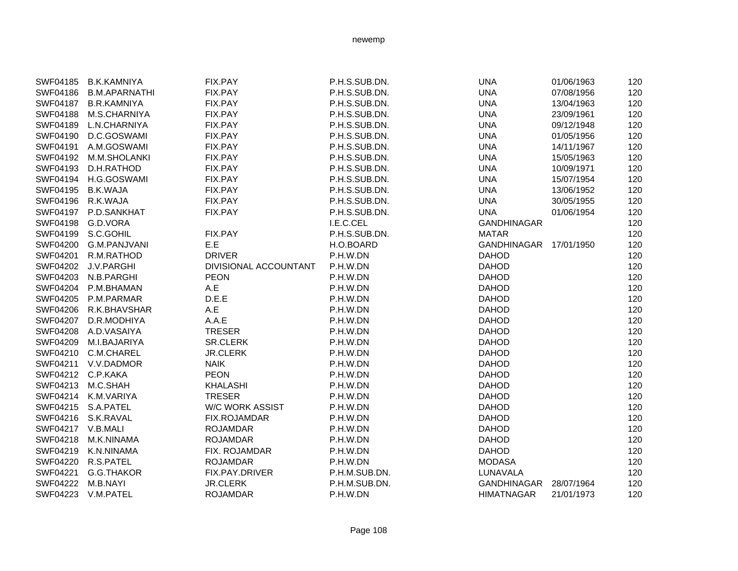| SWF04185          | <b>B.K.KAMNIYA</b>    | FIX.PAY                | P.H.S.SUB.DN. | <b>UNA</b>             | 01/06/1963 | 120 |
|-------------------|-----------------------|------------------------|---------------|------------------------|------------|-----|
| SWF04186          | <b>B.M.APARNATHI</b>  | FIX.PAY                | P.H.S.SUB.DN. | <b>UNA</b>             | 07/08/1956 | 120 |
| SWF04187          | <b>B.R.KAMNIYA</b>    | FIX.PAY                | P.H.S.SUB.DN. | <b>UNA</b>             | 13/04/1963 | 120 |
| SWF04188          | M.S.CHARNIYA          | FIX.PAY                | P.H.S.SUB.DN. | <b>UNA</b>             | 23/09/1961 | 120 |
| SWF04189          | L.N.CHARNIYA          | FIX.PAY                | P.H.S.SUB.DN. | <b>UNA</b>             | 09/12/1948 | 120 |
| SWF04190          | D.C.GOSWAMI           | FIX.PAY                | P.H.S.SUB.DN. | <b>UNA</b>             | 01/05/1956 | 120 |
| SWF04191          | A.M.GOSWAMI           | FIX.PAY                | P.H.S.SUB.DN. | <b>UNA</b>             | 14/11/1967 | 120 |
|                   | SWF04192 M.M.SHOLANKI | FIX.PAY                | P.H.S.SUB.DN. | <b>UNA</b>             | 15/05/1963 | 120 |
| SWF04193          | D.H.RATHOD            | FIX.PAY                | P.H.S.SUB.DN. | <b>UNA</b>             | 10/09/1971 | 120 |
|                   | SWF04194 H.G.GOSWAMI  | FIX.PAY                | P.H.S.SUB.DN. | <b>UNA</b>             | 15/07/1954 | 120 |
| SWF04195          | <b>B.K.WAJA</b>       | FIX.PAY                | P.H.S.SUB.DN. | <b>UNA</b>             | 13/06/1952 | 120 |
| SWF04196          | R.K.WAJA              | FIX.PAY                | P.H.S.SUB.DN. | <b>UNA</b>             | 30/05/1955 | 120 |
| SWF04197          | P.D.SANKHAT           | FIX.PAY                | P.H.S.SUB.DN. | <b>UNA</b>             | 01/06/1954 | 120 |
| SWF04198          | G.D.VORA              |                        | I.E.C.CEL     | <b>GANDHINAGAR</b>     |            | 120 |
| SWF04199          | S.C.GOHIL             | FIX.PAY                | P.H.S.SUB.DN. | <b>MATAR</b>           |            | 120 |
|                   | SWF04200 G.M.PANJVANI | E.E                    | H.O.BOARD     | GANDHINAGAR 17/01/1950 |            | 120 |
| SWF04201          | R.M.RATHOD            | <b>DRIVER</b>          | P.H.W.DN      | <b>DAHOD</b>           |            | 120 |
|                   | SWF04202 J.V.PARGHI   | DIVISIONAL ACCOUNTANT  | P.H.W.DN      | <b>DAHOD</b>           |            | 120 |
|                   | SWF04203 N.B.PARGHI   | <b>PEON</b>            | P.H.W.DN      | <b>DAHOD</b>           |            | 120 |
| SWF04204          | P.M.BHAMAN            | A.E                    | P.H.W.DN      | <b>DAHOD</b>           |            | 120 |
| SWF04205          | P.M.PARMAR            | D.E.E                  | P.H.W.DN      | <b>DAHOD</b>           |            | 120 |
| SWF04206          | R.K.BHAVSHAR          | A.E                    | P.H.W.DN      | <b>DAHOD</b>           |            | 120 |
| SWF04207          | D.R.MODHIYA           | A.A.E                  | P.H.W.DN      | <b>DAHOD</b>           |            | 120 |
| SWF04208          | A.D.VASAIYA           | <b>TRESER</b>          | P.H.W.DN      | <b>DAHOD</b>           |            | 120 |
| SWF04209          | M.I.BAJARIYA          | <b>SR.CLERK</b>        | P.H.W.DN      | <b>DAHOD</b>           |            | 120 |
| SWF04210          | C.M.CHAREL            | <b>JR.CLERK</b>        | P.H.W.DN      | <b>DAHOD</b>           |            | 120 |
| SWF04211          | V.V.DADMOR            | <b>NAIK</b>            | P.H.W.DN      | <b>DAHOD</b>           |            | 120 |
|                   | SWF04212 C.P.KAKA     | <b>PEON</b>            | P.H.W.DN      | <b>DAHOD</b>           |            | 120 |
|                   | SWF04213 M.C.SHAH     | <b>KHALASHI</b>        | P.H.W.DN      | <b>DAHOD</b>           |            | 120 |
|                   | SWF04214 K.M.VARIYA   | <b>TRESER</b>          | P.H.W.DN      | <b>DAHOD</b>           |            | 120 |
|                   | SWF04215 S.A.PATEL    | <b>W/C WORK ASSIST</b> | P.H.W.DN      | <b>DAHOD</b>           |            | 120 |
|                   | SWF04216 S.K.RAVAL    | FIX.ROJAMDAR           | P.H.W.DN      | <b>DAHOD</b>           |            | 120 |
| SWF04217 V.B.MALI |                       | <b>ROJAMDAR</b>        | P.H.W.DN      | <b>DAHOD</b>           |            | 120 |
| SWF04218          | M.K.NINAMA            | <b>ROJAMDAR</b>        | P.H.W.DN      | <b>DAHOD</b>           |            | 120 |
| SWF04219          | K.N.NINAMA            | FIX. ROJAMDAR          | P.H.W.DN      | <b>DAHOD</b>           |            | 120 |
| SWF04220          | R.S.PATEL             | <b>ROJAMDAR</b>        | P.H.W.DN      | <b>MODASA</b>          |            | 120 |
| SWF04221          | G.G.THAKOR            | FIX.PAY.DRIVER         | P.H.M.SUB.DN. | LUNAVALA               |            | 120 |
| SWF04222          | M.B.NAYI              | <b>JR.CLERK</b>        | P.H.M.SUB.DN. | GANDHINAGAR 28/07/1964 |            | 120 |
| SWF04223          | V.M.PATEL             | <b>ROJAMDAR</b>        | P.H.W.DN      | <b>HIMATNAGAR</b>      | 21/01/1973 | 120 |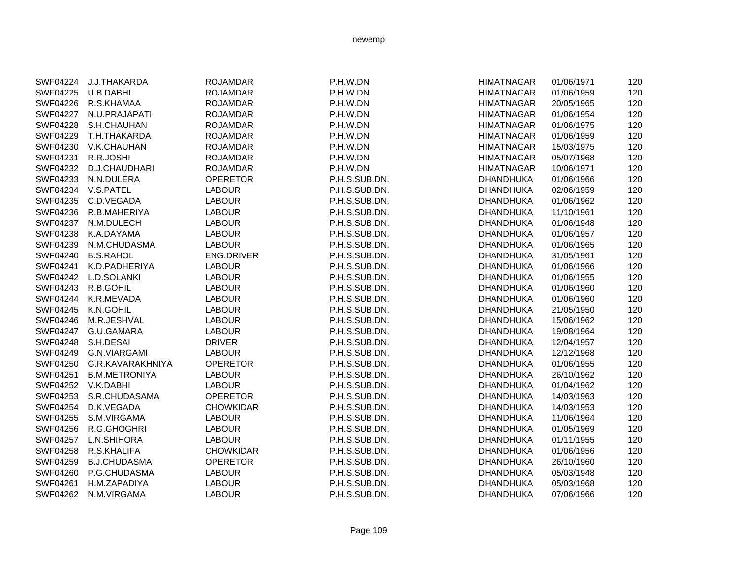| SWF04224        | J.J.THAKARDA         | <b>ROJAMDAR</b>   | P.H.W.DN      | <b>HIMATNAGAR</b> | 01/06/1971 | 120 |
|-----------------|----------------------|-------------------|---------------|-------------------|------------|-----|
| SWF04225        | U.B.DABHI            | <b>ROJAMDAR</b>   | P.H.W.DN      | <b>HIMATNAGAR</b> | 01/06/1959 | 120 |
| SWF04226        | R.S.KHAMAA           | <b>ROJAMDAR</b>   | P.H.W.DN      | <b>HIMATNAGAR</b> | 20/05/1965 | 120 |
| <b>SWF04227</b> | N.U.PRAJAPATI        | <b>ROJAMDAR</b>   | P.H.W.DN      | <b>HIMATNAGAR</b> | 01/06/1954 | 120 |
| SWF04228        | S.H.CHAUHAN          | <b>ROJAMDAR</b>   | P.H.W.DN      | <b>HIMATNAGAR</b> | 01/06/1975 | 120 |
| SWF04229        | T.H.THAKARDA         | <b>ROJAMDAR</b>   | P.H.W.DN      | <b>HIMATNAGAR</b> | 01/06/1959 | 120 |
| SWF04230        | V.K.CHAUHAN          | <b>ROJAMDAR</b>   | P.H.W.DN      | <b>HIMATNAGAR</b> | 15/03/1975 | 120 |
| SWF04231        | R.R.JOSHI            | <b>ROJAMDAR</b>   | P.H.W.DN      | <b>HIMATNAGAR</b> | 05/07/1968 | 120 |
| SWF04232        | D.J.CHAUDHARI        | <b>ROJAMDAR</b>   | P.H.W.DN      | <b>HIMATNAGAR</b> | 10/06/1971 | 120 |
| SWF04233        | N.N.DULERA           | <b>OPERETOR</b>   | P.H.S.SUB.DN. | <b>DHANDHUKA</b>  | 01/06/1966 | 120 |
| SWF04234        | V.S.PATEL            | <b>LABOUR</b>     | P.H.S.SUB.DN. | <b>DHANDHUKA</b>  | 02/06/1959 | 120 |
| SWF04235        | C.D.VEGADA           | <b>LABOUR</b>     | P.H.S.SUB.DN. | <b>DHANDHUKA</b>  | 01/06/1962 | 120 |
| SWF04236        | R.B.MAHERIYA         | <b>LABOUR</b>     | P.H.S.SUB.DN. | <b>DHANDHUKA</b>  | 11/10/1961 | 120 |
| <b>SWF04237</b> | N.M.DULECH           | <b>LABOUR</b>     | P.H.S.SUB.DN. | <b>DHANDHUKA</b>  | 01/06/1948 | 120 |
| SWF04238        | K.A.DAYAMA           | <b>LABOUR</b>     | P.H.S.SUB.DN. | <b>DHANDHUKA</b>  | 01/06/1957 | 120 |
| SWF04239        | N.M.CHUDASMA         | <b>LABOUR</b>     | P.H.S.SUB.DN. | <b>DHANDHUKA</b>  | 01/06/1965 | 120 |
| <b>SWF04240</b> | <b>B.S.RAHOL</b>     | <b>ENG.DRIVER</b> | P.H.S.SUB.DN. | <b>DHANDHUKA</b>  | 31/05/1961 | 120 |
| SWF04241        | K.D.PADHERIYA        | <b>LABOUR</b>     | P.H.S.SUB.DN. | <b>DHANDHUKA</b>  | 01/06/1966 | 120 |
| SWF04242        | L.D.SOLANKI          | <b>LABOUR</b>     | P.H.S.SUB.DN. | <b>DHANDHUKA</b>  | 01/06/1955 | 120 |
| SWF04243        | R.B.GOHIL            | <b>LABOUR</b>     | P.H.S.SUB.DN. | <b>DHANDHUKA</b>  | 01/06/1960 | 120 |
| SWF04244        | K.R.MEVADA           | <b>LABOUR</b>     | P.H.S.SUB.DN. | <b>DHANDHUKA</b>  | 01/06/1960 | 120 |
| SWF04245        | K.N.GOHIL            | <b>LABOUR</b>     | P.H.S.SUB.DN. | DHANDHUKA         | 21/05/1950 | 120 |
| SWF04246        | M.R.JESHVAL          | <b>LABOUR</b>     | P.H.S.SUB.DN. | DHANDHUKA         | 15/06/1962 | 120 |
| SWF04247        | G.U.GAMARA           | <b>LABOUR</b>     | P.H.S.SUB.DN. | <b>DHANDHUKA</b>  | 19/08/1964 | 120 |
| SWF04248        | S.H.DESAI            | <b>DRIVER</b>     | P.H.S.SUB.DN. | <b>DHANDHUKA</b>  | 12/04/1957 | 120 |
| SWF04249        | G.N.VIARGAMI         | <b>LABOUR</b>     | P.H.S.SUB.DN. | <b>DHANDHUKA</b>  | 12/12/1968 | 120 |
| SWF04250        | G.R.KAVARAKHNIYA     | <b>OPERETOR</b>   | P.H.S.SUB.DN. | <b>DHANDHUKA</b>  | 01/06/1955 | 120 |
| SWF04251        | <b>B.M.METRONIYA</b> | <b>LABOUR</b>     | P.H.S.SUB.DN. | <b>DHANDHUKA</b>  | 26/10/1962 | 120 |
| SWF04252        | V.K.DABHI            | <b>LABOUR</b>     | P.H.S.SUB.DN. | <b>DHANDHUKA</b>  | 01/04/1962 | 120 |
| SWF04253        | S.R.CHUDASAMA        | <b>OPERETOR</b>   | P.H.S.SUB.DN. | <b>DHANDHUKA</b>  | 14/03/1963 | 120 |
| SWF04254        | D.K.VEGADA           | <b>CHOWKIDAR</b>  | P.H.S.SUB.DN. | <b>DHANDHUKA</b>  | 14/03/1953 | 120 |
| SWF04255        | S.M.VIRGAMA          | <b>LABOUR</b>     | P.H.S.SUB.DN. | <b>DHANDHUKA</b>  | 11/06/1964 | 120 |
| SWF04256        | R.G.GHOGHRI          | <b>LABOUR</b>     | P.H.S.SUB.DN. | <b>DHANDHUKA</b>  | 01/05/1969 | 120 |
| SWF04257        | L.N.SHIHORA          | <b>LABOUR</b>     | P.H.S.SUB.DN. | <b>DHANDHUKA</b>  | 01/11/1955 | 120 |
| SWF04258        | R.S.KHALIFA          | <b>CHOWKIDAR</b>  | P.H.S.SUB.DN. | <b>DHANDHUKA</b>  | 01/06/1956 | 120 |
| SWF04259        | <b>B.J.CHUDASMA</b>  | <b>OPERETOR</b>   | P.H.S.SUB.DN. | <b>DHANDHUKA</b>  | 26/10/1960 | 120 |
| <b>SWF04260</b> | P.G.CHUDASMA         | <b>LABOUR</b>     | P.H.S.SUB.DN. | <b>DHANDHUKA</b>  | 05/03/1948 | 120 |
| SWF04261        | H.M.ZAPADIYA         | <b>LABOUR</b>     | P.H.S.SUB.DN. | <b>DHANDHUKA</b>  | 05/03/1968 | 120 |
| SWF04262        | N.M.VIRGAMA          | <b>LABOUR</b>     | P.H.S.SUB.DN. | <b>DHANDHUKA</b>  | 07/06/1966 | 120 |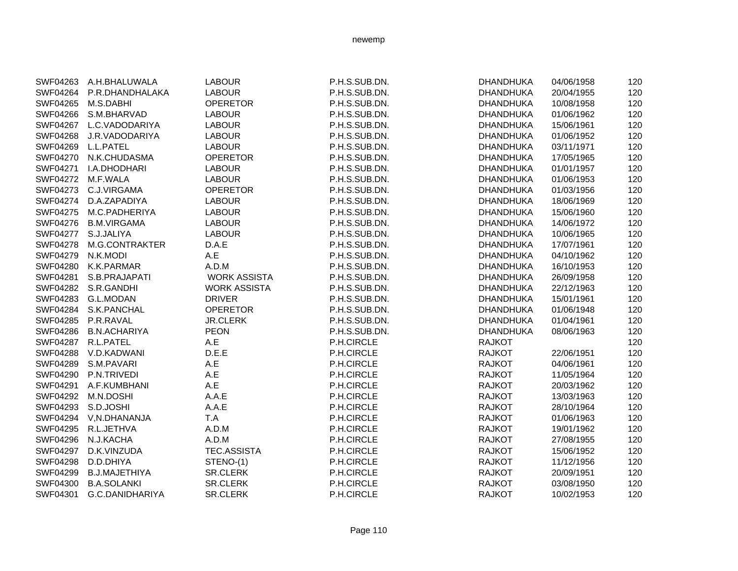|          | SWF04263 A.H.BHALUWALA   | <b>LABOUR</b>       | P.H.S.SUB.DN. | <b>DHANDHUKA</b> | 04/06/1958 | 120 |
|----------|--------------------------|---------------------|---------------|------------------|------------|-----|
|          | SWF04264 P.R.DHANDHALAKA | <b>LABOUR</b>       | P.H.S.SUB.DN. | DHANDHUKA        | 20/04/1955 | 120 |
| SWF04265 | M.S.DABHI                | <b>OPERETOR</b>     | P.H.S.SUB.DN. | <b>DHANDHUKA</b> | 10/08/1958 | 120 |
| SWF04266 | S.M.BHARVAD              | <b>LABOUR</b>       | P.H.S.SUB.DN. | <b>DHANDHUKA</b> | 01/06/1962 | 120 |
| SWF04267 | L.C.VADODARIYA           | <b>LABOUR</b>       | P.H.S.SUB.DN. | <b>DHANDHUKA</b> | 15/06/1961 | 120 |
| SWF04268 | J.R.VADODARIYA           | <b>LABOUR</b>       | P.H.S.SUB.DN. | <b>DHANDHUKA</b> | 01/06/1952 | 120 |
| SWF04269 | L.L.PATEL                | <b>LABOUR</b>       | P.H.S.SUB.DN. | <b>DHANDHUKA</b> | 03/11/1971 | 120 |
| SWF04270 | N.K.CHUDASMA             | <b>OPERETOR</b>     | P.H.S.SUB.DN. | <b>DHANDHUKA</b> | 17/05/1965 | 120 |
| SWF04271 | I.A.DHODHARI             | <b>LABOUR</b>       | P.H.S.SUB.DN. | <b>DHANDHUKA</b> | 01/01/1957 | 120 |
|          | SWF04272 M.F.WALA        | <b>LABOUR</b>       | P.H.S.SUB.DN. | <b>DHANDHUKA</b> | 01/06/1953 | 120 |
| SWF04273 | C.J.VIRGAMA              | <b>OPERETOR</b>     | P.H.S.SUB.DN. | <b>DHANDHUKA</b> | 01/03/1956 | 120 |
| SWF04274 | D.A.ZAPADIYA             | <b>LABOUR</b>       | P.H.S.SUB.DN. | DHANDHUKA        | 18/06/1969 | 120 |
| SWF04275 | M.C.PADHERIYA            | <b>LABOUR</b>       | P.H.S.SUB.DN. | <b>DHANDHUKA</b> | 15/06/1960 | 120 |
| SWF04276 | <b>B.M.VIRGAMA</b>       | <b>LABOUR</b>       | P.H.S.SUB.DN. | <b>DHANDHUKA</b> | 14/06/1972 | 120 |
| SWF04277 | S.J.JALIYA               | <b>LABOUR</b>       | P.H.S.SUB.DN. | <b>DHANDHUKA</b> | 10/06/1965 | 120 |
| SWF04278 | M.G.CONTRAKTER           | D.A.E               | P.H.S.SUB.DN. | <b>DHANDHUKA</b> | 17/07/1961 | 120 |
| SWF04279 | N.K.MODI                 | A.E                 | P.H.S.SUB.DN. | <b>DHANDHUKA</b> | 04/10/1962 | 120 |
|          | SWF04280 K.K.PARMAR      | A.D.M               | P.H.S.SUB.DN. | <b>DHANDHUKA</b> | 16/10/1953 | 120 |
| SWF04281 | S.B.PRAJAPATI            | <b>WORK ASSISTA</b> | P.H.S.SUB.DN. | <b>DHANDHUKA</b> | 26/09/1958 | 120 |
|          | SWF04282 S.R.GANDHI      | <b>WORK ASSISTA</b> | P.H.S.SUB.DN. | <b>DHANDHUKA</b> | 22/12/1963 | 120 |
| SWF04283 | <b>G.L.MODAN</b>         | <b>DRIVER</b>       | P.H.S.SUB.DN. | <b>DHANDHUKA</b> | 15/01/1961 | 120 |
| SWF04284 | S.K.PANCHAL              | <b>OPERETOR</b>     | P.H.S.SUB.DN. | <b>DHANDHUKA</b> | 01/06/1948 | 120 |
| SWF04285 | P.R.RAVAL                | <b>JR.CLERK</b>     | P.H.S.SUB.DN. | <b>DHANDHUKA</b> | 01/04/1961 | 120 |
| SWF04286 | <b>B.N.ACHARIYA</b>      | <b>PEON</b>         | P.H.S.SUB.DN. | <b>DHANDHUKA</b> | 08/06/1963 | 120 |
| SWF04287 | R.L.PATEL                | A.E                 | P.H.CIRCLE    | <b>RAJKOT</b>    |            | 120 |
| SWF04288 | V.D.KADWANI              | D.E.E               | P.H.CIRCLE    | <b>RAJKOT</b>    | 22/06/1951 | 120 |
| SWF04289 | S.M.PAVARI               | A.E                 | P.H.CIRCLE    | <b>RAJKOT</b>    | 04/06/1961 | 120 |
| SWF04290 | P.N.TRIVEDI              | A.E                 | P.H.CIRCLE    | <b>RAJKOT</b>    | 11/05/1964 | 120 |
| SWF04291 | A.F.KUMBHANI             | A.E                 | P.H.CIRCLE    | <b>RAJKOT</b>    | 20/03/1962 | 120 |
| SWF04292 | M.N.DOSHI                | A.A.E               | P.H.CIRCLE    | <b>RAJKOT</b>    | 13/03/1963 | 120 |
| SWF04293 | S.D.JOSHI                | A.A.E               | P.H.CIRCLE    | <b>RAJKOT</b>    | 28/10/1964 | 120 |
| SWF04294 | V,N.DHANANJA             | T.A                 | P.H.CIRCLE    | <b>RAJKOT</b>    | 01/06/1963 | 120 |
| SWF04295 | R.L.JETHVA               | A.D.M               | P.H.CIRCLE    | <b>RAJKOT</b>    | 19/01/1962 | 120 |
| SWF04296 | N.J.KACHA                | A.D.M               | P.H.CIRCLE    | <b>RAJKOT</b>    | 27/08/1955 | 120 |
| SWF04297 | D.K.VINZUDA              | <b>TEC.ASSISTA</b>  | P.H.CIRCLE    | <b>RAJKOT</b>    | 15/06/1952 | 120 |
| SWF04298 | D.D.DHIYA                | STENO-(1)           | P.H.CIRCLE    | <b>RAJKOT</b>    | 11/12/1956 | 120 |
| SWF04299 | <b>B.J.MAJETHIYA</b>     | <b>SR.CLERK</b>     | P.H.CIRCLE    | <b>RAJKOT</b>    | 20/09/1951 | 120 |
| SWF04300 | <b>B.A.SOLANKI</b>       | SR.CLERK            | P.H.CIRCLE    | <b>RAJKOT</b>    | 03/08/1950 | 120 |
| SWF04301 | G.C.DANIDHARIYA          | <b>SR.CLERK</b>     | P.H.CIRCLE    | <b>RAJKOT</b>    | 10/02/1953 | 120 |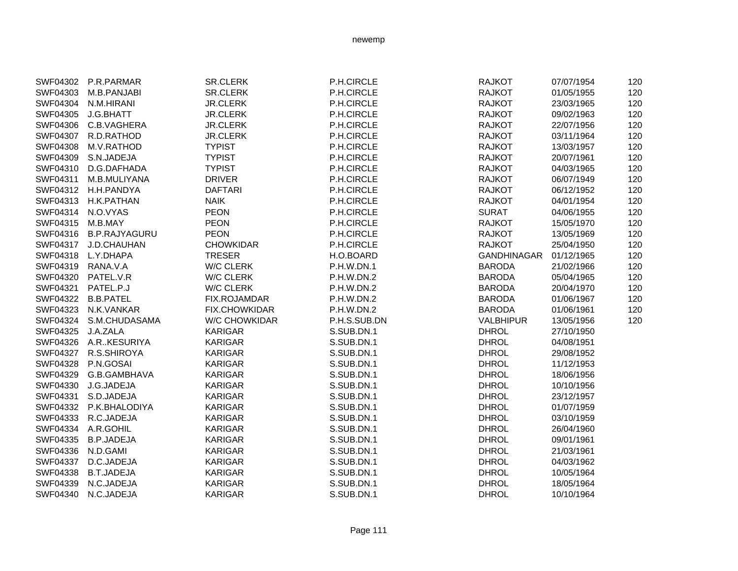|          | SWF04302 P.R.PARMAR  | SR.CLERK             | P.H.CIRCLE   | <b>RAJKOT</b>      | 07/07/1954 | 120 |
|----------|----------------------|----------------------|--------------|--------------------|------------|-----|
| SWF04303 | M.B.PANJABI          | <b>SR.CLERK</b>      | P.H.CIRCLE   | <b>RAJKOT</b>      | 01/05/1955 | 120 |
| SWF04304 | N.M.HIRANI           | <b>JR.CLERK</b>      | P.H.CIRCLE   | <b>RAJKOT</b>      | 23/03/1965 | 120 |
| SWF04305 | J.G.BHATT            | <b>JR.CLERK</b>      | P.H.CIRCLE   | <b>RAJKOT</b>      | 09/02/1963 | 120 |
| SWF04306 | C.B.VAGHERA          | <b>JR.CLERK</b>      | P.H.CIRCLE   | <b>RAJKOT</b>      | 22/07/1956 | 120 |
| SWF04307 | R.D.RATHOD           | <b>JR.CLERK</b>      | P.H.CIRCLE   | <b>RAJKOT</b>      | 03/11/1964 | 120 |
| SWF04308 | M.V.RATHOD           | <b>TYPIST</b>        | P.H.CIRCLE   | <b>RAJKOT</b>      | 13/03/1957 | 120 |
| SWF04309 | S.N.JADEJA           | <b>TYPIST</b>        | P.H.CIRCLE   | <b>RAJKOT</b>      | 20/07/1961 | 120 |
| SWF04310 | D.G.DAFHADA          | <b>TYPIST</b>        | P.H.CIRCLE   | <b>RAJKOT</b>      | 04/03/1965 | 120 |
| SWF04311 | M.B.MULIYANA         | <b>DRIVER</b>        | P.H.CIRCLE   | <b>RAJKOT</b>      | 06/07/1949 | 120 |
| SWF04312 | H.H.PANDYA           | <b>DAFTARI</b>       | P.H.CIRCLE   | <b>RAJKOT</b>      | 06/12/1952 | 120 |
| SWF04313 | H.K.PATHAN           | <b>NAIK</b>          | P.H.CIRCLE   | <b>RAJKOT</b>      | 04/01/1954 | 120 |
| SWF04314 | N.O.VYAS             | <b>PEON</b>          | P.H.CIRCLE   | <b>SURAT</b>       | 04/06/1955 | 120 |
| SWF04315 | M.B.MAY              | <b>PEON</b>          | P.H.CIRCLE   | <b>RAJKOT</b>      | 15/05/1970 | 120 |
| SWF04316 | <b>B.P.RAJYAGURU</b> | <b>PEON</b>          | P.H.CIRCLE   | <b>RAJKOT</b>      | 13/05/1969 | 120 |
| SWF04317 | J.D.CHAUHAN          | <b>CHOWKIDAR</b>     | P.H.CIRCLE   | <b>RAJKOT</b>      | 25/04/1950 | 120 |
| SWF04318 | L.Y.DHAPA            | <b>TRESER</b>        | H.O.BOARD    | <b>GANDHINAGAR</b> | 01/12/1965 | 120 |
| SWF04319 | RANA.V.A             | W/C CLERK            | P.H.W.DN.1   | <b>BARODA</b>      | 21/02/1966 | 120 |
| SWF04320 | PATEL.V.R            | W/C CLERK            | P.H.W.DN.2   | <b>BARODA</b>      | 05/04/1965 | 120 |
| SWF04321 | PATEL.P.J            | <b>W/C CLERK</b>     | P.H.W.DN.2   | <b>BARODA</b>      | 20/04/1970 | 120 |
| SWF04322 | <b>B.B.PATEL</b>     | <b>FIX.ROJAMDAR</b>  | P.H.W.DN.2   | <b>BARODA</b>      | 01/06/1967 | 120 |
| SWF04323 | N.K.VANKAR           | <b>FIX.CHOWKIDAR</b> | P.H.W.DN.2   | <b>BARODA</b>      | 01/06/1961 | 120 |
| SWF04324 | S.M.CHUDASAMA        | <b>W/C CHOWKIDAR</b> | P.H.S.SUB.DN | <b>VALBHIPUR</b>   | 13/05/1956 | 120 |
| SWF04325 | J.A.ZALA             | <b>KARIGAR</b>       | S.SUB.DN.1   | <b>DHROL</b>       | 27/10/1950 |     |
| SWF04326 | A.RKESURIYA          | <b>KARIGAR</b>       | S.SUB.DN.1   | <b>DHROL</b>       | 04/08/1951 |     |
| SWF04327 | R.S.SHIROYA          | <b>KARIGAR</b>       | S.SUB.DN.1   | <b>DHROL</b>       | 29/08/1952 |     |
| SWF04328 | P.N.GOSAI            | <b>KARIGAR</b>       | S.SUB.DN.1   | <b>DHROL</b>       | 11/12/1953 |     |
| SWF04329 | G.B.GAMBHAVA         | <b>KARIGAR</b>       | S.SUB.DN.1   | <b>DHROL</b>       | 18/06/1956 |     |
| SWF04330 | J.G.JADEJA           | <b>KARIGAR</b>       | S.SUB.DN.1   | <b>DHROL</b>       | 10/10/1956 |     |
| SWF04331 | S.D.JADEJA           | <b>KARIGAR</b>       | S.SUB.DN.1   | <b>DHROL</b>       | 23/12/1957 |     |
| SWF04332 | P.K.BHALODIYA        | <b>KARIGAR</b>       | S.SUB.DN.1   | <b>DHROL</b>       | 01/07/1959 |     |
| SWF04333 | R.C.JADEJA           | <b>KARIGAR</b>       | S.SUB.DN.1   | <b>DHROL</b>       | 03/10/1959 |     |
| SWF04334 | A.R.GOHIL            | <b>KARIGAR</b>       | S.SUB.DN.1   | <b>DHROL</b>       | 26/04/1960 |     |
| SWF04335 | <b>B.P.JADEJA</b>    | <b>KARIGAR</b>       | S.SUB.DN.1   | <b>DHROL</b>       | 09/01/1961 |     |
| SWF04336 | N.D.GAMI             | <b>KARIGAR</b>       | S.SUB.DN.1   | <b>DHROL</b>       | 21/03/1961 |     |
| SWF04337 | D.C.JADEJA           | <b>KARIGAR</b>       | S.SUB.DN.1   | <b>DHROL</b>       | 04/03/1962 |     |
| SWF04338 | <b>B.T.JADEJA</b>    | <b>KARIGAR</b>       | S.SUB.DN.1   | <b>DHROL</b>       | 10/05/1964 |     |
| SWF04339 | N.C.JADEJA           | <b>KARIGAR</b>       | S.SUB.DN.1   | <b>DHROL</b>       | 18/05/1964 |     |
| SWF04340 | N.C.JADEJA           | <b>KARIGAR</b>       | S.SUB.DN.1   | <b>DHROL</b>       | 10/10/1964 |     |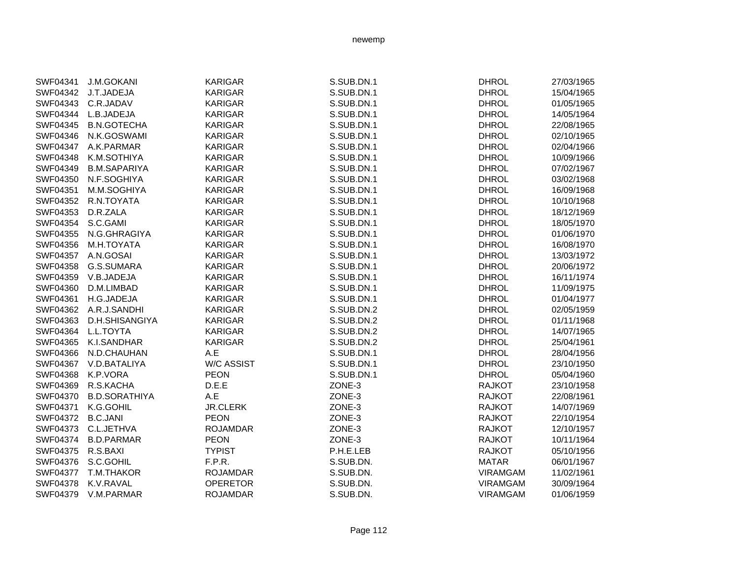| <b>KARIGAR</b><br>S.SUB.DN.1<br><b>DHROL</b><br>SWF04341<br><b>J.M.GOKANI</b><br>27/03/1965<br>SWF04342<br>J.T.JADEJA<br><b>KARIGAR</b><br>S.SUB.DN.1<br><b>DHROL</b><br>15/04/1965<br>C.R.JADAV<br><b>KARIGAR</b><br>S.SUB.DN.1<br><b>DHROL</b><br>SWF04343<br>01/05/1965<br>SWF04344<br>L.B.JADEJA<br><b>KARIGAR</b><br>S.SUB.DN.1<br><b>DHROL</b><br>14/05/1964<br><b>B.N.GOTECHA</b><br><b>KARIGAR</b><br>S.SUB.DN.1<br><b>DHROL</b><br>SWF04345<br>22/08/1965<br>SWF04346<br>N.K.GOSWAMI<br><b>KARIGAR</b><br>S.SUB.DN.1<br><b>DHROL</b><br>02/10/1965<br>S.SUB.DN.1<br><b>DHROL</b><br>SWF04347<br>A.K.PARMAR<br><b>KARIGAR</b><br>02/04/1966<br>S.SUB.DN.1<br><b>DHROL</b><br>SWF04348<br>K.M.SOTHIYA<br><b>KARIGAR</b><br>10/09/1966<br>S.SUB.DN.1<br>SWF04349<br><b>B.M.SAPARIYA</b><br><b>KARIGAR</b><br><b>DHROL</b><br>07/02/1967<br>N.F.SOGHIYA<br><b>KARIGAR</b><br>S.SUB.DN.1<br><b>DHROL</b><br>03/02/1968<br>SWF04350<br><b>KARIGAR</b><br>S.SUB.DN.1<br><b>DHROL</b><br>SWF04351<br>M.M.SOGHIYA<br>16/09/1968<br>SWF04352<br>R.N.TOYATA<br><b>KARIGAR</b><br>S.SUB.DN.1<br><b>DHROL</b><br>10/10/1968<br>SWF04353<br>D.R.ZALA<br><b>KARIGAR</b><br>S.SUB.DN.1<br><b>DHROL</b><br>18/12/1969<br>SWF04354<br>S.C.GAMI<br><b>KARIGAR</b><br>S.SUB.DN.1<br><b>DHROL</b><br>18/05/1970<br>S.SUB.DN.1<br>SWF04355<br>N.G.GHRAGIYA<br><b>KARIGAR</b><br><b>DHROL</b><br>01/06/1970<br>SWF04356<br>M.H.TOYATA<br><b>KARIGAR</b><br>S.SUB.DN.1<br><b>DHROL</b><br>16/08/1970<br>SWF04357<br>A.N.GOSAI<br>S.SUB.DN.1<br><b>DHROL</b><br><b>KARIGAR</b><br>13/03/1972<br>G.S.SUMARA<br>S.SUB.DN.1<br><b>DHROL</b><br>SWF04358<br><b>KARIGAR</b><br>20/06/1972<br>S.SUB.DN.1<br>SWF04359<br>V.B.JADEJA<br><b>KARIGAR</b><br><b>DHROL</b><br>16/11/1974<br>S.SUB.DN.1<br>SWF04360<br><b>KARIGAR</b><br><b>DHROL</b><br>11/09/1975<br>D.M.LIMBAD<br><b>KARIGAR</b><br>S.SUB.DN.1<br><b>DHROL</b><br>SWF04361<br>H.G.JADEJA<br>01/04/1977<br><b>KARIGAR</b><br>S.SUB.DN.2<br><b>DHROL</b><br>SWF04362<br>A.R.J.SANDHI<br>02/05/1959<br>SWF04363<br>D.H.SHISANGIYA<br><b>KARIGAR</b><br>S.SUB.DN.2<br><b>DHROL</b><br>01/11/1968<br>L.L.TOYTA<br><b>KARIGAR</b><br>S.SUB.DN.2<br><b>DHROL</b><br>SWF04364<br>14/07/1965<br>K.I.SANDHAR<br><b>KARIGAR</b><br>S.SUB.DN.2<br><b>DHROL</b><br>25/04/1961<br>SWF04365<br>S.SUB.DN.1<br><b>DHROL</b><br>SWF04366<br>N.D.CHAUHAN<br>A.E<br>28/04/1956<br><b>W/C ASSIST</b><br>S.SUB.DN.1<br><b>DHROL</b><br>SWF04367<br>V.D.BATALIYA<br>23/10/1950<br>SWF04368<br>K.P.VORA<br><b>PEON</b><br>S.SUB.DN.1<br><b>DHROL</b><br>05/04/1960<br>D.E.E<br>R.S.KACHA<br>ZONE-3<br><b>RAJKOT</b><br>23/10/1958<br>SWF04369<br>A.E<br><b>RAJKOT</b><br>SWF04370<br><b>B.D.SORATHIYA</b><br>ZONE-3<br>22/08/1961<br>SWF04371<br>K.G.GOHIL<br><b>JR.CLERK</b><br>ZONE-3<br><b>RAJKOT</b><br>14/07/1969<br>SWF04372<br><b>B.C.JANI</b><br><b>PEON</b><br>ZONE-3<br><b>RAJKOT</b><br>22/10/1954<br>SWF04373<br>C.L.JETHVA<br><b>ROJAMDAR</b><br>ZONE-3<br><b>RAJKOT</b><br>12/10/1957<br><b>PEON</b><br>SWF04374<br><b>B.D.PARMAR</b><br>ZONE-3<br><b>RAJKOT</b><br>10/11/1964<br>SWF04375<br>R.S.BAXI<br><b>TYPIST</b><br>P.H.E.LEB<br>05/10/1956<br><b>RAJKOT</b><br>S.C.GOHIL<br>F.P.R.<br>S.SUB.DN.<br><b>MATAR</b><br>SWF04376<br>06/01/1967<br>S.SUB.DN.<br>SWF04377<br>T.M.THAKOR<br><b>ROJAMDAR</b><br><b>VIRAMGAM</b><br>11/02/1961<br>S.SUB.DN.<br>SWF04378<br>K.V.RAVAL<br><b>OPERETOR</b><br><b>VIRAMGAM</b><br>30/09/1964<br>S.SUB.DN.<br>SWF04379<br>V.M.PARMAR<br><b>ROJAMDAR</b><br><b>VIRAMGAM</b><br>01/06/1959 |  |  |  |
|---------------------------------------------------------------------------------------------------------------------------------------------------------------------------------------------------------------------------------------------------------------------------------------------------------------------------------------------------------------------------------------------------------------------------------------------------------------------------------------------------------------------------------------------------------------------------------------------------------------------------------------------------------------------------------------------------------------------------------------------------------------------------------------------------------------------------------------------------------------------------------------------------------------------------------------------------------------------------------------------------------------------------------------------------------------------------------------------------------------------------------------------------------------------------------------------------------------------------------------------------------------------------------------------------------------------------------------------------------------------------------------------------------------------------------------------------------------------------------------------------------------------------------------------------------------------------------------------------------------------------------------------------------------------------------------------------------------------------------------------------------------------------------------------------------------------------------------------------------------------------------------------------------------------------------------------------------------------------------------------------------------------------------------------------------------------------------------------------------------------------------------------------------------------------------------------------------------------------------------------------------------------------------------------------------------------------------------------------------------------------------------------------------------------------------------------------------------------------------------------------------------------------------------------------------------------------------------------------------------------------------------------------------------------------------------------------------------------------------------------------------------------------------------------------------------------------------------------------------------------------------------------------------------------------------------------------------------------------------------------------------------------------------------------------------------------------------------------------------------------------------------------------------------------------------------------------------------------------------------------------------------------------------------------------------------------------------------------------------------------------------------------------------------------------------------------------------------------------------------------------------------------------------------------------------------|--|--|--|
|                                                                                                                                                                                                                                                                                                                                                                                                                                                                                                                                                                                                                                                                                                                                                                                                                                                                                                                                                                                                                                                                                                                                                                                                                                                                                                                                                                                                                                                                                                                                                                                                                                                                                                                                                                                                                                                                                                                                                                                                                                                                                                                                                                                                                                                                                                                                                                                                                                                                                                                                                                                                                                                                                                                                                                                                                                                                                                                                                                                                                                                                                                                                                                                                                                                                                                                                                                                                                                                                                                                                                               |  |  |  |
|                                                                                                                                                                                                                                                                                                                                                                                                                                                                                                                                                                                                                                                                                                                                                                                                                                                                                                                                                                                                                                                                                                                                                                                                                                                                                                                                                                                                                                                                                                                                                                                                                                                                                                                                                                                                                                                                                                                                                                                                                                                                                                                                                                                                                                                                                                                                                                                                                                                                                                                                                                                                                                                                                                                                                                                                                                                                                                                                                                                                                                                                                                                                                                                                                                                                                                                                                                                                                                                                                                                                                               |  |  |  |
|                                                                                                                                                                                                                                                                                                                                                                                                                                                                                                                                                                                                                                                                                                                                                                                                                                                                                                                                                                                                                                                                                                                                                                                                                                                                                                                                                                                                                                                                                                                                                                                                                                                                                                                                                                                                                                                                                                                                                                                                                                                                                                                                                                                                                                                                                                                                                                                                                                                                                                                                                                                                                                                                                                                                                                                                                                                                                                                                                                                                                                                                                                                                                                                                                                                                                                                                                                                                                                                                                                                                                               |  |  |  |
|                                                                                                                                                                                                                                                                                                                                                                                                                                                                                                                                                                                                                                                                                                                                                                                                                                                                                                                                                                                                                                                                                                                                                                                                                                                                                                                                                                                                                                                                                                                                                                                                                                                                                                                                                                                                                                                                                                                                                                                                                                                                                                                                                                                                                                                                                                                                                                                                                                                                                                                                                                                                                                                                                                                                                                                                                                                                                                                                                                                                                                                                                                                                                                                                                                                                                                                                                                                                                                                                                                                                                               |  |  |  |
|                                                                                                                                                                                                                                                                                                                                                                                                                                                                                                                                                                                                                                                                                                                                                                                                                                                                                                                                                                                                                                                                                                                                                                                                                                                                                                                                                                                                                                                                                                                                                                                                                                                                                                                                                                                                                                                                                                                                                                                                                                                                                                                                                                                                                                                                                                                                                                                                                                                                                                                                                                                                                                                                                                                                                                                                                                                                                                                                                                                                                                                                                                                                                                                                                                                                                                                                                                                                                                                                                                                                                               |  |  |  |
|                                                                                                                                                                                                                                                                                                                                                                                                                                                                                                                                                                                                                                                                                                                                                                                                                                                                                                                                                                                                                                                                                                                                                                                                                                                                                                                                                                                                                                                                                                                                                                                                                                                                                                                                                                                                                                                                                                                                                                                                                                                                                                                                                                                                                                                                                                                                                                                                                                                                                                                                                                                                                                                                                                                                                                                                                                                                                                                                                                                                                                                                                                                                                                                                                                                                                                                                                                                                                                                                                                                                                               |  |  |  |
|                                                                                                                                                                                                                                                                                                                                                                                                                                                                                                                                                                                                                                                                                                                                                                                                                                                                                                                                                                                                                                                                                                                                                                                                                                                                                                                                                                                                                                                                                                                                                                                                                                                                                                                                                                                                                                                                                                                                                                                                                                                                                                                                                                                                                                                                                                                                                                                                                                                                                                                                                                                                                                                                                                                                                                                                                                                                                                                                                                                                                                                                                                                                                                                                                                                                                                                                                                                                                                                                                                                                                               |  |  |  |
|                                                                                                                                                                                                                                                                                                                                                                                                                                                                                                                                                                                                                                                                                                                                                                                                                                                                                                                                                                                                                                                                                                                                                                                                                                                                                                                                                                                                                                                                                                                                                                                                                                                                                                                                                                                                                                                                                                                                                                                                                                                                                                                                                                                                                                                                                                                                                                                                                                                                                                                                                                                                                                                                                                                                                                                                                                                                                                                                                                                                                                                                                                                                                                                                                                                                                                                                                                                                                                                                                                                                                               |  |  |  |
|                                                                                                                                                                                                                                                                                                                                                                                                                                                                                                                                                                                                                                                                                                                                                                                                                                                                                                                                                                                                                                                                                                                                                                                                                                                                                                                                                                                                                                                                                                                                                                                                                                                                                                                                                                                                                                                                                                                                                                                                                                                                                                                                                                                                                                                                                                                                                                                                                                                                                                                                                                                                                                                                                                                                                                                                                                                                                                                                                                                                                                                                                                                                                                                                                                                                                                                                                                                                                                                                                                                                                               |  |  |  |
|                                                                                                                                                                                                                                                                                                                                                                                                                                                                                                                                                                                                                                                                                                                                                                                                                                                                                                                                                                                                                                                                                                                                                                                                                                                                                                                                                                                                                                                                                                                                                                                                                                                                                                                                                                                                                                                                                                                                                                                                                                                                                                                                                                                                                                                                                                                                                                                                                                                                                                                                                                                                                                                                                                                                                                                                                                                                                                                                                                                                                                                                                                                                                                                                                                                                                                                                                                                                                                                                                                                                                               |  |  |  |
|                                                                                                                                                                                                                                                                                                                                                                                                                                                                                                                                                                                                                                                                                                                                                                                                                                                                                                                                                                                                                                                                                                                                                                                                                                                                                                                                                                                                                                                                                                                                                                                                                                                                                                                                                                                                                                                                                                                                                                                                                                                                                                                                                                                                                                                                                                                                                                                                                                                                                                                                                                                                                                                                                                                                                                                                                                                                                                                                                                                                                                                                                                                                                                                                                                                                                                                                                                                                                                                                                                                                                               |  |  |  |
|                                                                                                                                                                                                                                                                                                                                                                                                                                                                                                                                                                                                                                                                                                                                                                                                                                                                                                                                                                                                                                                                                                                                                                                                                                                                                                                                                                                                                                                                                                                                                                                                                                                                                                                                                                                                                                                                                                                                                                                                                                                                                                                                                                                                                                                                                                                                                                                                                                                                                                                                                                                                                                                                                                                                                                                                                                                                                                                                                                                                                                                                                                                                                                                                                                                                                                                                                                                                                                                                                                                                                               |  |  |  |
|                                                                                                                                                                                                                                                                                                                                                                                                                                                                                                                                                                                                                                                                                                                                                                                                                                                                                                                                                                                                                                                                                                                                                                                                                                                                                                                                                                                                                                                                                                                                                                                                                                                                                                                                                                                                                                                                                                                                                                                                                                                                                                                                                                                                                                                                                                                                                                                                                                                                                                                                                                                                                                                                                                                                                                                                                                                                                                                                                                                                                                                                                                                                                                                                                                                                                                                                                                                                                                                                                                                                                               |  |  |  |
|                                                                                                                                                                                                                                                                                                                                                                                                                                                                                                                                                                                                                                                                                                                                                                                                                                                                                                                                                                                                                                                                                                                                                                                                                                                                                                                                                                                                                                                                                                                                                                                                                                                                                                                                                                                                                                                                                                                                                                                                                                                                                                                                                                                                                                                                                                                                                                                                                                                                                                                                                                                                                                                                                                                                                                                                                                                                                                                                                                                                                                                                                                                                                                                                                                                                                                                                                                                                                                                                                                                                                               |  |  |  |
|                                                                                                                                                                                                                                                                                                                                                                                                                                                                                                                                                                                                                                                                                                                                                                                                                                                                                                                                                                                                                                                                                                                                                                                                                                                                                                                                                                                                                                                                                                                                                                                                                                                                                                                                                                                                                                                                                                                                                                                                                                                                                                                                                                                                                                                                                                                                                                                                                                                                                                                                                                                                                                                                                                                                                                                                                                                                                                                                                                                                                                                                                                                                                                                                                                                                                                                                                                                                                                                                                                                                                               |  |  |  |
|                                                                                                                                                                                                                                                                                                                                                                                                                                                                                                                                                                                                                                                                                                                                                                                                                                                                                                                                                                                                                                                                                                                                                                                                                                                                                                                                                                                                                                                                                                                                                                                                                                                                                                                                                                                                                                                                                                                                                                                                                                                                                                                                                                                                                                                                                                                                                                                                                                                                                                                                                                                                                                                                                                                                                                                                                                                                                                                                                                                                                                                                                                                                                                                                                                                                                                                                                                                                                                                                                                                                                               |  |  |  |
|                                                                                                                                                                                                                                                                                                                                                                                                                                                                                                                                                                                                                                                                                                                                                                                                                                                                                                                                                                                                                                                                                                                                                                                                                                                                                                                                                                                                                                                                                                                                                                                                                                                                                                                                                                                                                                                                                                                                                                                                                                                                                                                                                                                                                                                                                                                                                                                                                                                                                                                                                                                                                                                                                                                                                                                                                                                                                                                                                                                                                                                                                                                                                                                                                                                                                                                                                                                                                                                                                                                                                               |  |  |  |
|                                                                                                                                                                                                                                                                                                                                                                                                                                                                                                                                                                                                                                                                                                                                                                                                                                                                                                                                                                                                                                                                                                                                                                                                                                                                                                                                                                                                                                                                                                                                                                                                                                                                                                                                                                                                                                                                                                                                                                                                                                                                                                                                                                                                                                                                                                                                                                                                                                                                                                                                                                                                                                                                                                                                                                                                                                                                                                                                                                                                                                                                                                                                                                                                                                                                                                                                                                                                                                                                                                                                                               |  |  |  |
|                                                                                                                                                                                                                                                                                                                                                                                                                                                                                                                                                                                                                                                                                                                                                                                                                                                                                                                                                                                                                                                                                                                                                                                                                                                                                                                                                                                                                                                                                                                                                                                                                                                                                                                                                                                                                                                                                                                                                                                                                                                                                                                                                                                                                                                                                                                                                                                                                                                                                                                                                                                                                                                                                                                                                                                                                                                                                                                                                                                                                                                                                                                                                                                                                                                                                                                                                                                                                                                                                                                                                               |  |  |  |
|                                                                                                                                                                                                                                                                                                                                                                                                                                                                                                                                                                                                                                                                                                                                                                                                                                                                                                                                                                                                                                                                                                                                                                                                                                                                                                                                                                                                                                                                                                                                                                                                                                                                                                                                                                                                                                                                                                                                                                                                                                                                                                                                                                                                                                                                                                                                                                                                                                                                                                                                                                                                                                                                                                                                                                                                                                                                                                                                                                                                                                                                                                                                                                                                                                                                                                                                                                                                                                                                                                                                                               |  |  |  |
|                                                                                                                                                                                                                                                                                                                                                                                                                                                                                                                                                                                                                                                                                                                                                                                                                                                                                                                                                                                                                                                                                                                                                                                                                                                                                                                                                                                                                                                                                                                                                                                                                                                                                                                                                                                                                                                                                                                                                                                                                                                                                                                                                                                                                                                                                                                                                                                                                                                                                                                                                                                                                                                                                                                                                                                                                                                                                                                                                                                                                                                                                                                                                                                                                                                                                                                                                                                                                                                                                                                                                               |  |  |  |
|                                                                                                                                                                                                                                                                                                                                                                                                                                                                                                                                                                                                                                                                                                                                                                                                                                                                                                                                                                                                                                                                                                                                                                                                                                                                                                                                                                                                                                                                                                                                                                                                                                                                                                                                                                                                                                                                                                                                                                                                                                                                                                                                                                                                                                                                                                                                                                                                                                                                                                                                                                                                                                                                                                                                                                                                                                                                                                                                                                                                                                                                                                                                                                                                                                                                                                                                                                                                                                                                                                                                                               |  |  |  |
|                                                                                                                                                                                                                                                                                                                                                                                                                                                                                                                                                                                                                                                                                                                                                                                                                                                                                                                                                                                                                                                                                                                                                                                                                                                                                                                                                                                                                                                                                                                                                                                                                                                                                                                                                                                                                                                                                                                                                                                                                                                                                                                                                                                                                                                                                                                                                                                                                                                                                                                                                                                                                                                                                                                                                                                                                                                                                                                                                                                                                                                                                                                                                                                                                                                                                                                                                                                                                                                                                                                                                               |  |  |  |
|                                                                                                                                                                                                                                                                                                                                                                                                                                                                                                                                                                                                                                                                                                                                                                                                                                                                                                                                                                                                                                                                                                                                                                                                                                                                                                                                                                                                                                                                                                                                                                                                                                                                                                                                                                                                                                                                                                                                                                                                                                                                                                                                                                                                                                                                                                                                                                                                                                                                                                                                                                                                                                                                                                                                                                                                                                                                                                                                                                                                                                                                                                                                                                                                                                                                                                                                                                                                                                                                                                                                                               |  |  |  |
|                                                                                                                                                                                                                                                                                                                                                                                                                                                                                                                                                                                                                                                                                                                                                                                                                                                                                                                                                                                                                                                                                                                                                                                                                                                                                                                                                                                                                                                                                                                                                                                                                                                                                                                                                                                                                                                                                                                                                                                                                                                                                                                                                                                                                                                                                                                                                                                                                                                                                                                                                                                                                                                                                                                                                                                                                                                                                                                                                                                                                                                                                                                                                                                                                                                                                                                                                                                                                                                                                                                                                               |  |  |  |
|                                                                                                                                                                                                                                                                                                                                                                                                                                                                                                                                                                                                                                                                                                                                                                                                                                                                                                                                                                                                                                                                                                                                                                                                                                                                                                                                                                                                                                                                                                                                                                                                                                                                                                                                                                                                                                                                                                                                                                                                                                                                                                                                                                                                                                                                                                                                                                                                                                                                                                                                                                                                                                                                                                                                                                                                                                                                                                                                                                                                                                                                                                                                                                                                                                                                                                                                                                                                                                                                                                                                                               |  |  |  |
|                                                                                                                                                                                                                                                                                                                                                                                                                                                                                                                                                                                                                                                                                                                                                                                                                                                                                                                                                                                                                                                                                                                                                                                                                                                                                                                                                                                                                                                                                                                                                                                                                                                                                                                                                                                                                                                                                                                                                                                                                                                                                                                                                                                                                                                                                                                                                                                                                                                                                                                                                                                                                                                                                                                                                                                                                                                                                                                                                                                                                                                                                                                                                                                                                                                                                                                                                                                                                                                                                                                                                               |  |  |  |
|                                                                                                                                                                                                                                                                                                                                                                                                                                                                                                                                                                                                                                                                                                                                                                                                                                                                                                                                                                                                                                                                                                                                                                                                                                                                                                                                                                                                                                                                                                                                                                                                                                                                                                                                                                                                                                                                                                                                                                                                                                                                                                                                                                                                                                                                                                                                                                                                                                                                                                                                                                                                                                                                                                                                                                                                                                                                                                                                                                                                                                                                                                                                                                                                                                                                                                                                                                                                                                                                                                                                                               |  |  |  |
|                                                                                                                                                                                                                                                                                                                                                                                                                                                                                                                                                                                                                                                                                                                                                                                                                                                                                                                                                                                                                                                                                                                                                                                                                                                                                                                                                                                                                                                                                                                                                                                                                                                                                                                                                                                                                                                                                                                                                                                                                                                                                                                                                                                                                                                                                                                                                                                                                                                                                                                                                                                                                                                                                                                                                                                                                                                                                                                                                                                                                                                                                                                                                                                                                                                                                                                                                                                                                                                                                                                                                               |  |  |  |
|                                                                                                                                                                                                                                                                                                                                                                                                                                                                                                                                                                                                                                                                                                                                                                                                                                                                                                                                                                                                                                                                                                                                                                                                                                                                                                                                                                                                                                                                                                                                                                                                                                                                                                                                                                                                                                                                                                                                                                                                                                                                                                                                                                                                                                                                                                                                                                                                                                                                                                                                                                                                                                                                                                                                                                                                                                                                                                                                                                                                                                                                                                                                                                                                                                                                                                                                                                                                                                                                                                                                                               |  |  |  |
|                                                                                                                                                                                                                                                                                                                                                                                                                                                                                                                                                                                                                                                                                                                                                                                                                                                                                                                                                                                                                                                                                                                                                                                                                                                                                                                                                                                                                                                                                                                                                                                                                                                                                                                                                                                                                                                                                                                                                                                                                                                                                                                                                                                                                                                                                                                                                                                                                                                                                                                                                                                                                                                                                                                                                                                                                                                                                                                                                                                                                                                                                                                                                                                                                                                                                                                                                                                                                                                                                                                                                               |  |  |  |
|                                                                                                                                                                                                                                                                                                                                                                                                                                                                                                                                                                                                                                                                                                                                                                                                                                                                                                                                                                                                                                                                                                                                                                                                                                                                                                                                                                                                                                                                                                                                                                                                                                                                                                                                                                                                                                                                                                                                                                                                                                                                                                                                                                                                                                                                                                                                                                                                                                                                                                                                                                                                                                                                                                                                                                                                                                                                                                                                                                                                                                                                                                                                                                                                                                                                                                                                                                                                                                                                                                                                                               |  |  |  |
|                                                                                                                                                                                                                                                                                                                                                                                                                                                                                                                                                                                                                                                                                                                                                                                                                                                                                                                                                                                                                                                                                                                                                                                                                                                                                                                                                                                                                                                                                                                                                                                                                                                                                                                                                                                                                                                                                                                                                                                                                                                                                                                                                                                                                                                                                                                                                                                                                                                                                                                                                                                                                                                                                                                                                                                                                                                                                                                                                                                                                                                                                                                                                                                                                                                                                                                                                                                                                                                                                                                                                               |  |  |  |
|                                                                                                                                                                                                                                                                                                                                                                                                                                                                                                                                                                                                                                                                                                                                                                                                                                                                                                                                                                                                                                                                                                                                                                                                                                                                                                                                                                                                                                                                                                                                                                                                                                                                                                                                                                                                                                                                                                                                                                                                                                                                                                                                                                                                                                                                                                                                                                                                                                                                                                                                                                                                                                                                                                                                                                                                                                                                                                                                                                                                                                                                                                                                                                                                                                                                                                                                                                                                                                                                                                                                                               |  |  |  |
|                                                                                                                                                                                                                                                                                                                                                                                                                                                                                                                                                                                                                                                                                                                                                                                                                                                                                                                                                                                                                                                                                                                                                                                                                                                                                                                                                                                                                                                                                                                                                                                                                                                                                                                                                                                                                                                                                                                                                                                                                                                                                                                                                                                                                                                                                                                                                                                                                                                                                                                                                                                                                                                                                                                                                                                                                                                                                                                                                                                                                                                                                                                                                                                                                                                                                                                                                                                                                                                                                                                                                               |  |  |  |
|                                                                                                                                                                                                                                                                                                                                                                                                                                                                                                                                                                                                                                                                                                                                                                                                                                                                                                                                                                                                                                                                                                                                                                                                                                                                                                                                                                                                                                                                                                                                                                                                                                                                                                                                                                                                                                                                                                                                                                                                                                                                                                                                                                                                                                                                                                                                                                                                                                                                                                                                                                                                                                                                                                                                                                                                                                                                                                                                                                                                                                                                                                                                                                                                                                                                                                                                                                                                                                                                                                                                                               |  |  |  |
|                                                                                                                                                                                                                                                                                                                                                                                                                                                                                                                                                                                                                                                                                                                                                                                                                                                                                                                                                                                                                                                                                                                                                                                                                                                                                                                                                                                                                                                                                                                                                                                                                                                                                                                                                                                                                                                                                                                                                                                                                                                                                                                                                                                                                                                                                                                                                                                                                                                                                                                                                                                                                                                                                                                                                                                                                                                                                                                                                                                                                                                                                                                                                                                                                                                                                                                                                                                                                                                                                                                                                               |  |  |  |
|                                                                                                                                                                                                                                                                                                                                                                                                                                                                                                                                                                                                                                                                                                                                                                                                                                                                                                                                                                                                                                                                                                                                                                                                                                                                                                                                                                                                                                                                                                                                                                                                                                                                                                                                                                                                                                                                                                                                                                                                                                                                                                                                                                                                                                                                                                                                                                                                                                                                                                                                                                                                                                                                                                                                                                                                                                                                                                                                                                                                                                                                                                                                                                                                                                                                                                                                                                                                                                                                                                                                                               |  |  |  |
|                                                                                                                                                                                                                                                                                                                                                                                                                                                                                                                                                                                                                                                                                                                                                                                                                                                                                                                                                                                                                                                                                                                                                                                                                                                                                                                                                                                                                                                                                                                                                                                                                                                                                                                                                                                                                                                                                                                                                                                                                                                                                                                                                                                                                                                                                                                                                                                                                                                                                                                                                                                                                                                                                                                                                                                                                                                                                                                                                                                                                                                                                                                                                                                                                                                                                                                                                                                                                                                                                                                                                               |  |  |  |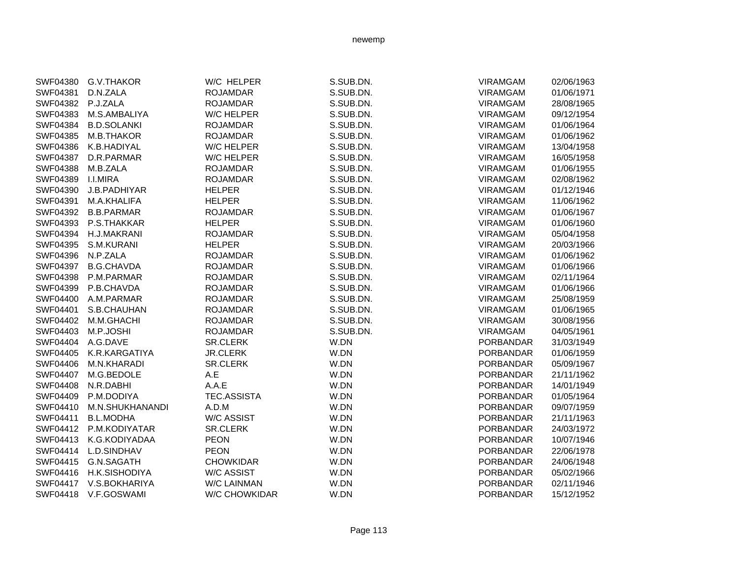| SWF04380        | G.V.THAKOR         | W/C HELPER           | S.SUB.DN. | <b>VIRAMGAM</b>  | 02/06/1963 |
|-----------------|--------------------|----------------------|-----------|------------------|------------|
| SWF04381        | D.N.ZALA           | <b>ROJAMDAR</b>      | S.SUB.DN. | <b>VIRAMGAM</b>  | 01/06/1971 |
| SWF04382        | P.J.ZALA           | <b>ROJAMDAR</b>      | S.SUB.DN. | <b>VIRAMGAM</b>  | 28/08/1965 |
| SWF04383        | M.S.AMBALIYA       | W/C HELPER           | S.SUB.DN. | <b>VIRAMGAM</b>  | 09/12/1954 |
| SWF04384        | <b>B.D.SOLANKI</b> | <b>ROJAMDAR</b>      | S.SUB.DN. | <b>VIRAMGAM</b>  | 01/06/1964 |
| SWF04385        | M.B.THAKOR         | <b>ROJAMDAR</b>      | S.SUB.DN. | <b>VIRAMGAM</b>  | 01/06/1962 |
| SWF04386        | K.B.HADIYAL        | <b>W/C HELPER</b>    | S.SUB.DN. | <b>VIRAMGAM</b>  | 13/04/1958 |
| SWF04387        | D.R.PARMAR         | W/C HELPER           | S.SUB.DN. | <b>VIRAMGAM</b>  | 16/05/1958 |
| SWF04388        | M.B.ZALA           | <b>ROJAMDAR</b>      | S.SUB.DN. | <b>VIRAMGAM</b>  | 01/06/1955 |
| SWF04389        | <b>I.I.MIRA</b>    | <b>ROJAMDAR</b>      | S.SUB.DN. | <b>VIRAMGAM</b>  | 02/08/1962 |
| SWF04390        | J.B.PADHIYAR       | <b>HELPER</b>        | S.SUB.DN. | <b>VIRAMGAM</b>  | 01/12/1946 |
| SWF04391        | M.A.KHALIFA        | <b>HELPER</b>        | S.SUB.DN. | <b>VIRAMGAM</b>  | 11/06/1962 |
| SWF04392        | <b>B.B.PARMAR</b>  | <b>ROJAMDAR</b>      | S.SUB.DN. | VIRAMGAM         | 01/06/1967 |
| SWF04393        | P.S.THAKKAR        | <b>HELPER</b>        | S.SUB.DN. | <b>VIRAMGAM</b>  | 01/06/1960 |
| SWF04394        | H.J.MAKRANI        | <b>ROJAMDAR</b>      | S.SUB.DN. | <b>VIRAMGAM</b>  | 05/04/1958 |
| SWF04395        | S.M.KURANI         | <b>HELPER</b>        | S.SUB.DN. | <b>VIRAMGAM</b>  | 20/03/1966 |
| SWF04396        | N.P.ZALA           | <b>ROJAMDAR</b>      | S.SUB.DN. | VIRAMGAM         | 01/06/1962 |
| SWF04397        | <b>B.G.CHAVDA</b>  | <b>ROJAMDAR</b>      | S.SUB.DN. | <b>VIRAMGAM</b>  | 01/06/1966 |
| SWF04398        | P.M.PARMAR         | <b>ROJAMDAR</b>      | S.SUB.DN. | <b>VIRAMGAM</b>  | 02/11/1964 |
| SWF04399        | P.B.CHAVDA         | <b>ROJAMDAR</b>      | S.SUB.DN. | <b>VIRAMGAM</b>  | 01/06/1966 |
| SWF04400        | A.M.PARMAR         | <b>ROJAMDAR</b>      | S.SUB.DN. | <b>VIRAMGAM</b>  | 25/08/1959 |
| SWF04401        | S.B.CHAUHAN        | <b>ROJAMDAR</b>      | S.SUB.DN. | <b>VIRAMGAM</b>  | 01/06/1965 |
| SWF04402        | M.M.GHACHI         | <b>ROJAMDAR</b>      | S.SUB.DN. | <b>VIRAMGAM</b>  | 30/08/1956 |
| SWF04403        | M.P.JOSHI          | <b>ROJAMDAR</b>      | S.SUB.DN. | <b>VIRAMGAM</b>  | 04/05/1961 |
| <b>SWF04404</b> | A.G.DAVE           | SR.CLERK             | W.DN      | PORBANDAR        | 31/03/1949 |
| SWF04405        | K.R.KARGATIYA      | <b>JR.CLERK</b>      | W.DN      | <b>PORBANDAR</b> | 01/06/1959 |
| SWF04406        | M.N.KHARADI        | <b>SR.CLERK</b>      | W.DN      | PORBANDAR        | 05/09/1967 |
| <b>SWF04407</b> | M.G.BEDOLE         | A.E                  | W.DN      | PORBANDAR        | 21/11/1962 |
| <b>SWF04408</b> | N.R.DABHI          | A.A.E                | W.DN      | PORBANDAR        | 14/01/1949 |
| SWF04409        | P.M.DODIYA         | <b>TEC.ASSISTA</b>   | W.DN      | <b>PORBANDAR</b> | 01/05/1964 |
| SWF04410        | M.N.SHUKHANANDI    | A.D.M                | W.DN      | <b>PORBANDAR</b> | 09/07/1959 |
| SWF04411        | <b>B.L.MODHA</b>   | <b>W/C ASSIST</b>    | W.DN      | PORBANDAR        | 21/11/1963 |
| SWF04412        | P.M.KODIYATAR      | <b>SR.CLERK</b>      | W.DN      | <b>PORBANDAR</b> | 24/03/1972 |
| SWF04413        | K.G.KODIYADAA      | <b>PEON</b>          | W.DN      | <b>PORBANDAR</b> | 10/07/1946 |
| SWF04414        | L.D.SINDHAV        | <b>PEON</b>          | W.DN      | <b>PORBANDAR</b> | 22/06/1978 |
| SWF04415        | G.N.SAGATH         | <b>CHOWKIDAR</b>     | W.DN      | <b>PORBANDAR</b> | 24/06/1948 |
| SWF04416        | H.K.SISHODIYA      | <b>W/C ASSIST</b>    | W.DN      | PORBANDAR        | 05/02/1966 |
| SWF04417        | V.S.BOKHARIYA      | <b>W/C LAINMAN</b>   | W.DN      | PORBANDAR        | 02/11/1946 |
| SWF04418        | V.F.GOSWAMI        | <b>W/C CHOWKIDAR</b> | W.DN      | <b>PORBANDAR</b> | 15/12/1952 |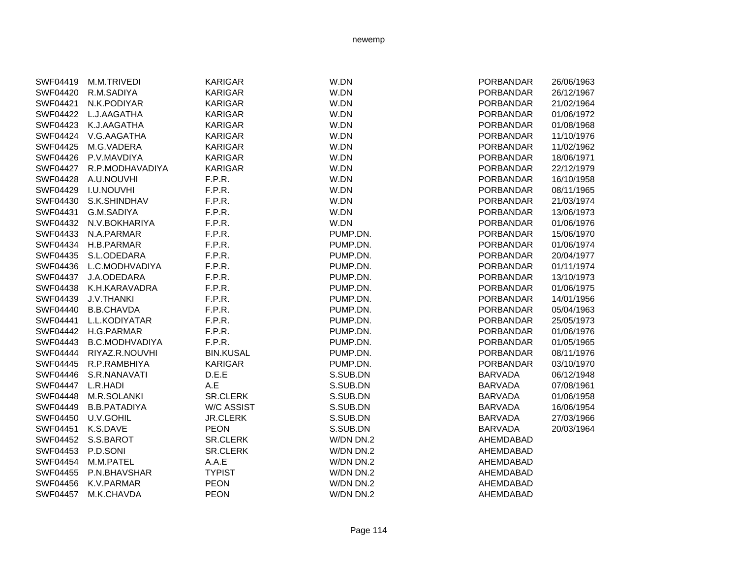| SWF04419          | M.M.TRIVEDI              | KARIGAR          | W.DN      | <b>PORBANDAR</b> | 26/06/1963 |
|-------------------|--------------------------|------------------|-----------|------------------|------------|
| SWF04420          | R.M.SADIYA               | <b>KARIGAR</b>   | W.DN      | <b>PORBANDAR</b> | 26/12/1967 |
| SWF04421          | N.K.PODIYAR              | <b>KARIGAR</b>   | W.DN      | <b>PORBANDAR</b> | 21/02/1964 |
| SWF04422          | L.J.AAGATHA              | <b>KARIGAR</b>   | W.DN      | PORBANDAR        | 01/06/1972 |
| SWF04423          | K.J.AAGATHA              | <b>KARIGAR</b>   | W.DN      | <b>PORBANDAR</b> | 01/08/1968 |
| SWF04424          | V.G.AAGATHA              | <b>KARIGAR</b>   | W.DN      | <b>PORBANDAR</b> | 11/10/1976 |
| <b>SWF04425</b>   | M.G.VADERA               | <b>KARIGAR</b>   | W.DN      | <b>PORBANDAR</b> | 11/02/1962 |
|                   | SWF04426 P.V.MAVDIYA     | <b>KARIGAR</b>   | W.DN      | <b>PORBANDAR</b> | 18/06/1971 |
|                   | SWF04427 R.P.MODHAVADIYA | <b>KARIGAR</b>   | W.DN      | <b>PORBANDAR</b> | 22/12/1979 |
| <b>SWF04428</b>   | A.U.NOUVHI               | F.P.R.           | W.DN      | <b>PORBANDAR</b> | 16/10/1958 |
| SWF04429          | <b>I.U.NOUVHI</b>        | F.P.R.           | W.DN      | <b>PORBANDAR</b> | 08/11/1965 |
| SWF04430          | S.K.SHINDHAV             | F.P.R.           | W.DN      | <b>PORBANDAR</b> | 21/03/1974 |
| SWF04431          | G.M.SADIYA               | F.P.R.           | W.DN      | <b>PORBANDAR</b> | 13/06/1973 |
| SWF04432          | N.V.BOKHARIYA            | F.P.R.           | W.DN      | <b>PORBANDAR</b> | 01/06/1976 |
| SWF04433          | N.A.PARMAR               | F.P.R.           | PUMP.DN.  | <b>PORBANDAR</b> | 15/06/1970 |
| SWF04434          | H.B.PARMAR               | F.P.R.           | PUMP.DN.  | <b>PORBANDAR</b> | 01/06/1974 |
| SWF04435          | S.L.ODEDARA              | F.P.R.           | PUMP.DN.  | <b>PORBANDAR</b> | 20/04/1977 |
| SWF04436          | L.C.MODHVADIYA           | F.P.R.           | PUMP.DN.  | <b>PORBANDAR</b> | 01/11/1974 |
| SWF04437          | J.A.ODEDARA              | F.P.R.           | PUMP.DN.  | <b>PORBANDAR</b> | 13/10/1973 |
| <b>SWF04438</b>   | K.H.KARAVADRA            | F.P.R.           | PUMP.DN.  | <b>PORBANDAR</b> | 01/06/1975 |
| SWF04439          | <b>J.V.THANKI</b>        | F.P.R.           | PUMP.DN.  | <b>PORBANDAR</b> | 14/01/1956 |
| SWF04440          | <b>B.B.CHAVDA</b>        | F.P.R.           | PUMP.DN.  | <b>PORBANDAR</b> | 05/04/1963 |
| SWF04441          | L.L.KODIYATAR            | F.P.R.           | PUMP.DN.  | <b>PORBANDAR</b> | 25/05/1973 |
| SWF04442          | H.G.PARMAR               | F.P.R.           | PUMP.DN.  | <b>PORBANDAR</b> | 01/06/1976 |
| SWF04443          | <b>B.C.MODHVADIYA</b>    | F.P.R.           | PUMP.DN.  | <b>PORBANDAR</b> | 01/05/1965 |
| SWF04444          | RIYAZ.R.NOUVHI           | <b>BIN.KUSAL</b> | PUMP.DN.  | <b>PORBANDAR</b> | 08/11/1976 |
|                   | SWF04445 R.P.RAMBHIYA    | <b>KARIGAR</b>   | PUMP.DN.  | <b>PORBANDAR</b> | 03/10/1970 |
| SWF04446          | S.R.NANAVATI             | D.E.E            | S.SUB.DN  | <b>BARVADA</b>   | 06/12/1948 |
| SWF04447 L.R.HADI |                          | A.E              | S.SUB.DN  | <b>BARVADA</b>   | 07/08/1961 |
|                   | SWF04448 M.R.SOLANKI     | <b>SR.CLERK</b>  | S.SUB.DN  | <b>BARVADA</b>   | 01/06/1958 |
| SWF04449          | <b>B.B.PATADIYA</b>      | W/C ASSIST       | S.SUB.DN  | <b>BARVADA</b>   | 16/06/1954 |
| SWF04450          | U.V.GOHIL                | <b>JR.CLERK</b>  | S.SUB.DN  | <b>BARVADA</b>   | 27/03/1966 |
| SWF04451          | K.S.DAVE                 | <b>PEON</b>      | S.SUB.DN  | <b>BARVADA</b>   | 20/03/1964 |
| <b>SWF04452</b>   | S.S.BAROT                | <b>SR.CLERK</b>  | W/DN DN.2 | AHEMDABAD        |            |
| SWF04453          | P.D.SONI                 | <b>SR.CLERK</b>  | W/DN DN.2 | AHEMDABAD        |            |
| SWF04454          | M.M.PATEL                | A.A.E            | W/DN DN.2 | AHEMDABAD        |            |
| <b>SWF04455</b>   | P.N.BHAVSHAR             | <b>TYPIST</b>    | W/DN DN.2 | AHEMDABAD        |            |
| SWF04456          | K.V.PARMAR               | <b>PEON</b>      | W/DN DN.2 | AHEMDABAD        |            |
| SWF04457          | M.K.CHAVDA               | <b>PEON</b>      | W/DN DN.2 | AHEMDABAD        |            |
|                   |                          |                  |           |                  |            |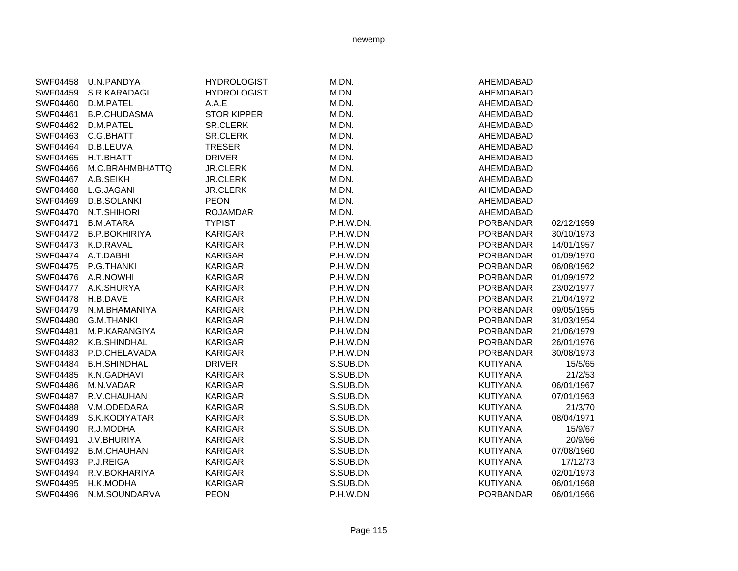| SWF04458 | U.N.PANDYA           | <b>HYDROLOGIST</b> | M.DN.     | AHEMDABAD        |            |
|----------|----------------------|--------------------|-----------|------------------|------------|
| SWF04459 | S.R.KARADAGI         | <b>HYDROLOGIST</b> | M.DN.     | AHEMDABAD        |            |
| SWF04460 | D.M.PATEL            | A.A.E              | M.DN.     | AHEMDABAD        |            |
| SWF04461 | <b>B.P.CHUDASMA</b>  | <b>STOR KIPPER</b> | M.DN.     | AHEMDABAD        |            |
| SWF04462 | D.M.PATEL            | <b>SR.CLERK</b>    | M.DN.     | AHEMDABAD        |            |
| SWF04463 | C.G.BHATT            | SR.CLERK           | M.DN.     | AHEMDABAD        |            |
| SWF04464 | D.B.LEUVA            | <b>TRESER</b>      | M.DN.     | AHEMDABAD        |            |
| SWF04465 | H.T.BHATT            | <b>DRIVER</b>      | M.DN.     | AHEMDABAD        |            |
| SWF04466 | M.C.BRAHMBHATTQ      | <b>JR.CLERK</b>    | M.DN.     | AHEMDABAD        |            |
| SWF04467 | A.B.SEIKH            | <b>JR.CLERK</b>    | M.DN.     | AHEMDABAD        |            |
| SWF04468 | L.G.JAGANI           | <b>JR.CLERK</b>    | M.DN.     | AHEMDABAD        |            |
| SWF04469 | D.B.SOLANKI          | <b>PEON</b>        | M.DN.     | AHEMDABAD        |            |
| SWF04470 | N.T.SHIHORI          | <b>ROJAMDAR</b>    | M.DN.     | AHEMDABAD        |            |
| SWF04471 | <b>B.M.ATARA</b>     | <b>TYPIST</b>      | P.H.W.DN. | <b>PORBANDAR</b> | 02/12/1959 |
| SWF04472 | <b>B.P.BOKHIRIYA</b> | <b>KARIGAR</b>     | P.H.W.DN  | <b>PORBANDAR</b> | 30/10/1973 |
| SWF04473 | K.D.RAVAL            | <b>KARIGAR</b>     | P.H.W.DN  | <b>PORBANDAR</b> | 14/01/1957 |
|          | SWF04474 A.T.DABHI   | <b>KARIGAR</b>     | P.H.W.DN  | <b>PORBANDAR</b> | 01/09/1970 |
| SWF04475 | P.G.THANKI           | KARIGAR            | P.H.W.DN  | <b>PORBANDAR</b> | 06/08/1962 |
|          | SWF04476 A.R.NOWHI   | <b>KARIGAR</b>     | P.H.W.DN  | <b>PORBANDAR</b> | 01/09/1972 |
| SWF04477 | A.K.SHURYA           | <b>KARIGAR</b>     | P.H.W.DN  | <b>PORBANDAR</b> | 23/02/1977 |
| SWF04478 | H.B.DAVE             | <b>KARIGAR</b>     | P.H.W.DN  | <b>PORBANDAR</b> | 21/04/1972 |
| SWF04479 | N.M.BHAMANIYA        | <b>KARIGAR</b>     | P.H.W.DN  | <b>PORBANDAR</b> | 09/05/1955 |
| SWF04480 | <b>G.M.THANKI</b>    | <b>KARIGAR</b>     | P.H.W.DN  | <b>PORBANDAR</b> | 31/03/1954 |
| SWF04481 | M.P.KARANGIYA        | <b>KARIGAR</b>     | P.H.W.DN  | <b>PORBANDAR</b> | 21/06/1979 |
| SWF04482 | K.B.SHINDHAL         | <b>KARIGAR</b>     | P.H.W.DN  | <b>PORBANDAR</b> | 26/01/1976 |
| SWF04483 | P.D.CHELAVADA        | <b>KARIGAR</b>     | P.H.W.DN  | <b>PORBANDAR</b> | 30/08/1973 |
| SWF04484 | <b>B.H.SHINDHAL</b>  | <b>DRIVER</b>      | S.SUB.DN  | <b>KUTIYANA</b>  | 15/5/65    |
| SWF04485 | K.N.GADHAVI          | <b>KARIGAR</b>     | S.SUB.DN  | <b>KUTIYANA</b>  | 21/2/53    |
| SWF04486 | M.N.VADAR            | <b>KARIGAR</b>     | S.SUB.DN  | <b>KUTIYANA</b>  | 06/01/1967 |
| SWF04487 | R.V.CHAUHAN          | <b>KARIGAR</b>     | S.SUB.DN  | <b>KUTIYANA</b>  | 07/01/1963 |
| SWF04488 | V.M.ODEDARA          | <b>KARIGAR</b>     | S.SUB.DN  | <b>KUTIYANA</b>  | 21/3/70    |
| SWF04489 | S.K.KODIYATAR        | <b>KARIGAR</b>     | S.SUB.DN  | <b>KUTIYANA</b>  | 08/04/1971 |
| SWF04490 | R, J. MODHA          | <b>KARIGAR</b>     | S.SUB.DN  | <b>KUTIYANA</b>  | 15/9/67    |
| SWF04491 | J.V.BHURIYA          | <b>KARIGAR</b>     | S.SUB.DN  | <b>KUTIYANA</b>  | 20/9/66    |
| SWF04492 | <b>B.M.CHAUHAN</b>   | <b>KARIGAR</b>     | S.SUB.DN  | <b>KUTIYANA</b>  | 07/08/1960 |
| SWF04493 | P.J.REIGA            | <b>KARIGAR</b>     | S.SUB.DN  | <b>KUTIYANA</b>  | 17/12/73   |
| SWF04494 | R.V.BOKHARIYA        | <b>KARIGAR</b>     | S.SUB.DN  | <b>KUTIYANA</b>  | 02/01/1973 |
| SWF04495 | H.K.MODHA            | KARIGAR            | S.SUB.DN  | KUTIYANA         | 06/01/1968 |
| SWF04496 | N.M.SOUNDARVA        | <b>PEON</b>        | P.H.W.DN  | <b>PORBANDAR</b> | 06/01/1966 |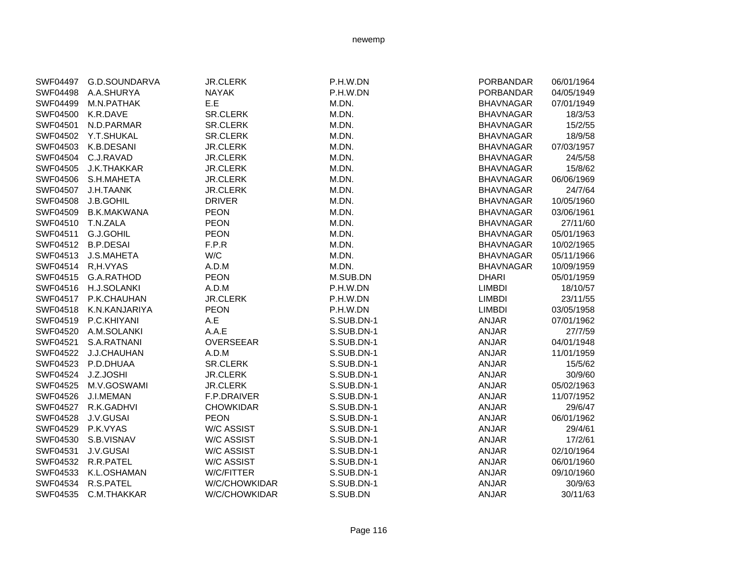| SWF04497 | G.D.SOUNDARVA      | <b>JR.CLERK</b>   | P.H.W.DN   | PORBANDAR        | 06/01/1964 |
|----------|--------------------|-------------------|------------|------------------|------------|
| SWF04498 | A.A.SHURYA         | <b>NAYAK</b>      | P.H.W.DN   | <b>PORBANDAR</b> | 04/05/1949 |
| SWF04499 | M.N.PATHAK         | E.E               | M.DN.      | <b>BHAVNAGAR</b> | 07/01/1949 |
| SWF04500 | K.R.DAVE           | SR.CLERK          | M.DN.      | <b>BHAVNAGAR</b> | 18/3/53    |
| SWF04501 | N.D.PARMAR         | SR.CLERK          | M.DN.      | <b>BHAVNAGAR</b> | 15/2/55    |
| SWF04502 | Y.T.SHUKAL         | <b>SR.CLERK</b>   | M.DN.      | <b>BHAVNAGAR</b> | 18/9/58    |
| SWF04503 | K.B.DESANI         | <b>JR.CLERK</b>   | M.DN.      | <b>BHAVNAGAR</b> | 07/03/1957 |
| SWF04504 | C.J.RAVAD          | <b>JR.CLERK</b>   | M.DN.      | <b>BHAVNAGAR</b> | 24/5/58    |
| SWF04505 | J.K.THAKKAR        | <b>JR.CLERK</b>   | M.DN.      | <b>BHAVNAGAR</b> | 15/8/62    |
| SWF04506 | S.H.MAHETA         | <b>JR.CLERK</b>   | M.DN.      | <b>BHAVNAGAR</b> | 06/06/1969 |
| SWF04507 | J.H.TAANK          | <b>JR.CLERK</b>   | M.DN.      | <b>BHAVNAGAR</b> | 24/7/64    |
| SWF04508 | J.B.GOHIL          | <b>DRIVER</b>     | M.DN.      | <b>BHAVNAGAR</b> | 10/05/1960 |
| SWF04509 | <b>B.K.MAKWANA</b> | <b>PEON</b>       | M.DN.      | <b>BHAVNAGAR</b> | 03/06/1961 |
| SWF04510 | T.N.ZALA           | <b>PEON</b>       | M.DN.      | <b>BHAVNAGAR</b> | 27/11/60   |
| SWF04511 | G.J.GOHIL          | <b>PEON</b>       | M.DN.      | <b>BHAVNAGAR</b> | 05/01/1963 |
|          | SWF04512 B.P.DESAI | F.P.R             | M.DN.      | <b>BHAVNAGAR</b> | 10/02/1965 |
| SWF04513 | J.S.MAHETA         | W/C               | M.DN.      | <b>BHAVNAGAR</b> | 05/11/1966 |
| SWF04514 | R,H.VYAS           | A.D.M             | M.DN.      | <b>BHAVNAGAR</b> | 10/09/1959 |
| SWF04515 | G.A.RATHOD         | <b>PEON</b>       | M.SUB.DN   | <b>DHARI</b>     | 05/01/1959 |
| SWF04516 | H.J.SOLANKI        | A.D.M             | P.H.W.DN   | <b>LIMBDI</b>    | 18/10/57   |
| SWF04517 | P.K.CHAUHAN        | <b>JR.CLERK</b>   | P.H.W.DN   | <b>LIMBDI</b>    | 23/11/55   |
| SWF04518 | K.N.KANJARIYA      | <b>PEON</b>       | P.H.W.DN   | <b>LIMBDI</b>    | 03/05/1958 |
| SWF04519 | P.C.KHIYANI        | A.E               | S.SUB.DN-1 | ANJAR            | 07/01/1962 |
| SWF04520 | A.M.SOLANKI        | A.A.E             | S.SUB.DN-1 | ANJAR            | 27/7/59    |
| SWF04521 | S.A.RATNANI        | OVERSEEAR         | S.SUB.DN-1 | ANJAR            | 04/01/1948 |
| SWF04522 | J.J.CHAUHAN        | A.D.M             | S.SUB.DN-1 | <b>ANJAR</b>     | 11/01/1959 |
| SWF04523 | P.D.DHUAA          | SR.CLERK          | S.SUB.DN-1 | ANJAR            | 15/5/62    |
| SWF04524 | J.Z.JOSHI          | <b>JR.CLERK</b>   | S.SUB.DN-1 | ANJAR            | 30/9/60    |
| SWF04525 | M.V.GOSWAMI        | <b>JR.CLERK</b>   | S.SUB.DN-1 | ANJAR            | 05/02/1963 |
| SWF04526 | J.I.MEMAN          | F.P.DRAIVER       | S.SUB.DN-1 | ANJAR            | 11/07/1952 |
| SWF04527 | R.K.GADHVI         | <b>CHOWKIDAR</b>  | S.SUB.DN-1 | ANJAR            | 29/6/47    |
| SWF04528 | J.V.GUSAI          | <b>PEON</b>       | S.SUB.DN-1 | ANJAR            | 06/01/1962 |
| SWF04529 | P.K.VYAS           | <b>W/C ASSIST</b> | S.SUB.DN-1 | <b>ANJAR</b>     | 29/4/61    |
| SWF04530 | S.B.VISNAV         | <b>W/C ASSIST</b> | S.SUB.DN-1 | ANJAR            | 17/2/61    |
| SWF04531 | J.V.GUSAI          | <b>W/C ASSIST</b> | S.SUB.DN-1 | ANJAR            | 02/10/1964 |
| SWF04532 | R.R.PATEL          | W/C ASSIST        | S.SUB.DN-1 | ANJAR            | 06/01/1960 |
| SWF04533 | K.L.OSHAMAN        | W/C/FITTER        | S.SUB.DN-1 | ANJAR            | 09/10/1960 |
| SWF04534 | R.S.PATEL          | W/C/CHOWKIDAR     | S.SUB.DN-1 | <b>ANJAR</b>     | 30/9/63    |
| SWF04535 | C.M.THAKKAR        | W/C/CHOWKIDAR     | S.SUB.DN   | <b>ANJAR</b>     | 30/11/63   |

Page 116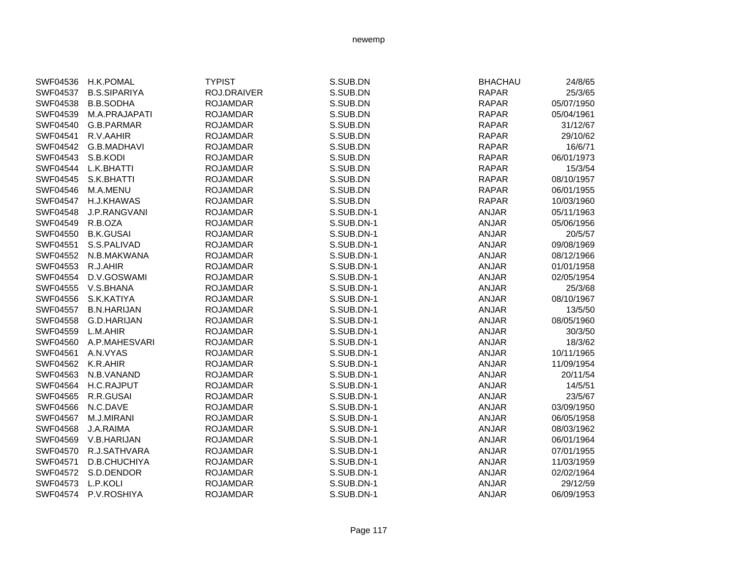| SWF04536        | <b>H.K.POMAL</b>    | <b>TYPIST</b>   | S.SUB.DN   | <b>BHACHAU</b> | 24/8/65    |
|-----------------|---------------------|-----------------|------------|----------------|------------|
| SWF04537        | <b>B.S.SIPARIYA</b> | ROJ.DRAIVER     | S.SUB.DN   | <b>RAPAR</b>   | 25/3/65    |
| SWF04538        | <b>B.B.SODHA</b>    | <b>ROJAMDAR</b> | S.SUB.DN   | <b>RAPAR</b>   | 05/07/1950 |
| SWF04539        | M.A.PRAJAPATI       | <b>ROJAMDAR</b> | S.SUB.DN   | <b>RAPAR</b>   | 05/04/1961 |
| SWF04540        | G.B.PARMAR          | <b>ROJAMDAR</b> | S.SUB.DN   | <b>RAPAR</b>   | 31/12/67   |
| SWF04541        | R.V.AAHIR           | <b>ROJAMDAR</b> | S.SUB.DN   | <b>RAPAR</b>   | 29/10/62   |
| SWF04542        | G.B.MADHAVI         | <b>ROJAMDAR</b> | S.SUB.DN   | <b>RAPAR</b>   | 16/6/71    |
| SWF04543        | S.B.KODI            | <b>ROJAMDAR</b> | S.SUB.DN   | <b>RAPAR</b>   | 06/01/1973 |
| <b>SWF04544</b> | L.K.BHATTI          | <b>ROJAMDAR</b> | S.SUB.DN   | <b>RAPAR</b>   | 15/3/54    |
| SWF04545        | S.K.BHATTI          | <b>ROJAMDAR</b> | S.SUB.DN   | <b>RAPAR</b>   | 08/10/1957 |
| SWF04546        | M.A.MENU            | <b>ROJAMDAR</b> | S.SUB.DN   | <b>RAPAR</b>   | 06/01/1955 |
| SWF04547        | <b>H.J.KHAWAS</b>   | <b>ROJAMDAR</b> | S.SUB.DN   | <b>RAPAR</b>   | 10/03/1960 |
| SWF04548        | J.P.RANGVANI        | <b>ROJAMDAR</b> | S.SUB.DN-1 | <b>ANJAR</b>   | 05/11/1963 |
| SWF04549        | R.B.OZA             | <b>ROJAMDAR</b> | S.SUB.DN-1 | <b>ANJAR</b>   | 05/06/1956 |
| SWF04550        | <b>B.K.GUSAI</b>    | <b>ROJAMDAR</b> | S.SUB.DN-1 | <b>ANJAR</b>   | 20/5/57    |
| SWF04551        | S.S.PALIVAD         | <b>ROJAMDAR</b> | S.SUB.DN-1 | <b>ANJAR</b>   | 09/08/1969 |
| SWF04552        | N.B.MAKWANA         | <b>ROJAMDAR</b> | S.SUB.DN-1 | <b>ANJAR</b>   | 08/12/1966 |
| SWF04553        | R.J.AHIR            | <b>ROJAMDAR</b> | S.SUB.DN-1 | <b>ANJAR</b>   | 01/01/1958 |
| SWF04554        | D.V.GOSWAMI         | <b>ROJAMDAR</b> | S.SUB.DN-1 | <b>ANJAR</b>   | 02/05/1954 |
| SWF04555        | V.S.BHANA           | <b>ROJAMDAR</b> | S.SUB.DN-1 | <b>ANJAR</b>   | 25/3/68    |
| SWF04556        | S.K.KATIYA          | <b>ROJAMDAR</b> | S.SUB.DN-1 | <b>ANJAR</b>   | 08/10/1967 |
| SWF04557        | <b>B.N.HARIJAN</b>  | <b>ROJAMDAR</b> | S.SUB.DN-1 | <b>ANJAR</b>   | 13/5/50    |
| SWF04558        | G.D.HARIJAN         | <b>ROJAMDAR</b> | S.SUB.DN-1 | <b>ANJAR</b>   | 08/05/1960 |
| SWF04559        | L.M.AHIR            | <b>ROJAMDAR</b> | S.SUB.DN-1 | <b>ANJAR</b>   | 30/3/50    |
| SWF04560        | A.P.MAHESVARI       | <b>ROJAMDAR</b> | S.SUB.DN-1 | <b>ANJAR</b>   | 18/3/62    |
| SWF04561        | A.N.VYAS            | <b>ROJAMDAR</b> | S.SUB.DN-1 | <b>ANJAR</b>   | 10/11/1965 |
| SWF04562        | K.R.AHIR            | <b>ROJAMDAR</b> | S.SUB.DN-1 | ANJAR          | 11/09/1954 |
| SWF04563        | N.B.VANAND          | <b>ROJAMDAR</b> | S.SUB.DN-1 | <b>ANJAR</b>   | 20/11/54   |
| <b>SWF04564</b> | <b>H.C.RAJPUT</b>   | <b>ROJAMDAR</b> | S.SUB.DN-1 | <b>ANJAR</b>   | 14/5/51    |
| SWF04565        | R.R.GUSAI           | <b>ROJAMDAR</b> | S.SUB.DN-1 | <b>ANJAR</b>   | 23/5/67    |
| SWF04566        | N.C.DAVE            | <b>ROJAMDAR</b> | S.SUB.DN-1 | <b>ANJAR</b>   | 03/09/1950 |
| <b>SWF04567</b> | M.J.MIRANI          | <b>ROJAMDAR</b> | S.SUB.DN-1 | <b>ANJAR</b>   | 06/05/1958 |
| SWF04568        | J.A.RAIMA           | <b>ROJAMDAR</b> | S.SUB.DN-1 | <b>ANJAR</b>   | 08/03/1962 |
| SWF04569        | V.B.HARIJAN         | <b>ROJAMDAR</b> | S.SUB.DN-1 | <b>ANJAR</b>   | 06/01/1964 |
| SWF04570        | R.J.SATHVARA        | <b>ROJAMDAR</b> | S.SUB.DN-1 | <b>ANJAR</b>   | 07/01/1955 |
| SWF04571        | D.B.CHUCHIYA        | <b>ROJAMDAR</b> | S.SUB.DN-1 | <b>ANJAR</b>   | 11/03/1959 |
| SWF04572        | S.D.DENDOR          | <b>ROJAMDAR</b> | S.SUB.DN-1 | <b>ANJAR</b>   | 02/02/1964 |
| SWF04573        | L.P.KOLI            | <b>ROJAMDAR</b> | S.SUB.DN-1 | <b>ANJAR</b>   | 29/12/59   |
| SWF04574        | P.V.ROSHIYA         | <b>ROJAMDAR</b> | S.SUB.DN-1 | <b>ANJAR</b>   | 06/09/1953 |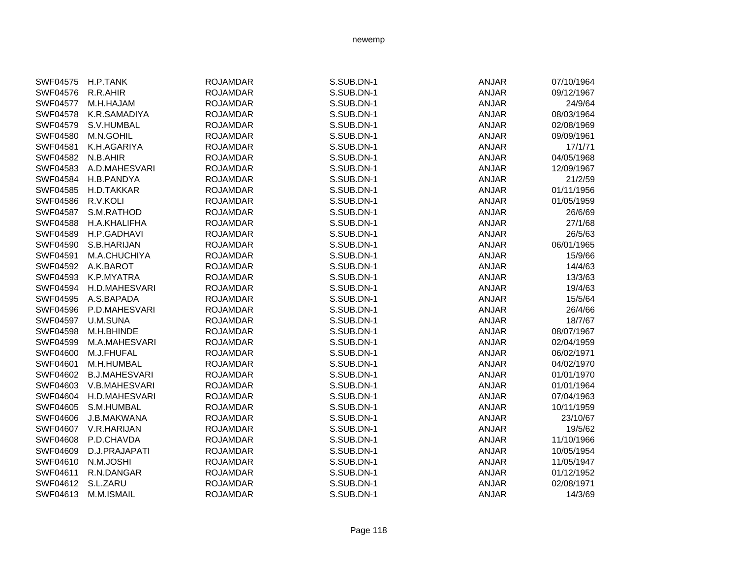| SWF04575        | H.P.TANK             | <b>ROJAMDAR</b> | S.SUB.DN-1 | <b>ANJAR</b> | 07/10/1964 |
|-----------------|----------------------|-----------------|------------|--------------|------------|
| SWF04576        | R.R.AHIR             | <b>ROJAMDAR</b> | S.SUB.DN-1 | <b>ANJAR</b> | 09/12/1967 |
| <b>SWF04577</b> | M.H.HAJAM            | <b>ROJAMDAR</b> | S.SUB.DN-1 | <b>ANJAR</b> | 24/9/64    |
| <b>SWF04578</b> | K.R.SAMADIYA         | <b>ROJAMDAR</b> | S.SUB.DN-1 | <b>ANJAR</b> | 08/03/1964 |
| SWF04579        | S.V.HUMBAL           | <b>ROJAMDAR</b> | S.SUB.DN-1 | <b>ANJAR</b> | 02/08/1969 |
| SWF04580        | M.N.GOHIL            | <b>ROJAMDAR</b> | S.SUB.DN-1 | <b>ANJAR</b> | 09/09/1961 |
| SWF04581        | K.H.AGARIYA          | <b>ROJAMDAR</b> | S.SUB.DN-1 | <b>ANJAR</b> | 17/1/71    |
| SWF04582        | N.B.AHIR             | <b>ROJAMDAR</b> | S.SUB.DN-1 | <b>ANJAR</b> | 04/05/1968 |
| SWF04583        | A.D.MAHESVARI        | <b>ROJAMDAR</b> | S.SUB.DN-1 | <b>ANJAR</b> | 12/09/1967 |
| <b>SWF04584</b> | H.B.PANDYA           | <b>ROJAMDAR</b> | S.SUB.DN-1 | <b>ANJAR</b> | 21/2/59    |
| SWF04585        | H.D.TAKKAR           | <b>ROJAMDAR</b> | S.SUB.DN-1 | <b>ANJAR</b> | 01/11/1956 |
| <b>SWF04586</b> | R.V.KOLI             | <b>ROJAMDAR</b> | S.SUB.DN-1 | <b>ANJAR</b> | 01/05/1959 |
| <b>SWF04587</b> | S.M.RATHOD           | <b>ROJAMDAR</b> | S.SUB.DN-1 | <b>ANJAR</b> | 26/6/69    |
| SWF04588        | H.A.KHALIFHA         | <b>ROJAMDAR</b> | S.SUB.DN-1 | <b>ANJAR</b> | 27/1/68    |
| SWF04589        | H.P.GADHAVI          | <b>ROJAMDAR</b> | S.SUB.DN-1 | <b>ANJAR</b> | 26/5/63    |
| SWF04590        | S.B.HARIJAN          | <b>ROJAMDAR</b> | S.SUB.DN-1 | <b>ANJAR</b> | 06/01/1965 |
| SWF04591        | M.A.CHUCHIYA         | <b>ROJAMDAR</b> | S.SUB.DN-1 | <b>ANJAR</b> | 15/9/66    |
| SWF04592        | A.K.BAROT            | <b>ROJAMDAR</b> | S.SUB.DN-1 | <b>ANJAR</b> | 14/4/63    |
| SWF04593        | K.P.MYATRA           | <b>ROJAMDAR</b> | S.SUB.DN-1 | <b>ANJAR</b> | 13/3/63    |
| SWF04594        | H.D.MAHESVARI        | <b>ROJAMDAR</b> | S.SUB.DN-1 | <b>ANJAR</b> | 19/4/63    |
| SWF04595        | A.S.BAPADA           | <b>ROJAMDAR</b> | S.SUB.DN-1 | <b>ANJAR</b> | 15/5/64    |
| SWF04596        | P.D.MAHESVARI        | <b>ROJAMDAR</b> | S.SUB.DN-1 | <b>ANJAR</b> | 26/4/66    |
| SWF04597        | U.M.SUNA             | <b>ROJAMDAR</b> | S.SUB.DN-1 | <b>ANJAR</b> | 18/7/67    |
| SWF04598        | M.H.BHINDE           | <b>ROJAMDAR</b> | S.SUB.DN-1 | <b>ANJAR</b> | 08/07/1967 |
| SWF04599        | M.A.MAHESVARI        | <b>ROJAMDAR</b> | S.SUB.DN-1 | <b>ANJAR</b> | 02/04/1959 |
| SWF04600        | M.J.FHUFAL           | <b>ROJAMDAR</b> | S.SUB.DN-1 | <b>ANJAR</b> | 06/02/1971 |
| SWF04601        | M.H.HUMBAL           | <b>ROJAMDAR</b> | S.SUB.DN-1 | <b>ANJAR</b> | 04/02/1970 |
| SWF04602        | <b>B.J.MAHESVARI</b> | <b>ROJAMDAR</b> | S.SUB.DN-1 | <b>ANJAR</b> | 01/01/1970 |
| SWF04603        | V.B.MAHESVARI        | <b>ROJAMDAR</b> | S.SUB.DN-1 | <b>ANJAR</b> | 01/01/1964 |
| SWF04604        | H.D.MAHESVARI        | <b>ROJAMDAR</b> | S.SUB.DN-1 | <b>ANJAR</b> | 07/04/1963 |
| SWF04605        | S.M.HUMBAL           | <b>ROJAMDAR</b> | S.SUB.DN-1 | <b>ANJAR</b> | 10/11/1959 |
| SWF04606        | J.B.MAKWANA          | <b>ROJAMDAR</b> | S.SUB.DN-1 | <b>ANJAR</b> | 23/10/67   |
| SWF04607        | V.R.HARIJAN          | <b>ROJAMDAR</b> | S.SUB.DN-1 | <b>ANJAR</b> | 19/5/62    |
| SWF04608        | P.D.CHAVDA           | <b>ROJAMDAR</b> | S.SUB.DN-1 | <b>ANJAR</b> | 11/10/1966 |
| SWF04609        | D.J.PRAJAPATI        | <b>ROJAMDAR</b> | S.SUB.DN-1 | <b>ANJAR</b> | 10/05/1954 |
| SWF04610        | N.M.JOSHI            | <b>ROJAMDAR</b> | S.SUB.DN-1 | <b>ANJAR</b> | 11/05/1947 |
| SWF04611        | R.N.DANGAR           | <b>ROJAMDAR</b> | S.SUB.DN-1 | <b>ANJAR</b> | 01/12/1952 |
| SWF04612        | S.L.ZARU             | <b>ROJAMDAR</b> | S.SUB.DN-1 | <b>ANJAR</b> | 02/08/1971 |
| SWF04613        | M.M.ISMAIL           | <b>ROJAMDAR</b> | S.SUB.DN-1 | <b>ANJAR</b> | 14/3/69    |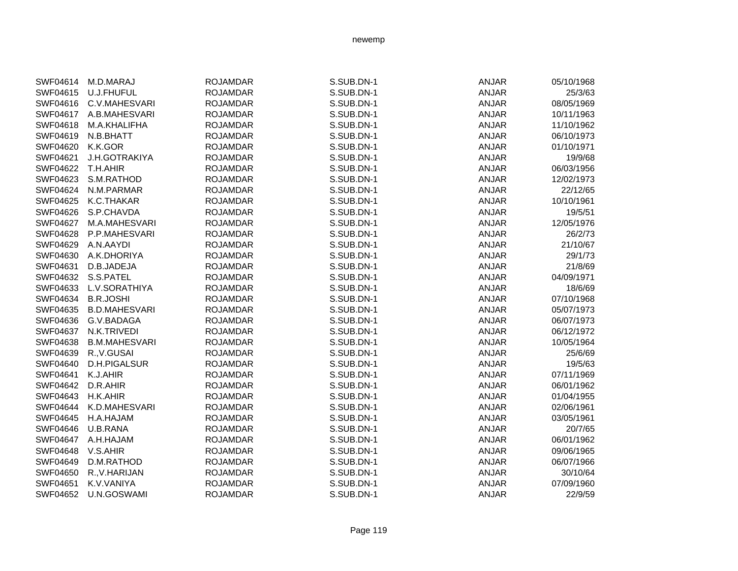| SWF04614 | M.D.MARAJ            | <b>ROJAMDAR</b> | S.SUB.DN-1 | <b>ANJAR</b> | 05/10/1968 |
|----------|----------------------|-----------------|------------|--------------|------------|
| SWF04615 | U.J.FHUFUL           | <b>ROJAMDAR</b> | S.SUB.DN-1 | <b>ANJAR</b> | 25/3/63    |
| SWF04616 | C.V.MAHESVARI        | <b>ROJAMDAR</b> | S.SUB.DN-1 | ANJAR        | 08/05/1969 |
| SWF04617 | A.B.MAHESVARI        | <b>ROJAMDAR</b> | S.SUB.DN-1 | <b>ANJAR</b> | 10/11/1963 |
| SWF04618 | M.A.KHALIFHA         | <b>ROJAMDAR</b> | S.SUB.DN-1 | <b>ANJAR</b> | 11/10/1962 |
| SWF04619 | N.B.BHATT            | <b>ROJAMDAR</b> | S.SUB.DN-1 | <b>ANJAR</b> | 06/10/1973 |
| SWF04620 | K.K.GOR              | <b>ROJAMDAR</b> | S.SUB.DN-1 | <b>ANJAR</b> | 01/10/1971 |
| SWF04621 | J.H.GOTRAKIYA        | <b>ROJAMDAR</b> | S.SUB.DN-1 | <b>ANJAR</b> | 19/9/68    |
| SWF04622 | T.H.AHIR             | <b>ROJAMDAR</b> | S.SUB.DN-1 | ANJAR        | 06/03/1956 |
| SWF04623 | S.M.RATHOD           | <b>ROJAMDAR</b> | S.SUB.DN-1 | <b>ANJAR</b> | 12/02/1973 |
| SWF04624 | N.M.PARMAR           | <b>ROJAMDAR</b> | S.SUB.DN-1 | <b>ANJAR</b> | 22/12/65   |
| SWF04625 | K.C.THAKAR           | <b>ROJAMDAR</b> | S.SUB.DN-1 | <b>ANJAR</b> | 10/10/1961 |
| SWF04626 | S.P.CHAVDA           | <b>ROJAMDAR</b> | S.SUB.DN-1 | <b>ANJAR</b> | 19/5/51    |
| SWF04627 | M.A.MAHESVARI        | <b>ROJAMDAR</b> | S.SUB.DN-1 | <b>ANJAR</b> | 12/05/1976 |
| SWF04628 | P.P.MAHESVARI        | <b>ROJAMDAR</b> | S.SUB.DN-1 | <b>ANJAR</b> | 26/2/73    |
| SWF04629 | A.N.AAYDI            | <b>ROJAMDAR</b> | S.SUB.DN-1 | <b>ANJAR</b> | 21/10/67   |
| SWF04630 | A.K.DHORIYA          | <b>ROJAMDAR</b> | S.SUB.DN-1 | <b>ANJAR</b> | 29/1/73    |
| SWF04631 | D.B.JADEJA           | <b>ROJAMDAR</b> | S.SUB.DN-1 | <b>ANJAR</b> | 21/8/69    |
| SWF04632 | S.S.PATEL            | <b>ROJAMDAR</b> | S.SUB.DN-1 | <b>ANJAR</b> | 04/09/1971 |
| SWF04633 | L.V.SORATHIYA        | <b>ROJAMDAR</b> | S.SUB.DN-1 | <b>ANJAR</b> | 18/6/69    |
| SWF04634 | <b>B.R.JOSHI</b>     | <b>ROJAMDAR</b> | S.SUB.DN-1 | <b>ANJAR</b> | 07/10/1968 |
| SWF04635 | <b>B.D.MAHESVARI</b> | <b>ROJAMDAR</b> | S.SUB.DN-1 | <b>ANJAR</b> | 05/07/1973 |
| SWF04636 | G.V.BADAGA           | <b>ROJAMDAR</b> | S.SUB.DN-1 | <b>ANJAR</b> | 06/07/1973 |
| SWF04637 | N.K.TRIVEDI          | <b>ROJAMDAR</b> | S.SUB.DN-1 | <b>ANJAR</b> | 06/12/1972 |
| SWF04638 | <b>B.M.MAHESVARI</b> | <b>ROJAMDAR</b> | S.SUB.DN-1 | <b>ANJAR</b> | 10/05/1964 |
| SWF04639 | R., V.GUSAI          | <b>ROJAMDAR</b> | S.SUB.DN-1 | <b>ANJAR</b> | 25/6/69    |
| SWF04640 | D.H.PIGALSUR         | <b>ROJAMDAR</b> | S.SUB.DN-1 | <b>ANJAR</b> | 19/5/63    |
| SWF04641 | K.J.AHIR             | <b>ROJAMDAR</b> | S.SUB.DN-1 | <b>ANJAR</b> | 07/11/1969 |
| SWF04642 | D.R.AHIR             | <b>ROJAMDAR</b> | S.SUB.DN-1 | <b>ANJAR</b> | 06/01/1962 |
| SWF04643 | H.K.AHIR             | <b>ROJAMDAR</b> | S.SUB.DN-1 | <b>ANJAR</b> | 01/04/1955 |
| SWF04644 | K.D.MAHESVARI        | <b>ROJAMDAR</b> | S.SUB.DN-1 | <b>ANJAR</b> | 02/06/1961 |
| SWF04645 | H.A.HAJAM            | <b>ROJAMDAR</b> | S.SUB.DN-1 | <b>ANJAR</b> | 03/05/1961 |
| SWF04646 | U.B.RANA             | <b>ROJAMDAR</b> | S.SUB.DN-1 | <b>ANJAR</b> | 20/7/65    |
| SWF04647 | A.H.HAJAM            | <b>ROJAMDAR</b> | S.SUB.DN-1 | <b>ANJAR</b> | 06/01/1962 |
| SWF04648 | V.S.AHIR             | <b>ROJAMDAR</b> | S.SUB.DN-1 | <b>ANJAR</b> | 09/06/1965 |
| SWF04649 | D.M.RATHOD           | <b>ROJAMDAR</b> | S.SUB.DN-1 | <b>ANJAR</b> | 06/07/1966 |
| SWF04650 | R., V. HARIJAN       | <b>ROJAMDAR</b> | S.SUB.DN-1 | <b>ANJAR</b> | 30/10/64   |
| SWF04651 | K.V.VANIYA           | <b>ROJAMDAR</b> | S.SUB.DN-1 | <b>ANJAR</b> | 07/09/1960 |
| SWF04652 | U.N.GOSWAMI          | <b>ROJAMDAR</b> | S.SUB.DN-1 | <b>ANJAR</b> | 22/9/59    |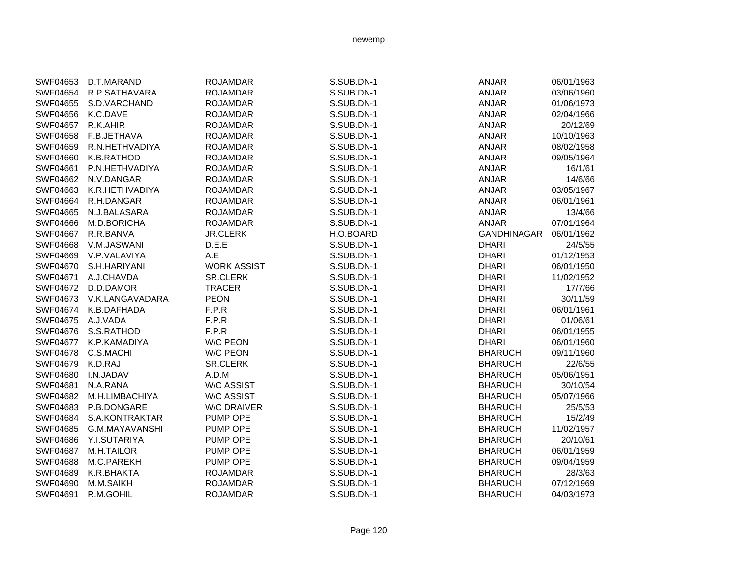| SWF04653        | D.T.MARAND        | <b>ROJAMDAR</b>    | S.SUB.DN-1 | <b>ANJAR</b>       | 06/01/1963 |
|-----------------|-------------------|--------------------|------------|--------------------|------------|
| SWF04654        | R.P.SATHAVARA     | <b>ROJAMDAR</b>    | S.SUB.DN-1 | <b>ANJAR</b>       | 03/06/1960 |
| SWF04655        | S.D.VARCHAND      | <b>ROJAMDAR</b>    | S.SUB.DN-1 | <b>ANJAR</b>       | 01/06/1973 |
| <b>SWF04656</b> | K.C.DAVE          | <b>ROJAMDAR</b>    | S.SUB.DN-1 | <b>ANJAR</b>       | 02/04/1966 |
| SWF04657        | R.K.AHIR          | <b>ROJAMDAR</b>    | S.SUB.DN-1 | <b>ANJAR</b>       | 20/12/69   |
| SWF04658        | F.B.JETHAVA       | <b>ROJAMDAR</b>    | S.SUB.DN-1 | <b>ANJAR</b>       | 10/10/1963 |
| SWF04659        | R.N.HETHVADIYA    | <b>ROJAMDAR</b>    | S.SUB.DN-1 | <b>ANJAR</b>       | 08/02/1958 |
| SWF04660        | K.B.RATHOD        | <b>ROJAMDAR</b>    | S.SUB.DN-1 | <b>ANJAR</b>       | 09/05/1964 |
| SWF04661        | P.N.HETHVADIYA    | <b>ROJAMDAR</b>    | S.SUB.DN-1 | <b>ANJAR</b>       | 16/1/61    |
| SWF04662        | N.V.DANGAR        | <b>ROJAMDAR</b>    | S.SUB.DN-1 | <b>ANJAR</b>       | 14/6/66    |
| SWF04663        | K.R.HETHVADIYA    | <b>ROJAMDAR</b>    | S.SUB.DN-1 | <b>ANJAR</b>       | 03/05/1967 |
| SWF04664        | R.H.DANGAR        | <b>ROJAMDAR</b>    | S.SUB.DN-1 | <b>ANJAR</b>       | 06/01/1961 |
| SWF04665        | N.J.BALASARA      | <b>ROJAMDAR</b>    | S.SUB.DN-1 | <b>ANJAR</b>       | 13/4/66    |
| SWF04666        | M.D.BORICHA       | <b>ROJAMDAR</b>    | S.SUB.DN-1 | <b>ANJAR</b>       | 07/01/1964 |
| SWF04667        | R.R.BANVA         | <b>JR.CLERK</b>    | H.O.BOARD  | <b>GANDHINAGAR</b> | 06/01/1962 |
| SWF04668        | V.M.JASWANI       | D.E.E              | S.SUB.DN-1 | <b>DHARI</b>       | 24/5/55    |
| SWF04669        | V.P.VALAVIYA      | A.E                | S.SUB.DN-1 | <b>DHARI</b>       | 01/12/1953 |
| SWF04670        | S.H.HARIYANI      | <b>WORK ASSIST</b> | S.SUB.DN-1 | <b>DHARI</b>       | 06/01/1950 |
| SWF04671        | A.J.CHAVDA        | <b>SR.CLERK</b>    | S.SUB.DN-1 | <b>DHARI</b>       | 11/02/1952 |
| <b>SWF04672</b> | D.D.DAMOR         | <b>TRACER</b>      | S.SUB.DN-1 | <b>DHARI</b>       | 17/7/66    |
| SWF04673        | V.K.LANGAVADARA   | <b>PEON</b>        | S.SUB.DN-1 | <b>DHARI</b>       | 30/11/59   |
| SWF04674        | K.B.DAFHADA       | F.P.R              | S.SUB.DN-1 | <b>DHARI</b>       | 06/01/1961 |
| SWF04675        | A.J.VADA          | F.P.R              | S.SUB.DN-1 | <b>DHARI</b>       | 01/06/61   |
| SWF04676        | S.S.RATHOD        | F.P.R              | S.SUB.DN-1 | <b>DHARI</b>       | 06/01/1955 |
| SWF04677        | K.P.KAMADIYA      | <b>W/C PEON</b>    | S.SUB.DN-1 | <b>DHARI</b>       | 06/01/1960 |
| SWF04678        | C.S.MACHI         | W/C PEON           | S.SUB.DN-1 | <b>BHARUCH</b>     | 09/11/1960 |
| SWF04679        | K.D.RAJ           | <b>SR.CLERK</b>    | S.SUB.DN-1 | <b>BHARUCH</b>     | 22/6/55    |
| SWF04680        | I.N.JADAV         | A.D.M              | S.SUB.DN-1 | <b>BHARUCH</b>     | 05/06/1951 |
| SWF04681        | N.A.RANA          | <b>W/C ASSIST</b>  | S.SUB.DN-1 | <b>BHARUCH</b>     | 30/10/54   |
| SWF04682        | M.H.LIMBACHIYA    | <b>W/C ASSIST</b>  | S.SUB.DN-1 | <b>BHARUCH</b>     | 05/07/1966 |
| SWF04683        | P.B.DONGARE       | <b>W/C DRAIVER</b> | S.SUB.DN-1 | <b>BHARUCH</b>     | 25/5/53    |
| SWF04684        | S.A.KONTRAKTAR    | PUMP OPE           | S.SUB.DN-1 | <b>BHARUCH</b>     | 15/2/49    |
| SWF04685        | G.M.MAYAVANSHI    | PUMP OPE           | S.SUB.DN-1 | <b>BHARUCH</b>     | 11/02/1957 |
| SWF04686        | Y.I.SUTARIYA      | PUMP OPE           | S.SUB.DN-1 | <b>BHARUCH</b>     | 20/10/61   |
| SWF04687        | <b>M.H.TAILOR</b> | PUMP OPE           | S.SUB.DN-1 | <b>BHARUCH</b>     | 06/01/1959 |
| SWF04688        | M.C.PAREKH        | PUMP OPE           | S.SUB.DN-1 | <b>BHARUCH</b>     | 09/04/1959 |
| SWF04689        | K.R.BHAKTA        | <b>ROJAMDAR</b>    | S.SUB.DN-1 | <b>BHARUCH</b>     | 28/3/63    |
| SWF04690        | M.M.SAIKH         | <b>ROJAMDAR</b>    | S.SUB.DN-1 | <b>BHARUCH</b>     | 07/12/1969 |
| SWF04691        | R.M.GOHIL         | <b>ROJAMDAR</b>    | S.SUB.DN-1 | <b>BHARUCH</b>     | 04/03/1973 |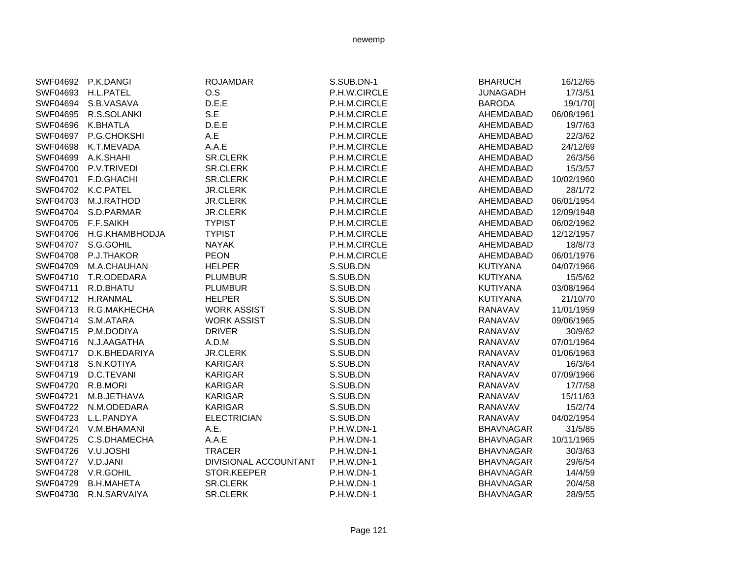|                 | SWF04692 P.K.DANGI  | <b>ROJAMDAR</b>       | S.SUB.DN-1        | <b>BHARUCH</b>   | 16/12/65   |
|-----------------|---------------------|-----------------------|-------------------|------------------|------------|
|                 | SWF04693 H.L.PATEL  | O.S                   | P.H.W.CIRCLE      | <b>JUNAGADH</b>  | 17/3/51    |
|                 | SWF04694 S.B.VASAVA | D.E.E                 | P.H.M.CIRCLE      | <b>BARODA</b>    | 19/1/70]   |
| SWF04695        | R.S.SOLANKI         | S.E                   | P.H.M.CIRCLE      | AHEMDABAD        | 06/08/1961 |
| SWF04696        | <b>K.BHATLA</b>     | D.E.E                 | P.H.M.CIRCLE      | AHEMDABAD        | 19/7/63    |
| SWF04697        | P.G.CHOKSHI         | A.E                   | P.H.M.CIRCLE      | AHEMDABAD        | 22/3/62    |
| SWF04698        | K.T.MEVADA          | A.A.E                 | P.H.M.CIRCLE      | AHEMDABAD        | 24/12/69   |
| SWF04699        | A.K.SHAHI           | SR.CLERK              | P.H.M.CIRCLE      | AHEMDABAD        | 26/3/56    |
| SWF04700        | P.V.TRIVEDI         | SR.CLERK              | P.H.M.CIRCLE      | AHEMDABAD        | 15/3/57    |
| SWF04701        | F.D.GHACHI          | SR.CLERK              | P.H.M.CIRCLE      | AHEMDABAD        | 10/02/1960 |
| SWF04702        | K.C.PATEL           | <b>JR.CLERK</b>       | P.H.M.CIRCLE      | AHEMDABAD        | 28/1/72    |
| SWF04703        | <b>M.J.RATHOD</b>   | <b>JR.CLERK</b>       | P.H.M.CIRCLE      | AHEMDABAD        | 06/01/1954 |
| SWF04704        | S.D.PARMAR          | <b>JR.CLERK</b>       | P.H.M.CIRCLE      | AHEMDABAD        | 12/09/1948 |
| <b>SWF04705</b> | <b>F.F.SAIKH</b>    | <b>TYPIST</b>         | P.H.M.CIRCLE      | AHEMDABAD        | 06/02/1962 |
| SWF04706        | H.G.KHAMBHODJA      | <b>TYPIST</b>         | P.H.M.CIRCLE      | AHEMDABAD        | 12/12/1957 |
| SWF04707        | S.G.GOHIL           | <b>NAYAK</b>          | P.H.M.CIRCLE      | AHEMDABAD        | 18/8/73    |
| <b>SWF04708</b> | P.J.THAKOR          | <b>PEON</b>           | P.H.M.CIRCLE      | AHEMDABAD        | 06/01/1976 |
| SWF04709        | M.A.CHAUHAN         | <b>HELPER</b>         | S.SUB.DN          | <b>KUTIYANA</b>  | 04/07/1966 |
| SWF04710        | T.R.ODEDARA         | <b>PLUMBUR</b>        | S.SUB.DN          | <b>KUTIYANA</b>  | 15/5/62    |
| SWF04711        | R.D.BHATU           | <b>PLUMBUR</b>        | S.SUB.DN          | <b>KUTIYANA</b>  | 03/08/1964 |
|                 | SWF04712 H.RANMAL   | <b>HELPER</b>         | S.SUB.DN          | <b>KUTIYANA</b>  | 21/10/70   |
| SWF04713        | R.G.MAKHECHA        | <b>WORK ASSIST</b>    | S.SUB.DN          | <b>RANAVAV</b>   | 11/01/1959 |
| SWF04714        | S.M.ATARA           | <b>WORK ASSIST</b>    | S.SUB.DN          | <b>RANAVAV</b>   | 09/06/1965 |
| SWF04715        | P.M.DODIYA          | <b>DRIVER</b>         | S.SUB.DN          | RANAVAV          | 30/9/62    |
| SWF04716        | N.J.AAGATHA         | A.D.M                 | S.SUB.DN          | <b>RANAVAV</b>   | 07/01/1964 |
| SWF04717        | D.K.BHEDARIYA       | <b>JR.CLERK</b>       | S.SUB.DN          | RANAVAV          | 01/06/1963 |
| SWF04718        | S.N.KOTIYA          | <b>KARIGAR</b>        | S.SUB.DN          | RANAVAV          | 16/3/64    |
| SWF04719        | D.C.TEVANI          | <b>KARIGAR</b>        | S.SUB.DN          | <b>RANAVAV</b>   | 07/09/1966 |
| SWF04720        | R.B.MORI            | <b>KARIGAR</b>        | S.SUB.DN          | RANAVAV          | 17/7/58    |
| SWF04721        | M.B.JETHAVA         | <b>KARIGAR</b>        | S.SUB.DN          | <b>RANAVAV</b>   | 15/11/63   |
| SWF04722        | N.M.ODEDARA         | <b>KARIGAR</b>        | S.SUB.DN          | <b>RANAVAV</b>   | 15/2/74    |
| SWF04723        | L.L.PANDYA          | <b>ELECTRICIAN</b>    | S.SUB.DN          | <b>RANAVAV</b>   | 04/02/1954 |
| SWF04724        | V.M.BHAMANI         | A.E.                  | P.H.W.DN-1        | <b>BHAVNAGAR</b> | 31/5/85    |
| SWF04725        | C.S.DHAMECHA        | A.A.E                 | P.H.W.DN-1        | <b>BHAVNAGAR</b> | 10/11/1965 |
| SWF04726        | V.U.JOSHI           | <b>TRACER</b>         | P.H.W.DN-1        | <b>BHAVNAGAR</b> | 30/3/63    |
| <b>SWF04727</b> | V.D.JANI            | DIVISIONAL ACCOUNTANT | P.H.W.DN-1        | <b>BHAVNAGAR</b> | 29/6/54    |
| SWF04728        | V.R.GOHIL           | STOR.KEEPER           | P.H.W.DN-1        | <b>BHAVNAGAR</b> | 14/4/59    |
| SWF04729        | <b>B.H.MAHETA</b>   | SR.CLERK              | P.H.W.DN-1        | <b>BHAVNAGAR</b> | 20/4/58    |
| SWF04730        | R.N.SARVAIYA        | <b>SR.CLERK</b>       | <b>P.H.W.DN-1</b> | <b>BHAVNAGAR</b> | 28/9/55    |
|                 |                     |                       |                   |                  |            |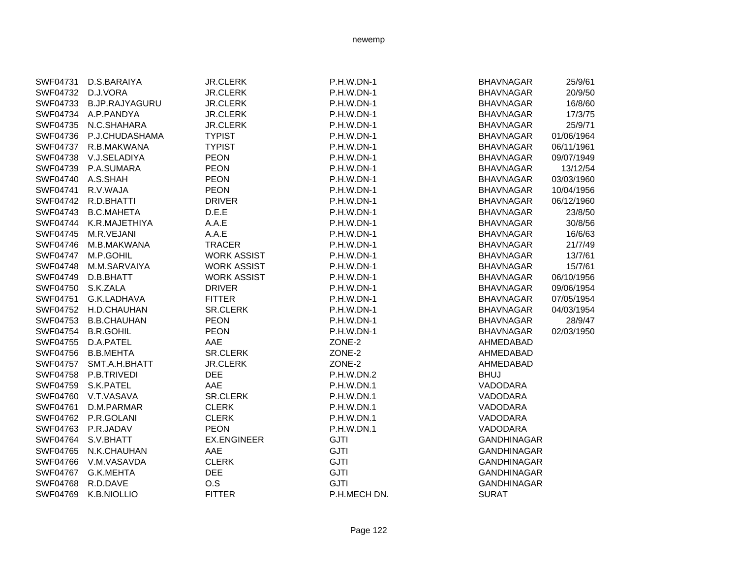| <b>JR.CLERK</b><br>P.H.W.DN-1<br><b>BHAVNAGAR</b><br>25/9/61<br>SWF04731<br>D.S.BARAIYA<br>D.J.VORA<br><b>JR.CLERK</b><br>P.H.W.DN-1<br>20/9/50<br>SWF04732<br><b>BHAVNAGAR</b><br>16/8/60<br>SWF04733<br><b>B.JP.RAJYAGURU</b><br><b>JR.CLERK</b><br>P.H.W.DN-1<br><b>BHAVNAGAR</b><br>17/3/75<br>SWF04734 A.P.PANDYA<br><b>JR.CLERK</b><br><b>P.H.W.DN-1</b><br><b>BHAVNAGAR</b><br>25/9/71<br>SWF04735<br>N.C.SHAHARA<br><b>JR.CLERK</b><br><b>P.H.W.DN-1</b><br><b>BHAVNAGAR</b><br><b>TYPIST</b><br>SWF04736<br>P.J.CHUDASHAMA<br>P.H.W.DN-1<br><b>BHAVNAGAR</b><br>01/06/1964<br><b>TYPIST</b><br>SWF04737<br>R.B.MAKWANA<br>P.H.W.DN-1<br><b>BHAVNAGAR</b><br>06/11/1961<br><b>PEON</b><br>SWF04738<br>V.J.SELADIYA<br>P.H.W.DN-1<br><b>BHAVNAGAR</b><br>09/07/1949<br><b>PEON</b><br>SWF04739<br>P.A.SUMARA<br>P.H.W.DN-1<br><b>BHAVNAGAR</b><br>13/12/54<br>SWF04740 A.S.SHAH<br><b>PEON</b><br>P.H.W.DN-1<br><b>BHAVNAGAR</b><br>03/03/1960<br><b>PEON</b><br>SWF04741<br>R.V.WAJA<br>P.H.W.DN-1<br>10/04/1956<br><b>BHAVNAGAR</b><br><b>DRIVER</b><br>SWF04742 R.D.BHATTI<br>P.H.W.DN-1<br><b>BHAVNAGAR</b><br>06/12/1960<br>SWF04743<br><b>B.C.MAHETA</b><br>D.E.E<br>P.H.W.DN-1<br>23/8/50<br><b>BHAVNAGAR</b><br><b>SWF04744</b><br>K.R.MAJETHIYA<br>A.A.E<br>P.H.W.DN-1<br>30/8/56<br><b>BHAVNAGAR</b><br>SWF04745<br>M.R.VEJANI<br>A.A.E<br>P.H.W.DN-1<br>16/6/63<br><b>BHAVNAGAR</b><br>SWF04746<br>M.B.MAKWANA<br><b>TRACER</b><br><b>P.H.W.DN-1</b><br>21/7/49<br><b>BHAVNAGAR</b><br>SWF04747<br>M.P.GOHIL<br><b>WORK ASSIST</b><br><b>P.H.W.DN-1</b><br><b>BHAVNAGAR</b><br>13/7/61<br>M.M.SARVAIYA<br><b>WORK ASSIST</b><br><b>P.H.W.DN-1</b><br>15/7/61<br>SWF04748<br><b>BHAVNAGAR</b><br>SWF04749<br>D.B.BHATT<br><b>WORK ASSIST</b><br><b>P.H.W.DN-1</b><br>06/10/1956<br><b>BHAVNAGAR</b><br>S.K.ZALA<br><b>DRIVER</b><br>09/06/1954<br>SWF04750<br>$P.H.W.DN-1$<br><b>BHAVNAGAR</b><br>SWF04751<br>G.K.LADHAVA<br><b>FITTER</b><br><b>P.H.W.DN-1</b><br>07/05/1954<br><b>BHAVNAGAR</b><br><b>SR.CLERK</b><br>SWF04752<br>H.D.CHAUHAN<br>$P.H.W.DN-1$<br><b>BHAVNAGAR</b><br>04/03/1954<br><b>B.B.CHAUHAN</b><br><b>PEON</b><br>P.H.W.DN-1<br>28/9/47<br>SWF04753<br><b>BHAVNAGAR</b><br><b>B.R.GOHIL</b><br><b>PEON</b><br>02/03/1950<br>SWF04754<br><b>P.H.W.DN-1</b><br><b>BHAVNAGAR</b><br>AAE<br>SWF04755<br>D.A.PATEL<br>ZONE-2<br>AHMEDABAD<br>SWF04756 B.B.MEHTA<br><b>SR.CLERK</b><br>ZONE-2<br>AHMEDABAD<br><b>JR.CLERK</b><br>ZONE-2<br>SWF04757<br>SMT.A.H.BHATT<br>AHMEDABAD<br>SWF04758 P.B.TRIVEDI<br><b>DEE</b><br><b>BHUJ</b><br>P.H.W.DN.2<br>S.K.PATEL<br>AAE<br>VADODARA<br>SWF04759<br>P.H.W.DN.1<br><b>SR.CLERK</b><br>SWF04760<br>V.T.VASAVA<br>P.H.W.DN.1<br><b>VADODARA</b><br>D.M.PARMAR<br><b>CLERK</b><br>P.H.W.DN.1<br>VADODARA<br>SWF04761<br>SWF04762 P.R.GOLANI<br><b>CLERK</b><br>VADODARA<br>P.H.W.DN.1<br>P.R.JADAV<br><b>PEON</b><br>P.H.W.DN.1<br>SWF04763<br>VADODARA<br>SWF04764<br>S.V.BHATT<br><b>EX.ENGINEER</b><br><b>GJTI</b><br><b>GANDHINAGAR</b><br>AAE<br><b>GJTI</b><br>SWF04765<br>N.K.CHAUHAN<br><b>GANDHINAGAR</b><br><b>GJTI</b><br>SWF04766<br>V.M.VASAVDA<br><b>CLERK</b><br><b>GANDHINAGAR</b><br>G.K.MEHTA<br><b>GJTI</b><br>SWF04767<br><b>DEE</b><br><b>GANDHINAGAR</b><br>O.S<br><b>GJTI</b><br><b>SWF04768</b><br>R.D.DAVE<br><b>GANDHINAGAR</b><br>P.H.MECH DN. |          |             |               |              |  |
|----------------------------------------------------------------------------------------------------------------------------------------------------------------------------------------------------------------------------------------------------------------------------------------------------------------------------------------------------------------------------------------------------------------------------------------------------------------------------------------------------------------------------------------------------------------------------------------------------------------------------------------------------------------------------------------------------------------------------------------------------------------------------------------------------------------------------------------------------------------------------------------------------------------------------------------------------------------------------------------------------------------------------------------------------------------------------------------------------------------------------------------------------------------------------------------------------------------------------------------------------------------------------------------------------------------------------------------------------------------------------------------------------------------------------------------------------------------------------------------------------------------------------------------------------------------------------------------------------------------------------------------------------------------------------------------------------------------------------------------------------------------------------------------------------------------------------------------------------------------------------------------------------------------------------------------------------------------------------------------------------------------------------------------------------------------------------------------------------------------------------------------------------------------------------------------------------------------------------------------------------------------------------------------------------------------------------------------------------------------------------------------------------------------------------------------------------------------------------------------------------------------------------------------------------------------------------------------------------------------------------------------------------------------------------------------------------------------------------------------------------------------------------------------------------------------------------------------------------------------------------------------------------------------------------------------------------------------------------------------------------------------------------------------------------------------------------------------------------------------------------------------------------------------------------------------------------------------------------------------------------------------------------------------------------------------------------------------------------------|----------|-------------|---------------|--------------|--|
|                                                                                                                                                                                                                                                                                                                                                                                                                                                                                                                                                                                                                                                                                                                                                                                                                                                                                                                                                                                                                                                                                                                                                                                                                                                                                                                                                                                                                                                                                                                                                                                                                                                                                                                                                                                                                                                                                                                                                                                                                                                                                                                                                                                                                                                                                                                                                                                                                                                                                                                                                                                                                                                                                                                                                                                                                                                                                                                                                                                                                                                                                                                                                                                                                                                                                                                                                          |          |             |               |              |  |
|                                                                                                                                                                                                                                                                                                                                                                                                                                                                                                                                                                                                                                                                                                                                                                                                                                                                                                                                                                                                                                                                                                                                                                                                                                                                                                                                                                                                                                                                                                                                                                                                                                                                                                                                                                                                                                                                                                                                                                                                                                                                                                                                                                                                                                                                                                                                                                                                                                                                                                                                                                                                                                                                                                                                                                                                                                                                                                                                                                                                                                                                                                                                                                                                                                                                                                                                                          |          |             |               |              |  |
|                                                                                                                                                                                                                                                                                                                                                                                                                                                                                                                                                                                                                                                                                                                                                                                                                                                                                                                                                                                                                                                                                                                                                                                                                                                                                                                                                                                                                                                                                                                                                                                                                                                                                                                                                                                                                                                                                                                                                                                                                                                                                                                                                                                                                                                                                                                                                                                                                                                                                                                                                                                                                                                                                                                                                                                                                                                                                                                                                                                                                                                                                                                                                                                                                                                                                                                                                          |          |             |               |              |  |
|                                                                                                                                                                                                                                                                                                                                                                                                                                                                                                                                                                                                                                                                                                                                                                                                                                                                                                                                                                                                                                                                                                                                                                                                                                                                                                                                                                                                                                                                                                                                                                                                                                                                                                                                                                                                                                                                                                                                                                                                                                                                                                                                                                                                                                                                                                                                                                                                                                                                                                                                                                                                                                                                                                                                                                                                                                                                                                                                                                                                                                                                                                                                                                                                                                                                                                                                                          |          |             |               |              |  |
|                                                                                                                                                                                                                                                                                                                                                                                                                                                                                                                                                                                                                                                                                                                                                                                                                                                                                                                                                                                                                                                                                                                                                                                                                                                                                                                                                                                                                                                                                                                                                                                                                                                                                                                                                                                                                                                                                                                                                                                                                                                                                                                                                                                                                                                                                                                                                                                                                                                                                                                                                                                                                                                                                                                                                                                                                                                                                                                                                                                                                                                                                                                                                                                                                                                                                                                                                          |          |             |               |              |  |
|                                                                                                                                                                                                                                                                                                                                                                                                                                                                                                                                                                                                                                                                                                                                                                                                                                                                                                                                                                                                                                                                                                                                                                                                                                                                                                                                                                                                                                                                                                                                                                                                                                                                                                                                                                                                                                                                                                                                                                                                                                                                                                                                                                                                                                                                                                                                                                                                                                                                                                                                                                                                                                                                                                                                                                                                                                                                                                                                                                                                                                                                                                                                                                                                                                                                                                                                                          |          |             |               |              |  |
|                                                                                                                                                                                                                                                                                                                                                                                                                                                                                                                                                                                                                                                                                                                                                                                                                                                                                                                                                                                                                                                                                                                                                                                                                                                                                                                                                                                                                                                                                                                                                                                                                                                                                                                                                                                                                                                                                                                                                                                                                                                                                                                                                                                                                                                                                                                                                                                                                                                                                                                                                                                                                                                                                                                                                                                                                                                                                                                                                                                                                                                                                                                                                                                                                                                                                                                                                          |          |             |               |              |  |
|                                                                                                                                                                                                                                                                                                                                                                                                                                                                                                                                                                                                                                                                                                                                                                                                                                                                                                                                                                                                                                                                                                                                                                                                                                                                                                                                                                                                                                                                                                                                                                                                                                                                                                                                                                                                                                                                                                                                                                                                                                                                                                                                                                                                                                                                                                                                                                                                                                                                                                                                                                                                                                                                                                                                                                                                                                                                                                                                                                                                                                                                                                                                                                                                                                                                                                                                                          |          |             |               |              |  |
|                                                                                                                                                                                                                                                                                                                                                                                                                                                                                                                                                                                                                                                                                                                                                                                                                                                                                                                                                                                                                                                                                                                                                                                                                                                                                                                                                                                                                                                                                                                                                                                                                                                                                                                                                                                                                                                                                                                                                                                                                                                                                                                                                                                                                                                                                                                                                                                                                                                                                                                                                                                                                                                                                                                                                                                                                                                                                                                                                                                                                                                                                                                                                                                                                                                                                                                                                          |          |             |               |              |  |
|                                                                                                                                                                                                                                                                                                                                                                                                                                                                                                                                                                                                                                                                                                                                                                                                                                                                                                                                                                                                                                                                                                                                                                                                                                                                                                                                                                                                                                                                                                                                                                                                                                                                                                                                                                                                                                                                                                                                                                                                                                                                                                                                                                                                                                                                                                                                                                                                                                                                                                                                                                                                                                                                                                                                                                                                                                                                                                                                                                                                                                                                                                                                                                                                                                                                                                                                                          |          |             |               |              |  |
|                                                                                                                                                                                                                                                                                                                                                                                                                                                                                                                                                                                                                                                                                                                                                                                                                                                                                                                                                                                                                                                                                                                                                                                                                                                                                                                                                                                                                                                                                                                                                                                                                                                                                                                                                                                                                                                                                                                                                                                                                                                                                                                                                                                                                                                                                                                                                                                                                                                                                                                                                                                                                                                                                                                                                                                                                                                                                                                                                                                                                                                                                                                                                                                                                                                                                                                                                          |          |             |               |              |  |
|                                                                                                                                                                                                                                                                                                                                                                                                                                                                                                                                                                                                                                                                                                                                                                                                                                                                                                                                                                                                                                                                                                                                                                                                                                                                                                                                                                                                                                                                                                                                                                                                                                                                                                                                                                                                                                                                                                                                                                                                                                                                                                                                                                                                                                                                                                                                                                                                                                                                                                                                                                                                                                                                                                                                                                                                                                                                                                                                                                                                                                                                                                                                                                                                                                                                                                                                                          |          |             |               |              |  |
|                                                                                                                                                                                                                                                                                                                                                                                                                                                                                                                                                                                                                                                                                                                                                                                                                                                                                                                                                                                                                                                                                                                                                                                                                                                                                                                                                                                                                                                                                                                                                                                                                                                                                                                                                                                                                                                                                                                                                                                                                                                                                                                                                                                                                                                                                                                                                                                                                                                                                                                                                                                                                                                                                                                                                                                                                                                                                                                                                                                                                                                                                                                                                                                                                                                                                                                                                          |          |             |               |              |  |
|                                                                                                                                                                                                                                                                                                                                                                                                                                                                                                                                                                                                                                                                                                                                                                                                                                                                                                                                                                                                                                                                                                                                                                                                                                                                                                                                                                                                                                                                                                                                                                                                                                                                                                                                                                                                                                                                                                                                                                                                                                                                                                                                                                                                                                                                                                                                                                                                                                                                                                                                                                                                                                                                                                                                                                                                                                                                                                                                                                                                                                                                                                                                                                                                                                                                                                                                                          |          |             |               |              |  |
|                                                                                                                                                                                                                                                                                                                                                                                                                                                                                                                                                                                                                                                                                                                                                                                                                                                                                                                                                                                                                                                                                                                                                                                                                                                                                                                                                                                                                                                                                                                                                                                                                                                                                                                                                                                                                                                                                                                                                                                                                                                                                                                                                                                                                                                                                                                                                                                                                                                                                                                                                                                                                                                                                                                                                                                                                                                                                                                                                                                                                                                                                                                                                                                                                                                                                                                                                          |          |             |               |              |  |
|                                                                                                                                                                                                                                                                                                                                                                                                                                                                                                                                                                                                                                                                                                                                                                                                                                                                                                                                                                                                                                                                                                                                                                                                                                                                                                                                                                                                                                                                                                                                                                                                                                                                                                                                                                                                                                                                                                                                                                                                                                                                                                                                                                                                                                                                                                                                                                                                                                                                                                                                                                                                                                                                                                                                                                                                                                                                                                                                                                                                                                                                                                                                                                                                                                                                                                                                                          |          |             |               |              |  |
|                                                                                                                                                                                                                                                                                                                                                                                                                                                                                                                                                                                                                                                                                                                                                                                                                                                                                                                                                                                                                                                                                                                                                                                                                                                                                                                                                                                                                                                                                                                                                                                                                                                                                                                                                                                                                                                                                                                                                                                                                                                                                                                                                                                                                                                                                                                                                                                                                                                                                                                                                                                                                                                                                                                                                                                                                                                                                                                                                                                                                                                                                                                                                                                                                                                                                                                                                          |          |             |               |              |  |
|                                                                                                                                                                                                                                                                                                                                                                                                                                                                                                                                                                                                                                                                                                                                                                                                                                                                                                                                                                                                                                                                                                                                                                                                                                                                                                                                                                                                                                                                                                                                                                                                                                                                                                                                                                                                                                                                                                                                                                                                                                                                                                                                                                                                                                                                                                                                                                                                                                                                                                                                                                                                                                                                                                                                                                                                                                                                                                                                                                                                                                                                                                                                                                                                                                                                                                                                                          |          |             |               |              |  |
|                                                                                                                                                                                                                                                                                                                                                                                                                                                                                                                                                                                                                                                                                                                                                                                                                                                                                                                                                                                                                                                                                                                                                                                                                                                                                                                                                                                                                                                                                                                                                                                                                                                                                                                                                                                                                                                                                                                                                                                                                                                                                                                                                                                                                                                                                                                                                                                                                                                                                                                                                                                                                                                                                                                                                                                                                                                                                                                                                                                                                                                                                                                                                                                                                                                                                                                                                          |          |             |               |              |  |
|                                                                                                                                                                                                                                                                                                                                                                                                                                                                                                                                                                                                                                                                                                                                                                                                                                                                                                                                                                                                                                                                                                                                                                                                                                                                                                                                                                                                                                                                                                                                                                                                                                                                                                                                                                                                                                                                                                                                                                                                                                                                                                                                                                                                                                                                                                                                                                                                                                                                                                                                                                                                                                                                                                                                                                                                                                                                                                                                                                                                                                                                                                                                                                                                                                                                                                                                                          |          |             |               |              |  |
|                                                                                                                                                                                                                                                                                                                                                                                                                                                                                                                                                                                                                                                                                                                                                                                                                                                                                                                                                                                                                                                                                                                                                                                                                                                                                                                                                                                                                                                                                                                                                                                                                                                                                                                                                                                                                                                                                                                                                                                                                                                                                                                                                                                                                                                                                                                                                                                                                                                                                                                                                                                                                                                                                                                                                                                                                                                                                                                                                                                                                                                                                                                                                                                                                                                                                                                                                          |          |             |               |              |  |
|                                                                                                                                                                                                                                                                                                                                                                                                                                                                                                                                                                                                                                                                                                                                                                                                                                                                                                                                                                                                                                                                                                                                                                                                                                                                                                                                                                                                                                                                                                                                                                                                                                                                                                                                                                                                                                                                                                                                                                                                                                                                                                                                                                                                                                                                                                                                                                                                                                                                                                                                                                                                                                                                                                                                                                                                                                                                                                                                                                                                                                                                                                                                                                                                                                                                                                                                                          |          |             |               |              |  |
|                                                                                                                                                                                                                                                                                                                                                                                                                                                                                                                                                                                                                                                                                                                                                                                                                                                                                                                                                                                                                                                                                                                                                                                                                                                                                                                                                                                                                                                                                                                                                                                                                                                                                                                                                                                                                                                                                                                                                                                                                                                                                                                                                                                                                                                                                                                                                                                                                                                                                                                                                                                                                                                                                                                                                                                                                                                                                                                                                                                                                                                                                                                                                                                                                                                                                                                                                          |          |             |               |              |  |
|                                                                                                                                                                                                                                                                                                                                                                                                                                                                                                                                                                                                                                                                                                                                                                                                                                                                                                                                                                                                                                                                                                                                                                                                                                                                                                                                                                                                                                                                                                                                                                                                                                                                                                                                                                                                                                                                                                                                                                                                                                                                                                                                                                                                                                                                                                                                                                                                                                                                                                                                                                                                                                                                                                                                                                                                                                                                                                                                                                                                                                                                                                                                                                                                                                                                                                                                                          |          |             |               |              |  |
|                                                                                                                                                                                                                                                                                                                                                                                                                                                                                                                                                                                                                                                                                                                                                                                                                                                                                                                                                                                                                                                                                                                                                                                                                                                                                                                                                                                                                                                                                                                                                                                                                                                                                                                                                                                                                                                                                                                                                                                                                                                                                                                                                                                                                                                                                                                                                                                                                                                                                                                                                                                                                                                                                                                                                                                                                                                                                                                                                                                                                                                                                                                                                                                                                                                                                                                                                          |          |             |               |              |  |
|                                                                                                                                                                                                                                                                                                                                                                                                                                                                                                                                                                                                                                                                                                                                                                                                                                                                                                                                                                                                                                                                                                                                                                                                                                                                                                                                                                                                                                                                                                                                                                                                                                                                                                                                                                                                                                                                                                                                                                                                                                                                                                                                                                                                                                                                                                                                                                                                                                                                                                                                                                                                                                                                                                                                                                                                                                                                                                                                                                                                                                                                                                                                                                                                                                                                                                                                                          |          |             |               |              |  |
|                                                                                                                                                                                                                                                                                                                                                                                                                                                                                                                                                                                                                                                                                                                                                                                                                                                                                                                                                                                                                                                                                                                                                                                                                                                                                                                                                                                                                                                                                                                                                                                                                                                                                                                                                                                                                                                                                                                                                                                                                                                                                                                                                                                                                                                                                                                                                                                                                                                                                                                                                                                                                                                                                                                                                                                                                                                                                                                                                                                                                                                                                                                                                                                                                                                                                                                                                          |          |             |               |              |  |
|                                                                                                                                                                                                                                                                                                                                                                                                                                                                                                                                                                                                                                                                                                                                                                                                                                                                                                                                                                                                                                                                                                                                                                                                                                                                                                                                                                                                                                                                                                                                                                                                                                                                                                                                                                                                                                                                                                                                                                                                                                                                                                                                                                                                                                                                                                                                                                                                                                                                                                                                                                                                                                                                                                                                                                                                                                                                                                                                                                                                                                                                                                                                                                                                                                                                                                                                                          |          |             |               |              |  |
|                                                                                                                                                                                                                                                                                                                                                                                                                                                                                                                                                                                                                                                                                                                                                                                                                                                                                                                                                                                                                                                                                                                                                                                                                                                                                                                                                                                                                                                                                                                                                                                                                                                                                                                                                                                                                                                                                                                                                                                                                                                                                                                                                                                                                                                                                                                                                                                                                                                                                                                                                                                                                                                                                                                                                                                                                                                                                                                                                                                                                                                                                                                                                                                                                                                                                                                                                          |          |             |               |              |  |
|                                                                                                                                                                                                                                                                                                                                                                                                                                                                                                                                                                                                                                                                                                                                                                                                                                                                                                                                                                                                                                                                                                                                                                                                                                                                                                                                                                                                                                                                                                                                                                                                                                                                                                                                                                                                                                                                                                                                                                                                                                                                                                                                                                                                                                                                                                                                                                                                                                                                                                                                                                                                                                                                                                                                                                                                                                                                                                                                                                                                                                                                                                                                                                                                                                                                                                                                                          |          |             |               |              |  |
|                                                                                                                                                                                                                                                                                                                                                                                                                                                                                                                                                                                                                                                                                                                                                                                                                                                                                                                                                                                                                                                                                                                                                                                                                                                                                                                                                                                                                                                                                                                                                                                                                                                                                                                                                                                                                                                                                                                                                                                                                                                                                                                                                                                                                                                                                                                                                                                                                                                                                                                                                                                                                                                                                                                                                                                                                                                                                                                                                                                                                                                                                                                                                                                                                                                                                                                                                          |          |             |               |              |  |
|                                                                                                                                                                                                                                                                                                                                                                                                                                                                                                                                                                                                                                                                                                                                                                                                                                                                                                                                                                                                                                                                                                                                                                                                                                                                                                                                                                                                                                                                                                                                                                                                                                                                                                                                                                                                                                                                                                                                                                                                                                                                                                                                                                                                                                                                                                                                                                                                                                                                                                                                                                                                                                                                                                                                                                                                                                                                                                                                                                                                                                                                                                                                                                                                                                                                                                                                                          |          |             |               |              |  |
|                                                                                                                                                                                                                                                                                                                                                                                                                                                                                                                                                                                                                                                                                                                                                                                                                                                                                                                                                                                                                                                                                                                                                                                                                                                                                                                                                                                                                                                                                                                                                                                                                                                                                                                                                                                                                                                                                                                                                                                                                                                                                                                                                                                                                                                                                                                                                                                                                                                                                                                                                                                                                                                                                                                                                                                                                                                                                                                                                                                                                                                                                                                                                                                                                                                                                                                                                          |          |             |               |              |  |
|                                                                                                                                                                                                                                                                                                                                                                                                                                                                                                                                                                                                                                                                                                                                                                                                                                                                                                                                                                                                                                                                                                                                                                                                                                                                                                                                                                                                                                                                                                                                                                                                                                                                                                                                                                                                                                                                                                                                                                                                                                                                                                                                                                                                                                                                                                                                                                                                                                                                                                                                                                                                                                                                                                                                                                                                                                                                                                                                                                                                                                                                                                                                                                                                                                                                                                                                                          |          |             |               |              |  |
|                                                                                                                                                                                                                                                                                                                                                                                                                                                                                                                                                                                                                                                                                                                                                                                                                                                                                                                                                                                                                                                                                                                                                                                                                                                                                                                                                                                                                                                                                                                                                                                                                                                                                                                                                                                                                                                                                                                                                                                                                                                                                                                                                                                                                                                                                                                                                                                                                                                                                                                                                                                                                                                                                                                                                                                                                                                                                                                                                                                                                                                                                                                                                                                                                                                                                                                                                          |          |             |               |              |  |
|                                                                                                                                                                                                                                                                                                                                                                                                                                                                                                                                                                                                                                                                                                                                                                                                                                                                                                                                                                                                                                                                                                                                                                                                                                                                                                                                                                                                                                                                                                                                                                                                                                                                                                                                                                                                                                                                                                                                                                                                                                                                                                                                                                                                                                                                                                                                                                                                                                                                                                                                                                                                                                                                                                                                                                                                                                                                                                                                                                                                                                                                                                                                                                                                                                                                                                                                                          |          |             |               |              |  |
|                                                                                                                                                                                                                                                                                                                                                                                                                                                                                                                                                                                                                                                                                                                                                                                                                                                                                                                                                                                                                                                                                                                                                                                                                                                                                                                                                                                                                                                                                                                                                                                                                                                                                                                                                                                                                                                                                                                                                                                                                                                                                                                                                                                                                                                                                                                                                                                                                                                                                                                                                                                                                                                                                                                                                                                                                                                                                                                                                                                                                                                                                                                                                                                                                                                                                                                                                          |          |             |               |              |  |
|                                                                                                                                                                                                                                                                                                                                                                                                                                                                                                                                                                                                                                                                                                                                                                                                                                                                                                                                                                                                                                                                                                                                                                                                                                                                                                                                                                                                                                                                                                                                                                                                                                                                                                                                                                                                                                                                                                                                                                                                                                                                                                                                                                                                                                                                                                                                                                                                                                                                                                                                                                                                                                                                                                                                                                                                                                                                                                                                                                                                                                                                                                                                                                                                                                                                                                                                                          |          |             |               |              |  |
|                                                                                                                                                                                                                                                                                                                                                                                                                                                                                                                                                                                                                                                                                                                                                                                                                                                                                                                                                                                                                                                                                                                                                                                                                                                                                                                                                                                                                                                                                                                                                                                                                                                                                                                                                                                                                                                                                                                                                                                                                                                                                                                                                                                                                                                                                                                                                                                                                                                                                                                                                                                                                                                                                                                                                                                                                                                                                                                                                                                                                                                                                                                                                                                                                                                                                                                                                          | SWF04769 | K.B.NIOLLIO | <b>FITTER</b> | <b>SURAT</b> |  |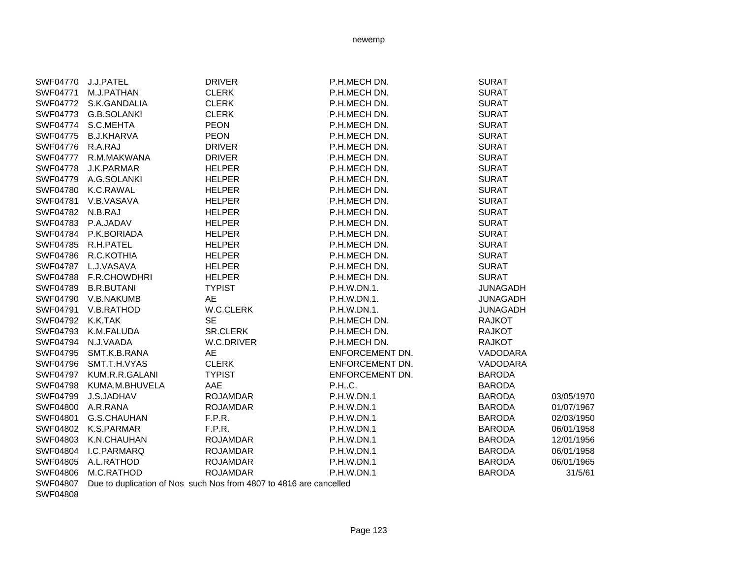|                 | SWF04770 J.J.PATEL    | <b>DRIVER</b>                                                                | P.H.MECH DN.      | <b>SURAT</b>    |            |
|-----------------|-----------------------|------------------------------------------------------------------------------|-------------------|-----------------|------------|
| SWF04771        | M.J.PATHAN            | <b>CLERK</b>                                                                 | P.H.MECH DN.      | <b>SURAT</b>    |            |
|                 | SWF04772 S.K.GANDALIA | <b>CLERK</b>                                                                 | P.H.MECH DN.      | <b>SURAT</b>    |            |
| SWF04773        | <b>G.B.SOLANKI</b>    | <b>CLERK</b>                                                                 | P.H.MECH DN.      | <b>SURAT</b>    |            |
| SWF04774        | S.C.MEHTA             | <b>PEON</b>                                                                  | P.H.MECH DN.      | <b>SURAT</b>    |            |
| <b>SWF04775</b> | <b>B.J.KHARVA</b>     | <b>PEON</b>                                                                  | P.H.MECH DN.      | <b>SURAT</b>    |            |
| SWF04776        | R.A.RAJ               | <b>DRIVER</b>                                                                | P.H.MECH DN.      | <b>SURAT</b>    |            |
| <b>SWF04777</b> | R.M.MAKWANA           | <b>DRIVER</b>                                                                | P.H.MECH DN.      | <b>SURAT</b>    |            |
| SWF04778        | J.K.PARMAR            | <b>HELPER</b>                                                                | P.H.MECH DN.      | <b>SURAT</b>    |            |
| SWF04779        | A.G.SOLANKI           | <b>HELPER</b>                                                                | P.H.MECH DN.      | <b>SURAT</b>    |            |
| SWF04780        | K.C.RAWAL             | <b>HELPER</b>                                                                | P.H.MECH DN.      | <b>SURAT</b>    |            |
| SWF04781        | V.B.VASAVA            | <b>HELPER</b>                                                                | P.H.MECH DN.      | <b>SURAT</b>    |            |
| SWF04782        | N.B.RAJ               | <b>HELPER</b>                                                                | P.H.MECH DN.      | <b>SURAT</b>    |            |
| SWF04783        | P.A.JADAV             | <b>HELPER</b>                                                                | P.H.MECH DN.      | <b>SURAT</b>    |            |
| SWF04784        | P.K.BORIADA           | <b>HELPER</b>                                                                | P.H.MECH DN.      | <b>SURAT</b>    |            |
| SWF04785        | R.H.PATEL             | <b>HELPER</b>                                                                | P.H.MECH DN.      | <b>SURAT</b>    |            |
| <b>SWF04786</b> | R.C.KOTHIA            | HELPER                                                                       | P.H.MECH DN.      | <b>SURAT</b>    |            |
| SWF04787        | L.J.VASAVA            | <b>HELPER</b>                                                                | P.H.MECH DN.      | <b>SURAT</b>    |            |
| <b>SWF04788</b> | F.R.CHOWDHRI          | <b>HELPER</b>                                                                | P.H.MECH DN.      | <b>SURAT</b>    |            |
| SWF04789        | <b>B.R.BUTANI</b>     | <b>TYPIST</b>                                                                | P.H.W.DN.1.       | <b>JUNAGADH</b> |            |
| SWF04790        | V.B.NAKUMB            | AE                                                                           | P.H.W.DN.1.       | <b>JUNAGADH</b> |            |
| SWF04791        | V.B.RATHOD            | W.C.CLERK                                                                    | P.H.W.DN.1.       | <b>JUNAGADH</b> |            |
| SWF04792        | K.K.TAK               | <b>SE</b>                                                                    | P.H.MECH DN.      | <b>RAJKOT</b>   |            |
| SWF04793        | K.M.FALUDA            | <b>SR.CLERK</b>                                                              | P.H.MECH DN.      | <b>RAJKOT</b>   |            |
| SWF04794        | N.J.VAADA             | W.C.DRIVER                                                                   | P.H.MECH DN.      | <b>RAJKOT</b>   |            |
| SWF04795        | SMT.K.B.RANA          | AE                                                                           | ENFORCEMENT DN.   | VADODARA        |            |
| SWF04796        | SMT.T.H.VYAS          | <b>CLERK</b>                                                                 | ENFORCEMENT DN.   | VADODARA        |            |
| SWF04797        | KUM.R.R.GALANI        | <b>TYPIST</b>                                                                | ENFORCEMENT DN.   | <b>BARODA</b>   |            |
| <b>SWF04798</b> | KUMA.M.BHUVELA        | AAE                                                                          | P.H., C.          | <b>BARODA</b>   |            |
| SWF04799        | J.S.JADHAV            | <b>ROJAMDAR</b>                                                              | P.H.W.DN.1        | <b>BARODA</b>   | 03/05/1970 |
| SWF04800        | A.R.RANA              | <b>ROJAMDAR</b>                                                              | P.H.W.DN.1        | <b>BARODA</b>   | 01/07/1967 |
| SWF04801        | G.S.CHAUHAN           | F.P.R.                                                                       | P.H.W.DN.1        | <b>BARODA</b>   | 02/03/1950 |
|                 | SWF04802 K.S.PARMAR   | F.P.R.                                                                       | P.H.W.DN.1        | <b>BARODA</b>   | 06/01/1958 |
|                 | SWF04803 K.N.CHAUHAN  | <b>ROJAMDAR</b>                                                              | P.H.W.DN.1        | <b>BARODA</b>   | 12/01/1956 |
|                 | SWF04804 I.C.PARMARQ  | <b>ROJAMDAR</b>                                                              | P.H.W.DN.1        | <b>BARODA</b>   | 06/01/1958 |
|                 | SWF04805 A.L.RATHOD   | <b>ROJAMDAR</b>                                                              | <b>P.H.W.DN.1</b> | <b>BARODA</b>   | 06/01/1965 |
|                 | SWF04806 M.C.RATHOD   | <b>ROJAMDAR</b>                                                              | <b>P.H.W.DN.1</b> | <b>BARODA</b>   | 31/5/61    |
|                 |                       | CUIE04007 Due to duplication of Neg such Neg from 4007 to 4046 are conselled |                   |                 |            |

SWF04807 Due to duplication of Nos such Nos from 4807 to 4816 are cancelled

SWF04808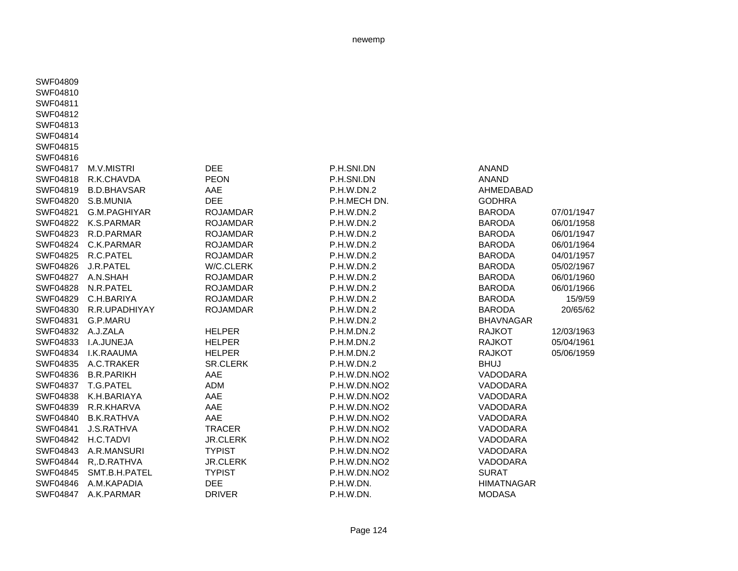SWF04810SWF04811SWF04812SWF04813SWF04814SWF04815SWF04816SWF04817 M.V.MISTRI DEE P.H.SNI.DN ANANDSWF04818 R.K.CHAVDA PEON P.H.SNI.DN ANANDSWF04835 A.C.TRAKER SR.CLERK P.H.W.DN.2 BHUJ SWF04845 SMT.B.H.PATEL TYPIST P.H.W.DN.NO2 SURAT

SWF04809

SWF04819 B.D.BHAVSAR AAE P.H.W.DN.2 AHMEDABADSWF04820 S.B.MUNIA DEE P.H.MECH DN. GODHRASWF04821 G.M.PAGHIYAR ROJAMDAR P.H.W.DN.2 BARODA 07/01/1947 SWF04822 K.S.PARMAR ROJAMDAR P.H.W.DN.2 BARODA 06/01/1958SWF04823 R.D.PARMAR ROJAMDAR P.H.W.DN.2 BARODA 06/01/1947SWF04824 C.K.PARMAR ROJAMDAR P.H.W.DN.2 BARODA 06/01/1964SWF04825 R.C.PATEL ROJAMDAR P.H.W.DN.2 BARODA 04/01/1957SWF04826 J.R.PATEL W/C.CLERK P.H.W.DN.2 BARODA 05/02/1967SWF04827 A.N.SHAH ROJAMDAR P.H.W.DN.2 BARODA 06/01/1960SWF04828 N.R.PATEL ROJAMDAR P.H.W.DN.2 BARODA 06/01/1966SWF04829 C.H.BARIYA ROJAMDAR P.H.W.DN.2 BARODA 15/9/59SWF04830 R.R.UPADHIYAY ROJAMDAR P.H.W.DN.2 BARODA 20/65/62SWF04831 G.P.MARU P.H.W.DN.2 BHAVNAGARSWF04832 A.J.ZALA HELPER P.H.M.DN.2 RAJKOT 12/03/1963SWF04833 I.A.JUNEJA HELPER P.H.M.DN.2 RAJKOT 05/04/1961SWF04834 I.K.RAAUMA HELPER P.H.M.DN.2 RAJKOT 05/06/1959SWF04836 B.R.PARIKH AAE P.H.W.DN.NO2 VADODARASWF04837 T.G.PATEL ADM P.H.W.DN.NO2 VADODARASWF04838 K.H.BARIAYA AAE P.H.W.DN.NO2 VADODARASWF04839 R.R.KHARVA AAE P.H.W.DN.NO2 VADODARASWF04840 B.K.RATHVA AAE P.H.W.DN.NO2 VADODARASWF04841 J.S.RATHVA TRACER P.H.W.DN.NO2 VADODARA SWF04842 H.C.TADVI JR.CLERK P.H.W.DN.NO2 VADODARASWF04843 A.R.MANSURI TYPIST P.H.W.DN.NO2 VADODARASWF04844 R,.D.RATHVA JR.CLERK P.H.W.DN.NO2 VADODARA SWF04846 A.M.KAPADIA DEE P.H.W.DN. HIMATNAGARSWF04847 A.K.PARMAR DRIVER P.H.W.DN. MODASA

Page 124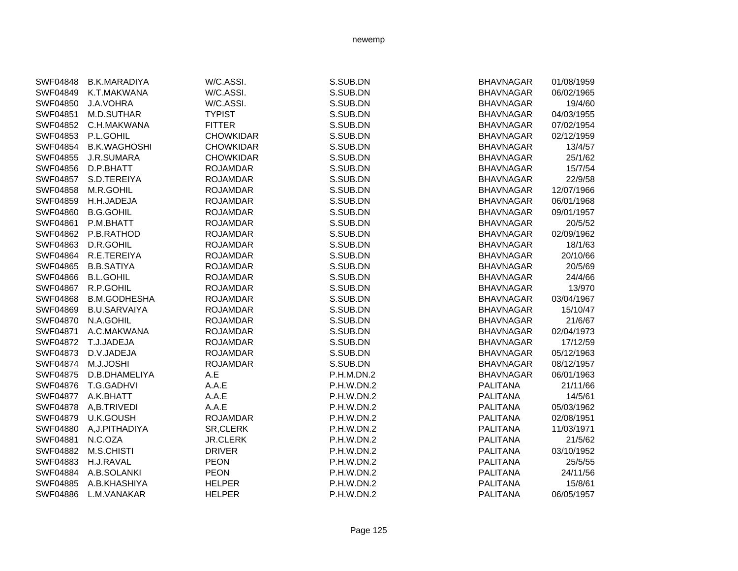| SWF04848        | <b>B.K.MARADIYA</b> | W/C.ASSI.        | S.SUB.DN   | <b>BHAVNAGAR</b> | 01/08/1959 |
|-----------------|---------------------|------------------|------------|------------------|------------|
| SWF04849        | K.T.MAKWANA         | W/C.ASSI.        | S.SUB.DN   | <b>BHAVNAGAR</b> | 06/02/1965 |
| SWF04850        | J.A.VOHRA           | W/C.ASSI.        | S.SUB.DN   | <b>BHAVNAGAR</b> | 19/4/60    |
| SWF04851        | M.D.SUTHAR          | <b>TYPIST</b>    | S.SUB.DN   | <b>BHAVNAGAR</b> | 04/03/1955 |
| SWF04852        | C.H.MAKWANA         | <b>FITTER</b>    | S.SUB.DN   | <b>BHAVNAGAR</b> | 07/02/1954 |
| SWF04853        | P.L.GOHIL           | <b>CHOWKIDAR</b> | S.SUB.DN   | <b>BHAVNAGAR</b> | 02/12/1959 |
| SWF04854        | <b>B.K.WAGHOSHI</b> | <b>CHOWKIDAR</b> | S.SUB.DN   | <b>BHAVNAGAR</b> | 13/4/57    |
| SWF04855        | J.R.SUMARA          | <b>CHOWKIDAR</b> | S.SUB.DN   | <b>BHAVNAGAR</b> | 25/1/62    |
| SWF04856        | D.P.BHATT           | <b>ROJAMDAR</b>  | S.SUB.DN   | <b>BHAVNAGAR</b> | 15/7/54    |
| <b>SWF04857</b> | S.D.TEREIYA         | <b>ROJAMDAR</b>  | S.SUB.DN   | <b>BHAVNAGAR</b> | 22/9/58    |
| SWF04858        | M.R.GOHIL           | <b>ROJAMDAR</b>  | S.SUB.DN   | <b>BHAVNAGAR</b> | 12/07/1966 |
| SWF04859        | H.H.JADEJA          | <b>ROJAMDAR</b>  | S.SUB.DN   | <b>BHAVNAGAR</b> | 06/01/1968 |
| SWF04860        | <b>B.G.GOHIL</b>    | <b>ROJAMDAR</b>  | S.SUB.DN   | <b>BHAVNAGAR</b> | 09/01/1957 |
| SWF04861        | P.M.BHATT           | <b>ROJAMDAR</b>  | S.SUB.DN   | <b>BHAVNAGAR</b> | 20/5/52    |
| SWF04862        | P.B.RATHOD          | <b>ROJAMDAR</b>  | S.SUB.DN   | <b>BHAVNAGAR</b> | 02/09/1962 |
| SWF04863        | D.R.GOHIL           | <b>ROJAMDAR</b>  | S.SUB.DN   | <b>BHAVNAGAR</b> | 18/1/63    |
| SWF04864        | R.E.TEREIYA         | <b>ROJAMDAR</b>  | S.SUB.DN   | <b>BHAVNAGAR</b> | 20/10/66   |
| SWF04865        | <b>B.B.SATIYA</b>   | <b>ROJAMDAR</b>  | S.SUB.DN   | <b>BHAVNAGAR</b> | 20/5/69    |
| SWF04866        | <b>B.L.GOHIL</b>    | <b>ROJAMDAR</b>  | S.SUB.DN   | <b>BHAVNAGAR</b> | 24/4/66    |
| <b>SWF04867</b> | R.P.GOHIL           | <b>ROJAMDAR</b>  | S.SUB.DN   | <b>BHAVNAGAR</b> | 13/970     |
| SWF04868        | <b>B.M.GODHESHA</b> | <b>ROJAMDAR</b>  | S.SUB.DN   | <b>BHAVNAGAR</b> | 03/04/1967 |
| SWF04869        | <b>B.U.SARVAIYA</b> | <b>ROJAMDAR</b>  | S.SUB.DN   | <b>BHAVNAGAR</b> | 15/10/47   |
| SWF04870        | N.A.GOHIL           | <b>ROJAMDAR</b>  | S.SUB.DN   | <b>BHAVNAGAR</b> | 21/6/67    |
| SWF04871        | A.C.MAKWANA         | <b>ROJAMDAR</b>  | S.SUB.DN   | <b>BHAVNAGAR</b> | 02/04/1973 |
| SWF04872        | T.J.JADEJA          | <b>ROJAMDAR</b>  | S.SUB.DN   | <b>BHAVNAGAR</b> | 17/12/59   |
| SWF04873        | D.V.JADEJA          | <b>ROJAMDAR</b>  | S.SUB.DN   | <b>BHAVNAGAR</b> | 05/12/1963 |
| <b>SWF04874</b> | M.J.JOSHI           | <b>ROJAMDAR</b>  | S.SUB.DN   | <b>BHAVNAGAR</b> | 08/12/1957 |
| <b>SWF04875</b> | D.B.DHAMELIYA       | A.E              | P.H.M.DN.2 | <b>BHAVNAGAR</b> | 06/01/1963 |
| SWF04876        | T.G.GADHVI          | A.A.E            | P.H.W.DN.2 | <b>PALITANA</b>  | 21/11/66   |
| SWF04877        | A.K.BHATT           | A.A.E            | P.H.W.DN.2 | <b>PALITANA</b>  | 14/5/61    |
| <b>SWF04878</b> | A,B.TRIVEDI         | A.A.E            | P.H.W.DN.2 | <b>PALITANA</b>  | 05/03/1962 |
| SWF04879        | <b>U.K.GOUSH</b>    | <b>ROJAMDAR</b>  | P.H.W.DN.2 | <b>PALITANA</b>  | 02/08/1951 |
| SWF04880        | A, J. PITHADIYA     | SR, CLERK        | P.H.W.DN.2 | <b>PALITANA</b>  | 11/03/1971 |
| SWF04881        | N.C.OZA             | <b>JR.CLERK</b>  | P.H.W.DN.2 | <b>PALITANA</b>  | 21/5/62    |
| SWF04882        | <b>M.S.CHISTI</b>   | <b>DRIVER</b>    | P.H.W.DN.2 | <b>PALITANA</b>  | 03/10/1952 |
| SWF04883        | H.J.RAVAL           | <b>PEON</b>      | P.H.W.DN.2 | PALITANA         | 25/5/55    |
| SWF04884        | A.B.SOLANKI         | <b>PEON</b>      | P.H.W.DN.2 | <b>PALITANA</b>  | 24/11/56   |
| SWF04885        | A.B.KHASHIYA        | <b>HELPER</b>    | P.H.W.DN.2 | <b>PALITANA</b>  | 15/8/61    |
| <b>SWF04886</b> | L.M.VANAKAR         | <b>HELPER</b>    | P.H.W.DN.2 | PALITANA         | 06/05/1957 |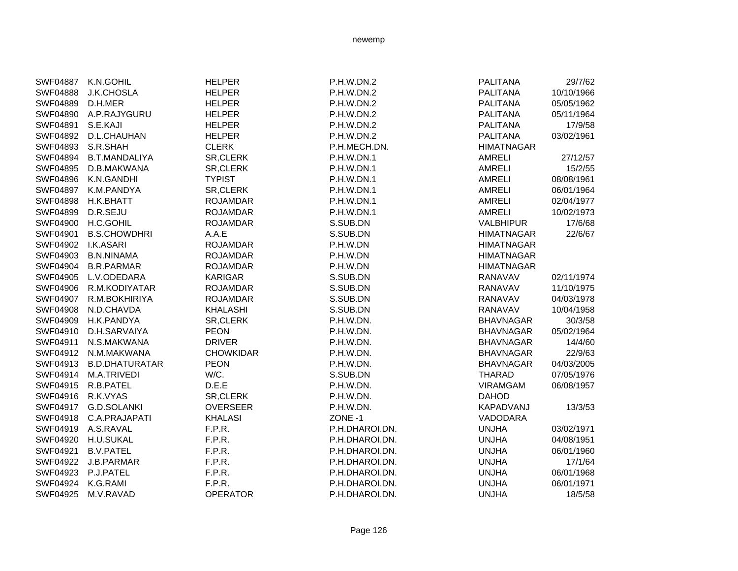| <b>SWF04887</b>    | K.N.GOHIL             | <b>HELPER</b>    | P.H.W.DN.2     | <b>PALITANA</b>   | 29/7/62    |
|--------------------|-----------------------|------------------|----------------|-------------------|------------|
| SWF04888           | <b>J.K.CHOSLA</b>     | <b>HELPER</b>    | P.H.W.DN.2     | <b>PALITANA</b>   | 10/10/1966 |
| SWF04889           | D.H.MER               | <b>HELPER</b>    | P.H.W.DN.2     | <b>PALITANA</b>   | 05/05/1962 |
| SWF04890           | A.P.RAJYGURU          | <b>HELPER</b>    | P.H.W.DN.2     | <b>PALITANA</b>   | 05/11/1964 |
| SWF04891           | S.E.KAJI              | <b>HELPER</b>    | P.H.W.DN.2     | <b>PALITANA</b>   | 17/9/58    |
| SWF04892           | D.L.CHAUHAN           | <b>HELPER</b>    | P.H.W.DN.2     | <b>PALITANA</b>   | 03/02/1961 |
| SWF04893           | S.R.SHAH              | <b>CLERK</b>     | P.H.MECH.DN.   | <b>HIMATNAGAR</b> |            |
| SWF04894           | <b>B.T.MANDALIYA</b>  | SR, CLERK        | P.H.W.DN.1     | <b>AMRELI</b>     | 27/12/57   |
| SWF04895           | D.B.MAKWANA           | SR, CLERK        | P.H.W.DN.1     | <b>AMRELI</b>     | 15/2/55    |
| SWF04896           | K.N.GANDHI            | <b>TYPIST</b>    | P.H.W.DN.1     | <b>AMRELI</b>     | 08/08/1961 |
| <b>SWF04897</b>    | K.M.PANDYA            | SR, CLERK        | P.H.W.DN.1     | <b>AMRELI</b>     | 06/01/1964 |
| <b>SWF04898</b>    | H.K.BHATT             | <b>ROJAMDAR</b>  | P.H.W.DN.1     | <b>AMRELI</b>     | 02/04/1977 |
| SWF04899           | D.R.SEJU              | <b>ROJAMDAR</b>  | P.H.W.DN.1     | <b>AMRELI</b>     | 10/02/1973 |
|                    | SWF04900 H.C.GOHIL    | <b>ROJAMDAR</b>  | S.SUB.DN       | <b>VALBHIPUR</b>  | 17/6/68    |
| SWF04901           | <b>B.S.CHOWDHRI</b>   | A.A.E            | S.SUB.DN       | <b>HIMATNAGAR</b> | 22/6/67    |
| SWF04902 I.K.ASARI |                       | <b>ROJAMDAR</b>  | P.H.W.DN       | <b>HIMATNAGAR</b> |            |
| SWF04903           | <b>B.N.NINAMA</b>     | <b>ROJAMDAR</b>  | P.H.W.DN       | <b>HIMATNAGAR</b> |            |
| SWF04904           | <b>B.R.PARMAR</b>     | <b>ROJAMDAR</b>  | P.H.W.DN       | <b>HIMATNAGAR</b> |            |
| SWF04905           | L.V.ODEDARA           | <b>KARIGAR</b>   | S.SUB.DN       | <b>RANAVAV</b>    | 02/11/1974 |
| SWF04906           | R.M.KODIYATAR         | <b>ROJAMDAR</b>  | S.SUB.DN       | RANAVAV           | 11/10/1975 |
| SWF04907           | R.M.BOKHIRIYA         | <b>ROJAMDAR</b>  | S.SUB.DN       | RANAVAV           | 04/03/1978 |
| SWF04908           | N.D.CHAVDA            | <b>KHALASHI</b>  | S.SUB.DN       | <b>RANAVAV</b>    | 10/04/1958 |
| SWF04909           | H.K.PANDYA            | SR, CLERK        | P.H.W.DN.      | <b>BHAVNAGAR</b>  | 30/3/58    |
| SWF04910           | D.H.SARVAIYA          | <b>PEON</b>      | P.H.W.DN.      | <b>BHAVNAGAR</b>  | 05/02/1964 |
| SWF04911           | N.S.MAKWANA           | <b>DRIVER</b>    | P.H.W.DN.      | <b>BHAVNAGAR</b>  | 14/4/60    |
| SWF04912           | N.M.MAKWANA           | <b>CHOWKIDAR</b> | P.H.W.DN.      | <b>BHAVNAGAR</b>  | 22/9/63    |
| SWF04913           | <b>B.D.DHATURATAR</b> | <b>PEON</b>      | P.H.W.DN.      | <b>BHAVNAGAR</b>  | 04/03/2005 |
| SWF04914           | M.A.TRIVEDI           | W/C.             | S.SUB.DN       | <b>THARAD</b>     | 07/05/1976 |
| SWF04915           | R.B.PATEL             | D.E.E            | P.H.W.DN.      | <b>VIRAMGAM</b>   | 06/08/1957 |
| SWF04916 R.K.VYAS  |                       | SR, CLERK        | P.H.W.DN.      | <b>DAHOD</b>      |            |
|                    | SWF04917 G.D.SOLANKI  | <b>OVERSEER</b>  | P.H.W.DN.      | KAPADVANJ         | 13/3/53    |
| SWF04918           | C.A.PRAJAPATI         | <b>KHALASI</b>   | ZONE -1        | VADODARA          |            |
|                    | SWF04919 A.S.RAVAL    | F.P.R.           | P.H.DHAROI.DN. | <b>UNJHA</b>      | 03/02/1971 |
|                    | SWF04920 H.U.SUKAL    | F.P.R.           | P.H.DHAROI.DN. | <b>UNJHA</b>      | 04/08/1951 |
| SWF04921           | <b>B.V.PATEL</b>      | F.P.R.           | P.H.DHAROI.DN. | <b>UNJHA</b>      | 06/01/1960 |
| SWF04922           | J.B.PARMAR            | F.P.R.           | P.H.DHAROI.DN. | <b>UNJHA</b>      | 17/1/64    |
| SWF04923           | P.J.PATEL             | F.P.R.           | P.H.DHAROI.DN. | <b>UNJHA</b>      | 06/01/1968 |
| SWF04924           | K.G.RAMI              | F.P.R.           | P.H.DHAROI.DN. | <b>UNJHA</b>      | 06/01/1971 |
| SWF04925           | M.V.RAVAD             | <b>OPERATOR</b>  | P.H.DHAROI.DN. | <b>UNJHA</b>      | 18/5/58    |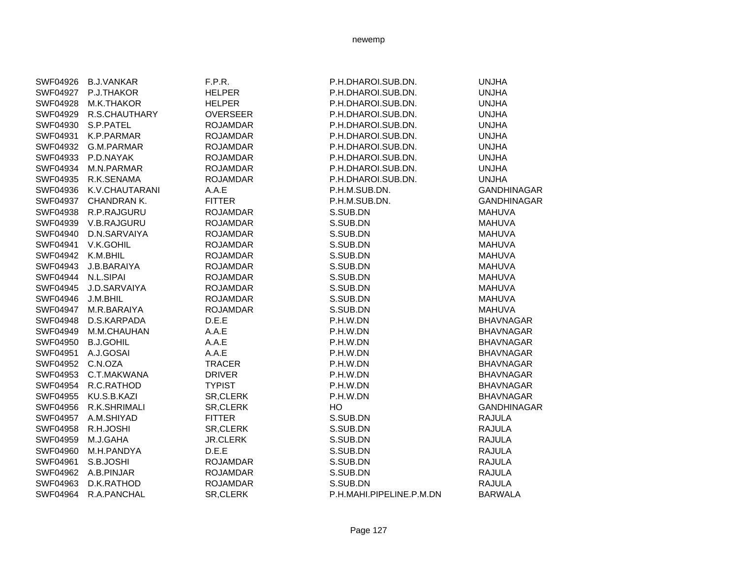|                 | SWF04926 B.J.VANKAR | F.P.R.          | P.H.DHAROI.SUB.DN.       | <b>UNJHA</b>       |
|-----------------|---------------------|-----------------|--------------------------|--------------------|
| SWF04927        | P.J.THAKOR          | <b>HELPER</b>   | P.H.DHAROI.SUB.DN.       | <b>UNJHA</b>       |
| <b>SWF04928</b> | M.K.THAKOR          | <b>HELPER</b>   | P.H.DHAROI.SUB.DN.       | <b>UNJHA</b>       |
| SWF04929        | R.S.CHAUTHARY       | <b>OVERSEER</b> | P.H.DHAROI.SUB.DN.       | <b>UNJHA</b>       |
| SWF04930        | S.P.PATEL           | <b>ROJAMDAR</b> | P.H.DHAROI.SUB.DN.       | <b>UNJHA</b>       |
| SWF04931        | K.P.PARMAR          | <b>ROJAMDAR</b> | P.H.DHAROI.SUB.DN.       | <b>UNJHA</b>       |
| SWF04932        | G.M.PARMAR          | <b>ROJAMDAR</b> | P.H.DHAROI.SUB.DN.       | <b>UNJHA</b>       |
| SWF04933        | P.D.NAYAK           | <b>ROJAMDAR</b> | P.H.DHAROI.SUB.DN.       | <b>UNJHA</b>       |
| SWF04934        | M.N.PARMAR          | <b>ROJAMDAR</b> | P.H.DHAROI.SUB.DN.       | <b>UNJHA</b>       |
| SWF04935        | R.K.SENAMA          | <b>ROJAMDAR</b> | P.H.DHAROI.SUB.DN.       | <b>UNJHA</b>       |
| SWF04936        | K.V.CHAUTARANI      | A.A.E           | P.H.M.SUB.DN.            | <b>GANDHINAGAR</b> |
| SWF04937        | <b>CHANDRAN K.</b>  | <b>FITTER</b>   | P.H.M.SUB.DN.            | <b>GANDHINAGAR</b> |
| SWF04938        | R.P.RAJGURU         | <b>ROJAMDAR</b> | S.SUB.DN                 | <b>MAHUVA</b>      |
| SWF04939        | V.B.RAJGURU         | <b>ROJAMDAR</b> | S.SUB.DN                 | <b>MAHUVA</b>      |
| SWF04940        | D.N.SARVAIYA        | <b>ROJAMDAR</b> | S.SUB.DN                 | <b>MAHUVA</b>      |
| SWF04941        | V.K.GOHIL           | <b>ROJAMDAR</b> | S.SUB.DN                 | <b>MAHUVA</b>      |
| SWF04942        | K.M.BHIL            | <b>ROJAMDAR</b> | S.SUB.DN                 | <b>MAHUVA</b>      |
| SWF04943        | J.B.BARAIYA         | <b>ROJAMDAR</b> | S.SUB.DN                 | <b>MAHUVA</b>      |
| SWF04944        | N.L.SIPAI           | <b>ROJAMDAR</b> | S.SUB.DN                 | <b>MAHUVA</b>      |
| SWF04945        | J.D.SARVAIYA        | <b>ROJAMDAR</b> | S.SUB.DN                 | <b>MAHUVA</b>      |
| SWF04946        | J.M.BHIL            | <b>ROJAMDAR</b> | S.SUB.DN                 | <b>MAHUVA</b>      |
| SWF04947        | M.R.BARAIYA         | <b>ROJAMDAR</b> | S.SUB.DN                 | <b>MAHUVA</b>      |
| <b>SWF04948</b> | D.S.KARPADA         | D.E.E           | P.H.W.DN                 | <b>BHAVNAGAR</b>   |
| SWF04949        | M.M.CHAUHAN         | A.A.E           | P.H.W.DN                 | <b>BHAVNAGAR</b>   |
| SWF04950        | <b>B.J.GOHIL</b>    | A.A.E           | P.H.W.DN                 | <b>BHAVNAGAR</b>   |
| SWF04951        | A.J.GOSAI           | A.A.E           | P.H.W.DN                 | <b>BHAVNAGAR</b>   |
| SWF04952        | C.N.OZA             | <b>TRACER</b>   | P.H.W.DN                 | <b>BHAVNAGAR</b>   |
| SWF04953        | C.T.MAKWANA         | <b>DRIVER</b>   | P.H.W.DN                 | <b>BHAVNAGAR</b>   |
| SWF04954        | R.C.RATHOD          | <b>TYPIST</b>   | P.H.W.DN                 | <b>BHAVNAGAR</b>   |
| SWF04955        | KU.S.B.KAZI         | <b>SR,CLERK</b> | P.H.W.DN                 | <b>BHAVNAGAR</b>   |
| SWF04956        | R.K.SHRIMALI        | SR, CLERK       | HO                       | <b>GANDHINAGAR</b> |
| SWF04957        | A.M.SHIYAD          | <b>FITTER</b>   | S.SUB.DN                 | <b>RAJULA</b>      |
| SWF04958        | R.H.JOSHI           | SR, CLERK       | S.SUB.DN                 | <b>RAJULA</b>      |
| SWF04959        | M.J.GAHA            | <b>JR.CLERK</b> | S.SUB.DN                 | <b>RAJULA</b>      |
| SWF04960        | M.H.PANDYA          | D.E.E           | S.SUB.DN                 | <b>RAJULA</b>      |
| SWF04961        | S.B.JOSHI           | <b>ROJAMDAR</b> | S.SUB.DN                 | <b>RAJULA</b>      |
| SWF04962        | A.B.PINJAR          | <b>ROJAMDAR</b> | S.SUB.DN                 | <b>RAJULA</b>      |
| SWF04963        | D.K.RATHOD          | <b>ROJAMDAR</b> | S.SUB.DN                 | <b>RAJULA</b>      |
| SWF04964        | R.A.PANCHAL         | SR, CLERK       | P.H.MAHI.PIPELINE.P.M.DN | <b>BARWALA</b>     |
|                 |                     |                 |                          |                    |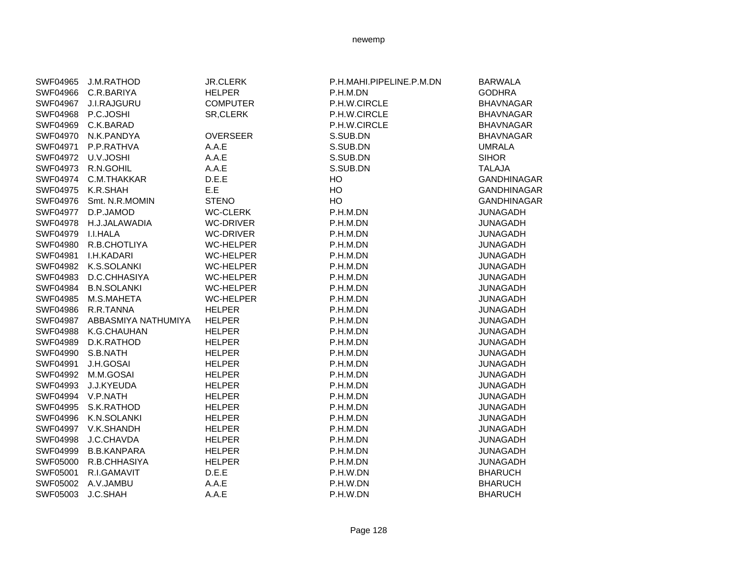| SWF04965        | J.M.RATHOD          | <b>JR.CLERK</b>  | P.H.MAHI.PIPELINE.P.M.DN | <b>BARWALA</b>     |
|-----------------|---------------------|------------------|--------------------------|--------------------|
| SWF04966        | C.R.BARIYA          | <b>HELPER</b>    | P.H.M.DN                 | <b>GODHRA</b>      |
| <b>SWF04967</b> | <b>J.I.RAJGURU</b>  | <b>COMPUTER</b>  | P.H.W.CIRCLE             | <b>BHAVNAGAR</b>   |
| SWF04968        | P.C.JOSHI           | SR, CLERK        | P.H.W.CIRCLE             | <b>BHAVNAGAR</b>   |
| SWF04969        | C.K.BARAD           |                  | P.H.W.CIRCLE             | <b>BHAVNAGAR</b>   |
| SWF04970        | N.K.PANDYA          | <b>OVERSEER</b>  | S.SUB.DN                 | <b>BHAVNAGAR</b>   |
| SWF04971        | P.P.RATHVA          | A.A.E            | S.SUB.DN                 | <b>UMRALA</b>      |
| SWF04972        | U.V.JOSHI           | A.A.E            | S.SUB.DN                 | <b>SIHOR</b>       |
| SWF04973        | R.N.GOHIL           | A.A.E            | S.SUB.DN                 | <b>TALAJA</b>      |
| SWF04974        | C.M.THAKKAR         | D.E.E            | HO                       | <b>GANDHINAGAR</b> |
| SWF04975        | K.R.SHAH            | E.E              | HO                       | <b>GANDHINAGAR</b> |
| SWF04976        | Smt. N.R.MOMIN      | <b>STENO</b>     | HO                       | <b>GANDHINAGAR</b> |
| SWF04977        | D.P.JAMOD           | <b>WC-CLERK</b>  | P.H.M.DN                 | <b>JUNAGADH</b>    |
| SWF04978        | H.J.JALAWADIA       | <b>WC-DRIVER</b> | P.H.M.DN                 | <b>JUNAGADH</b>    |
| SWF04979        | <b>I.I.HALA</b>     | <b>WC-DRIVER</b> | P.H.M.DN                 | <b>JUNAGADH</b>    |
| SWF04980        | R.B.CHOTLIYA        | <b>WC-HELPER</b> | P.H.M.DN                 | <b>JUNAGADH</b>    |
| SWF04981        | I.H.KADARI          | <b>WC-HELPER</b> | P.H.M.DN                 | <b>JUNAGADH</b>    |
| SWF04982        | K.S.SOLANKI         | <b>WC-HELPER</b> | P.H.M.DN                 | <b>JUNAGADH</b>    |
| SWF04983        | D.C.CHHASIYA        | <b>WC-HELPER</b> | P.H.M.DN                 | <b>JUNAGADH</b>    |
| SWF04984        | <b>B.N.SOLANKI</b>  | <b>WC-HELPER</b> | P.H.M.DN                 | <b>JUNAGADH</b>    |
| SWF04985        | M.S.MAHETA          | <b>WC-HELPER</b> | P.H.M.DN                 | <b>JUNAGADH</b>    |
| SWF04986        | R.R.TANNA           | <b>HELPER</b>    | P.H.M.DN                 | <b>JUNAGADH</b>    |
| SWF04987        | ABBASMIYA NATHUMIYA | <b>HELPER</b>    | P.H.M.DN                 | <b>JUNAGADH</b>    |
| <b>SWF04988</b> | K.G.CHAUHAN         | <b>HELPER</b>    | P.H.M.DN                 | <b>JUNAGADH</b>    |
| <b>SWF04989</b> | D.K.RATHOD          | <b>HELPER</b>    | P.H.M.DN                 | <b>JUNAGADH</b>    |
| SWF04990        | S.B.NATH            | <b>HELPER</b>    | P.H.M.DN                 | <b>JUNAGADH</b>    |
| SWF04991        | J.H.GOSAI           | <b>HELPER</b>    | P.H.M.DN                 | <b>JUNAGADH</b>    |
| SWF04992        | M.M.GOSAI           | <b>HELPER</b>    | P.H.M.DN                 | <b>JUNAGADH</b>    |
| SWF04993        | J.J.KYEUDA          | <b>HELPER</b>    | P.H.M.DN                 | <b>JUNAGADH</b>    |
| SWF04994        | V.P.NATH            | <b>HELPER</b>    | P.H.M.DN                 | <b>JUNAGADH</b>    |
| SWF04995        | S.K.RATHOD          | <b>HELPER</b>    | P.H.M.DN                 | <b>JUNAGADH</b>    |
| SWF04996        | K.N.SOLANKI         | <b>HELPER</b>    | P.H.M.DN                 | <b>JUNAGADH</b>    |
| SWF04997        | V.K.SHANDH          | <b>HELPER</b>    | P.H.M.DN                 | <b>JUNAGADH</b>    |
| SWF04998        | J.C.CHAVDA          | <b>HELPER</b>    | P.H.M.DN                 | <b>JUNAGADH</b>    |
| SWF04999        | <b>B.B.KANPARA</b>  | <b>HELPER</b>    | P.H.M.DN                 | <b>JUNAGADH</b>    |
| SWF05000        | R.B.CHHASIYA        | <b>HELPER</b>    | P.H.M.DN                 | <b>JUNAGADH</b>    |
| SWF05001        | R.I.GAMAVIT         | D.E.E            | P.H.W.DN                 | <b>BHARUCH</b>     |
| SWF05002        | A.V.JAMBU           | A.A.E            | P.H.W.DN                 | <b>BHARUCH</b>     |
| SWF05003        | J.C.SHAH            | A.A.E            | P.H.W.DN                 | <b>BHARUCH</b>     |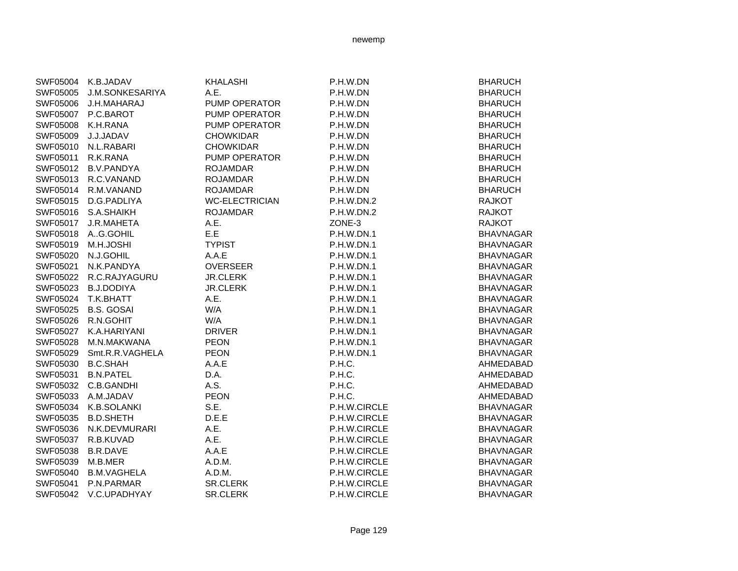| SWF05004 | K.B.JADAV              | <b>KHALASHI</b>       | P.H.W.DN     | <b>BHARUCH</b>   |
|----------|------------------------|-----------------------|--------------|------------------|
| SWF05005 | <b>J.M.SONKESARIYA</b> | A.E.                  | P.H.W.DN     | <b>BHARUCH</b>   |
| SWF05006 | J.H.MAHARAJ            | PUMP OPERATOR         | P.H.W.DN     | <b>BHARUCH</b>   |
| SWF05007 | P.C.BAROT              | PUMP OPERATOR         | P.H.W.DN     | <b>BHARUCH</b>   |
| SWF05008 | K.H.RANA               | <b>PUMP OPERATOR</b>  | P.H.W.DN     | <b>BHARUCH</b>   |
| SWF05009 | J.J.JADAV              | <b>CHOWKIDAR</b>      | P.H.W.DN     | <b>BHARUCH</b>   |
| SWF05010 | N.L.RABARI             | <b>CHOWKIDAR</b>      | P.H.W.DN     | <b>BHARUCH</b>   |
| SWF05011 | R.K.RANA               | <b>PUMP OPERATOR</b>  | P.H.W.DN     | <b>BHARUCH</b>   |
| SWF05012 | <b>B.V.PANDYA</b>      | <b>ROJAMDAR</b>       | P.H.W.DN     | <b>BHARUCH</b>   |
| SWF05013 | R.C.VANAND             | <b>ROJAMDAR</b>       | P.H.W.DN     | <b>BHARUCH</b>   |
| SWF05014 | R.M.VANAND             | <b>ROJAMDAR</b>       | P.H.W.DN     | <b>BHARUCH</b>   |
| SWF05015 | D.G.PADLIYA            | <b>WC-ELECTRICIAN</b> | P.H.W.DN.2   | <b>RAJKOT</b>    |
| SWF05016 | S.A.SHAIKH             | <b>ROJAMDAR</b>       | P.H.W.DN.2   | <b>RAJKOT</b>    |
| SWF05017 | J.R.MAHETA             | A.E.                  | ZONE-3       | <b>RAJKOT</b>    |
| SWF05018 | AG.GOHIL               | E.E                   | P.H.W.DN.1   | <b>BHAVNAGAR</b> |
| SWF05019 | M.H.JOSHI              | <b>TYPIST</b>         | P.H.W.DN.1   | <b>BHAVNAGAR</b> |
| SWF05020 | N.J.GOHIL              | A.A.E                 | P.H.W.DN.1   | <b>BHAVNAGAR</b> |
| SWF05021 | N.K.PANDYA             | <b>OVERSEER</b>       | P.H.W.DN.1   | <b>BHAVNAGAR</b> |
| SWF05022 | R.C.RAJYAGURU          | <b>JR.CLERK</b>       | P.H.W.DN.1   | <b>BHAVNAGAR</b> |
| SWF05023 | <b>B.J.DODIYA</b>      | <b>JR.CLERK</b>       | P.H.W.DN.1   | <b>BHAVNAGAR</b> |
| SWF05024 | T.K.BHATT              | A.E.                  | P.H.W.DN.1   | <b>BHAVNAGAR</b> |
| SWF05025 | <b>B.S. GOSAI</b>      | W/A                   | P.H.W.DN.1   | <b>BHAVNAGAR</b> |
| SWF05026 | R.N.GOHIT              | W/A                   | P.H.W.DN.1   | <b>BHAVNAGAR</b> |
| SWF05027 | K.A.HARIYANI           | <b>DRIVER</b>         | P.H.W.DN.1   | <b>BHAVNAGAR</b> |
| SWF05028 | M.N.MAKWANA            | <b>PEON</b>           | P.H.W.DN.1   | <b>BHAVNAGAR</b> |
| SWF05029 | Smt.R.R.VAGHELA        | <b>PEON</b>           | P.H.W.DN.1   | <b>BHAVNAGAR</b> |
| SWF05030 | <b>B.C.SHAH</b>        | A.A.E                 | P.H.C.       | AHMEDABAD        |
| SWF05031 | <b>B.N.PATEL</b>       | D.A.                  | P.H.C.       | AHMEDABAD        |
| SWF05032 | C.B.GANDHI             | A.S.                  | P.H.C.       | AHMEDABAD        |
| SWF05033 | A.M.JADAV              | <b>PEON</b>           | P.H.C.       | AHMEDABAD        |
| SWF05034 | K.B.SOLANKI            | S.E.                  | P.H.W.CIRCLE | <b>BHAVNAGAR</b> |
| SWF05035 | <b>B.D.SHETH</b>       | D.E.E                 | P.H.W.CIRCLE | <b>BHAVNAGAR</b> |
| SWF05036 | N.K.DEVMURARI          | A.E.                  | P.H.W.CIRCLE | <b>BHAVNAGAR</b> |
| SWF05037 | R.B.KUVAD              | A.E.                  | P.H.W.CIRCLE | <b>BHAVNAGAR</b> |
| SWF05038 | <b>B.R.DAVE</b>        | A.A.E                 | P.H.W.CIRCLE | <b>BHAVNAGAR</b> |
| SWF05039 | M.B.MER                | A.D.M.                | P.H.W.CIRCLE | <b>BHAVNAGAR</b> |
| SWF05040 | <b>B.M.VAGHELA</b>     | A.D.M.                | P.H.W.CIRCLE | <b>BHAVNAGAR</b> |
| SWF05041 | P.N.PARMAR             | <b>SR.CLERK</b>       | P.H.W.CIRCLE | <b>BHAVNAGAR</b> |
| SWF05042 | V.C.UPADHYAY           | <b>SR.CLERK</b>       | P.H.W.CIRCLE | <b>BHAVNAGAR</b> |
|          |                        |                       |              |                  |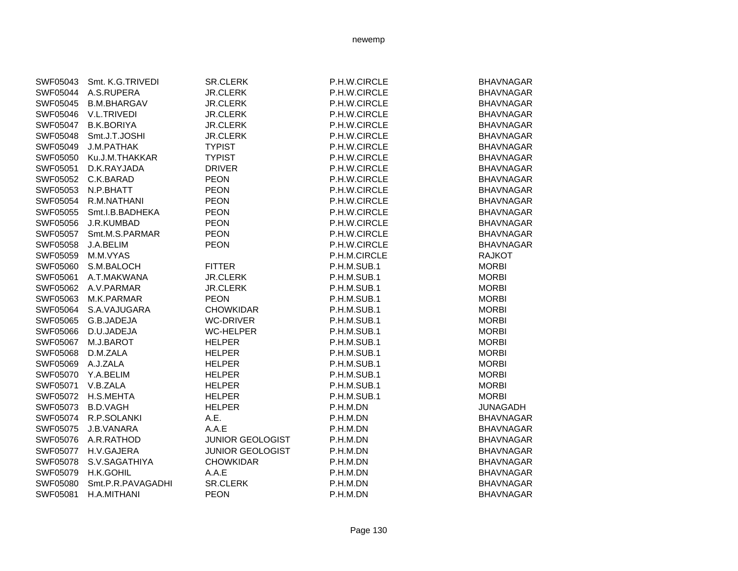| SWF05043 | Smt. K.G.TRIVEDI   | <b>SR.CLERK</b>         | P.H.W.CIRCLE | <b>BHAVNAGAR</b> |
|----------|--------------------|-------------------------|--------------|------------------|
| SWF05044 | A.S.RUPERA         | <b>JR.CLERK</b>         | P.H.W.CIRCLE | <b>BHAVNAGAR</b> |
| SWF05045 | <b>B.M.BHARGAV</b> | <b>JR.CLERK</b>         | P.H.W.CIRCLE | <b>BHAVNAGAR</b> |
| SWF05046 | V.L.TRIVEDI        | <b>JR.CLERK</b>         | P.H.W.CIRCLE | <b>BHAVNAGAR</b> |
| SWF05047 | <b>B.K.BORIYA</b>  | <b>JR.CLERK</b>         | P.H.W.CIRCLE | <b>BHAVNAGAR</b> |
| SWF05048 | Smt.J.T.JOSHI      | <b>JR.CLERK</b>         | P.H.W.CIRCLE | <b>BHAVNAGAR</b> |
| SWF05049 | <b>J.M.PATHAK</b>  | <b>TYPIST</b>           | P.H.W.CIRCLE | <b>BHAVNAGAR</b> |
| SWF05050 | Ku.J.M.THAKKAR     | <b>TYPIST</b>           | P.H.W.CIRCLE | <b>BHAVNAGAR</b> |
| SWF05051 | D.K.RAYJADA        | <b>DRIVER</b>           | P.H.W.CIRCLE | <b>BHAVNAGAR</b> |
| SWF05052 | C.K.BARAD          | <b>PEON</b>             | P.H.W.CIRCLE | <b>BHAVNAGAR</b> |
| SWF05053 | N.P.BHATT          | <b>PEON</b>             | P.H.W.CIRCLE | <b>BHAVNAGAR</b> |
| SWF05054 | R.M.NATHANI        | <b>PEON</b>             | P.H.W.CIRCLE | <b>BHAVNAGAR</b> |
| SWF05055 | Smt.I.B.BADHEKA    | <b>PEON</b>             | P.H.W.CIRCLE | <b>BHAVNAGAR</b> |
| SWF05056 | J.R.KUMBAD         | <b>PEON</b>             | P.H.W.CIRCLE | <b>BHAVNAGAR</b> |
| SWF05057 | Smt.M.S.PARMAR     | <b>PEON</b>             | P.H.W.CIRCLE | <b>BHAVNAGAR</b> |
| SWF05058 | J.A.BELIM          | <b>PEON</b>             | P.H.W.CIRCLE | <b>BHAVNAGAR</b> |
| SWF05059 | M.M.VYAS           |                         | P.H.M.CIRCLE | <b>RAJKOT</b>    |
| SWF05060 | S.M.BALOCH         | <b>FITTER</b>           | P.H.M.SUB.1  | <b>MORBI</b>     |
| SWF05061 | A.T.MAKWANA        | <b>JR.CLERK</b>         | P.H.M.SUB.1  | <b>MORBI</b>     |
| SWF05062 | A.V.PARMAR         | <b>JR.CLERK</b>         | P.H.M.SUB.1  | <b>MORBI</b>     |
| SWF05063 | M.K.PARMAR         | <b>PEON</b>             | P.H.M.SUB.1  | <b>MORBI</b>     |
| SWF05064 | S.A.VAJUGARA       | <b>CHOWKIDAR</b>        | P.H.M.SUB.1  | <b>MORBI</b>     |
| SWF05065 | G.B.JADEJA         | <b>WC-DRIVER</b>        | P.H.M.SUB.1  | <b>MORBI</b>     |
| SWF05066 | D.U.JADEJA         | <b>WC-HELPER</b>        | P.H.M.SUB.1  | <b>MORBI</b>     |
| SWF05067 | M.J.BAROT          | <b>HELPER</b>           | P.H.M.SUB.1  | <b>MORBI</b>     |
| SWF05068 | D.M.ZALA           | <b>HELPER</b>           | P.H.M.SUB.1  | <b>MORBI</b>     |
| SWF05069 | A.J.ZALA           | <b>HELPER</b>           | P.H.M.SUB.1  | <b>MORBI</b>     |
| SWF05070 | Y.A.BELIM          | <b>HELPER</b>           | P.H.M.SUB.1  | <b>MORBI</b>     |
| SWF05071 | V.B.ZALA           | <b>HELPER</b>           | P.H.M.SUB.1  | <b>MORBI</b>     |
| SWF05072 | H.S.MEHTA          | <b>HELPER</b>           | P.H.M.SUB.1  | <b>MORBI</b>     |
| SWF05073 | <b>B.D.VAGH</b>    | <b>HELPER</b>           | P.H.M.DN     | <b>JUNAGADH</b>  |
| SWF05074 | R.P.SOLANKI        | A.E.                    | P.H.M.DN     | <b>BHAVNAGAR</b> |
| SWF05075 | J.B.VANARA         | A.A.E                   | P.H.M.DN     | <b>BHAVNAGAR</b> |
| SWF05076 | A.R.RATHOD         | <b>JUNIOR GEOLOGIST</b> | P.H.M.DN     | <b>BHAVNAGAR</b> |
| SWF05077 | H.V.GAJERA         | <b>JUNIOR GEOLOGIST</b> | P.H.M.DN     | <b>BHAVNAGAR</b> |
| SWF05078 | S.V.SAGATHIYA      | <b>CHOWKIDAR</b>        | P.H.M.DN     | <b>BHAVNAGAR</b> |
| SWF05079 | H.K.GOHIL          | A.A.E                   | P.H.M.DN     | <b>BHAVNAGAR</b> |
| SWF05080 | Smt.P.R.PAVAGADHI  | <b>SR.CLERK</b>         | P.H.M.DN     | <b>BHAVNAGAR</b> |
| SWF05081 | H.A.MITHANI        | <b>PEON</b>             | P.H.M.DN     | <b>BHAVNAGAR</b> |
|          |                    |                         |              |                  |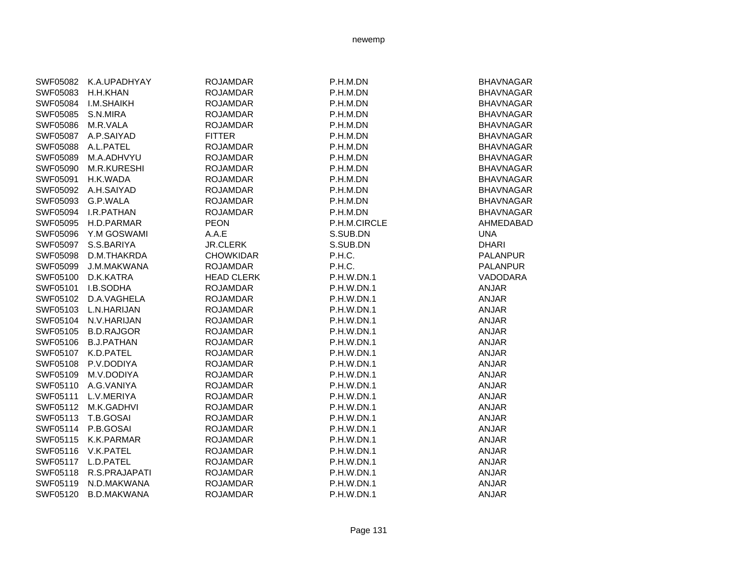| SWF05082 K.A.UPADHYAY | <b>ROJAMDAR</b>   | P.H.M.DN     | <b>BHAVNAGAR</b> |
|-----------------------|-------------------|--------------|------------------|
| H.H.KHAN              | <b>ROJAMDAR</b>   | P.H.M.DN     | <b>BHAVNAGAR</b> |
| <b>I.M.SHAIKH</b>     | <b>ROJAMDAR</b>   | P.H.M.DN     | <b>BHAVNAGAR</b> |
| S.N.MIRA              | <b>ROJAMDAR</b>   | P.H.M.DN     | <b>BHAVNAGAR</b> |
| M.R.VALA              | <b>ROJAMDAR</b>   | P.H.M.DN     | <b>BHAVNAGAR</b> |
| A.P.SAIYAD            | <b>FITTER</b>     | P.H.M.DN     | <b>BHAVNAGAR</b> |
| A.L.PATEL             | <b>ROJAMDAR</b>   | P.H.M.DN     | <b>BHAVNAGAR</b> |
| M.A.ADHVYU            | <b>ROJAMDAR</b>   | P.H.M.DN     | <b>BHAVNAGAR</b> |
| <b>M.R.KURESHI</b>    | <b>ROJAMDAR</b>   | P.H.M.DN     | <b>BHAVNAGAR</b> |
| H.K.WADA              | <b>ROJAMDAR</b>   | P.H.M.DN     | <b>BHAVNAGAR</b> |
| A.H.SAIYAD            | <b>ROJAMDAR</b>   | P.H.M.DN     | <b>BHAVNAGAR</b> |
| G.P.WALA              | <b>ROJAMDAR</b>   | P.H.M.DN     | <b>BHAVNAGAR</b> |
| I.R.PATHAN            | <b>ROJAMDAR</b>   | P.H.M.DN     | <b>BHAVNAGAR</b> |
| H.D.PARMAR            | <b>PEON</b>       | P.H.M.CIRCLE | AHMEDABAD        |
| Y.M GOSWAMI           | A.A.E             | S.SUB.DN     | <b>UNA</b>       |
| S.S.BARIYA            | <b>JR.CLERK</b>   | S.SUB.DN     | <b>DHARI</b>     |
| D.M.THAKRDA           | <b>CHOWKIDAR</b>  | P.H.C.       | <b>PALANPUR</b>  |
| J.M.MAKWANA           | <b>ROJAMDAR</b>   | P.H.C.       | <b>PALANPUR</b>  |
| D.K.KATRA             | <b>HEAD CLERK</b> | P.H.W.DN.1   | VADODARA         |
| I.B.SODHA             | <b>ROJAMDAR</b>   | P.H.W.DN.1   | <b>ANJAR</b>     |
| D.A.VAGHELA           | <b>ROJAMDAR</b>   | P.H.W.DN.1   | <b>ANJAR</b>     |
| L.N.HARIJAN           | <b>ROJAMDAR</b>   | P.H.W.DN.1   | <b>ANJAR</b>     |
| N.V.HARIJAN           | <b>ROJAMDAR</b>   | P.H.W.DN.1   | <b>ANJAR</b>     |
| <b>B.D.RAJGOR</b>     | <b>ROJAMDAR</b>   | P.H.W.DN.1   | <b>ANJAR</b>     |
| <b>B.J.PATHAN</b>     | <b>ROJAMDAR</b>   | P.H.W.DN.1   | <b>ANJAR</b>     |
| K.D.PATEL             | <b>ROJAMDAR</b>   | P.H.W.DN.1   | <b>ANJAR</b>     |
| P.V.DODIYA            | <b>ROJAMDAR</b>   | P.H.W.DN.1   | <b>ANJAR</b>     |
| M.V.DODIYA            | <b>ROJAMDAR</b>   | P.H.W.DN.1   | <b>ANJAR</b>     |
| A.G.VANIYA            | <b>ROJAMDAR</b>   | P.H.W.DN.1   | <b>ANJAR</b>     |
| L.V.MERIYA            | <b>ROJAMDAR</b>   | P.H.W.DN.1   | <b>ANJAR</b>     |
| M.K.GADHVI            | <b>ROJAMDAR</b>   | P.H.W.DN.1   | <b>ANJAR</b>     |
| T.B.GOSAI             | <b>ROJAMDAR</b>   | P.H.W.DN.1   | <b>ANJAR</b>     |
| P.B.GOSAI             | <b>ROJAMDAR</b>   | P.H.W.DN.1   | <b>ANJAR</b>     |
| K.K.PARMAR            | <b>ROJAMDAR</b>   | P.H.W.DN.1   | <b>ANJAR</b>     |
| V.K.PATEL             | <b>ROJAMDAR</b>   | P.H.W.DN.1   | <b>ANJAR</b>     |
| L.D.PATEL             | <b>ROJAMDAR</b>   | P.H.W.DN.1   | <b>ANJAR</b>     |
| R.S.PRAJAPATI         | <b>ROJAMDAR</b>   | P.H.W.DN.1   | <b>ANJAR</b>     |
| N.D.MAKWANA           | <b>ROJAMDAR</b>   | P.H.W.DN.1   | <b>ANJAR</b>     |
| <b>B.D.MAKWANA</b>    | <b>ROJAMDAR</b>   | P.H.W.DN.1   | <b>ANJAR</b>     |
|                       |                   |              |                  |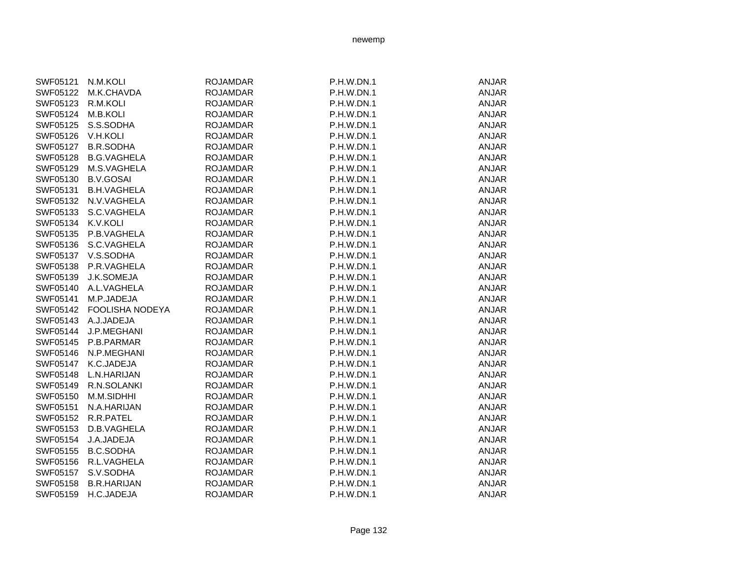| SWF05121 | N.M.KOLI               | <b>ROJAMDAR</b> | P.H.W.DN.1 | <b>ANJAR</b> |
|----------|------------------------|-----------------|------------|--------------|
| SWF05122 | M.K.CHAVDA             | <b>ROJAMDAR</b> | P.H.W.DN.1 | <b>ANJAR</b> |
| SWF05123 | R.M.KOLI               | <b>ROJAMDAR</b> | P.H.W.DN.1 | ANJAR        |
| SWF05124 | M.B.KOLI               | <b>ROJAMDAR</b> | P.H.W.DN.1 | <b>ANJAR</b> |
| SWF05125 | S.S.SODHA              | <b>ROJAMDAR</b> | P.H.W.DN.1 | <b>ANJAR</b> |
| SWF05126 | V.H.KOLI               | <b>ROJAMDAR</b> | P.H.W.DN.1 | <b>ANJAR</b> |
| SWF05127 | <b>B.R.SODHA</b>       | <b>ROJAMDAR</b> | P.H.W.DN.1 | <b>ANJAR</b> |
| SWF05128 | <b>B.G.VAGHELA</b>     | <b>ROJAMDAR</b> | P.H.W.DN.1 | <b>ANJAR</b> |
| SWF05129 | M.S.VAGHELA            | <b>ROJAMDAR</b> | P.H.W.DN.1 | <b>ANJAR</b> |
| SWF05130 | <b>B.V.GOSAI</b>       | <b>ROJAMDAR</b> | P.H.W.DN.1 | <b>ANJAR</b> |
| SWF05131 | <b>B.H.VAGHELA</b>     | <b>ROJAMDAR</b> | P.H.W.DN.1 | <b>ANJAR</b> |
| SWF05132 | N.V.VAGHELA            | <b>ROJAMDAR</b> | P.H.W.DN.1 | <b>ANJAR</b> |
| SWF05133 | S.C.VAGHELA            | <b>ROJAMDAR</b> | P.H.W.DN.1 | <b>ANJAR</b> |
| SWF05134 | K.V.KOLI               | <b>ROJAMDAR</b> | P.H.W.DN.1 | <b>ANJAR</b> |
| SWF05135 | P.B.VAGHELA            | <b>ROJAMDAR</b> | P.H.W.DN.1 | <b>ANJAR</b> |
| SWF05136 | S.C.VAGHELA            | <b>ROJAMDAR</b> | P.H.W.DN.1 | ANJAR        |
| SWF05137 | V.S.SODHA              | <b>ROJAMDAR</b> | P.H.W.DN.1 | <b>ANJAR</b> |
| SWF05138 | P.R.VAGHELA            | <b>ROJAMDAR</b> | P.H.W.DN.1 | <b>ANJAR</b> |
| SWF05139 | J.K.SOMEJA             | <b>ROJAMDAR</b> | P.H.W.DN.1 | <b>ANJAR</b> |
| SWF05140 | A.L.VAGHELA            | <b>ROJAMDAR</b> | P.H.W.DN.1 | <b>ANJAR</b> |
| SWF05141 | M.P.JADEJA             | <b>ROJAMDAR</b> | P.H.W.DN.1 | <b>ANJAR</b> |
| SWF05142 | <b>FOOLISHA NODEYA</b> | <b>ROJAMDAR</b> | P.H.W.DN.1 | <b>ANJAR</b> |
| SWF05143 | A.J.JADEJA             | <b>ROJAMDAR</b> | P.H.W.DN.1 | <b>ANJAR</b> |
| SWF05144 | J.P.MEGHANI            | <b>ROJAMDAR</b> | P.H.W.DN.1 | <b>ANJAR</b> |
| SWF05145 | P.B.PARMAR             | <b>ROJAMDAR</b> | P.H.W.DN.1 | <b>ANJAR</b> |
| SWF05146 | N.P.MEGHANI            | <b>ROJAMDAR</b> | P.H.W.DN.1 | ANJAR        |
| SWF05147 | K.C.JADEJA             | <b>ROJAMDAR</b> | P.H.W.DN.1 | <b>ANJAR</b> |
| SWF05148 | L.N.HARIJAN            | <b>ROJAMDAR</b> | P.H.W.DN.1 | <b>ANJAR</b> |
| SWF05149 | R.N.SOLANKI            | <b>ROJAMDAR</b> | P.H.W.DN.1 | <b>ANJAR</b> |
| SWF05150 | M.M.SIDHHI             | <b>ROJAMDAR</b> | P.H.W.DN.1 | <b>ANJAR</b> |
| SWF05151 | N.A.HARIJAN            | <b>ROJAMDAR</b> | P.H.W.DN.1 | <b>ANJAR</b> |
| SWF05152 | R.R.PATEL              | <b>ROJAMDAR</b> | P.H.W.DN.1 | <b>ANJAR</b> |
| SWF05153 | D.B.VAGHELA            | <b>ROJAMDAR</b> | P.H.W.DN.1 | <b>ANJAR</b> |
| SWF05154 | J.A.JADEJA             | <b>ROJAMDAR</b> | P.H.W.DN.1 | <b>ANJAR</b> |
| SWF05155 | <b>B.C.SODHA</b>       | <b>ROJAMDAR</b> | P.H.W.DN.1 | <b>ANJAR</b> |
| SWF05156 | R.L.VAGHELA            | <b>ROJAMDAR</b> | P.H.W.DN.1 | <b>ANJAR</b> |
| SWF05157 | S.V.SODHA              | <b>ROJAMDAR</b> | P.H.W.DN.1 | <b>ANJAR</b> |
| SWF05158 | <b>B.R.HARIJAN</b>     | <b>ROJAMDAR</b> | P.H.W.DN.1 | <b>ANJAR</b> |
| SWF05159 | H.C.JADEJA             | <b>ROJAMDAR</b> | P.H.W.DN.1 | <b>ANJAR</b> |
|          |                        |                 |            |              |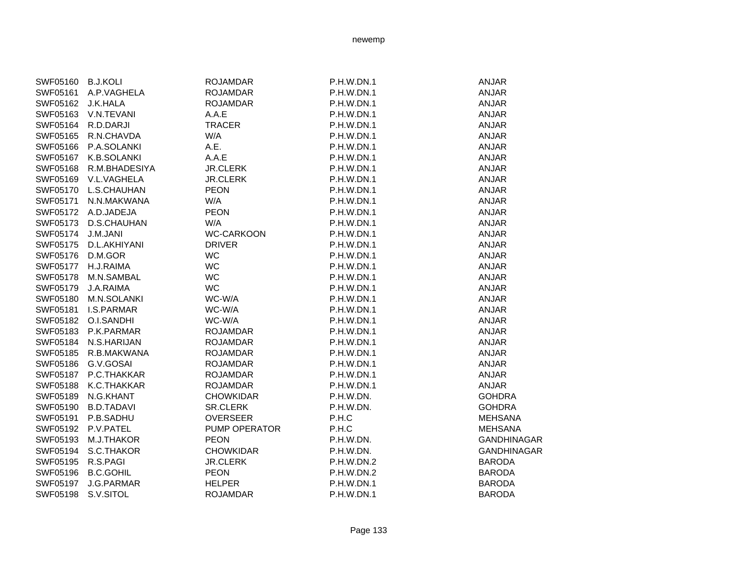| SWF05160 | <b>B.J.KOLI</b>   | <b>ROJAMDAR</b>   | P.H.W.DN.1        | <b>ANJAR</b>       |
|----------|-------------------|-------------------|-------------------|--------------------|
| SWF05161 | A.P.VAGHELA       | <b>ROJAMDAR</b>   | P.H.W.DN.1        | <b>ANJAR</b>       |
| SWF05162 | J.K.HALA          | <b>ROJAMDAR</b>   | P.H.W.DN.1        | <b>ANJAR</b>       |
| SWF05163 | V.N.TEVANI        | A.A.E             | P.H.W.DN.1        | <b>ANJAR</b>       |
| SWF05164 | R.D.DARJI         | <b>TRACER</b>     | P.H.W.DN.1        | <b>ANJAR</b>       |
| SWF05165 | R.N.CHAVDA        | W/A               | P.H.W.DN.1        | <b>ANJAR</b>       |
| SWF05166 | P.A.SOLANKI       | A.E.              | P.H.W.DN.1        | <b>ANJAR</b>       |
| SWF05167 | K.B.SOLANKI       | A.A.E             | P.H.W.DN.1        | <b>ANJAR</b>       |
| SWF05168 | R.M.BHADESIYA     | <b>JR.CLERK</b>   | <b>P.H.W.DN.1</b> | <b>ANJAR</b>       |
|          |                   |                   |                   |                    |
| SWF05169 | V.L.VAGHELA       | <b>JR.CLERK</b>   | <b>P.H.W.DN.1</b> | <b>ANJAR</b>       |
| SWF05170 | L.S.CHAUHAN       | <b>PEON</b>       | P.H.W.DN.1        | <b>ANJAR</b>       |
| SWF05171 | N.N.MAKWANA       | W/A               | P.H.W.DN.1        | <b>ANJAR</b>       |
| SWF05172 | A.D.JADEJA        | <b>PEON</b>       | P.H.W.DN.1        | <b>ANJAR</b>       |
| SWF05173 | D.S.CHAUHAN       | W/A               | P.H.W.DN.1        | <b>ANJAR</b>       |
| SWF05174 | J.M.JANI          | <b>WC-CARKOON</b> | P.H.W.DN.1        | <b>ANJAR</b>       |
| SWF05175 | D.L.AKHIYANI      | <b>DRIVER</b>     | P.H.W.DN.1        | <b>ANJAR</b>       |
| SWF05176 | D.M.GOR           | WC                | P.H.W.DN.1        | <b>ANJAR</b>       |
| SWF05177 | H.J.RAIMA         | <b>WC</b>         | P.H.W.DN.1        | <b>ANJAR</b>       |
| SWF05178 | M.N.SAMBAL        | WC                | P.H.W.DN.1        | <b>ANJAR</b>       |
| SWF05179 | J.A.RAIMA         | <b>WC</b>         | P.H.W.DN.1        | <b>ANJAR</b>       |
| SWF05180 | M.N.SOLANKI       | WC-W/A            | <b>P.H.W.DN.1</b> | <b>ANJAR</b>       |
| SWF05181 | <b>I.S.PARMAR</b> | WC-W/A            | P.H.W.DN.1        | <b>ANJAR</b>       |
| SWF05182 | O.I.SANDHI        | WC-W/A            | P.H.W.DN.1        | <b>ANJAR</b>       |
| SWF05183 | P.K.PARMAR        | <b>ROJAMDAR</b>   | P.H.W.DN.1        | <b>ANJAR</b>       |
| SWF05184 | N.S.HARIJAN       | <b>ROJAMDAR</b>   | P.H.W.DN.1        | <b>ANJAR</b>       |
| SWF05185 | R.B.MAKWANA       | <b>ROJAMDAR</b>   | P.H.W.DN.1        | <b>ANJAR</b>       |
| SWF05186 | G.V.GOSAI         | <b>ROJAMDAR</b>   | P.H.W.DN.1        | <b>ANJAR</b>       |
| SWF05187 | P.C.THAKKAR       | <b>ROJAMDAR</b>   | P.H.W.DN.1        | <b>ANJAR</b>       |
| SWF05188 | K.C.THAKKAR       | <b>ROJAMDAR</b>   | P.H.W.DN.1        | <b>ANJAR</b>       |
| SWF05189 | N.G.KHANT         | <b>CHOWKIDAR</b>  | P.H.W.DN.         | <b>GOHDRA</b>      |
| SWF05190 | <b>B.D.TADAVI</b> | <b>SR.CLERK</b>   | P.H.W.DN.         | <b>GOHDRA</b>      |
| SWF05191 | P.B.SADHU         | <b>OVERSEER</b>   | P.H.C             | <b>MEHSANA</b>     |
| SWF05192 | P.V.PATEL         | PUMP OPERATOR     | P.H.C             | <b>MEHSANA</b>     |
| SWF05193 | M.J.THAKOR        | <b>PEON</b>       | P.H.W.DN.         | <b>GANDHINAGAR</b> |
| SWF05194 | S.C.THAKOR        | <b>CHOWKIDAR</b>  | P.H.W.DN.         | <b>GANDHINAGAR</b> |
| SWF05195 | R.S.PAGI          | <b>JR.CLERK</b>   | P.H.W.DN.2        | <b>BARODA</b>      |
| SWF05196 | <b>B.C.GOHIL</b>  | <b>PEON</b>       | P.H.W.DN.2        | <b>BARODA</b>      |
| SWF05197 | J.G.PARMAR        | <b>HELPER</b>     | P.H.W.DN.1        | <b>BARODA</b>      |
| SWF05198 | S.V.SITOL         | <b>ROJAMDAR</b>   | P.H.W.DN.1        | <b>BARODA</b>      |
|          |                   |                   |                   |                    |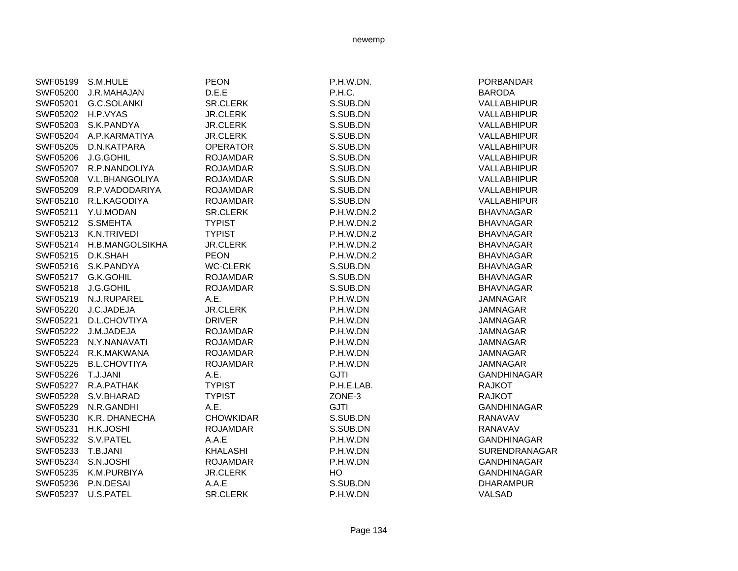| SWF05199        | S.M.HULE            | <b>PEON</b>      | P.H.W.DN.   | PORBANDAR          |
|-----------------|---------------------|------------------|-------------|--------------------|
| SWF05200        | J.R.MAHAJAN         | D.E.E            | P.H.C.      | <b>BARODA</b>      |
| SWF05201        | G.C.SOLANKI         | <b>SR.CLERK</b>  | S.SUB.DN    | VALLABHIPUR        |
| SWF05202        | H.P.VYAS            | <b>JR.CLERK</b>  | S.SUB.DN    | <b>VALLABHIPUR</b> |
| SWF05203        | S.K.PANDYA          | <b>JR.CLERK</b>  | S.SUB.DN    | <b>VALLABHIPUR</b> |
| SWF05204        | A.P.KARMATIYA       | <b>JR.CLERK</b>  | S.SUB.DN    | <b>VALLABHIPUR</b> |
| SWF05205        | D.N.KATPARA         | <b>OPERATOR</b>  | S.SUB.DN    | VALLABHIPUR        |
| SWF05206        | J.G.GOHIL           | <b>ROJAMDAR</b>  | S.SUB.DN    | <b>VALLABHIPUR</b> |
| SWF05207        | R.P.NANDOLIYA       | <b>ROJAMDAR</b>  | S.SUB.DN    | VALLABHIPUR        |
| <b>SWF05208</b> | V.L.BHANGOLIYA      | <b>ROJAMDAR</b>  | S.SUB.DN    | VALLABHIPUR        |
| SWF05209        | R.P.VADODARIYA      | <b>ROJAMDAR</b>  | S.SUB.DN    | VALLABHIPUR        |
| SWF05210        | R.L.KAGODIYA        | <b>ROJAMDAR</b>  | S.SUB.DN    | <b>VALLABHIPUR</b> |
| SWF05211        | Y.U.MODAN           | <b>SR.CLERK</b>  | P.H.W.DN.2  | <b>BHAVNAGAR</b>   |
| SWF05212        | S.SMEHTA            | <b>TYPIST</b>    | P.H.W.DN.2  | <b>BHAVNAGAR</b>   |
| SWF05213        | K.N.TRIVEDI         | <b>TYPIST</b>    | P.H.W.DN.2  | <b>BHAVNAGAR</b>   |
| SWF05214        | H.B.MANGOLSIKHA     | JR.CLERK         | P.H.W.DN.2  | <b>BHAVNAGAR</b>   |
| SWF05215        | D.K.SHAH            | <b>PEON</b>      | P.H.W.DN.2  | <b>BHAVNAGAR</b>   |
| SWF05216        | S.K.PANDYA          | <b>WC-CLERK</b>  | S.SUB.DN    | <b>BHAVNAGAR</b>   |
| SWF05217        | G.K.GOHIL           | <b>ROJAMDAR</b>  | S.SUB.DN    | <b>BHAVNAGAR</b>   |
| SWF05218        | J.G.GOHIL           | <b>ROJAMDAR</b>  | S.SUB.DN    | <b>BHAVNAGAR</b>   |
| SWF05219        | N.J.RUPAREL         | A.E.             | P.H.W.DN    | <b>JAMNAGAR</b>    |
| SWF05220        | J.C.JADEJA          | <b>JR.CLERK</b>  | P.H.W.DN    | <b>JAMNAGAR</b>    |
| SWF05221        | D.L.CHOVTIYA        | <b>DRIVER</b>    | P.H.W.DN    | <b>JAMNAGAR</b>    |
| SWF05222        | J.M.JADEJA          | <b>ROJAMDAR</b>  | P.H.W.DN    | <b>JAMNAGAR</b>    |
| SWF05223        | N.Y.NANAVATI        | <b>ROJAMDAR</b>  | P.H.W.DN    | <b>JAMNAGAR</b>    |
| SWF05224        | R.K.MAKWANA         | <b>ROJAMDAR</b>  | P.H.W.DN    | <b>JAMNAGAR</b>    |
| SWF05225        | <b>B.L.CHOVTIYA</b> | <b>ROJAMDAR</b>  | P.H.W.DN    | <b>JAMNAGAR</b>    |
| SWF05226        | T.J.JANI            | A.E.             | <b>GJTI</b> | <b>GANDHINAGAR</b> |
| SWF05227        | R.A.PATHAK          | <b>TYPIST</b>    | P.H.E.LAB.  | <b>RAJKOT</b>      |
| SWF05228        | S.V.BHARAD          | <b>TYPIST</b>    | ZONE-3      | <b>RAJKOT</b>      |
| SWF05229        | N.R.GANDHI          | A.E.             | <b>GJTI</b> | <b>GANDHINAGAR</b> |
| SWF05230        | K.R. DHANECHA       | <b>CHOWKIDAR</b> | S.SUB.DN    | <b>RANAVAV</b>     |
| SWF05231        | H.K.JOSHI           | <b>ROJAMDAR</b>  | S.SUB.DN    | <b>RANAVAV</b>     |
| SWF05232        | S.V.PATEL           | A.A.E            | P.H.W.DN    | <b>GANDHINAGAR</b> |
| SWF05233        | T.B.JANI            | KHALASHI         | P.H.W.DN    | SURENDRANAGAR      |
| SWF05234        | S.N.JOSHI           | <b>ROJAMDAR</b>  | P.H.W.DN    | <b>GANDHINAGAR</b> |
| SWF05235        | K.M.PURBIYA         | <b>JR.CLERK</b>  | HO          | <b>GANDHINAGAR</b> |
| SWF05236        | P.N.DESAI           | A.A.E            | S.SUB.DN    | <b>DHARAMPUR</b>   |
| SWF05237        | U.S.PATEL           | <b>SR.CLERK</b>  | P.H.W.DN    | VALSAD             |
|                 |                     |                  |             |                    |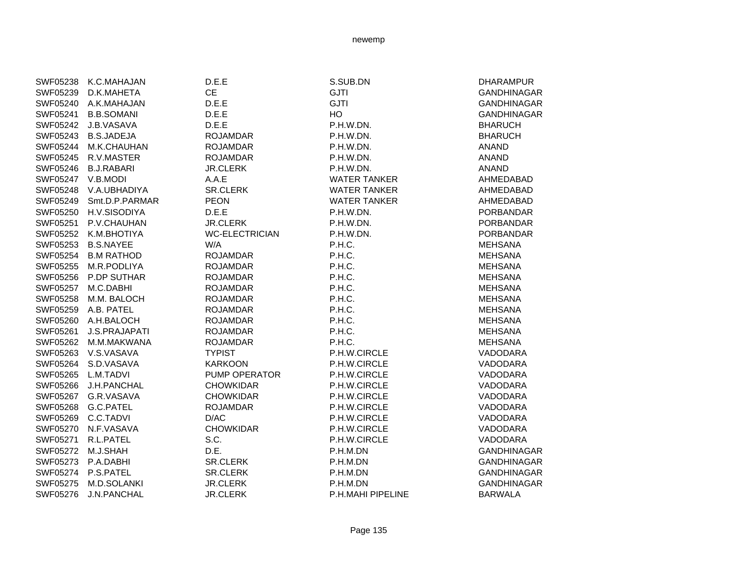|                    | SWF05238 K.C.MAHAJAN    | D.E.E                 | S.SUB.DN            | <b>DHARAMPUR</b>   |
|--------------------|-------------------------|-----------------------|---------------------|--------------------|
| SWF05239           | D.K.MAHETA              | <b>CE</b>             | <b>GJTI</b>         | <b>GANDHINAGAR</b> |
|                    | SWF05240 A.K.MAHAJAN    | D.E.E.                | <b>GJTI</b>         | <b>GANDHINAGAR</b> |
|                    | SWF05241 B.B.SOMANI     | D.E.E.                | HO                  | <b>GANDHINAGAR</b> |
|                    | SWF05242 J.B.VASAVA     | D.E.E                 | P.H.W.DN.           | <b>BHARUCH</b>     |
|                    | SWF05243 B.S.JADEJA     | <b>ROJAMDAR</b>       | P.H.W.DN.           | <b>BHARUCH</b>     |
|                    | SWF05244 M.K.CHAUHAN    | <b>ROJAMDAR</b>       | P.H.W.DN.           | <b>ANAND</b>       |
|                    | SWF05245 R.V.MASTER     | <b>ROJAMDAR</b>       | P.H.W.DN.           | <b>ANAND</b>       |
|                    | SWF05246 B.J.RABARI     | <b>JR.CLERK</b>       | P.H.W.DN.           | <b>ANAND</b>       |
| SWF05247 V.B.MODI  |                         | A.A.E                 | <b>WATER TANKER</b> | AHMEDABAD          |
|                    | SWF05248 V.A.UBHADIYA   | SR.CLERK              | <b>WATER TANKER</b> | AHMEDABAD          |
|                    | SWF05249 Smt.D.P.PARMAR | <b>PEON</b>           | <b>WATER TANKER</b> | AHMEDABAD          |
|                    | SWF05250 H.V.SISODIYA   | D.E.E                 | P.H.W.DN.           | <b>PORBANDAR</b>   |
|                    | SWF05251 P.V.CHAUHAN    | <b>JR.CLERK</b>       | P.H.W.DN.           | <b>PORBANDAR</b>   |
|                    | SWF05252 K.M.BHOTIYA    | <b>WC-ELECTRICIAN</b> | P.H.W.DN.           | <b>PORBANDAR</b>   |
|                    | SWF05253 B.S.NAYEE      | W/A                   | P.H.C.              | <b>MEHSANA</b>     |
|                    | SWF05254 B.M RATHOD     | <b>ROJAMDAR</b>       | P.H.C.              | <b>MEHSANA</b>     |
|                    | SWF05255 M.R.PODLIYA    | <b>ROJAMDAR</b>       | P.H.C.              | <b>MEHSANA</b>     |
|                    | SWF05256 P.DP SUTHAR    | <b>ROJAMDAR</b>       | P.H.C.              | <b>MEHSANA</b>     |
|                    | SWF05257 M.C.DABHI      | <b>ROJAMDAR</b>       | P.H.C.              | <b>MEHSANA</b>     |
|                    | SWF05258 M.M. BALOCH    | <b>ROJAMDAR</b>       | P.H.C.              | <b>MEHSANA</b>     |
|                    | SWF05259 A.B. PATEL     | <b>ROJAMDAR</b>       | P.H.C.              | <b>MEHSANA</b>     |
|                    | SWF05260 A.H.BALOCH     | <b>ROJAMDAR</b>       | P.H.C.              | <b>MEHSANA</b>     |
| SWF05261           | <b>J.S.PRAJAPATI</b>    | <b>ROJAMDAR</b>       | P.H.C.              | <b>MEHSANA</b>     |
|                    | SWF05262 M.M.MAKWANA    | <b>ROJAMDAR</b>       | P.H.C.              | <b>MEHSANA</b>     |
|                    | SWF05263 V.S.VASAVA     | <b>TYPIST</b>         | P.H.W.CIRCLE        | VADODARA           |
|                    | SWF05264 S.D.VASAVA     | <b>KARKOON</b>        | P.H.W.CIRCLE        | VADODARA           |
| SWF05265 L.M.TADVI |                         | PUMP OPERATOR         | P.H.W.CIRCLE        | VADODARA           |
|                    | SWF05266 J.H.PANCHAL    | <b>CHOWKIDAR</b>      | P.H.W.CIRCLE        | VADODARA           |
|                    | SWF05267 G.R.VASAVA     | <b>CHOWKIDAR</b>      | P.H.W.CIRCLE        | VADODARA           |
|                    | SWF05268 G.C.PATEL      | <b>ROJAMDAR</b>       | P.H.W.CIRCLE        | VADODARA           |
|                    | SWF05269 C.C.TADVI      | D/AC                  | P.H.W.CIRCLE        | VADODARA           |
|                    | SWF05270 N.F.VASAVA     | <b>CHOWKIDAR</b>      | P.H.W.CIRCLE        | VADODARA           |
|                    | SWF05271 R.L.PATEL      | S.C.                  | P.H.W.CIRCLE        | VADODARA           |
| SWF05272 M.J.SHAH  |                         | D.E.                  | P.H.M.DN            | <b>GANDHINAGAR</b> |
|                    | SWF05273 P.A.DABHI      | SR.CLERK              | P.H.M.DN            | <b>GANDHINAGAR</b> |
|                    | SWF05274 P.S.PATEL      | <b>SR.CLERK</b>       | P.H.M.DN            | <b>GANDHINAGAR</b> |
| SWF05275           | M.D.SOLANKI             | JR.CLERK              | P.H.M.DN            | <b>GANDHINAGAR</b> |
| SWF05276           | <b>J.N.PANCHAL</b>      | <b>JR.CLERK</b>       | P.H.MAHI PIPELINE   | <b>BARWALA</b>     |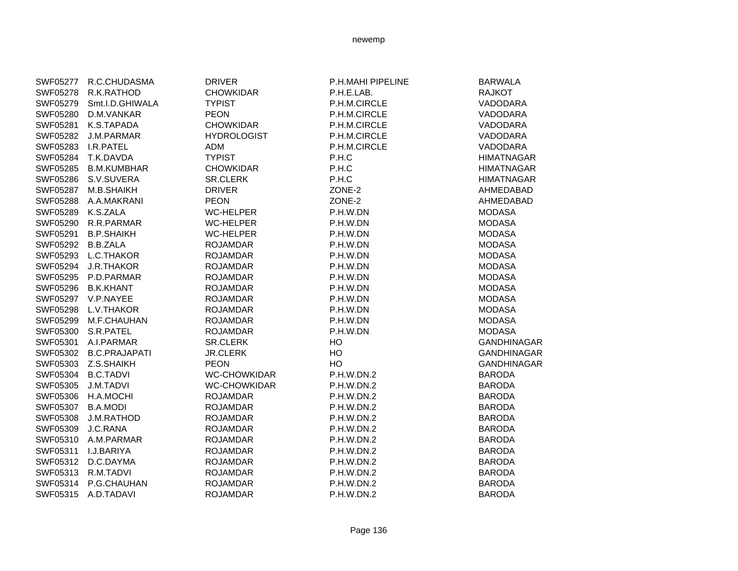| SWF05277 | R.C.CHUDASMA         | <b>DRIVER</b>       | P.H.MAHI PIPELINE | <b>BARWALA</b>     |
|----------|----------------------|---------------------|-------------------|--------------------|
| SWF05278 | R.K.RATHOD           | <b>CHOWKIDAR</b>    | P.H.E.LAB.        | <b>RAJKOT</b>      |
| SWF05279 | Smt.I.D.GHIWALA      | <b>TYPIST</b>       | P.H.M.CIRCLE      | VADODARA           |
| SWF05280 | D.M.VANKAR           | <b>PEON</b>         | P.H.M.CIRCLE      | VADODARA           |
| SWF05281 | K.S.TAPADA           | <b>CHOWKIDAR</b>    | P.H.M.CIRCLE      | VADODARA           |
| SWF05282 | J.M.PARMAR           | <b>HYDROLOGIST</b>  | P.H.M.CIRCLE      | VADODARA           |
| SWF05283 | I.R.PATEL            | <b>ADM</b>          | P.H.M.CIRCLE      | VADODARA           |
| SWF05284 | T.K.DAVDA            | <b>TYPIST</b>       | P.H.C             | <b>HIMATNAGAR</b>  |
| SWF05285 | <b>B.M.KUMBHAR</b>   | <b>CHOWKIDAR</b>    | P.H.C             | <b>HIMATNAGAR</b>  |
| SWF05286 | S.V.SUVERA           | <b>SR.CLERK</b>     | P.H.C             | <b>HIMATNAGAR</b>  |
| SWF05287 | M.B.SHAIKH           | <b>DRIVER</b>       | ZONE-2            | AHMEDABAD          |
| SWF05288 | A.A.MAKRANI          | <b>PEON</b>         | ZONE-2            | AHMEDABAD          |
| SWF05289 | K.S.ZALA             | <b>WC-HELPER</b>    | P.H.W.DN          | <b>MODASA</b>      |
| SWF05290 | R.R.PARMAR           | <b>WC-HELPER</b>    | P.H.W.DN          | <b>MODASA</b>      |
| SWF05291 | <b>B.P.SHAIKH</b>    | <b>WC-HELPER</b>    | P.H.W.DN          | <b>MODASA</b>      |
| SWF05292 | <b>B.B.ZALA</b>      | <b>ROJAMDAR</b>     | P.H.W.DN          | <b>MODASA</b>      |
| SWF05293 | L.C.THAKOR           | <b>ROJAMDAR</b>     | P.H.W.DN          | <b>MODASA</b>      |
| SWF05294 | <b>J.R.THAKOR</b>    | <b>ROJAMDAR</b>     | P.H.W.DN          | <b>MODASA</b>      |
| SWF05295 | P.D.PARMAR           | <b>ROJAMDAR</b>     | P.H.W.DN          | <b>MODASA</b>      |
| SWF05296 | <b>B.K.KHANT</b>     | <b>ROJAMDAR</b>     | P.H.W.DN          | <b>MODASA</b>      |
| SWF05297 | V.P.NAYEE            | <b>ROJAMDAR</b>     | P.H.W.DN          | <b>MODASA</b>      |
| SWF05298 | L.V.THAKOR           | <b>ROJAMDAR</b>     | P.H.W.DN          | <b>MODASA</b>      |
| SWF05299 | M.F.CHAUHAN          | <b>ROJAMDAR</b>     | P.H.W.DN          | <b>MODASA</b>      |
| SWF05300 | S.R.PATEL            | <b>ROJAMDAR</b>     | P.H.W.DN          | <b>MODASA</b>      |
| SWF05301 | A.I.PARMAR           | <b>SR.CLERK</b>     | HO                | <b>GANDHINAGAR</b> |
| SWF05302 | <b>B.C.PRAJAPATI</b> | <b>JR.CLERK</b>     | HO                | <b>GANDHINAGAR</b> |
| SWF05303 | Z.S.SHAIKH           | <b>PEON</b>         | HO                | GANDHINAGAR        |
| SWF05304 | <b>B.C.TADVI</b>     | <b>WC-CHOWKIDAR</b> | P.H.W.DN.2        | <b>BARODA</b>      |
| SWF05305 | J.M.TADVI            | <b>WC-CHOWKIDAR</b> | P.H.W.DN.2        | <b>BARODA</b>      |
| SWF05306 | H.A.MOCHI            | <b>ROJAMDAR</b>     | P.H.W.DN.2        | <b>BARODA</b>      |
| SWF05307 | <b>B.A.MODI</b>      | <b>ROJAMDAR</b>     | P.H.W.DN.2        | <b>BARODA</b>      |
| SWF05308 | J.M.RATHOD           | <b>ROJAMDAR</b>     | P.H.W.DN.2        | <b>BARODA</b>      |
| SWF05309 | J.C.RANA             | <b>ROJAMDAR</b>     | P.H.W.DN.2        | <b>BARODA</b>      |
| SWF05310 | A.M.PARMAR           | <b>ROJAMDAR</b>     | P.H.W.DN.2        | <b>BARODA</b>      |
| SWF05311 | I.J.BARIYA           | <b>ROJAMDAR</b>     | P.H.W.DN.2        | <b>BARODA</b>      |
| SWF05312 | D.C.DAYMA            | <b>ROJAMDAR</b>     | P.H.W.DN.2        | <b>BARODA</b>      |
| SWF05313 | R.M.TADVI            | <b>ROJAMDAR</b>     | P.H.W.DN.2        | <b>BARODA</b>      |
| SWF05314 | P.G.CHAUHAN          | <b>ROJAMDAR</b>     | P.H.W.DN.2        | <b>BARODA</b>      |
| SWF05315 | A.D.TADAVI           | <b>ROJAMDAR</b>     | <b>P.H.W.DN.2</b> | <b>BARODA</b>      |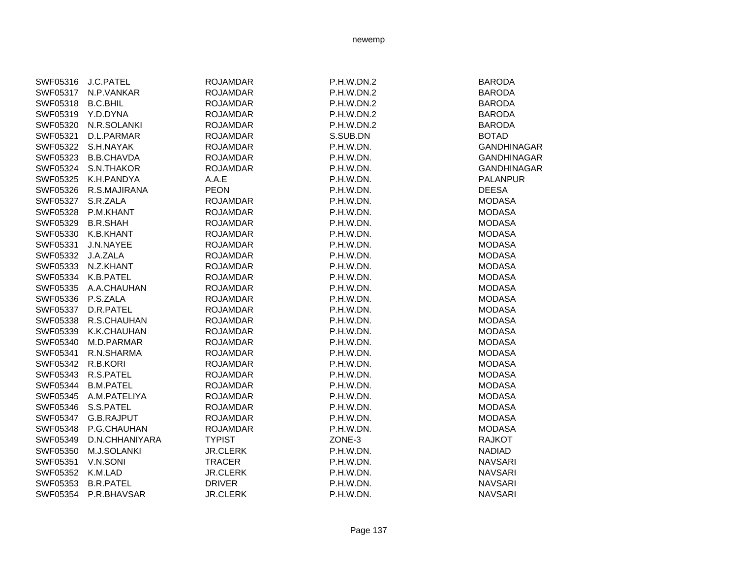| SWF05316 | J.C.PATEL         | <b>ROJAMDAR</b> | P.H.W.DN.2 | <b>BARODA</b>      |
|----------|-------------------|-----------------|------------|--------------------|
| SWF05317 | N.P.VANKAR        | <b>ROJAMDAR</b> | P.H.W.DN.2 | <b>BARODA</b>      |
| SWF05318 | <b>B.C.BHIL</b>   | <b>ROJAMDAR</b> | P.H.W.DN.2 | <b>BARODA</b>      |
| SWF05319 | Y.D.DYNA          | <b>ROJAMDAR</b> | P.H.W.DN.2 | <b>BARODA</b>      |
| SWF05320 | N.R.SOLANKI       | <b>ROJAMDAR</b> | P.H.W.DN.2 | <b>BARODA</b>      |
| SWF05321 | D.L.PARMAR        | <b>ROJAMDAR</b> | S.SUB.DN   | <b>BOTAD</b>       |
| SWF05322 | S.H.NAYAK         | <b>ROJAMDAR</b> | P.H.W.DN.  | <b>GANDHINAGAR</b> |
| SWF05323 | <b>B.B.CHAVDA</b> | <b>ROJAMDAR</b> | P.H.W.DN.  | <b>GANDHINAGAR</b> |
| SWF05324 | S.N.THAKOR        | <b>ROJAMDAR</b> | P.H.W.DN.  | <b>GANDHINAGAR</b> |
| SWF05325 | K.H.PANDYA        | A.A.E           | P.H.W.DN.  | <b>PALANPUR</b>    |
| SWF05326 | R.S.MAJIRANA      | <b>PEON</b>     | P.H.W.DN.  | <b>DEESA</b>       |
| SWF05327 | S.R.ZALA          | <b>ROJAMDAR</b> | P.H.W.DN.  | <b>MODASA</b>      |
| SWF05328 | P.M.KHANT         | <b>ROJAMDAR</b> | P.H.W.DN.  | <b>MODASA</b>      |
| SWF05329 | <b>B.R.SHAH</b>   | <b>ROJAMDAR</b> | P.H.W.DN.  | <b>MODASA</b>      |
| SWF05330 | K.B.KHANT         | <b>ROJAMDAR</b> | P.H.W.DN.  | <b>MODASA</b>      |
| SWF05331 | J.N.NAYEE         | <b>ROJAMDAR</b> | P.H.W.DN.  | <b>MODASA</b>      |
| SWF05332 | J.A.ZALA          | <b>ROJAMDAR</b> | P.H.W.DN.  | <b>MODASA</b>      |
| SWF05333 | N.Z.KHANT         | <b>ROJAMDAR</b> | P.H.W.DN.  | <b>MODASA</b>      |
| SWF05334 | K.B.PATEL         | <b>ROJAMDAR</b> | P.H.W.DN.  | <b>MODASA</b>      |
| SWF05335 | A.A.CHAUHAN       | <b>ROJAMDAR</b> | P.H.W.DN.  | <b>MODASA</b>      |
| SWF05336 | P.S.ZALA          | <b>ROJAMDAR</b> | P.H.W.DN.  | <b>MODASA</b>      |
| SWF05337 | D.R.PATEL         | <b>ROJAMDAR</b> | P.H.W.DN.  | <b>MODASA</b>      |
| SWF05338 | R.S.CHAUHAN       | <b>ROJAMDAR</b> | P.H.W.DN.  | <b>MODASA</b>      |
| SWF05339 | K.K.CHAUHAN       | <b>ROJAMDAR</b> | P.H.W.DN.  | <b>MODASA</b>      |
| SWF05340 | M.D.PARMAR        | <b>ROJAMDAR</b> | P.H.W.DN.  | <b>MODASA</b>      |
| SWF05341 | R.N.SHARMA        | <b>ROJAMDAR</b> | P.H.W.DN.  | <b>MODASA</b>      |
| SWF05342 | R.B.KORI          | <b>ROJAMDAR</b> | P.H.W.DN.  | <b>MODASA</b>      |
| SWF05343 | R.S.PATEL         | <b>ROJAMDAR</b> | P.H.W.DN.  | <b>MODASA</b>      |
| SWF05344 | <b>B.M.PATEL</b>  | <b>ROJAMDAR</b> | P.H.W.DN.  | <b>MODASA</b>      |
| SWF05345 | A.M.PATELIYA      | <b>ROJAMDAR</b> | P.H.W.DN.  | <b>MODASA</b>      |
| SWF05346 | S.S.PATEL         | <b>ROJAMDAR</b> | P.H.W.DN.  | <b>MODASA</b>      |
| SWF05347 | G.B.RAJPUT        | <b>ROJAMDAR</b> | P.H.W.DN.  | <b>MODASA</b>      |
| SWF05348 | P.G.CHAUHAN       | <b>ROJAMDAR</b> | P.H.W.DN.  | <b>MODASA</b>      |
| SWF05349 | D.N.CHHANIYARA    | <b>TYPIST</b>   | ZONE-3     | <b>RAJKOT</b>      |
| SWF05350 | M.J.SOLANKI       | <b>JR.CLERK</b> | P.H.W.DN.  | <b>NADIAD</b>      |
| SWF05351 | V.N.SONI          | <b>TRACER</b>   | P.H.W.DN.  | <b>NAVSARI</b>     |
| SWF05352 | K.M.LAD           | <b>JR.CLERK</b> | P.H.W.DN.  | <b>NAVSARI</b>     |
| SWF05353 | <b>B.R.PATEL</b>  | <b>DRIVER</b>   | P.H.W.DN.  | <b>NAVSARI</b>     |
| SWF05354 | P.R.BHAVSAR       | <b>JR.CLERK</b> | P.H.W.DN.  | <b>NAVSARI</b>     |
|          |                   |                 |            |                    |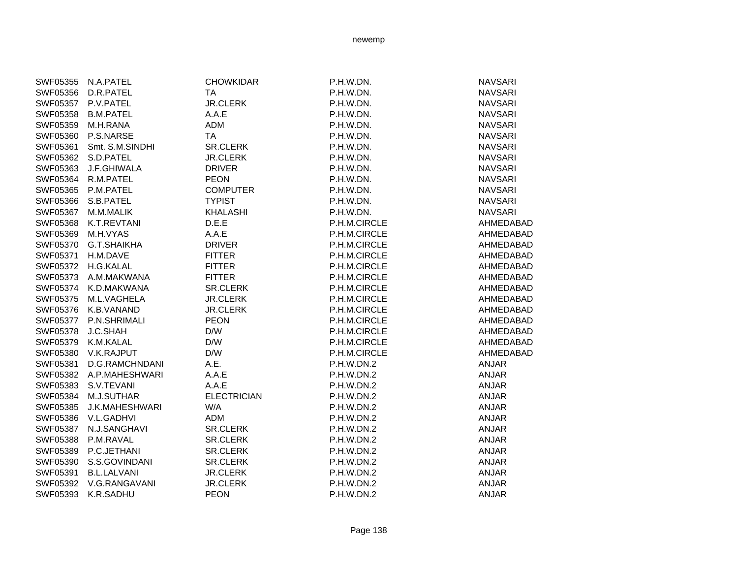| <b>NAVSARI</b><br>SWF05356 D.R.PATEL<br><b>TA</b><br>P.H.W.DN.<br>SWF05357 P.V.PATEL<br><b>JR.CLERK</b><br>P.H.W.DN.<br><b>NAVSARI</b><br>A.A.E<br>SWF05358 B.M.PATEL<br>P.H.W.DN.<br><b>NAVSARI</b><br>ADM<br><b>NAVSARI</b><br>SWF05359 M.H.RANA<br>P.H.W.DN.<br>SWF05360 P.S.NARSE<br><b>TA</b><br>P.H.W.DN.<br><b>NAVSARI</b><br>SR.CLERK<br>SWF05361<br>Smt. S.M.SINDHI<br>P.H.W.DN.<br><b>NAVSARI</b><br>SWF05362 S.D.PATEL<br><b>JR.CLERK</b><br><b>NAVSARI</b><br>P.H.W.DN.<br>SWF05363 J.F.GHIWALA<br><b>DRIVER</b><br>P.H.W.DN.<br><b>NAVSARI</b><br>SWF05364 R.M.PATEL<br><b>PEON</b><br>P.H.W.DN.<br><b>NAVSARI</b><br>SWF05365 P.M.PATEL<br><b>COMPUTER</b><br>P.H.W.DN.<br><b>NAVSARI</b><br>SWF05366<br>S.B.PATEL<br><b>TYPIST</b><br>P.H.W.DN.<br><b>NAVSARI</b><br><b>KHALASHI</b><br><b>NAVSARI</b><br>SWF05367<br>M.M.MALIK<br>P.H.W.DN.<br>SWF05368 K.T.REVTANI<br>D.E.E<br>P.H.M.CIRCLE<br>A.A.E<br>P.H.M.CIRCLE<br>SWF05369 M.H.VYAS<br>SWF05370 G.T.SHAIKHA<br><b>DRIVER</b><br>P.H.M.CIRCLE<br><b>FITTER</b><br>SWF05371<br>H.M.DAVE<br>P.H.M.CIRCLE<br>SWF05372 H.G.KALAL<br><b>FITTER</b><br>P.H.M.CIRCLE<br>SWF05373 A.M.MAKWANA<br><b>FITTER</b><br>P.H.M.CIRCLE<br>SR.CLERK<br>SWF05374 K.D.MAKWANA<br>P.H.M.CIRCLE<br>SWF05375 M.L.VAGHELA<br><b>JR.CLERK</b><br>P.H.M.CIRCLE<br>SWF05376 K.B.VANAND<br><b>JR.CLERK</b><br>P.H.M.CIRCLE<br>SWF05377 P.N.SHRIMALI<br><b>PEON</b><br>P.H.M.CIRCLE<br>D/W<br>SWF05378<br>J.C.SHAH<br>P.H.M.CIRCLE<br>SWF05379 K.M.KALAL<br>D/W<br>P.H.M.CIRCLE<br>D/W<br>SWF05380 V.K.RAJPUT<br>P.H.M.CIRCLE<br>A.E.<br>D.G.RAMCHNDANI<br><b>ANJAR</b><br>SWF05381<br>P.H.W.DN.2<br>SWF05382 A.P.MAHESHWARI<br>A.A.E<br>P.H.W.DN.2<br><b>ANJAR</b><br>A.A.E<br><b>ANJAR</b><br>SWF05383 S.V.TEVANI<br>P.H.W.DN.2<br>M.J.SUTHAR<br><b>ELECTRICIAN</b><br><b>ANJAR</b><br>SWF05384<br>P.H.W.DN.2<br>SWF05385<br>J.K.MAHESHWARI<br>W/A<br>P.H.W.DN.2<br><b>ANJAR</b><br>V.L.GADHVI<br>ADM<br><b>ANJAR</b><br>SWF05386<br>P.H.W.DN.2<br>N.J.SANGHAVI<br>SR.CLERK<br>P.H.W.DN.2<br>ANJAR<br>SWF05387<br>SWF05388<br>P.M.RAVAL<br>SR.CLERK<br>P.H.W.DN.2<br><b>ANJAR</b> | SWF05355 N.A.PATEL | <b>CHOWKIDAR</b> | P.H.W.DN. | <b>NAVSARI</b> |
|-------------------------------------------------------------------------------------------------------------------------------------------------------------------------------------------------------------------------------------------------------------------------------------------------------------------------------------------------------------------------------------------------------------------------------------------------------------------------------------------------------------------------------------------------------------------------------------------------------------------------------------------------------------------------------------------------------------------------------------------------------------------------------------------------------------------------------------------------------------------------------------------------------------------------------------------------------------------------------------------------------------------------------------------------------------------------------------------------------------------------------------------------------------------------------------------------------------------------------------------------------------------------------------------------------------------------------------------------------------------------------------------------------------------------------------------------------------------------------------------------------------------------------------------------------------------------------------------------------------------------------------------------------------------------------------------------------------------------------------------------------------------------------------------------------------------------------------------------------------------------------------------------------------------------------------------------------------------------------------------------------------------------------------------------------------------------------------------------------------------------------|--------------------|------------------|-----------|----------------|
|                                                                                                                                                                                                                                                                                                                                                                                                                                                                                                                                                                                                                                                                                                                                                                                                                                                                                                                                                                                                                                                                                                                                                                                                                                                                                                                                                                                                                                                                                                                                                                                                                                                                                                                                                                                                                                                                                                                                                                                                                                                                                                                               |                    |                  |           |                |
|                                                                                                                                                                                                                                                                                                                                                                                                                                                                                                                                                                                                                                                                                                                                                                                                                                                                                                                                                                                                                                                                                                                                                                                                                                                                                                                                                                                                                                                                                                                                                                                                                                                                                                                                                                                                                                                                                                                                                                                                                                                                                                                               |                    |                  |           |                |
|                                                                                                                                                                                                                                                                                                                                                                                                                                                                                                                                                                                                                                                                                                                                                                                                                                                                                                                                                                                                                                                                                                                                                                                                                                                                                                                                                                                                                                                                                                                                                                                                                                                                                                                                                                                                                                                                                                                                                                                                                                                                                                                               |                    |                  |           |                |
|                                                                                                                                                                                                                                                                                                                                                                                                                                                                                                                                                                                                                                                                                                                                                                                                                                                                                                                                                                                                                                                                                                                                                                                                                                                                                                                                                                                                                                                                                                                                                                                                                                                                                                                                                                                                                                                                                                                                                                                                                                                                                                                               |                    |                  |           |                |
|                                                                                                                                                                                                                                                                                                                                                                                                                                                                                                                                                                                                                                                                                                                                                                                                                                                                                                                                                                                                                                                                                                                                                                                                                                                                                                                                                                                                                                                                                                                                                                                                                                                                                                                                                                                                                                                                                                                                                                                                                                                                                                                               |                    |                  |           |                |
|                                                                                                                                                                                                                                                                                                                                                                                                                                                                                                                                                                                                                                                                                                                                                                                                                                                                                                                                                                                                                                                                                                                                                                                                                                                                                                                                                                                                                                                                                                                                                                                                                                                                                                                                                                                                                                                                                                                                                                                                                                                                                                                               |                    |                  |           |                |
|                                                                                                                                                                                                                                                                                                                                                                                                                                                                                                                                                                                                                                                                                                                                                                                                                                                                                                                                                                                                                                                                                                                                                                                                                                                                                                                                                                                                                                                                                                                                                                                                                                                                                                                                                                                                                                                                                                                                                                                                                                                                                                                               |                    |                  |           |                |
|                                                                                                                                                                                                                                                                                                                                                                                                                                                                                                                                                                                                                                                                                                                                                                                                                                                                                                                                                                                                                                                                                                                                                                                                                                                                                                                                                                                                                                                                                                                                                                                                                                                                                                                                                                                                                                                                                                                                                                                                                                                                                                                               |                    |                  |           |                |
|                                                                                                                                                                                                                                                                                                                                                                                                                                                                                                                                                                                                                                                                                                                                                                                                                                                                                                                                                                                                                                                                                                                                                                                                                                                                                                                                                                                                                                                                                                                                                                                                                                                                                                                                                                                                                                                                                                                                                                                                                                                                                                                               |                    |                  |           |                |
|                                                                                                                                                                                                                                                                                                                                                                                                                                                                                                                                                                                                                                                                                                                                                                                                                                                                                                                                                                                                                                                                                                                                                                                                                                                                                                                                                                                                                                                                                                                                                                                                                                                                                                                                                                                                                                                                                                                                                                                                                                                                                                                               |                    |                  |           |                |
|                                                                                                                                                                                                                                                                                                                                                                                                                                                                                                                                                                                                                                                                                                                                                                                                                                                                                                                                                                                                                                                                                                                                                                                                                                                                                                                                                                                                                                                                                                                                                                                                                                                                                                                                                                                                                                                                                                                                                                                                                                                                                                                               |                    |                  |           |                |
|                                                                                                                                                                                                                                                                                                                                                                                                                                                                                                                                                                                                                                                                                                                                                                                                                                                                                                                                                                                                                                                                                                                                                                                                                                                                                                                                                                                                                                                                                                                                                                                                                                                                                                                                                                                                                                                                                                                                                                                                                                                                                                                               |                    |                  |           |                |
|                                                                                                                                                                                                                                                                                                                                                                                                                                                                                                                                                                                                                                                                                                                                                                                                                                                                                                                                                                                                                                                                                                                                                                                                                                                                                                                                                                                                                                                                                                                                                                                                                                                                                                                                                                                                                                                                                                                                                                                                                                                                                                                               |                    |                  |           | AHMEDABAD      |
|                                                                                                                                                                                                                                                                                                                                                                                                                                                                                                                                                                                                                                                                                                                                                                                                                                                                                                                                                                                                                                                                                                                                                                                                                                                                                                                                                                                                                                                                                                                                                                                                                                                                                                                                                                                                                                                                                                                                                                                                                                                                                                                               |                    |                  |           | AHMEDABAD      |
|                                                                                                                                                                                                                                                                                                                                                                                                                                                                                                                                                                                                                                                                                                                                                                                                                                                                                                                                                                                                                                                                                                                                                                                                                                                                                                                                                                                                                                                                                                                                                                                                                                                                                                                                                                                                                                                                                                                                                                                                                                                                                                                               |                    |                  |           | AHMEDABAD      |
|                                                                                                                                                                                                                                                                                                                                                                                                                                                                                                                                                                                                                                                                                                                                                                                                                                                                                                                                                                                                                                                                                                                                                                                                                                                                                                                                                                                                                                                                                                                                                                                                                                                                                                                                                                                                                                                                                                                                                                                                                                                                                                                               |                    |                  |           | AHMEDABAD      |
|                                                                                                                                                                                                                                                                                                                                                                                                                                                                                                                                                                                                                                                                                                                                                                                                                                                                                                                                                                                                                                                                                                                                                                                                                                                                                                                                                                                                                                                                                                                                                                                                                                                                                                                                                                                                                                                                                                                                                                                                                                                                                                                               |                    |                  |           | AHMEDABAD      |
|                                                                                                                                                                                                                                                                                                                                                                                                                                                                                                                                                                                                                                                                                                                                                                                                                                                                                                                                                                                                                                                                                                                                                                                                                                                                                                                                                                                                                                                                                                                                                                                                                                                                                                                                                                                                                                                                                                                                                                                                                                                                                                                               |                    |                  |           | AHMEDABAD      |
|                                                                                                                                                                                                                                                                                                                                                                                                                                                                                                                                                                                                                                                                                                                                                                                                                                                                                                                                                                                                                                                                                                                                                                                                                                                                                                                                                                                                                                                                                                                                                                                                                                                                                                                                                                                                                                                                                                                                                                                                                                                                                                                               |                    |                  |           | AHMEDABAD      |
|                                                                                                                                                                                                                                                                                                                                                                                                                                                                                                                                                                                                                                                                                                                                                                                                                                                                                                                                                                                                                                                                                                                                                                                                                                                                                                                                                                                                                                                                                                                                                                                                                                                                                                                                                                                                                                                                                                                                                                                                                                                                                                                               |                    |                  |           | AHMEDABAD      |
|                                                                                                                                                                                                                                                                                                                                                                                                                                                                                                                                                                                                                                                                                                                                                                                                                                                                                                                                                                                                                                                                                                                                                                                                                                                                                                                                                                                                                                                                                                                                                                                                                                                                                                                                                                                                                                                                                                                                                                                                                                                                                                                               |                    |                  |           | AHMEDABAD      |
|                                                                                                                                                                                                                                                                                                                                                                                                                                                                                                                                                                                                                                                                                                                                                                                                                                                                                                                                                                                                                                                                                                                                                                                                                                                                                                                                                                                                                                                                                                                                                                                                                                                                                                                                                                                                                                                                                                                                                                                                                                                                                                                               |                    |                  |           | AHMEDABAD      |
|                                                                                                                                                                                                                                                                                                                                                                                                                                                                                                                                                                                                                                                                                                                                                                                                                                                                                                                                                                                                                                                                                                                                                                                                                                                                                                                                                                                                                                                                                                                                                                                                                                                                                                                                                                                                                                                                                                                                                                                                                                                                                                                               |                    |                  |           | AHMEDABAD      |
|                                                                                                                                                                                                                                                                                                                                                                                                                                                                                                                                                                                                                                                                                                                                                                                                                                                                                                                                                                                                                                                                                                                                                                                                                                                                                                                                                                                                                                                                                                                                                                                                                                                                                                                                                                                                                                                                                                                                                                                                                                                                                                                               |                    |                  |           | AHMEDABAD      |
|                                                                                                                                                                                                                                                                                                                                                                                                                                                                                                                                                                                                                                                                                                                                                                                                                                                                                                                                                                                                                                                                                                                                                                                                                                                                                                                                                                                                                                                                                                                                                                                                                                                                                                                                                                                                                                                                                                                                                                                                                                                                                                                               |                    |                  |           | AHMEDABAD      |
|                                                                                                                                                                                                                                                                                                                                                                                                                                                                                                                                                                                                                                                                                                                                                                                                                                                                                                                                                                                                                                                                                                                                                                                                                                                                                                                                                                                                                                                                                                                                                                                                                                                                                                                                                                                                                                                                                                                                                                                                                                                                                                                               |                    |                  |           |                |
|                                                                                                                                                                                                                                                                                                                                                                                                                                                                                                                                                                                                                                                                                                                                                                                                                                                                                                                                                                                                                                                                                                                                                                                                                                                                                                                                                                                                                                                                                                                                                                                                                                                                                                                                                                                                                                                                                                                                                                                                                                                                                                                               |                    |                  |           |                |
|                                                                                                                                                                                                                                                                                                                                                                                                                                                                                                                                                                                                                                                                                                                                                                                                                                                                                                                                                                                                                                                                                                                                                                                                                                                                                                                                                                                                                                                                                                                                                                                                                                                                                                                                                                                                                                                                                                                                                                                                                                                                                                                               |                    |                  |           |                |
|                                                                                                                                                                                                                                                                                                                                                                                                                                                                                                                                                                                                                                                                                                                                                                                                                                                                                                                                                                                                                                                                                                                                                                                                                                                                                                                                                                                                                                                                                                                                                                                                                                                                                                                                                                                                                                                                                                                                                                                                                                                                                                                               |                    |                  |           |                |
|                                                                                                                                                                                                                                                                                                                                                                                                                                                                                                                                                                                                                                                                                                                                                                                                                                                                                                                                                                                                                                                                                                                                                                                                                                                                                                                                                                                                                                                                                                                                                                                                                                                                                                                                                                                                                                                                                                                                                                                                                                                                                                                               |                    |                  |           |                |
|                                                                                                                                                                                                                                                                                                                                                                                                                                                                                                                                                                                                                                                                                                                                                                                                                                                                                                                                                                                                                                                                                                                                                                                                                                                                                                                                                                                                                                                                                                                                                                                                                                                                                                                                                                                                                                                                                                                                                                                                                                                                                                                               |                    |                  |           |                |
|                                                                                                                                                                                                                                                                                                                                                                                                                                                                                                                                                                                                                                                                                                                                                                                                                                                                                                                                                                                                                                                                                                                                                                                                                                                                                                                                                                                                                                                                                                                                                                                                                                                                                                                                                                                                                                                                                                                                                                                                                                                                                                                               |                    |                  |           |                |
|                                                                                                                                                                                                                                                                                                                                                                                                                                                                                                                                                                                                                                                                                                                                                                                                                                                                                                                                                                                                                                                                                                                                                                                                                                                                                                                                                                                                                                                                                                                                                                                                                                                                                                                                                                                                                                                                                                                                                                                                                                                                                                                               |                    |                  |           |                |
| P.C.JETHANI<br>SR.CLERK<br>ANJAR<br>SWF05389<br>P.H.W.DN.2                                                                                                                                                                                                                                                                                                                                                                                                                                                                                                                                                                                                                                                                                                                                                                                                                                                                                                                                                                                                                                                                                                                                                                                                                                                                                                                                                                                                                                                                                                                                                                                                                                                                                                                                                                                                                                                                                                                                                                                                                                                                    |                    |                  |           |                |
| SWF05390<br>S.S.GOVINDANI<br>SR.CLERK<br>P.H.W.DN.2<br>ANJAR                                                                                                                                                                                                                                                                                                                                                                                                                                                                                                                                                                                                                                                                                                                                                                                                                                                                                                                                                                                                                                                                                                                                                                                                                                                                                                                                                                                                                                                                                                                                                                                                                                                                                                                                                                                                                                                                                                                                                                                                                                                                  |                    |                  |           |                |
| <b>B.L.LALVANI</b><br>SWF05391<br>JR.CLERK<br>P.H.W.DN.2<br>ANJAR                                                                                                                                                                                                                                                                                                                                                                                                                                                                                                                                                                                                                                                                                                                                                                                                                                                                                                                                                                                                                                                                                                                                                                                                                                                                                                                                                                                                                                                                                                                                                                                                                                                                                                                                                                                                                                                                                                                                                                                                                                                             |                    |                  |           |                |
| SWF05392 V.G.RANGAVANI<br><b>JR.CLERK</b><br>P.H.W.DN.2<br><b>ANJAR</b>                                                                                                                                                                                                                                                                                                                                                                                                                                                                                                                                                                                                                                                                                                                                                                                                                                                                                                                                                                                                                                                                                                                                                                                                                                                                                                                                                                                                                                                                                                                                                                                                                                                                                                                                                                                                                                                                                                                                                                                                                                                       |                    |                  |           |                |
| SWF05393 K.R.SADHU<br><b>PEON</b><br>P.H.W.DN.2<br><b>ANJAR</b>                                                                                                                                                                                                                                                                                                                                                                                                                                                                                                                                                                                                                                                                                                                                                                                                                                                                                                                                                                                                                                                                                                                                                                                                                                                                                                                                                                                                                                                                                                                                                                                                                                                                                                                                                                                                                                                                                                                                                                                                                                                               |                    |                  |           |                |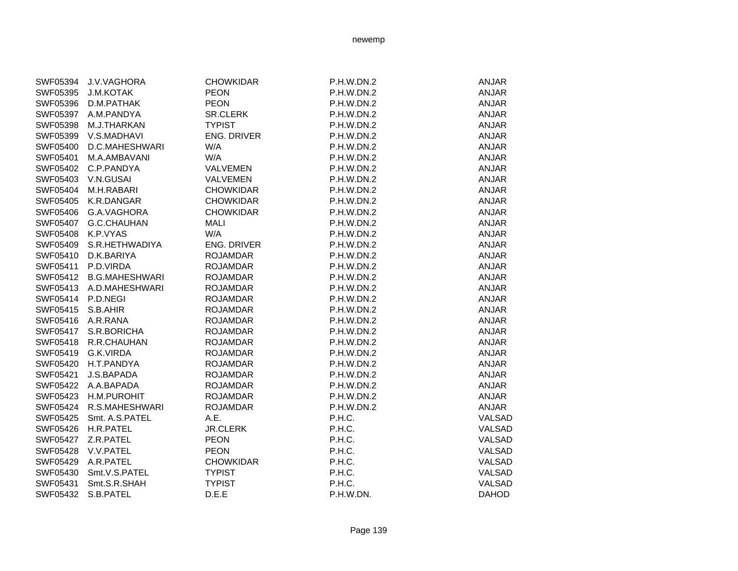| SWF05394          | <b>J.V.VAGHORA</b>      | <b>CHOWKIDAR</b>   | <b>P.H.W.DN.2</b> | <b>ANJAR</b> |
|-------------------|-------------------------|--------------------|-------------------|--------------|
| SWF05395          | <b>J.M.KOTAK</b>        | <b>PEON</b>        | P.H.W.DN.2        | <b>ANJAR</b> |
| SWF05396          | D.M.PATHAK              | <b>PEON</b>        | P.H.W.DN.2        | <b>ANJAR</b> |
| SWF05397          | A.M.PANDYA              | <b>SR.CLERK</b>    | P.H.W.DN.2        | <b>ANJAR</b> |
| SWF05398          | M.J.THARKAN             | <b>TYPIST</b>      | P.H.W.DN.2        | <b>ANJAR</b> |
| SWF05399          | V.S.MADHAVI             | <b>ENG. DRIVER</b> | P.H.W.DN.2        | <b>ANJAR</b> |
| SWF05400          | D.C.MAHESHWARI          | W/A                | P.H.W.DN.2        | <b>ANJAR</b> |
| SWF05401          | M.A.AMBAVANI            | W/A                | P.H.W.DN.2        | <b>ANJAR</b> |
| SWF05402          | C.P.PANDYA              | VALVEMEN           | P.H.W.DN.2        | <b>ANJAR</b> |
| SWF05403          | V.N.GUSAI               | <b>VALVEMEN</b>    | P.H.W.DN.2        | <b>ANJAR</b> |
| SWF05404          | M.H.RABARI              | <b>CHOWKIDAR</b>   | P.H.W.DN.2        | ANJAR        |
| SWF05405          | K.R.DANGAR              | <b>CHOWKIDAR</b>   | P.H.W.DN.2        | <b>ANJAR</b> |
| SWF05406          | G.A.VAGHORA             | <b>CHOWKIDAR</b>   | P.H.W.DN.2        | <b>ANJAR</b> |
| SWF05407          | G.C.CHAUHAN             | <b>MALI</b>        | P.H.W.DN.2        | ANJAR        |
| SWF05408          | K.P.VYAS                | W/A                | P.H.W.DN.2        | <b>ANJAR</b> |
| SWF05409          | S.R.HETHWADIYA          | ENG. DRIVER        | P.H.W.DN.2        | <b>ANJAR</b> |
| SWF05410          | D.K.BARIYA              | <b>ROJAMDAR</b>    | P.H.W.DN.2        | <b>ANJAR</b> |
| SWF05411          | P.D.VIRDA               | <b>ROJAMDAR</b>    | P.H.W.DN.2        | <b>ANJAR</b> |
| SWF05412          | <b>B.G.MAHESHWARI</b>   | <b>ROJAMDAR</b>    | P.H.W.DN.2        | <b>ANJAR</b> |
|                   | SWF05413 A.D.MAHESHWARI | <b>ROJAMDAR</b>    | P.H.W.DN.2        | <b>ANJAR</b> |
| SWF05414 P.D.NEGI |                         | <b>ROJAMDAR</b>    | P.H.W.DN.2        | <b>ANJAR</b> |
| SWF05415          | S.B.AHIR                | <b>ROJAMDAR</b>    | P.H.W.DN.2        | <b>ANJAR</b> |
| SWF05416          | A.R.RANA                | <b>ROJAMDAR</b>    | P.H.W.DN.2        | <b>ANJAR</b> |
|                   | SWF05417 S.R.BORICHA    | <b>ROJAMDAR</b>    | P.H.W.DN.2        | ANJAR        |
| SWF05418          | R.R.CHAUHAN             | <b>ROJAMDAR</b>    | P.H.W.DN.2        | <b>ANJAR</b> |
|                   | SWF05419 G.K.VIRDA      | <b>ROJAMDAR</b>    | P.H.W.DN.2        | <b>ANJAR</b> |
|                   | SWF05420 H.T.PANDYA     | <b>ROJAMDAR</b>    | P.H.W.DN.2        | <b>ANJAR</b> |
| SWF05421          | J.S.BAPADA              | <b>ROJAMDAR</b>    | P.H.W.DN.2        | <b>ANJAR</b> |
|                   | SWF05422 A.A.BAPADA     | <b>ROJAMDAR</b>    | P.H.W.DN.2        | <b>ANJAR</b> |
| SWF05423          | <b>H.M.PUROHIT</b>      | <b>ROJAMDAR</b>    | P.H.W.DN.2        | <b>ANJAR</b> |
| SWF05424          | R.S.MAHESHWARI          | <b>ROJAMDAR</b>    | P.H.W.DN.2        | ANJAR        |
| SWF05425          | Smt. A.S.PATEL          | A.E.               | P.H.C.            | VALSAD       |
| SWF05426          | H.R.PATEL               | <b>JR.CLERK</b>    | P.H.C.            | VALSAD       |
| SWF05427          | Z.R.PATEL               | <b>PEON</b>        | P.H.C.            | VALSAD       |
| SWF05428          | V.V.PATEL               | <b>PEON</b>        | P.H.C.            | VALSAD       |
| SWF05429          | A.R.PATEL               | <b>CHOWKIDAR</b>   | P.H.C.            | VALSAD       |
| SWF05430          | Smt.V.S.PATEL           | <b>TYPIST</b>      | P.H.C.            | VALSAD       |
| SWF05431          | Smt.S.R.SHAH            | <b>TYPIST</b>      | P.H.C.            | VALSAD       |
| SWF05432          | S.B.PATEL               | D.E.E              | P.H.W.DN.         | <b>DAHOD</b> |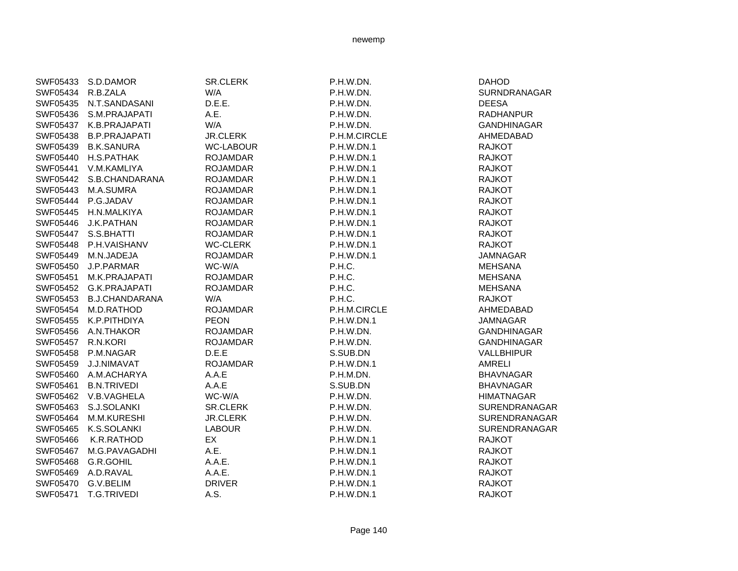| SWF05433 S.D.DAMOR                                                                                                                                                                                                                                       | SR.CLERK         | P.H.W.DN.         | <b>DAHOD</b>       |
|----------------------------------------------------------------------------------------------------------------------------------------------------------------------------------------------------------------------------------------------------------|------------------|-------------------|--------------------|
| R.B.ZALA                                                                                                                                                                                                                                                 | W/A              | P.H.W.DN.         | SURNDRANAGAR       |
| N.T.SANDASANI                                                                                                                                                                                                                                            | D.E.E.           | P.H.W.DN.         | <b>DEESA</b>       |
| S.M.PRAJAPATI                                                                                                                                                                                                                                            | A.E.             | P.H.W.DN.         | <b>RADHANPUR</b>   |
| K.B.PRAJAPATI                                                                                                                                                                                                                                            | W/A              | P.H.W.DN.         | <b>GANDHINAGAR</b> |
| <b>B.P.PRAJAPATI</b>                                                                                                                                                                                                                                     | <b>JR.CLERK</b>  | P.H.M.CIRCLE      | AHMEDABAD          |
| <b>B.K.SANURA</b>                                                                                                                                                                                                                                        | <b>WC-LABOUR</b> | P.H.W.DN.1        | <b>RAJKOT</b>      |
| H.S.PATHAK                                                                                                                                                                                                                                               | <b>ROJAMDAR</b>  | <b>P.H.W.DN.1</b> | <b>RAJKOT</b>      |
| V.M.KAMLIYA                                                                                                                                                                                                                                              | <b>ROJAMDAR</b>  | P.H.W.DN.1        | <b>RAJKOT</b>      |
| S.B.CHANDARANA                                                                                                                                                                                                                                           | <b>ROJAMDAR</b>  | P.H.W.DN.1        | <b>RAJKOT</b>      |
| M.A.SUMRA                                                                                                                                                                                                                                                | <b>ROJAMDAR</b>  | P.H.W.DN.1        | <b>RAJKOT</b>      |
| P.G.JADAV                                                                                                                                                                                                                                                | <b>ROJAMDAR</b>  | <b>P.H.W.DN.1</b> | <b>RAJKOT</b>      |
| H.N.MALKIYA                                                                                                                                                                                                                                              | <b>ROJAMDAR</b>  | <b>P.H.W.DN.1</b> | <b>RAJKOT</b>      |
| J.K.PATHAN                                                                                                                                                                                                                                               | <b>ROJAMDAR</b>  | P.H.W.DN.1        | <b>RAJKOT</b>      |
| S.S.BHATTI                                                                                                                                                                                                                                               | <b>ROJAMDAR</b>  | <b>P.H.W.DN.1</b> | <b>RAJKOT</b>      |
| P.H.VAISHANV                                                                                                                                                                                                                                             | <b>WC-CLERK</b>  | <b>P.H.W.DN.1</b> | <b>RAJKOT</b>      |
| M.N.JADEJA                                                                                                                                                                                                                                               | <b>ROJAMDAR</b>  | P.H.W.DN.1        | <b>JAMNAGAR</b>    |
| J.P.PARMAR                                                                                                                                                                                                                                               | WC-W/A           | P.H.C.            | <b>MEHSANA</b>     |
| M.K.PRAJAPATI                                                                                                                                                                                                                                            | <b>ROJAMDAR</b>  | P.H.C.            | <b>MEHSANA</b>     |
| <b>G.K.PRAJAPATI</b>                                                                                                                                                                                                                                     | <b>ROJAMDAR</b>  | P.H.C.            | <b>MEHSANA</b>     |
| <b>B.J.CHANDARANA</b>                                                                                                                                                                                                                                    | W/A              | P.H.C.            | <b>RAJKOT</b>      |
| M.D.RATHOD                                                                                                                                                                                                                                               | <b>ROJAMDAR</b>  | P.H.M.CIRCLE      | AHMEDABAD          |
| K.P.PITHDIYA                                                                                                                                                                                                                                             | <b>PEON</b>      | P.H.W.DN.1        | <b>JAMNAGAR</b>    |
| A.N.THAKOR                                                                                                                                                                                                                                               | <b>ROJAMDAR</b>  | P.H.W.DN.         | <b>GANDHINAGAR</b> |
| R.N.KORI                                                                                                                                                                                                                                                 | <b>ROJAMDAR</b>  | P.H.W.DN.         | <b>GANDHINAGAR</b> |
| P.M.NAGAR                                                                                                                                                                                                                                                | D.E.E            | S.SUB.DN          | <b>VALLBHIPUR</b>  |
| J.J.NIMAVAT                                                                                                                                                                                                                                              | <b>ROJAMDAR</b>  | P.H.W.DN.1        | <b>AMRELI</b>      |
| A.M.ACHARYA                                                                                                                                                                                                                                              | A.A.E            | P.H.M.DN.         | <b>BHAVNAGAR</b>   |
| <b>B.N.TRIVEDI</b>                                                                                                                                                                                                                                       | A.A.E            | S.SUB.DN          | <b>BHAVNAGAR</b>   |
| V.B.VAGHELA                                                                                                                                                                                                                                              | WC-W/A           | P.H.W.DN.         | <b>HIMATNAGAR</b>  |
| S.J.SOLANKI                                                                                                                                                                                                                                              | SR.CLERK         | P.H.W.DN.         | SURENDRANAGAR      |
| M.M.KURESHI                                                                                                                                                                                                                                              | <b>JR.CLERK</b>  | P.H.W.DN.         | SURENDRANAGAR      |
| K.S.SOLANKI                                                                                                                                                                                                                                              | <b>LABOUR</b>    | P.H.W.DN.         | SURENDRANAGAR      |
| K.R.RATHOD                                                                                                                                                                                                                                               | EX               | P.H.W.DN.1        | <b>RAJKOT</b>      |
| M.G.PAVAGADHI                                                                                                                                                                                                                                            | A.E.             | <b>P.H.W.DN.1</b> | <b>RAJKOT</b>      |
| G.R.GOHIL                                                                                                                                                                                                                                                | A.A.E.           | P.H.W.DN.1        | <b>RAJKOT</b>      |
| A.D.RAVAL                                                                                                                                                                                                                                                | A.A.E.           | P.H.W.DN.1        | <b>RAJKOT</b>      |
| G.V.BELIM                                                                                                                                                                                                                                                | <b>DRIVER</b>    | P.H.W.DN.1        | <b>RAJKOT</b>      |
| T.G.TRIVEDI                                                                                                                                                                                                                                              | A.S.             | P.H.W.DN.1        | <b>RAJKOT</b>      |
| SWF05435<br>SWF05436<br>SWF05437<br>SWF05438<br>SWF05439<br>SWF05442<br>SWF05443<br>SWF05444<br>SWF05445<br>SWF05446<br>SWF05447<br>SWF05450<br>SWF05452<br>SWF05456<br>SWF05457<br>SWF05458<br>SWF05459<br>SWF05460<br>SWF05462<br>SWF05469<br>SWF05470 | SWF05434         |                   |                    |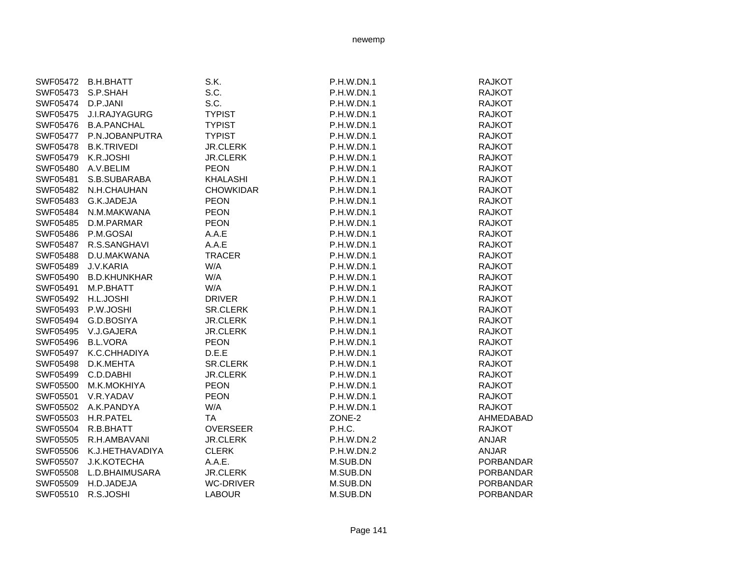|          | SWF05473 S.P.SHAH     | S.C.             | P.H.W.DN.1 | <b>RAJKOT</b> |
|----------|-----------------------|------------------|------------|---------------|
| SWF05474 | D.P.JANI              | S.C.             | P.H.W.DN.1 | <b>RAJKOT</b> |
| SWF05475 | J.I.RAJYAGURG         | <b>TYPIST</b>    | P.H.W.DN.1 | <b>RAJKOT</b> |
| SWF05476 | <b>B.A.PANCHAL</b>    | <b>TYPIST</b>    | P.H.W.DN.1 | <b>RAJKOT</b> |
| SWF05477 | P.N.JOBANPUTRA        | <b>TYPIST</b>    | P.H.W.DN.1 | <b>RAJKOT</b> |
| SWF05478 | B.K.TRIVEDI           | <b>JR.CLERK</b>  | P.H.W.DN.1 | <b>RAJKOT</b> |
| SWF05479 | K.R.JOSHI             | <b>JR.CLERK</b>  | P.H.W.DN.1 | <b>RAJKOT</b> |
| SWF05480 | A.V.BELIM             | <b>PEON</b>      | P.H.W.DN.1 | <b>RAJKOT</b> |
| SWF05481 | S.B.SUBARABA          | KHALASHI         | P.H.W.DN.1 | <b>RAJKOT</b> |
|          | SWF05482 N.H.CHAUHAN  | <b>CHOWKIDAR</b> | P.H.W.DN.1 | <b>RAJKOT</b> |
|          | SWF05483 G.K.JADEJA   | <b>PEON</b>      | P.H.W.DN.1 | <b>RAJKOT</b> |
| SWF05484 | N.M.MAKWANA           | <b>PEON</b>      | P.H.W.DN.1 | <b>RAJKOT</b> |
| SWF05485 | D.M.PARMAR            | <b>PEON</b>      | P.H.W.DN.1 | <b>RAJKOT</b> |
| SWF05486 | P.M.GOSAI             | A.A.E            | P.H.W.DN.1 | <b>RAJKOT</b> |
| SWF05487 | R.S.SANGHAVI          | A.A.E            | P.H.W.DN.1 | <b>RAJKOT</b> |
| SWF05488 | D.U.MAKWANA           | TRACER           | P.H.W.DN.1 | <b>RAJKOT</b> |
| SWF05489 | J.V.KARIA             | W/A              | P.H.W.DN.1 | <b>RAJKOT</b> |
|          | SWF05490 B.D.KHUNKHAR | W/A              | P.H.W.DN.1 | <b>RAJKOT</b> |
| SWF05491 | M.P.BHATT             | W/A              | P.H.W.DN.1 | <b>RAJKOT</b> |
| SWF05492 | H.L.JOSHI             | <b>DRIVER</b>    | P.H.W.DN.1 | <b>RAJKOT</b> |
| SWF05493 | P.W.JOSHI             | <b>SR.CLERK</b>  | P.H.W.DN.1 | <b>RAJKOT</b> |
| SWF05494 | G.D.BOSIYA            | <b>JR.CLERK</b>  | P.H.W.DN.1 | <b>RAJKOT</b> |
| SWF05495 | V.J.GAJERA            | <b>JR.CLERK</b>  | P.H.W.DN.1 | <b>RAJKOT</b> |
| SWF05496 | <b>B.L.VORA</b>       | <b>PEON</b>      | P.H.W.DN.1 | <b>RAJKOT</b> |
| SWF05497 | K.C.CHHADIYA          | D.E.E            | P.H.W.DN.1 | <b>RAJKOT</b> |
| SWF05498 | D.K.MEHTA             | <b>SR.CLERK</b>  | P.H.W.DN.1 | <b>RAJKOT</b> |
| SWF05499 | C.D.DABHI             | <b>JR CLERK</b>  | P.H.W.DN.1 | RAJKOT        |

SWF05500 M.K.MOKHIYA PEON PEON P.H.W.DN.1 SWF05501 V.R.YADAV PEON PEON P.H.W.DN.1 SWF05502 A.K.PANDYA W/A WA P.H.W.DN.1 SWF05503 H.R.PATEL TA TA ZONE-2 SWF05504 R.B.BHATT OVERSEER P.H.C. SWF05505 R.H.AMBAVANI JR.CLERK P.H.W.DN.2 SWF05506 K.J.HETHAVADIYA CLERK P.H.W.DN.2 SWF05507 J.K.KOTECHA A.A.E. M.SUB.DN SWF05508 L.D.BHAIMUSARA JR.CLERK M.SUB.DN SWF05509 H.D.JADEJA WC-DRIVER M.SUB.DN SWF05510 R.S.JOSHI LABOUR LABOUR M.SUB.DN

SWF05472 B.H.BHATT S.K. S.K. P.H.W.DN.1 RAJKOT

| RAJKOT           |
|------------------|
| <b>RAJKOT</b>    |
| RAJKOT           |
| RAJKOT           |
| RAJKOT           |
| <b>RAJKOT</b>    |
| RAJKOT           |
| RAJKOT           |
| RAJKOT           |
| <b>RAJKOT</b>    |
| RAJKOT           |
| <b>RAJKOT</b>    |
| <b>RAJKOT</b>    |
| RAJKOT           |
| RAJKOT           |
| <b>RAJKOT</b>    |
| RAJKOT           |
| <b>RAJKOT</b>    |
| RAJKOT           |
| <b>RAJKOT</b>    |
| <b>RAJKOT</b>    |
| <b>RAJKOT</b>    |
| <b>RAJKOT</b>    |
| <b>RAJKOT</b>    |
| <b>RAJKOT</b>    |
| <b>RAJKOT</b>    |
| <b>RAJKOT</b>    |
| AHMEDABAD        |
| <b>RAJKOT</b>    |
| <b>ANJAR</b>     |
| ANJAR            |
| PORBANDAR        |
| PORBANDAR        |
| PORBANDAR        |
| <b>PORBANDAR</b> |
|                  |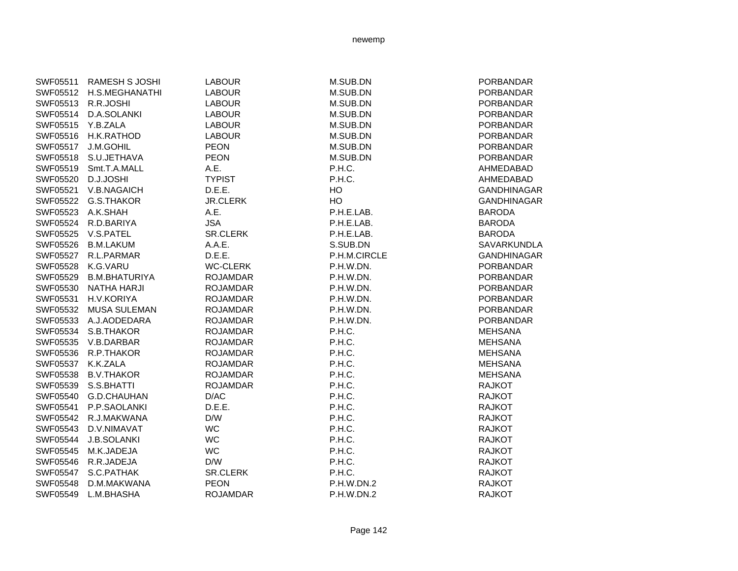| SWF05511 | <b>RAMESH S JOSHI</b> | <b>LABOUR</b>   | M.SUB.DN     | <b>PORBANDAR</b>   |
|----------|-----------------------|-----------------|--------------|--------------------|
| SWF05512 | H.S.MEGHANATHI        | <b>LABOUR</b>   | M.SUB.DN     | <b>PORBANDAR</b>   |
| SWF05513 | R.R.JOSHI             | <b>LABOUR</b>   | M.SUB.DN     | <b>PORBANDAR</b>   |
| SWF05514 | D.A.SOLANKI           | <b>LABOUR</b>   | M.SUB.DN     | <b>PORBANDAR</b>   |
| SWF05515 | Y.B.ZALA              | <b>LABOUR</b>   | M.SUB.DN     | <b>PORBANDAR</b>   |
| SWF05516 | H.K.RATHOD            | <b>LABOUR</b>   | M.SUB.DN     | <b>PORBANDAR</b>   |
| SWF05517 | J.M.GOHIL             | <b>PEON</b>     | M.SUB.DN     | <b>PORBANDAR</b>   |
| SWF05518 | S.U.JETHAVA           | <b>PEON</b>     | M.SUB.DN     | <b>PORBANDAR</b>   |
| SWF05519 | Smt.T.A.MALL          | A.E.            | P.H.C.       | AHMEDABAD          |
| SWF05520 | D.J.JOSHI             | <b>TYPIST</b>   | P.H.C.       | AHMEDABAD          |
| SWF05521 | V.B.NAGAICH           | D.E.E.          | HO           | <b>GANDHINAGAR</b> |
| SWF05522 | G.S.THAKOR            | <b>JR.CLERK</b> | HO           | <b>GANDHINAGAR</b> |
| SWF05523 | A.K.SHAH              | A.E.            | P.H.E.LAB.   | <b>BARODA</b>      |
| SWF05524 | R.D.BARIYA            | <b>JSA</b>      | P.H.E.LAB.   | <b>BARODA</b>      |
| SWF05525 | V.S.PATEL             | <b>SR.CLERK</b> | P.H.E.LAB.   | <b>BARODA</b>      |
| SWF05526 | <b>B.M.LAKUM</b>      | A.A.E.          | S.SUB.DN     | SAVARKUNDLA        |
| SWF05527 | R.L.PARMAR            | D.E.E.          | P.H.M.CIRCLE | <b>GANDHINAGAR</b> |
| SWF05528 | K.G.VARU              | <b>WC-CLERK</b> | P.H.W.DN.    | <b>PORBANDAR</b>   |
| SWF05529 | <b>B.M.BHATURIYA</b>  | <b>ROJAMDAR</b> | P.H.W.DN.    | <b>PORBANDAR</b>   |
| SWF05530 | <b>NATHA HARJI</b>    | <b>ROJAMDAR</b> | P.H.W.DN.    | <b>PORBANDAR</b>   |
| SWF05531 | H.V.KORIYA            | <b>ROJAMDAR</b> | P.H.W.DN.    | <b>PORBANDAR</b>   |
| SWF05532 | <b>MUSA SULEMAN</b>   | <b>ROJAMDAR</b> | P.H.W.DN.    | <b>PORBANDAR</b>   |
| SWF05533 | A.J.AODEDARA          | <b>ROJAMDAR</b> | P.H.W.DN.    | <b>PORBANDAR</b>   |
| SWF05534 | S.B.THAKOR            | <b>ROJAMDAR</b> | P.H.C.       | <b>MEHSANA</b>     |
| SWF05535 | V.B.DARBAR            | <b>ROJAMDAR</b> | P.H.C.       | <b>MEHSANA</b>     |
| SWF05536 | R.P.THAKOR            | <b>ROJAMDAR</b> | P.H.C.       | <b>MEHSANA</b>     |
| SWF05537 | K.K.ZALA              | <b>ROJAMDAR</b> | P.H.C.       | <b>MEHSANA</b>     |
| SWF05538 | <b>B.V.THAKOR</b>     | <b>ROJAMDAR</b> | P.H.C.       | <b>MEHSANA</b>     |
| SWF05539 | S.S.BHATTI            | <b>ROJAMDAR</b> | P.H.C.       | <b>RAJKOT</b>      |
| SWF05540 | G.D.CHAUHAN           | D/AC            | P.H.C.       | <b>RAJKOT</b>      |
| SWF05541 | P.P.SAOLANKI          | D.E.E.          | P.H.C.       | <b>RAJKOT</b>      |
| SWF05542 | R.J.MAKWANA           | D/W             | P.H.C.       | <b>RAJKOT</b>      |
| SWF05543 | D.V.NIMAVAT           | <b>WC</b>       | P.H.C.       | <b>RAJKOT</b>      |
| SWF05544 | <b>J.B.SOLANKI</b>    | <b>WC</b>       | P.H.C.       | <b>RAJKOT</b>      |
| SWF05545 | M.K.JADEJA            | <b>WC</b>       | P.H.C.       | <b>RAJKOT</b>      |
| SWF05546 | R.R.JADEJA            | D/W             | P.H.C.       | <b>RAJKOT</b>      |
| SWF05547 | S.C.PATHAK            | <b>SR.CLERK</b> | P.H.C.       | <b>RAJKOT</b>      |
| SWF05548 | D.M.MAKWANA           | <b>PEON</b>     | P.H.W.DN.2   | <b>RAJKOT</b>      |
| SWF05549 | L.M.BHASHA            | <b>ROJAMDAR</b> | P.H.W.DN.2   | <b>RAJKOT</b>      |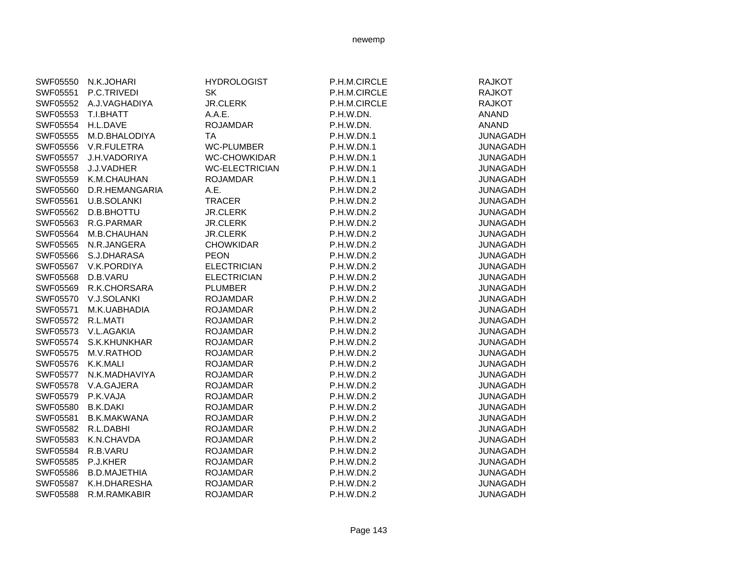| SWF05550           | N.K.JOHARI             | <b>HYDROLOGIST</b>    | P.H.M.CIRCLE      | <b>RAJKOT</b>   |
|--------------------|------------------------|-----------------------|-------------------|-----------------|
| SWF05551           | P.C.TRIVEDI            | <b>SK</b>             | P.H.M.CIRCLE      | <b>RAJKOT</b>   |
|                    | SWF05552 A.J.VAGHADIYA | <b>JR.CLERK</b>       | P.H.M.CIRCLE      | <b>RAJKOT</b>   |
| SWF05553 T.I.BHATT |                        | A.A.E.                | P.H.W.DN.         | <b>ANAND</b>    |
| SWF05554           | H.L.DAVE               | <b>ROJAMDAR</b>       | P.H.W.DN.         | <b>ANAND</b>    |
|                    | SWF05555 M.D.BHALODIYA | TA                    | <b>P.H.W.DN.1</b> | <b>JUNAGADH</b> |
|                    | SWF05556 V.R.FULETRA   | <b>WC-PLUMBER</b>     | <b>P.H.W.DN.1</b> | <b>JUNAGADH</b> |
|                    | SWF05557 J.H.VADORIYA  | WC-CHOWKIDAR          | P.H.W.DN.1        | <b>JUNAGADH</b> |
| SWF05558           | J.J.VADHER             | <b>WC-ELECTRICIAN</b> | P.H.W.DN.1        | <b>JUNAGADH</b> |
| SWF05559           | K.M.CHAUHAN            | <b>ROJAMDAR</b>       | <b>P.H.W.DN.1</b> | <b>JUNAGADH</b> |
| SWF05560           | D.R.HEMANGARIA         | A.E.                  | P.H.W.DN.2        | <b>JUNAGADH</b> |
| SWF05561           | <b>U.B.SOLANKI</b>     | TRACER                | P.H.W.DN.2        | <b>JUNAGADH</b> |
| SWF05562           | <b>D.B.BHOTTU</b>      | <b>JR.CLERK</b>       | P.H.W.DN.2        | <b>JUNAGADH</b> |
| SWF05563           | R.G.PARMAR             | <b>JR.CLERK</b>       | P.H.W.DN.2        | <b>JUNAGADH</b> |
|                    | SWF05564 M.B.CHAUHAN   | <b>JR.CLERK</b>       | P.H.W.DN.2        | <b>JUNAGADH</b> |
|                    | SWF05565 N.R.JANGERA   | <b>CHOWKIDAR</b>      | P.H.W.DN.2        | <b>JUNAGADH</b> |
|                    | SWF05566 S.J.DHARASA   | <b>PEON</b>           | P.H.W.DN.2        | <b>JUNAGADH</b> |
|                    | SWF05567 V.K.PORDIYA   | <b>ELECTRICIAN</b>    | P.H.W.DN.2        | <b>JUNAGADH</b> |
| SWF05568           | D.B.VARU               | <b>ELECTRICIAN</b>    | P.H.W.DN.2        | <b>JUNAGADH</b> |
| SWF05569           | R.K.CHORSARA           | <b>PLUMBER</b>        | P.H.W.DN.2        | <b>JUNAGADH</b> |
|                    | SWF05570 V.J.SOLANKI   | <b>ROJAMDAR</b>       | P.H.W.DN.2        | <b>JUNAGADH</b> |
| SWF05571           | M.K.UABHADIA           | <b>ROJAMDAR</b>       | P.H.W.DN.2        | <b>JUNAGADH</b> |
| SWF05572           | R.L.MATI               | <b>ROJAMDAR</b>       | P.H.W.DN.2        | <b>JUNAGADH</b> |
| SWF05573           | V.L.AGAKIA             | <b>ROJAMDAR</b>       | P.H.W.DN.2        | <b>JUNAGADH</b> |
|                    | SWF05574 S.K.KHUNKHAR  | <b>ROJAMDAR</b>       | P.H.W.DN.2        | <b>JUNAGADH</b> |
| SWF05575           | M.V.RATHOD             | <b>ROJAMDAR</b>       | P.H.W.DN.2        | <b>JUNAGADH</b> |
| SWF05576 K.K.MALI  |                        | <b>ROJAMDAR</b>       | P.H.W.DN.2        | <b>JUNAGADH</b> |
|                    | SWF05577 N.K.MADHAVIYA | <b>ROJAMDAR</b>       | P.H.W.DN.2        | <b>JUNAGADH</b> |
|                    | SWF05578 V.A.GAJERA    | <b>ROJAMDAR</b>       | P.H.W.DN.2        | <b>JUNAGADH</b> |
| SWF05579           | P.K.VAJA               | <b>ROJAMDAR</b>       | P.H.W.DN.2        | <b>JUNAGADH</b> |
| SWF05580           | <b>B.K.DAKI</b>        | <b>ROJAMDAR</b>       | P.H.W.DN.2        | <b>JUNAGADH</b> |
| SWF05581           | <b>B.K.MAKWANA</b>     | <b>ROJAMDAR</b>       | P.H.W.DN.2        | <b>JUNAGADH</b> |
| SWF05582           | R.L.DABHI              | <b>ROJAMDAR</b>       | P.H.W.DN.2        | <b>JUNAGADH</b> |
| SWF05583           | K.N.CHAVDA             | <b>ROJAMDAR</b>       | P.H.W.DN.2        | <b>JUNAGADH</b> |
| SWF05584           | R.B.VARU               | <b>ROJAMDAR</b>       | P.H.W.DN.2        | <b>JUNAGADH</b> |
| SWF05585           | P.J.KHER               | <b>ROJAMDAR</b>       | P.H.W.DN.2        | <b>JUNAGADH</b> |
| SWF05586           | <b>B.D.MAJETHIA</b>    | <b>ROJAMDAR</b>       | P.H.W.DN.2        | <b>JUNAGADH</b> |
|                    | SWF05587 K.H.DHARESHA  | <b>ROJAMDAR</b>       | P.H.W.DN.2        | <b>JUNAGADH</b> |
| <b>SWF05588</b>    | R.M.RAMKABIR           | <b>ROJAMDAR</b>       | P.H.W.DN.2        | <b>JUNAGADH</b> |
|                    |                        |                       |                   |                 |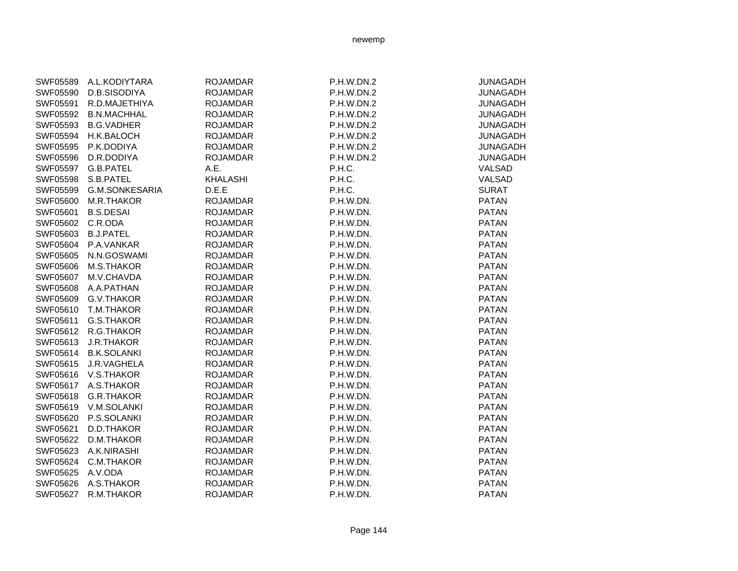| SWF05589 | A.L.KODIYTARA      | <b>ROJAMDAR</b> | P.H.W.DN.2 | <b>JUNAGADH</b> |
|----------|--------------------|-----------------|------------|-----------------|
| SWF05590 | D.B.SISODIYA       | <b>ROJAMDAR</b> | P.H.W.DN.2 | <b>JUNAGADH</b> |
| SWF05591 | R.D.MAJETHIYA      | <b>ROJAMDAR</b> | P.H.W.DN.2 | <b>JUNAGADH</b> |
| SWF05592 | <b>B.N.MACHHAL</b> | <b>ROJAMDAR</b> | P.H.W.DN.2 | <b>JUNAGADH</b> |
| SWF05593 | <b>B.G.VADHER</b>  | <b>ROJAMDAR</b> | P.H.W.DN.2 | <b>JUNAGADH</b> |
| SWF05594 | <b>H.K.BALOCH</b>  | <b>ROJAMDAR</b> | P.H.W.DN.2 | <b>JUNAGADH</b> |
| SWF05595 | P.K.DODIYA         | <b>ROJAMDAR</b> | P.H.W.DN.2 | <b>JUNAGADH</b> |
| SWF05596 | D.R.DODIYA         | <b>ROJAMDAR</b> | P.H.W.DN.2 | <b>JUNAGADH</b> |
| SWF05597 | G.B.PATEL          | A.E.            | P.H.C.     | VALSAD          |
| SWF05598 | S.B.PATEL          | <b>KHALASHI</b> | P.H.C.     | VALSAD          |
| SWF05599 | G.M.SONKESARIA     | D.E.E           | P.H.C.     | <b>SURAT</b>    |
| SWF05600 | M.R.THAKOR         | <b>ROJAMDAR</b> | P.H.W.DN.  | <b>PATAN</b>    |
| SWF05601 | <b>B.S.DESAI</b>   | <b>ROJAMDAR</b> | P.H.W.DN.  | <b>PATAN</b>    |
| SWF05602 | C.R.ODA            | <b>ROJAMDAR</b> | P.H.W.DN.  | <b>PATAN</b>    |
| SWF05603 | <b>B.J.PATEL</b>   | <b>ROJAMDAR</b> | P.H.W.DN.  | <b>PATAN</b>    |
| SWF05604 | P.A.VANKAR         | <b>ROJAMDAR</b> | P.H.W.DN.  | <b>PATAN</b>    |
| SWF05605 | N.N.GOSWAMI        | <b>ROJAMDAR</b> | P.H.W.DN.  | <b>PATAN</b>    |
| SWF05606 | M.S.THAKOR         | <b>ROJAMDAR</b> | P.H.W.DN.  | <b>PATAN</b>    |
| SWF05607 | M.V.CHAVDA         | <b>ROJAMDAR</b> | P.H.W.DN.  | <b>PATAN</b>    |
| SWF05608 | A.A.PATHAN         | <b>ROJAMDAR</b> | P.H.W.DN.  | <b>PATAN</b>    |
| SWF05609 | G.V.THAKOR         | <b>ROJAMDAR</b> | P.H.W.DN.  | <b>PATAN</b>    |
| SWF05610 | T.M.THAKOR         | <b>ROJAMDAR</b> | P.H.W.DN.  | <b>PATAN</b>    |
| SWF05611 | G.S.THAKOR         | <b>ROJAMDAR</b> | P.H.W.DN.  | <b>PATAN</b>    |
| SWF05612 | R.G.THAKOR         | <b>ROJAMDAR</b> | P.H.W.DN.  | <b>PATAN</b>    |
| SWF05613 | <b>J.R.THAKOR</b>  | <b>ROJAMDAR</b> | P.H.W.DN.  | <b>PATAN</b>    |
| SWF05614 | <b>B.K.SOLANKI</b> | <b>ROJAMDAR</b> | P.H.W.DN.  | <b>PATAN</b>    |
| SWF05615 | J.R.VAGHELA        | <b>ROJAMDAR</b> | P.H.W.DN.  | <b>PATAN</b>    |
| SWF05616 | V.S.THAKOR         | <b>ROJAMDAR</b> | P.H.W.DN.  | <b>PATAN</b>    |
| SWF05617 | A.S.THAKOR         | <b>ROJAMDAR</b> | P.H.W.DN.  | <b>PATAN</b>    |
| SWF05618 | <b>G.R.THAKOR</b>  | <b>ROJAMDAR</b> | P.H.W.DN.  | <b>PATAN</b>    |
| SWF05619 | V.M.SOLANKI        | <b>ROJAMDAR</b> | P.H.W.DN.  | <b>PATAN</b>    |
| SWF05620 | P.S.SOLANKI        | <b>ROJAMDAR</b> | P.H.W.DN.  | <b>PATAN</b>    |
| SWF05621 | D.D.THAKOR         | <b>ROJAMDAR</b> | P.H.W.DN.  | <b>PATAN</b>    |
| SWF05622 | D.M.THAKOR         | <b>ROJAMDAR</b> | P.H.W.DN.  | <b>PATAN</b>    |
| SWF05623 | A.K.NIRASHI        | <b>ROJAMDAR</b> | P.H.W.DN.  | <b>PATAN</b>    |
| SWF05624 | C.M.THAKOR         | <b>ROJAMDAR</b> | P.H.W.DN.  | <b>PATAN</b>    |
| SWF05625 | A.V.ODA            | <b>ROJAMDAR</b> | P.H.W.DN.  | <b>PATAN</b>    |
| SWF05626 | A.S.THAKOR         | <b>ROJAMDAR</b> | P.H.W.DN.  | <b>PATAN</b>    |
| SWF05627 | R.M.THAKOR         | <b>ROJAMDAR</b> | P.H.W.DN.  | <b>PATAN</b>    |
|          |                    |                 |            |                 |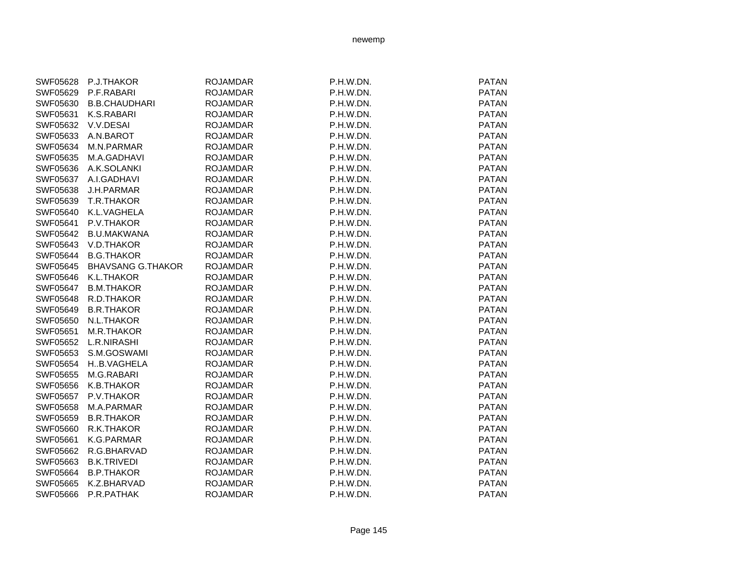| newemp |
|--------|
|--------|

| SWF05628 | P.J.THAKOR               | <b>ROJAMDAR</b> | P.H.W.DN. | <b>PATAN</b> |
|----------|--------------------------|-----------------|-----------|--------------|
| SWF05629 | P.F.RABARI               | <b>ROJAMDAR</b> | P.H.W.DN. | <b>PATAN</b> |
| SWF05630 | <b>B.B.CHAUDHARI</b>     | <b>ROJAMDAR</b> | P.H.W.DN. | <b>PATAN</b> |
| SWF05631 | K.S.RABARI               | <b>ROJAMDAR</b> | P.H.W.DN. | <b>PATAN</b> |
| SWF05632 | V.V.DESAI                | <b>ROJAMDAR</b> | P.H.W.DN. | <b>PATAN</b> |
| SWF05633 | A.N.BAROT                | <b>ROJAMDAR</b> | P.H.W.DN. | <b>PATAN</b> |
| SWF05634 | M.N.PARMAR               | <b>ROJAMDAR</b> | P.H.W.DN. | <b>PATAN</b> |
| SWF05635 | M.A.GADHAVI              | <b>ROJAMDAR</b> | P.H.W.DN. | <b>PATAN</b> |
| SWF05636 | A.K.SOLANKI              | <b>ROJAMDAR</b> | P.H.W.DN. | <b>PATAN</b> |
| SWF05637 | A.I.GADHAVI              | <b>ROJAMDAR</b> | P.H.W.DN. | <b>PATAN</b> |
| SWF05638 | <b>J.H.PARMAR</b>        | <b>ROJAMDAR</b> | P.H.W.DN. | <b>PATAN</b> |
| SWF05639 | T.R.THAKOR               | <b>ROJAMDAR</b> | P.H.W.DN. | <b>PATAN</b> |
| SWF05640 | K.L.VAGHELA              | <b>ROJAMDAR</b> | P.H.W.DN. | <b>PATAN</b> |
| SWF05641 | P.V.THAKOR               | <b>ROJAMDAR</b> | P.H.W.DN. | <b>PATAN</b> |
| SWF05642 | <b>B.U.MAKWANA</b>       | <b>ROJAMDAR</b> | P.H.W.DN. | <b>PATAN</b> |
| SWF05643 | V.D.THAKOR               | <b>ROJAMDAR</b> | P.H.W.DN. | <b>PATAN</b> |
| SWF05644 | <b>B.G.THAKOR</b>        | <b>ROJAMDAR</b> | P.H.W.DN. | <b>PATAN</b> |
| SWF05645 | <b>BHAVSANG G.THAKOR</b> | <b>ROJAMDAR</b> | P.H.W.DN. | <b>PATAN</b> |
| SWF05646 | K.L.THAKOR               | <b>ROJAMDAR</b> | P.H.W.DN. | <b>PATAN</b> |
| SWF05647 | <b>B.M.THAKOR</b>        | <b>ROJAMDAR</b> | P.H.W.DN. | <b>PATAN</b> |
| SWF05648 | R.D.THAKOR               | <b>ROJAMDAR</b> | P.H.W.DN. | <b>PATAN</b> |
| SWF05649 | <b>B.R.THAKOR</b>        | <b>ROJAMDAR</b> | P.H.W.DN. | <b>PATAN</b> |
| SWF05650 | N.L.THAKOR               | <b>ROJAMDAR</b> | P.H.W.DN. | <b>PATAN</b> |
| SWF05651 | M.R.THAKOR               | <b>ROJAMDAR</b> | P.H.W.DN. | <b>PATAN</b> |
| SWF05652 | L.R.NIRASHI              | <b>ROJAMDAR</b> | P.H.W.DN. | <b>PATAN</b> |
| SWF05653 | S.M.GOSWAMI              | <b>ROJAMDAR</b> | P.H.W.DN. | <b>PATAN</b> |
| SWF05654 | HB.VAGHELA               | <b>ROJAMDAR</b> | P.H.W.DN. | <b>PATAN</b> |
| SWF05655 | M.G.RABARI               | <b>ROJAMDAR</b> | P.H.W.DN. | <b>PATAN</b> |
| SWF05656 | K.B.THAKOR               | <b>ROJAMDAR</b> | P.H.W.DN. | <b>PATAN</b> |
| SWF05657 | P.V.THAKOR               | <b>ROJAMDAR</b> | P.H.W.DN. | <b>PATAN</b> |
| SWF05658 | M.A.PARMAR               | <b>ROJAMDAR</b> | P.H.W.DN. | <b>PATAN</b> |
| SWF05659 | <b>B.R.THAKOR</b>        | <b>ROJAMDAR</b> | P.H.W.DN. | <b>PATAN</b> |
| SWF05660 | R.K.THAKOR               | <b>ROJAMDAR</b> | P.H.W.DN. | <b>PATAN</b> |
| SWF05661 | K.G.PARMAR               | <b>ROJAMDAR</b> | P.H.W.DN. | <b>PATAN</b> |
| SWF05662 | R.G.BHARVAD              | <b>ROJAMDAR</b> | P.H.W.DN. | <b>PATAN</b> |
| SWF05663 | <b>B.K.TRIVEDI</b>       | <b>ROJAMDAR</b> | P.H.W.DN. | <b>PATAN</b> |
| SWF05664 | <b>B.P.THAKOR</b>        | <b>ROJAMDAR</b> | P.H.W.DN. | <b>PATAN</b> |
| SWF05665 | K.Z.BHARVAD              | <b>ROJAMDAR</b> | P.H.W.DN. | <b>PATAN</b> |
| SWF05666 | P.R.PATHAK               | <b>ROJAMDAR</b> | P.H.W.DN. | <b>PATAN</b> |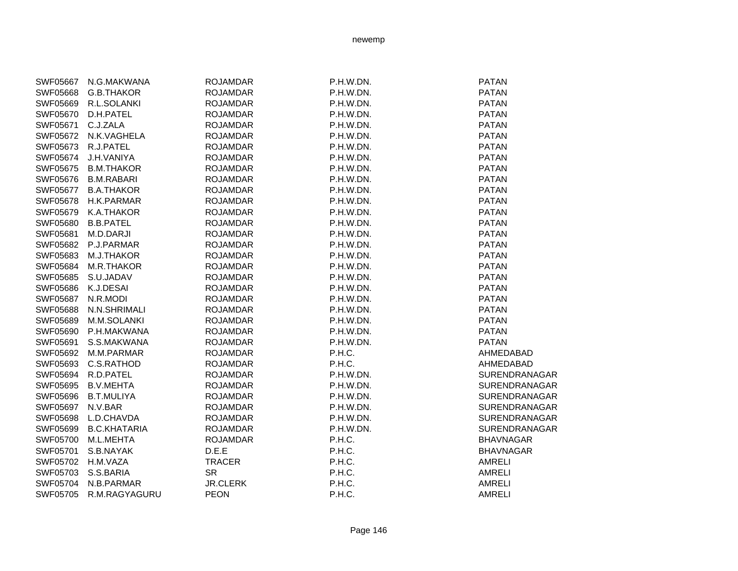| SWF05667 | N.G.MAKWANA         | <b>ROJAMDAR</b> | P.H.W.DN. | <b>PATAN</b>         |
|----------|---------------------|-----------------|-----------|----------------------|
| SWF05668 | <b>G.B.THAKOR</b>   | <b>ROJAMDAR</b> | P.H.W.DN. | <b>PATAN</b>         |
| SWF05669 | R.L.SOLANKI         | <b>ROJAMDAR</b> | P.H.W.DN. | <b>PATAN</b>         |
| SWF05670 | D.H.PATEL           | <b>ROJAMDAR</b> | P.H.W.DN. | <b>PATAN</b>         |
| SWF05671 | C.J.ZALA            | <b>ROJAMDAR</b> | P.H.W.DN. | <b>PATAN</b>         |
| SWF05672 | N.K.VAGHELA         | <b>ROJAMDAR</b> | P.H.W.DN. | <b>PATAN</b>         |
| SWF05673 | R.J.PATEL           | <b>ROJAMDAR</b> | P.H.W.DN. | <b>PATAN</b>         |
| SWF05674 | J.H.VANIYA          | <b>ROJAMDAR</b> | P.H.W.DN. | <b>PATAN</b>         |
| SWF05675 | <b>B.M.THAKOR</b>   | <b>ROJAMDAR</b> | P.H.W.DN. | <b>PATAN</b>         |
| SWF05676 | <b>B.M.RABARI</b>   | <b>ROJAMDAR</b> | P.H.W.DN. | <b>PATAN</b>         |
| SWF05677 | <b>B.A.THAKOR</b>   | <b>ROJAMDAR</b> | P.H.W.DN. | <b>PATAN</b>         |
| SWF05678 | H.K.PARMAR          | <b>ROJAMDAR</b> | P.H.W.DN. | <b>PATAN</b>         |
| SWF05679 | K.A.THAKOR          | <b>ROJAMDAR</b> | P.H.W.DN. | <b>PATAN</b>         |
| SWF05680 | <b>B.B.PATEL</b>    | <b>ROJAMDAR</b> | P.H.W.DN. | <b>PATAN</b>         |
| SWF05681 | M.D.DARJI           | <b>ROJAMDAR</b> | P.H.W.DN. | <b>PATAN</b>         |
| SWF05682 | P.J.PARMAR          | <b>ROJAMDAR</b> | P.H.W.DN. | <b>PATAN</b>         |
| SWF05683 | M.J.THAKOR          | <b>ROJAMDAR</b> | P.H.W.DN. | <b>PATAN</b>         |
| SWF05684 | M.R.THAKOR          | <b>ROJAMDAR</b> | P.H.W.DN. | <b>PATAN</b>         |
| SWF05685 | S.U.JADAV           | <b>ROJAMDAR</b> | P.H.W.DN. | <b>PATAN</b>         |
| SWF05686 | K.J.DESAI           | <b>ROJAMDAR</b> | P.H.W.DN. | <b>PATAN</b>         |
| SWF05687 | N.R.MODI            | <b>ROJAMDAR</b> | P.H.W.DN. | <b>PATAN</b>         |
| SWF05688 | N.N.SHRIMALI        | <b>ROJAMDAR</b> | P.H.W.DN. | <b>PATAN</b>         |
| SWF05689 | M.M.SOLANKI         | <b>ROJAMDAR</b> | P.H.W.DN. | <b>PATAN</b>         |
| SWF05690 | P.H.MAKWANA         | <b>ROJAMDAR</b> | P.H.W.DN. | <b>PATAN</b>         |
| SWF05691 | S.S.MAKWANA         | <b>ROJAMDAR</b> | P.H.W.DN. | <b>PATAN</b>         |
| SWF05692 | M.M.PARMAR          | <b>ROJAMDAR</b> | P.H.C.    | AHMEDABAD            |
| SWF05693 | C.S.RATHOD          | <b>ROJAMDAR</b> | P.H.C.    | AHMEDABAD            |
| SWF05694 | R.D.PATEL           | <b>ROJAMDAR</b> | P.H.W.DN. | <b>SURENDRANAGAR</b> |
| SWF05695 | <b>B.V.MEHTA</b>    | <b>ROJAMDAR</b> | P.H.W.DN. | SURENDRANAGAR        |
| SWF05696 | <b>B.T.MULIYA</b>   | <b>ROJAMDAR</b> | P.H.W.DN. | <b>SURENDRANAGAR</b> |
| SWF05697 | N.V.BAR             | <b>ROJAMDAR</b> | P.H.W.DN. | SURENDRANAGAR        |
| SWF05698 | L.D.CHAVDA          | <b>ROJAMDAR</b> | P.H.W.DN. | <b>SURENDRANAGAR</b> |
| SWF05699 | <b>B.C.KHATARIA</b> | <b>ROJAMDAR</b> | P.H.W.DN. | SURENDRANAGAR        |
| SWF05700 | M.L.MEHTA           | <b>ROJAMDAR</b> | P.H.C.    | <b>BHAVNAGAR</b>     |
| SWF05701 | S.B.NAYAK           | D.E.E           | P.H.C.    | <b>BHAVNAGAR</b>     |
| SWF05702 | H.M.VAZA            | <b>TRACER</b>   | P.H.C.    | <b>AMRELI</b>        |
| SWF05703 | S.S.BARIA           | <b>SR</b>       | P.H.C.    | <b>AMRELI</b>        |
| SWF05704 | N.B.PARMAR          | <b>JR.CLERK</b> | P.H.C.    | <b>AMRELI</b>        |
| SWF05705 | R.M.RAGYAGURU       | <b>PEON</b>     | P.H.C.    | <b>AMRELI</b>        |
|          |                     |                 |           |                      |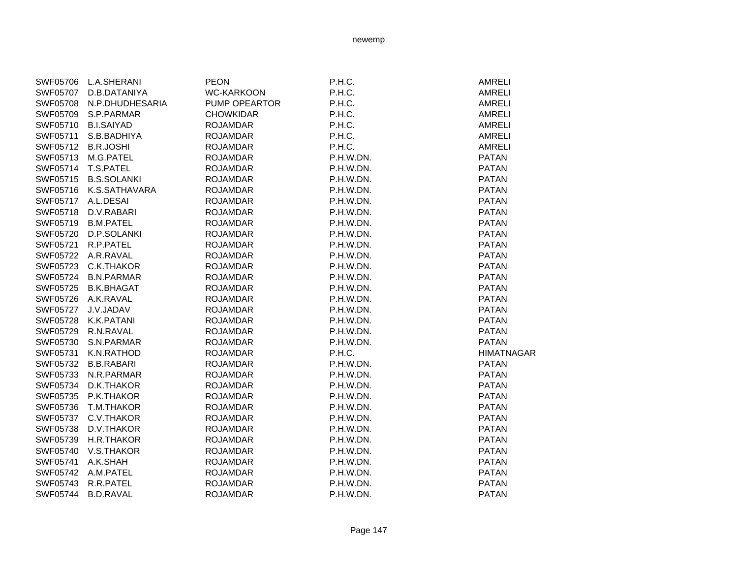| SWF05706 | <b>L.A.SHERANI</b> | <b>PEON</b>       | P.H.C.    | AMRELI            |
|----------|--------------------|-------------------|-----------|-------------------|
| SWF05707 | D.B.DATANIYA       | <b>WC-KARKOON</b> | P.H.C.    | <b>AMRELI</b>     |
| SWF05708 | N.P.DHUDHESARIA    | PUMP OPEARTOR     | P.H.C.    | <b>AMRELI</b>     |
| SWF05709 | S.P.PARMAR         | <b>CHOWKIDAR</b>  | P.H.C.    | <b>AMRELI</b>     |
| SWF05710 | <b>B.I.SAIYAD</b>  | <b>ROJAMDAR</b>   | P.H.C.    | <b>AMRELI</b>     |
| SWF05711 | S.B.BADHIYA        | <b>ROJAMDAR</b>   | P.H.C.    | <b>AMRELI</b>     |
| SWF05712 | <b>B.R.JOSHI</b>   | <b>ROJAMDAR</b>   | P.H.C.    | <b>AMRELI</b>     |
| SWF05713 | M.G.PATEL          | <b>ROJAMDAR</b>   | P.H.W.DN. | <b>PATAN</b>      |
| SWF05714 | T.S.PATEL          | <b>ROJAMDAR</b>   | P.H.W.DN. | <b>PATAN</b>      |
| SWF05715 | <b>B.S.SOLANKI</b> | <b>ROJAMDAR</b>   | P.H.W.DN. | <b>PATAN</b>      |
| SWF05716 | K.S.SATHAVARA      | <b>ROJAMDAR</b>   | P.H.W.DN. | <b>PATAN</b>      |
| SWF05717 | A.L.DESAI          | <b>ROJAMDAR</b>   | P.H.W.DN. | <b>PATAN</b>      |
| SWF05718 | D.V.RABARI         | <b>ROJAMDAR</b>   | P.H.W.DN. | <b>PATAN</b>      |
| SWF05719 | <b>B.M.PATEL</b>   | <b>ROJAMDAR</b>   | P.H.W.DN. | <b>PATAN</b>      |
| SWF05720 | D.P.SOLANKI        | <b>ROJAMDAR</b>   | P.H.W.DN. | <b>PATAN</b>      |
| SWF05721 | R.P.PATEL          | <b>ROJAMDAR</b>   | P.H.W.DN. | <b>PATAN</b>      |
| SWF05722 | A.R.RAVAL          | <b>ROJAMDAR</b>   | P.H.W.DN. | <b>PATAN</b>      |
| SWF05723 | C.K.THAKOR         | <b>ROJAMDAR</b>   | P.H.W.DN. | <b>PATAN</b>      |
| SWF05724 | <b>B.N.PARMAR</b>  | <b>ROJAMDAR</b>   | P.H.W.DN. | <b>PATAN</b>      |
| SWF05725 | <b>B.K.BHAGAT</b>  | <b>ROJAMDAR</b>   | P.H.W.DN. | <b>PATAN</b>      |
| SWF05726 | A.K.RAVAL          | <b>ROJAMDAR</b>   | P.H.W.DN. | <b>PATAN</b>      |
| SWF05727 | J.V.JADAV          | <b>ROJAMDAR</b>   | P.H.W.DN. | <b>PATAN</b>      |
| SWF05728 | K.K.PATANI         | <b>ROJAMDAR</b>   | P.H.W.DN. | <b>PATAN</b>      |
| SWF05729 | R.N.RAVAL          | <b>ROJAMDAR</b>   | P.H.W.DN. | <b>PATAN</b>      |
| SWF05730 | S.N.PARMAR         | <b>ROJAMDAR</b>   | P.H.W.DN. | <b>PATAN</b>      |
| SWF05731 | K.N.RATHOD         | <b>ROJAMDAR</b>   | P.H.C.    | <b>HIMATNAGAR</b> |
| SWF05732 | <b>B.B.RABARI</b>  | <b>ROJAMDAR</b>   | P.H.W.DN. | <b>PATAN</b>      |
| SWF05733 | N.R.PARMAR         | <b>ROJAMDAR</b>   | P.H.W.DN. | <b>PATAN</b>      |
| SWF05734 | D.K.THAKOR         | <b>ROJAMDAR</b>   | P.H.W.DN. | <b>PATAN</b>      |
| SWF05735 | P.K.THAKOR         | <b>ROJAMDAR</b>   | P.H.W.DN. | <b>PATAN</b>      |
| SWF05736 | T.M.THAKOR         | <b>ROJAMDAR</b>   | P.H.W.DN. | <b>PATAN</b>      |
| SWF05737 | C.V.THAKOR         | <b>ROJAMDAR</b>   | P.H.W.DN. | <b>PATAN</b>      |
| SWF05738 | D.V.THAKOR         | <b>ROJAMDAR</b>   | P.H.W.DN. | <b>PATAN</b>      |
| SWF05739 | H.R.THAKOR         | <b>ROJAMDAR</b>   | P.H.W.DN. | <b>PATAN</b>      |
| SWF05740 | V.S.THAKOR         | <b>ROJAMDAR</b>   | P.H.W.DN. | <b>PATAN</b>      |
| SWF05741 | A.K.SHAH           | <b>ROJAMDAR</b>   | P.H.W.DN. | <b>PATAN</b>      |
| SWF05742 | A.M.PATEL          | <b>ROJAMDAR</b>   | P.H.W.DN. | <b>PATAN</b>      |
| SWF05743 | R.R.PATEL          | <b>ROJAMDAR</b>   | P.H.W.DN. | <b>PATAN</b>      |
| SWF05744 | <b>B.D.RAVAL</b>   | <b>ROJAMDAR</b>   | P.H.W.DN. | <b>PATAN</b>      |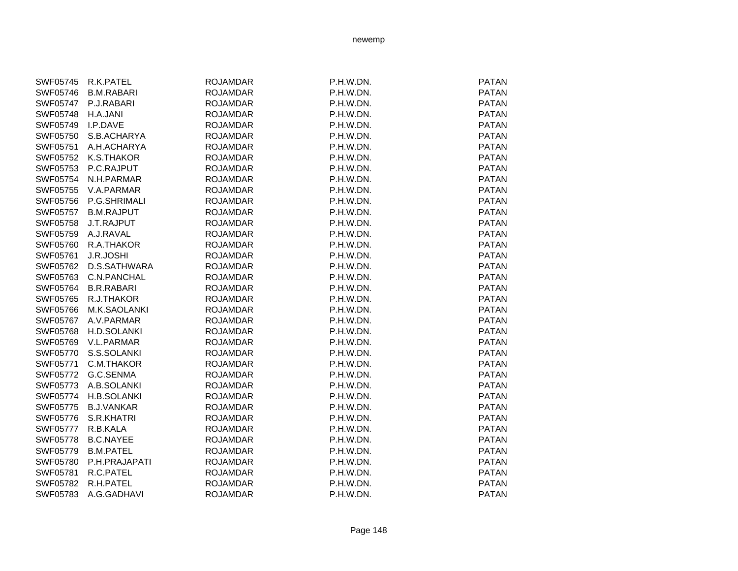| SWF05745 | R.K.PATEL         | <b>ROJAMDAR</b> | P.H.W.DN. | <b>PATAN</b> |
|----------|-------------------|-----------------|-----------|--------------|
| SWF05746 | <b>B.M.RABARI</b> | <b>ROJAMDAR</b> | P.H.W.DN. | <b>PATAN</b> |
| SWF05747 | P.J.RABARI        | <b>ROJAMDAR</b> | P.H.W.DN. | <b>PATAN</b> |
| SWF05748 | H.A.JANI          | <b>ROJAMDAR</b> | P.H.W.DN. | <b>PATAN</b> |
| SWF05749 | I.P.DAVE          | <b>ROJAMDAR</b> | P.H.W.DN. | <b>PATAN</b> |
| SWF05750 | S.B.ACHARYA       | <b>ROJAMDAR</b> | P.H.W.DN. | <b>PATAN</b> |
| SWF05751 | A.H.ACHARYA       | <b>ROJAMDAR</b> | P.H.W.DN. | <b>PATAN</b> |
| SWF05752 | K.S.THAKOR        | <b>ROJAMDAR</b> | P.H.W.DN. | <b>PATAN</b> |
| SWF05753 | P.C.RAJPUT        | <b>ROJAMDAR</b> | P.H.W.DN. | <b>PATAN</b> |
| SWF05754 | N.H.PARMAR        | <b>ROJAMDAR</b> | P.H.W.DN. | <b>PATAN</b> |
| SWF05755 | V.A.PARMAR        | <b>ROJAMDAR</b> | P.H.W.DN. | <b>PATAN</b> |
| SWF05756 | P.G.SHRIMALI      | <b>ROJAMDAR</b> | P.H.W.DN. | <b>PATAN</b> |
| SWF05757 | <b>B.M.RAJPUT</b> | <b>ROJAMDAR</b> | P.H.W.DN. | <b>PATAN</b> |
| SWF05758 | J.T.RAJPUT        | <b>ROJAMDAR</b> | P.H.W.DN. | <b>PATAN</b> |
| SWF05759 | A.J.RAVAL         | <b>ROJAMDAR</b> | P.H.W.DN. | <b>PATAN</b> |
| SWF05760 | R.A.THAKOR        | <b>ROJAMDAR</b> | P.H.W.DN. | <b>PATAN</b> |
| SWF05761 | J.R.JOSHI         | <b>ROJAMDAR</b> | P.H.W.DN. | <b>PATAN</b> |
| SWF05762 | D.S.SATHWARA      | <b>ROJAMDAR</b> | P.H.W.DN. | <b>PATAN</b> |
| SWF05763 | C.N.PANCHAL       | <b>ROJAMDAR</b> | P.H.W.DN. | <b>PATAN</b> |
| SWF05764 | <b>B.R.RABARI</b> | <b>ROJAMDAR</b> | P.H.W.DN. | <b>PATAN</b> |
| SWF05765 | R.J.THAKOR        | <b>ROJAMDAR</b> | P.H.W.DN. | <b>PATAN</b> |
| SWF05766 | M.K.SAOLANKI      | <b>ROJAMDAR</b> | P.H.W.DN. | <b>PATAN</b> |
| SWF05767 | A.V.PARMAR        | <b>ROJAMDAR</b> | P.H.W.DN. | <b>PATAN</b> |
| SWF05768 | H.D.SOLANKI       | <b>ROJAMDAR</b> | P.H.W.DN. | <b>PATAN</b> |
| SWF05769 | V.L.PARMAR        | <b>ROJAMDAR</b> | P.H.W.DN. | <b>PATAN</b> |
| SWF05770 | S.S.SOLANKI       | <b>ROJAMDAR</b> | P.H.W.DN. | <b>PATAN</b> |
| SWF05771 | C.M.THAKOR        | <b>ROJAMDAR</b> | P.H.W.DN. | <b>PATAN</b> |
| SWF05772 | G.C.SENMA         | <b>ROJAMDAR</b> | P.H.W.DN. | <b>PATAN</b> |
| SWF05773 | A.B.SOLANKI       | <b>ROJAMDAR</b> | P.H.W.DN. | <b>PATAN</b> |
| SWF05774 | H.B.SOLANKI       | <b>ROJAMDAR</b> | P.H.W.DN. | <b>PATAN</b> |
| SWF05775 | <b>B.J.VANKAR</b> | <b>ROJAMDAR</b> | P.H.W.DN. | <b>PATAN</b> |
| SWF05776 | S.R.KHATRI        | <b>ROJAMDAR</b> | P.H.W.DN. | <b>PATAN</b> |
| SWF05777 | R.B.KALA          | <b>ROJAMDAR</b> | P.H.W.DN. | <b>PATAN</b> |
| SWF05778 | <b>B.C.NAYEE</b>  | <b>ROJAMDAR</b> | P.H.W.DN. | <b>PATAN</b> |
| SWF05779 | <b>B.M.PATEL</b>  | <b>ROJAMDAR</b> | P.H.W.DN. | <b>PATAN</b> |
| SWF05780 | P.H.PRAJAPATI     | <b>ROJAMDAR</b> | P.H.W.DN. | <b>PATAN</b> |
| SWF05781 | R.C.PATEL         | <b>ROJAMDAR</b> | P.H.W.DN. | <b>PATAN</b> |
| SWF05782 | R.H.PATEL         | <b>ROJAMDAR</b> | P.H.W.DN. | <b>PATAN</b> |
| SWF05783 | A.G.GADHAVI       | <b>ROJAMDAR</b> | P.H.W.DN. | <b>PATAN</b> |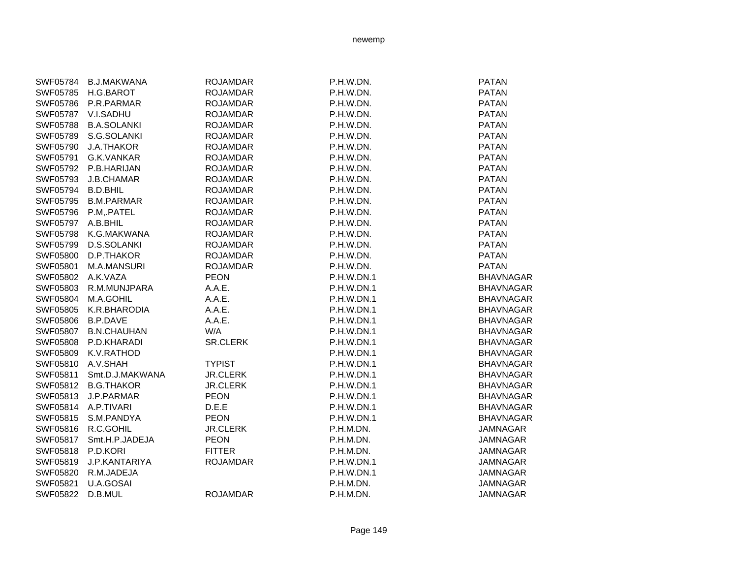| SWF05784        | <b>B.J.MAKWANA</b> | <b>ROJAMDAR</b> | P.H.W.DN.         | <b>PATAN</b>     |
|-----------------|--------------------|-----------------|-------------------|------------------|
| SWF05785        | H.G.BAROT          | <b>ROJAMDAR</b> | P.H.W.DN.         | <b>PATAN</b>     |
| SWF05786        | P.R.PARMAR         | <b>ROJAMDAR</b> | P.H.W.DN.         | <b>PATAN</b>     |
| <b>SWF05787</b> | V.I.SADHU          | <b>ROJAMDAR</b> | P.H.W.DN.         | <b>PATAN</b>     |
| SWF05788        | <b>B.A.SOLANKI</b> | <b>ROJAMDAR</b> | P.H.W.DN.         | <b>PATAN</b>     |
| SWF05789        | S.G.SOLANKI        | <b>ROJAMDAR</b> | P.H.W.DN.         | <b>PATAN</b>     |
| SWF05790        | <b>J.A.THAKOR</b>  | <b>ROJAMDAR</b> | P.H.W.DN.         | <b>PATAN</b>     |
| SWF05791        | G.K.VANKAR         | <b>ROJAMDAR</b> | P.H.W.DN.         | <b>PATAN</b>     |
| SWF05792        | P.B.HARIJAN        | <b>ROJAMDAR</b> | P.H.W.DN.         | <b>PATAN</b>     |
| SWF05793        | J.B.CHAMAR         | <b>ROJAMDAR</b> | P.H.W.DN.         | <b>PATAN</b>     |
| SWF05794        | <b>B.D.BHIL</b>    | <b>ROJAMDAR</b> | P.H.W.DN.         | <b>PATAN</b>     |
| SWF05795        | <b>B.M.PARMAR</b>  | <b>ROJAMDAR</b> | P.H.W.DN.         | <b>PATAN</b>     |
| SWF05796        | P.M. PATEL         | <b>ROJAMDAR</b> | P.H.W.DN.         | <b>PATAN</b>     |
| SWF05797        | A.B.BHIL           | <b>ROJAMDAR</b> | P.H.W.DN.         | <b>PATAN</b>     |
| SWF05798        | K.G.MAKWANA        | <b>ROJAMDAR</b> | P.H.W.DN.         | <b>PATAN</b>     |
| SWF05799        | D.S.SOLANKI        | <b>ROJAMDAR</b> | P.H.W.DN.         | <b>PATAN</b>     |
| SWF05800        | D.P.THAKOR         | <b>ROJAMDAR</b> | P.H.W.DN.         | <b>PATAN</b>     |
| SWF05801        | <b>M.A.MANSURI</b> | <b>ROJAMDAR</b> | P.H.W.DN.         | <b>PATAN</b>     |
| SWF05802        | A.K.VAZA           | <b>PEON</b>     | <b>P.H.W.DN.1</b> | <b>BHAVNAGAR</b> |
| SWF05803        | R.M.MUNJPARA       | A.A.E.          | P.H.W.DN.1        | <b>BHAVNAGAR</b> |
| SWF05804        | M.A.GOHIL          | A.A.E.          | P.H.W.DN.1        | <b>BHAVNAGAR</b> |
| SWF05805        | K.R.BHARODIA       | A.A.E.          | P.H.W.DN.1        | <b>BHAVNAGAR</b> |
| SWF05806        | <b>B.P.DAVE</b>    | A.A.E.          | P.H.W.DN.1        | <b>BHAVNAGAR</b> |
| SWF05807        | <b>B.N.CHAUHAN</b> | W/A             | <b>P.H.W.DN.1</b> | <b>BHAVNAGAR</b> |
| <b>SWF05808</b> | P.D.KHARADI        | <b>SR.CLERK</b> | <b>P.H.W.DN.1</b> | <b>BHAVNAGAR</b> |
| SWF05809        | K.V.RATHOD         |                 | P.H.W.DN.1        | <b>BHAVNAGAR</b> |
| SWF05810        | A.V.SHAH           | <b>TYPIST</b>   | P.H.W.DN.1        | <b>BHAVNAGAR</b> |
| SWF05811        | Smt.D.J.MAKWANA    | <b>JR.CLERK</b> | <b>P.H.W.DN.1</b> | <b>BHAVNAGAR</b> |
| SWF05812        | <b>B.G.THAKOR</b>  | <b>JR.CLERK</b> | P.H.W.DN.1        | <b>BHAVNAGAR</b> |
| SWF05813        | J.P.PARMAR         | <b>PEON</b>     | <b>P.H.W.DN.1</b> | <b>BHAVNAGAR</b> |
| SWF05814        | A.P.TIVARI         | D.E.E           | P.H.W.DN.1        | <b>BHAVNAGAR</b> |
| SWF05815        | S.M.PANDYA         | <b>PEON</b>     | P.H.W.DN.1        | <b>BHAVNAGAR</b> |
| SWF05816        | R.C.GOHIL          | <b>JR.CLERK</b> | P.H.M.DN.         | <b>JAMNAGAR</b>  |
| SWF05817        | Smt.H.P.JADEJA     | <b>PEON</b>     | P.H.M.DN.         | <b>JAMNAGAR</b>  |
| SWF05818        | P.D.KORI           | <b>FITTER</b>   | P.H.M.DN.         | <b>JAMNAGAR</b>  |
| SWF05819        | J.P.KANTARIYA      | <b>ROJAMDAR</b> | <b>P.H.W.DN.1</b> | <b>JAMNAGAR</b>  |
| SWF05820        | R.M.JADEJA         |                 | <b>P.H.W.DN.1</b> | <b>JAMNAGAR</b>  |
| SWF05821        | U.A.GOSAI          |                 | P.H.M.DN.         | <b>JAMNAGAR</b>  |
| SWF05822        | D.B.MUL            | <b>ROJAMDAR</b> | P.H.M.DN.         | <b>JAMNAGAR</b>  |
|                 |                    |                 |                   |                  |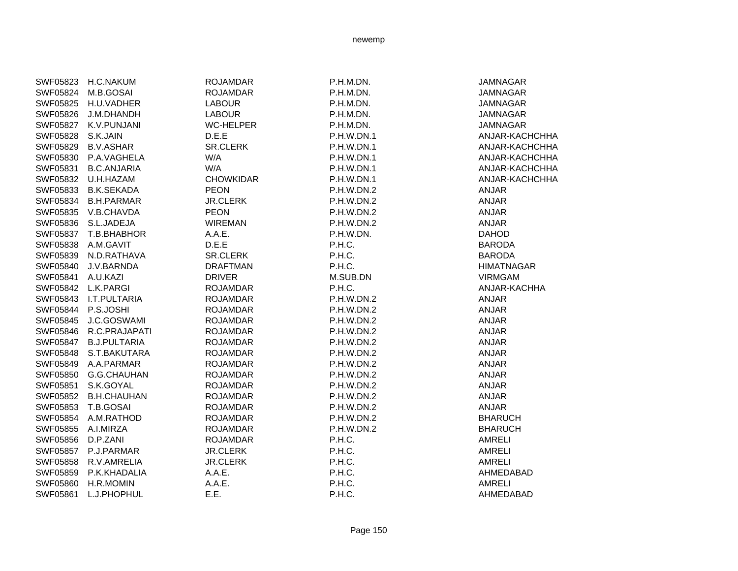| SWF05823 | <b>H.C.NAKUM</b>    | <b>ROJAMDAR</b>  | P.H.M.DN.  | <b>JAMNAGAR</b>   |
|----------|---------------------|------------------|------------|-------------------|
| SWF05824 | M.B.GOSAI           | <b>ROJAMDAR</b>  | P.H.M.DN.  | <b>JAMNAGAR</b>   |
| SWF05825 | H.U.VADHER          | <b>LABOUR</b>    | P.H.M.DN.  | <b>JAMNAGAR</b>   |
| SWF05826 | J.M.DHANDH          | <b>LABOUR</b>    | P.H.M.DN.  | <b>JAMNAGAR</b>   |
| SWF05827 | K.V.PUNJANI         | <b>WC-HELPER</b> | P.H.M.DN.  | <b>JAMNAGAR</b>   |
| SWF05828 | S.K.JAIN            | D.E.E            | P.H.W.DN.1 | ANJAR-KACHCHHA    |
| SWF05829 | <b>B.V.ASHAR</b>    | SR.CLERK         | P.H.W.DN.1 | ANJAR-KACHCHHA    |
| SWF05830 | P.A.VAGHELA         | W/A              | P.H.W.DN.1 | ANJAR-KACHCHHA    |
| SWF05831 | <b>B.C.ANJARIA</b>  | W/A              | P.H.W.DN.1 | ANJAR-KACHCHHA    |
| SWF05832 | U.H.HAZAM           | <b>CHOWKIDAR</b> | P.H.W.DN.1 | ANJAR-KACHCHHA    |
| SWF05833 | <b>B.K.SEKADA</b>   | <b>PEON</b>      | P.H.W.DN.2 | <b>ANJAR</b>      |
| SWF05834 | <b>B.H.PARMAR</b>   | <b>JR.CLERK</b>  | P.H.W.DN.2 | <b>ANJAR</b>      |
| SWF05835 | V.B.CHAVDA          | <b>PEON</b>      | P.H.W.DN.2 | ANJAR             |
| SWF05836 | S.L.JADEJA          | <b>WIREMAN</b>   | P.H.W.DN.2 | ANJAR             |
| SWF05837 | T.B.BHABHOR         | A.A.E.           | P.H.W.DN.  | <b>DAHOD</b>      |
| SWF05838 | A.M.GAVIT           | D.E.E            | P.H.C.     | <b>BARODA</b>     |
| SWF05839 | N.D.RATHAVA         | <b>SR.CLERK</b>  | P.H.C.     | <b>BARODA</b>     |
| SWF05840 | J.V.BARNDA          | <b>DRAFTMAN</b>  | P.H.C.     | <b>HIMATNAGAR</b> |
| SWF05841 | A.U.KAZI            | <b>DRIVER</b>    | M.SUB.DN   | <b>VIRMGAM</b>    |
| SWF05842 | L.K.PARGI           | <b>ROJAMDAR</b>  | P.H.C.     | ANJAR-KACHHA      |
| SWF05843 | I.T.PULTARIA        | <b>ROJAMDAR</b>  | P.H.W.DN.2 | ANJAR             |
| SWF05844 | P.S.JOSHI           | <b>ROJAMDAR</b>  | P.H.W.DN.2 | <b>ANJAR</b>      |
| SWF05845 | J.C.GOSWAMI         | <b>ROJAMDAR</b>  | P.H.W.DN.2 | ANJAR             |
| SWF05846 | R.C.PRAJAPATI       | <b>ROJAMDAR</b>  | P.H.W.DN.2 | <b>ANJAR</b>      |
| SWF05847 | <b>B.J.PULTARIA</b> | <b>ROJAMDAR</b>  | P.H.W.DN.2 | ANJAR             |
| SWF05848 | S.T.BAKUTARA        | <b>ROJAMDAR</b>  | P.H.W.DN.2 | ANJAR             |
| SWF05849 | A.A.PARMAR          | <b>ROJAMDAR</b>  | P.H.W.DN.2 | <b>ANJAR</b>      |
| SWF05850 | G.G.CHAUHAN         | <b>ROJAMDAR</b>  | P.H.W.DN.2 | ANJAR             |
| SWF05851 | S.K.GOYAL           | <b>ROJAMDAR</b>  | P.H.W.DN.2 | <b>ANJAR</b>      |
| SWF05852 | <b>B.H.CHAUHAN</b>  | <b>ROJAMDAR</b>  | P.H.W.DN.2 | ANJAR             |
| SWF05853 | T.B.GOSAI           | <b>ROJAMDAR</b>  | P.H.W.DN.2 | ANJAR             |
| SWF05854 | A.M.RATHOD          | <b>ROJAMDAR</b>  | P.H.W.DN.2 | <b>BHARUCH</b>    |
| SWF05855 | A.I.MIRZA           | <b>ROJAMDAR</b>  | P.H.W.DN.2 | <b>BHARUCH</b>    |
| SWF05856 | D.P.ZANI            | <b>ROJAMDAR</b>  | P.H.C.     | <b>AMRELI</b>     |
| SWF05857 | P.J.PARMAR          | <b>JR.CLERK</b>  | P.H.C.     | <b>AMRELI</b>     |
| SWF05858 | R.V.AMRELIA         | <b>JR.CLERK</b>  | P.H.C.     | <b>AMRELI</b>     |
| SWF05859 | P.K.KHADALIA        | A.A.E.           | P.H.C.     | AHMEDABAD         |
| SWF05860 | H.R.MOMIN           | A.A.E.           | P.H.C.     | <b>AMRELI</b>     |
| SWF05861 | L.J.PHOPHUL         | E.E.             | P.H.C.     | AHMEDABAD         |
|          |                     |                  |            |                   |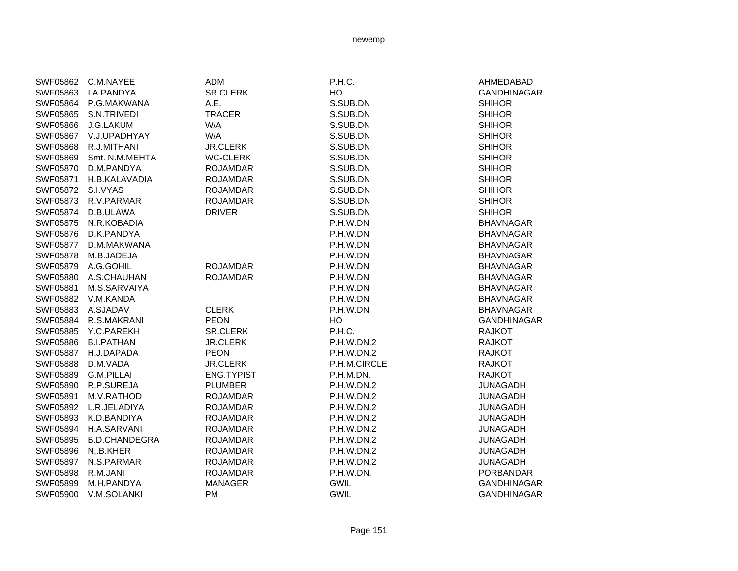| SWF05862        | C.M.NAYEE            | <b>ADM</b>        | P.H.C.            | AHMEDABAD          |
|-----------------|----------------------|-------------------|-------------------|--------------------|
| SWF05863        | <b>I.A.PANDYA</b>    | <b>SR.CLERK</b>   | HO                | <b>GANDHINAGAR</b> |
| SWF05864        | P.G.MAKWANA          | A.E.              | S.SUB.DN          | <b>SHIHOR</b>      |
| SWF05865        | S.N.TRIVEDI          | <b>TRACER</b>     | S.SUB.DN          | <b>SHIHOR</b>      |
| SWF05866        | J.G.LAKUM            | W/A               | S.SUB.DN          | <b>SHIHOR</b>      |
| SWF05867        | V.J.UPADHYAY         | W/A               | S.SUB.DN          | <b>SHIHOR</b>      |
| SWF05868        | R.J.MITHANI          | <b>JR.CLERK</b>   | S.SUB.DN          | <b>SHIHOR</b>      |
| SWF05869        | Smt. N.M.MEHTA       | <b>WC-CLERK</b>   | S.SUB.DN          | <b>SHIHOR</b>      |
| SWF05870        | D.M.PANDYA           | <b>ROJAMDAR</b>   | S.SUB.DN          | <b>SHIHOR</b>      |
| SWF05871        | H.B.KALAVADIA        | <b>ROJAMDAR</b>   | S.SUB.DN          | <b>SHIHOR</b>      |
| SWF05872        | S.I.VYAS             | <b>ROJAMDAR</b>   | S.SUB.DN          | <b>SHIHOR</b>      |
| SWF05873        | R.V.PARMAR           | <b>ROJAMDAR</b>   | S.SUB.DN          | <b>SHIHOR</b>      |
| SWF05874        | D.B.ULAWA            | <b>DRIVER</b>     | S.SUB.DN          | <b>SHIHOR</b>      |
| SWF05875        | N.R.KOBADIA          |                   | P.H.W.DN          | <b>BHAVNAGAR</b>   |
| SWF05876        | D.K.PANDYA           |                   | P.H.W.DN          | <b>BHAVNAGAR</b>   |
| SWF05877        | D.M.MAKWANA          |                   | P.H.W.DN          | <b>BHAVNAGAR</b>   |
| SWF05878        | M.B.JADEJA           |                   | P.H.W.DN          | <b>BHAVNAGAR</b>   |
| SWF05879        | A.G.GOHIL            | <b>ROJAMDAR</b>   | P.H.W.DN          | <b>BHAVNAGAR</b>   |
| SWF05880        | A.S.CHAUHAN          | <b>ROJAMDAR</b>   | P.H.W.DN          | <b>BHAVNAGAR</b>   |
| SWF05881        | M.S.SARVAIYA         |                   | P.H.W.DN          | <b>BHAVNAGAR</b>   |
| SWF05882        | V.M.KANDA            |                   | P.H.W.DN          | <b>BHAVNAGAR</b>   |
| SWF05883        | A.SJADAV             | <b>CLERK</b>      | P.H.W.DN          | <b>BHAVNAGAR</b>   |
| SWF05884        | R.S.MAKRANI          | <b>PEON</b>       | HO                | <b>GANDHINAGAR</b> |
| SWF05885        | Y.C.PAREKH           | <b>SR.CLERK</b>   | P.H.C.            | <b>RAJKOT</b>      |
| SWF05886        | <b>B.I.PATHAN</b>    | <b>JR.CLERK</b>   | P.H.W.DN.2        | <b>RAJKOT</b>      |
| SWF05887        | H.J.DAPADA           | <b>PEON</b>       | P.H.W.DN.2        | <b>RAJKOT</b>      |
| <b>SWF05888</b> | D.M.VADA             | <b>JR.CLERK</b>   | P.H.M.CIRCLE      | <b>RAJKOT</b>      |
| SWF05889        | <b>G.M.PILLAI</b>    | <b>ENG.TYPIST</b> | P.H.M.DN.         | <b>RAJKOT</b>      |
| SWF05890        | R.P.SUREJA           | <b>PLUMBER</b>    | P.H.W.DN.2        | <b>JUNAGADH</b>    |
| SWF05891        | M.V.RATHOD           | <b>ROJAMDAR</b>   | P.H.W.DN.2        | <b>JUNAGADH</b>    |
| SWF05892        | L.R.JELADIYA         | <b>ROJAMDAR</b>   | P.H.W.DN.2        | <b>JUNAGADH</b>    |
| SWF05893        | K.D.BANDIYA          | <b>ROJAMDAR</b>   | P.H.W.DN.2        | <b>JUNAGADH</b>    |
| SWF05894        | H.A.SARVANI          | <b>ROJAMDAR</b>   | <b>P.H.W.DN.2</b> | <b>JUNAGADH</b>    |
| SWF05895        | <b>B.D.CHANDEGRA</b> | <b>ROJAMDAR</b>   | P.H.W.DN.2        | <b>JUNAGADH</b>    |
| SWF05896        | N.B.KHER             | <b>ROJAMDAR</b>   | P.H.W.DN.2        | <b>JUNAGADH</b>    |
| SWF05897        | N.S.PARMAR           | <b>ROJAMDAR</b>   | P.H.W.DN.2        | <b>JUNAGADH</b>    |
| SWF05898        | R.M.JANI             | <b>ROJAMDAR</b>   | P.H.W.DN.         | <b>PORBANDAR</b>   |
| SWF05899        | M.H.PANDYA           | <b>MANAGER</b>    | <b>GWIL</b>       | <b>GANDHINAGAR</b> |
| SWF05900        | V.M.SOLANKI          | <b>PM</b>         | <b>GWIL</b>       | <b>GANDHINAGAR</b> |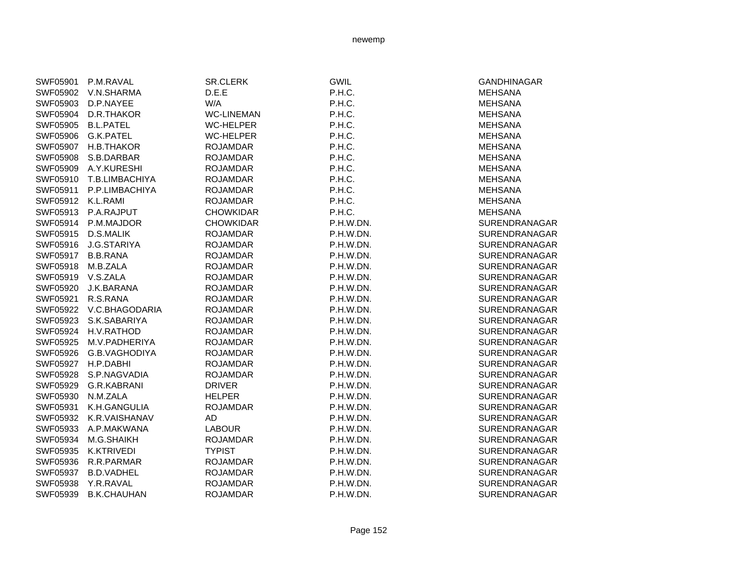| SWF05901        | P.M.RAVAL          | SR.CLERK          | <b>GWIL</b> | <b>GANDHINAGAR</b>   |
|-----------------|--------------------|-------------------|-------------|----------------------|
| SWF05902        | V.N.SHARMA         | D.E.E             | P.H.C.      | <b>MEHSANA</b>       |
| SWF05903        | D.P.NAYEE          | W/A               | P.H.C.      | <b>MEHSANA</b>       |
| SWF05904        | D.R.THAKOR         | <b>WC-LINEMAN</b> | P.H.C.      | <b>MEHSANA</b>       |
| SWF05905        | <b>B.L.PATEL</b>   | <b>WC-HELPER</b>  | P.H.C.      | <b>MEHSANA</b>       |
| SWF05906        | <b>G.K.PATEL</b>   | <b>WC-HELPER</b>  | P.H.C.      | <b>MEHSANA</b>       |
| SWF05907        | H.B.THAKOR         | <b>ROJAMDAR</b>   | P.H.C.      | <b>MEHSANA</b>       |
| <b>SWF05908</b> | S.B.DARBAR         | <b>ROJAMDAR</b>   | P.H.C.      | <b>MEHSANA</b>       |
| SWF05909        | A.Y.KURESHI        | <b>ROJAMDAR</b>   | P.H.C.      | <b>MEHSANA</b>       |
| SWF05910        | T.B.LIMBACHIYA     | <b>ROJAMDAR</b>   | P.H.C.      | <b>MEHSANA</b>       |
| SWF05911        | P.P.LIMBACHIYA     | <b>ROJAMDAR</b>   | P.H.C.      | <b>MEHSANA</b>       |
| SWF05912        | K.L.RAMI           | <b>ROJAMDAR</b>   | P.H.C.      | <b>MEHSANA</b>       |
| SWF05913        | P.A.RAJPUT         | <b>CHOWKIDAR</b>  | P.H.C.      | <b>MEHSANA</b>       |
| SWF05914        | P.M.MAJDOR         | <b>CHOWKIDAR</b>  | P.H.W.DN.   | <b>SURENDRANAGAR</b> |
| SWF05915        | D.S.MALIK          | <b>ROJAMDAR</b>   | P.H.W.DN.   | <b>SURENDRANAGAR</b> |
| SWF05916        | J.G.STARIYA        | <b>ROJAMDAR</b>   | P.H.W.DN.   | SURENDRANAGAR        |
| SWF05917        | <b>B.B.RANA</b>    | <b>ROJAMDAR</b>   | P.H.W.DN.   | <b>SURENDRANAGAR</b> |
| SWF05918        | M.B.ZALA           | <b>ROJAMDAR</b>   | P.H.W.DN.   | <b>SURENDRANAGAR</b> |
| SWF05919        | V.S.ZALA           | <b>ROJAMDAR</b>   | P.H.W.DN.   | <b>SURENDRANAGAR</b> |
| SWF05920        | J.K.BARANA         | <b>ROJAMDAR</b>   | P.H.W.DN.   | <b>SURENDRANAGAR</b> |
| SWF05921        | R.S.RANA           | <b>ROJAMDAR</b>   | P.H.W.DN.   | SURENDRANAGAR        |
| SWF05922        | V.C.BHAGODARIA     | <b>ROJAMDAR</b>   | P.H.W.DN.   | <b>SURENDRANAGAR</b> |
| SWF05923        | S.K.SABARIYA       | <b>ROJAMDAR</b>   | P.H.W.DN.   | <b>SURENDRANAGAR</b> |
| SWF05924        | H.V.RATHOD         | <b>ROJAMDAR</b>   | P.H.W.DN.   | <b>SURENDRANAGAR</b> |
| SWF05925        | M.V.PADHERIYA      | <b>ROJAMDAR</b>   | P.H.W.DN.   | <b>SURENDRANAGAR</b> |
| SWF05926        | G.B.VAGHODIYA      | <b>ROJAMDAR</b>   | P.H.W.DN.   | <b>SURENDRANAGAR</b> |
| SWF05927        | H.P.DABHI          | <b>ROJAMDAR</b>   | P.H.W.DN.   | <b>SURENDRANAGAR</b> |
| SWF05928        | S.P.NAGVADIA       | <b>ROJAMDAR</b>   | P.H.W.DN.   | <b>SURENDRANAGAR</b> |
| SWF05929        | G.R.KABRANI        | <b>DRIVER</b>     | P.H.W.DN.   | <b>SURENDRANAGAR</b> |
| SWF05930        | N.M.ZALA           | <b>HELPER</b>     | P.H.W.DN.   | <b>SURENDRANAGAR</b> |
| SWF05931        | K.H.GANGULIA       | <b>ROJAMDAR</b>   | P.H.W.DN.   | <b>SURENDRANAGAR</b> |
| SWF05932        | K.R.VAISHANAV      | AD                | P.H.W.DN.   | SURENDRANAGAR        |
| SWF05933        | A.P.MAKWANA        | <b>LABOUR</b>     | P.H.W.DN.   | <b>SURENDRANAGAR</b> |
| SWF05934        | M.G.SHAIKH         | <b>ROJAMDAR</b>   | P.H.W.DN.   | SURENDRANAGAR        |
| SWF05935        | K.KTRIVEDI         | <b>TYPIST</b>     | P.H.W.DN.   | <b>SURENDRANAGAR</b> |
| SWF05936        | R.R.PARMAR         | <b>ROJAMDAR</b>   | P.H.W.DN.   | SURENDRANAGAR        |
| SWF05937        | <b>B.D.VADHEL</b>  | <b>ROJAMDAR</b>   | P.H.W.DN.   | SURENDRANAGAR        |
| SWF05938        | Y.R.RAVAL          | <b>ROJAMDAR</b>   | P.H.W.DN.   | <b>SURENDRANAGAR</b> |
| SWF05939        | <b>B.K.CHAUHAN</b> | <b>ROJAMDAR</b>   | P.H.W.DN.   | <b>SURENDRANAGAR</b> |
|                 |                    |                   |             |                      |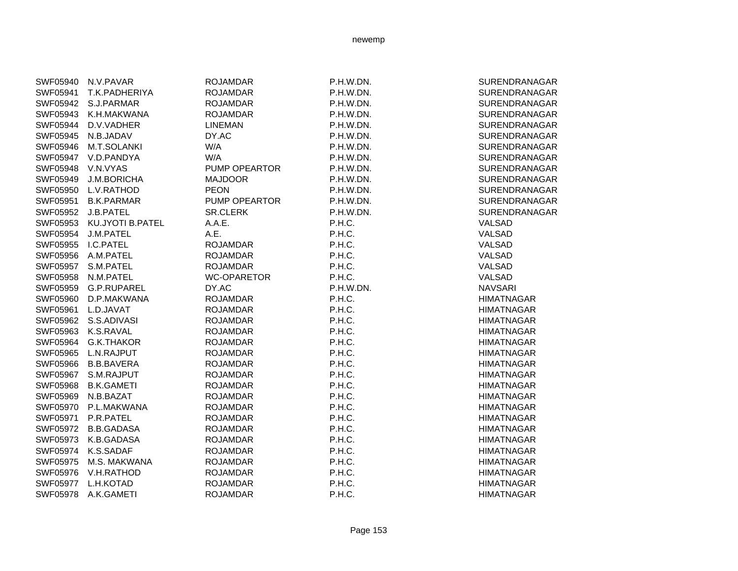| SWF05940 | N.V.PAVAR               | <b>ROJAMDAR</b>    | P.H.W.DN. | SURENDRANAGAR     |
|----------|-------------------------|--------------------|-----------|-------------------|
| SWF05941 | T.K.PADHERIYA           | <b>ROJAMDAR</b>    | P.H.W.DN. | SURENDRANAGAR     |
| SWF05942 | S.J.PARMAR              | <b>ROJAMDAR</b>    | P.H.W.DN. | SURENDRANAGAR     |
| SWF05943 | K.H.MAKWANA             | <b>ROJAMDAR</b>    | P.H.W.DN. | SURENDRANAGAR     |
| SWF05944 | D.V.VADHER              | <b>LINEMAN</b>     | P.H.W.DN. | SURENDRANAGAR     |
| SWF05945 | N.B.JADAV               | DY.AC              | P.H.W.DN. | SURENDRANAGAR     |
| SWF05946 | M.T.SOLANKI             | W/A                | P.H.W.DN. | SURENDRANAGAR     |
| SWF05947 | V.D.PANDYA              | W/A                | P.H.W.DN. | SURENDRANAGAR     |
| SWF05948 | V.N.VYAS                | PUMP OPEARTOR      | P.H.W.DN. | SURENDRANAGAR     |
| SWF05949 | J.M.BORICHA             | <b>MAJDOOR</b>     | P.H.W.DN. | SURENDRANAGAR     |
| SWF05950 | L.V.RATHOD              | <b>PEON</b>        | P.H.W.DN. | SURENDRANAGAR     |
| SWF05951 | <b>B.K.PARMAR</b>       | PUMP OPEARTOR      | P.H.W.DN. | SURENDRANAGAR     |
| SWF05952 | J.B.PATEL               | <b>SR.CLERK</b>    | P.H.W.DN. | SURENDRANAGAR     |
| SWF05953 | <b>KU.JYOTI B.PATEL</b> | A.A.E.             | P.H.C.    | VALSAD            |
| SWF05954 | J.M.PATEL               | A.E.               | P.H.C.    | VALSAD            |
| SWF05955 | I.C.PATEL               | <b>ROJAMDAR</b>    | P.H.C.    | VALSAD            |
| SWF05956 | A.M.PATEL               | <b>ROJAMDAR</b>    | P.H.C.    | VALSAD            |
| SWF05957 | S.M.PATEL               | <b>ROJAMDAR</b>    | P.H.C.    | VALSAD            |
| SWF05958 | N.M.PATEL               | <b>WC-OPARETOR</b> | P.H.C.    | VALSAD            |
| SWF05959 | G.P.RUPAREL             | DY.AC              | P.H.W.DN. | <b>NAVSARI</b>    |
| SWF05960 | D.P.MAKWANA             | <b>ROJAMDAR</b>    | P.H.C.    | <b>HIMATNAGAR</b> |
| SWF05961 | L.D.JAVAT               | <b>ROJAMDAR</b>    | P.H.C.    | <b>HIMATNAGAR</b> |
|          | SWF05962 S.S.ADIVASI    | <b>ROJAMDAR</b>    | P.H.C.    | <b>HIMATNAGAR</b> |
| SWF05963 | K.S.RAVAL               | <b>ROJAMDAR</b>    | P.H.C.    | <b>HIMATNAGAR</b> |
| SWF05964 | <b>G.K.THAKOR</b>       | <b>ROJAMDAR</b>    | P.H.C.    | <b>HIMATNAGAR</b> |
| SWF05965 | L.N.RAJPUT              | <b>ROJAMDAR</b>    | P.H.C.    | <b>HIMATNAGAR</b> |
| SWF05966 | <b>B.B.BAVERA</b>       | <b>ROJAMDAR</b>    | P.H.C.    | <b>HIMATNAGAR</b> |
| SWF05967 | S.M.RAJPUT              | <b>ROJAMDAR</b>    | P.H.C.    | <b>HIMATNAGAR</b> |
| SWF05968 | <b>B.K.GAMETI</b>       | <b>ROJAMDAR</b>    | P.H.C.    | <b>HIMATNAGAR</b> |
| SWF05969 | N.B.BAZAT               | <b>ROJAMDAR</b>    | P.H.C.    | <b>HIMATNAGAR</b> |
| SWF05970 | P.L.MAKWANA             | <b>ROJAMDAR</b>    | P.H.C.    | <b>HIMATNAGAR</b> |
| SWF05971 | P.R.PATEL               | <b>ROJAMDAR</b>    | P.H.C.    | <b>HIMATNAGAR</b> |
| SWF05972 | <b>B.B.GADASA</b>       | <b>ROJAMDAR</b>    | P.H.C.    | <b>HIMATNAGAR</b> |
| SWF05973 | K.B.GADASA              | <b>ROJAMDAR</b>    | P.H.C.    | <b>HIMATNAGAR</b> |
| SWF05974 | K.S.SADAF               | <b>ROJAMDAR</b>    | P.H.C.    | <b>HIMATNAGAR</b> |
| SWF05975 | M.S. MAKWANA            | <b>ROJAMDAR</b>    | P.H.C.    | <b>HIMATNAGAR</b> |
| SWF05976 | V.H.RATHOD              | <b>ROJAMDAR</b>    | P.H.C.    | <b>HIMATNAGAR</b> |
| SWF05977 | L.H.KOTAD               | <b>ROJAMDAR</b>    | P.H.C.    | <b>HIMATNAGAR</b> |
| SWF05978 | A.K.GAMETI              | <b>ROJAMDAR</b>    | P.H.C.    | <b>HIMATNAGAR</b> |
|          |                         |                    |           |                   |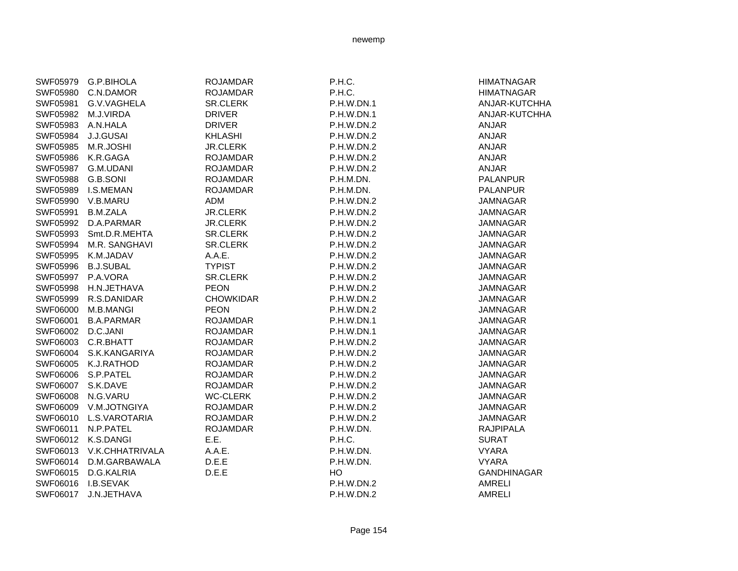| SWF05979 | G.P.BIHOLA        | <b>ROJAMDAR</b>  | P.H.C.            | <b>HIMATNAGAR</b>  |
|----------|-------------------|------------------|-------------------|--------------------|
| SWF05980 | C.N.DAMOR         | <b>ROJAMDAR</b>  | P.H.C.            | <b>HIMATNAGAR</b>  |
| SWF05981 | G.V.VAGHELA       | <b>SR.CLERK</b>  | P.H.W.DN.1        | ANJAR-KUTCHHA      |
| SWF05982 | M.J.VIRDA         | <b>DRIVER</b>    | P.H.W.DN.1        | ANJAR-KUTCHHA      |
| SWF05983 | A.N.HALA          | <b>DRIVER</b>    | P.H.W.DN.2        | <b>ANJAR</b>       |
| SWF05984 | <b>J.J.GUSAI</b>  | <b>KHLASHI</b>   | P.H.W.DN.2        | <b>ANJAR</b>       |
| SWF05985 | M.R.JOSHI         | <b>JR.CLERK</b>  | P.H.W.DN.2        | <b>ANJAR</b>       |
| SWF05986 | K.R.GAGA          | <b>ROJAMDAR</b>  | P.H.W.DN.2        | ANJAR              |
| SWF05987 | G.M.UDANI         | <b>ROJAMDAR</b>  | P.H.W.DN.2        | <b>ANJAR</b>       |
| SWF05988 | G.B.SONI          | <b>ROJAMDAR</b>  | P.H.M.DN.         | <b>PALANPUR</b>    |
| SWF05989 | <b>I.S.MEMAN</b>  | <b>ROJAMDAR</b>  | P.H.M.DN.         | <b>PALANPUR</b>    |
| SWF05990 | V.B.MARU          | ADM              | P.H.W.DN.2        | <b>JAMNAGAR</b>    |
| SWF05991 | <b>B.M.ZALA</b>   | <b>JR.CLERK</b>  | P.H.W.DN.2        | <b>JAMNAGAR</b>    |
| SWF05992 | D.A.PARMAR        | <b>JR.CLERK</b>  | P.H.W.DN.2        | <b>JAMNAGAR</b>    |
| SWF05993 | Smt.D.R.MEHTA     | <b>SR.CLERK</b>  | P.H.W.DN.2        | <b>JAMNAGAR</b>    |
| SWF05994 | M.R. SANGHAVI     | <b>SR.CLERK</b>  | P.H.W.DN.2        | <b>JAMNAGAR</b>    |
| SWF05995 | K.M.JADAV         | A.A.E.           | <b>P.H.W.DN.2</b> | <b>JAMNAGAR</b>    |
| SWF05996 | <b>B.J.SUBAL</b>  | <b>TYPIST</b>    | P.H.W.DN.2        | <b>JAMNAGAR</b>    |
| SWF05997 | P.A.VORA          | <b>SR.CLERK</b>  | P.H.W.DN.2        | <b>JAMNAGAR</b>    |
| SWF05998 | H.N.JETHAVA       | <b>PEON</b>      | P.H.W.DN.2        | <b>JAMNAGAR</b>    |
| SWF05999 | R.S.DANIDAR       | <b>CHOWKIDAR</b> | P.H.W.DN.2        | <b>JAMNAGAR</b>    |
| SWF06000 | M.B.MANGI         | <b>PEON</b>      | P.H.W.DN.2        | <b>JAMNAGAR</b>    |
| SWF06001 | <b>B.A.PARMAR</b> | <b>ROJAMDAR</b>  | P.H.W.DN.1        | <b>JAMNAGAR</b>    |
| SWF06002 | D.C.JANI          | <b>ROJAMDAR</b>  | P.H.W.DN.1        | <b>JAMNAGAR</b>    |
| SWF06003 | C.R.BHATT         | <b>ROJAMDAR</b>  | P.H.W.DN.2        | <b>JAMNAGAR</b>    |
| SWF06004 | S.K.KANGARIYA     | <b>ROJAMDAR</b>  | P.H.W.DN.2        | <b>JAMNAGAR</b>    |
| SWF06005 | K.J.RATHOD        | <b>ROJAMDAR</b>  | P.H.W.DN.2        | <b>JAMNAGAR</b>    |
| SWF06006 | S.P.PATEL         | <b>ROJAMDAR</b>  | P.H.W.DN.2        | <b>JAMNAGAR</b>    |
| SWF06007 | S.K.DAVE          | <b>ROJAMDAR</b>  | P.H.W.DN.2        | <b>JAMNAGAR</b>    |
| SWF06008 | N.G.VARU          | <b>WC-CLERK</b>  | P.H.W.DN.2        | <b>JAMNAGAR</b>    |
| SWF06009 | V.M.JOTNGIYA      | <b>ROJAMDAR</b>  | P.H.W.DN.2        | <b>JAMNAGAR</b>    |
| SWF06010 | L.S.VAROTARIA     | <b>ROJAMDAR</b>  | P.H.W.DN.2        | <b>JAMNAGAR</b>    |
| SWF06011 | N.P.PATEL         | <b>ROJAMDAR</b>  | P.H.W.DN.         | <b>RAJPIPALA</b>   |
| SWF06012 | K.S.DANGI         | E.E.             | P.H.C.            | <b>SURAT</b>       |
| SWF06013 | V.K.CHHATRIVALA   | A.A.E.           | P.H.W.DN.         | <b>VYARA</b>       |
| SWF06014 | D.M.GARBAWALA     | D.E.E            | P.H.W.DN.         | <b>VYARA</b>       |
| SWF06015 | D.G.KALRIA        | D.E.E            | HO                | <b>GANDHINAGAR</b> |
| SWF06016 | I.B.SEVAK         |                  | P.H.W.DN.2        | AMRELI             |
| SWF06017 | J.N.JETHAVA       |                  | P.H.W.DN.2        | <b>AMRELI</b>      |
|          |                   |                  |                   |                    |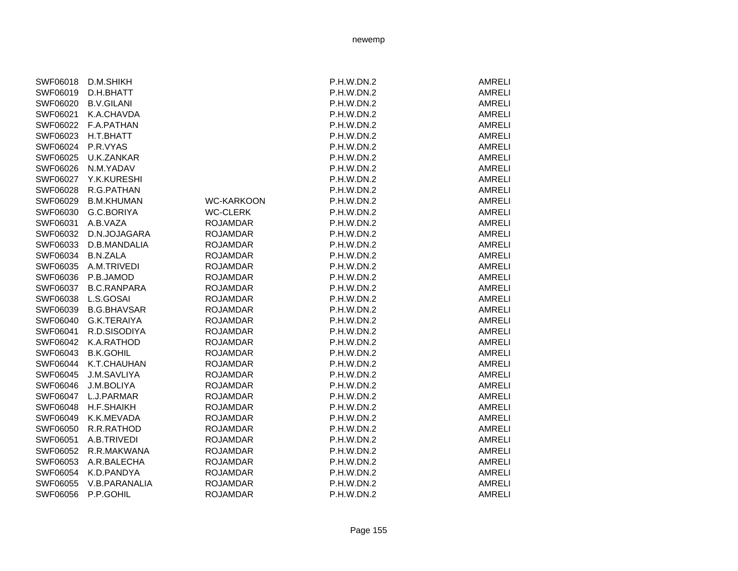| SWF06018 | D.M.SHIKH          |                   | P.H.W.DN.2        | AMRELI        |
|----------|--------------------|-------------------|-------------------|---------------|
| SWF06019 | D.H.BHATT          |                   | P.H.W.DN.2        | <b>AMRELI</b> |
| SWF06020 | <b>B.V.GILANI</b>  |                   | P.H.W.DN.2        | <b>AMRELI</b> |
| SWF06021 | K.A.CHAVDA         |                   | P.H.W.DN.2        | <b>AMRELI</b> |
| SWF06022 | F.A.PATHAN         |                   | P.H.W.DN.2        | <b>AMRELI</b> |
| SWF06023 | H.T.BHATT          |                   | P.H.W.DN.2        | <b>AMRELI</b> |
| SWF06024 | P.R.VYAS           |                   | <b>P.H.W.DN.2</b> | <b>AMRELI</b> |
| SWF06025 | U.K.ZANKAR         |                   | P.H.W.DN.2        | AMRELI        |
| SWF06026 | N.M.YADAV          |                   | P.H.W.DN.2        | <b>AMRELI</b> |
| SWF06027 | Y.K.KURESHI        |                   | P.H.W.DN.2        | <b>AMRELI</b> |
| SWF06028 | R.G.PATHAN         |                   | P.H.W.DN.2        | <b>AMRELI</b> |
| SWF06029 | <b>B.M.KHUMAN</b>  | <b>WC-KARKOON</b> | P.H.W.DN.2        | <b>AMRELI</b> |
| SWF06030 | G.C.BORIYA         | <b>WC-CLERK</b>   | P.H.W.DN.2        | <b>AMRELI</b> |
| SWF06031 | A.B.VAZA           | <b>ROJAMDAR</b>   | P.H.W.DN.2        | <b>AMRELI</b> |
| SWF06032 | D.N.JOJAGARA       | <b>ROJAMDAR</b>   | <b>P.H.W.DN.2</b> | <b>AMRELI</b> |
| SWF06033 | D.B.MANDALIA       | <b>ROJAMDAR</b>   | P.H.W.DN.2        | <b>AMRELI</b> |
| SWF06034 | <b>B.N.ZALA</b>    | <b>ROJAMDAR</b>   | P.H.W.DN.2        | <b>AMRELI</b> |
| SWF06035 | A.M.TRIVEDI        | <b>ROJAMDAR</b>   | P.H.W.DN.2        | <b>AMRELI</b> |
| SWF06036 | P.B.JAMOD          | <b>ROJAMDAR</b>   | P.H.W.DN.2        | AMRELI        |
| SWF06037 | <b>B.C.RANPARA</b> | <b>ROJAMDAR</b>   | P.H.W.DN.2        | <b>AMRELI</b> |
| SWF06038 | L.S.GOSAI          | <b>ROJAMDAR</b>   | P.H.W.DN.2        | <b>AMRELI</b> |
| SWF06039 | <b>B.G.BHAVSAR</b> | <b>ROJAMDAR</b>   | P.H.W.DN.2        | <b>AMRELI</b> |
| SWF06040 | G.K.TERAIYA        | <b>ROJAMDAR</b>   | P.H.W.DN.2        | <b>AMRELI</b> |
| SWF06041 | R.D.SISODIYA       | <b>ROJAMDAR</b>   | P.H.W.DN.2        | <b>AMRELI</b> |
| SWF06042 | K.A.RATHOD         | <b>ROJAMDAR</b>   | P.H.W.DN.2        | <b>AMRELI</b> |
| SWF06043 | <b>B.K.GOHIL</b>   | <b>ROJAMDAR</b>   | P.H.W.DN.2        | <b>AMRELI</b> |
| SWF06044 | K.T.CHAUHAN        | <b>ROJAMDAR</b>   | P.H.W.DN.2        | <b>AMRELI</b> |
| SWF06045 | J.M.SAVLIYA        | <b>ROJAMDAR</b>   | <b>P.H.W.DN.2</b> | <b>AMRELI</b> |
| SWF06046 | J.M.BOLIYA         | <b>ROJAMDAR</b>   | <b>P.H.W.DN.2</b> | <b>AMRELI</b> |
| SWF06047 | L.J.PARMAR         | <b>ROJAMDAR</b>   | P.H.W.DN.2        | <b>AMRELI</b> |
| SWF06048 | <b>H.F.SHAIKH</b>  | <b>ROJAMDAR</b>   | P.H.W.DN.2        | <b>AMRELI</b> |
| SWF06049 | K.K.MEVADA         | <b>ROJAMDAR</b>   | P.H.W.DN.2        | <b>AMRELI</b> |
| SWF06050 | R.R.RATHOD         | <b>ROJAMDAR</b>   | P.H.W.DN.2        | <b>AMRELI</b> |
| SWF06051 | A.B.TRIVEDI        | <b>ROJAMDAR</b>   | P.H.W.DN.2        | <b>AMRELI</b> |
| SWF06052 | R.R.MAKWANA        | <b>ROJAMDAR</b>   | P.H.W.DN.2        | <b>AMRELI</b> |
| SWF06053 | A.R.BALECHA        | <b>ROJAMDAR</b>   | P.H.W.DN.2        | <b>AMRELI</b> |
| SWF06054 | K.D.PANDYA         | <b>ROJAMDAR</b>   | <b>P.H.W.DN.2</b> | <b>AMRELI</b> |
| SWF06055 | V.B.PARANALIA      | <b>ROJAMDAR</b>   | P.H.W.DN.2        | <b>AMRELI</b> |
| SWF06056 | P.P.GOHIL          | <b>ROJAMDAR</b>   | <b>P.H.W.DN.2</b> | <b>AMRELI</b> |
|          |                    |                   |                   |               |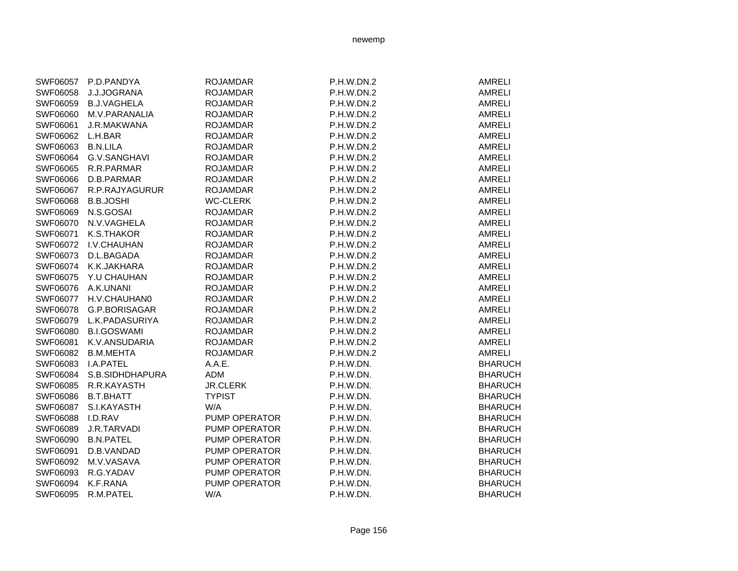| SWF06057 | P.D.PANDYA               | <b>ROJAMDAR</b>      | P.H.W.DN.2 | <b>AMRELI</b>  |
|----------|--------------------------|----------------------|------------|----------------|
| SWF06058 | J.J.JOGRANA              | <b>ROJAMDAR</b>      | P.H.W.DN.2 | <b>AMRELI</b>  |
| SWF06059 | <b>B.J.VAGHELA</b>       | <b>ROJAMDAR</b>      | P.H.W.DN.2 | <b>AMRELI</b>  |
| SWF06060 | M.V.PARANALIA            | <b>ROJAMDAR</b>      | P.H.W.DN.2 | <b>AMRELI</b>  |
| SWF06061 | <b>J.R.MAKWANA</b>       | <b>ROJAMDAR</b>      | P.H.W.DN.2 | AMRELI         |
| SWF06062 | L.H.BAR                  | <b>ROJAMDAR</b>      | P.H.W.DN.2 | AMRELI         |
| SWF06063 | <b>B.N.LILA</b>          | <b>ROJAMDAR</b>      | P.H.W.DN.2 | <b>AMRELI</b>  |
| SWF06064 | G.V.SANGHAVI             | <b>ROJAMDAR</b>      | P.H.W.DN.2 | <b>AMRELI</b>  |
| SWF06065 | R.R.PARMAR               | <b>ROJAMDAR</b>      | P.H.W.DN.2 | <b>AMRELI</b>  |
| SWF06066 | D.B.PARMAR               | <b>ROJAMDAR</b>      | P.H.W.DN.2 | <b>AMRELI</b>  |
|          | SWF06067 R.P.RAJYAGURUR  | <b>ROJAMDAR</b>      | P.H.W.DN.2 | <b>AMRELI</b>  |
| SWF06068 | <b>B.B.JOSHI</b>         | <b>WC-CLERK</b>      | P.H.W.DN.2 | <b>AMRELI</b>  |
| SWF06069 | N.S.GOSAI                | <b>ROJAMDAR</b>      | P.H.W.DN.2 | <b>AMRELI</b>  |
| SWF06070 | N.V.VAGHELA              | <b>ROJAMDAR</b>      | P.H.W.DN.2 | <b>AMRELI</b>  |
| SWF06071 | K.S.THAKOR               | <b>ROJAMDAR</b>      | P.H.W.DN.2 | <b>AMRELI</b>  |
| SWF06072 | I.V.CHAUHAN              | <b>ROJAMDAR</b>      | P.H.W.DN.2 | <b>AMRELI</b>  |
| SWF06073 | D.L.BAGADA               | <b>ROJAMDAR</b>      | P.H.W.DN.2 | <b>AMRELI</b>  |
| SWF06074 | K.K.JAKHARA              | <b>ROJAMDAR</b>      | P.H.W.DN.2 | <b>AMRELI</b>  |
| SWF06075 | Y.U CHAUHAN              | <b>ROJAMDAR</b>      | P.H.W.DN.2 | <b>AMRELI</b>  |
| SWF06076 | A.K.UNANI                | <b>ROJAMDAR</b>      | P.H.W.DN.2 | AMRELI         |
| SWF06077 | H.V.CHAUHAN0             | <b>ROJAMDAR</b>      | P.H.W.DN.2 | <b>AMRELI</b>  |
| SWF06078 | G.P.BORISAGAR            | <b>ROJAMDAR</b>      | P.H.W.DN.2 | <b>AMRELI</b>  |
| SWF06079 | L.K.PADASURIYA           | <b>ROJAMDAR</b>      | P.H.W.DN.2 | <b>AMRELI</b>  |
| SWF06080 | <b>B.I.GOSWAMI</b>       | <b>ROJAMDAR</b>      | P.H.W.DN.2 | <b>AMRELI</b>  |
| SWF06081 | K.V.ANSUDARIA            | <b>ROJAMDAR</b>      | P.H.W.DN.2 | AMRELI         |
| SWF06082 | <b>B.M.MEHTA</b>         | <b>ROJAMDAR</b>      | P.H.W.DN.2 | <b>AMRELI</b>  |
| SWF06083 | <b>I.A.PATEL</b>         | A.A.E.               | P.H.W.DN.  | <b>BHARUCH</b> |
|          | SWF06084 S.B.SIDHDHAPURA | ADM                  | P.H.W.DN.  | <b>BHARUCH</b> |
|          | SWF06085 R.R.KAYASTH     | <b>JR.CLERK</b>      | P.H.W.DN.  | <b>BHARUCH</b> |
| SWF06086 | B.T.BHATT                | <b>TYPIST</b>        | P.H.W.DN.  | <b>BHARUCH</b> |
| SWF06087 | S.I.KAYASTH              | W/A                  | P.H.W.DN.  | <b>BHARUCH</b> |
| SWF06088 | I.D.RAV                  | <b>PUMP OPERATOR</b> | P.H.W.DN.  | <b>BHARUCH</b> |
| SWF06089 | J.R.TARVADI              | PUMP OPERATOR        | P.H.W.DN.  | <b>BHARUCH</b> |
| SWF06090 | <b>B.N.PATEL</b>         | PUMP OPERATOR        | P.H.W.DN.  | <b>BHARUCH</b> |
| SWF06091 | D.B.VANDAD               | PUMP OPERATOR        | P.H.W.DN.  | <b>BHARUCH</b> |
| SWF06092 | M.V.VASAVA               | PUMP OPERATOR        | P.H.W.DN.  | <b>BHARUCH</b> |
| SWF06093 | R.G.YADAV                | PUMP OPERATOR        | P.H.W.DN.  | <b>BHARUCH</b> |
| SWF06094 | K.F.RANA                 | PUMP OPERATOR        | P.H.W.DN.  | <b>BHARUCH</b> |
| SWF06095 | R.M.PATEL                | W/A                  | P.H.W.DN.  | <b>BHARUCH</b> |
|          |                          |                      |            |                |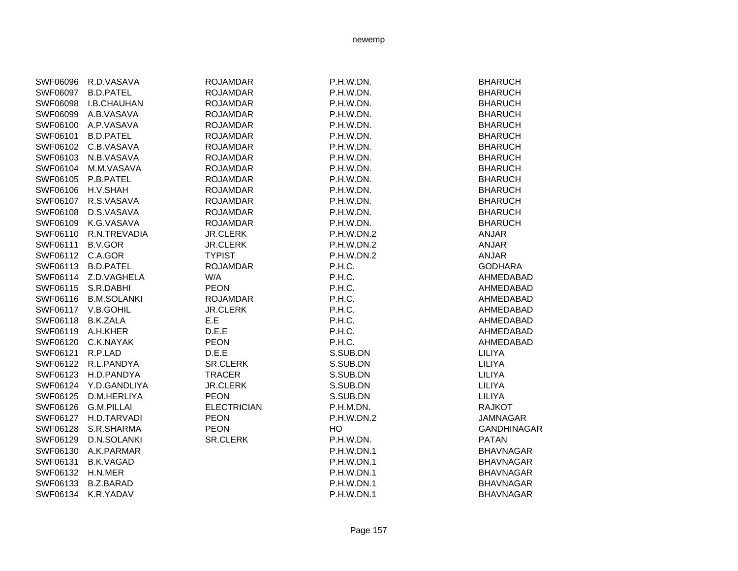| SWF06096         | R.D.VASAVA         | <b>ROJAMDAR</b>    | P.H.W.DN.  | <b>BHARUCH</b>     |
|------------------|--------------------|--------------------|------------|--------------------|
| SWF06097         | <b>B.D.PATEL</b>   | <b>ROJAMDAR</b>    | P.H.W.DN.  | <b>BHARUCH</b>     |
| SWF06098         | I.B.CHAUHAN        | <b>ROJAMDAR</b>    | P.H.W.DN.  | <b>BHARUCH</b>     |
| SWF06099         | A.B.VASAVA         | <b>ROJAMDAR</b>    | P.H.W.DN.  | <b>BHARUCH</b>     |
| SWF06100         | A.P.VASAVA         | <b>ROJAMDAR</b>    | P.H.W.DN.  | <b>BHARUCH</b>     |
| SWF06101         | <b>B.D.PATEL</b>   | <b>ROJAMDAR</b>    | P.H.W.DN.  | <b>BHARUCH</b>     |
| SWF06102         | C.B.VASAVA         | <b>ROJAMDAR</b>    | P.H.W.DN.  | <b>BHARUCH</b>     |
| SWF06103         | N.B.VASAVA         | <b>ROJAMDAR</b>    | P.H.W.DN.  | <b>BHARUCH</b>     |
| SWF06104         | M.M.VASAVA         | <b>ROJAMDAR</b>    | P.H.W.DN.  | <b>BHARUCH</b>     |
| SWF06105         | P.B.PATEL          | <b>ROJAMDAR</b>    | P.H.W.DN.  | <b>BHARUCH</b>     |
| SWF06106         | H.V.SHAH           | <b>ROJAMDAR</b>    | P.H.W.DN.  | <b>BHARUCH</b>     |
| SWF06107         | R.S.VASAVA         | <b>ROJAMDAR</b>    | P.H.W.DN.  | <b>BHARUCH</b>     |
| SWF06108         | D.S.VASAVA         | <b>ROJAMDAR</b>    | P.H.W.DN.  | <b>BHARUCH</b>     |
| SWF06109         | K.G.VASAVA         | <b>ROJAMDAR</b>    | P.H.W.DN.  | <b>BHARUCH</b>     |
| SWF06110         | R.N.TREVADIA       | <b>JR.CLERK</b>    | P.H.W.DN.2 | <b>ANJAR</b>       |
| SWF06111         | <b>B.V.GOR</b>     | <b>JR.CLERK</b>    | P.H.W.DN.2 | <b>ANJAR</b>       |
| SWF06112 C.A.GOR |                    | <b>TYPIST</b>      | P.H.W.DN.2 | <b>ANJAR</b>       |
| SWF06113         | <b>B.D.PATEL</b>   | <b>ROJAMDAR</b>    | P.H.C.     | <b>GODHARA</b>     |
| SWF06114         | Z.D.VAGHELA        | W/A                | P.H.C.     | AHMEDABAD          |
| SWF06115         | S.R.DABHI          | <b>PEON</b>        | P.H.C.     | AHMEDABAD          |
| SWF06116         | <b>B.M.SOLANKI</b> | <b>ROJAMDAR</b>    | P.H.C.     | AHMEDABAD          |
| SWF06117         | V.B.GOHIL          | <b>JR.CLERK</b>    | P.H.C.     | AHMEDABAD          |
| SWF06118         | <b>B.K.ZALA</b>    | E.E                | P.H.C.     | AHMEDABAD          |
| SWF06119         | A.H.KHER           | D.E.E              | P.H.C.     | AHMEDABAD          |
| SWF06120         | C.K.NAYAK          | <b>PEON</b>        | P.H.C.     | AHMEDABAD          |
| SWF06121         | R.P.LAD            | D.E.E              | S.SUB.DN   | LILIYA             |
| SWF06122         | R.L.PANDYA         | <b>SR.CLERK</b>    | S.SUB.DN   | LILIYA             |
| SWF06123         | H.D.PANDYA         | <b>TRACER</b>      | S.SUB.DN   | LILIYA             |
| SWF06124         | Y.D.GANDLIYA       | <b>JR.CLERK</b>    | S.SUB.DN   | LILIYA             |
| SWF06125         | D.M.HERLIYA        | <b>PEON</b>        | S.SUB.DN   | LILIYA             |
| SWF06126         | <b>G.M.PILLAI</b>  | <b>ELECTRICIAN</b> | P.H.M.DN.  | <b>RAJKOT</b>      |
| SWF06127         | H.D.TARVADI        | <b>PEON</b>        | P.H.W.DN.2 | <b>JAMNAGAR</b>    |
| SWF06128         | S.R.SHARMA         | <b>PEON</b>        | HO         | <b>GANDHINAGAR</b> |
| SWF06129         | D.N.SOLANKI        | <b>SR.CLERK</b>    | P.H.W.DN.  | <b>PATAN</b>       |
| SWF06130         | A.K.PARMAR         |                    | P.H.W.DN.1 | <b>BHAVNAGAR</b>   |
| SWF06131         | <b>B.K.VAGAD</b>   |                    | P.H.W.DN.1 | <b>BHAVNAGAR</b>   |
| SWF06132         | H.N.MER            |                    | P.H.W.DN.1 | <b>BHAVNAGAR</b>   |
| SWF06133         | <b>B.Z.BARAD</b>   |                    | P.H.W.DN.1 | <b>BHAVNAGAR</b>   |
| SWF06134         | K.R.YADAV          |                    | P.H.W.DN.1 | <b>BHAVNAGAR</b>   |
|                  |                    |                    |            |                    |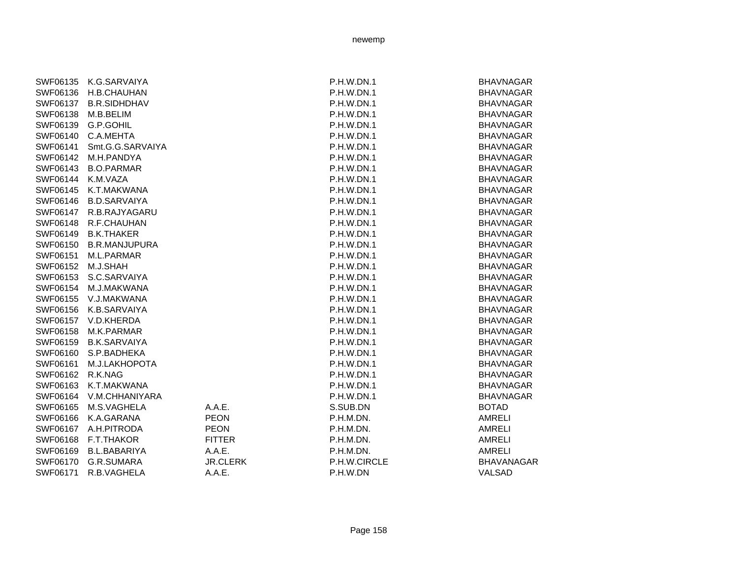| SWF06135<br>SWF06136<br>SWF06137<br>SWF06138<br>SWF06139<br>SWF06140<br>SWF06141<br>SWF06142<br>SWF06143<br>SWF06144<br>SWF06145 | K.G.SARVAIYA<br>H.B.CHAUHAN<br><b>B.R.SIDHDHAV</b><br>M.B.BELIM<br>G.P.GOHIL<br>C.A.MEHTA<br>Smt.G.G.SARVAIYA<br>M.H.PANDYA<br><b>B.O.PARMAR</b><br>K.M.VAZA<br>K.T.MAKWANA |                           | P.H.W.DN.1<br>P.H.W.DN.1<br>P.H.W.DN.1<br><b>P.H.W.DN.1</b><br>P.H.W.DN.1<br>P.H.W.DN.1<br><b>P.H.W.DN.1</b><br>P.H.W.DN.1<br><b>P.H.W.DN.1</b><br><b>P.H.W.DN.1</b><br>P.H.W.DN.1 | <b>BHAVNAGAR</b><br><b>BHAVNAGAR</b><br><b>BHAVNAGAR</b><br><b>BHAVNAGAR</b><br><b>BHAVNAGAR</b><br><b>BHAVNAGAR</b><br><b>BHAVNAGAR</b><br><b>BHAVNAGAR</b><br><b>BHAVNAGAR</b><br><b>BHAVNAGAR</b><br><b>BHAVNAGAR</b> |
|----------------------------------------------------------------------------------------------------------------------------------|-----------------------------------------------------------------------------------------------------------------------------------------------------------------------------|---------------------------|------------------------------------------------------------------------------------------------------------------------------------------------------------------------------------|--------------------------------------------------------------------------------------------------------------------------------------------------------------------------------------------------------------------------|
| SWF06146                                                                                                                         | <b>B.D.SARVAIYA</b>                                                                                                                                                         |                           | <b>P.H.W.DN.1</b>                                                                                                                                                                  | <b>BHAVNAGAR</b>                                                                                                                                                                                                         |
| SWF06147                                                                                                                         | R.B.RAJYAGARU                                                                                                                                                               |                           | <b>P.H.W.DN.1</b>                                                                                                                                                                  | <b>BHAVNAGAR</b>                                                                                                                                                                                                         |
| SWF06148                                                                                                                         | R.F.CHAUHAN                                                                                                                                                                 |                           | P.H.W.DN.1                                                                                                                                                                         | <b>BHAVNAGAR</b>                                                                                                                                                                                                         |
| SWF06149                                                                                                                         | <b>B.K.THAKER</b>                                                                                                                                                           |                           | P.H.W.DN.1                                                                                                                                                                         | <b>BHAVNAGAR</b>                                                                                                                                                                                                         |
| SWF06150                                                                                                                         | <b>B.R.MANJUPURA</b>                                                                                                                                                        |                           | P.H.W.DN.1                                                                                                                                                                         | <b>BHAVNAGAR</b>                                                                                                                                                                                                         |
| SWF06151                                                                                                                         | M.L.PARMAR                                                                                                                                                                  |                           | P.H.W.DN.1                                                                                                                                                                         | <b>BHAVNAGAR</b>                                                                                                                                                                                                         |
| SWF06152                                                                                                                         | M.J.SHAH                                                                                                                                                                    |                           | P.H.W.DN.1                                                                                                                                                                         | <b>BHAVNAGAR</b>                                                                                                                                                                                                         |
| SWF06153                                                                                                                         | S.C.SARVAIYA                                                                                                                                                                |                           | P.H.W.DN.1                                                                                                                                                                         | <b>BHAVNAGAR</b>                                                                                                                                                                                                         |
| SWF06154                                                                                                                         | M.J.MAKWANA                                                                                                                                                                 |                           | P.H.W.DN.1                                                                                                                                                                         | <b>BHAVNAGAR</b>                                                                                                                                                                                                         |
| SWF06155                                                                                                                         | V.J.MAKWANA                                                                                                                                                                 |                           | P.H.W.DN.1                                                                                                                                                                         | <b>BHAVNAGAR</b>                                                                                                                                                                                                         |
| SWF06156                                                                                                                         | K.B.SARVAIYA                                                                                                                                                                |                           | P.H.W.DN.1                                                                                                                                                                         | <b>BHAVNAGAR</b>                                                                                                                                                                                                         |
| SWF06157                                                                                                                         | V.D.KHERDA                                                                                                                                                                  |                           | P.H.W.DN.1                                                                                                                                                                         | <b>BHAVNAGAR</b>                                                                                                                                                                                                         |
| SWF06158                                                                                                                         | M.K.PARMAR                                                                                                                                                                  |                           | P.H.W.DN.1                                                                                                                                                                         | <b>BHAVNAGAR</b>                                                                                                                                                                                                         |
| SWF06159                                                                                                                         | <b>B.K.SARVAIYA</b>                                                                                                                                                         |                           | P.H.W.DN.1                                                                                                                                                                         | <b>BHAVNAGAR</b>                                                                                                                                                                                                         |
| SWF06160                                                                                                                         | S.P.BADHEKA                                                                                                                                                                 |                           | P.H.W.DN.1                                                                                                                                                                         | <b>BHAVNAGAR</b>                                                                                                                                                                                                         |
| SWF06161                                                                                                                         | M.J.LAKHOPOTA                                                                                                                                                               |                           | P.H.W.DN.1                                                                                                                                                                         | <b>BHAVNAGAR</b>                                                                                                                                                                                                         |
| SWF06162                                                                                                                         | R.K.NAG                                                                                                                                                                     |                           | P.H.W.DN.1                                                                                                                                                                         | <b>BHAVNAGAR</b>                                                                                                                                                                                                         |
| SWF06163                                                                                                                         | K.T.MAKWANA                                                                                                                                                                 |                           | P.H.W.DN.1                                                                                                                                                                         | <b>BHAVNAGAR</b>                                                                                                                                                                                                         |
| SWF06164                                                                                                                         | V.M.CHHANIYARA                                                                                                                                                              |                           | P.H.W.DN.1                                                                                                                                                                         | <b>BHAVNAGAR</b>                                                                                                                                                                                                         |
| SWF06165                                                                                                                         | M.S.VAGHELA                                                                                                                                                                 | A.A.E.                    | S.SUB.DN                                                                                                                                                                           | <b>BOTAD</b>                                                                                                                                                                                                             |
| SWF06166                                                                                                                         | K.A.GARANA                                                                                                                                                                  | <b>PEON</b>               | P.H.M.DN.                                                                                                                                                                          | <b>AMRELI</b>                                                                                                                                                                                                            |
| SWF06167                                                                                                                         | A.H.PITRODA                                                                                                                                                                 | <b>PEON</b>               | P.H.M.DN.                                                                                                                                                                          | <b>AMRELI</b>                                                                                                                                                                                                            |
| SWF06168                                                                                                                         | F.T.THAKOR                                                                                                                                                                  | <b>FITTER</b>             | P.H.M.DN.                                                                                                                                                                          | <b>AMRELI</b>                                                                                                                                                                                                            |
| SWF06169                                                                                                                         | <b>B.L.BABARIYA</b>                                                                                                                                                         | A.A.E.                    | P.H.M.DN.                                                                                                                                                                          | AMRELI                                                                                                                                                                                                                   |
| SWF06170<br>SWF06171                                                                                                             | G.R.SUMARA<br>R.B.VAGHELA                                                                                                                                                   | <b>JR.CLERK</b><br>A.A.E. | P.H.W.CIRCLE<br>P.H.W.DN                                                                                                                                                           | <b>BHAVANAGAR</b><br>VALSAD                                                                                                                                                                                              |
|                                                                                                                                  |                                                                                                                                                                             |                           |                                                                                                                                                                                    |                                                                                                                                                                                                                          |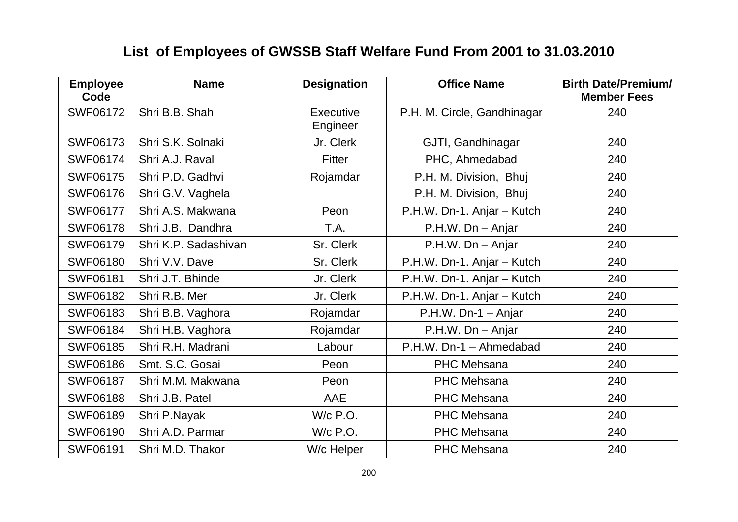## **List of Employees of GWSSB Staff Welfare Fund From 2001 to 31.03.2010**

| <b>Employee</b><br>Code | <b>Name</b>          | <b>Designation</b>           | <b>Office Name</b>          | <b>Birth Date/Premium/</b><br><b>Member Fees</b> |
|-------------------------|----------------------|------------------------------|-----------------------------|--------------------------------------------------|
| <b>SWF06172</b>         | Shri B.B. Shah       | <b>Executive</b><br>Engineer | P.H. M. Circle, Gandhinagar | 240                                              |
| <b>SWF06173</b>         | Shri S.K. Solnaki    | Jr. Clerk                    | GJTI, Gandhinagar           | 240                                              |
| <b>SWF06174</b>         | Shri A.J. Raval      | Fitter                       | PHC, Ahmedabad              | 240                                              |
| <b>SWF06175</b>         | Shri P.D. Gadhvi     | Rojamdar                     | P.H. M. Division, Bhuj      | 240                                              |
| <b>SWF06176</b>         | Shri G.V. Vaghela    |                              | P.H. M. Division, Bhuj      | 240                                              |
| <b>SWF06177</b>         | Shri A.S. Makwana    | Peon                         | P.H.W. Dn-1. Anjar - Kutch  | 240                                              |
| <b>SWF06178</b>         | Shri J.B. Dandhra    | T.A.                         | P.H.W. Dn - Anjar           | 240                                              |
| <b>SWF06179</b>         | Shri K.P. Sadashivan | Sr. Clerk                    | P.H.W. Dn - Anjar           | 240                                              |
| <b>SWF06180</b>         | Shri V.V. Dave       | Sr. Clerk                    | P.H.W. Dn-1. Anjar - Kutch  | 240                                              |
| <b>SWF06181</b>         | Shri J.T. Bhinde     | Jr. Clerk                    | P.H.W. Dn-1. Anjar - Kutch  | 240                                              |
| <b>SWF06182</b>         | Shri R.B. Mer        | Jr. Clerk                    | P.H.W. Dn-1. Anjar - Kutch  | 240                                              |
| <b>SWF06183</b>         | Shri B.B. Vaghora    | Rojamdar                     | $P.H.W. Dn-1 - Anjar$       | 240                                              |
| <b>SWF06184</b>         | Shri H.B. Vaghora    | Rojamdar                     | P.H.W. Dn - Anjar           | 240                                              |
| <b>SWF06185</b>         | Shri R.H. Madrani    | Labour                       | P.H.W. Dn-1 - Ahmedabad     | 240                                              |
| <b>SWF06186</b>         | Smt. S.C. Gosai      | Peon                         | <b>PHC Mehsana</b>          | 240                                              |
| <b>SWF06187</b>         | Shri M.M. Makwana    | Peon                         | <b>PHC Mehsana</b>          | 240                                              |
| <b>SWF06188</b>         | Shri J.B. Patel      | AAE                          | <b>PHC Mehsana</b>          | 240                                              |
| <b>SWF06189</b>         | Shri P.Nayak         | W/c P.O.                     | <b>PHC Mehsana</b>          | 240                                              |
| <b>SWF06190</b>         | Shri A.D. Parmar     | W/c P.O.                     | <b>PHC Mehsana</b>          | 240                                              |
| <b>SWF06191</b>         | Shri M.D. Thakor     | W/c Helper                   | <b>PHC Mehsana</b>          | 240                                              |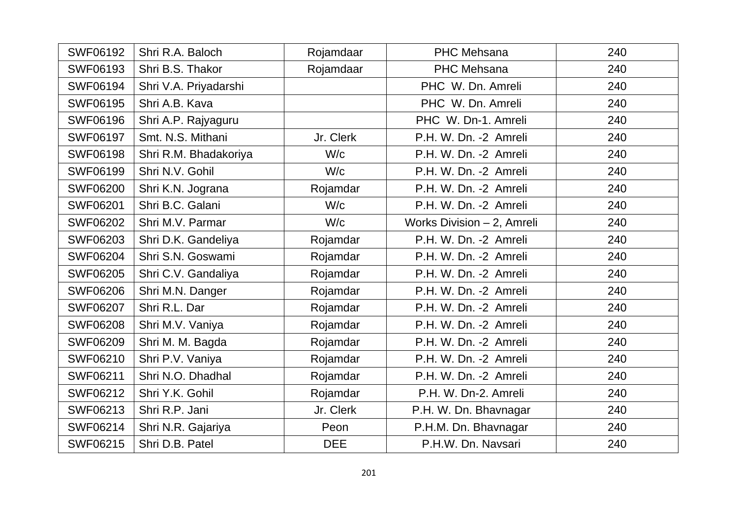| <b>SWF06192</b> | Shri R.A. Baloch      | Rojamdaar  | <b>PHC Mehsana</b>         | 240 |
|-----------------|-----------------------|------------|----------------------------|-----|
| <b>SWF06193</b> | Shri B.S. Thakor      | Rojamdaar  | <b>PHC Mehsana</b>         | 240 |
| <b>SWF06194</b> | Shri V.A. Priyadarshi |            | PHC W. Dn. Amreli          | 240 |
| <b>SWF06195</b> | Shri A.B. Kava        |            | PHC W. Dn. Amreli          | 240 |
| <b>SWF06196</b> | Shri A.P. Rajyaguru   |            | PHC W. Dn-1. Amreli        | 240 |
| <b>SWF06197</b> | Smt. N.S. Mithani     | Jr. Clerk  | P.H. W. Dn. -2 Amreli      | 240 |
| <b>SWF06198</b> | Shri R.M. Bhadakoriya | W/c        | P.H. W. Dn. -2 Amreli      | 240 |
| <b>SWF06199</b> | Shri N.V. Gohil       | W/c        | P.H. W. Dn. -2 Amreli      | 240 |
| <b>SWF06200</b> | Shri K.N. Jograna     | Rojamdar   | P.H. W. Dn. -2 Amreli      | 240 |
| <b>SWF06201</b> | Shri B.C. Galani      | W/c        | P.H. W. Dn. -2 Amreli      | 240 |
| <b>SWF06202</b> | Shri M.V. Parmar      | W/c        | Works Division - 2, Amreli | 240 |
| <b>SWF06203</b> | Shri D.K. Gandeliya   | Rojamdar   | P.H. W. Dn. -2 Amreli      | 240 |
| <b>SWF06204</b> | Shri S.N. Goswami     | Rojamdar   | P.H. W. Dn. -2 Amreli      | 240 |
| <b>SWF06205</b> | Shri C.V. Gandaliya   | Rojamdar   | P.H. W. Dn. -2 Amreli      | 240 |
| <b>SWF06206</b> | Shri M.N. Danger      | Rojamdar   | P.H. W. Dn. -2 Amreli      | 240 |
| <b>SWF06207</b> | Shri R.L. Dar         | Rojamdar   | P.H. W. Dn. -2 Amreli      | 240 |
| <b>SWF06208</b> | Shri M.V. Vaniya      | Rojamdar   | P.H. W. Dn. -2 Amreli      | 240 |
| <b>SWF06209</b> | Shri M. M. Bagda      | Rojamdar   | P.H. W. Dn. -2 Amreli      | 240 |
| <b>SWF06210</b> | Shri P.V. Vaniya      | Rojamdar   | P.H. W. Dn. -2 Amreli      | 240 |
| <b>SWF06211</b> | Shri N.O. Dhadhal     | Rojamdar   | P.H. W. Dn. -2 Amreli      | 240 |
| <b>SWF06212</b> | Shri Y.K. Gohil       | Rojamdar   | P.H. W. Dn-2. Amreli       | 240 |
| SWF06213        | Shri R.P. Jani        | Jr. Clerk  | P.H. W. Dn. Bhavnagar      | 240 |
| <b>SWF06214</b> | Shri N.R. Gajariya    | Peon       | P.H.M. Dn. Bhavnagar       | 240 |
| <b>SWF06215</b> | Shri D.B. Patel       | <b>DEE</b> | P.H.W. Dn. Navsari         | 240 |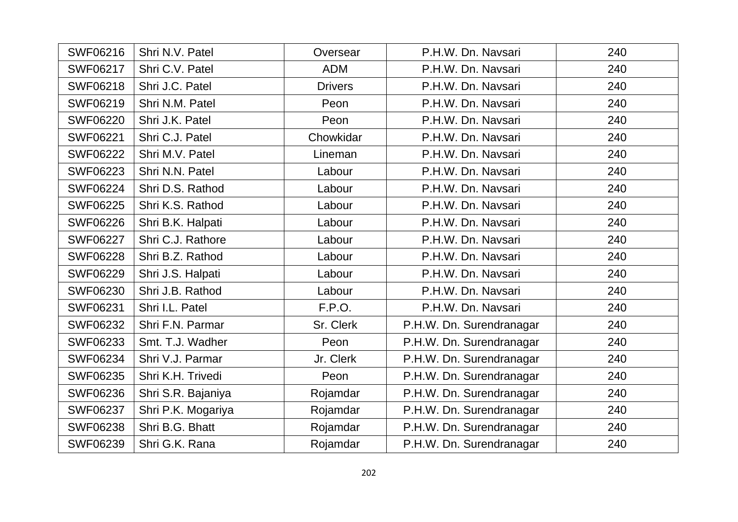| <b>SWF06216</b> | Shri N.V. Patel    | Oversear       | P.H.W. Dn. Navsari       | 240 |
|-----------------|--------------------|----------------|--------------------------|-----|
| <b>SWF06217</b> | Shri C.V. Patel    | <b>ADM</b>     | P.H.W. Dn. Navsari       | 240 |
| <b>SWF06218</b> | Shri J.C. Patel    | <b>Drivers</b> | P.H.W. Dn. Navsari       | 240 |
| SWF06219        | Shri N.M. Patel    | Peon           | P.H.W. Dn. Navsari       | 240 |
| <b>SWF06220</b> | Shri J.K. Patel    | Peon           | P.H.W. Dn. Navsari       | 240 |
| <b>SWF06221</b> | Shri C.J. Patel    | Chowkidar      | P.H.W. Dn. Navsari       | 240 |
| <b>SWF06222</b> | Shri M.V. Patel    | Lineman        | P.H.W. Dn. Navsari       | 240 |
| <b>SWF06223</b> | Shri N.N. Patel    | Labour         | P.H.W. Dn. Navsari       | 240 |
| <b>SWF06224</b> | Shri D.S. Rathod   | Labour         | P.H.W. Dn. Navsari       | 240 |
| <b>SWF06225</b> | Shri K.S. Rathod   | Labour         | P.H.W. Dn. Navsari       | 240 |
| <b>SWF06226</b> | Shri B.K. Halpati  | Labour         | P.H.W. Dn. Navsari       | 240 |
| <b>SWF06227</b> | Shri C.J. Rathore  | Labour         | P.H.W. Dn. Navsari       | 240 |
| <b>SWF06228</b> | Shri B.Z. Rathod   | Labour         | P.H.W. Dn. Navsari       | 240 |
| <b>SWF06229</b> | Shri J.S. Halpati  | Labour         | P.H.W. Dn. Navsari       | 240 |
| <b>SWF06230</b> | Shri J.B. Rathod   | Labour         | P.H.W. Dn. Navsari       | 240 |
| <b>SWF06231</b> | Shri I.L. Patel    | F.P.O.         | P.H.W. Dn. Navsari       | 240 |
| <b>SWF06232</b> | Shri F.N. Parmar   | Sr. Clerk      | P.H.W. Dn. Surendranagar | 240 |
| <b>SWF06233</b> | Smt. T.J. Wadher   | Peon           | P.H.W. Dn. Surendranagar | 240 |
| <b>SWF06234</b> | Shri V.J. Parmar   | Jr. Clerk      | P.H.W. Dn. Surendranagar | 240 |
| <b>SWF06235</b> | Shri K.H. Trivedi  | Peon           | P.H.W. Dn. Surendranagar | 240 |
| <b>SWF06236</b> | Shri S.R. Bajaniya | Rojamdar       | P.H.W. Dn. Surendranagar | 240 |
| <b>SWF06237</b> | Shri P.K. Mogariya | Rojamdar       | P.H.W. Dn. Surendranagar | 240 |
| <b>SWF06238</b> | Shri B.G. Bhatt    | Rojamdar       | P.H.W. Dn. Surendranagar | 240 |
| <b>SWF06239</b> | Shri G.K. Rana     | Rojamdar       | P.H.W. Dn. Surendranagar | 240 |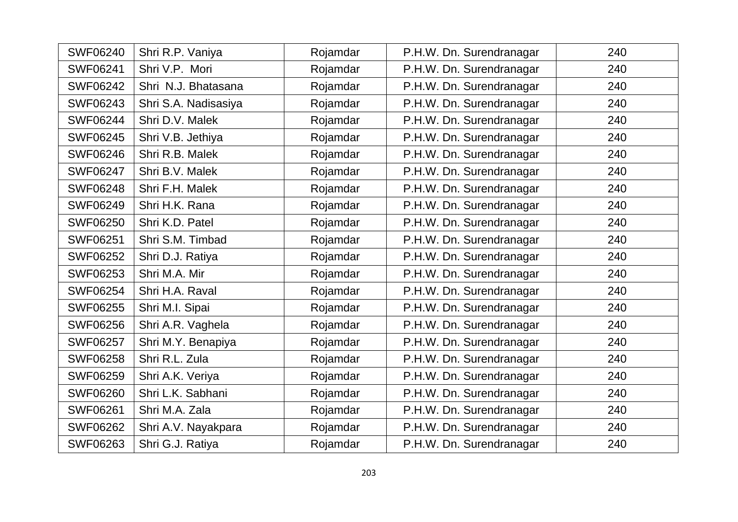| <b>SWF06240</b> | Shri R.P. Vaniya     | Rojamdar | P.H.W. Dn. Surendranagar | 240 |
|-----------------|----------------------|----------|--------------------------|-----|
| <b>SWF06241</b> | Shri V.P. Mori       | Rojamdar | P.H.W. Dn. Surendranagar | 240 |
| <b>SWF06242</b> | Shri N.J. Bhatasana  | Rojamdar | P.H.W. Dn. Surendranagar | 240 |
| <b>SWF06243</b> | Shri S.A. Nadisasiya | Rojamdar | P.H.W. Dn. Surendranagar | 240 |
| <b>SWF06244</b> | Shri D.V. Malek      | Rojamdar | P.H.W. Dn. Surendranagar | 240 |
| <b>SWF06245</b> | Shri V.B. Jethiya    | Rojamdar | P.H.W. Dn. Surendranagar | 240 |
| <b>SWF06246</b> | Shri R.B. Malek      | Rojamdar | P.H.W. Dn. Surendranagar | 240 |
| <b>SWF06247</b> | Shri B.V. Malek      | Rojamdar | P.H.W. Dn. Surendranagar | 240 |
| <b>SWF06248</b> | Shri F.H. Malek      | Rojamdar | P.H.W. Dn. Surendranagar | 240 |
| <b>SWF06249</b> | Shri H.K. Rana       | Rojamdar | P.H.W. Dn. Surendranagar | 240 |
| <b>SWF06250</b> | Shri K.D. Patel      | Rojamdar | P.H.W. Dn. Surendranagar | 240 |
| <b>SWF06251</b> | Shri S.M. Timbad     | Rojamdar | P.H.W. Dn. Surendranagar | 240 |
| <b>SWF06252</b> | Shri D.J. Ratiya     | Rojamdar | P.H.W. Dn. Surendranagar | 240 |
| <b>SWF06253</b> | Shri M.A. Mir        | Rojamdar | P.H.W. Dn. Surendranagar | 240 |
| <b>SWF06254</b> | Shri H.A. Raval      | Rojamdar | P.H.W. Dn. Surendranagar | 240 |
| <b>SWF06255</b> | Shri M.I. Sipai      | Rojamdar | P.H.W. Dn. Surendranagar | 240 |
| <b>SWF06256</b> | Shri A.R. Vaghela    | Rojamdar | P.H.W. Dn. Surendranagar | 240 |
| <b>SWF06257</b> | Shri M.Y. Benapiya   | Rojamdar | P.H.W. Dn. Surendranagar | 240 |
| <b>SWF06258</b> | Shri R.L. Zula       | Rojamdar | P.H.W. Dn. Surendranagar | 240 |
| <b>SWF06259</b> | Shri A.K. Veriya     | Rojamdar | P.H.W. Dn. Surendranagar | 240 |
| <b>SWF06260</b> | Shri L.K. Sabhani    | Rojamdar | P.H.W. Dn. Surendranagar | 240 |
| <b>SWF06261</b> | Shri M.A. Zala       | Rojamdar | P.H.W. Dn. Surendranagar | 240 |
| <b>SWF06262</b> | Shri A.V. Nayakpara  | Rojamdar | P.H.W. Dn. Surendranagar | 240 |
| <b>SWF06263</b> | Shri G.J. Ratiya     | Rojamdar | P.H.W. Dn. Surendranagar | 240 |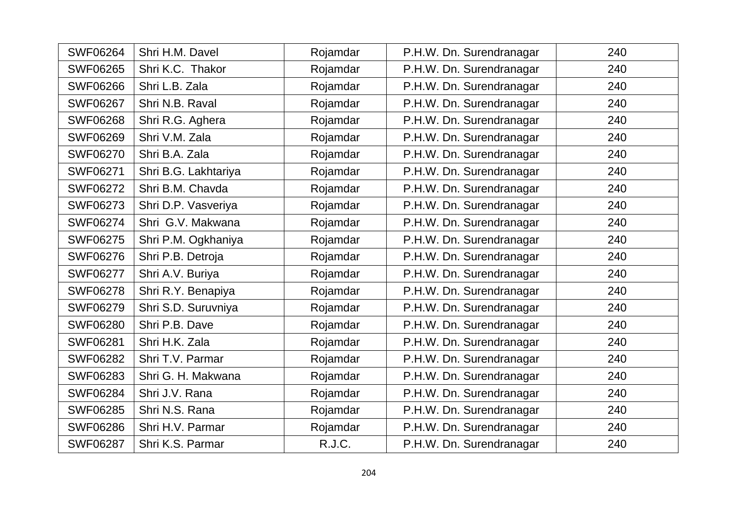| <b>SWF06264</b> | Shri H.M. Davel      | Rojamdar | P.H.W. Dn. Surendranagar | 240 |
|-----------------|----------------------|----------|--------------------------|-----|
| <b>SWF06265</b> | Shri K.C. Thakor     | Rojamdar | P.H.W. Dn. Surendranagar | 240 |
| <b>SWF06266</b> | Shri L.B. Zala       | Rojamdar | P.H.W. Dn. Surendranagar | 240 |
| <b>SWF06267</b> | Shri N.B. Raval      | Rojamdar | P.H.W. Dn. Surendranagar | 240 |
| <b>SWF06268</b> | Shri R.G. Aghera     | Rojamdar | P.H.W. Dn. Surendranagar | 240 |
| <b>SWF06269</b> | Shri V.M. Zala       | Rojamdar | P.H.W. Dn. Surendranagar | 240 |
| <b>SWF06270</b> | Shri B.A. Zala       | Rojamdar | P.H.W. Dn. Surendranagar | 240 |
| <b>SWF06271</b> | Shri B.G. Lakhtariya | Rojamdar | P.H.W. Dn. Surendranagar | 240 |
| <b>SWF06272</b> | Shri B.M. Chavda     | Rojamdar | P.H.W. Dn. Surendranagar | 240 |
| <b>SWF06273</b> | Shri D.P. Vasveriya  | Rojamdar | P.H.W. Dn. Surendranagar | 240 |
| <b>SWF06274</b> | Shri G.V. Makwana    | Rojamdar | P.H.W. Dn. Surendranagar | 240 |
| <b>SWF06275</b> | Shri P.M. Ogkhaniya  | Rojamdar | P.H.W. Dn. Surendranagar | 240 |
| <b>SWF06276</b> | Shri P.B. Detroja    | Rojamdar | P.H.W. Dn. Surendranagar | 240 |
| <b>SWF06277</b> | Shri A.V. Buriya     | Rojamdar | P.H.W. Dn. Surendranagar | 240 |
| <b>SWF06278</b> | Shri R.Y. Benapiya   | Rojamdar | P.H.W. Dn. Surendranagar | 240 |
| <b>SWF06279</b> | Shri S.D. Suruvniya  | Rojamdar | P.H.W. Dn. Surendranagar | 240 |
| <b>SWF06280</b> | Shri P.B. Dave       | Rojamdar | P.H.W. Dn. Surendranagar | 240 |
| <b>SWF06281</b> | Shri H.K. Zala       | Rojamdar | P.H.W. Dn. Surendranagar | 240 |
| <b>SWF06282</b> | Shri T.V. Parmar     | Rojamdar | P.H.W. Dn. Surendranagar | 240 |
| <b>SWF06283</b> | Shri G. H. Makwana   | Rojamdar | P.H.W. Dn. Surendranagar | 240 |
| <b>SWF06284</b> | Shri J.V. Rana       | Rojamdar | P.H.W. Dn. Surendranagar | 240 |
| <b>SWF06285</b> | Shri N.S. Rana       | Rojamdar | P.H.W. Dn. Surendranagar | 240 |
| <b>SWF06286</b> | Shri H.V. Parmar     | Rojamdar | P.H.W. Dn. Surendranagar | 240 |
| <b>SWF06287</b> | Shri K.S. Parmar     | R.J.C.   | P.H.W. Dn. Surendranagar | 240 |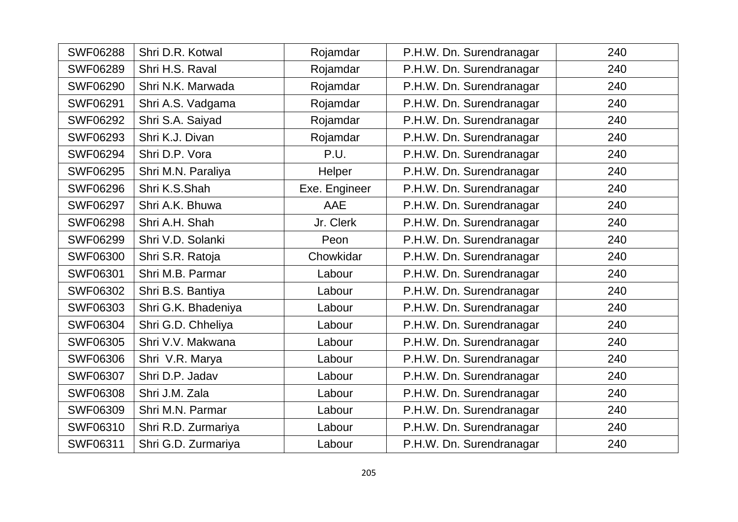| <b>SWF06288</b> | Shri D.R. Kotwal    | Rojamdar      | P.H.W. Dn. Surendranagar | 240 |
|-----------------|---------------------|---------------|--------------------------|-----|
| <b>SWF06289</b> | Shri H.S. Raval     | Rojamdar      | P.H.W. Dn. Surendranagar | 240 |
| <b>SWF06290</b> | Shri N.K. Marwada   | Rojamdar      | P.H.W. Dn. Surendranagar | 240 |
| <b>SWF06291</b> | Shri A.S. Vadgama   | Rojamdar      | P.H.W. Dn. Surendranagar | 240 |
| <b>SWF06292</b> | Shri S.A. Saiyad    | Rojamdar      | P.H.W. Dn. Surendranagar | 240 |
| <b>SWF06293</b> | Shri K.J. Divan     | Rojamdar      | P.H.W. Dn. Surendranagar | 240 |
| <b>SWF06294</b> | Shri D.P. Vora      | P.U.          | P.H.W. Dn. Surendranagar | 240 |
| <b>SWF06295</b> | Shri M.N. Paraliya  | Helper        | P.H.W. Dn. Surendranagar | 240 |
| <b>SWF06296</b> | Shri K.S.Shah       | Exe. Engineer | P.H.W. Dn. Surendranagar | 240 |
| <b>SWF06297</b> | Shri A.K. Bhuwa     | AAE           | P.H.W. Dn. Surendranagar | 240 |
| <b>SWF06298</b> | Shri A.H. Shah      | Jr. Clerk     | P.H.W. Dn. Surendranagar | 240 |
| <b>SWF06299</b> | Shri V.D. Solanki   | Peon          | P.H.W. Dn. Surendranagar | 240 |
| <b>SWF06300</b> | Shri S.R. Ratoja    | Chowkidar     | P.H.W. Dn. Surendranagar | 240 |
| <b>SWF06301</b> | Shri M.B. Parmar    | Labour        | P.H.W. Dn. Surendranagar | 240 |
| <b>SWF06302</b> | Shri B.S. Bantiya   | Labour        | P.H.W. Dn. Surendranagar | 240 |
| SWF06303        | Shri G.K. Bhadeniya | Labour        | P.H.W. Dn. Surendranagar | 240 |
| <b>SWF06304</b> | Shri G.D. Chheliya  | Labour        | P.H.W. Dn. Surendranagar | 240 |
| <b>SWF06305</b> | Shri V.V. Makwana   | Labour        | P.H.W. Dn. Surendranagar | 240 |
| <b>SWF06306</b> | Shri V.R. Marya     | Labour        | P.H.W. Dn. Surendranagar | 240 |
| <b>SWF06307</b> | Shri D.P. Jadav     | Labour        | P.H.W. Dn. Surendranagar | 240 |
| <b>SWF06308</b> | Shri J.M. Zala      | Labour        | P.H.W. Dn. Surendranagar | 240 |
| <b>SWF06309</b> | Shri M.N. Parmar    | Labour        | P.H.W. Dn. Surendranagar | 240 |
| SWF06310        | Shri R.D. Zurmariya | Labour        | P.H.W. Dn. Surendranagar | 240 |
| SWF06311        | Shri G.D. Zurmariya | Labour        | P.H.W. Dn. Surendranagar | 240 |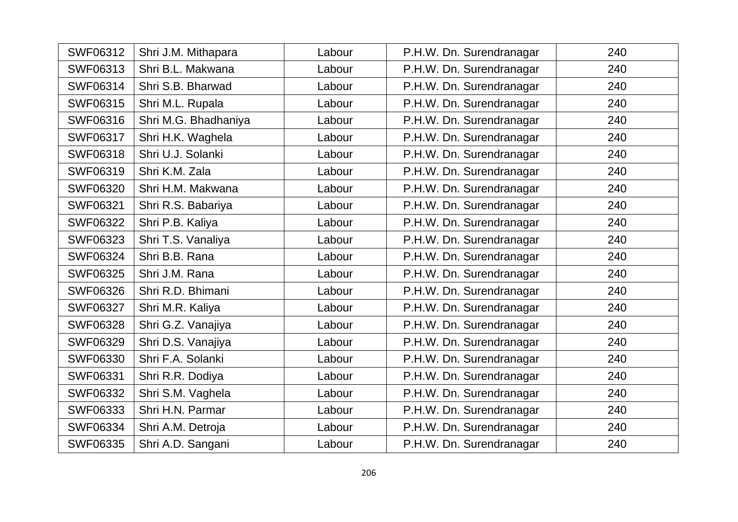| <b>SWF06312</b> | Shri J.M. Mithapara  | Labour | P.H.W. Dn. Surendranagar | 240 |
|-----------------|----------------------|--------|--------------------------|-----|
| SWF06313        | Shri B.L. Makwana    | Labour | P.H.W. Dn. Surendranagar | 240 |
| <b>SWF06314</b> | Shri S.B. Bharwad    | Labour | P.H.W. Dn. Surendranagar | 240 |
| <b>SWF06315</b> | Shri M.L. Rupala     | Labour | P.H.W. Dn. Surendranagar | 240 |
| SWF06316        | Shri M.G. Bhadhaniya | Labour | P.H.W. Dn. Surendranagar | 240 |
| SWF06317        | Shri H.K. Waghela    | Labour | P.H.W. Dn. Surendranagar | 240 |
| <b>SWF06318</b> | Shri U.J. Solanki    | Labour | P.H.W. Dn. Surendranagar | 240 |
| SWF06319        | Shri K.M. Zala       | Labour | P.H.W. Dn. Surendranagar | 240 |
| <b>SWF06320</b> | Shri H.M. Makwana    | Labour | P.H.W. Dn. Surendranagar | 240 |
| <b>SWF06321</b> | Shri R.S. Babariya   | Labour | P.H.W. Dn. Surendranagar | 240 |
| <b>SWF06322</b> | Shri P.B. Kaliya     | Labour | P.H.W. Dn. Surendranagar | 240 |
| <b>SWF06323</b> | Shri T.S. Vanaliya   | Labour | P.H.W. Dn. Surendranagar | 240 |
| <b>SWF06324</b> | Shri B.B. Rana       | Labour | P.H.W. Dn. Surendranagar | 240 |
| <b>SWF06325</b> | Shri J.M. Rana       | Labour | P.H.W. Dn. Surendranagar | 240 |
| <b>SWF06326</b> | Shri R.D. Bhimani    | Labour | P.H.W. Dn. Surendranagar | 240 |
| <b>SWF06327</b> | Shri M.R. Kaliya     | Labour | P.H.W. Dn. Surendranagar | 240 |
| <b>SWF06328</b> | Shri G.Z. Vanajiya   | Labour | P.H.W. Dn. Surendranagar | 240 |
| <b>SWF06329</b> | Shri D.S. Vanajiya   | Labour | P.H.W. Dn. Surendranagar | 240 |
| <b>SWF06330</b> | Shri F.A. Solanki    | Labour | P.H.W. Dn. Surendranagar | 240 |
| <b>SWF06331</b> | Shri R.R. Dodiya     | Labour | P.H.W. Dn. Surendranagar | 240 |
| <b>SWF06332</b> | Shri S.M. Vaghela    | Labour | P.H.W. Dn. Surendranagar | 240 |
| SWF06333        | Shri H.N. Parmar     | Labour | P.H.W. Dn. Surendranagar | 240 |
| <b>SWF06334</b> | Shri A.M. Detroja    | Labour | P.H.W. Dn. Surendranagar | 240 |
| <b>SWF06335</b> | Shri A.D. Sangani    | Labour | P.H.W. Dn. Surendranagar | 240 |
|                 |                      |        |                          |     |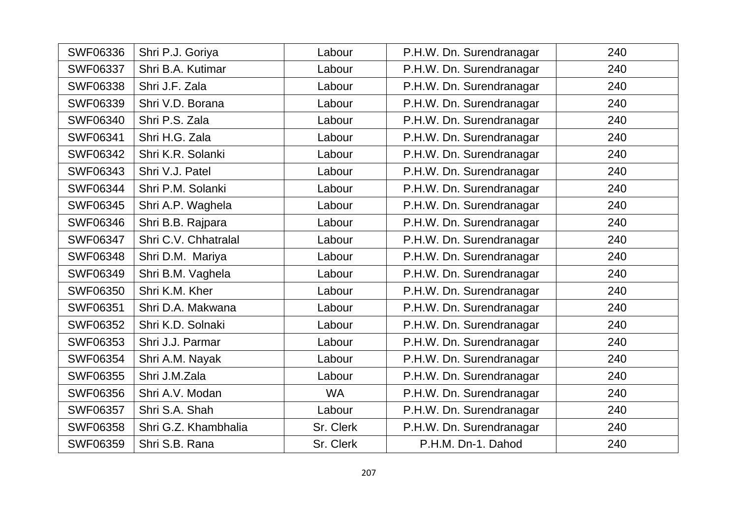| <b>SWF06336</b> | Shri P.J. Goriya     | Labour    | P.H.W. Dn. Surendranagar | 240 |
|-----------------|----------------------|-----------|--------------------------|-----|
| <b>SWF06337</b> | Shri B.A. Kutimar    | Labour    | P.H.W. Dn. Surendranagar | 240 |
| <b>SWF06338</b> | Shri J.F. Zala       | Labour    | P.H.W. Dn. Surendranagar | 240 |
| SWF06339        | Shri V.D. Borana     | Labour    | P.H.W. Dn. Surendranagar | 240 |
| <b>SWF06340</b> | Shri P.S. Zala       | Labour    | P.H.W. Dn. Surendranagar | 240 |
| <b>SWF06341</b> | Shri H.G. Zala       | Labour    | P.H.W. Dn. Surendranagar | 240 |
| <b>SWF06342</b> | Shri K.R. Solanki    | Labour    | P.H.W. Dn. Surendranagar | 240 |
| <b>SWF06343</b> | Shri V.J. Patel      | Labour    | P.H.W. Dn. Surendranagar | 240 |
| <b>SWF06344</b> | Shri P.M. Solanki    | Labour    | P.H.W. Dn. Surendranagar | 240 |
| <b>SWF06345</b> | Shri A.P. Waghela    | Labour    | P.H.W. Dn. Surendranagar | 240 |
| <b>SWF06346</b> | Shri B.B. Rajpara    | Labour    | P.H.W. Dn. Surendranagar | 240 |
| <b>SWF06347</b> | Shri C.V. Chhatralal | Labour    | P.H.W. Dn. Surendranagar | 240 |
| <b>SWF06348</b> | Shri D.M. Mariya     | Labour    | P.H.W. Dn. Surendranagar | 240 |
| <b>SWF06349</b> | Shri B.M. Vaghela    | Labour    | P.H.W. Dn. Surendranagar | 240 |
| <b>SWF06350</b> | Shri K.M. Kher       | Labour    | P.H.W. Dn. Surendranagar | 240 |
| <b>SWF06351</b> | Shri D.A. Makwana    | Labour    | P.H.W. Dn. Surendranagar | 240 |
| <b>SWF06352</b> | Shri K.D. Solnaki    | Labour    | P.H.W. Dn. Surendranagar | 240 |
| <b>SWF06353</b> | Shri J.J. Parmar     | Labour    | P.H.W. Dn. Surendranagar | 240 |
| <b>SWF06354</b> | Shri A.M. Nayak      | Labour    | P.H.W. Dn. Surendranagar | 240 |
| <b>SWF06355</b> | Shri J.M.Zala        | Labour    | P.H.W. Dn. Surendranagar | 240 |
| <b>SWF06356</b> | Shri A.V. Modan      | <b>WA</b> | P.H.W. Dn. Surendranagar | 240 |
| <b>SWF06357</b> | Shri S.A. Shah       | Labour    | P.H.W. Dn. Surendranagar | 240 |
| <b>SWF06358</b> | Shri G.Z. Khambhalia | Sr. Clerk | P.H.W. Dn. Surendranagar | 240 |
| <b>SWF06359</b> | Shri S.B. Rana       | Sr. Clerk | P.H.M. Dn-1. Dahod       | 240 |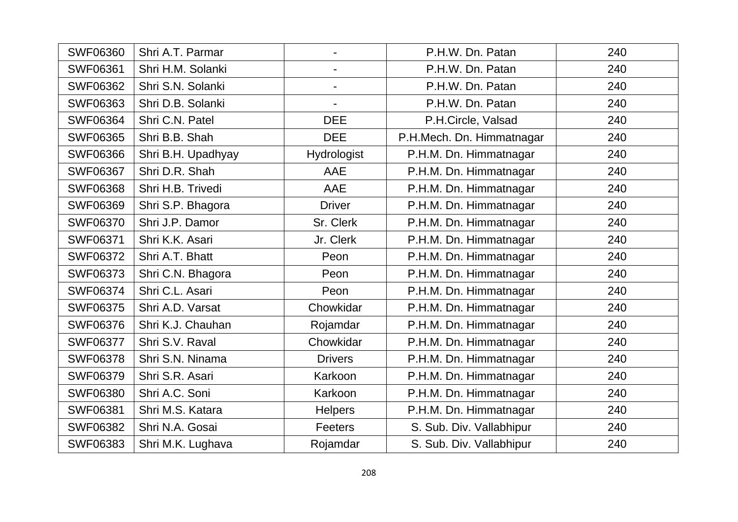| <b>SWF06360</b> | Shri A.T. Parmar   |                | P.H.W. Dn. Patan          | 240 |
|-----------------|--------------------|----------------|---------------------------|-----|
| <b>SWF06361</b> | Shri H.M. Solanki  |                | P.H.W. Dn. Patan          | 240 |
| <b>SWF06362</b> | Shri S.N. Solanki  | $\blacksquare$ | P.H.W. Dn. Patan          | 240 |
| <b>SWF06363</b> | Shri D.B. Solanki  |                | P.H.W. Dn. Patan          | 240 |
| <b>SWF06364</b> | Shri C.N. Patel    | <b>DEE</b>     | P.H.Circle, Valsad        | 240 |
| <b>SWF06365</b> | Shri B.B. Shah     | <b>DEE</b>     | P.H.Mech. Dn. Himmatnagar | 240 |
| <b>SWF06366</b> | Shri B.H. Upadhyay | Hydrologist    | P.H.M. Dn. Himmatnagar    | 240 |
| <b>SWF06367</b> | Shri D.R. Shah     | AAE            | P.H.M. Dn. Himmatnagar    | 240 |
| <b>SWF06368</b> | Shri H.B. Trivedi  | AAE            | P.H.M. Dn. Himmatnagar    | 240 |
| <b>SWF06369</b> | Shri S.P. Bhagora  | <b>Driver</b>  | P.H.M. Dn. Himmatnagar    | 240 |
| <b>SWF06370</b> | Shri J.P. Damor    | Sr. Clerk      | P.H.M. Dn. Himmatnagar    | 240 |
| <b>SWF06371</b> | Shri K.K. Asari    | Jr. Clerk      | P.H.M. Dn. Himmatnagar    | 240 |
| <b>SWF06372</b> | Shri A.T. Bhatt    | Peon           | P.H.M. Dn. Himmatnagar    | 240 |
| <b>SWF06373</b> | Shri C.N. Bhagora  | Peon           | P.H.M. Dn. Himmatnagar    | 240 |
| <b>SWF06374</b> | Shri C.L. Asari    | Peon           | P.H.M. Dn. Himmatnagar    | 240 |
| <b>SWF06375</b> | Shri A.D. Varsat   | Chowkidar      | P.H.M. Dn. Himmatnagar    | 240 |
| <b>SWF06376</b> | Shri K.J. Chauhan  | Rojamdar       | P.H.M. Dn. Himmatnagar    | 240 |
| <b>SWF06377</b> | Shri S.V. Raval    | Chowkidar      | P.H.M. Dn. Himmatnagar    | 240 |
| <b>SWF06378</b> | Shri S.N. Ninama   | <b>Drivers</b> | P.H.M. Dn. Himmatnagar    | 240 |
| <b>SWF06379</b> | Shri S.R. Asari    | Karkoon        | P.H.M. Dn. Himmatnagar    | 240 |
| <b>SWF06380</b> | Shri A.C. Soni     | Karkoon        | P.H.M. Dn. Himmatnagar    | 240 |
| <b>SWF06381</b> | Shri M.S. Katara   | <b>Helpers</b> | P.H.M. Dn. Himmatnagar    | 240 |
| <b>SWF06382</b> | Shri N.A. Gosai    | Feeters        | S. Sub. Div. Vallabhipur  | 240 |
| <b>SWF06383</b> | Shri M.K. Lughava  | Rojamdar       | S. Sub. Div. Vallabhipur  | 240 |
|                 |                    |                |                           |     |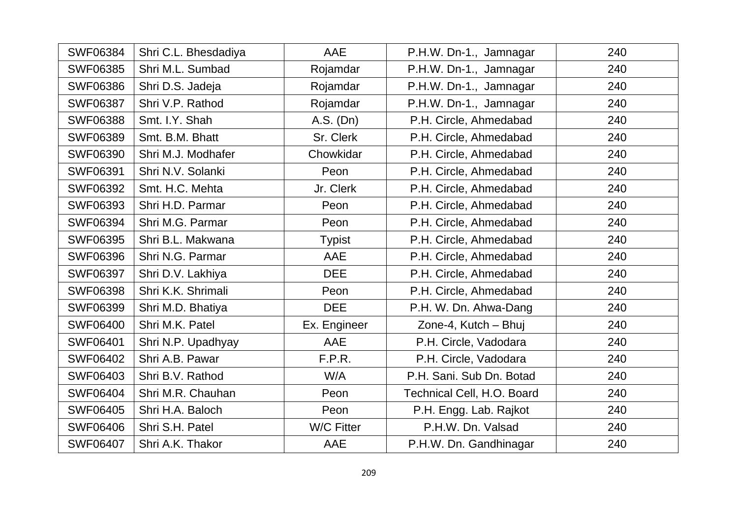| <b>SWF06384</b> | Shri C.L. Bhesdadiya | AAE               | P.H.W. Dn-1., Jamnagar     | 240 |
|-----------------|----------------------|-------------------|----------------------------|-----|
| <b>SWF06385</b> | Shri M.L. Sumbad     | Rojamdar          | P.H.W. Dn-1., Jamnagar     | 240 |
| <b>SWF06386</b> | Shri D.S. Jadeja     | Rojamdar          | P.H.W. Dn-1., Jamnagar     | 240 |
| <b>SWF06387</b> | Shri V.P. Rathod     | Rojamdar          | P.H.W. Dn-1., Jamnagar     | 240 |
| <b>SWF06388</b> | Smt. I.Y. Shah       | A.S. (Dn)         | P.H. Circle, Ahmedabad     | 240 |
| <b>SWF06389</b> | Smt. B.M. Bhatt      | Sr. Clerk         | P.H. Circle, Ahmedabad     | 240 |
| <b>SWF06390</b> | Shri M.J. Modhafer   | Chowkidar         | P.H. Circle, Ahmedabad     | 240 |
| SWF06391        | Shri N.V. Solanki    | Peon              | P.H. Circle, Ahmedabad     | 240 |
| SWF06392        | Smt. H.C. Mehta      | Jr. Clerk         | P.H. Circle, Ahmedabad     | 240 |
| <b>SWF06393</b> | Shri H.D. Parmar     | Peon              | P.H. Circle, Ahmedabad     | 240 |
| SWF06394        | Shri M.G. Parmar     | Peon              | P.H. Circle, Ahmedabad     | 240 |
| <b>SWF06395</b> | Shri B.L. Makwana    | <b>Typist</b>     | P.H. Circle, Ahmedabad     | 240 |
| <b>SWF06396</b> | Shri N.G. Parmar     | AAE               | P.H. Circle, Ahmedabad     | 240 |
| <b>SWF06397</b> | Shri D.V. Lakhiya    | <b>DEE</b>        | P.H. Circle, Ahmedabad     | 240 |
| <b>SWF06398</b> | Shri K.K. Shrimali   | Peon              | P.H. Circle, Ahmedabad     | 240 |
| <b>SWF06399</b> | Shri M.D. Bhatiya    | <b>DEE</b>        | P.H. W. Dn. Ahwa-Dang      | 240 |
| <b>SWF06400</b> | Shri M.K. Patel      | Ex. Engineer      | Zone-4, Kutch - Bhuj       | 240 |
| <b>SWF06401</b> | Shri N.P. Upadhyay   | AAE               | P.H. Circle, Vadodara      | 240 |
| <b>SWF06402</b> | Shri A.B. Pawar      | F.P.R.            | P.H. Circle, Vadodara      | 240 |
| <b>SWF06403</b> | Shri B.V. Rathod     | W/A               | P.H. Sani. Sub Dn. Botad   | 240 |
| <b>SWF06404</b> | Shri M.R. Chauhan    | Peon              | Technical Cell, H.O. Board | 240 |
| <b>SWF06405</b> | Shri H.A. Baloch     | Peon              | P.H. Engg. Lab. Rajkot     | 240 |
| <b>SWF06406</b> | Shri S.H. Patel      | <b>W/C Fitter</b> | P.H.W. Dn. Valsad          | 240 |
| <b>SWF06407</b> | Shri A.K. Thakor     | AAE               | P.H.W. Dn. Gandhinagar     | 240 |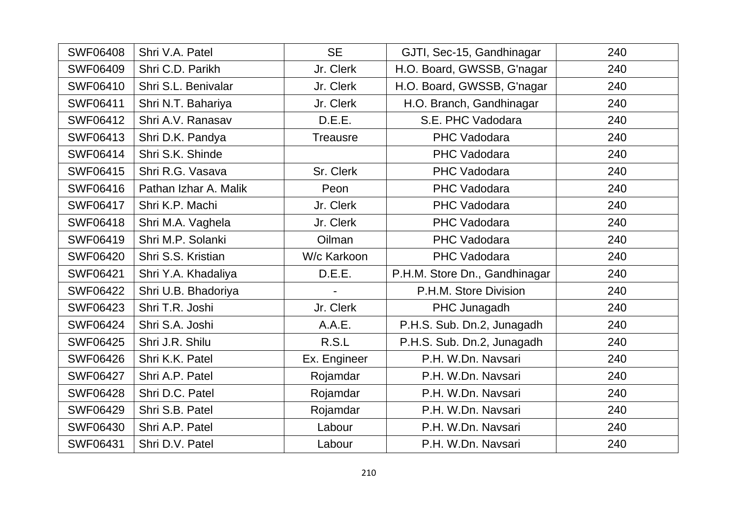| <b>SWF06408</b> | Shri V.A. Patel       | <b>SE</b>       | GJTI, Sec-15, Gandhinagar     | 240 |
|-----------------|-----------------------|-----------------|-------------------------------|-----|
| <b>SWF06409</b> | Shri C.D. Parikh      | Jr. Clerk       | H.O. Board, GWSSB, G'nagar    | 240 |
| <b>SWF06410</b> | Shri S.L. Benivalar   | Jr. Clerk       | H.O. Board, GWSSB, G'nagar    | 240 |
| <b>SWF06411</b> | Shri N.T. Bahariya    | Jr. Clerk       | H.O. Branch, Gandhinagar      | 240 |
| <b>SWF06412</b> | Shri A.V. Ranasav     | D.E.E.          | S.E. PHC Vadodara             | 240 |
| <b>SWF06413</b> | Shri D.K. Pandya      | <b>Treausre</b> | <b>PHC Vadodara</b>           | 240 |
| <b>SWF06414</b> | Shri S.K. Shinde      |                 | PHC Vadodara                  | 240 |
| <b>SWF06415</b> | Shri R.G. Vasava      | Sr. Clerk       | PHC Vadodara                  | 240 |
| <b>SWF06416</b> | Pathan Izhar A. Malik | Peon            | PHC Vadodara                  | 240 |
| <b>SWF06417</b> | Shri K.P. Machi       | Jr. Clerk       | PHC Vadodara                  | 240 |
| <b>SWF06418</b> | Shri M.A. Vaghela     | Jr. Clerk       | <b>PHC Vadodara</b>           | 240 |
| <b>SWF06419</b> | Shri M.P. Solanki     | Oilman          | <b>PHC Vadodara</b>           | 240 |
| <b>SWF06420</b> | Shri S.S. Kristian    | W/c Karkoon     | <b>PHC Vadodara</b>           | 240 |
| <b>SWF06421</b> | Shri Y.A. Khadaliya   | D.E.E.          | P.H.M. Store Dn., Gandhinagar | 240 |
| <b>SWF06422</b> | Shri U.B. Bhadoriya   |                 | P.H.M. Store Division         | 240 |
| <b>SWF06423</b> | Shri T.R. Joshi       | Jr. Clerk       | PHC Junagadh                  | 240 |
| <b>SWF06424</b> | Shri S.A. Joshi       | A.A.E.          | P.H.S. Sub. Dn.2, Junagadh    | 240 |
| <b>SWF06425</b> | Shri J.R. Shilu       | R.S.L           | P.H.S. Sub. Dn.2, Junagadh    | 240 |
| <b>SWF06426</b> | Shri K.K. Patel       | Ex. Engineer    | P.H. W.Dn. Navsari            | 240 |
| <b>SWF06427</b> | Shri A.P. Patel       | Rojamdar        | P.H. W.Dn. Navsari            | 240 |
| <b>SWF06428</b> | Shri D.C. Patel       | Rojamdar        | P.H. W.Dn. Navsari            | 240 |
| <b>SWF06429</b> | Shri S.B. Patel       | Rojamdar        | P.H. W.Dn. Navsari            | 240 |
| SWF06430        | Shri A.P. Patel       | Labour          | P.H. W.Dn. Navsari            | 240 |
| <b>SWF06431</b> | Shri D.V. Patel       | Labour          | P.H. W.Dn. Navsari            | 240 |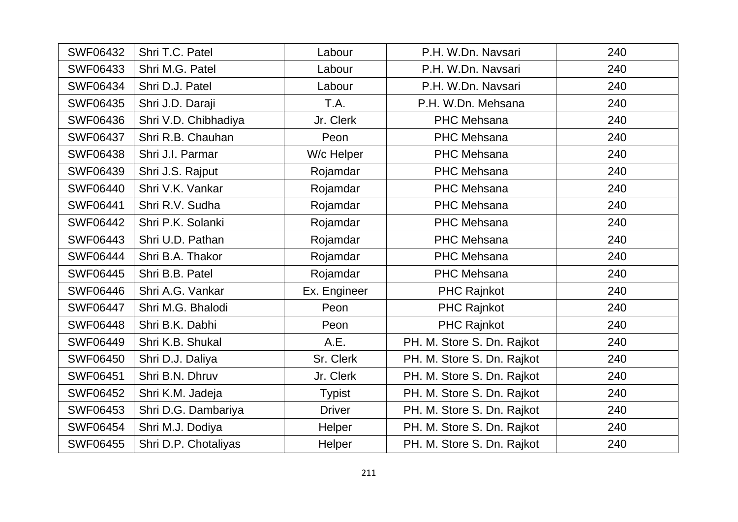| <b>SWF06432</b> | Shri T.C. Patel      | Labour        | P.H. W.Dn. Navsari         | 240 |
|-----------------|----------------------|---------------|----------------------------|-----|
| <b>SWF06433</b> | Shri M.G. Patel      | Labour        | P.H. W.Dn. Navsari         | 240 |
| <b>SWF06434</b> | Shri D.J. Patel      | Labour        | P.H. W.Dn. Navsari         | 240 |
| <b>SWF06435</b> | Shri J.D. Daraji     | T.A.          | P.H. W.Dn. Mehsana         | 240 |
| <b>SWF06436</b> | Shri V.D. Chibhadiya | Jr. Clerk     | <b>PHC Mehsana</b>         | 240 |
| <b>SWF06437</b> | Shri R.B. Chauhan    | Peon          | <b>PHC Mehsana</b>         | 240 |
| <b>SWF06438</b> | Shri J.I. Parmar     | W/c Helper    | PHC Mehsana                | 240 |
| <b>SWF06439</b> | Shri J.S. Rajput     | Rojamdar      | PHC Mehsana                | 240 |
| <b>SWF06440</b> | Shri V.K. Vankar     | Rojamdar      | <b>PHC Mehsana</b>         | 240 |
| <b>SWF06441</b> | Shri R.V. Sudha      | Rojamdar      | <b>PHC Mehsana</b>         | 240 |
| <b>SWF06442</b> | Shri P.K. Solanki    | Rojamdar      | <b>PHC Mehsana</b>         | 240 |
| <b>SWF06443</b> | Shri U.D. Pathan     | Rojamdar      | <b>PHC Mehsana</b>         | 240 |
| <b>SWF06444</b> | Shri B.A. Thakor     | Rojamdar      | <b>PHC Mehsana</b>         | 240 |
| <b>SWF06445</b> | Shri B.B. Patel      | Rojamdar      | <b>PHC Mehsana</b>         | 240 |
| <b>SWF06446</b> | Shri A.G. Vankar     | Ex. Engineer  | <b>PHC Rajnkot</b>         | 240 |
| <b>SWF06447</b> | Shri M.G. Bhalodi    | Peon          | <b>PHC Rajnkot</b>         | 240 |
| <b>SWF06448</b> | Shri B.K. Dabhi      | Peon          | <b>PHC Rajnkot</b>         | 240 |
| <b>SWF06449</b> | Shri K.B. Shukal     | A.E.          | PH. M. Store S. Dn. Rajkot | 240 |
| <b>SWF06450</b> | Shri D.J. Daliya     | Sr. Clerk     | PH. M. Store S. Dn. Rajkot | 240 |
| <b>SWF06451</b> | Shri B.N. Dhruv      | Jr. Clerk     | PH. M. Store S. Dn. Rajkot | 240 |
| <b>SWF06452</b> | Shri K.M. Jadeja     | <b>Typist</b> | PH. M. Store S. Dn. Rajkot | 240 |
| <b>SWF06453</b> | Shri D.G. Dambariya  | <b>Driver</b> | PH. M. Store S. Dn. Rajkot | 240 |
| <b>SWF06454</b> | Shri M.J. Dodiya     | Helper        | PH. M. Store S. Dn. Rajkot | 240 |
| <b>SWF06455</b> | Shri D.P. Chotaliyas | Helper        | PH. M. Store S. Dn. Rajkot | 240 |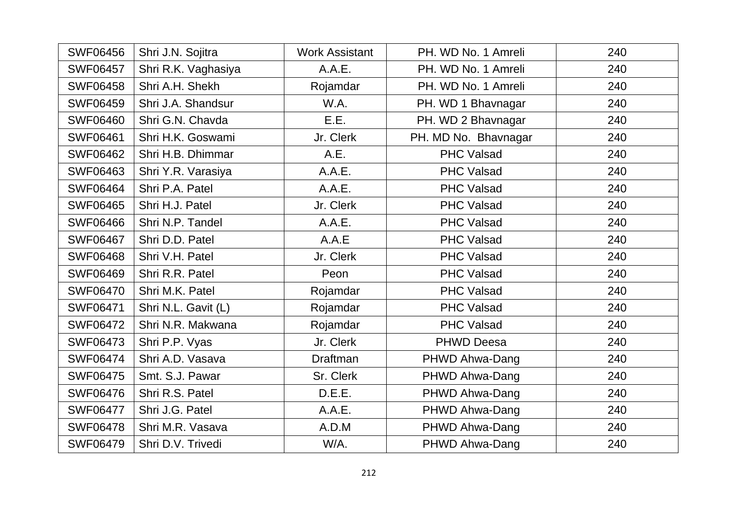| <b>SWF06456</b> | Shri J.N. Sojitra   | <b>Work Assistant</b> | PH. WD No. 1 Amreli  | 240 |
|-----------------|---------------------|-----------------------|----------------------|-----|
| <b>SWF06457</b> | Shri R.K. Vaghasiya | A.A.E.                | PH. WD No. 1 Amreli  | 240 |
| <b>SWF06458</b> | Shri A.H. Shekh     | Rojamdar              | PH. WD No. 1 Amreli  | 240 |
| <b>SWF06459</b> | Shri J.A. Shandsur  | W.A.                  | PH. WD 1 Bhavnagar   | 240 |
| <b>SWF06460</b> | Shri G.N. Chavda    | E.E.                  | PH. WD 2 Bhavnagar   | 240 |
| <b>SWF06461</b> | Shri H.K. Goswami   | Jr. Clerk             | PH. MD No. Bhavnagar | 240 |
| <b>SWF06462</b> | Shri H.B. Dhimmar   | A.E.                  | <b>PHC Valsad</b>    | 240 |
| <b>SWF06463</b> | Shri Y.R. Varasiya  | A.A.E.                | PHC Valsad           | 240 |
| <b>SWF06464</b> | Shri P.A. Patel     | A.A.E.                | <b>PHC Valsad</b>    | 240 |
| <b>SWF06465</b> | Shri H.J. Patel     | Jr. Clerk             | PHC Valsad           | 240 |
| <b>SWF06466</b> | Shri N.P. Tandel    | A.A.E.                | <b>PHC Valsad</b>    | 240 |
| <b>SWF06467</b> | Shri D.D. Patel     | A.A.E                 | <b>PHC Valsad</b>    | 240 |
| <b>SWF06468</b> | Shri V.H. Patel     | Jr. Clerk             | <b>PHC Valsad</b>    | 240 |
| <b>SWF06469</b> | Shri R.R. Patel     | Peon                  | <b>PHC Valsad</b>    | 240 |
| <b>SWF06470</b> | Shri M.K. Patel     | Rojamdar              | PHC Valsad           | 240 |
| <b>SWF06471</b> | Shri N.L. Gavit (L) | Rojamdar              | PHC Valsad           | 240 |
| <b>SWF06472</b> | Shri N.R. Makwana   | Rojamdar              | <b>PHC Valsad</b>    | 240 |
| <b>SWF06473</b> | Shri P.P. Vyas      | Jr. Clerk             | <b>PHWD Deesa</b>    | 240 |
| <b>SWF06474</b> | Shri A.D. Vasava    | <b>Draftman</b>       | PHWD Ahwa-Dang       | 240 |
| <b>SWF06475</b> | Smt. S.J. Pawar     | Sr. Clerk             | PHWD Ahwa-Dang       | 240 |
| <b>SWF06476</b> | Shri R.S. Patel     | D.E.E.                | PHWD Ahwa-Dang       | 240 |
| <b>SWF06477</b> | Shri J.G. Patel     | A.A.E.                | PHWD Ahwa-Dang       | 240 |
| <b>SWF06478</b> | Shri M.R. Vasava    | A.D.M                 | PHWD Ahwa-Dang       | 240 |
| <b>SWF06479</b> | Shri D.V. Trivedi   | W/A.                  | PHWD Ahwa-Dang       | 240 |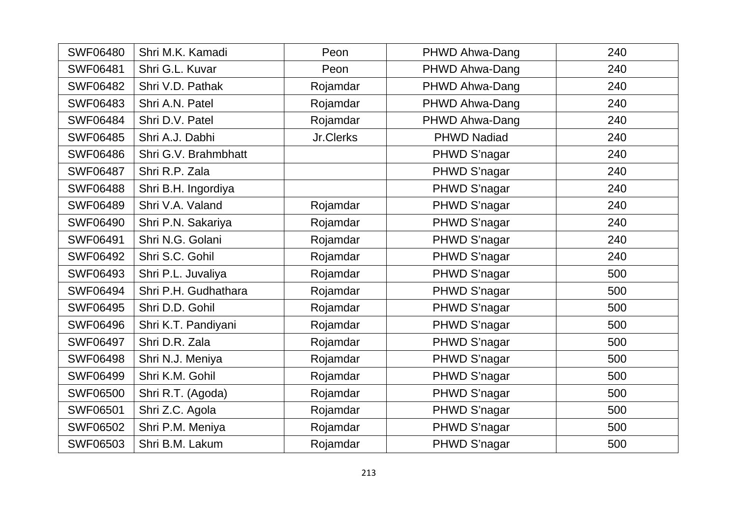| <b>SWF06480</b> | Shri M.K. Kamadi     | Peon      | PHWD Ahwa-Dang     | 240 |
|-----------------|----------------------|-----------|--------------------|-----|
| <b>SWF06481</b> | Shri G.L. Kuvar      | Peon      | PHWD Ahwa-Dang     | 240 |
| <b>SWF06482</b> | Shri V.D. Pathak     | Rojamdar  | PHWD Ahwa-Dang     | 240 |
| <b>SWF06483</b> | Shri A.N. Patel      | Rojamdar  | PHWD Ahwa-Dang     | 240 |
| <b>SWF06484</b> | Shri D.V. Patel      | Rojamdar  | PHWD Ahwa-Dang     | 240 |
| <b>SWF06485</b> | Shri A.J. Dabhi      | Jr.Clerks | <b>PHWD Nadiad</b> | 240 |
| <b>SWF06486</b> | Shri G.V. Brahmbhatt |           | PHWD S'nagar       | 240 |
| <b>SWF06487</b> | Shri R.P. Zala       |           | PHWD S'nagar       | 240 |
| <b>SWF06488</b> | Shri B.H. Ingordiya  |           | PHWD S'nagar       | 240 |
| <b>SWF06489</b> | Shri V.A. Valand     | Rojamdar  | PHWD S'nagar       | 240 |
| <b>SWF06490</b> | Shri P.N. Sakariya   | Rojamdar  | PHWD S'nagar       | 240 |
| <b>SWF06491</b> | Shri N.G. Golani     | Rojamdar  | PHWD S'nagar       | 240 |
| <b>SWF06492</b> | Shri S.C. Gohil      | Rojamdar  | PHWD S'nagar       | 240 |
| <b>SWF06493</b> | Shri P.L. Juvaliya   | Rojamdar  | PHWD S'nagar       | 500 |
| <b>SWF06494</b> | Shri P.H. Gudhathara | Rojamdar  | PHWD S'nagar       | 500 |
| <b>SWF06495</b> | Shri D.D. Gohil      | Rojamdar  | PHWD S'nagar       | 500 |
| <b>SWF06496</b> | Shri K.T. Pandiyani  | Rojamdar  | PHWD S'nagar       | 500 |
| <b>SWF06497</b> | Shri D.R. Zala       | Rojamdar  | PHWD S'nagar       | 500 |
| <b>SWF06498</b> | Shri N.J. Meniya     | Rojamdar  | PHWD S'nagar       | 500 |
| <b>SWF06499</b> | Shri K.M. Gohil      | Rojamdar  | PHWD S'nagar       | 500 |
| <b>SWF06500</b> | Shri R.T. (Agoda)    | Rojamdar  | PHWD S'nagar       | 500 |
| <b>SWF06501</b> | Shri Z.C. Agola      | Rojamdar  | PHWD S'nagar       | 500 |
| <b>SWF06502</b> | Shri P.M. Meniya     | Rojamdar  | PHWD S'nagar       | 500 |
| <b>SWF06503</b> | Shri B.M. Lakum      | Rojamdar  | PHWD S'nagar       | 500 |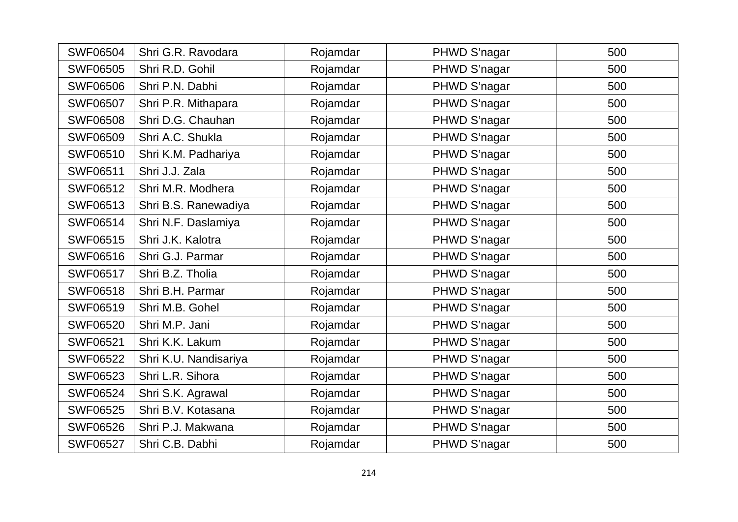| <b>SWF06504</b> | Shri G.R. Ravodara    | Rojamdar | PHWD S'nagar | 500 |
|-----------------|-----------------------|----------|--------------|-----|
| <b>SWF06505</b> | Shri R.D. Gohil       | Rojamdar | PHWD S'nagar | 500 |
| <b>SWF06506</b> | Shri P.N. Dabhi       | Rojamdar | PHWD S'nagar | 500 |
| <b>SWF06507</b> | Shri P.R. Mithapara   | Rojamdar | PHWD S'nagar | 500 |
| <b>SWF06508</b> | Shri D.G. Chauhan     | Rojamdar | PHWD S'nagar | 500 |
| <b>SWF06509</b> | Shri A.C. Shukla      | Rojamdar | PHWD S'nagar | 500 |
| SWF06510        | Shri K.M. Padhariya   | Rojamdar | PHWD S'nagar | 500 |
| <b>SWF06511</b> | Shri J.J. Zala        | Rojamdar | PHWD S'nagar | 500 |
| <b>SWF06512</b> | Shri M.R. Modhera     | Rojamdar | PHWD S'nagar | 500 |
| <b>SWF06513</b> | Shri B.S. Ranewadiya  | Rojamdar | PHWD S'nagar | 500 |
| <b>SWF06514</b> | Shri N.F. Daslamiya   | Rojamdar | PHWD S'nagar | 500 |
| <b>SWF06515</b> | Shri J.K. Kalotra     | Rojamdar | PHWD S'nagar | 500 |
| <b>SWF06516</b> | Shri G.J. Parmar      | Rojamdar | PHWD S'nagar | 500 |
| <b>SWF06517</b> | Shri B.Z. Tholia      | Rojamdar | PHWD S'nagar | 500 |
| <b>SWF06518</b> | Shri B.H. Parmar      | Rojamdar | PHWD S'nagar | 500 |
| <b>SWF06519</b> | Shri M.B. Gohel       | Rojamdar | PHWD S'nagar | 500 |
| <b>SWF06520</b> | Shri M.P. Jani        | Rojamdar | PHWD S'nagar | 500 |
| <b>SWF06521</b> | Shri K.K. Lakum       | Rojamdar | PHWD S'nagar | 500 |
| <b>SWF06522</b> | Shri K.U. Nandisariya | Rojamdar | PHWD S'nagar | 500 |
| <b>SWF06523</b> | Shri L.R. Sihora      | Rojamdar | PHWD S'nagar | 500 |
| <b>SWF06524</b> | Shri S.K. Agrawal     | Rojamdar | PHWD S'nagar | 500 |
| <b>SWF06525</b> | Shri B.V. Kotasana    | Rojamdar | PHWD S'nagar | 500 |
| <b>SWF06526</b> | Shri P.J. Makwana     | Rojamdar | PHWD S'nagar | 500 |
| <b>SWF06527</b> | Shri C.B. Dabhi       | Rojamdar | PHWD S'nagar | 500 |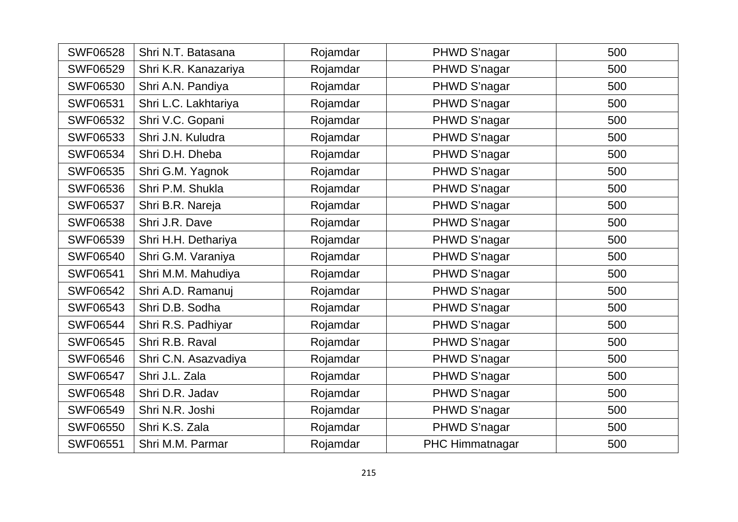| <b>SWF06528</b> | Shri N.T. Batasana   | Rojamdar | PHWD S'nagar    | 500 |
|-----------------|----------------------|----------|-----------------|-----|
| <b>SWF06529</b> | Shri K.R. Kanazariya | Rojamdar | PHWD S'nagar    | 500 |
| <b>SWF06530</b> | Shri A.N. Pandiya    | Rojamdar | PHWD S'nagar    | 500 |
| <b>SWF06531</b> | Shri L.C. Lakhtariya | Rojamdar | PHWD S'nagar    | 500 |
| <b>SWF06532</b> | Shri V.C. Gopani     | Rojamdar | PHWD S'nagar    | 500 |
| <b>SWF06533</b> | Shri J.N. Kuludra    | Rojamdar | PHWD S'nagar    | 500 |
| <b>SWF06534</b> | Shri D.H. Dheba      | Rojamdar | PHWD S'nagar    | 500 |
| <b>SWF06535</b> | Shri G.M. Yagnok     | Rojamdar | PHWD S'nagar    | 500 |
| <b>SWF06536</b> | Shri P.M. Shukla     | Rojamdar | PHWD S'nagar    | 500 |
| <b>SWF06537</b> | Shri B.R. Nareja     | Rojamdar | PHWD S'nagar    | 500 |
| <b>SWF06538</b> | Shri J.R. Dave       | Rojamdar | PHWD S'nagar    | 500 |
| <b>SWF06539</b> | Shri H.H. Dethariya  | Rojamdar | PHWD S'nagar    | 500 |
| <b>SWF06540</b> | Shri G.M. Varaniya   | Rojamdar | PHWD S'nagar    | 500 |
| <b>SWF06541</b> | Shri M.M. Mahudiya   | Rojamdar | PHWD S'nagar    | 500 |
| <b>SWF06542</b> | Shri A.D. Ramanuj    | Rojamdar | PHWD S'nagar    | 500 |
| <b>SWF06543</b> | Shri D.B. Sodha      | Rojamdar | PHWD S'nagar    | 500 |
| <b>SWF06544</b> | Shri R.S. Padhiyar   | Rojamdar | PHWD S'nagar    | 500 |
| <b>SWF06545</b> | Shri R.B. Raval      | Rojamdar | PHWD S'nagar    | 500 |
| <b>SWF06546</b> | Shri C.N. Asazvadiya | Rojamdar | PHWD S'nagar    | 500 |
| <b>SWF06547</b> | Shri J.L. Zala       | Rojamdar | PHWD S'nagar    | 500 |
| <b>SWF06548</b> | Shri D.R. Jadav      | Rojamdar | PHWD S'nagar    | 500 |
| <b>SWF06549</b> | Shri N.R. Joshi      | Rojamdar | PHWD S'nagar    | 500 |
| <b>SWF06550</b> | Shri K.S. Zala       | Rojamdar | PHWD S'nagar    | 500 |
| <b>SWF06551</b> | Shri M.M. Parmar     | Rojamdar | PHC Himmatnagar | 500 |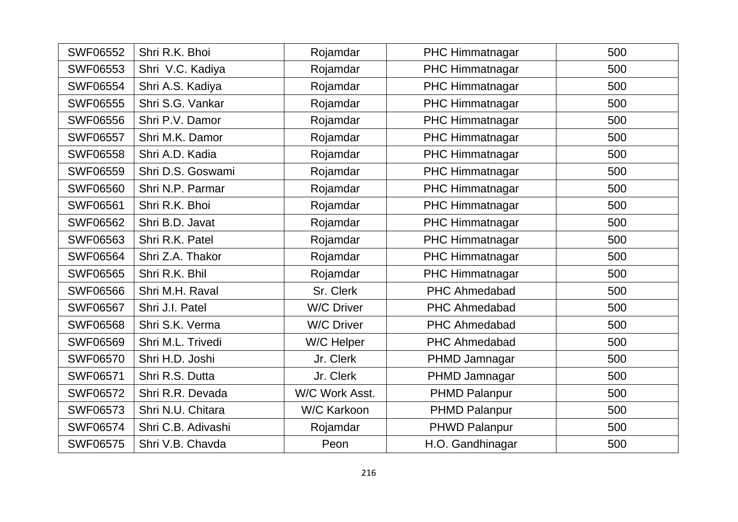| <b>SWF06552</b> | Shri R.K. Bhoi     | Rojamdar          | PHC Himmatnagar        | 500 |
|-----------------|--------------------|-------------------|------------------------|-----|
| <b>SWF06553</b> | Shri V.C. Kadiya   | Rojamdar          | PHC Himmatnagar        | 500 |
| <b>SWF06554</b> | Shri A.S. Kadiya   | Rojamdar          | PHC Himmatnagar        | 500 |
| <b>SWF06555</b> | Shri S.G. Vankar   | Rojamdar          | PHC Himmatnagar        | 500 |
| <b>SWF06556</b> | Shri P.V. Damor    | Rojamdar          | PHC Himmatnagar        | 500 |
| <b>SWF06557</b> | Shri M.K. Damor    | Rojamdar          | PHC Himmatnagar        | 500 |
| <b>SWF06558</b> | Shri A.D. Kadia    | Rojamdar          | PHC Himmatnagar        | 500 |
| <b>SWF06559</b> | Shri D.S. Goswami  | Rojamdar          | PHC Himmatnagar        | 500 |
| <b>SWF06560</b> | Shri N.P. Parmar   | Rojamdar          | PHC Himmatnagar        | 500 |
| <b>SWF06561</b> | Shri R.K. Bhoi     | Rojamdar          | PHC Himmatnagar        | 500 |
| <b>SWF06562</b> | Shri B.D. Javat    | Rojamdar          | <b>PHC Himmatnagar</b> | 500 |
| <b>SWF06563</b> | Shri R.K. Patel    | Rojamdar          | PHC Himmatnagar        | 500 |
| <b>SWF06564</b> | Shri Z.A. Thakor   | Rojamdar          | <b>PHC Himmatnagar</b> | 500 |
| <b>SWF06565</b> | Shri R.K. Bhil     | Rojamdar          | PHC Himmatnagar        | 500 |
| <b>SWF06566</b> | Shri M.H. Raval    | Sr. Clerk         | <b>PHC Ahmedabad</b>   | 500 |
| <b>SWF06567</b> | Shri J.I. Patel    | <b>W/C Driver</b> | <b>PHC Ahmedabad</b>   | 500 |
| <b>SWF06568</b> | Shri S.K. Verma    | <b>W/C Driver</b> | <b>PHC Ahmedabad</b>   | 500 |
| <b>SWF06569</b> | Shri M.L. Trivedi  | W/C Helper        | PHC Ahmedabad          | 500 |
| <b>SWF06570</b> | Shri H.D. Joshi    | Jr. Clerk         | PHMD Jamnagar          | 500 |
| <b>SWF06571</b> | Shri R.S. Dutta    | Jr. Clerk         | PHMD Jamnagar          | 500 |
| <b>SWF06572</b> | Shri R.R. Devada   | W/C Work Asst.    | <b>PHMD Palanpur</b>   | 500 |
| <b>SWF06573</b> | Shri N.U. Chitara  | W/C Karkoon       | <b>PHMD Palanpur</b>   | 500 |
| <b>SWF06574</b> | Shri C.B. Adivashi | Rojamdar          | <b>PHWD Palanpur</b>   | 500 |
| <b>SWF06575</b> | Shri V.B. Chavda   | Peon              | H.O. Gandhinagar       | 500 |
|                 |                    |                   |                        |     |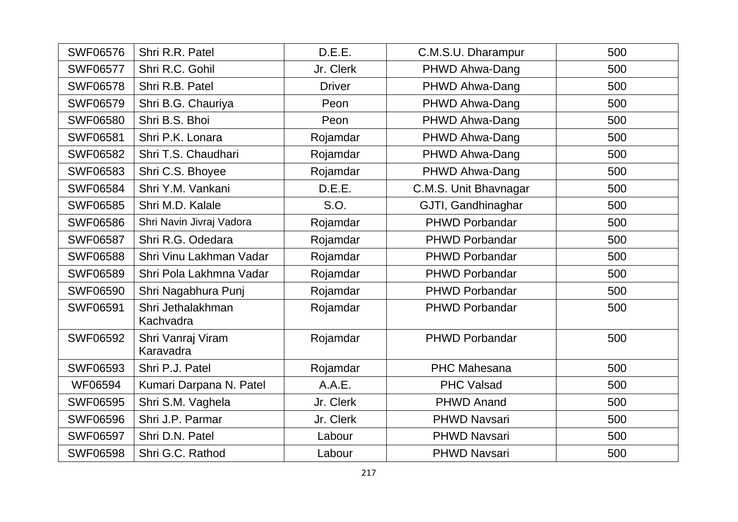| <b>SWF06576</b> | Shri R.R. Patel                | D.E.E.        | C.M.S.U. Dharampur    | 500 |
|-----------------|--------------------------------|---------------|-----------------------|-----|
| <b>SWF06577</b> | Shri R.C. Gohil                | Jr. Clerk     | PHWD Ahwa-Dang        | 500 |
| <b>SWF06578</b> | Shri R.B. Patel                | <b>Driver</b> | PHWD Ahwa-Dang        | 500 |
| <b>SWF06579</b> | Shri B.G. Chauriya             | Peon          | PHWD Ahwa-Dang        | 500 |
| <b>SWF06580</b> | Shri B.S. Bhoi                 | Peon          | PHWD Ahwa-Dang        | 500 |
| <b>SWF06581</b> | Shri P.K. Lonara               | Rojamdar      | PHWD Ahwa-Dang        | 500 |
| <b>SWF06582</b> | Shri T.S. Chaudhari            | Rojamdar      | PHWD Ahwa-Dang        | 500 |
| <b>SWF06583</b> | Shri C.S. Bhoyee               | Rojamdar      | PHWD Ahwa-Dang        | 500 |
| <b>SWF06584</b> | Shri Y.M. Vankani              | D.E.E.        | C.M.S. Unit Bhavnagar | 500 |
| <b>SWF06585</b> | Shri M.D. Kalale               | S.O.          | GJTI, Gandhinaghar    | 500 |
| <b>SWF06586</b> | Shri Navin Jivraj Vadora       | Rojamdar      | <b>PHWD Porbandar</b> | 500 |
| <b>SWF06587</b> | Shri R.G. Odedara              | Rojamdar      | <b>PHWD Porbandar</b> | 500 |
| <b>SWF06588</b> | Shri Vinu Lakhman Vadar        | Rojamdar      | PHWD Porbandar        | 500 |
| <b>SWF06589</b> | Shri Pola Lakhmna Vadar        | Rojamdar      | <b>PHWD Porbandar</b> | 500 |
| <b>SWF06590</b> | Shri Nagabhura Punj            | Rojamdar      | <b>PHWD Porbandar</b> | 500 |
| <b>SWF06591</b> | Shri Jethalakhman<br>Kachvadra | Rojamdar      | PHWD Porbandar        | 500 |
| <b>SWF06592</b> | Shri Vanraj Viram<br>Karavadra | Rojamdar      | <b>PHWD Porbandar</b> | 500 |
| <b>SWF06593</b> | Shri P.J. Patel                | Rojamdar      | <b>PHC Mahesana</b>   | 500 |
| WF06594         | Kumari Darpana N. Patel        | A.A.E.        | <b>PHC Valsad</b>     | 500 |
| <b>SWF06595</b> | Shri S.M. Vaghela              | Jr. Clerk     | <b>PHWD Anand</b>     | 500 |
| <b>SWF06596</b> | Shri J.P. Parmar               | Jr. Clerk     | <b>PHWD Navsari</b>   | 500 |
| <b>SWF06597</b> | Shri D.N. Patel                | Labour        | <b>PHWD Navsari</b>   | 500 |
| <b>SWF06598</b> | Shri G.C. Rathod               | Labour        | <b>PHWD Navsari</b>   | 500 |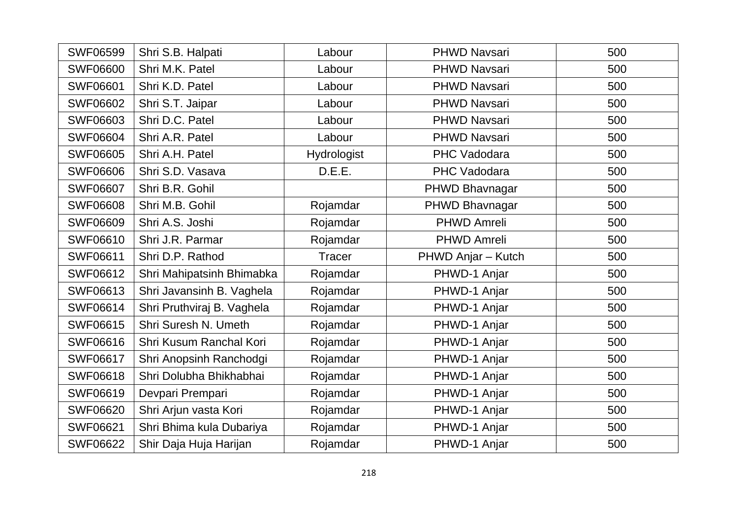| <b>SWF06599</b> | Shri S.B. Halpati          | Labour             | <b>PHWD Navsari</b> | 500 |
|-----------------|----------------------------|--------------------|---------------------|-----|
| <b>SWF06600</b> | Shri M.K. Patel            | Labour             | <b>PHWD Navsari</b> | 500 |
| <b>SWF06601</b> | Shri K.D. Patel            | Labour             | <b>PHWD Navsari</b> | 500 |
| <b>SWF06602</b> | Shri S.T. Jaipar           | Labour             | <b>PHWD Navsari</b> | 500 |
| <b>SWF06603</b> | Shri D.C. Patel            | Labour             | <b>PHWD Navsari</b> | 500 |
| <b>SWF06604</b> | Shri A.R. Patel            | Labour             | <b>PHWD Navsari</b> | 500 |
| <b>SWF06605</b> | Shri A.H. Patel            | <b>Hydrologist</b> | PHC Vadodara        | 500 |
| <b>SWF06606</b> | Shri S.D. Vasava           | D.E.E.             | <b>PHC Vadodara</b> | 500 |
| <b>SWF06607</b> | Shri B.R. Gohil            |                    | PHWD Bhavnagar      | 500 |
| <b>SWF06608</b> | Shri M.B. Gohil            | Rojamdar           | PHWD Bhavnagar      | 500 |
| <b>SWF06609</b> | Shri A.S. Joshi            | Rojamdar           | <b>PHWD Amreli</b>  | 500 |
| <b>SWF06610</b> | Shri J.R. Parmar           | Rojamdar           | <b>PHWD Amreli</b>  | 500 |
| <b>SWF06611</b> | Shri D.P. Rathod           | <b>Tracer</b>      | PHWD Anjar - Kutch  | 500 |
| <b>SWF06612</b> | Shri Mahipatsinh Bhimabka  | Rojamdar           | PHWD-1 Anjar        | 500 |
| <b>SWF06613</b> | Shri Javansinh B. Vaghela  | Rojamdar           | PHWD-1 Anjar        | 500 |
| <b>SWF06614</b> | Shri Pruthviraj B. Vaghela | Rojamdar           | PHWD-1 Anjar        | 500 |
| <b>SWF06615</b> | Shri Suresh N. Umeth       | Rojamdar           | PHWD-1 Anjar        | 500 |
| <b>SWF06616</b> | Shri Kusum Ranchal Kori    | Rojamdar           | PHWD-1 Anjar        | 500 |
| <b>SWF06617</b> | Shri Anopsinh Ranchodgi    | Rojamdar           | PHWD-1 Anjar        | 500 |
| <b>SWF06618</b> | Shri Dolubha Bhikhabhai    | Rojamdar           | PHWD-1 Anjar        | 500 |
| <b>SWF06619</b> | Devpari Prempari           | Rojamdar           | PHWD-1 Anjar        | 500 |
| <b>SWF06620</b> | Shri Arjun vasta Kori      | Rojamdar           | PHWD-1 Anjar        | 500 |
| <b>SWF06621</b> | Shri Bhima kula Dubariya   | Rojamdar           | PHWD-1 Anjar        | 500 |
| <b>SWF06622</b> | Shir Daja Huja Harijan     | Rojamdar           | PHWD-1 Anjar        | 500 |
|                 |                            |                    |                     |     |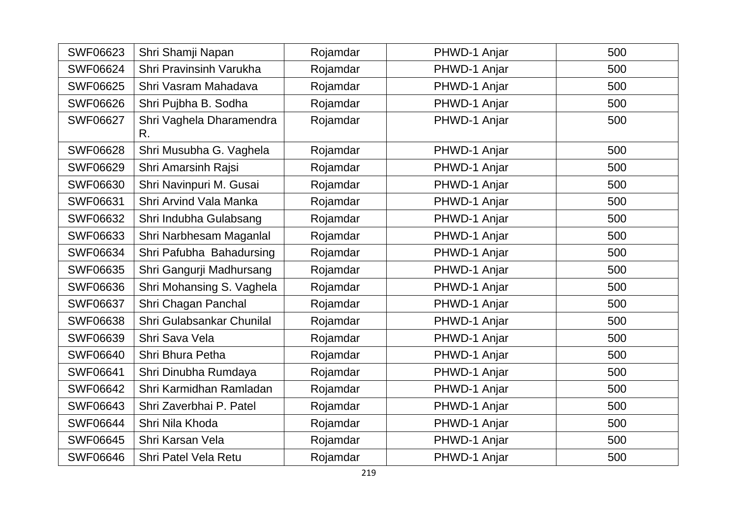| <b>SWF06623</b> | Shri Shamji Napan              | Rojamdar | PHWD-1 Anjar | 500 |
|-----------------|--------------------------------|----------|--------------|-----|
| <b>SWF06624</b> | Shri Pravinsinh Varukha        | Rojamdar | PHWD-1 Anjar | 500 |
| <b>SWF06625</b> | Shri Vasram Mahadava           | Rojamdar | PHWD-1 Anjar | 500 |
| <b>SWF06626</b> | Shri Pujbha B. Sodha           | Rojamdar | PHWD-1 Anjar | 500 |
| <b>SWF06627</b> | Shri Vaghela Dharamendra<br>R. | Rojamdar | PHWD-1 Anjar | 500 |
| <b>SWF06628</b> | Shri Musubha G. Vaghela        | Rojamdar | PHWD-1 Anjar | 500 |
| <b>SWF06629</b> | Shri Amarsinh Rajsi            | Rojamdar | PHWD-1 Anjar | 500 |
| <b>SWF06630</b> | Shri Navinpuri M. Gusai        | Rojamdar | PHWD-1 Anjar | 500 |
| <b>SWF06631</b> | Shri Arvind Vala Manka         | Rojamdar | PHWD-1 Anjar | 500 |
| <b>SWF06632</b> | Shri Indubha Gulabsang         | Rojamdar | PHWD-1 Anjar | 500 |
| <b>SWF06633</b> | Shri Narbhesam Maganlal        | Rojamdar | PHWD-1 Anjar | 500 |
| <b>SWF06634</b> | Shri Pafubha Bahadursing       | Rojamdar | PHWD-1 Anjar | 500 |
| <b>SWF06635</b> | Shri Gangurji Madhursang       | Rojamdar | PHWD-1 Anjar | 500 |
| <b>SWF06636</b> | Shri Mohansing S. Vaghela      | Rojamdar | PHWD-1 Anjar | 500 |
| <b>SWF06637</b> | Shri Chagan Panchal            | Rojamdar | PHWD-1 Anjar | 500 |
| <b>SWF06638</b> | Shri Gulabsankar Chunilal      | Rojamdar | PHWD-1 Anjar | 500 |
| <b>SWF06639</b> | Shri Sava Vela                 | Rojamdar | PHWD-1 Anjar | 500 |
| <b>SWF06640</b> | Shri Bhura Petha               | Rojamdar | PHWD-1 Anjar | 500 |
| <b>SWF06641</b> | Shri Dinubha Rumdaya           | Rojamdar | PHWD-1 Anjar | 500 |
| <b>SWF06642</b> | Shri Karmidhan Ramladan        | Rojamdar | PHWD-1 Anjar | 500 |
| <b>SWF06643</b> | Shri Zaverbhai P. Patel        | Rojamdar | PHWD-1 Anjar | 500 |
| <b>SWF06644</b> | Shri Nila Khoda                | Rojamdar | PHWD-1 Anjar | 500 |
| <b>SWF06645</b> | Shri Karsan Vela               | Rojamdar | PHWD-1 Anjar | 500 |
| <b>SWF06646</b> | <b>Shri Patel Vela Retu</b>    | Rojamdar | PHWD-1 Anjar | 500 |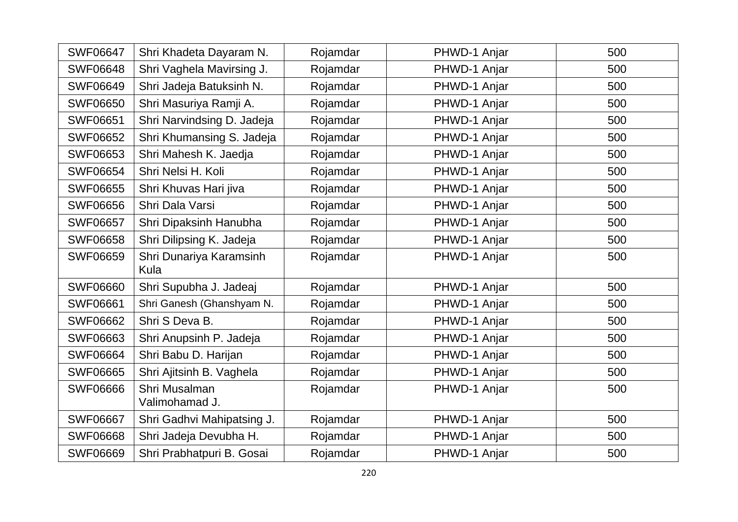| <b>SWF06647</b> | Shri Khadeta Dayaram N.         | Rojamdar | PHWD-1 Anjar | 500 |
|-----------------|---------------------------------|----------|--------------|-----|
| <b>SWF06648</b> | Shri Vaghela Mavirsing J.       | Rojamdar | PHWD-1 Anjar | 500 |
| <b>SWF06649</b> | Shri Jadeja Batuksinh N.        | Rojamdar | PHWD-1 Anjar | 500 |
| <b>SWF06650</b> | Shri Masuriya Ramji A.          | Rojamdar | PHWD-1 Anjar | 500 |
| <b>SWF06651</b> | Shri Narvindsing D. Jadeja      | Rojamdar | PHWD-1 Anjar | 500 |
| <b>SWF06652</b> | Shri Khumansing S. Jadeja       | Rojamdar | PHWD-1 Anjar | 500 |
| <b>SWF06653</b> | Shri Mahesh K. Jaedja           | Rojamdar | PHWD-1 Anjar | 500 |
| <b>SWF06654</b> | Shri Nelsi H. Koli              | Rojamdar | PHWD-1 Anjar | 500 |
| <b>SWF06655</b> | Shri Khuvas Hari jiva           | Rojamdar | PHWD-1 Anjar | 500 |
| <b>SWF06656</b> | Shri Dala Varsi                 | Rojamdar | PHWD-1 Anjar | 500 |
| <b>SWF06657</b> | Shri Dipaksinh Hanubha          | Rojamdar | PHWD-1 Anjar | 500 |
| <b>SWF06658</b> | Shri Dilipsing K. Jadeja        | Rojamdar | PHWD-1 Anjar | 500 |
| <b>SWF06659</b> | Shri Dunariya Karamsinh<br>Kula | Rojamdar | PHWD-1 Anjar | 500 |
| <b>SWF06660</b> | Shri Supubha J. Jadeaj          | Rojamdar | PHWD-1 Anjar | 500 |
| <b>SWF06661</b> | Shri Ganesh (Ghanshyam N.       | Rojamdar | PHWD-1 Anjar | 500 |
| <b>SWF06662</b> | Shri S Deva B.                  | Rojamdar | PHWD-1 Anjar | 500 |
| <b>SWF06663</b> | Shri Anupsinh P. Jadeja         | Rojamdar | PHWD-1 Anjar | 500 |
| <b>SWF06664</b> | Shri Babu D. Harijan            | Rojamdar | PHWD-1 Anjar | 500 |
| <b>SWF06665</b> | Shri Ajitsinh B. Vaghela        | Rojamdar | PHWD-1 Anjar | 500 |
| <b>SWF06666</b> | Shri Musalman<br>Valimohamad J. | Rojamdar | PHWD-1 Anjar | 500 |
| <b>SWF06667</b> | Shri Gadhvi Mahipatsing J.      | Rojamdar | PHWD-1 Anjar | 500 |
| <b>SWF06668</b> | Shri Jadeja Devubha H.          | Rojamdar | PHWD-1 Anjar | 500 |
| <b>SWF06669</b> | Shri Prabhatpuri B. Gosai       | Rojamdar | PHWD-1 Anjar | 500 |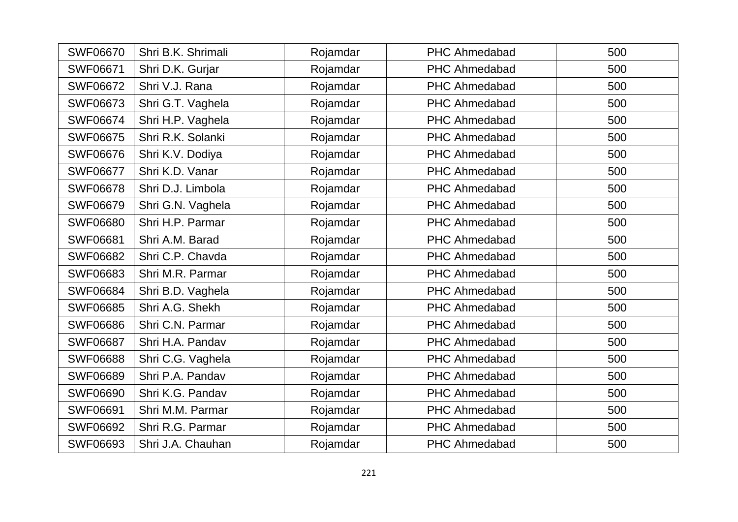| <b>SWF06670</b> | Shri B.K. Shrimali | Rojamdar | <b>PHC Ahmedabad</b> | 500 |
|-----------------|--------------------|----------|----------------------|-----|
| <b>SWF06671</b> | Shri D.K. Gurjar   | Rojamdar | <b>PHC Ahmedabad</b> | 500 |
| <b>SWF06672</b> | Shri V.J. Rana     | Rojamdar | <b>PHC Ahmedabad</b> | 500 |
| <b>SWF06673</b> | Shri G.T. Vaghela  | Rojamdar | <b>PHC Ahmedabad</b> | 500 |
| <b>SWF06674</b> | Shri H.P. Vaghela  | Rojamdar | <b>PHC Ahmedabad</b> | 500 |
| <b>SWF06675</b> | Shri R.K. Solanki  | Rojamdar | <b>PHC Ahmedabad</b> | 500 |
| <b>SWF06676</b> | Shri K.V. Dodiya   | Rojamdar | <b>PHC Ahmedabad</b> | 500 |
| <b>SWF06677</b> | Shri K.D. Vanar    | Rojamdar | <b>PHC Ahmedabad</b> | 500 |
| <b>SWF06678</b> | Shri D.J. Limbola  | Rojamdar | <b>PHC Ahmedabad</b> | 500 |
| <b>SWF06679</b> | Shri G.N. Vaghela  | Rojamdar | <b>PHC Ahmedabad</b> | 500 |
| <b>SWF06680</b> | Shri H.P. Parmar   | Rojamdar | <b>PHC Ahmedabad</b> | 500 |
| <b>SWF06681</b> | Shri A.M. Barad    | Rojamdar | <b>PHC Ahmedabad</b> | 500 |
| <b>SWF06682</b> | Shri C.P. Chavda   | Rojamdar | <b>PHC Ahmedabad</b> | 500 |
| <b>SWF06683</b> | Shri M.R. Parmar   | Rojamdar | <b>PHC Ahmedabad</b> | 500 |
| <b>SWF06684</b> | Shri B.D. Vaghela  | Rojamdar | <b>PHC Ahmedabad</b> | 500 |
| <b>SWF06685</b> | Shri A.G. Shekh    | Rojamdar | <b>PHC Ahmedabad</b> | 500 |
| <b>SWF06686</b> | Shri C.N. Parmar   | Rojamdar | <b>PHC Ahmedabad</b> | 500 |
| <b>SWF06687</b> | Shri H.A. Pandav   | Rojamdar | <b>PHC Ahmedabad</b> | 500 |
| <b>SWF06688</b> | Shri C.G. Vaghela  | Rojamdar | <b>PHC Ahmedabad</b> | 500 |
| <b>SWF06689</b> | Shri P.A. Pandav   | Rojamdar | <b>PHC Ahmedabad</b> | 500 |
| <b>SWF06690</b> | Shri K.G. Pandav   | Rojamdar | <b>PHC Ahmedabad</b> | 500 |
| <b>SWF06691</b> | Shri M.M. Parmar   | Rojamdar | <b>PHC Ahmedabad</b> | 500 |
| <b>SWF06692</b> | Shri R.G. Parmar   | Rojamdar | PHC Ahmedabad        | 500 |
| <b>SWF06693</b> | Shri J.A. Chauhan  | Rojamdar | <b>PHC Ahmedabad</b> | 500 |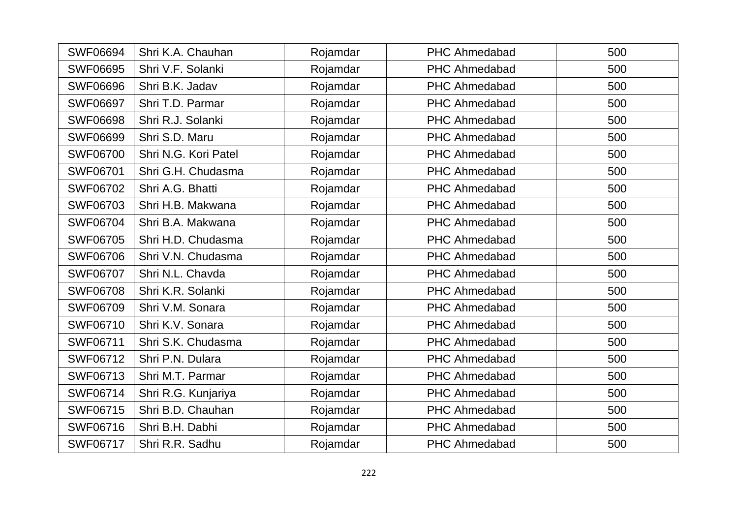| <b>SWF06694</b> | Shri K.A. Chauhan    | Rojamdar | <b>PHC Ahmedabad</b> | 500 |
|-----------------|----------------------|----------|----------------------|-----|
| <b>SWF06695</b> | Shri V.F. Solanki    | Rojamdar | <b>PHC Ahmedabad</b> | 500 |
| <b>SWF06696</b> | Shri B.K. Jadav      | Rojamdar | <b>PHC Ahmedabad</b> | 500 |
| <b>SWF06697</b> | Shri T.D. Parmar     | Rojamdar | <b>PHC Ahmedabad</b> | 500 |
| <b>SWF06698</b> | Shri R.J. Solanki    | Rojamdar | <b>PHC Ahmedabad</b> | 500 |
| <b>SWF06699</b> | Shri S.D. Maru       | Rojamdar | <b>PHC Ahmedabad</b> | 500 |
| <b>SWF06700</b> | Shri N.G. Kori Patel | Rojamdar | <b>PHC Ahmedabad</b> | 500 |
| <b>SWF06701</b> | Shri G.H. Chudasma   | Rojamdar | <b>PHC Ahmedabad</b> | 500 |
| <b>SWF06702</b> | Shri A.G. Bhatti     | Rojamdar | <b>PHC Ahmedabad</b> | 500 |
| <b>SWF06703</b> | Shri H.B. Makwana    | Rojamdar | <b>PHC Ahmedabad</b> | 500 |
| <b>SWF06704</b> | Shri B.A. Makwana    | Rojamdar | PHC Ahmedabad        | 500 |
| <b>SWF06705</b> | Shri H.D. Chudasma   | Rojamdar | <b>PHC Ahmedabad</b> | 500 |
| <b>SWF06706</b> | Shri V.N. Chudasma   | Rojamdar | <b>PHC Ahmedabad</b> | 500 |
| <b>SWF06707</b> | Shri N.L. Chavda     | Rojamdar | <b>PHC Ahmedabad</b> | 500 |
| <b>SWF06708</b> | Shri K.R. Solanki    | Rojamdar | <b>PHC Ahmedabad</b> | 500 |
| <b>SWF06709</b> | Shri V.M. Sonara     | Rojamdar | <b>PHC Ahmedabad</b> | 500 |
| <b>SWF06710</b> | Shri K.V. Sonara     | Rojamdar | <b>PHC Ahmedabad</b> | 500 |
| <b>SWF06711</b> | Shri S.K. Chudasma   | Rojamdar | <b>PHC Ahmedabad</b> | 500 |
| <b>SWF06712</b> | Shri P.N. Dulara     | Rojamdar | <b>PHC Ahmedabad</b> | 500 |
| SWF06713        | Shri M.T. Parmar     | Rojamdar | <b>PHC Ahmedabad</b> | 500 |
| <b>SWF06714</b> | Shri R.G. Kunjariya  | Rojamdar | <b>PHC Ahmedabad</b> | 500 |
| <b>SWF06715</b> | Shri B.D. Chauhan    | Rojamdar | <b>PHC Ahmedabad</b> | 500 |
| <b>SWF06716</b> | Shri B.H. Dabhi      | Rojamdar | <b>PHC Ahmedabad</b> | 500 |
| <b>SWF06717</b> | Shri R.R. Sadhu      | Rojamdar | <b>PHC Ahmedabad</b> | 500 |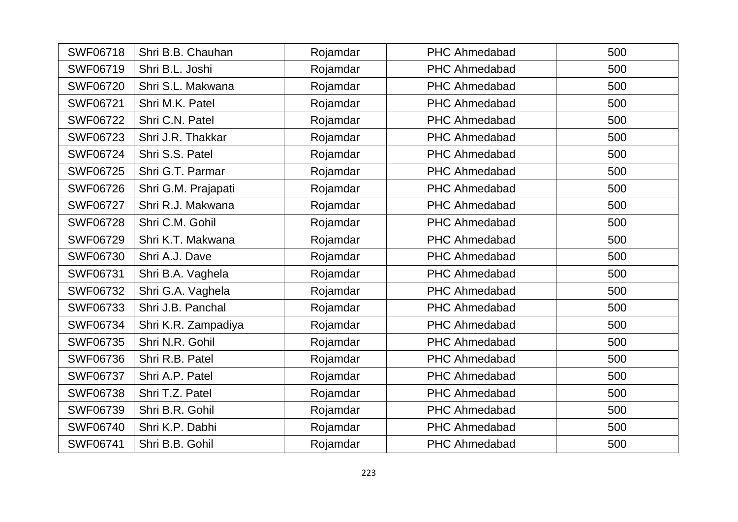| <b>SWF06718</b> | Shri B.B. Chauhan   | Rojamdar | <b>PHC Ahmedabad</b> | 500 |
|-----------------|---------------------|----------|----------------------|-----|
| <b>SWF06719</b> | Shri B.L. Joshi     | Rojamdar | <b>PHC Ahmedabad</b> | 500 |
| <b>SWF06720</b> | Shri S.L. Makwana   | Rojamdar | <b>PHC Ahmedabad</b> | 500 |
| <b>SWF06721</b> | Shri M.K. Patel     | Rojamdar | <b>PHC Ahmedabad</b> | 500 |
| <b>SWF06722</b> | Shri C.N. Patel     | Rojamdar | <b>PHC Ahmedabad</b> | 500 |
| <b>SWF06723</b> | Shri J.R. Thakkar   | Rojamdar | <b>PHC Ahmedabad</b> | 500 |
| <b>SWF06724</b> | Shri S.S. Patel     | Rojamdar | <b>PHC Ahmedabad</b> | 500 |
| <b>SWF06725</b> | Shri G.T. Parmar    | Rojamdar | <b>PHC Ahmedabad</b> | 500 |
| <b>SWF06726</b> | Shri G.M. Prajapati | Rojamdar | <b>PHC Ahmedabad</b> | 500 |
| <b>SWF06727</b> | Shri R.J. Makwana   | Rojamdar | <b>PHC Ahmedabad</b> | 500 |
| <b>SWF06728</b> | Shri C.M. Gohil     | Rojamdar | <b>PHC Ahmedabad</b> | 500 |
| SWF06729        | Shri K.T. Makwana   | Rojamdar | <b>PHC Ahmedabad</b> | 500 |
| SWF06730        | Shri A.J. Dave      | Rojamdar | <b>PHC Ahmedabad</b> | 500 |
| SWF06731        | Shri B.A. Vaghela   | Rojamdar | <b>PHC Ahmedabad</b> | 500 |
| <b>SWF06732</b> | Shri G.A. Vaghela   | Rojamdar | <b>PHC Ahmedabad</b> | 500 |
| <b>SWF06733</b> | Shri J.B. Panchal   | Rojamdar | <b>PHC Ahmedabad</b> | 500 |
| <b>SWF06734</b> | Shri K.R. Zampadiya | Rojamdar | <b>PHC Ahmedabad</b> | 500 |
| <b>SWF06735</b> | Shri N.R. Gohil     | Rojamdar | <b>PHC Ahmedabad</b> | 500 |
| <b>SWF06736</b> | Shri R.B. Patel     | Rojamdar | <b>PHC Ahmedabad</b> | 500 |
| <b>SWF06737</b> | Shri A.P. Patel     | Rojamdar | <b>PHC Ahmedabad</b> | 500 |
| <b>SWF06738</b> | Shri T.Z. Patel     | Rojamdar | <b>PHC Ahmedabad</b> | 500 |
| <b>SWF06739</b> | Shri B.R. Gohil     | Rojamdar | <b>PHC Ahmedabad</b> | 500 |
| <b>SWF06740</b> | Shri K.P. Dabhi     | Rojamdar | <b>PHC Ahmedabad</b> | 500 |
| <b>SWF06741</b> | Shri B.B. Gohil     | Rojamdar | <b>PHC Ahmedabad</b> | 500 |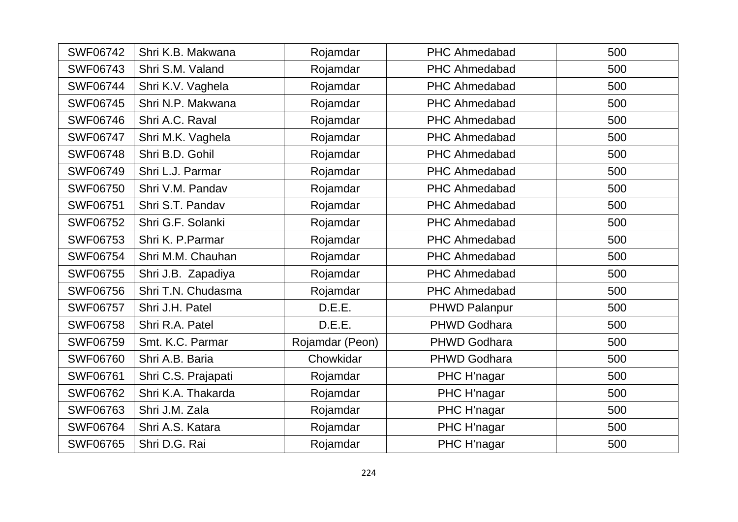| <b>SWF06742</b> | Shri K.B. Makwana   | Rojamdar        | <b>PHC Ahmedabad</b> | 500 |
|-----------------|---------------------|-----------------|----------------------|-----|
| <b>SWF06743</b> | Shri S.M. Valand    | Rojamdar        | PHC Ahmedabad        | 500 |
| <b>SWF06744</b> | Shri K.V. Vaghela   | Rojamdar        | <b>PHC Ahmedabad</b> | 500 |
| <b>SWF06745</b> | Shri N.P. Makwana   | Rojamdar        | <b>PHC Ahmedabad</b> | 500 |
| <b>SWF06746</b> | Shri A.C. Raval     | Rojamdar        | <b>PHC Ahmedabad</b> | 500 |
| <b>SWF06747</b> | Shri M.K. Vaghela   | Rojamdar        | <b>PHC Ahmedabad</b> | 500 |
| <b>SWF06748</b> | Shri B.D. Gohil     | Rojamdar        | <b>PHC Ahmedabad</b> | 500 |
| <b>SWF06749</b> | Shri L.J. Parmar    | Rojamdar        | <b>PHC Ahmedabad</b> | 500 |
| <b>SWF06750</b> | Shri V.M. Pandav    | Rojamdar        | <b>PHC Ahmedabad</b> | 500 |
| <b>SWF06751</b> | Shri S.T. Pandav    | Rojamdar        | <b>PHC Ahmedabad</b> | 500 |
| <b>SWF06752</b> | Shri G.F. Solanki   | Rojamdar        | <b>PHC Ahmedabad</b> | 500 |
| <b>SWF06753</b> | Shri K. P. Parmar   | Rojamdar        | <b>PHC Ahmedabad</b> | 500 |
| <b>SWF06754</b> | Shri M.M. Chauhan   | Rojamdar        | <b>PHC Ahmedabad</b> | 500 |
| <b>SWF06755</b> | Shri J.B. Zapadiya  | Rojamdar        | <b>PHC Ahmedabad</b> | 500 |
| <b>SWF06756</b> | Shri T.N. Chudasma  | Rojamdar        | <b>PHC Ahmedabad</b> | 500 |
| <b>SWF06757</b> | Shri J.H. Patel     | D.E.E.          | PHWD Palanpur        | 500 |
| <b>SWF06758</b> | Shri R.A. Patel     | D.E.E.          | <b>PHWD Godhara</b>  | 500 |
| <b>SWF06759</b> | Smt. K.C. Parmar    | Rojamdar (Peon) | <b>PHWD Godhara</b>  | 500 |
| <b>SWF06760</b> | Shri A.B. Baria     | Chowkidar       | <b>PHWD Godhara</b>  | 500 |
| <b>SWF06761</b> | Shri C.S. Prajapati | Rojamdar        | PHC H'nagar          | 500 |
| <b>SWF06762</b> | Shri K.A. Thakarda  | Rojamdar        | PHC H'nagar          | 500 |
| <b>SWF06763</b> | Shri J.M. Zala      | Rojamdar        | PHC H'nagar          | 500 |
| <b>SWF06764</b> | Shri A.S. Katara    | Rojamdar        | PHC H'nagar          | 500 |
| <b>SWF06765</b> | Shri D.G. Rai       | Rojamdar        | PHC H'nagar          | 500 |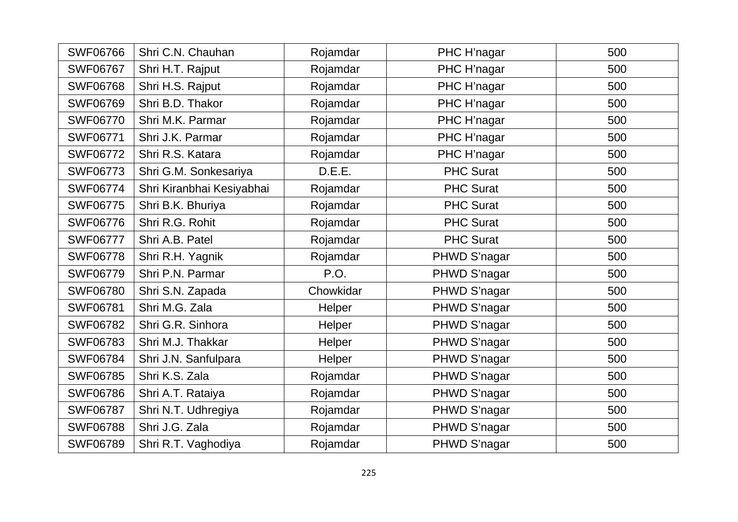| <b>SWF06766</b> | Shri C.N. Chauhan         | Rojamdar  | PHC H'nagar      | 500 |
|-----------------|---------------------------|-----------|------------------|-----|
| <b>SWF06767</b> | Shri H.T. Rajput          | Rojamdar  | PHC H'nagar      | 500 |
| <b>SWF06768</b> | Shri H.S. Rajput          | Rojamdar  | PHC H'nagar      | 500 |
| <b>SWF06769</b> | Shri B.D. Thakor          | Rojamdar  | PHC H'nagar      | 500 |
| <b>SWF06770</b> | Shri M.K. Parmar          | Rojamdar  | PHC H'nagar      | 500 |
| <b>SWF06771</b> | Shri J.K. Parmar          | Rojamdar  | PHC H'nagar      | 500 |
| <b>SWF06772</b> | Shri R.S. Katara          | Rojamdar  | PHC H'nagar      | 500 |
| <b>SWF06773</b> | Shri G.M. Sonkesariya     | D.E.E.    | <b>PHC Surat</b> | 500 |
| <b>SWF06774</b> | Shri Kiranbhai Kesiyabhai | Rojamdar  | <b>PHC Surat</b> | 500 |
| <b>SWF06775</b> | Shri B.K. Bhuriya         | Rojamdar  | <b>PHC Surat</b> | 500 |
| <b>SWF06776</b> | Shri R.G. Rohit           | Rojamdar  | <b>PHC Surat</b> | 500 |
| <b>SWF06777</b> | Shri A.B. Patel           | Rojamdar  | <b>PHC Surat</b> | 500 |
| <b>SWF06778</b> | Shri R.H. Yagnik          | Rojamdar  | PHWD S'nagar     | 500 |
| <b>SWF06779</b> | Shri P.N. Parmar          | P.O.      | PHWD S'nagar     | 500 |
| <b>SWF06780</b> | Shri S.N. Zapada          | Chowkidar | PHWD S'nagar     | 500 |
| <b>SWF06781</b> | Shri M.G. Zala            | Helper    | PHWD S'nagar     | 500 |
| <b>SWF06782</b> | Shri G.R. Sinhora         | Helper    | PHWD S'nagar     | 500 |
| <b>SWF06783</b> | Shri M.J. Thakkar         | Helper    | PHWD S'nagar     | 500 |
| <b>SWF06784</b> | Shri J.N. Sanfulpara      | Helper    | PHWD S'nagar     | 500 |
| <b>SWF06785</b> | Shri K.S. Zala            | Rojamdar  | PHWD S'nagar     | 500 |
| <b>SWF06786</b> | Shri A.T. Rataiya         | Rojamdar  | PHWD S'nagar     | 500 |
| <b>SWF06787</b> | Shri N.T. Udhregiya       | Rojamdar  | PHWD S'nagar     | 500 |
| <b>SWF06788</b> | Shri J.G. Zala            | Rojamdar  | PHWD S'nagar     | 500 |
| <b>SWF06789</b> | Shri R.T. Vaghodiya       | Rojamdar  | PHWD S'nagar     | 500 |